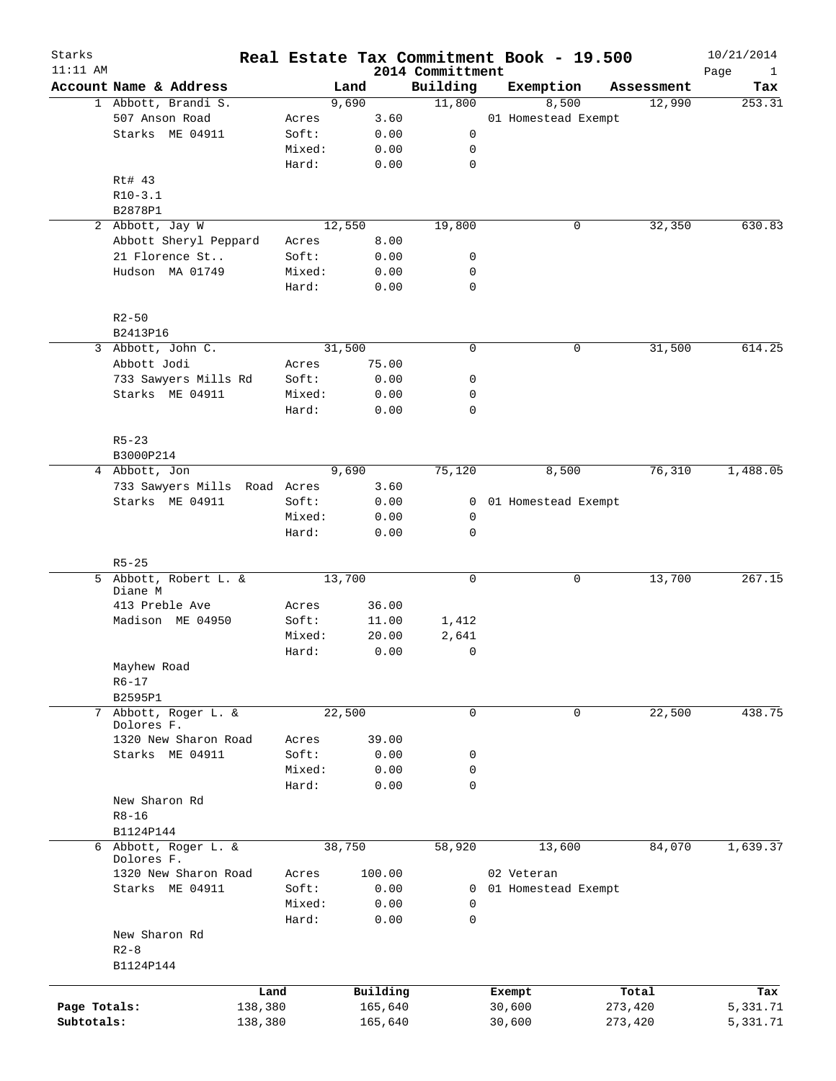| Starks<br>$11:11$ AM |                                    |         |        |          | 2014 Committment | Real Estate Tax Commitment Book - 19.500 |            | 10/21/2014                  |
|----------------------|------------------------------------|---------|--------|----------|------------------|------------------------------------------|------------|-----------------------------|
|                      | Account Name & Address             |         | Land   |          | Building         | Exemption                                | Assessment | Page<br>$\mathbf{1}$<br>Tax |
|                      | 1 Abbott, Brandi S.                |         | 9,690  |          | 11,800           | 8,500                                    | 12,990     | 253.31                      |
|                      | 507 Anson Road                     | Acres   |        | 3.60     |                  | 01 Homestead Exempt                      |            |                             |
|                      | Starks ME 04911                    | Soft:   |        | 0.00     | 0                |                                          |            |                             |
|                      |                                    | Mixed:  |        | 0.00     | 0                |                                          |            |                             |
|                      |                                    | Hard:   |        | 0.00     | $\mathbf 0$      |                                          |            |                             |
|                      | Rt# 43                             |         |        |          |                  |                                          |            |                             |
|                      | $R10-3.1$                          |         |        |          |                  |                                          |            |                             |
|                      | B2878P1                            |         |        |          |                  |                                          |            |                             |
|                      | 2 Abbott, Jay W                    |         | 12,550 |          | 19,800           | 0                                        | 32,350     | 630.83                      |
|                      | Abbott Sheryl Peppard              | Acres   |        | 8.00     |                  |                                          |            |                             |
|                      | 21 Florence St                     | Soft:   |        | 0.00     | 0                |                                          |            |                             |
|                      | Hudson MA 01749                    | Mixed:  |        | 0.00     | 0                |                                          |            |                             |
|                      |                                    | Hard:   |        | 0.00     | $\mathbf 0$      |                                          |            |                             |
|                      | $R2 - 50$                          |         |        |          |                  |                                          |            |                             |
|                      | B2413P16                           |         |        |          |                  |                                          |            |                             |
|                      | 3 Abbott, John C.                  |         | 31,500 |          | $\mathbf 0$      | 0                                        | 31,500     | 614.25                      |
|                      | Abbott Jodi                        | Acres   |        | 75.00    |                  |                                          |            |                             |
|                      | 733 Sawyers Mills Rd               | Soft:   |        | 0.00     | 0                |                                          |            |                             |
|                      | Starks ME 04911                    | Mixed:  |        | 0.00     | 0                |                                          |            |                             |
|                      |                                    | Hard:   |        | 0.00     | $\mathbf 0$      |                                          |            |                             |
|                      | $R5 - 23$                          |         |        |          |                  |                                          |            |                             |
|                      | B3000P214                          |         |        |          |                  |                                          |            |                             |
|                      | 4 Abbott, Jon                      |         | 9,690  |          | 75,120           | 8,500                                    | 76,310     | 1,488.05                    |
|                      | 733 Sawyers Mills Road Acres       |         |        | 3.60     |                  |                                          |            |                             |
|                      | Starks ME 04911                    | Soft:   |        | 0.00     | 0                | 01 Homestead Exempt                      |            |                             |
|                      |                                    | Mixed:  |        | 0.00     | 0                |                                          |            |                             |
|                      |                                    | Hard:   |        | 0.00     | $\mathbf 0$      |                                          |            |                             |
|                      | $R5 - 25$                          |         |        |          |                  |                                          |            |                             |
|                      | 5 Abbott, Robert L. &<br>Diane M   |         | 13,700 |          | 0                | 0                                        | 13,700     | 267.15                      |
|                      | 413 Preble Ave                     | Acres   |        | 36.00    |                  |                                          |            |                             |
|                      | Madison ME 04950                   | Soft:   |        | 11.00    | 1,412            |                                          |            |                             |
|                      |                                    | Mixed:  |        | 20.00    | 2,641            |                                          |            |                             |
|                      |                                    | Hard:   |        | 0.00     | 0                |                                          |            |                             |
|                      | Mayhew Road                        |         |        |          |                  |                                          |            |                             |
|                      | $R6 - 17$                          |         |        |          |                  |                                          |            |                             |
|                      | B2595P1                            |         |        |          |                  |                                          |            |                             |
|                      | 7 Abbott, Roger L. &               |         | 22,500 |          | 0                | 0                                        | 22,500     | 438.75                      |
|                      | Dolores F.                         |         |        |          |                  |                                          |            |                             |
|                      | 1320 New Sharon Road               | Acres   |        | 39.00    |                  |                                          |            |                             |
|                      | Starks ME 04911                    | Soft:   |        | 0.00     | 0                |                                          |            |                             |
|                      |                                    | Mixed:  |        | 0.00     | 0                |                                          |            |                             |
|                      |                                    | Hard:   |        | 0.00     | $\mathbf 0$      |                                          |            |                             |
|                      | New Sharon Rd                      |         |        |          |                  |                                          |            |                             |
|                      | $R8 - 16$                          |         |        |          |                  |                                          |            |                             |
|                      | B1124P144                          |         |        |          |                  |                                          |            |                             |
|                      | 6 Abbott, Roger L. &<br>Dolores F. |         | 38,750 |          | 58,920           | 13,600                                   | 84,070     | 1,639.37                    |
|                      | 1320 New Sharon Road               | Acres   |        | 100.00   |                  | 02 Veteran                               |            |                             |
|                      | Starks ME 04911                    | Soft:   |        | 0.00     | $\mathbf{0}$     | 01 Homestead Exempt                      |            |                             |
|                      |                                    | Mixed:  |        | 0.00     | 0                |                                          |            |                             |
|                      |                                    | Hard:   |        | 0.00     | $\mathbf 0$      |                                          |            |                             |
|                      | New Sharon Rd                      |         |        |          |                  |                                          |            |                             |
|                      | $R2 - 8$                           |         |        |          |                  |                                          |            |                             |
|                      | B1124P144                          |         |        |          |                  |                                          |            |                             |
|                      |                                    | Land    |        | Building |                  | Exempt                                   | Total      | Tax                         |
| Page Totals:         |                                    | 138,380 |        | 165,640  |                  | 30,600                                   | 273,420    | 5,331.71                    |
| Subtotals:           |                                    | 138,380 |        | 165,640  |                  | 30,600                                   | 273,420    | 5,331.71                    |
|                      |                                    |         |        |          |                  |                                          |            |                             |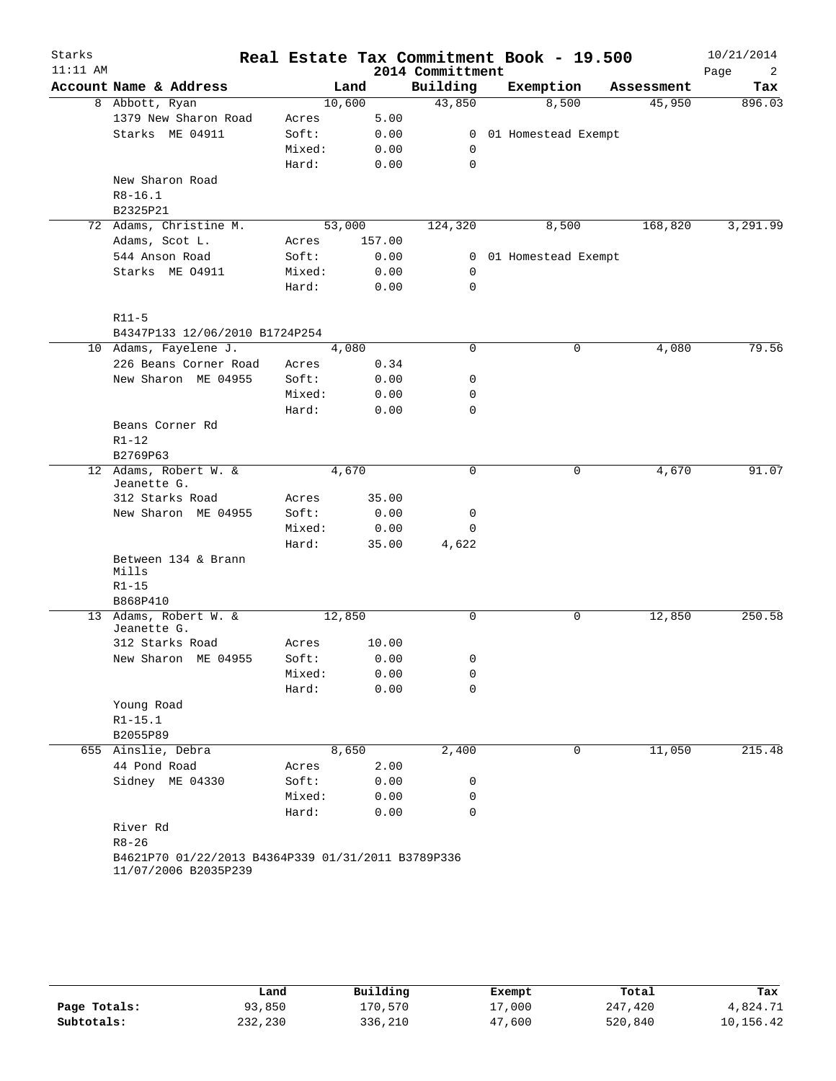| Starks<br>$11:11$ AM |                                                                            |        |        |        | 2014 Committment | Real Estate Tax Commitment Book - 19.500 |            | 10/21/2014<br>Page<br>2 |
|----------------------|----------------------------------------------------------------------------|--------|--------|--------|------------------|------------------------------------------|------------|-------------------------|
|                      | Account Name & Address                                                     |        | Land   |        | Building         | Exemption                                | Assessment | Tax                     |
|                      | 8 Abbott, Ryan                                                             |        | 10,600 |        | 43,850           | 8,500                                    | 45,950     | 896.03                  |
|                      | 1379 New Sharon Road                                                       | Acres  |        | 5.00   |                  |                                          |            |                         |
|                      | Starks ME 04911                                                            | Soft:  |        | 0.00   | $\mathbf{0}$     | 01 Homestead Exempt                      |            |                         |
|                      |                                                                            | Mixed: |        | 0.00   | 0                |                                          |            |                         |
|                      |                                                                            | Hard:  |        | 0.00   | 0                |                                          |            |                         |
|                      | New Sharon Road                                                            |        |        |        |                  |                                          |            |                         |
|                      | $R8 - 16.1$                                                                |        |        |        |                  |                                          |            |                         |
|                      | B2325P21                                                                   |        |        |        |                  |                                          |            |                         |
|                      | 72 Adams, Christine M.                                                     |        | 53,000 |        | 124,320          | 8,500                                    | 168,820    | 3,291.99                |
|                      | Adams, Scot L.                                                             | Acres  |        | 157.00 |                  |                                          |            |                         |
|                      | 544 Anson Road                                                             | Soft:  |        | 0.00   | $\mathbf{0}$     | 01 Homestead Exempt                      |            |                         |
|                      | Starks ME 04911                                                            | Mixed: |        | 0.00   | 0                |                                          |            |                         |
|                      |                                                                            | Hard:  |        | 0.00   | 0                |                                          |            |                         |
|                      | $R11-5$                                                                    |        |        |        |                  |                                          |            |                         |
|                      | B4347P133 12/06/2010 B1724P254                                             |        |        |        |                  |                                          |            |                         |
|                      | 10 Adams, Fayelene J.                                                      |        | 4,080  |        | $\mathbf 0$      | 0                                        | 4,080      | 79.56                   |
|                      | 226 Beans Corner Road                                                      | Acres  |        | 0.34   |                  |                                          |            |                         |
|                      | New Sharon ME 04955                                                        | Soft:  |        | 0.00   | 0                |                                          |            |                         |
|                      |                                                                            | Mixed: |        | 0.00   | 0                |                                          |            |                         |
|                      |                                                                            | Hard:  |        | 0.00   | $\mathbf 0$      |                                          |            |                         |
|                      | Beans Corner Rd                                                            |        |        |        |                  |                                          |            |                         |
|                      | $R1 - 12$                                                                  |        |        |        |                  |                                          |            |                         |
|                      | B2769P63                                                                   |        |        |        |                  |                                          |            |                         |
| 12                   | Adams, Robert W. &                                                         |        | 4,670  |        | 0                | 0                                        | 4,670      | 91.07                   |
|                      | Jeanette G.                                                                |        |        |        |                  |                                          |            |                         |
|                      | 312 Starks Road                                                            | Acres  |        | 35.00  |                  |                                          |            |                         |
|                      | New Sharon ME 04955                                                        | Soft:  |        | 0.00   | 0                |                                          |            |                         |
|                      |                                                                            | Mixed: |        | 0.00   | 0                |                                          |            |                         |
|                      |                                                                            | Hard:  |        | 35.00  | 4,622            |                                          |            |                         |
|                      | Between 134 & Brann                                                        |        |        |        |                  |                                          |            |                         |
|                      | Mills                                                                      |        |        |        |                  |                                          |            |                         |
|                      | $R1 - 15$                                                                  |        |        |        |                  |                                          |            |                         |
|                      | B868P410                                                                   |        |        |        |                  |                                          |            |                         |
|                      | 13 Adams, Robert W. &<br>Jeanette G.                                       |        | 12,850 |        | 0                | 0                                        | 12,850     | 250.58                  |
|                      | 312 Starks Road                                                            | Acres  |        | 10.00  |                  |                                          |            |                         |
|                      | New Sharon ME 04955                                                        | Soft:  |        | 0.00   | 0                |                                          |            |                         |
|                      |                                                                            | Mixed: |        | 0.00   | 0                |                                          |            |                         |
|                      |                                                                            | Hard:  |        | 0.00   | $\mathbf 0$      |                                          |            |                         |
|                      | Young Road                                                                 |        |        |        |                  |                                          |            |                         |
|                      | $R1 - 15.1$                                                                |        |        |        |                  |                                          |            |                         |
|                      | B2055P89                                                                   |        |        |        |                  |                                          |            |                         |
|                      | 655 Ainslie, Debra                                                         |        | 8,650  |        | 2,400            | $\mathbf 0$                              | 11,050     | 215.48                  |
|                      | 44 Pond Road                                                               | Acres  |        | 2.00   |                  |                                          |            |                         |
|                      | Sidney ME 04330                                                            | Soft:  |        | 0.00   | 0                |                                          |            |                         |
|                      |                                                                            | Mixed: |        | 0.00   | 0                |                                          |            |                         |
|                      |                                                                            | Hard:  |        | 0.00   | $\mathbf 0$      |                                          |            |                         |
|                      | River Rd                                                                   |        |        |        |                  |                                          |            |                         |
|                      | $R8 - 26$                                                                  |        |        |        |                  |                                          |            |                         |
|                      | B4621P70 01/22/2013 B4364P339 01/31/2011 B3789P336<br>11/07/2006 B2035P239 |        |        |        |                  |                                          |            |                         |

|              | Land    | Building | Exempt | Total   | Tax       |
|--------------|---------|----------|--------|---------|-----------|
| Page Totals: | 93,850  | 170,570  | 17,000 | 247,420 | 4,824.71  |
| Subtotals:   | 232,230 | 336,210  | 47,600 | 520,840 | 10,156.42 |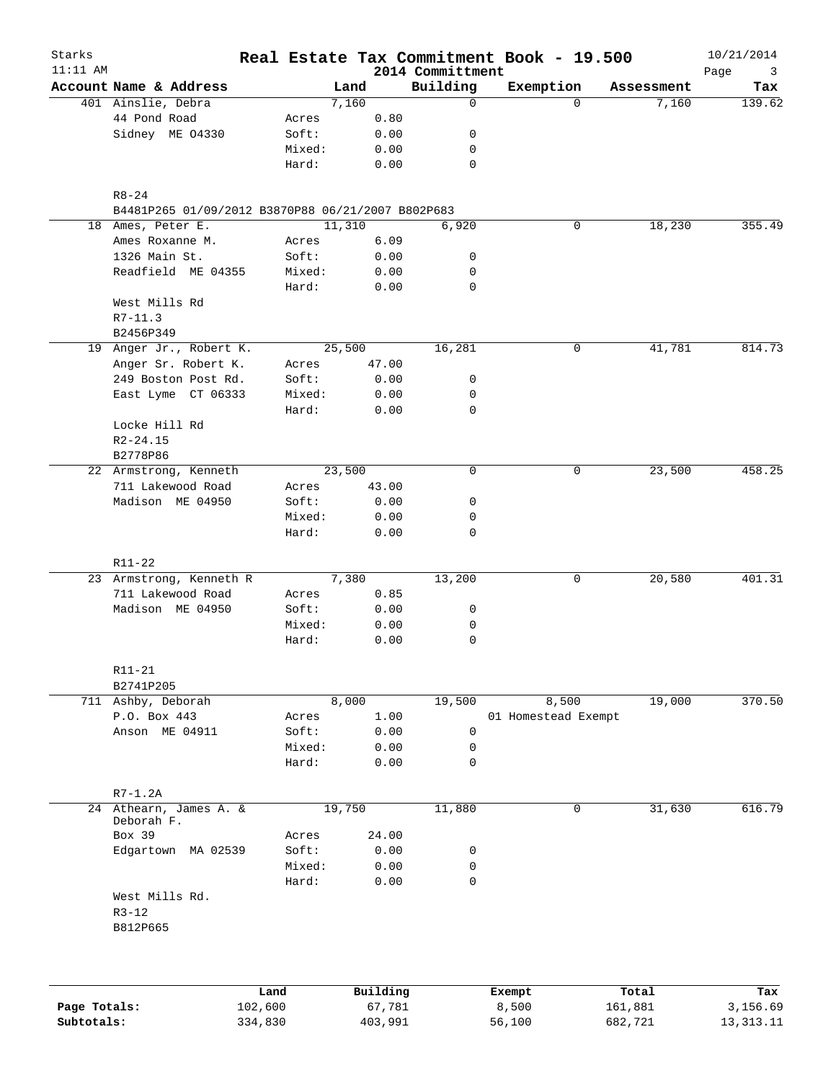| Starks<br>$11:11$ AM |                                                   |        |        |          |                              | Real Estate Tax Commitment Book - 19.500 |          |            | 10/21/2014       |
|----------------------|---------------------------------------------------|--------|--------|----------|------------------------------|------------------------------------------|----------|------------|------------------|
|                      | Account Name & Address                            |        | Land   |          | 2014 Committment<br>Building | Exemption                                |          | Assessment | Page<br>3<br>Tax |
|                      | 401 Ainslie, Debra                                |        | 7,160  |          | $\mathbf 0$                  |                                          | $\Omega$ | 7,160      | 139.62           |
|                      | 44 Pond Road                                      | Acres  |        | 0.80     |                              |                                          |          |            |                  |
|                      | Sidney ME 04330                                   | Soft:  |        | 0.00     | 0                            |                                          |          |            |                  |
|                      |                                                   | Mixed: |        | 0.00     | 0                            |                                          |          |            |                  |
|                      |                                                   | Hard:  |        | 0.00     | 0                            |                                          |          |            |                  |
|                      | $R8 - 24$                                         |        |        |          |                              |                                          |          |            |                  |
|                      | B4481P265 01/09/2012 B3870P88 06/21/2007 B802P683 |        |        |          |                              |                                          |          |            |                  |
|                      | 18 Ames, Peter E.                                 |        | 11,310 |          | 6,920                        |                                          | 0        | 18,230     | 355.49           |
|                      | Ames Roxanne M.                                   | Acres  |        | 6.09     |                              |                                          |          |            |                  |
|                      | 1326 Main St.                                     | Soft:  |        | 0.00     | 0                            |                                          |          |            |                  |
|                      | Readfield ME 04355                                | Mixed: |        | 0.00     | 0                            |                                          |          |            |                  |
|                      |                                                   | Hard:  |        | 0.00     | 0                            |                                          |          |            |                  |
|                      | West Mills Rd<br>$R7-11.3$                        |        |        |          |                              |                                          |          |            |                  |
|                      | B2456P349                                         |        |        |          |                              |                                          |          |            |                  |
|                      | 19 Anger Jr., Robert K.                           |        | 25,500 |          | 16,281                       |                                          | 0        | 41,781     | 814.73           |
|                      | Anger Sr. Robert K.                               | Acres  |        | 47.00    |                              |                                          |          |            |                  |
|                      | 249 Boston Post Rd.                               | Soft:  |        | 0.00     | 0                            |                                          |          |            |                  |
|                      | East Lyme CT 06333                                | Mixed: |        | 0.00     | 0                            |                                          |          |            |                  |
|                      |                                                   | Hard:  |        | 0.00     | 0                            |                                          |          |            |                  |
|                      | Locke Hill Rd                                     |        |        |          |                              |                                          |          |            |                  |
|                      | $R2 - 24.15$                                      |        |        |          |                              |                                          |          |            |                  |
|                      | B2778P86                                          |        |        |          |                              |                                          |          |            |                  |
|                      | 22 Armstrong, Kenneth                             |        | 23,500 |          | $\mathbf 0$                  |                                          | 0        | 23,500     | 458.25           |
|                      | 711 Lakewood Road                                 | Acres  |        | 43.00    |                              |                                          |          |            |                  |
|                      | Madison ME 04950                                  | Soft:  |        | 0.00     | 0                            |                                          |          |            |                  |
|                      |                                                   | Mixed: |        | 0.00     | 0                            |                                          |          |            |                  |
|                      |                                                   | Hard:  |        | 0.00     | $\mathbf 0$                  |                                          |          |            |                  |
|                      | R11-22                                            |        |        |          |                              |                                          |          |            |                  |
|                      | 23 Armstrong, Kenneth R                           |        | 7,380  |          | 13,200                       |                                          | 0        | 20,580     | 401.31           |
|                      | 711 Lakewood Road                                 | Acres  |        | 0.85     |                              |                                          |          |            |                  |
|                      | Madison ME 04950                                  | Soft:  |        | 0.00     | 0                            |                                          |          |            |                  |
|                      |                                                   | Mixed: |        | 0.00     | 0                            |                                          |          |            |                  |
|                      |                                                   | Hard:  |        | 0.00     | 0                            |                                          |          |            |                  |
|                      | R11-21                                            |        |        |          |                              |                                          |          |            |                  |
|                      | B2741P205                                         |        |        |          |                              |                                          |          |            |                  |
|                      | 711 Ashby, Deborah                                |        | 8,000  |          | 19,500                       | 8,500                                    |          | 19,000     | 370.50           |
|                      | P.O. Box 443                                      | Acres  |        | 1.00     |                              | 01 Homestead Exempt                      |          |            |                  |
|                      | Anson ME 04911                                    | Soft:  |        | 0.00     | $\mathsf 0$                  |                                          |          |            |                  |
|                      |                                                   | Mixed: |        | 0.00     | 0                            |                                          |          |            |                  |
|                      |                                                   | Hard:  |        | 0.00     | $\mathbf 0$                  |                                          |          |            |                  |
|                      | $R7-1.2A$                                         |        |        |          |                              |                                          |          |            |                  |
|                      | 24 Athearn, James A. &<br>Deborah F.              |        | 19,750 |          | 11,880                       |                                          | 0        | 31,630     | 616.79           |
|                      | Box 39                                            | Acres  |        | 24.00    |                              |                                          |          |            |                  |
|                      | Edgartown MA 02539                                | Soft:  |        | 0.00     | 0                            |                                          |          |            |                  |
|                      |                                                   | Mixed: |        | 0.00     | 0                            |                                          |          |            |                  |
|                      |                                                   | Hard:  |        | 0.00     | $\mathbf 0$                  |                                          |          |            |                  |
|                      | West Mills Rd.                                    |        |        |          |                              |                                          |          |            |                  |
|                      | $R3 - 12$<br>B812P665                             |        |        |          |                              |                                          |          |            |                  |
|                      |                                                   |        |        |          |                              |                                          |          |            |                  |
|                      |                                                   |        |        |          |                              |                                          |          |            |                  |
|                      | Land                                              |        |        | Building |                              | Exempt                                   |          | Total      | Tax              |
| Page Totals:         | 102,600                                           |        |        | 67,781   |                              | 8,500                                    |          | 161,881    | 3,156.69         |

**Subtotals:** 334,830 403,991 56,100 682,721 13,313.11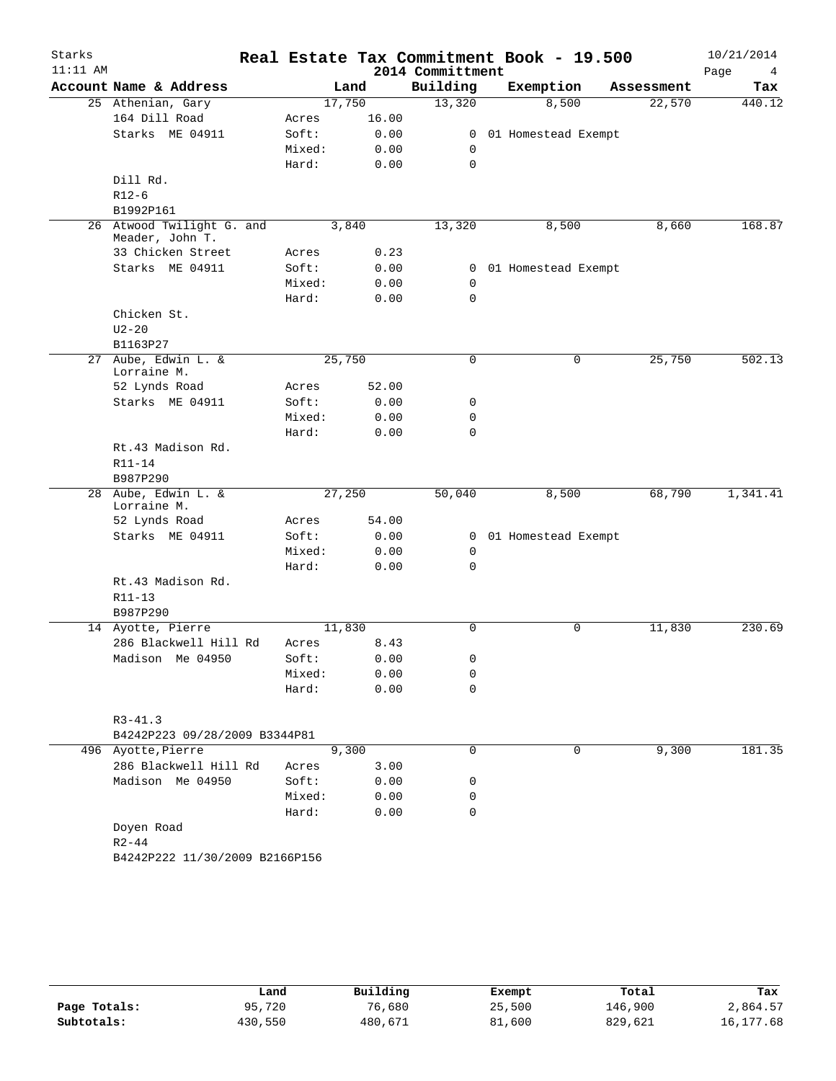| Starks     |                                              |        |        |       |                  | Real Estate Tax Commitment Book - 19.500 |            | 10/21/2014 |
|------------|----------------------------------------------|--------|--------|-------|------------------|------------------------------------------|------------|------------|
| $11:11$ AM |                                              |        |        |       | 2014 Committment |                                          |            | Page<br>4  |
|            | Account Name & Address                       |        | Land   |       | Building         | Exemption                                | Assessment | Tax        |
|            | 25 Athenian, Gary                            |        | 17,750 |       | 13,320           | 8,500                                    | 22,570     | 440.12     |
|            | 164 Dill Road                                | Acres  |        | 16.00 |                  |                                          |            |            |
|            | Starks ME 04911                              | Soft:  |        | 0.00  | $\mathbf{0}$     | 01 Homestead Exempt                      |            |            |
|            |                                              | Mixed: |        | 0.00  | 0                |                                          |            |            |
|            |                                              | Hard:  |        | 0.00  | $\mathbf 0$      |                                          |            |            |
|            | Dill Rd.                                     |        |        |       |                  |                                          |            |            |
|            | $R12-6$                                      |        |        |       |                  |                                          |            |            |
|            | B1992P161                                    |        |        |       |                  |                                          |            |            |
|            | 26 Atwood Twilight G. and<br>Meader, John T. |        | 3,840  |       | 13,320           | 8,500                                    | 8,660      | 168.87     |
|            | 33 Chicken Street                            | Acres  |        | 0.23  |                  |                                          |            |            |
|            | Starks ME 04911                              | Soft:  |        | 0.00  |                  | 0 01 Homestead Exempt                    |            |            |
|            |                                              | Mixed: |        | 0.00  | 0                |                                          |            |            |
|            |                                              | Hard:  |        | 0.00  | $\mathbf 0$      |                                          |            |            |
|            | Chicken St.                                  |        |        |       |                  |                                          |            |            |
|            | $U2 - 20$                                    |        |        |       |                  |                                          |            |            |
|            | B1163P27                                     |        |        |       |                  |                                          |            |            |
|            | 27 Aube, Edwin L. &<br>Lorraine M.           |        | 25,750 |       | 0                | $\mathbf 0$                              | 25,750     | 502.13     |
|            | 52 Lynds Road                                | Acres  |        | 52.00 |                  |                                          |            |            |
|            | Starks ME 04911                              | Soft:  |        | 0.00  | 0                |                                          |            |            |
|            |                                              | Mixed: |        | 0.00  | 0                |                                          |            |            |
|            |                                              | Hard:  |        | 0.00  | $\mathbf 0$      |                                          |            |            |
|            | Rt.43 Madison Rd.                            |        |        |       |                  |                                          |            |            |
|            | $R11 - 14$                                   |        |        |       |                  |                                          |            |            |
|            | B987P290                                     |        |        |       |                  |                                          |            |            |
|            | 28 Aube, Edwin L. &<br>Lorraine M.           |        | 27,250 |       | 50,040           | 8,500                                    | 68,790     | 1,341.41   |
|            | 52 Lynds Road                                | Acres  |        | 54.00 |                  |                                          |            |            |
|            | Starks ME 04911                              | Soft:  |        | 0.00  |                  | 0 01 Homestead Exempt                    |            |            |
|            |                                              | Mixed: |        | 0.00  | 0                |                                          |            |            |
|            |                                              | Hard:  |        | 0.00  | 0                |                                          |            |            |
|            | Rt.43 Madison Rd.<br>$R11 - 13$              |        |        |       |                  |                                          |            |            |
|            | B987P290                                     |        |        |       |                  |                                          |            |            |
|            | 14 Ayotte, Pierre                            |        | 11,830 |       | $\Omega$         | $\mathbf 0$                              | 11,830     | 230.69     |
|            | 286 Blackwell Hill Rd                        | Acres  |        | 8.43  |                  |                                          |            |            |
|            | Madison Me 04950                             | Soft:  |        | 0.00  | 0                |                                          |            |            |
|            |                                              | Mixed: |        | 0.00  | 0                |                                          |            |            |
|            |                                              | Hard:  |        | 0.00  | 0                |                                          |            |            |
|            | $R3 - 41.3$                                  |        |        |       |                  |                                          |            |            |
|            | B4242P223 09/28/2009 B3344P81                |        |        |       |                  |                                          |            |            |
|            | 496 Ayotte, Pierre                           |        | 9,300  |       | $\mathbf 0$      | $\mathbf 0$                              | 9,300      | 181.35     |
|            | 286 Blackwell Hill Rd                        | Acres  |        | 3.00  |                  |                                          |            |            |
|            | Madison Me 04950                             | Soft:  |        | 0.00  | 0                |                                          |            |            |
|            |                                              | Mixed: |        | 0.00  | 0                |                                          |            |            |
|            |                                              | Hard:  |        | 0.00  | 0                |                                          |            |            |
|            | Doyen Road                                   |        |        |       |                  |                                          |            |            |
|            | $R2 - 44$                                    |        |        |       |                  |                                          |            |            |
|            | B4242P222 11/30/2009 B2166P156               |        |        |       |                  |                                          |            |            |
|            |                                              |        |        |       |                  |                                          |            |            |

|              | Land    | Building | Exempt | Total   | Tax       |
|--------------|---------|----------|--------|---------|-----------|
| Page Totals: | 95,720  | 76,680   | 25,500 | 146,900 | 2,864.57  |
| Subtotals:   | 430,550 | 480,671  | 81,600 | 829,621 | 16,177.68 |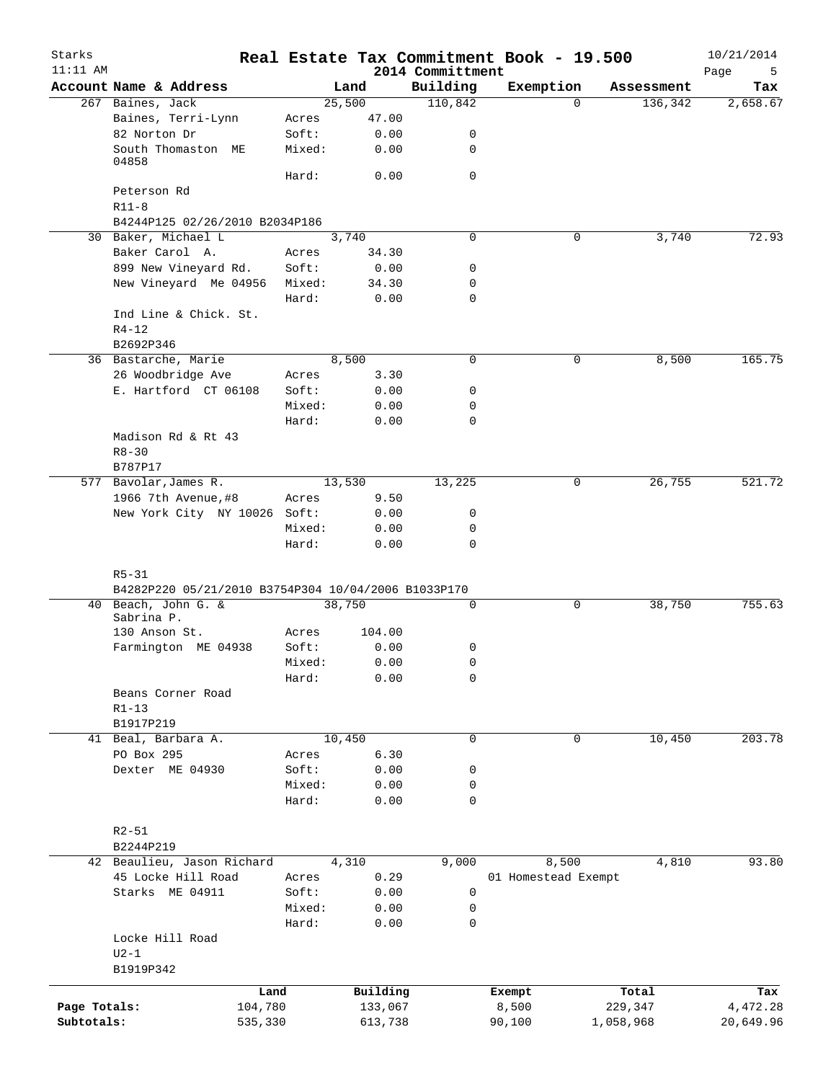| Starks<br>$11:11$ AM |                                                     |                 |        |               | 2014 Committment | Real Estate Tax Commitment Book - 19.500 |           |            | 10/21/2014<br>Page<br>5 |
|----------------------|-----------------------------------------------------|-----------------|--------|---------------|------------------|------------------------------------------|-----------|------------|-------------------------|
|                      | Account Name & Address                              |                 | Land   |               | Building         | Exemption                                |           | Assessment | Tax                     |
|                      | 267 Baines, Jack                                    |                 | 25,500 |               | 110,842          |                                          | 0         | 136,342    | 2,658.67                |
|                      | Baines, Terri-Lynn                                  | Acres           |        | 47.00         |                  |                                          |           |            |                         |
|                      | 82 Norton Dr                                        | Soft:           |        | 0.00          | 0                |                                          |           |            |                         |
|                      | South Thomaston ME<br>04858                         | Mixed:          |        | 0.00          | 0                |                                          |           |            |                         |
|                      |                                                     | Hard:           |        | 0.00          | $\mathbf 0$      |                                          |           |            |                         |
|                      | Peterson Rd                                         |                 |        |               |                  |                                          |           |            |                         |
|                      | $R11-8$                                             |                 |        |               |                  |                                          |           |            |                         |
|                      | B4244P125 02/26/2010 B2034P186                      |                 |        |               |                  |                                          |           |            |                         |
|                      | 30 Baker, Michael L                                 |                 | 3,740  |               | $\mathbf 0$      |                                          | 0         | 3,740      | 72.93                   |
|                      | Baker Carol A.                                      | Acres           |        | 34.30         |                  |                                          |           |            |                         |
|                      | 899 New Vineyard Rd.<br>New Vineyard Me 04956       | Soft:<br>Mixed: |        | 0.00<br>34.30 | 0<br>0           |                                          |           |            |                         |
|                      |                                                     | Hard:           |        | 0.00          | $\mathbf 0$      |                                          |           |            |                         |
|                      | Ind Line & Chick. St.                               |                 |        |               |                  |                                          |           |            |                         |
|                      | $R4 - 12$                                           |                 |        |               |                  |                                          |           |            |                         |
|                      | B2692P346                                           |                 |        |               |                  |                                          |           |            |                         |
|                      | 36 Bastarche, Marie                                 |                 | 8,500  |               | $\mathbf 0$      |                                          | 0         | 8,500      | 165.75                  |
|                      | 26 Woodbridge Ave                                   | Acres           |        | 3.30          |                  |                                          |           |            |                         |
|                      | E. Hartford CT 06108                                | Soft:           |        | 0.00          | 0                |                                          |           |            |                         |
|                      |                                                     | Mixed:          |        | 0.00          | 0                |                                          |           |            |                         |
|                      |                                                     | Hard:           |        | 0.00          | 0                |                                          |           |            |                         |
|                      | Madison Rd & Rt 43                                  |                 |        |               |                  |                                          |           |            |                         |
|                      | $R8 - 30$                                           |                 |        |               |                  |                                          |           |            |                         |
|                      | B787P17                                             |                 |        |               |                  |                                          |           |            |                         |
|                      | 577 Bavolar, James R.                               |                 | 13,530 |               | 13,225           |                                          | 0         | 26,755     | 521.72                  |
|                      | 1966 7th Avenue, #8                                 | Acres           |        | 9.50          |                  |                                          |           |            |                         |
|                      | New York City NY 10026 Soft:                        |                 |        | 0.00          | 0                |                                          |           |            |                         |
|                      |                                                     | Mixed:          |        | 0.00          | 0                |                                          |           |            |                         |
|                      |                                                     | Hard:           |        | 0.00          | 0                |                                          |           |            |                         |
|                      |                                                     |                 |        |               |                  |                                          |           |            |                         |
|                      | $R5 - 31$                                           |                 |        |               |                  |                                          |           |            |                         |
|                      | B4282P220 05/21/2010 B3754P304 10/04/2006 B1033P170 |                 |        |               |                  |                                          |           |            |                         |
|                      | 40 Beach, John G. &<br>Sabrina P.                   |                 | 38,750 |               | 0                |                                          | 0         | 38,750     | 755.63                  |
|                      | 130 Anson St.                                       | Acres           |        | 104.00        |                  |                                          |           |            |                         |
|                      | Farmington ME 04938                                 | Soft:           |        | 0.00          | 0                |                                          |           |            |                         |
|                      |                                                     | Mixed:          |        | 0.00          | $\mathsf 0$      |                                          |           |            |                         |
|                      |                                                     | Hard:           |        | 0.00          | 0                |                                          |           |            |                         |
|                      | Beans Corner Road                                   |                 |        |               |                  |                                          |           |            |                         |
|                      | $R1 - 13$                                           |                 |        |               |                  |                                          |           |            |                         |
|                      | B1917P219                                           |                 |        |               |                  |                                          |           |            |                         |
|                      | 41 Beal, Barbara A.                                 |                 | 10,450 |               | 0                |                                          | 0         | 10,450     | 203.78                  |
|                      | PO Box 295                                          | Acres           |        | 6.30          |                  |                                          |           |            |                         |
|                      | Dexter ME 04930                                     | Soft:           |        | 0.00          | 0                |                                          |           |            |                         |
|                      |                                                     | Mixed:          |        | 0.00          | 0                |                                          |           |            |                         |
|                      |                                                     | Hard:           |        | 0.00          | 0                |                                          |           |            |                         |
|                      |                                                     |                 |        |               |                  |                                          |           |            |                         |
|                      | $R2 - 51$                                           |                 |        |               |                  |                                          |           |            |                         |
|                      | B2244P219                                           |                 |        |               |                  |                                          |           |            |                         |
|                      | 42 Beaulieu, Jason Richard                          |                 | 4,310  |               | 9,000            | 8,500                                    |           | 4,810      | 93.80                   |
|                      | 45 Locke Hill Road                                  | Acres           |        | 0.29          |                  | 01 Homestead Exempt                      |           |            |                         |
|                      | Starks ME 04911                                     | Soft:           |        | 0.00          | 0                |                                          |           |            |                         |
|                      |                                                     | Mixed:          |        | 0.00          | 0<br>0           |                                          |           |            |                         |
|                      |                                                     | Hard:           |        | 0.00          |                  |                                          |           |            |                         |
|                      | Locke Hill Road<br>$U2-1$                           |                 |        |               |                  |                                          |           |            |                         |
|                      | B1919P342                                           |                 |        |               |                  |                                          |           |            |                         |
|                      |                                                     |                 |        |               |                  |                                          |           |            |                         |
|                      |                                                     | Land            |        | Building      |                  | Exempt                                   |           | Total      | Tax                     |
| Page Totals:         |                                                     | 104,780         |        | 133,067       |                  | 8,500                                    | 229,347   |            | 4,472.28                |
| Subtotals:           |                                                     | 535,330         |        | 613,738       |                  | 90,100                                   | 1,058,968 |            | 20,649.96               |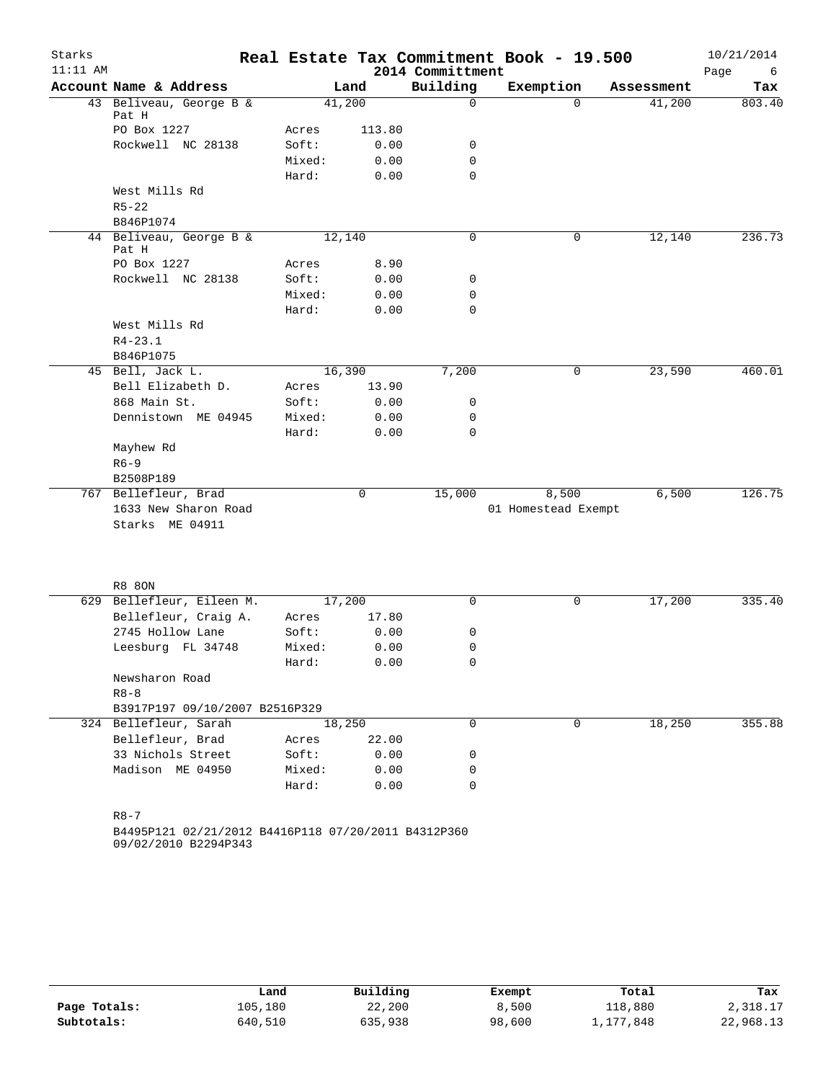| Starks     |                                                     |        |        |                  | Real Estate Tax Commitment Book - 19.500 |                    | 10/21/2014 |
|------------|-----------------------------------------------------|--------|--------|------------------|------------------------------------------|--------------------|------------|
| $11:11$ AM |                                                     |        |        | 2014 Committment |                                          |                    | Page<br>6  |
|            | Account Name & Address                              |        | Land   | Building         | Exemption                                | Assessment         | Tax        |
|            | 43 Beliveau, George B &<br>Pat H                    | 41,200 |        | $\mathbf 0$      |                                          | $\Omega$<br>41,200 | 803.40     |
|            | PO Box 1227                                         | Acres  | 113.80 |                  |                                          |                    |            |
|            | Rockwell NC 28138                                   | Soft:  | 0.00   | 0                |                                          |                    |            |
|            |                                                     | Mixed: | 0.00   | $\mathbf 0$      |                                          |                    |            |
|            |                                                     | Hard:  | 0.00   | $\mathbf 0$      |                                          |                    |            |
|            | West Mills Rd                                       |        |        |                  |                                          |                    |            |
|            | $R5 - 22$                                           |        |        |                  |                                          |                    |            |
|            | B846P1074                                           |        |        |                  |                                          |                    |            |
|            | 44 Beliveau, George B &<br>Pat H                    | 12,140 |        | 0                |                                          | 0<br>12,140        | 236.73     |
|            | PO Box 1227                                         | Acres  | 8.90   |                  |                                          |                    |            |
|            | Rockwell NC 28138                                   | Soft:  | 0.00   | 0                |                                          |                    |            |
|            |                                                     | Mixed: | 0.00   | 0                |                                          |                    |            |
|            |                                                     | Hard:  | 0.00   | $\mathbf 0$      |                                          |                    |            |
|            | West Mills Rd                                       |        |        |                  |                                          |                    |            |
|            | $R4 - 23.1$                                         |        |        |                  |                                          |                    |            |
|            | B846P1075                                           |        |        |                  |                                          |                    |            |
|            | 45 Bell, Jack L.                                    | 16,390 |        | 7,200            |                                          | 23,590<br>0        | 460.01     |
|            | Bell Elizabeth D.                                   | Acres  | 13.90  |                  |                                          |                    |            |
|            | 868 Main St.                                        | Soft:  | 0.00   | 0                |                                          |                    |            |
|            | Dennistown ME 04945                                 | Mixed: | 0.00   | 0                |                                          |                    |            |
|            |                                                     | Hard:  | 0.00   | $\mathbf 0$      |                                          |                    |            |
|            | Mayhew Rd                                           |        |        |                  |                                          |                    |            |
|            | $R6 - 9$                                            |        |        |                  |                                          |                    |            |
|            | B2508P189                                           |        |        |                  |                                          |                    |            |
|            | 767 Bellefleur, Brad                                |        | 0      | 15,000           | 8,500                                    | 6,500              | 126.75     |
|            | 1633 New Sharon Road<br>Starks ME 04911             |        |        |                  | 01 Homestead Exempt                      |                    |            |
|            |                                                     |        |        |                  |                                          |                    |            |
|            | <b>R8 80N</b>                                       |        |        |                  |                                          |                    |            |
|            | 629 Bellefleur, Eileen M.                           | 17,200 |        | $\mathbf 0$      |                                          | 17,200<br>0        | 335.40     |
|            | Bellefleur, Craig A.                                | Acres  | 17.80  |                  |                                          |                    |            |
|            | 2745 Hollow Lane                                    | Soft:  | 0.00   | 0                |                                          |                    |            |
|            | Leesburg FL 34748                                   | Mixed: | 0.00   | 0                |                                          |                    |            |
|            |                                                     | Hard:  | 0.00   | $\mathbf 0$      |                                          |                    |            |
|            | Newsharon Road                                      |        |        |                  |                                          |                    |            |
|            | $R8 - 8$                                            |        |        |                  |                                          |                    |            |
|            | B3917P197 09/10/2007 B2516P329                      |        |        |                  |                                          |                    |            |
|            | 324 Bellefleur, Sarah                               | 18,250 |        | $\Omega$         |                                          | 18,250<br>0        | 355.88     |
|            | Bellefleur, Brad                                    | Acres  | 22.00  |                  |                                          |                    |            |
|            | 33 Nichols Street                                   | Soft:  | 0.00   | 0                |                                          |                    |            |
|            | Madison ME 04950                                    | Mixed: | 0.00   | 0                |                                          |                    |            |
|            |                                                     | Hard:  | 0.00   | $\mathbf 0$      |                                          |                    |            |
|            |                                                     |        |        |                  |                                          |                    |            |
|            | $R8 - 7$                                            |        |        |                  |                                          |                    |            |
|            | B4495P121 02/21/2012 B4416P118 07/20/2011 B4312P360 |        |        |                  |                                          |                    |            |

09/02/2010 B2294P343

|              | Land    | Building | Exempt | Total     | Tax       |
|--------------|---------|----------|--------|-----------|-----------|
| Page Totals: | 105,180 | 22,200   | 8,500  | 118,880   | 2,318.17  |
| Subtotals:   | 640,510 | 635,938  | 98,600 | 1,177,848 | 22,968.13 |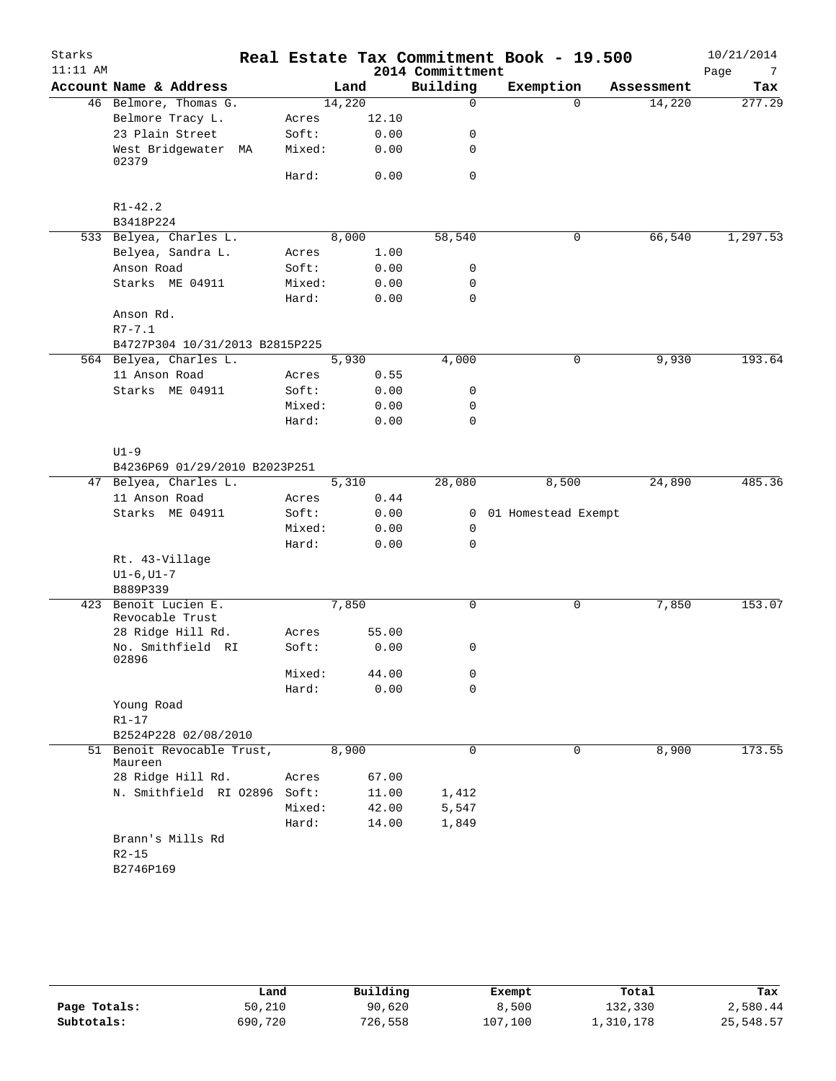| Starks     |                                |        |        |       | Real Estate Tax Commitment Book - 19.500 |                     |          |            | 10/21/2014 |
|------------|--------------------------------|--------|--------|-------|------------------------------------------|---------------------|----------|------------|------------|
| $11:11$ AM |                                |        |        |       | 2014 Committment                         |                     |          |            | Page<br>7  |
|            | Account Name & Address         |        | Land   |       | Building                                 | Exemption           |          | Assessment | Tax        |
|            | 46 Belmore, Thomas G.          |        | 14,220 |       | $\mathbf 0$                              |                     | $\Omega$ | 14,220     | 277.29     |
|            | Belmore Tracy L.               | Acres  |        | 12.10 |                                          |                     |          |            |            |
|            | 23 Plain Street                | Soft:  |        | 0.00  | 0                                        |                     |          |            |            |
|            | West Bridgewater MA<br>02379   | Mixed: |        | 0.00  | 0                                        |                     |          |            |            |
|            |                                | Hard:  |        | 0.00  | $\mathbf 0$                              |                     |          |            |            |
|            | $R1 - 42.2$                    |        |        |       |                                          |                     |          |            |            |
|            | B3418P224                      |        |        |       |                                          |                     |          |            |            |
|            | 533 Belyea, Charles L.         |        | 8,000  |       | 58,540                                   |                     | 0        | 66,540     | 1,297.53   |
|            | Belyea, Sandra L.              | Acres  |        | 1.00  |                                          |                     |          |            |            |
|            | Anson Road                     | Soft:  |        | 0.00  | 0                                        |                     |          |            |            |
|            | Starks ME 04911                | Mixed: |        | 0.00  | 0                                        |                     |          |            |            |
|            |                                | Hard:  |        | 0.00  | $\mathbf 0$                              |                     |          |            |            |
|            | Anson Rd.                      |        |        |       |                                          |                     |          |            |            |
|            | $R7 - 7.1$                     |        |        |       |                                          |                     |          |            |            |
|            | B4727P304 10/31/2013 B2815P225 |        |        |       |                                          |                     |          |            |            |
|            | 564 Belyea, Charles L.         |        | 5,930  |       | 4,000                                    |                     | 0        | 9,930      | 193.64     |
|            | 11 Anson Road                  | Acres  |        | 0.55  |                                          |                     |          |            |            |
|            | Starks ME 04911                | Soft:  |        | 0.00  | 0                                        |                     |          |            |            |
|            |                                | Mixed: |        | 0.00  | 0                                        |                     |          |            |            |
|            |                                | Hard:  |        | 0.00  | $\mathbf 0$                              |                     |          |            |            |
|            |                                |        |        |       |                                          |                     |          |            |            |
|            | $U1-9$                         |        |        |       |                                          |                     |          |            |            |
|            | B4236P69 01/29/2010 B2023P251  |        |        |       |                                          |                     |          |            |            |
|            | 47 Belyea, Charles L.          |        | 5,310  |       | 28,080                                   | 8,500               |          | 24,890     | 485.36     |
|            | 11 Anson Road                  | Acres  |        | 0.44  |                                          |                     |          |            |            |
|            | Starks ME 04911                | Soft:  |        | 0.00  | 0                                        | 01 Homestead Exempt |          |            |            |
|            |                                | Mixed: |        | 0.00  | 0                                        |                     |          |            |            |
|            |                                | Hard:  |        | 0.00  | $\mathbf 0$                              |                     |          |            |            |
|            | Rt. 43-Village                 |        |        |       |                                          |                     |          |            |            |
|            | $UI-6$ , $UI-7$                |        |        |       |                                          |                     |          |            |            |
|            | B889P339                       |        |        |       |                                          |                     |          |            |            |
| 423        | Benoit Lucien E.               |        | 7,850  |       | 0                                        |                     | 0        | 7,850      | 153.07     |
|            | Revocable Trust                |        |        |       |                                          |                     |          |            |            |
|            | 28 Ridge Hill Rd.              | Acres  |        | 55.00 |                                          |                     |          |            |            |
|            | No. Smithfield RI<br>02896     | Soft:  |        | 0.00  | 0                                        |                     |          |            |            |
|            |                                | Mixed: |        | 44.00 | 0                                        |                     |          |            |            |
|            |                                | Hard:  |        | 0.00  | 0                                        |                     |          |            |            |
|            | Young Road                     |        |        |       |                                          |                     |          |            |            |
|            | $R1-17$                        |        |        |       |                                          |                     |          |            |            |
|            | B2524P228 02/08/2010           |        |        |       |                                          |                     |          |            |            |
|            | 51 Benoit Revocable Trust,     |        | 8,900  |       | $\mathbf 0$                              |                     | 0        | 8,900      | 173.55     |
|            | Maureen                        |        |        |       |                                          |                     |          |            |            |
|            | 28 Ridge Hill Rd.              | Acres  |        | 67.00 |                                          |                     |          |            |            |
|            | N. Smithfield RI 02896 Soft:   |        |        | 11.00 | 1,412                                    |                     |          |            |            |
|            |                                | Mixed: |        | 42.00 | 5,547                                    |                     |          |            |            |
|            |                                | Hard:  |        | 14.00 | 1,849                                    |                     |          |            |            |
|            | Brann's Mills Rd<br>$R2 - 15$  |        |        |       |                                          |                     |          |            |            |
|            | B2746P169                      |        |        |       |                                          |                     |          |            |            |
|            |                                |        |        |       |                                          |                     |          |            |            |

|              | Land    | Building | Exempt  | Total     | Tax       |
|--------------|---------|----------|---------|-----------|-----------|
| Page Totals: | 50,210  | 90,620   | 8,500   | 132,330   | 2,580.44  |
| Subtotals:   | 690,720 | 726,558  | 107,100 | 1,310,178 | 25,548.57 |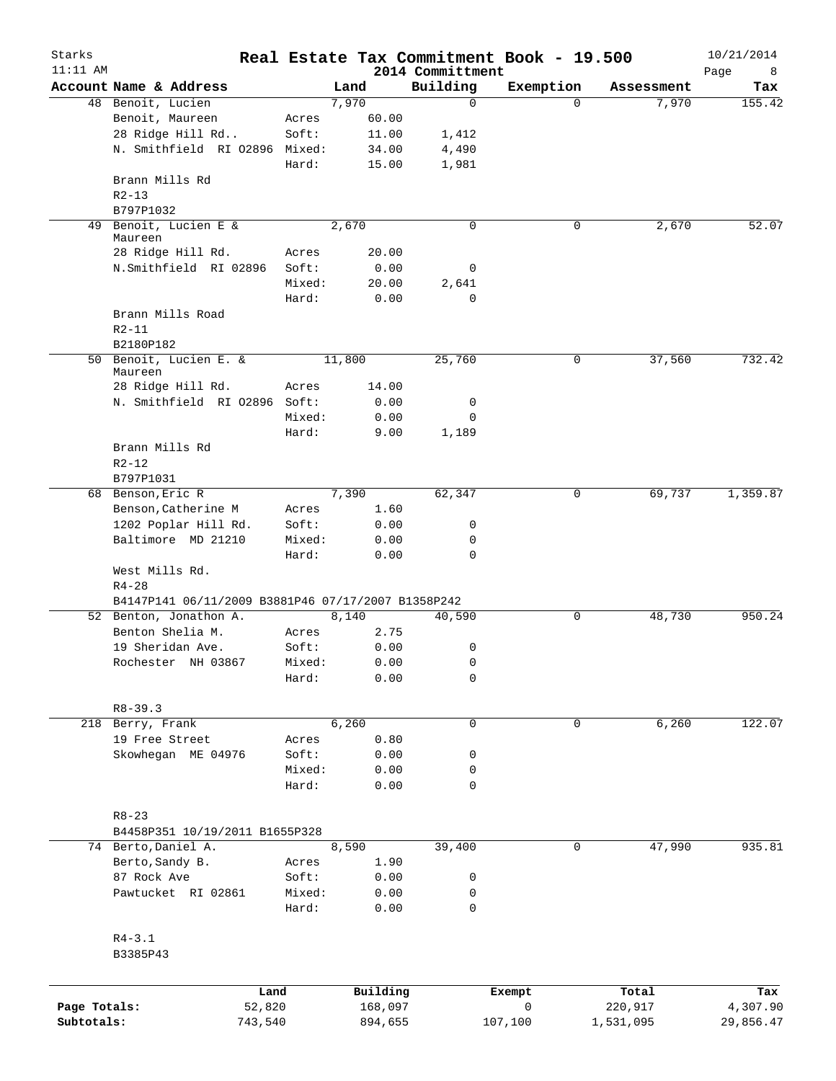| Starks<br>$11:11$ AM |                                                    |        |          | 2014 Committment | Real Estate Tax Commitment Book - 19.500 |            | 10/21/2014       |
|----------------------|----------------------------------------------------|--------|----------|------------------|------------------------------------------|------------|------------------|
|                      | Account Name & Address                             |        | Land     | Building         | Exemption                                | Assessment | Page<br>8<br>Tax |
|                      | 48 Benoit, Lucien                                  |        | 7,970    | $\mathbf 0$      | 0                                        | 7,970      | 155.42           |
|                      | Benoit, Maureen                                    | Acres  | 60.00    |                  |                                          |            |                  |
|                      | 28 Ridge Hill Rd                                   | Soft:  | 11.00    | 1,412            |                                          |            |                  |
|                      | N. Smithfield RI 02896 Mixed:                      |        | 34.00    | 4,490            |                                          |            |                  |
|                      |                                                    | Hard:  | 15.00    | 1,981            |                                          |            |                  |
|                      | Brann Mills Rd                                     |        |          |                  |                                          |            |                  |
|                      | $R2 - 13$                                          |        |          |                  |                                          |            |                  |
|                      | B797P1032                                          |        |          |                  |                                          |            |                  |
| 49                   | Benoit, Lucien E &                                 |        | 2,670    | 0                | 0                                        | 2,670      | 52.07            |
|                      | Maureen                                            |        |          |                  |                                          |            |                  |
|                      | 28 Ridge Hill Rd.                                  | Acres  | 20.00    |                  |                                          |            |                  |
|                      | N.Smithfield RI 02896                              | Soft:  | 0.00     | 0                |                                          |            |                  |
|                      |                                                    | Mixed: | 20.00    | 2,641            |                                          |            |                  |
|                      |                                                    | Hard:  | 0.00     | $\mathbf 0$      |                                          |            |                  |
|                      | Brann Mills Road                                   |        |          |                  |                                          |            |                  |
|                      | $R2 - 11$                                          |        |          |                  |                                          |            |                  |
|                      | B2180P182                                          |        |          |                  |                                          |            |                  |
|                      | 50 Benoit, Lucien E. &                             |        | 11,800   | 25,760           | 0                                        | 37,560     | 732.42           |
|                      | Maureen                                            |        |          |                  |                                          |            |                  |
|                      | 28 Ridge Hill Rd.                                  | Acres  | 14.00    |                  |                                          |            |                  |
|                      | N. Smithfield RI 02896 Soft:                       |        | 0.00     | 0                |                                          |            |                  |
|                      |                                                    | Mixed: | 0.00     | $\mathbf 0$      |                                          |            |                  |
|                      |                                                    | Hard:  | 9.00     | 1,189            |                                          |            |                  |
|                      | Brann Mills Rd                                     |        |          |                  |                                          |            |                  |
|                      | $R2 - 12$                                          |        |          |                  |                                          |            |                  |
|                      | B797P1031                                          |        |          |                  |                                          |            |                  |
|                      | 68 Benson, Eric R                                  |        | 7,390    | 62,347           | 0                                        | 69,737     | 1,359.87         |
|                      | Benson, Catherine M                                | Acres  | 1.60     |                  |                                          |            |                  |
|                      | 1202 Poplar Hill Rd.                               | Soft:  | 0.00     | 0                |                                          |            |                  |
|                      | Baltimore MD 21210                                 | Mixed: | 0.00     | 0                |                                          |            |                  |
|                      |                                                    | Hard:  | 0.00     | 0                |                                          |            |                  |
|                      | West Mills Rd.                                     |        |          |                  |                                          |            |                  |
|                      | $R4 - 28$                                          |        |          |                  |                                          |            |                  |
|                      | B4147P141 06/11/2009 B3881P46 07/17/2007 B1358P242 |        |          |                  |                                          |            |                  |
|                      | 52 Benton, Jonathon A.                             |        | 8,140    | 40,590           | 0                                        | 48,730     | 950.24           |
|                      | Benton Shelia M.                                   | Acres  | 2.75     |                  |                                          |            |                  |
|                      | 19 Sheridan Ave.                                   | Soft:  | 0.00     | 0                |                                          |            |                  |
|                      | Rochester NH 03867                                 | Mixed: | 0.00     | 0                |                                          |            |                  |
|                      |                                                    | Hard:  | 0.00     | 0                |                                          |            |                  |
|                      |                                                    |        |          |                  |                                          |            |                  |
|                      | $R8 - 39.3$                                        |        |          |                  |                                          |            |                  |
|                      | 218 Berry, Frank                                   |        | 6,260    | 0                | 0                                        | 6,260      | 122.07           |
|                      | 19 Free Street                                     | Acres  | 0.80     |                  |                                          |            |                  |
|                      | Skowhegan ME 04976                                 | Soft:  | 0.00     | 0                |                                          |            |                  |
|                      |                                                    | Mixed: | 0.00     | 0                |                                          |            |                  |
|                      |                                                    | Hard:  | 0.00     | 0                |                                          |            |                  |
|                      |                                                    |        |          |                  |                                          |            |                  |
|                      | $R8 - 23$                                          |        |          |                  |                                          |            |                  |
|                      | B4458P351 10/19/2011 B1655P328                     |        |          |                  |                                          |            |                  |
|                      | 74 Berto, Daniel A.                                |        | 8,590    | 39,400           | 0                                        | 47,990     | 935.81           |
|                      | Berto, Sandy B.                                    | Acres  | 1.90     |                  |                                          |            |                  |
|                      | 87 Rock Ave                                        | Soft:  | 0.00     | 0                |                                          |            |                  |
|                      | Pawtucket RI 02861                                 | Mixed: | 0.00     | 0                |                                          |            |                  |
|                      |                                                    | Hard:  | 0.00     | 0                |                                          |            |                  |
|                      |                                                    |        |          |                  |                                          |            |                  |
|                      | $R4 - 3.1$                                         |        |          |                  |                                          |            |                  |
|                      | B3385P43                                           |        |          |                  |                                          |            |                  |
|                      |                                                    |        |          |                  |                                          |            |                  |
|                      |                                                    |        |          |                  |                                          |            |                  |
|                      |                                                    | Land   | Building |                  | Exempt                                   | Total      | Tax              |
| Page Totals:         | 52,820                                             |        | 168,097  |                  | 0                                        | 220,917    | 4,307.90         |

**Subtotals:** 743,540 894,655 107,100 1,531,095 29,856.47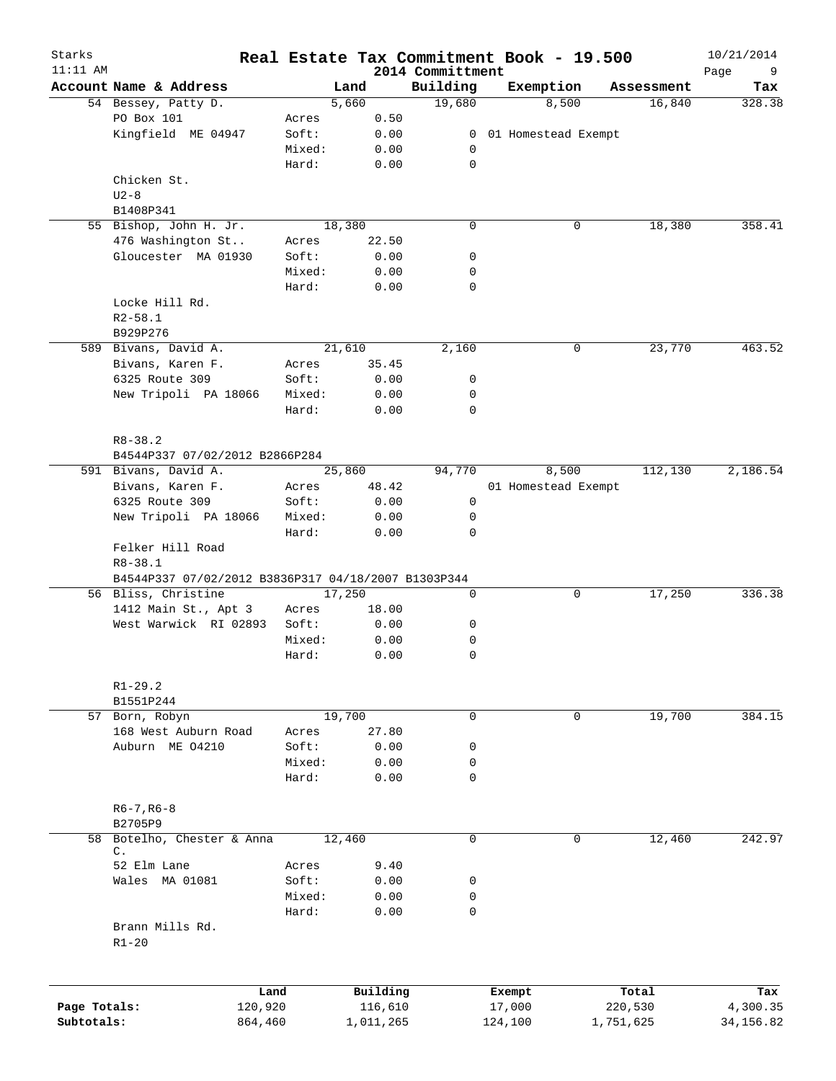| Starks<br>$11:11$ AM |                                                     |        |           | 2014 Committment | Real Estate Tax Commitment Book - 19.500 |             |            | 10/21/2014<br>Page<br>9 |
|----------------------|-----------------------------------------------------|--------|-----------|------------------|------------------------------------------|-------------|------------|-------------------------|
|                      | Account Name & Address                              |        | Land      | Building         | Exemption                                |             | Assessment | Tax                     |
|                      | 54 Bessey, Patty D.                                 |        | 5,660     | 19,680           | 8,500                                    |             | 16,840     | 328.38                  |
|                      | PO Box 101                                          | Acres  | 0.50      |                  |                                          |             |            |                         |
|                      | Kingfield ME 04947                                  | Soft:  | 0.00      | 0                | 01 Homestead Exempt                      |             |            |                         |
|                      |                                                     | Mixed: | 0.00      | 0                |                                          |             |            |                         |
|                      |                                                     | Hard:  | 0.00      | $\mathbf 0$      |                                          |             |            |                         |
|                      | Chicken St.                                         |        |           |                  |                                          |             |            |                         |
|                      | $U2 - 8$                                            |        |           |                  |                                          |             |            |                         |
|                      | B1408P341                                           |        |           |                  |                                          |             |            |                         |
|                      | 55 Bishop, John H. Jr.                              |        | 18,380    | $\mathbf 0$      |                                          | 0           | 18,380     | 358.41                  |
|                      | 476 Washington St                                   | Acres  | 22.50     |                  |                                          |             |            |                         |
|                      |                                                     | Soft:  |           | 0                |                                          |             |            |                         |
|                      | Gloucester MA 01930                                 |        | 0.00      |                  |                                          |             |            |                         |
|                      |                                                     | Mixed: | 0.00      | 0                |                                          |             |            |                         |
|                      |                                                     | Hard:  | 0.00      | $\mathbf 0$      |                                          |             |            |                         |
|                      | Locke Hill Rd.                                      |        |           |                  |                                          |             |            |                         |
|                      | $R2 - 58.1$                                         |        |           |                  |                                          |             |            |                         |
|                      | B929P276                                            |        |           |                  |                                          |             |            |                         |
|                      | 589 Bivans, David A.                                |        | 21,610    | 2,160            |                                          | 0           | 23,770     | 463.52                  |
|                      | Bivans, Karen F.                                    | Acres  | 35.45     |                  |                                          |             |            |                         |
|                      | 6325 Route 309                                      | Soft:  | 0.00      | 0                |                                          |             |            |                         |
|                      | New Tripoli PA 18066                                | Mixed: | 0.00      | 0                |                                          |             |            |                         |
|                      |                                                     | Hard:  | 0.00      | $\mathbf 0$      |                                          |             |            |                         |
|                      |                                                     |        |           |                  |                                          |             |            |                         |
|                      | $R8 - 38.2$                                         |        |           |                  |                                          |             |            |                         |
|                      |                                                     |        |           |                  |                                          |             |            |                         |
|                      | B4544P337 07/02/2012 B2866P284                      |        |           |                  |                                          |             |            |                         |
|                      | 591 Bivans, David A.                                |        | 25,860    | 94,770           | 8,500                                    |             | 112,130    | 2,186.54                |
|                      | Bivans, Karen F.                                    | Acres  | 48.42     |                  | 01 Homestead Exempt                      |             |            |                         |
|                      | 6325 Route 309                                      | Soft:  | 0.00      | 0                |                                          |             |            |                         |
|                      | New Tripoli PA 18066                                | Mixed: | 0.00      | 0                |                                          |             |            |                         |
|                      |                                                     | Hard:  | 0.00      | $\mathbf 0$      |                                          |             |            |                         |
|                      | Felker Hill Road                                    |        |           |                  |                                          |             |            |                         |
|                      | $R8 - 38.1$                                         |        |           |                  |                                          |             |            |                         |
|                      | B4544P337 07/02/2012 B3836P317 04/18/2007 B1303P344 |        |           |                  |                                          |             |            |                         |
|                      | 56 Bliss, Christine                                 |        | 17,250    | 0                |                                          | 0           | 17,250     | 336.38                  |
|                      | 1412 Main St., Apt 3                                | Acres  | 18.00     |                  |                                          |             |            |                         |
|                      | West Warwick RI 02893                               | Soft:  | 0.00      | 0                |                                          |             |            |                         |
|                      |                                                     | Mixed: | 0.00      | 0                |                                          |             |            |                         |
|                      |                                                     | Hard:  | 0.00      | $\mathbf 0$      |                                          |             |            |                         |
|                      |                                                     |        |           |                  |                                          |             |            |                         |
|                      | $R1 - 29.2$                                         |        |           |                  |                                          |             |            |                         |
|                      | B1551P244                                           |        |           |                  |                                          |             |            |                         |
| 57                   | Born, Robyn                                         |        | 19,700    | 0                |                                          | $\mathbf 0$ | 19,700     | 384.15                  |
|                      | 168 West Auburn Road                                | Acres  | 27.80     |                  |                                          |             |            |                         |
|                      | Auburn ME 04210                                     | Soft:  | 0.00      | 0                |                                          |             |            |                         |
|                      |                                                     | Mixed: | 0.00      | 0                |                                          |             |            |                         |
|                      |                                                     |        |           | 0                |                                          |             |            |                         |
|                      |                                                     | Hard:  | 0.00      |                  |                                          |             |            |                         |
|                      |                                                     |        |           |                  |                                          |             |            |                         |
|                      | $R6 - 7, R6 - 8$                                    |        |           |                  |                                          |             |            |                         |
|                      | B2705P9                                             |        |           |                  |                                          |             |            |                         |
| 58                   | Botelho, Chester & Anna<br>C.                       |        | 12,460    | $\mathbf 0$      |                                          | 0           | 12,460     | 242.97                  |
|                      | 52 Elm Lane                                         | Acres  | 9.40      |                  |                                          |             |            |                         |
|                      | Wales MA 01081                                      | Soft:  | 0.00      | 0                |                                          |             |            |                         |
|                      |                                                     |        | 0.00      |                  |                                          |             |            |                         |
|                      |                                                     | Mixed: |           | 0                |                                          |             |            |                         |
|                      |                                                     | Hard:  | 0.00      | $\mathbf 0$      |                                          |             |            |                         |
|                      | Brann Mills Rd.                                     |        |           |                  |                                          |             |            |                         |
|                      | $R1 - 20$                                           |        |           |                  |                                          |             |            |                         |
|                      |                                                     |        |           |                  |                                          |             |            |                         |
|                      |                                                     | Land   | Building  |                  | Exempt                                   |             | Total      | Tax                     |
| Page Totals:         | 120,920                                             |        | 116,610   |                  | 17,000                                   | 220,530     |            | 4,300.35                |
| Subtotals:           | 864,460                                             |        | 1,011,265 |                  | 124,100                                  | 1,751,625   |            | 34, 156.82              |
|                      |                                                     |        |           |                  |                                          |             |            |                         |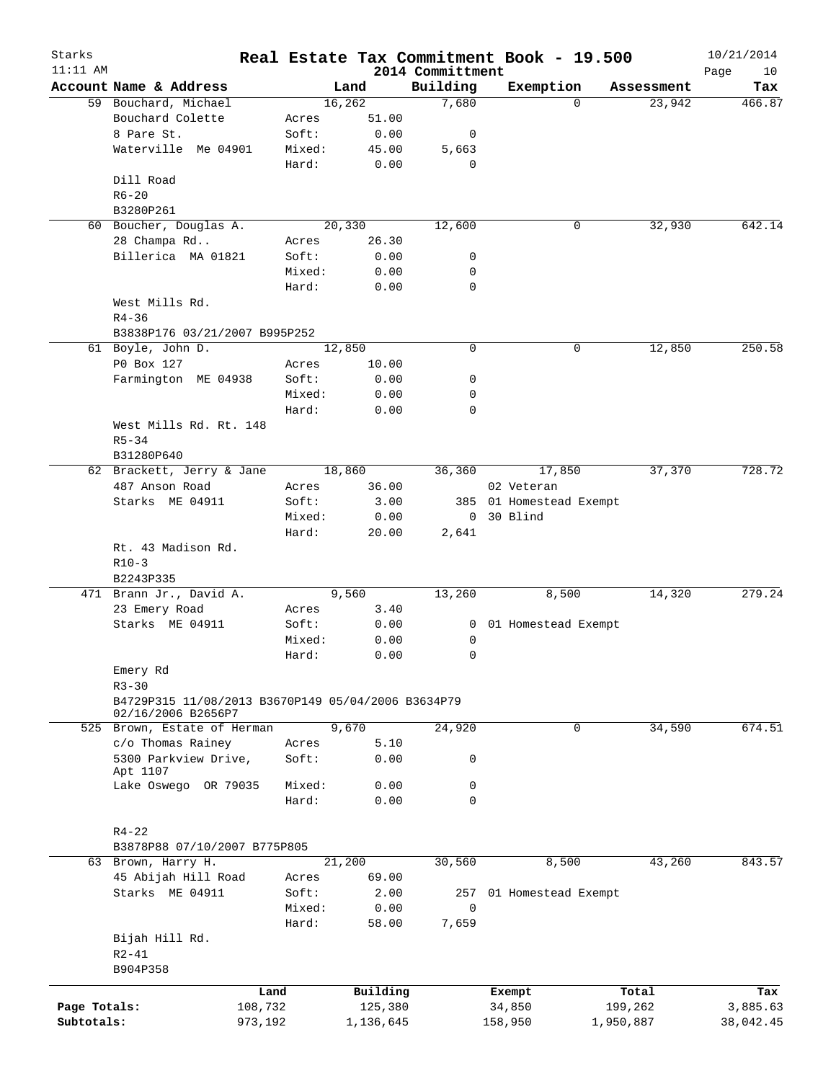| Starks       |                                                    |        |           |                              | Real Estate Tax Commitment Book - 19.500 |           |            | 10/21/2014        |
|--------------|----------------------------------------------------|--------|-----------|------------------------------|------------------------------------------|-----------|------------|-------------------|
| $11:11$ AM   | Account Name & Address                             |        | Land      | 2014 Committment<br>Building | Exemption                                |           | Assessment | Page<br>10<br>Tax |
|              | 59 Bouchard, Michael                               |        | 16,262    | 7,680                        |                                          | $\Omega$  | 23,942     | 466.87            |
|              | Bouchard Colette                                   | Acres  | 51.00     |                              |                                          |           |            |                   |
|              | 8 Pare St.                                         | Soft:  | 0.00      | 0                            |                                          |           |            |                   |
|              | Waterville Me 04901                                |        |           |                              |                                          |           |            |                   |
|              |                                                    | Mixed: | 45.00     | 5,663                        |                                          |           |            |                   |
|              |                                                    | Hard:  | 0.00      | 0                            |                                          |           |            |                   |
|              | Dill Road                                          |        |           |                              |                                          |           |            |                   |
|              | $R6 - 20$                                          |        |           |                              |                                          |           |            |                   |
|              | B3280P261                                          |        |           |                              |                                          |           |            |                   |
|              | 60 Boucher, Douglas A.                             |        | 20,330    | 12,600                       |                                          | 0         | 32,930     | 642.14            |
|              | 28 Champa Rd                                       | Acres  | 26.30     |                              |                                          |           |            |                   |
|              | Billerica MA 01821                                 | Soft:  | 0.00      | 0                            |                                          |           |            |                   |
|              |                                                    | Mixed: | 0.00      | 0                            |                                          |           |            |                   |
|              |                                                    | Hard:  | 0.00      | $\mathbf 0$                  |                                          |           |            |                   |
|              | West Mills Rd.                                     |        |           |                              |                                          |           |            |                   |
|              | $R4 - 36$                                          |        |           |                              |                                          |           |            |                   |
|              | B3838P176 03/21/2007 B995P252                      |        |           |                              |                                          |           |            |                   |
|              | 61 Boyle, John D.                                  |        | 12,850    | 0                            |                                          | 0         | 12,850     | 250.58            |
|              | P0 Box 127                                         | Acres  | 10.00     |                              |                                          |           |            |                   |
|              | Farmington ME 04938                                | Soft:  | 0.00      | 0                            |                                          |           |            |                   |
|              |                                                    | Mixed: | 0.00      | 0                            |                                          |           |            |                   |
|              |                                                    | Hard:  | 0.00      | $\mathbf 0$                  |                                          |           |            |                   |
|              | West Mills Rd. Rt. 148                             |        |           |                              |                                          |           |            |                   |
|              | $R5 - 34$                                          |        |           |                              |                                          |           |            |                   |
|              | B31280P640                                         |        |           |                              |                                          |           |            |                   |
|              | 62 Brackett, Jerry & Jane                          |        | 18,860    | 36,360                       | 17,850                                   |           | 37,370     | 728.72            |
|              | 487 Anson Road                                     | Acres  | 36.00     |                              | 02 Veteran                               |           |            |                   |
|              | Starks ME 04911                                    | Soft:  | 3.00      |                              | 385 01 Homestead Exempt                  |           |            |                   |
|              |                                                    | Mixed: | 0.00      | 0                            | 30 Blind                                 |           |            |                   |
|              |                                                    |        |           |                              |                                          |           |            |                   |
|              |                                                    | Hard:  | 20.00     | 2,641                        |                                          |           |            |                   |
|              | Rt. 43 Madison Rd.                                 |        |           |                              |                                          |           |            |                   |
|              | $R10-3$                                            |        |           |                              |                                          |           |            |                   |
|              | B2243P335                                          |        |           |                              |                                          |           |            |                   |
|              | 471 Brann Jr., David A.                            |        | 9,560     | 13,260                       | 8,500                                    |           | 14,320     | 279.24            |
|              | 23 Emery Road                                      | Acres  | 3.40      |                              |                                          |           |            |                   |
|              | Starks ME 04911                                    | Soft:  | 0.00      | 0                            | 01 Homestead Exempt                      |           |            |                   |
|              |                                                    | Mixed: | 0.00      | 0                            |                                          |           |            |                   |
|              |                                                    | Hard:  | 0.00      | 0                            |                                          |           |            |                   |
|              | Emery Rd                                           |        |           |                              |                                          |           |            |                   |
|              | $R3 - 30$                                          |        |           |                              |                                          |           |            |                   |
|              | B4729P315 11/08/2013 B3670P149 05/04/2006 B3634P79 |        |           |                              |                                          |           |            |                   |
|              | 02/16/2006 B2656P7                                 |        |           |                              |                                          |           |            |                   |
|              | 525 Brown, Estate of Herman                        |        | 9,670     | 24,920                       |                                          | 0         | 34,590     | 674.51            |
|              | c/o Thomas Rainey                                  | Acres  | 5.10      |                              |                                          |           |            |                   |
|              | 5300 Parkview Drive,                               | Soft:  | 0.00      | 0                            |                                          |           |            |                   |
|              | Apt 1107                                           |        |           |                              |                                          |           |            |                   |
|              | Lake Oswego OR 79035                               | Mixed: | 0.00      | 0                            |                                          |           |            |                   |
|              |                                                    | Hard:  | 0.00      | $\mathbf 0$                  |                                          |           |            |                   |
|              |                                                    |        |           |                              |                                          |           |            |                   |
|              | $R4 - 22$                                          |        |           |                              |                                          |           |            |                   |
|              | B3878P88 07/10/2007 B775P805                       |        |           |                              |                                          |           |            |                   |
|              | 63 Brown, Harry H.                                 |        | 21,200    | 30,560                       | 8,500                                    |           | 43,260     | 843.57            |
|              | 45 Abijah Hill Road                                | Acres  | 69.00     |                              |                                          |           |            |                   |
|              | Starks ME 04911                                    | Soft:  | 2.00      |                              | 257 01 Homestead Exempt                  |           |            |                   |
|              |                                                    | Mixed: | 0.00      | $\mathbf 0$                  |                                          |           |            |                   |
|              |                                                    | Hard:  | 58.00     | 7,659                        |                                          |           |            |                   |
|              | Bijah Hill Rd.                                     |        |           |                              |                                          |           |            |                   |
|              | $R2 - 41$                                          |        |           |                              |                                          |           |            |                   |
|              | B904P358                                           |        |           |                              |                                          |           |            |                   |
|              |                                                    |        |           |                              |                                          |           |            |                   |
|              |                                                    | Land   | Building  |                              | Exempt                                   |           | Total      | Tax               |
| Page Totals: | 108,732                                            |        | 125,380   |                              | 34,850                                   |           | 199,262    | 3,885.63          |
| Subtotals:   | 973,192                                            |        | 1,136,645 |                              | 158,950                                  | 1,950,887 |            | 38,042.45         |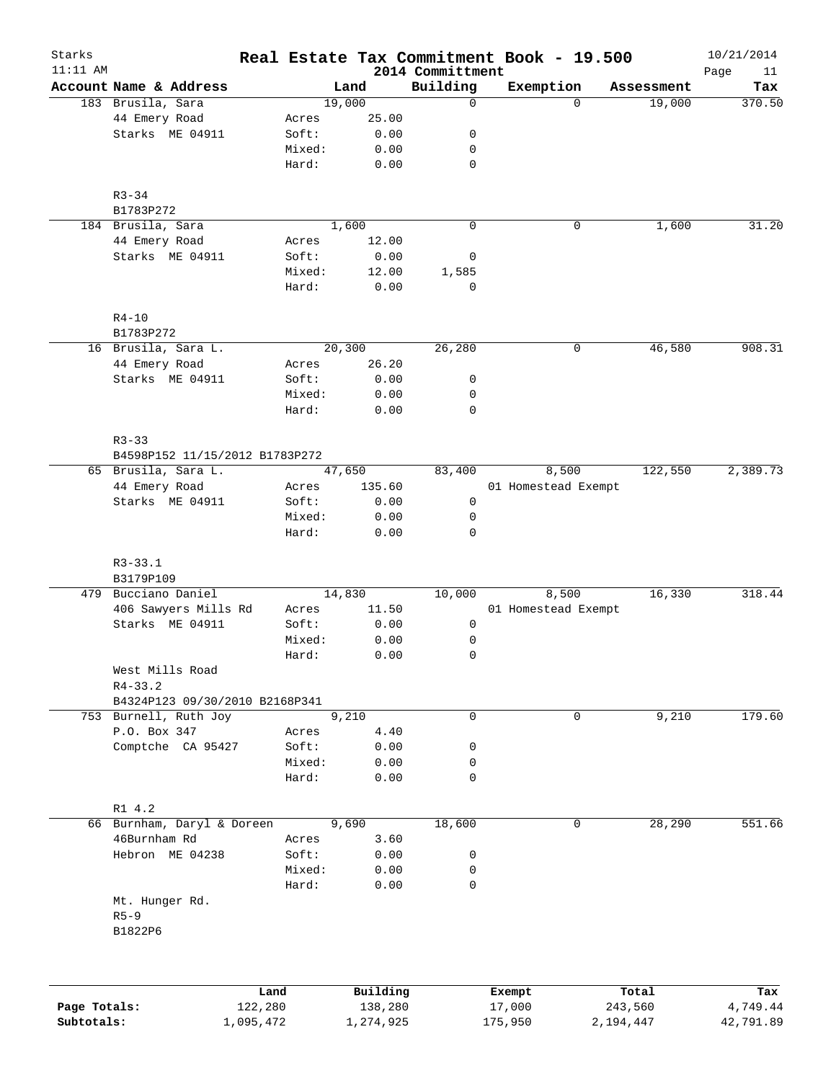| Starks<br>$11:11$ AM |                                |           |                |           |                              | Real Estate Tax Commitment Book - 19.500 |          |            | 10/21/2014        |
|----------------------|--------------------------------|-----------|----------------|-----------|------------------------------|------------------------------------------|----------|------------|-------------------|
|                      | Account Name & Address         |           |                | Land      | 2014 Committment<br>Building | Exemption                                |          | Assessment | Page<br>11<br>Tax |
|                      | 183 Brusila, Sara              |           |                | 19,000    | $\mathbf 0$                  |                                          | $\Omega$ | 19,000     | 370.50            |
|                      | 44 Emery Road                  |           | Acres          | 25.00     |                              |                                          |          |            |                   |
|                      | Starks ME 04911                |           | Soft:          | 0.00      | 0                            |                                          |          |            |                   |
|                      |                                |           | Mixed:         | 0.00      | 0                            |                                          |          |            |                   |
|                      |                                |           | Hard:          | 0.00      | $\mathbf 0$                  |                                          |          |            |                   |
|                      | $R3 - 34$                      |           |                |           |                              |                                          |          |            |                   |
|                      | B1783P272                      |           |                |           |                              |                                          |          |            |                   |
|                      | 184 Brusila, Sara              |           |                | 1,600     | $\mathbf 0$                  |                                          | 0        | 1,600      | 31.20             |
|                      | 44 Emery Road                  |           | Acres          | 12.00     |                              |                                          |          |            |                   |
|                      | Starks ME 04911                |           | Soft:          | 0.00      | 0                            |                                          |          |            |                   |
|                      |                                |           | Mixed:         | 12.00     | 1,585                        |                                          |          |            |                   |
|                      |                                |           | Hard:          | 0.00      | $\mathbf 0$                  |                                          |          |            |                   |
|                      | $R4 - 10$                      |           |                |           |                              |                                          |          |            |                   |
|                      | B1783P272                      |           |                |           |                              |                                          |          |            |                   |
|                      | 16 Brusila, Sara L.            |           |                | 20,300    | 26,280                       |                                          | 0        | 46,580     | 908.31            |
|                      | 44 Emery Road                  |           | Acres          | 26.20     |                              |                                          |          |            |                   |
|                      | Starks ME 04911                |           | Soft:          | 0.00      | 0                            |                                          |          |            |                   |
|                      |                                |           | Mixed:         | 0.00      | 0                            |                                          |          |            |                   |
|                      |                                |           | Hard:          | 0.00      | $\mathbf 0$                  |                                          |          |            |                   |
|                      | $R3 - 33$                      |           |                |           |                              |                                          |          |            |                   |
|                      | B4598P152 11/15/2012 B1783P272 |           |                |           |                              |                                          |          |            |                   |
|                      | 65 Brusila, Sara L.            |           |                | 47,650    | 83,400                       | 8,500                                    |          | 122,550    | 2,389.73          |
|                      | 44 Emery Road                  |           | Acres          | 135.60    |                              | 01 Homestead Exempt                      |          |            |                   |
|                      | Starks ME 04911                |           | Soft:          | 0.00      | 0                            |                                          |          |            |                   |
|                      |                                |           | Mixed:         | 0.00      | 0                            |                                          |          |            |                   |
|                      |                                |           | Hard:          | 0.00      | $\mathbf 0$                  |                                          |          |            |                   |
|                      | $R3 - 33.1$<br>B3179P109       |           |                |           |                              |                                          |          |            |                   |
|                      | 479 Bucciano Daniel            |           |                | 14,830    | 10,000                       | 8,500                                    |          | 16,330     | 318.44            |
|                      | 406 Sawyers Mills Rd           |           | Acres          | 11.50     |                              | 01 Homestead Exempt                      |          |            |                   |
|                      | Starks ME 04911                |           | Soft:          | 0.00      | 0                            |                                          |          |            |                   |
|                      |                                |           | Mixed:         | 0.00      | 0                            |                                          |          |            |                   |
|                      |                                |           | Hard:          | 0.00      | $\mathbf 0$                  |                                          |          |            |                   |
|                      |                                |           |                |           |                              |                                          |          |            |                   |
|                      | West Mills Road<br>$R4 - 33.2$ |           |                |           |                              |                                          |          |            |                   |
|                      | B4324P123 09/30/2010 B2168P341 |           |                |           |                              |                                          |          |            |                   |
|                      | 753 Burnell, Ruth Joy          |           |                | 9,210     | 0                            |                                          | 0        | 9,210      | 179.60            |
|                      | P.O. Box 347                   |           |                | 4.40      |                              |                                          |          |            |                   |
|                      | Comptche CA 95427              |           | Acres<br>Soft: |           | 0                            |                                          |          |            |                   |
|                      |                                |           |                | 0.00      | 0                            |                                          |          |            |                   |
|                      |                                |           | Mixed:         | 0.00      |                              |                                          |          |            |                   |
|                      |                                |           | Hard:          | 0.00      | $\mathbf 0$                  |                                          |          |            |                   |
|                      | R1 4.2                         |           |                |           |                              |                                          |          |            |                   |
|                      | 66 Burnham, Daryl & Doreen     |           |                | 9,690     | 18,600                       |                                          | 0        | 28,290     | 551.66            |
|                      | 46Burnham Rd                   |           | Acres          | 3.60      |                              |                                          |          |            |                   |
|                      | Hebron ME 04238                |           | Soft:          | 0.00      | 0                            |                                          |          |            |                   |
|                      |                                |           | Mixed:         | 0.00      | 0                            |                                          |          |            |                   |
|                      | Mt. Hunger Rd.                 |           | Hard:          | 0.00      | 0                            |                                          |          |            |                   |
|                      |                                |           |                |           |                              |                                          |          |            |                   |
|                      | $R5 - 9$                       |           |                |           |                              |                                          |          |            |                   |
|                      | B1822P6                        |           |                |           |                              |                                          |          |            |                   |
|                      |                                |           |                |           |                              |                                          |          |            |                   |
|                      |                                | Land      |                | Building  |                              | Exempt                                   |          | Total      | Tax               |
| Page Totals:         |                                | 122,280   |                | 138,280   |                              | 17,000                                   |          | 243,560    | 4,749.44          |
| Subtotals:           |                                | 1,095,472 |                | 1,274,925 |                              | 175,950                                  |          | 2,194,447  | 42,791.89         |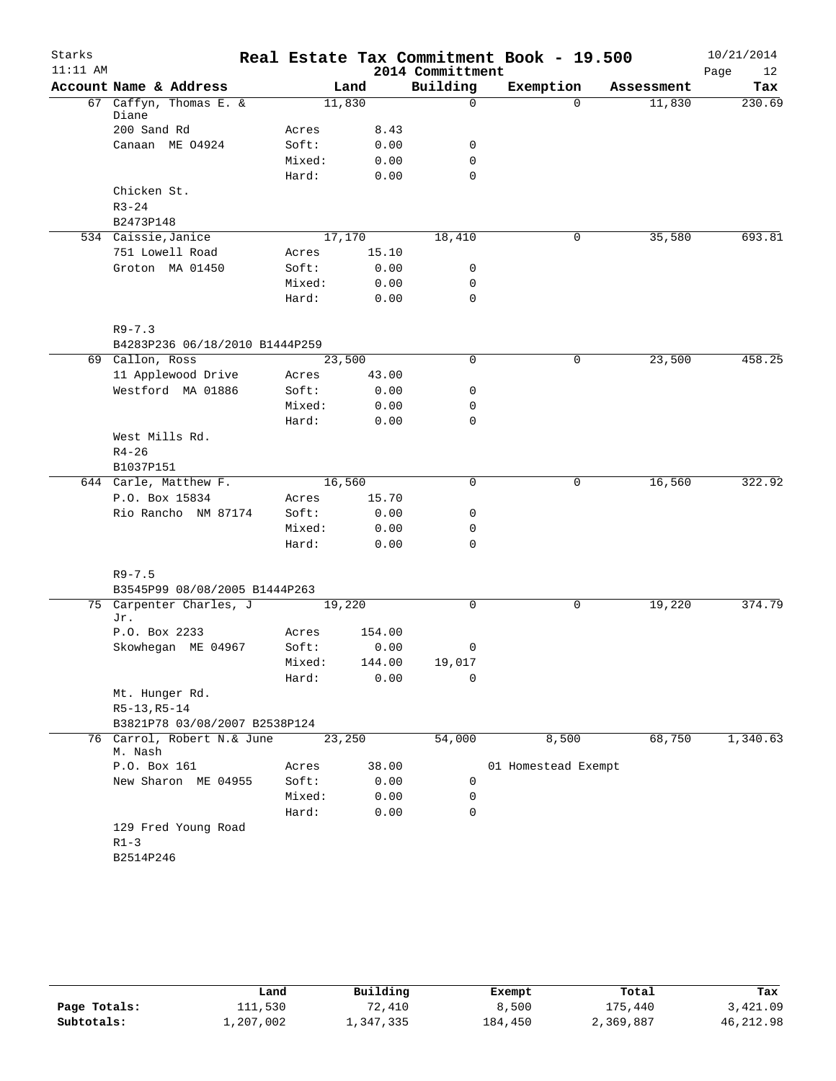| Starks     |                                       |                 |              |                  | Real Estate Tax Commitment Book - 19.500 |            | 10/21/2014 |  |
|------------|---------------------------------------|-----------------|--------------|------------------|------------------------------------------|------------|------------|--|
| $11:11$ AM |                                       |                 |              | 2014 Committment |                                          |            | 12<br>Page |  |
|            | Account Name & Address                |                 | Land         | Building         | Exemption                                | Assessment | Tax        |  |
|            | 67 Caffyn, Thomas E. &<br>Diane       |                 | 11,830       | 0                | $\Omega$                                 | 11,830     | 230.69     |  |
|            | 200 Sand Rd                           | Acres           | 8.43         |                  |                                          |            |            |  |
|            | Canaan ME 04924                       | Soft:           | 0.00         | 0                |                                          |            |            |  |
|            |                                       | Mixed:          | 0.00         | $\mathbf 0$      |                                          |            |            |  |
|            |                                       | Hard:           | 0.00         | 0                |                                          |            |            |  |
|            | Chicken St.                           |                 |              |                  |                                          |            |            |  |
|            | $R3 - 24$                             |                 |              |                  |                                          |            |            |  |
|            | B2473P148                             |                 |              |                  |                                          |            |            |  |
|            | 534 Caissie, Janice                   |                 | 17,170       | 18,410           | 0                                        | 35,580     | 693.81     |  |
|            | 751 Lowell Road                       | Acres           | 15.10        |                  |                                          |            |            |  |
|            | Groton MA 01450                       | Soft:           | 0.00         | 0                |                                          |            |            |  |
|            |                                       | Mixed:          | 0.00         | $\mathbf 0$      |                                          |            |            |  |
|            |                                       | Hard:           | 0.00         | 0                |                                          |            |            |  |
|            | $R9 - 7.3$                            |                 |              |                  |                                          |            |            |  |
|            | B4283P236 06/18/2010 B1444P259        |                 |              |                  |                                          |            |            |  |
|            | 69 Callon, Ross                       |                 | 23,500       | 0                | 0                                        | 23,500     | 458.25     |  |
|            | 11 Applewood Drive                    | Acres           | 43.00        |                  |                                          |            |            |  |
|            | Westford MA 01886                     | Soft:           | 0.00         | 0                |                                          |            |            |  |
|            |                                       | Mixed:          | 0.00         | 0                |                                          |            |            |  |
|            |                                       | Hard:           | 0.00         | 0                |                                          |            |            |  |
|            | West Mills Rd.                        |                 |              |                  |                                          |            |            |  |
|            | $R4 - 26$                             |                 |              |                  |                                          |            |            |  |
|            | B1037P151                             |                 |              |                  |                                          |            |            |  |
|            | 644 Carle, Matthew F.                 |                 | 16,560       | 0                | 0                                        | 16,560     | 322.92     |  |
|            | P.O. Box 15834                        | Acres           | 15.70        |                  |                                          |            |            |  |
|            | Rio Rancho NM 87174                   | Soft:           | 0.00<br>0.00 | 0<br>$\mathbf 0$ |                                          |            |            |  |
|            |                                       | Mixed:<br>Hard: | 0.00         | 0                |                                          |            |            |  |
|            |                                       |                 |              |                  |                                          |            |            |  |
|            | $R9 - 7.5$                            |                 |              |                  |                                          |            |            |  |
|            | B3545P99 08/08/2005 B1444P263         |                 |              |                  |                                          |            |            |  |
|            | 75 Carpenter Charles, J<br>Jr.        |                 | 19,220       | 0                | 0                                        | 19,220     | 374.79     |  |
|            | P.O. Box 2233                         | Acres           | 154.00       |                  |                                          |            |            |  |
|            | Skowhegan ME 04967                    | Soft:           | 0.00         | 0                |                                          |            |            |  |
|            |                                       | Mixed:          | 144.00       | 19,017           |                                          |            |            |  |
|            |                                       | Hard:           | 0.00         | 0                |                                          |            |            |  |
|            | Mt. Hunger Rd.                        |                 |              |                  |                                          |            |            |  |
|            | $R5-13, R5-14$                        |                 |              |                  |                                          |            |            |  |
|            | B3821P78 03/08/2007 B2538P124         |                 |              |                  |                                          |            |            |  |
|            | 76 Carrol, Robert N.& June<br>M. Nash |                 | 23,250       | 54,000           | 8,500                                    | 68,750     | 1,340.63   |  |
|            | P.O. Box 161                          | Acres           | 38.00        |                  | 01 Homestead Exempt                      |            |            |  |
|            | New Sharon ME 04955                   | Soft:           | 0.00         | 0                |                                          |            |            |  |
|            |                                       | Mixed:          | 0.00         | 0                |                                          |            |            |  |
|            |                                       | Hard:           | 0.00         | 0                |                                          |            |            |  |
|            | 129 Fred Young Road                   |                 |              |                  |                                          |            |            |  |
|            | $R1 - 3$                              |                 |              |                  |                                          |            |            |  |
|            | B2514P246                             |                 |              |                  |                                          |            |            |  |
|            |                                       |                 |              |                  |                                          |            |            |  |

|              | Land      | Building  | Exempt  | Total     | Tax       |
|--------------|-----------|-----------|---------|-----------|-----------|
| Page Totals: | 111,530   | 72,410    | 8,500   | 175,440   | 3,421.09  |
| Subtotals:   | ⊥,207,002 | 1,347,335 | 184,450 | 2,369,887 | 46,212.98 |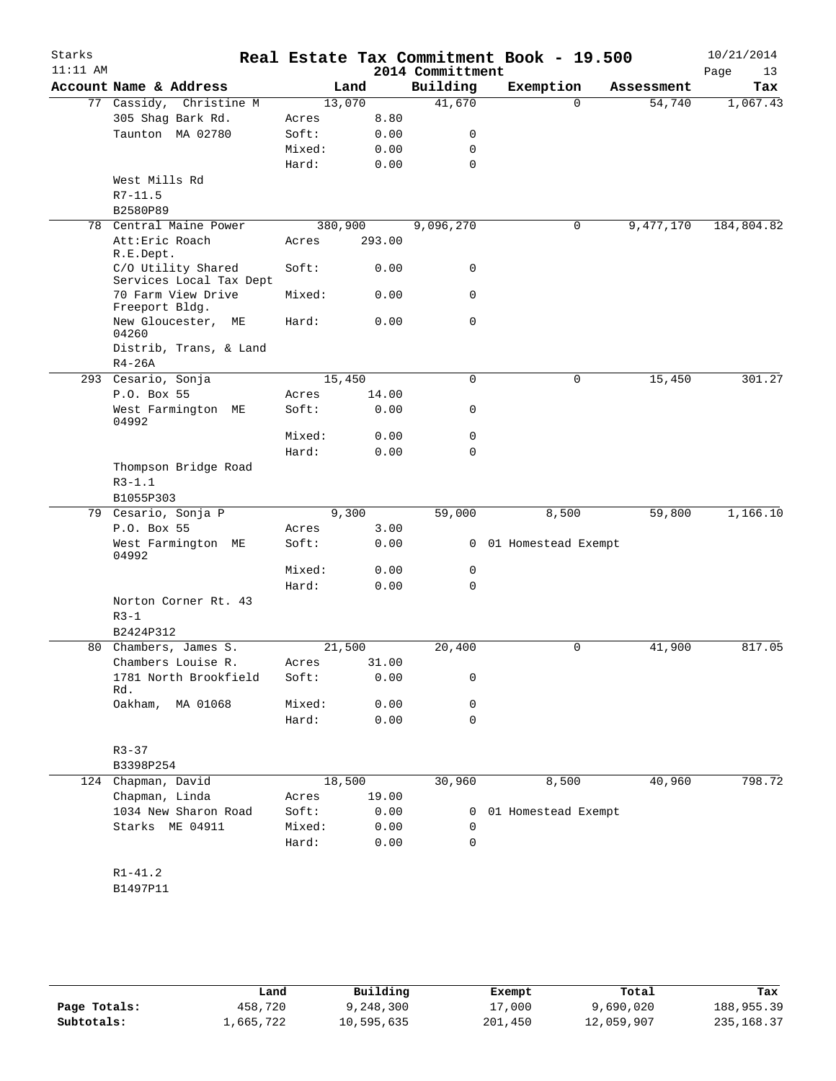| Starks<br>$11:11$ AM |                                               |         |        | 2014 Committment | Real Estate Tax Commitment Book - 19.500 |            | 10/21/2014<br>Page<br>13 |
|----------------------|-----------------------------------------------|---------|--------|------------------|------------------------------------------|------------|--------------------------|
|                      | Account Name & Address                        |         | Land   | Building         | Exemption                                | Assessment | Tax                      |
|                      | 77 Cassidy, Christine M                       | 13,070  |        | 41,670           | $\Omega$                                 | 54,740     | 1,067.43                 |
|                      | 305 Shag Bark Rd.                             | Acres   | 8.80   |                  |                                          |            |                          |
|                      | Taunton MA 02780                              | Soft:   | 0.00   | 0                |                                          |            |                          |
|                      |                                               | Mixed:  | 0.00   | 0                |                                          |            |                          |
|                      |                                               | Hard:   | 0.00   | 0                |                                          |            |                          |
|                      | West Mills Rd                                 |         |        |                  |                                          |            |                          |
|                      | $R7 - 11.5$                                   |         |        |                  |                                          |            |                          |
|                      | B2580P89                                      |         |        |                  |                                          |            |                          |
|                      | 78 Central Maine Power                        | 380,900 |        | 9,096,270        | 0                                        | 9,477,170  | 184,804.82               |
|                      | Att: Eric Roach<br>R.E.Dept.                  | Acres   | 293.00 |                  |                                          |            |                          |
|                      | C/O Utility Shared<br>Services Local Tax Dept | Soft:   | 0.00   | 0                |                                          |            |                          |
|                      | 70 Farm View Drive<br>Freeport Bldg.          | Mixed:  | 0.00   | 0                |                                          |            |                          |
|                      | New Gloucester,<br>МE<br>04260                | Hard:   | 0.00   | 0                |                                          |            |                          |
|                      | Distrib, Trans, & Land<br>$R4-26A$            |         |        |                  |                                          |            |                          |
|                      | 293 Cesario, Sonja                            | 15,450  |        | 0                | 0                                        | 15,450     | 301.27                   |
|                      | P.O. Box 55                                   | Acres   | 14.00  |                  |                                          |            |                          |
|                      | West Farmington ME<br>04992                   | Soft:   | 0.00   | 0                |                                          |            |                          |
|                      |                                               | Mixed:  | 0.00   | 0                |                                          |            |                          |
|                      |                                               | Hard:   | 0.00   | 0                |                                          |            |                          |
|                      | Thompson Bridge Road                          |         |        |                  |                                          |            |                          |
|                      | $R3 - 1.1$                                    |         |        |                  |                                          |            |                          |
|                      | B1055P303                                     |         |        |                  |                                          |            |                          |
|                      | 79 Cesario, Sonja P                           |         | 9,300  | 59,000           | 8,500                                    | 59,800     | 1,166.10                 |
|                      | P.O. Box 55                                   | Acres   | 3.00   |                  |                                          |            |                          |
|                      | West Farmington ME<br>04992                   | Soft:   | 0.00   |                  | 0 01 Homestead Exempt                    |            |                          |
|                      |                                               | Mixed:  | 0.00   | 0                |                                          |            |                          |
|                      |                                               | Hard:   | 0.00   | 0                |                                          |            |                          |
|                      | Norton Corner Rt. 43<br>$R3-1$<br>B2424P312   |         |        |                  |                                          |            |                          |
|                      | 80 Chambers, James S.                         | 21,500  |        | 20,400           | 0                                        | 41,900     | 817.05                   |
|                      | Chambers Louise R.                            | Acres   | 31.00  |                  |                                          |            |                          |
|                      | 1781 North Brookfield<br>Rd.                  | Soft:   | 0.00   | 0                |                                          |            |                          |
|                      | Oakham,<br>MA 01068                           | Mixed:  | 0.00   | 0                |                                          |            |                          |
|                      |                                               | Hard:   | 0.00   | 0                |                                          |            |                          |
|                      | $R3 - 37$                                     |         |        |                  |                                          |            |                          |
|                      | B3398P254                                     |         |        |                  |                                          |            |                          |
|                      | 124 Chapman, David                            | 18,500  |        | 30,960           | 8,500                                    | 40,960     | 798.72                   |
|                      | Chapman, Linda                                | Acres   | 19.00  |                  |                                          |            |                          |
|                      | 1034 New Sharon Road                          | Soft:   | 0.00   | 0                | 01 Homestead Exempt                      |            |                          |
|                      | Starks ME 04911                               | Mixed:  | 0.00   | 0                |                                          |            |                          |
|                      |                                               | Hard:   | 0.00   | 0                |                                          |            |                          |
|                      |                                               |         |        |                  |                                          |            |                          |
|                      | $R1 - 41.2$                                   |         |        |                  |                                          |            |                          |
|                      | B1497P11                                      |         |        |                  |                                          |            |                          |
|                      |                                               |         |        |                  |                                          |            |                          |

|              | Land      | Building   | Exempt  | Total      | Tax         |
|--------------|-----------|------------|---------|------------|-------------|
| Page Totals: | 458,720   | 9,248,300  | 17,000  | 9,690,020  | 188,955.39  |
| Subtotals:   | 1,665,722 | 10,595,635 | 201,450 | 12,059,907 | 235, 168.37 |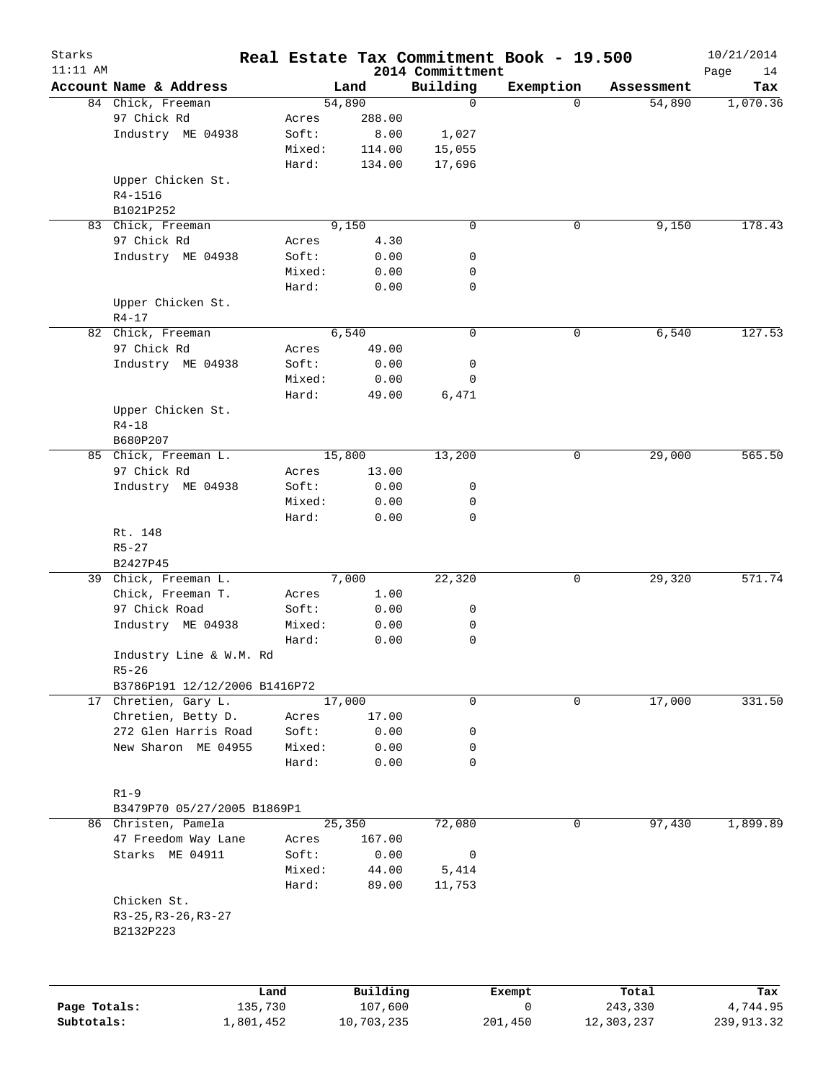| Starks<br>$11:11$ AM |                               |           |        |            | 2014 Committment | Real Estate Tax Commitment Book - 19.500 |          |            | 10/21/2014<br>Page<br>14 |
|----------------------|-------------------------------|-----------|--------|------------|------------------|------------------------------------------|----------|------------|--------------------------|
|                      | Account Name & Address        |           |        | Land       | Building         | Exemption                                |          | Assessment | Tax                      |
|                      | 84 Chick, Freeman             |           |        | 54,890     | $\mathbf 0$      |                                          | $\Omega$ | 54,890     | 1,070.36                 |
|                      | 97 Chick Rd                   |           | Acres  | 288.00     |                  |                                          |          |            |                          |
|                      | Industry ME 04938             |           | Soft:  | 8.00       | 1,027            |                                          |          |            |                          |
|                      |                               |           | Mixed: | 114.00     | 15,055           |                                          |          |            |                          |
|                      |                               |           | Hard:  | 134.00     | 17,696           |                                          |          |            |                          |
|                      | Upper Chicken St.             |           |        |            |                  |                                          |          |            |                          |
|                      | R4-1516                       |           |        |            |                  |                                          |          |            |                          |
|                      | B1021P252                     |           |        |            |                  |                                          |          |            |                          |
|                      | 83 Chick, Freeman             |           |        | 9,150      | $\mathbf 0$      |                                          | 0        | 9,150      | 178.43                   |
|                      | 97 Chick Rd                   |           | Acres  | 4.30       |                  |                                          |          |            |                          |
|                      | Industry ME 04938             |           | Soft:  | 0.00       | 0                |                                          |          |            |                          |
|                      |                               |           | Mixed: | 0.00       | 0                |                                          |          |            |                          |
|                      |                               |           | Hard:  | 0.00       | 0                |                                          |          |            |                          |
|                      |                               |           |        |            |                  |                                          |          |            |                          |
|                      | Upper Chicken St.             |           |        |            |                  |                                          |          |            |                          |
|                      | $R4 - 17$                     |           |        |            |                  |                                          |          |            |                          |
|                      | 82 Chick, Freeman             |           |        | 6,540      | 0                |                                          | 0        | 6,540      | 127.53                   |
|                      | 97 Chick Rd                   |           | Acres  | 49.00      |                  |                                          |          |            |                          |
|                      | Industry ME 04938             |           | Soft:  | 0.00       | 0                |                                          |          |            |                          |
|                      |                               |           | Mixed: | 0.00       | 0                |                                          |          |            |                          |
|                      |                               |           | Hard:  | 49.00      | 6,471            |                                          |          |            |                          |
|                      | Upper Chicken St.             |           |        |            |                  |                                          |          |            |                          |
|                      | $R4 - 18$                     |           |        |            |                  |                                          |          |            |                          |
|                      | B680P207                      |           |        |            |                  |                                          |          |            |                          |
|                      | 85 Chick, Freeman L.          |           |        | 15,800     | 13,200           |                                          | 0        | 29,000     | 565.50                   |
|                      | 97 Chick Rd                   |           | Acres  | 13.00      |                  |                                          |          |            |                          |
|                      | Industry ME 04938             |           | Soft:  | 0.00       | 0                |                                          |          |            |                          |
|                      |                               |           | Mixed: | 0.00       | 0                |                                          |          |            |                          |
|                      |                               |           | Hard:  | 0.00       | 0                |                                          |          |            |                          |
|                      | Rt. 148                       |           |        |            |                  |                                          |          |            |                          |
|                      | $R5 - 27$                     |           |        |            |                  |                                          |          |            |                          |
|                      | B2427P45                      |           |        |            |                  |                                          |          |            |                          |
|                      | 39 Chick, Freeman L.          |           |        | 7,000      | 22,320           |                                          | 0        | 29,320     | 571.74                   |
|                      | Chick, Freeman T.             |           | Acres  | 1.00       |                  |                                          |          |            |                          |
|                      | 97 Chick Road                 |           | Soft:  | 0.00       | 0                |                                          |          |            |                          |
|                      | Industry ME 04938             |           | Mixed: | 0.00       | 0                |                                          |          |            |                          |
|                      |                               |           | Hard:  | 0.00       | 0                |                                          |          |            |                          |
|                      | Industry Line & W.M. Rd       |           |        |            |                  |                                          |          |            |                          |
|                      | $R5 - 26$                     |           |        |            |                  |                                          |          |            |                          |
|                      | B3786P191 12/12/2006 B1416P72 |           |        |            |                  |                                          |          |            |                          |
|                      | 17 Chretien, Gary L.          |           |        | 17,000     | 0                |                                          | 0        | 17,000     | 331.50                   |
|                      | Chretien, Betty D.            |           | Acres  |            |                  |                                          |          |            |                          |
|                      | 272 Glen Harris Road          |           |        | 17.00      |                  |                                          |          |            |                          |
|                      |                               |           | Soft:  | 0.00       | 0                |                                          |          |            |                          |
|                      | New Sharon ME 04955           |           | Mixed: | 0.00       | 0                |                                          |          |            |                          |
|                      |                               |           | Hard:  | 0.00       | 0                |                                          |          |            |                          |
|                      |                               |           |        |            |                  |                                          |          |            |                          |
|                      | $R1 - 9$                      |           |        |            |                  |                                          |          |            |                          |
|                      | B3479P70 05/27/2005 B1869P1   |           |        |            |                  |                                          |          |            |                          |
|                      | 86 Christen, Pamela           |           |        | 25,350     | 72,080           |                                          | 0        | 97,430     | 1,899.89                 |
|                      | 47 Freedom Way Lane           |           | Acres  | 167.00     |                  |                                          |          |            |                          |
|                      | Starks ME 04911               |           | Soft:  | 0.00       | 0                |                                          |          |            |                          |
|                      |                               |           | Mixed: | 44.00      | 5,414            |                                          |          |            |                          |
|                      |                               |           | Hard:  | 89.00      | 11,753           |                                          |          |            |                          |
|                      | Chicken St.                   |           |        |            |                  |                                          |          |            |                          |
|                      | $R3-25, R3-26, R3-27$         |           |        |            |                  |                                          |          |            |                          |
|                      | B2132P223                     |           |        |            |                  |                                          |          |            |                          |
|                      |                               |           |        |            |                  |                                          |          |            |                          |
|                      |                               | Land      |        | Building   |                  | Exempt                                   |          | Total      | Tax                      |
| Page Totals:         |                               | 135,730   |        | 107,600    |                  | 0                                        |          | 243,330    | 4,744.95                 |
| Subtotals:           |                               | 1,801,452 |        | 10,703,235 |                  | 201,450                                  |          | 12,303,237 | 239,913.32               |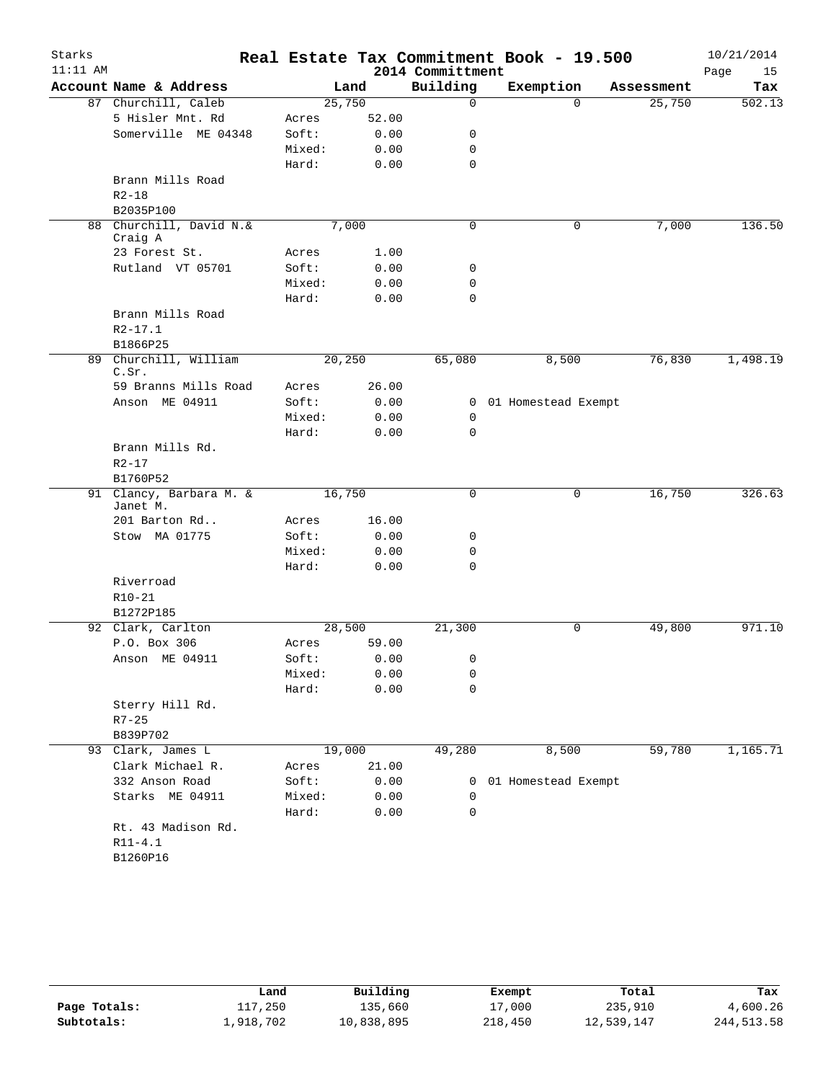| Starks<br>$11:11$ AM |                                |        |        | 2014 Committment | Real Estate Tax Commitment Book - 19.500 |            | 10/21/2014<br>Page<br>15 |
|----------------------|--------------------------------|--------|--------|------------------|------------------------------------------|------------|--------------------------|
|                      | Account Name & Address         |        | Land   | Building         | Exemption                                | Assessment | Tax                      |
|                      | 87 Churchill, Caleb            |        | 25,750 | 0                | $\Omega$                                 | 25,750     | 502.13                   |
|                      | 5 Hisler Mnt. Rd               | Acres  | 52.00  |                  |                                          |            |                          |
|                      | Somerville ME 04348            | Soft:  | 0.00   | 0                |                                          |            |                          |
|                      |                                | Mixed: | 0.00   | 0                |                                          |            |                          |
|                      |                                | Hard:  | 0.00   | $\mathbf 0$      |                                          |            |                          |
|                      | Brann Mills Road               |        |        |                  |                                          |            |                          |
|                      | $R2 - 18$                      |        |        |                  |                                          |            |                          |
|                      | B2035P100                      |        |        |                  |                                          |            |                          |
| 88                   | Churchill, David N.&           |        | 7,000  | 0                | 0                                        | 7,000      | 136.50                   |
|                      | Craig A                        |        |        |                  |                                          |            |                          |
|                      | 23 Forest St.                  | Acres  | 1.00   |                  |                                          |            |                          |
|                      | Rutland VT 05701               | Soft:  | 0.00   | 0                |                                          |            |                          |
|                      |                                | Mixed: | 0.00   | 0                |                                          |            |                          |
|                      |                                | Hard:  | 0.00   | 0                |                                          |            |                          |
|                      | Brann Mills Road               |        |        |                  |                                          |            |                          |
|                      | $R2 - 17.1$                    |        |        |                  |                                          |            |                          |
|                      | B1866P25                       |        |        |                  |                                          |            |                          |
|                      | 89 Churchill, William<br>C.Sr. |        | 20,250 | 65,080           | 8,500                                    | 76,830     | 1,498.19                 |
|                      | 59 Branns Mills Road           | Acres  | 26.00  |                  |                                          |            |                          |
|                      | Anson ME 04911                 | Soft:  | 0.00   |                  | 0 01 Homestead Exempt                    |            |                          |
|                      |                                | Mixed: | 0.00   | 0                |                                          |            |                          |
|                      |                                | Hard:  | 0.00   | $\Omega$         |                                          |            |                          |
|                      | Brann Mills Rd.                |        |        |                  |                                          |            |                          |
|                      | $R2 - 17$                      |        |        |                  |                                          |            |                          |
|                      | B1760P52                       |        |        |                  |                                          |            |                          |
|                      | 91 Clancy, Barbara M. &        |        | 16,750 | 0                | $\mathbf 0$                              | 16,750     | 326.63                   |
|                      | Janet M.                       |        |        |                  |                                          |            |                          |
|                      | 201 Barton Rd                  | Acres  | 16.00  |                  |                                          |            |                          |
|                      | Stow MA 01775                  | Soft:  | 0.00   | 0                |                                          |            |                          |
|                      |                                | Mixed: | 0.00   | 0                |                                          |            |                          |
|                      |                                | Hard:  | 0.00   | $\mathbf 0$      |                                          |            |                          |
|                      | Riverroad                      |        |        |                  |                                          |            |                          |
|                      | $R10 - 21$                     |        |        |                  |                                          |            |                          |
|                      | B1272P185                      |        |        |                  |                                          |            |                          |
|                      | 92 Clark, Carlton              |        | 28,500 | 21,300           | 0                                        | 49,800     | 971.10                   |
|                      | P.O. Box 306                   | Acres  | 59.00  |                  |                                          |            |                          |
|                      | Anson ME 04911                 | Soft:  | 0.00   | 0                |                                          |            |                          |
|                      |                                | Mixed: | 0.00   | 0                |                                          |            |                          |
|                      |                                | Hard:  | 0.00   | 0                |                                          |            |                          |
|                      | Sterry Hill Rd.                |        |        |                  |                                          |            |                          |
|                      | $R7 - 25$                      |        |        |                  |                                          |            |                          |
|                      | B839P702                       |        |        |                  |                                          |            |                          |
|                      | 93 Clark, James L              |        | 19,000 | 49,280           | 8,500                                    | 59,780     | 1,165.71                 |
|                      | Clark Michael R.               | Acres  | 21.00  |                  |                                          |            |                          |
|                      | 332 Anson Road                 | Soft:  | 0.00   | 0                | 01 Homestead Exempt                      |            |                          |
|                      | Starks ME 04911                | Mixed: | 0.00   | 0                |                                          |            |                          |
|                      |                                | Hard:  | 0.00   | 0                |                                          |            |                          |
|                      | Rt. 43 Madison Rd.             |        |        |                  |                                          |            |                          |
|                      | $R11 - 4.1$                    |        |        |                  |                                          |            |                          |
|                      | B1260P16                       |        |        |                  |                                          |            |                          |

|              | Land      | Building   | Exempt  | Total      | Tax          |
|--------------|-----------|------------|---------|------------|--------------|
| Page Totals: | 117,250   | 135,660    | 17,000  | 235,910    | 4,600.26     |
| Subtotals:   | 1,918,702 | 10,838,895 | 218,450 | 12,539,147 | 244, 513. 58 |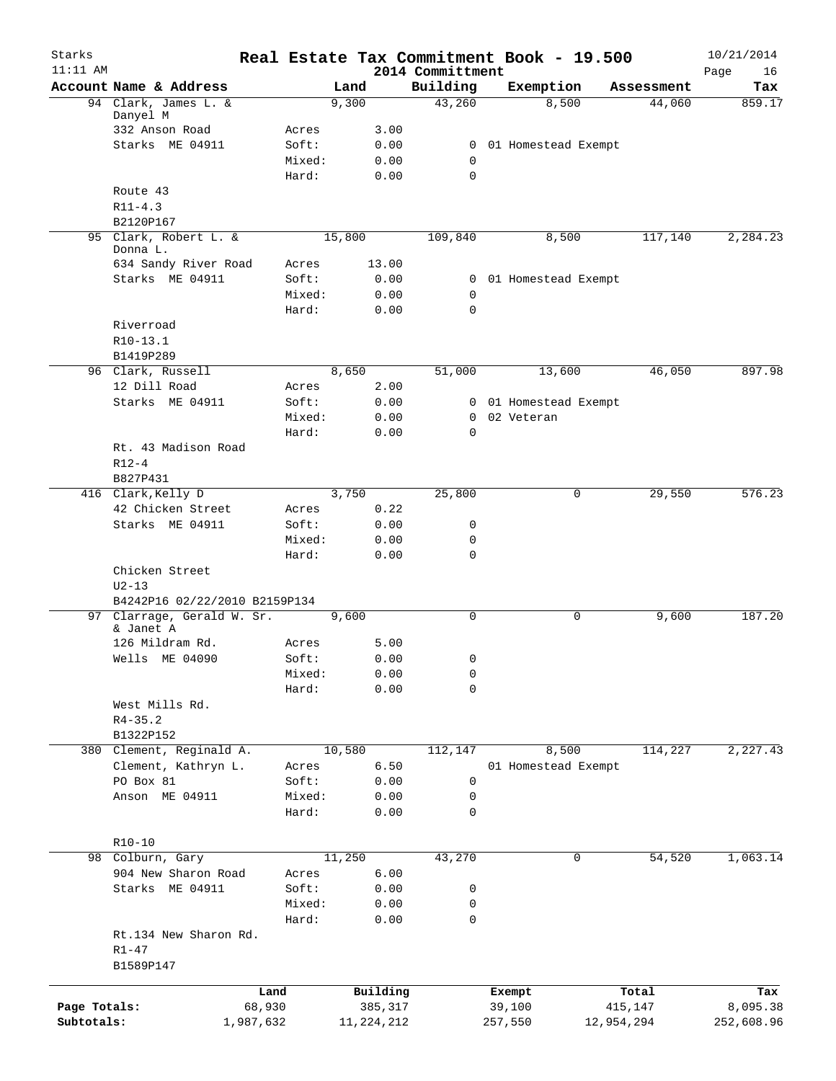| Starks<br>$11:11$ AM |                               |           |                 |        |              | 2014 Committment | Real Estate Tax Commitment Book - 19.500 |            | 10/21/2014<br>Page<br>16 |
|----------------------|-------------------------------|-----------|-----------------|--------|--------------|------------------|------------------------------------------|------------|--------------------------|
|                      | Account Name & Address        |           |                 | Land   |              | Building         | Exemption                                | Assessment | Tax                      |
|                      | 94 Clark, James L. &          |           |                 | 9,300  |              | 43,260           | 8,500                                    | 44,060     | 859.17                   |
|                      | Danyel M<br>332 Anson Road    |           | Acres           |        | 3.00         |                  |                                          |            |                          |
|                      | Starks ME 04911               |           | Soft:           |        | 0.00         | 0                | 01 Homestead Exempt                      |            |                          |
|                      |                               |           | Mixed:          |        | 0.00         | 0                |                                          |            |                          |
|                      |                               |           | Hard:           |        | 0.00         | $\mathbf 0$      |                                          |            |                          |
|                      | Route 43                      |           |                 |        |              |                  |                                          |            |                          |
|                      | $R11 - 4.3$                   |           |                 |        |              |                  |                                          |            |                          |
|                      | B2120P167                     |           |                 |        |              |                  |                                          |            |                          |
|                      | 95 Clark, Robert L. &         |           |                 | 15,800 |              | 109,840          | 8,500                                    | 117,140    | 2,284.23                 |
|                      | Donna L.                      |           |                 |        |              |                  |                                          |            |                          |
|                      | 634 Sandy River Road          |           | Acres           |        | 13.00        |                  |                                          |            |                          |
|                      | Starks ME 04911               |           | Soft:           |        | 0.00         | 0                | 01 Homestead Exempt                      |            |                          |
|                      |                               |           | Mixed:          |        | 0.00         | 0<br>$\mathbf 0$ |                                          |            |                          |
|                      | Riverroad                     |           | Hard:           |        | 0.00         |                  |                                          |            |                          |
|                      | R10-13.1                      |           |                 |        |              |                  |                                          |            |                          |
|                      | B1419P289                     |           |                 |        |              |                  |                                          |            |                          |
| 96                   | Clark, Russell                |           |                 | 8,650  |              | 51,000           | 13,600                                   | 46,050     | 897.98                   |
|                      | 12 Dill Road                  |           | Acres           |        | 2.00         |                  |                                          |            |                          |
|                      | Starks ME 04911               |           | Soft:           |        | 0.00         | 0                | 01 Homestead Exempt                      |            |                          |
|                      |                               |           | Mixed:          |        | 0.00         | 0                | 02 Veteran                               |            |                          |
|                      |                               |           | Hard:           |        | 0.00         | $\mathbf 0$      |                                          |            |                          |
|                      | Rt. 43 Madison Road           |           |                 |        |              |                  |                                          |            |                          |
|                      | $R12-4$                       |           |                 |        |              |                  |                                          |            |                          |
|                      | B827P431                      |           |                 |        |              |                  |                                          |            |                          |
|                      | 416 Clark, Kelly D            |           |                 | 3,750  |              | 25,800           | 0                                        | 29,550     | 576.23                   |
|                      | 42 Chicken Street             |           | Acres           |        | 0.22         |                  |                                          |            |                          |
|                      | Starks ME 04911               |           | Soft:           |        | 0.00         | 0                |                                          |            |                          |
|                      |                               |           | Mixed:          |        | 0.00         | $\mathbf 0$      |                                          |            |                          |
|                      |                               |           | Hard:           |        | 0.00         | $\mathbf 0$      |                                          |            |                          |
|                      | Chicken Street                |           |                 |        |              |                  |                                          |            |                          |
|                      | $U2-13$                       |           |                 |        |              |                  |                                          |            |                          |
|                      | B4242P16 02/22/2010 B2159P134 |           |                 |        |              |                  |                                          |            |                          |
| 97                   | Clarrage, Gerald W. Sr.       |           |                 | 9,600  |              | $\mathbf 0$      | 0                                        | 9,600      | 187.20                   |
|                      | & Janet A                     |           |                 |        |              |                  |                                          |            |                          |
|                      | 126 Mildram Rd.               |           | Acres           |        | 5.00         |                  |                                          |            |                          |
|                      | Wells ME 04090                |           | Soft:           |        | 0.00         | $\Omega$         |                                          |            |                          |
|                      |                               |           | Mixed:<br>Hard: |        | 0.00         | 0<br>$\mathbf 0$ |                                          |            |                          |
|                      | West Mills Rd.                |           |                 |        | 0.00         |                  |                                          |            |                          |
|                      | $R4 - 35.2$                   |           |                 |        |              |                  |                                          |            |                          |
|                      | B1322P152                     |           |                 |        |              |                  |                                          |            |                          |
|                      | 380 Clement, Reginald A.      |           |                 | 10,580 |              | 112,147          | 8,500                                    | 114,227    | 2,227.43                 |
|                      | Clement, Kathryn L.           |           | Acres           |        | 6.50         |                  | 01 Homestead Exempt                      |            |                          |
|                      | PO Box 81                     |           | Soft:           |        | 0.00         | 0                |                                          |            |                          |
|                      | Anson ME 04911                |           | Mixed:          |        | 0.00         | 0                |                                          |            |                          |
|                      |                               |           | Hard:           |        | 0.00         | 0                |                                          |            |                          |
|                      |                               |           |                 |        |              |                  |                                          |            |                          |
|                      | $R10 - 10$                    |           |                 |        |              |                  |                                          |            |                          |
|                      | 98 Colburn, Gary              |           |                 | 11,250 |              | 43,270           | 0                                        | 54,520     | 1,063.14                 |
|                      | 904 New Sharon Road           |           | Acres           |        | 6.00         |                  |                                          |            |                          |
|                      | Starks ME 04911               |           | Soft:           |        | 0.00         | 0                |                                          |            |                          |
|                      |                               |           | Mixed:          |        | 0.00         | 0                |                                          |            |                          |
|                      |                               |           | Hard:           |        | 0.00         | 0                |                                          |            |                          |
|                      | Rt.134 New Sharon Rd.         |           |                 |        |              |                  |                                          |            |                          |
|                      | $R1 - 47$                     |           |                 |        |              |                  |                                          |            |                          |
|                      | B1589P147                     |           |                 |        |              |                  |                                          |            |                          |
|                      |                               | Land      |                 |        | Building     |                  | Exempt                                   | Total      | Tax                      |
| Page Totals:         |                               | 68,930    |                 |        | 385,317      |                  | 39,100                                   | 415,147    | 8,095.38                 |
| Subtotals:           |                               | 1,987,632 |                 |        | 11, 224, 212 |                  | 257,550                                  | 12,954,294 | 252,608.96               |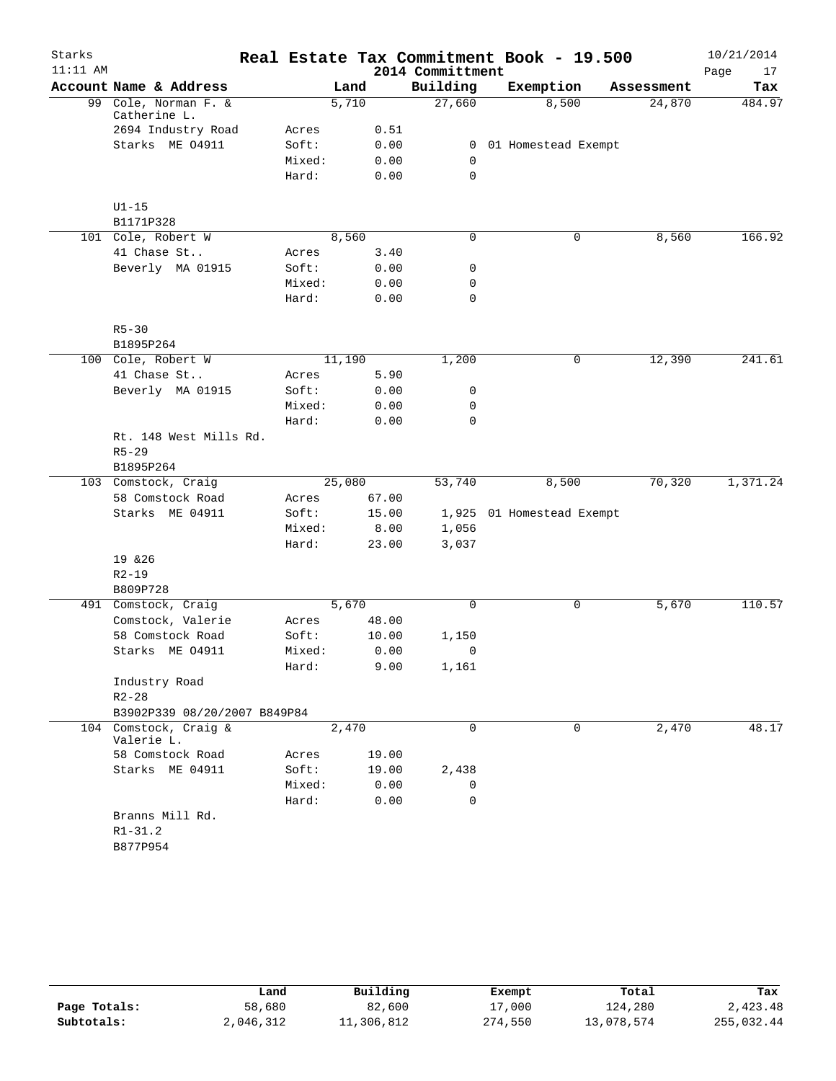| Starks     |                                      |        |        |       |                  | Real Estate Tax Commitment Book - 19.500 |            | 10/21/2014 |
|------------|--------------------------------------|--------|--------|-------|------------------|------------------------------------------|------------|------------|
| $11:11$ AM |                                      |        |        |       | 2014 Committment |                                          |            | Page<br>17 |
|            | Account Name & Address               |        | Land   |       | Building         | Exemption                                | Assessment | Tax        |
|            | 99 Cole, Norman F. &<br>Catherine L. |        | 5,710  |       | 27,660           | 8,500                                    | 24,870     | 484.97     |
|            | 2694 Industry Road                   | Acres  |        | 0.51  |                  |                                          |            |            |
|            | Starks ME 04911                      | Soft:  |        | 0.00  | $\overline{0}$   | 01 Homestead Exempt                      |            |            |
|            |                                      | Mixed: |        | 0.00  | $\mathbf 0$      |                                          |            |            |
|            |                                      | Hard:  |        | 0.00  | 0                |                                          |            |            |
|            | $U1-15$                              |        |        |       |                  |                                          |            |            |
|            | B1171P328                            |        |        |       |                  |                                          |            |            |
|            | 101 Cole, Robert W                   |        | 8,560  |       | 0                | 0                                        | 8,560      | 166.92     |
|            | 41 Chase St                          | Acres  |        | 3.40  |                  |                                          |            |            |
|            | Beverly MA 01915                     | Soft:  |        | 0.00  | 0                |                                          |            |            |
|            |                                      | Mixed: |        | 0.00  | 0                |                                          |            |            |
|            |                                      | Hard:  |        | 0.00  | 0                |                                          |            |            |
|            | $R5 - 30$                            |        |        |       |                  |                                          |            |            |
|            | B1895P264                            |        |        |       |                  |                                          |            |            |
|            | 100 Cole, Robert W                   |        | 11,190 |       | 1,200            | 0                                        | 12,390     | 241.61     |
|            | 41 Chase St                          | Acres  |        | 5.90  |                  |                                          |            |            |
|            | Beverly MA 01915                     | Soft:  |        | 0.00  | 0                |                                          |            |            |
|            |                                      | Mixed: |        | 0.00  | 0                |                                          |            |            |
|            |                                      | Hard:  |        | 0.00  | 0                |                                          |            |            |
|            | Rt. 148 West Mills Rd.               |        |        |       |                  |                                          |            |            |
|            | $R5 - 29$                            |        |        |       |                  |                                          |            |            |
|            | B1895P264                            |        |        |       |                  |                                          |            |            |
|            | 103 Comstock, Craig                  |        | 25,080 |       | 53,740           | 8,500                                    | 70,320     | 1,371.24   |
|            | 58 Comstock Road                     | Acres  |        | 67.00 |                  |                                          |            |            |
|            | Starks ME 04911                      | Soft:  |        | 15.00 |                  | 1,925 01 Homestead Exempt                |            |            |
|            |                                      | Mixed: |        | 8.00  | 1,056            |                                          |            |            |
|            |                                      | Hard:  |        | 23.00 | 3,037            |                                          |            |            |
|            | 19 & 26                              |        |        |       |                  |                                          |            |            |
|            | $R2 - 19$                            |        |        |       |                  |                                          |            |            |
|            | B809P728                             |        |        |       |                  |                                          |            |            |
|            | 491 Comstock, Craig                  |        | 5,670  |       | 0                | 0                                        | 5,670      | 110.57     |
|            | Comstock, Valerie                    | Acres  |        | 48.00 |                  |                                          |            |            |
|            | 58 Comstock Road                     | Soft:  |        | 10.00 | 1,150            |                                          |            |            |
|            | Starks ME 04911                      | Mixed: |        | 0.00  | 0                |                                          |            |            |
|            |                                      | Hard:  |        | 9.00  | 1,161            |                                          |            |            |
|            | Industry Road                        |        |        |       |                  |                                          |            |            |
|            | $R2 - 28$                            |        |        |       |                  |                                          |            |            |
|            | B3902P339 08/20/2007 B849P84         |        |        |       |                  |                                          |            |            |
|            | 104 Comstock, Craig &<br>Valerie L.  |        | 2,470  |       | 0                | $\mathbf 0$                              | 2,470      | 48.17      |
|            | 58 Comstock Road                     | Acres  |        | 19.00 |                  |                                          |            |            |
|            | Starks ME 04911                      | Soft:  |        | 19.00 | 2,438            |                                          |            |            |
|            |                                      | Mixed: |        | 0.00  | 0                |                                          |            |            |
|            |                                      | Hard:  |        | 0.00  | 0                |                                          |            |            |
|            | Branns Mill Rd.                      |        |        |       |                  |                                          |            |            |
|            | $R1 - 31.2$                          |        |        |       |                  |                                          |            |            |
|            |                                      |        |        |       |                  |                                          |            |            |
|            | B877P954                             |        |        |       |                  |                                          |            |            |

|              | Land      | Building   | Exempt  | Total      | Tax        |
|--------------|-----------|------------|---------|------------|------------|
| Page Totals: | 58,680    | 82,600     | 17,000  | 124,280    | 2,423.48   |
| Subtotals:   | 2,046,312 | 11,306,812 | 274,550 | 13,078,574 | 255,032.44 |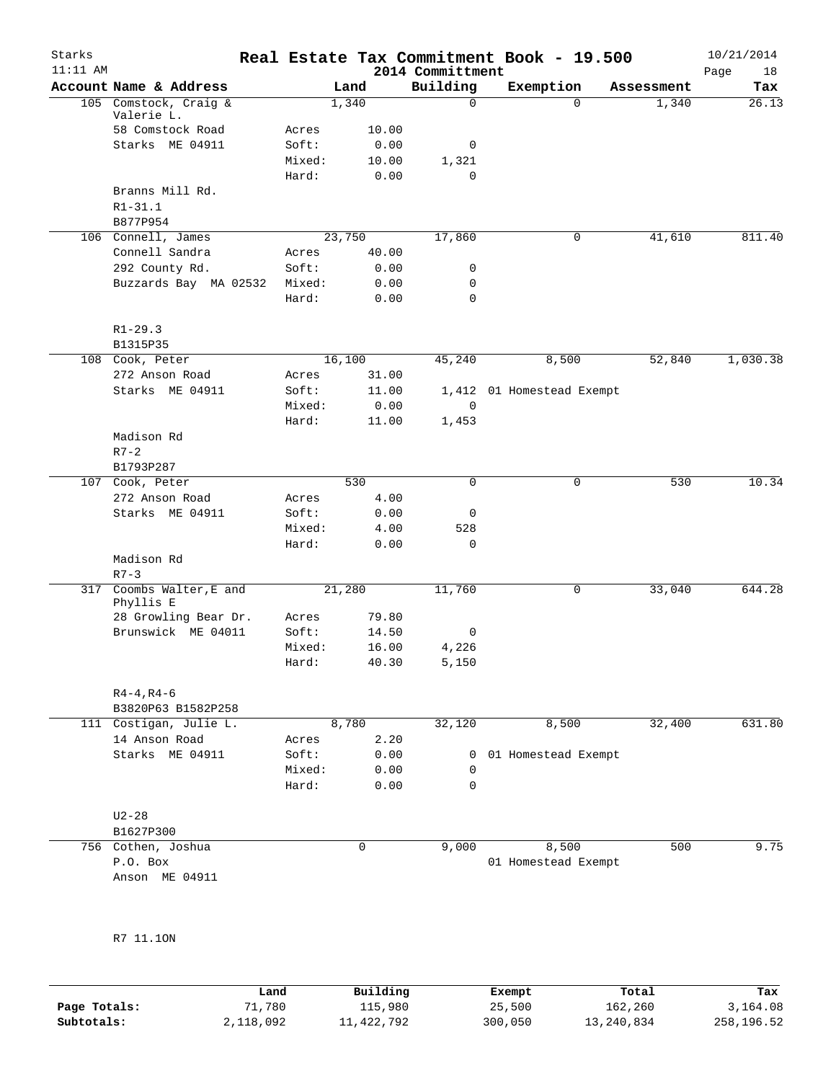| Starks<br>$11:11$ AM |                                |        |        |       | Real Estate Tax Commitment Book - 19.500<br>2014 Committment |                           |             |            | 10/21/2014<br>Page<br>18 |
|----------------------|--------------------------------|--------|--------|-------|--------------------------------------------------------------|---------------------------|-------------|------------|--------------------------|
|                      | Account Name & Address         |        | Land   |       | Building                                                     | Exemption                 |             | Assessment | Tax                      |
|                      | 105 Comstock, Craig &          |        | 1,340  |       | 0                                                            |                           | $\Omega$    | 1,340      | 26.13                    |
|                      | Valerie L.<br>58 Comstock Road | Acres  |        | 10.00 |                                                              |                           |             |            |                          |
|                      | Starks ME 04911                | Soft:  |        | 0.00  | 0                                                            |                           |             |            |                          |
|                      |                                | Mixed: |        | 10.00 | 1,321                                                        |                           |             |            |                          |
|                      |                                | Hard:  |        | 0.00  | $\Omega$                                                     |                           |             |            |                          |
|                      | Branns Mill Rd.                |        |        |       |                                                              |                           |             |            |                          |
|                      | $R1 - 31.1$                    |        |        |       |                                                              |                           |             |            |                          |
|                      | B877P954                       |        |        |       |                                                              |                           |             |            |                          |
|                      | 106 Connell, James             |        | 23,750 |       | 17,860                                                       |                           | 0           | 41,610     | 811.40                   |
|                      | Connell Sandra                 | Acres  |        | 40.00 |                                                              |                           |             |            |                          |
|                      | 292 County Rd.                 | Soft:  |        | 0.00  | 0                                                            |                           |             |            |                          |
|                      | Buzzards Bay MA 02532          | Mixed: |        | 0.00  | 0                                                            |                           |             |            |                          |
|                      |                                | Hard:  |        | 0.00  | 0                                                            |                           |             |            |                          |
|                      | $R1 - 29.3$                    |        |        |       |                                                              |                           |             |            |                          |
|                      | B1315P35<br>108 Cook, Peter    |        | 16,100 |       | 45,240                                                       | 8,500                     |             | 52,840     | 1,030.38                 |
|                      | 272 Anson Road                 | Acres  |        | 31.00 |                                                              |                           |             |            |                          |
|                      | Starks ME 04911                | Soft:  |        | 11.00 |                                                              | 1,412 01 Homestead Exempt |             |            |                          |
|                      |                                | Mixed: |        | 0.00  | $\mathbf 0$                                                  |                           |             |            |                          |
|                      |                                | Hard:  |        | 11.00 | 1,453                                                        |                           |             |            |                          |
|                      | Madison Rd                     |        |        |       |                                                              |                           |             |            |                          |
|                      | $R7 - 2$                       |        |        |       |                                                              |                           |             |            |                          |
|                      | B1793P287                      |        |        |       |                                                              |                           |             |            |                          |
|                      | 107 Cook, Peter                |        | 530    |       | $\Omega$                                                     |                           | $\mathbf 0$ | 530        | 10.34                    |
|                      | 272 Anson Road                 | Acres  |        | 4.00  |                                                              |                           |             |            |                          |
|                      | Starks ME 04911                | Soft:  |        | 0.00  | 0                                                            |                           |             |            |                          |
|                      |                                | Mixed: |        | 4.00  | 528                                                          |                           |             |            |                          |
|                      |                                | Hard:  |        | 0.00  | 0                                                            |                           |             |            |                          |
|                      | Madison Rd<br>$R7 - 3$         |        |        |       |                                                              |                           |             |            |                          |
|                      | 317 Coombs Walter, E and       |        | 21,280 |       | 11,760                                                       |                           | 0           | 33,040     | 644.28                   |
|                      | Phyllis E                      |        |        |       |                                                              |                           |             |            |                          |
|                      | 28 Growling Bear Dr.           | Acres  |        | 79.80 |                                                              |                           |             |            |                          |
|                      | Brunswick ME 04011             | Soft:  |        | 14.50 | 0                                                            |                           |             |            |                          |
|                      |                                | Mixed: |        | 16.00 | 4,226                                                        |                           |             |            |                          |
|                      |                                | Hard:  |        | 40.30 | 5,150                                                        |                           |             |            |                          |
|                      | $R4 - 4, R4 - 6$               |        |        |       |                                                              |                           |             |            |                          |
|                      | B3820P63 B1582P258             |        |        |       |                                                              |                           |             |            |                          |
|                      | 111 Costigan, Julie L.         |        | 8,780  |       | 32,120                                                       | 8,500                     |             | 32,400     | 631.80                   |
|                      | 14 Anson Road                  | Acres  |        | 2.20  |                                                              |                           |             |            |                          |
|                      | Starks ME 04911                | Soft:  |        | 0.00  | 0                                                            | 01 Homestead Exempt       |             |            |                          |
|                      |                                | Mixed: |        | 0.00  | 0                                                            |                           |             |            |                          |
|                      |                                | Hard:  |        | 0.00  | $\mathbf 0$                                                  |                           |             |            |                          |
|                      | $U2 - 28$                      |        |        |       |                                                              |                           |             |            |                          |
|                      | B1627P300                      |        |        |       |                                                              |                           |             |            |                          |
|                      | 756 Cothen, Joshua             |        |        | 0     | 9,000                                                        | 8,500                     |             | 500        | 9.75                     |
|                      | P.O. Box                       |        |        |       |                                                              | 01 Homestead Exempt       |             |            |                          |
|                      | Anson ME 04911                 |        |        |       |                                                              |                           |             |            |                          |

R7 11.1ON

|              | Land      | Building   | Exempt  | Total      | Tax        |
|--------------|-----------|------------|---------|------------|------------|
| Page Totals: | 71,780    | 115,980    | 25,500  | 162,260    | 3,164.08   |
| Subtotals:   | 2,118,092 | 11,422,792 | 300,050 | 13,240,834 | 258,196.52 |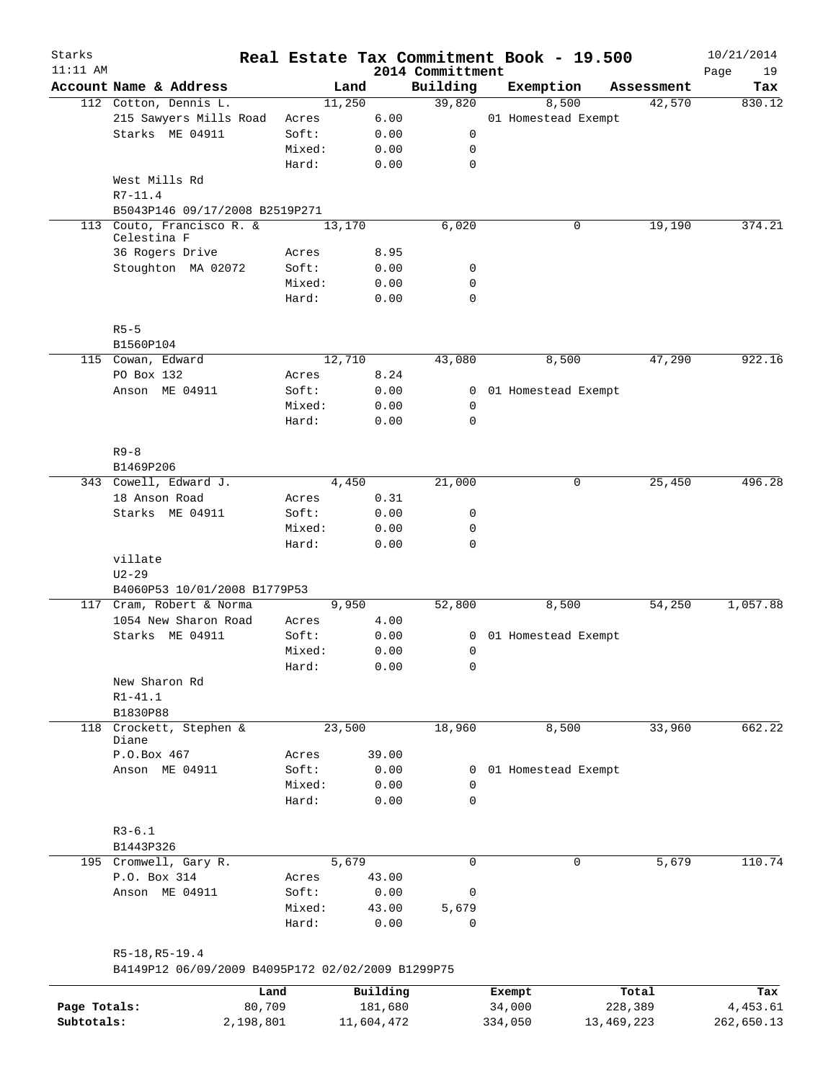| Starks<br>$11:11$ AM |                                                   |           |        |        |            |                              | Real Estate Tax Commitment Book - 19.500 |            |            | 10/21/2014        |
|----------------------|---------------------------------------------------|-----------|--------|--------|------------|------------------------------|------------------------------------------|------------|------------|-------------------|
|                      | Account Name & Address                            |           |        | Land   |            | 2014 Committment<br>Building | Exemption                                |            | Assessment | Page<br>19<br>Tax |
|                      | 112 Cotton, Dennis L.                             |           |        | 11,250 |            | 39,820                       | 8,500                                    |            | 42,570     | 830.12            |
|                      | 215 Sawyers Mills Road                            |           | Acres  |        | 6.00       |                              | 01 Homestead Exempt                      |            |            |                   |
|                      | Starks ME 04911                                   |           | Soft:  |        | 0.00       | 0                            |                                          |            |            |                   |
|                      |                                                   |           | Mixed: |        | 0.00       | 0                            |                                          |            |            |                   |
|                      |                                                   |           | Hard:  |        | 0.00       | $\mathbf 0$                  |                                          |            |            |                   |
|                      | West Mills Rd<br>$R7 - 11.4$                      |           |        |        |            |                              |                                          |            |            |                   |
|                      | B5043P146 09/17/2008 B2519P271                    |           |        |        |            |                              |                                          |            |            |                   |
|                      | 113 Couto, Francisco R. &                         |           |        | 13,170 |            | 6,020                        | 0                                        |            | 19,190     | 374.21            |
|                      | Celestina F                                       |           |        |        |            |                              |                                          |            |            |                   |
|                      | 36 Rogers Drive                                   |           | Acres  |        | 8.95       |                              |                                          |            |            |                   |
|                      | Stoughton MA 02072                                |           | Soft:  |        | 0.00       | 0                            |                                          |            |            |                   |
|                      |                                                   |           | Mixed: |        | 0.00       | $\mathbf 0$                  |                                          |            |            |                   |
|                      |                                                   |           | Hard:  |        | 0.00       | 0                            |                                          |            |            |                   |
|                      | $R5-5$                                            |           |        |        |            |                              |                                          |            |            |                   |
|                      | B1560P104                                         |           |        |        |            |                              |                                          |            |            |                   |
|                      | 115 Cowan, Edward                                 |           |        | 12,710 |            | 43,080                       | 8,500                                    |            | 47,290     | 922.16            |
|                      | PO Box 132                                        |           | Acres  |        | 8.24       |                              |                                          |            |            |                   |
|                      | Anson ME 04911                                    |           | Soft:  |        | 0.00       |                              | 0 01 Homestead Exempt                    |            |            |                   |
|                      |                                                   |           | Mixed: |        | 0.00       | 0                            |                                          |            |            |                   |
|                      |                                                   |           | Hard:  |        | 0.00       | 0                            |                                          |            |            |                   |
|                      | $R9 - 8$                                          |           |        |        |            |                              |                                          |            |            |                   |
|                      | B1469P206                                         |           |        |        |            |                              |                                          |            |            |                   |
|                      | 343 Cowell, Edward J.                             |           |        | 4,450  |            | 21,000                       | 0                                        |            | 25,450     | 496.28            |
|                      | 18 Anson Road                                     |           | Acres  |        | 0.31       |                              |                                          |            |            |                   |
|                      | Starks ME 04911                                   |           | Soft:  |        | 0.00       | 0                            |                                          |            |            |                   |
|                      |                                                   |           | Mixed: |        | 0.00       | 0                            |                                          |            |            |                   |
|                      |                                                   |           | Hard:  |        | 0.00       | 0                            |                                          |            |            |                   |
|                      | villate                                           |           |        |        |            |                              |                                          |            |            |                   |
|                      | $U2 - 29$                                         |           |        |        |            |                              |                                          |            |            |                   |
|                      | B4060P53 10/01/2008 B1779P53                      |           |        |        |            |                              |                                          |            |            |                   |
|                      | 117 Cram, Robert & Norma                          |           |        | 9,950  |            | 52,800                       | 8,500                                    |            | 54,250     | 1,057.88          |
|                      | 1054 New Sharon Road                              |           | Acres  |        | 4.00       |                              |                                          |            |            |                   |
|                      | Starks ME 04911                                   |           | Soft:  |        | 0.00       |                              | 0 01 Homestead Exempt                    |            |            |                   |
|                      |                                                   |           | Mixed: |        | 0.00       | 0                            |                                          |            |            |                   |
|                      |                                                   |           | Hard:  |        | 0.00       | 0                            |                                          |            |            |                   |
|                      | New Sharon Rd                                     |           |        |        |            |                              |                                          |            |            |                   |
|                      | $R1 - 41.1$                                       |           |        |        |            |                              |                                          |            |            |                   |
|                      | B1830P88                                          |           |        |        |            |                              |                                          |            |            |                   |
|                      | 118 Crockett, Stephen &                           |           |        | 23,500 |            | 18,960                       | 8,500                                    |            | 33,960     | 662.22            |
|                      | Diane                                             |           |        |        |            |                              |                                          |            |            |                   |
|                      | P.O.Box 467                                       |           | Acres  |        | 39.00      |                              |                                          |            |            |                   |
|                      | Anson ME 04911                                    |           | Soft:  |        | 0.00       | 0                            | 01 Homestead Exempt                      |            |            |                   |
|                      |                                                   |           | Mixed: |        | 0.00       | $\Omega$                     |                                          |            |            |                   |
|                      |                                                   |           | Hard:  |        | 0.00       | $\mathbf 0$                  |                                          |            |            |                   |
|                      | $R3 - 6.1$                                        |           |        |        |            |                              |                                          |            |            |                   |
|                      | B1443P326                                         |           |        |        |            |                              |                                          |            |            |                   |
|                      | 195 Cromwell, Gary R.                             |           |        | 5,679  |            | 0                            | 0                                        |            | 5,679      | 110.74            |
|                      | P.O. Box 314                                      |           | Acres  |        | 43.00      |                              |                                          |            |            |                   |
|                      | Anson ME 04911                                    |           | Soft:  |        | 0.00       | 0                            |                                          |            |            |                   |
|                      |                                                   |           | Mixed: |        | 43.00      | 5,679                        |                                          |            |            |                   |
|                      |                                                   |           | Hard:  |        | 0.00       | 0                            |                                          |            |            |                   |
|                      | R5-18, R5-19.4                                    |           |        |        |            |                              |                                          |            |            |                   |
|                      | B4149P12 06/09/2009 B4095P172 02/02/2009 B1299P75 |           |        |        |            |                              |                                          |            |            |                   |
|                      |                                                   | Land      |        |        | Building   |                              | Exempt                                   |            | Total      | Tax               |
| Page Totals:         |                                                   | 80,709    |        |        | 181,680    |                              | 34,000                                   | 228,389    |            | 4,453.61          |
| Subtotals:           |                                                   | 2,198,801 |        |        | 11,604,472 |                              | 334,050                                  | 13,469,223 |            | 262,650.13        |
|                      |                                                   |           |        |        |            |                              |                                          |            |            |                   |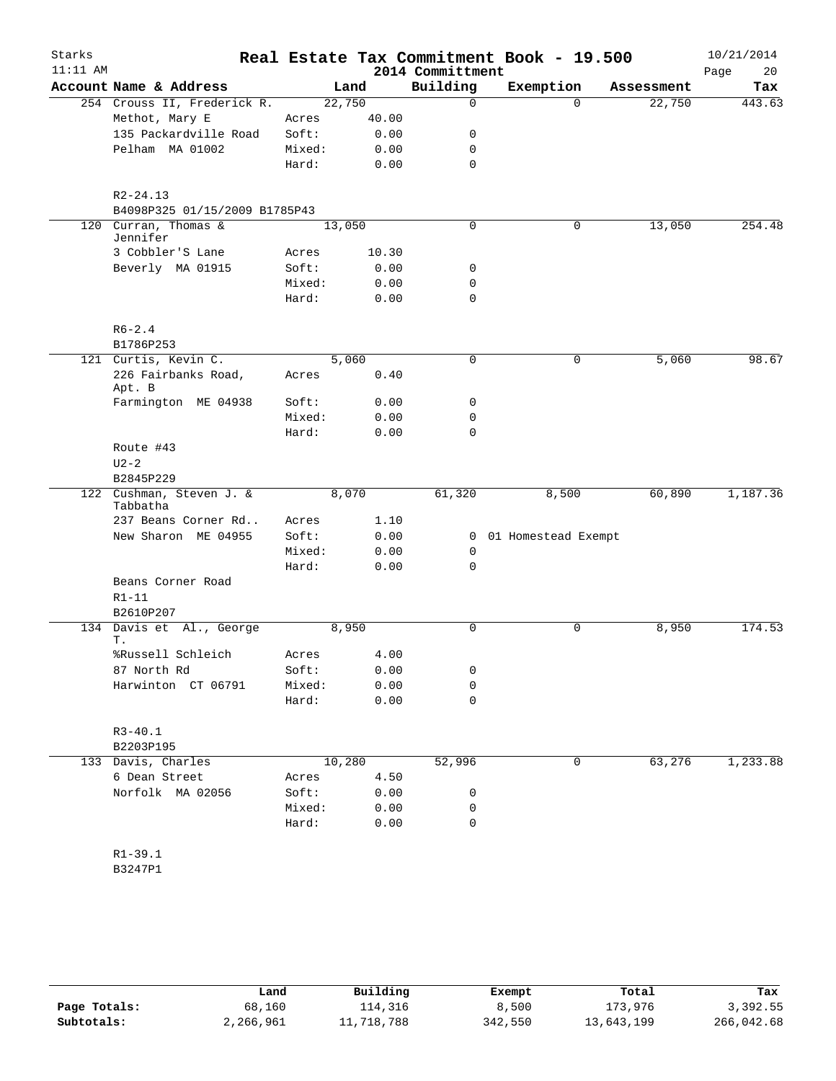| Starks<br>$11:11$ AM |                                               |        |        | 2014 Committment | Real Estate Tax Commitment Book - 19.500 |            | 10/21/2014<br>Page<br>20 |
|----------------------|-----------------------------------------------|--------|--------|------------------|------------------------------------------|------------|--------------------------|
|                      | Account Name & Address                        |        | Land   | Building         | Exemption                                | Assessment | Tax                      |
|                      | 254 Crouss II, Frederick R.                   |        | 22,750 | 0                | $\Omega$                                 | 22,750     | 443.63                   |
|                      | Methot, Mary E                                | Acres  | 40.00  |                  |                                          |            |                          |
|                      | 135 Packardville Road                         | Soft:  | 0.00   | 0                |                                          |            |                          |
|                      | Pelham MA 01002                               | Mixed: | 0.00   | 0                |                                          |            |                          |
|                      |                                               | Hard:  | 0.00   | $\mathbf 0$      |                                          |            |                          |
|                      |                                               |        |        |                  |                                          |            |                          |
|                      | $R2 - 24.13$<br>B4098P325 01/15/2009 B1785P43 |        |        |                  |                                          |            |                          |
|                      | 120 Curran, Thomas &                          |        | 13,050 | 0                | 0                                        | 13,050     | 254.48                   |
|                      | Jennifer                                      |        |        |                  |                                          |            |                          |
|                      | 3 Cobbler'S Lane                              | Acres  | 10.30  |                  |                                          |            |                          |
|                      | Beverly MA 01915                              | Soft:  | 0.00   | 0                |                                          |            |                          |
|                      |                                               | Mixed: | 0.00   | 0                |                                          |            |                          |
|                      |                                               | Hard:  | 0.00   | 0                |                                          |            |                          |
|                      | $R6 - 2.4$                                    |        |        |                  |                                          |            |                          |
|                      | B1786P253                                     |        |        |                  |                                          |            |                          |
|                      | 121 Curtis, Kevin C.                          |        | 5,060  | $\mathbf 0$      | $\mathbf 0$                              | 5,060      | 98.67                    |
|                      | 226 Fairbanks Road,                           | Acres  | 0.40   |                  |                                          |            |                          |
|                      | Apt. B<br>Farmington ME 04938                 | Soft:  | 0.00   | 0                |                                          |            |                          |
|                      |                                               | Mixed: | 0.00   | 0                |                                          |            |                          |
|                      |                                               | Hard:  | 0.00   | $\Omega$         |                                          |            |                          |
|                      | Route #43                                     |        |        |                  |                                          |            |                          |
|                      | $U2-2$                                        |        |        |                  |                                          |            |                          |
|                      | B2845P229                                     |        |        |                  |                                          |            |                          |
|                      | 122 Cushman, Steven J. &                      |        | 8,070  | 61,320           | 8,500                                    | 60,890     | 1,187.36                 |
|                      | Tabbatha                                      |        |        |                  |                                          |            |                          |
|                      | 237 Beans Corner Rd                           | Acres  | 1.10   |                  |                                          |            |                          |
|                      | New Sharon ME 04955                           | Soft:  | 0.00   |                  | 0 01 Homestead Exempt                    |            |                          |
|                      |                                               | Mixed: | 0.00   | 0                |                                          |            |                          |
|                      |                                               | Hard:  | 0.00   | $\mathbf 0$      |                                          |            |                          |
|                      | Beans Corner Road                             |        |        |                  |                                          |            |                          |
|                      | $R1-11$                                       |        |        |                  |                                          |            |                          |
|                      | B2610P207                                     |        |        |                  |                                          |            |                          |
|                      | 134 Davis et Al., George<br>Т.                |        | 8,950  | 0                | 0                                        | 8,950      | 174.53                   |
|                      | %Russell Schleich                             | Acres  | 4.00   |                  |                                          |            |                          |
|                      | 87 North Rd                                   | Soft:  | 0.00   | 0                |                                          |            |                          |
|                      | Harwinton CT 06791                            | Mixed: | 0.00   | 0                |                                          |            |                          |
|                      |                                               | Hard:  | 0.00   | 0                |                                          |            |                          |
|                      |                                               |        |        |                  |                                          |            |                          |
|                      | $R3 - 40.1$                                   |        |        |                  |                                          |            |                          |
|                      | B2203P195                                     |        |        |                  |                                          |            |                          |
|                      | 133 Davis, Charles                            |        | 10,280 | 52,996           | 0                                        | 63,276     | 1,233.88                 |
|                      | 6 Dean Street                                 | Acres  | 4.50   |                  |                                          |            |                          |
|                      | Norfolk MA 02056                              | Soft:  | 0.00   | 0                |                                          |            |                          |
|                      |                                               | Mixed: | 0.00   | 0                |                                          |            |                          |
|                      |                                               | Hard:  | 0.00   | 0                |                                          |            |                          |
|                      | $R1 - 39.1$                                   |        |        |                  |                                          |            |                          |
|                      | B3247P1                                       |        |        |                  |                                          |            |                          |
|                      |                                               |        |        |                  |                                          |            |                          |
|                      |                                               |        |        |                  |                                          |            |                          |

|              | Land      | Building   | Exempt  | Total      | Tax        |
|--------------|-----------|------------|---------|------------|------------|
| Page Totals: | 68,160    | 114,316    | 8,500   | 173,976    | 3,392.55   |
| Subtotals:   | 2,266,961 | 11,718,788 | 342,550 | 13,643,199 | 266,042.68 |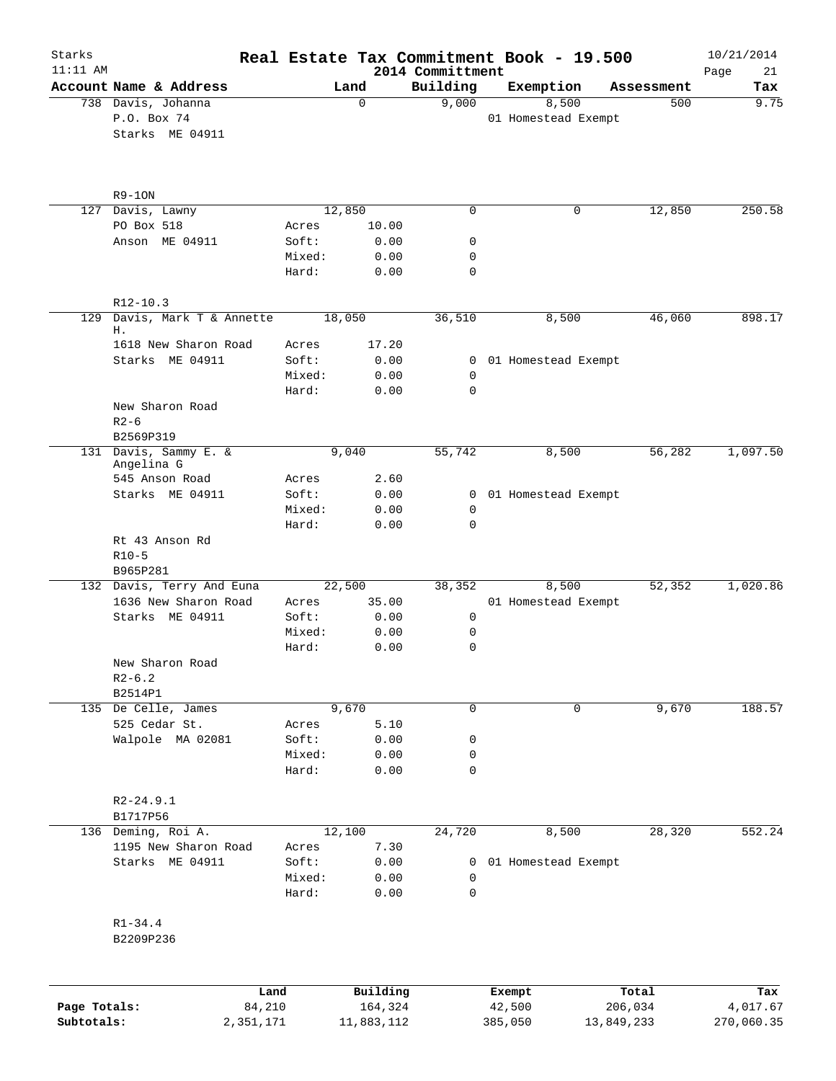| Starks<br>$11:11$ AM |                                       |                 |                     |                              | Real Estate Tax Commitment Book - 19.500 |                  | 10/21/2014        |
|----------------------|---------------------------------------|-----------------|---------------------|------------------------------|------------------------------------------|------------------|-------------------|
|                      | Account Name & Address                |                 | Land                | 2014 Committment<br>Building | Exemption                                | Assessment       | Page<br>21<br>Tax |
|                      | 738 Davis, Johanna<br>P.O. Box 74     |                 | 0                   | 9,000                        | 8,500<br>01 Homestead Exempt             | 500              | 9.75              |
|                      | Starks ME 04911                       |                 |                     |                              |                                          |                  |                   |
|                      | $R9-10N$                              |                 |                     |                              |                                          |                  |                   |
| 127                  | Davis, Lawny                          |                 | 12,850              | $\mathbf 0$                  | 0                                        | 12,850           | 250.58            |
|                      | PO Box 518                            | Acres           | 10.00               |                              |                                          |                  |                   |
|                      | Anson ME 04911                        | Soft:<br>Mixed: | 0.00<br>0.00        | 0<br>0                       |                                          |                  |                   |
|                      |                                       | Hard:           | 0.00                | 0                            |                                          |                  |                   |
|                      | $R12-10.3$                            |                 |                     |                              |                                          |                  |                   |
| 129                  | Davis, Mark T & Annette<br>Η.         |                 | 18,050              | 36,510                       | 8,500                                    | 46,060           | 898.17            |
|                      | 1618 New Sharon Road                  | Acres           | 17.20               |                              |                                          |                  |                   |
|                      | Starks ME 04911                       | Soft:           | 0.00                |                              | 0 01 Homestead Exempt                    |                  |                   |
|                      |                                       | Mixed:          | 0.00                | 0                            |                                          |                  |                   |
|                      |                                       | Hard:           | 0.00                | $\mathbf 0$                  |                                          |                  |                   |
|                      | New Sharon Road<br>$R2-6$             |                 |                     |                              |                                          |                  |                   |
|                      | B2569P319                             |                 |                     |                              |                                          |                  |                   |
|                      | 131 Davis, Sammy E. &<br>Angelina G   |                 | 9,040               | 55,742                       | 8,500                                    | 56,282           | 1,097.50          |
|                      | 545 Anson Road                        | Acres           | 2.60                |                              |                                          |                  |                   |
|                      | Starks ME 04911                       | Soft:           | 0.00                | $\mathbf{0}$                 | 01 Homestead Exempt                      |                  |                   |
|                      |                                       | Mixed:          | 0.00                | 0                            |                                          |                  |                   |
|                      |                                       | Hard:           | 0.00                | $\mathbf 0$                  |                                          |                  |                   |
|                      | Rt 43 Anson Rd<br>$R10-5$<br>B965P281 |                 |                     |                              |                                          |                  |                   |
|                      | 132 Davis, Terry And Euna             |                 | 22,500              | 38,352                       | 8,500                                    | 52,352           | 1,020.86          |
|                      | 1636 New Sharon Road                  | Acres           | 35.00               |                              | 01 Homestead Exempt                      |                  |                   |
|                      | Starks ME 04911                       | Soft:           | 0.00                | 0                            |                                          |                  |                   |
|                      |                                       | Mixed:          | 0.00                | 0                            |                                          |                  |                   |
|                      |                                       | Hard:           | 0.00                | $\mathbf 0$                  |                                          |                  |                   |
|                      | New Sharon Road                       |                 |                     |                              |                                          |                  |                   |
|                      | $R2 - 6.2$                            |                 |                     |                              |                                          |                  |                   |
|                      | B2514P1                               |                 | 9,670               | 0                            | 0                                        |                  |                   |
|                      | 135 De Celle, James<br>525 Cedar St.  | Acres           | 5.10                |                              |                                          | 9,670            | 188.57            |
|                      | Walpole MA 02081                      | Soft:           | 0.00                | 0                            |                                          |                  |                   |
|                      |                                       | Mixed:          | 0.00                | 0                            |                                          |                  |                   |
|                      |                                       | Hard:           | 0.00                | 0                            |                                          |                  |                   |
|                      | $R2 - 24.9.1$                         |                 |                     |                              |                                          |                  |                   |
|                      | B1717P56                              |                 |                     |                              |                                          |                  |                   |
|                      | 136 Deming, Roi A.                    |                 | 12,100              | 24,720                       | 8,500                                    | 28,320           | 552.24            |
|                      | 1195 New Sharon Road                  | Acres           | 7.30                |                              |                                          |                  |                   |
|                      | Starks ME 04911                       | Soft:<br>Mixed: | 0.00<br>0.00        | 0<br>0                       | 01 Homestead Exempt                      |                  |                   |
|                      |                                       | Hard:           | 0.00                | 0                            |                                          |                  |                   |
|                      | $R1 - 34.4$<br>B2209P236              |                 |                     |                              |                                          |                  |                   |
|                      |                                       |                 |                     |                              |                                          |                  |                   |
| Page Totals:         | Land<br>84,210                        |                 | Building<br>164,324 |                              | Exempt<br>42,500                         | Total<br>206,034 | Tax<br>4,017.67   |
| Subtotals:           | 2,351,171                             |                 | 11,883,112          |                              | 385,050                                  | 13,849,233       | 270,060.35        |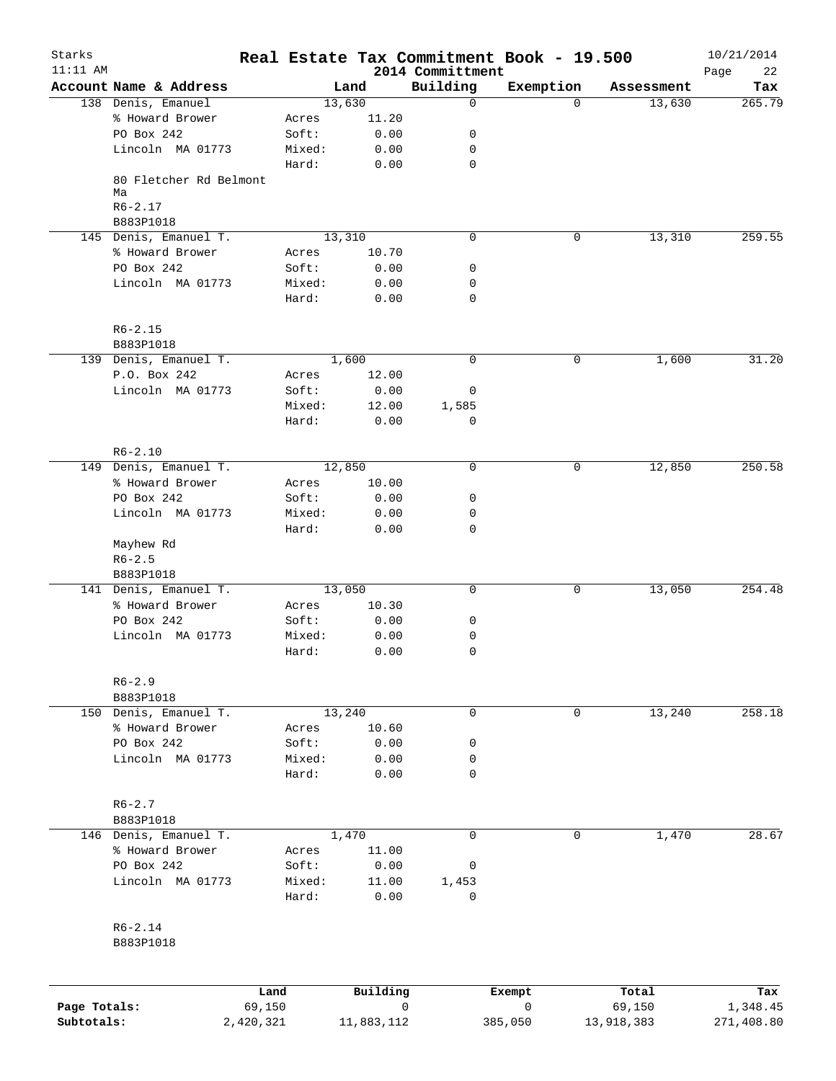| Starks       |                              |                |        |                         |                              | Real Estate Tax Commitment Book - 19.500 |                 | 10/21/2014        |
|--------------|------------------------------|----------------|--------|-------------------------|------------------------------|------------------------------------------|-----------------|-------------------|
| $11:11$ AM   | Account Name & Address       |                |        | Land                    | 2014 Committment<br>Building | Exemption                                | Assessment      | Page<br>22<br>Tax |
|              | 138 Denis, Emanuel           |                |        | 13,630                  | $\mathbf 0$                  | $\Omega$                                 | 13,630          | 265.79            |
|              | % Howard Brower              |                | Acres  | 11.20                   |                              |                                          |                 |                   |
|              | PO Box 242                   |                | Soft:  | 0.00                    | 0                            |                                          |                 |                   |
|              | Lincoln MA 01773             |                | Mixed: | 0.00                    | 0                            |                                          |                 |                   |
|              |                              |                | Hard:  | 0.00                    | $\mathbf 0$                  |                                          |                 |                   |
|              | 80 Fletcher Rd Belmont<br>Ma |                |        |                         |                              |                                          |                 |                   |
|              | $R6 - 2.17$<br>B883P1018     |                |        |                         |                              |                                          |                 |                   |
|              | 145 Denis, Emanuel T.        |                |        | 13,310                  | 0                            | 0                                        | 13,310          | 259.55            |
|              | % Howard Brower              |                | Acres  | 10.70                   |                              |                                          |                 |                   |
|              | PO Box 242                   |                | Soft:  | 0.00                    | 0                            |                                          |                 |                   |
|              | Lincoln MA 01773             |                | Mixed: | 0.00                    | 0                            |                                          |                 |                   |
|              |                              |                | Hard:  | 0.00                    | 0                            |                                          |                 |                   |
|              | $R6 - 2.15$                  |                |        |                         |                              |                                          |                 |                   |
|              | B883P1018                    |                |        |                         |                              |                                          |                 |                   |
|              | 139 Denis, Emanuel T.        |                |        | 1,600                   | $\mathbf 0$                  | 0                                        | 1,600           | 31.20             |
|              | P.O. Box 242                 |                | Acres  | 12.00                   |                              |                                          |                 |                   |
|              | Lincoln MA 01773             |                | Soft:  | 0.00                    | 0                            |                                          |                 |                   |
|              |                              |                | Mixed: | 12.00                   | 1,585                        |                                          |                 |                   |
|              |                              |                | Hard:  | 0.00                    | 0                            |                                          |                 |                   |
|              | $R6 - 2.10$                  |                |        |                         |                              |                                          |                 |                   |
|              | 149 Denis, Emanuel T.        |                |        | 12,850                  | $\Omega$                     | $\mathbf 0$                              | 12,850          | 250.58            |
|              | % Howard Brower              |                | Acres  | 10.00                   |                              |                                          |                 |                   |
|              | PO Box 242                   |                | Soft:  | 0.00                    | 0                            |                                          |                 |                   |
|              | Lincoln MA 01773             |                | Mixed: | 0.00                    | 0                            |                                          |                 |                   |
|              | Mayhew Rd                    |                | Hard:  | 0.00                    | 0                            |                                          |                 |                   |
|              | $R6 - 2.5$<br>B883P1018      |                |        |                         |                              |                                          |                 |                   |
|              | 141 Denis, Emanuel T.        |                |        | 13,050                  | 0                            | 0                                        | 13,050          | 254.48            |
|              | % Howard Brower              |                | Acres  | 10.30                   |                              |                                          |                 |                   |
|              | PO Box 242                   |                | Soft:  | 0.00                    | 0                            |                                          |                 |                   |
|              | Lincoln MA 01773             |                | Mixed: | 0.00                    | 0                            |                                          |                 |                   |
|              |                              |                | Hard:  | 0.00                    | $\mathbf 0$                  |                                          |                 |                   |
|              | $R6 - 2.9$                   |                |        |                         |                              |                                          |                 |                   |
|              | B883P1018                    |                |        |                         |                              |                                          |                 |                   |
|              | 150 Denis, Emanuel T.        |                |        | 13,240                  | 0                            | 0                                        | 13,240          | 258.18            |
|              | % Howard Brower              |                | Acres  | 10.60                   |                              |                                          |                 |                   |
|              | PO Box 242                   |                | Soft:  | 0.00                    | 0                            |                                          |                 |                   |
|              | Lincoln MA 01773             |                | Mixed: | 0.00                    | 0                            |                                          |                 |                   |
|              |                              |                | Hard:  | 0.00                    | $\mathbf 0$                  |                                          |                 |                   |
|              | $R6 - 2.7$                   |                |        |                         |                              |                                          |                 |                   |
|              | B883P1018                    |                |        |                         |                              |                                          |                 |                   |
|              | 146 Denis, Emanuel T.        |                |        | 1,470                   | $\Omega$                     | 0                                        | 1,470           | 28.67             |
|              | % Howard Brower              |                | Acres  | 11.00                   |                              |                                          |                 |                   |
|              | PO Box 242                   |                | Soft:  | 0.00                    | 0                            |                                          |                 |                   |
|              | Lincoln MA 01773             |                | Mixed: | 11.00                   | 1,453                        |                                          |                 |                   |
|              |                              |                | Hard:  | 0.00                    | 0                            |                                          |                 |                   |
|              | R6-2.14                      |                |        |                         |                              |                                          |                 |                   |
|              | B883P1018                    |                |        |                         |                              |                                          |                 |                   |
|              |                              |                |        |                         |                              |                                          |                 |                   |
| Page Totals: |                              | Land<br>69,150 |        | Building<br>$\mathbf 0$ |                              | Exempt<br>$\mathbf 0$                    | Total<br>69,150 | Tax<br>1,348.45   |
| Subtotals:   |                              | 2,420,321      |        | 11,883,112              |                              | 385,050                                  | 13,918,383      | 271,408.80        |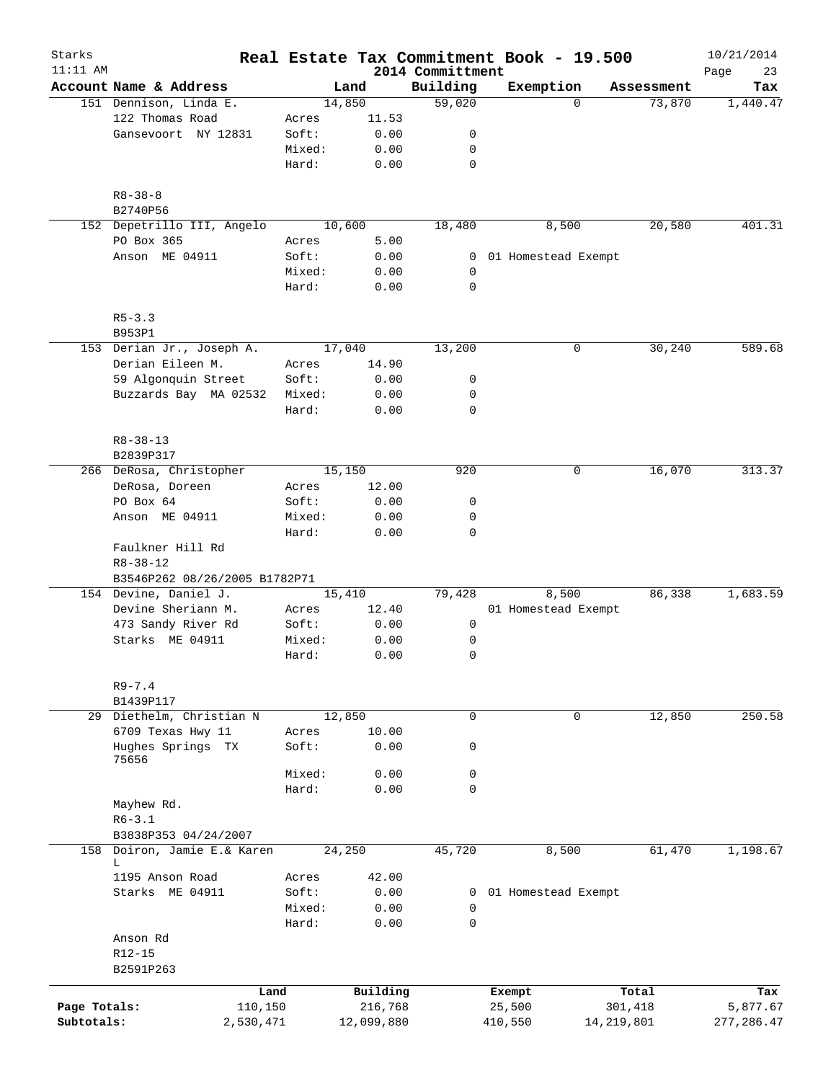| Starks       |                                    |        |            |                              | Real Estate Tax Commitment Book - 19.500 |              | 10/21/2014        |
|--------------|------------------------------------|--------|------------|------------------------------|------------------------------------------|--------------|-------------------|
| $11:11$ AM   | Account Name & Address             |        | Land       | 2014 Committment<br>Building | Exemption                                | Assessment   | 23<br>Page<br>Tax |
|              | 151 Dennison, Linda E.             |        | 14,850     | 59,020                       | $\Omega$                                 | 73,870       | 1,440.47          |
|              | 122 Thomas Road                    | Acres  | 11.53      |                              |                                          |              |                   |
|              | Gansevoort NY 12831                | Soft:  | 0.00       | 0                            |                                          |              |                   |
|              |                                    | Mixed: | 0.00       | 0                            |                                          |              |                   |
|              |                                    | Hard:  | 0.00       | $\mathbf 0$                  |                                          |              |                   |
|              |                                    |        |            |                              |                                          |              |                   |
|              | $R8 - 38 - 8$<br>B2740P56          |        |            |                              |                                          |              |                   |
|              | 152 Depetrillo III, Angelo         |        | 10,600     | 18,480                       | 8,500                                    | 20,580       | 401.31            |
|              | PO Box 365                         | Acres  | 5.00       |                              |                                          |              |                   |
|              | Anson ME 04911                     | Soft:  | 0.00       |                              | 0 01 Homestead Exempt                    |              |                   |
|              |                                    | Mixed: | 0.00       | 0                            |                                          |              |                   |
|              |                                    | Hard:  | 0.00       | 0                            |                                          |              |                   |
|              | $R5 - 3.3$                         |        |            |                              |                                          |              |                   |
|              | B953P1                             |        |            |                              |                                          |              |                   |
|              | 153 Derian Jr., Joseph A.          |        | 17,040     | 13,200                       | 0                                        | 30,240       | 589.68            |
|              | Derian Eileen M.                   | Acres  | 14.90      |                              |                                          |              |                   |
|              | 59 Algonquin Street                | Soft:  | 0.00       | 0                            |                                          |              |                   |
|              | Buzzards Bay MA 02532              | Mixed: | 0.00       | 0                            |                                          |              |                   |
|              |                                    | Hard:  | 0.00       | $\mathbf 0$                  |                                          |              |                   |
|              | $R8 - 38 - 13$                     |        |            |                              |                                          |              |                   |
|              | B2839P317                          |        |            |                              |                                          |              |                   |
|              | 266 DeRosa, Christopher            |        | 15,150     | 920                          | 0                                        | 16,070       | 313.37            |
|              | DeRosa, Doreen                     | Acres  | 12.00      |                              |                                          |              |                   |
|              | PO Box 64                          | Soft:  | 0.00       | 0                            |                                          |              |                   |
|              | Anson ME 04911                     | Mixed: | 0.00       | 0                            |                                          |              |                   |
|              |                                    | Hard:  | 0.00       | 0                            |                                          |              |                   |
|              | Faulkner Hill Rd<br>$R8 - 38 - 12$ |        |            |                              |                                          |              |                   |
|              | B3546P262 08/26/2005 B1782P71      |        |            |                              |                                          |              |                   |
|              | 154 Devine, Daniel J.              |        | 15,410     | 79,428                       | 8,500                                    | 86,338       | 1,683.59          |
|              | Devine Sheriann M.                 | Acres  | 12.40      |                              | 01 Homestead Exempt                      |              |                   |
|              | 473 Sandy River Rd                 | Soft:  | 0.00       | 0                            |                                          |              |                   |
|              | Starks ME 04911                    | Mixed: | 0.00       | 0                            |                                          |              |                   |
|              |                                    | Hard:  | 0.00       | 0                            |                                          |              |                   |
|              | $R9 - 7.4$                         |        |            |                              |                                          |              |                   |
|              | B1439P117                          |        |            |                              |                                          |              |                   |
| 29           | Diethelm, Christian N              |        | 12,850     | 0                            | $\mathbf 0$                              | 12,850       | 250.58            |
|              | 6709 Texas Hwy 11                  | Acres  | 10.00      |                              |                                          |              |                   |
|              | Hughes Springs TX<br>75656         | Soft:  | 0.00       | 0                            |                                          |              |                   |
|              |                                    | Mixed: | 0.00       | 0                            |                                          |              |                   |
|              |                                    | Hard:  | 0.00       | $\mathbf 0$                  |                                          |              |                   |
|              | Mayhew Rd.                         |        |            |                              |                                          |              |                   |
|              | $R6 - 3.1$                         |        |            |                              |                                          |              |                   |
|              | B3838P353 04/24/2007               |        |            |                              |                                          |              |                   |
|              |                                    |        |            |                              |                                          |              |                   |
|              | 158 Doiron, Jamie E.& Karen<br>L   |        | 24,250     | 45,720                       | 8,500                                    | 61,470       | 1,198.67          |
|              | 1195 Anson Road                    | Acres  | 42.00      |                              |                                          |              |                   |
|              | Starks ME 04911                    | Soft:  | 0.00       | $\mathbf{0}$                 | 01 Homestead Exempt                      |              |                   |
|              |                                    | Mixed: | 0.00       | 0                            |                                          |              |                   |
|              |                                    | Hard:  | 0.00       | 0                            |                                          |              |                   |
|              | Anson Rd                           |        |            |                              |                                          |              |                   |
|              | R12-15                             |        |            |                              |                                          |              |                   |
|              | B2591P263                          |        |            |                              |                                          |              |                   |
|              | Land                               |        | Building   |                              | Exempt                                   | Total        | Tax               |
| Page Totals: | 110,150                            |        | 216,768    |                              | 25,500                                   | 301,418      | 5,877.67          |
| Subtotals:   | 2,530,471                          |        | 12,099,880 |                              | 410,550                                  | 14, 219, 801 | 277,286.47        |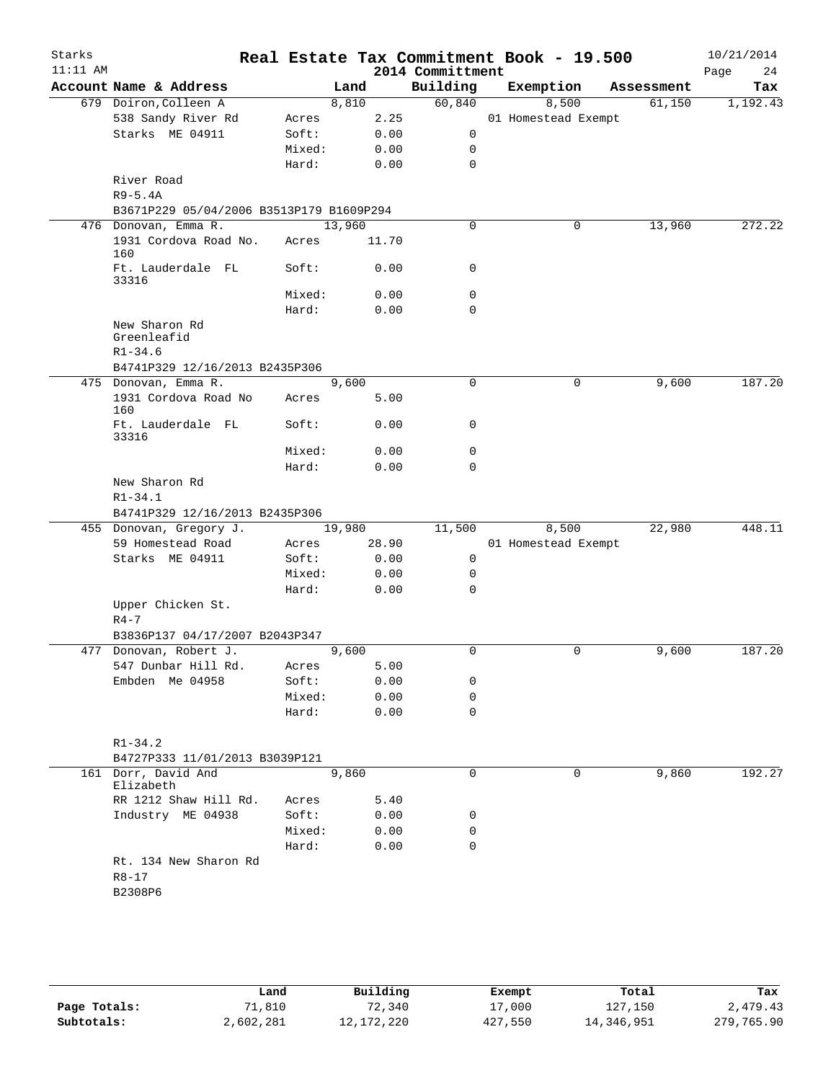| Starks<br>$11:11$ AM |                                               |        |        |       | 2014 Committment | Real Estate Tax Commitment Book - 19.500 |            | 10/21/2014<br>Page<br>24 |
|----------------------|-----------------------------------------------|--------|--------|-------|------------------|------------------------------------------|------------|--------------------------|
|                      | Account Name & Address                        |        | Land   |       | Building         | Exemption                                | Assessment | Tax                      |
|                      | 679 Doiron, Colleen A                         |        | 8,810  |       | 60,840           | 8,500                                    | 61,150     | 1,192.43                 |
|                      | 538 Sandy River Rd                            | Acres  |        | 2.25  |                  | 01 Homestead Exempt                      |            |                          |
|                      | Starks ME 04911                               | Soft:  |        | 0.00  | 0                |                                          |            |                          |
|                      |                                               | Mixed: |        | 0.00  | 0                |                                          |            |                          |
|                      |                                               | Hard:  |        | 0.00  | $\mathbf 0$      |                                          |            |                          |
|                      | River Road                                    |        |        |       |                  |                                          |            |                          |
|                      | $R9-5.4A$                                     |        |        |       |                  |                                          |            |                          |
|                      | B3671P229 05/04/2006 B3513P179 B1609P294      |        |        |       |                  |                                          |            |                          |
|                      | 476 Donovan, Emma R.                          |        | 13,960 |       | $\mathbf 0$      | 0                                        | 13,960     | 272.22                   |
|                      | 1931 Cordova Road No.<br>160                  | Acres  |        | 11.70 |                  |                                          |            |                          |
|                      | Ft. Lauderdale FL<br>33316                    | Soft:  |        | 0.00  | 0                |                                          |            |                          |
|                      |                                               | Mixed: |        | 0.00  | 0                |                                          |            |                          |
|                      |                                               | Hard:  |        | 0.00  | 0                |                                          |            |                          |
|                      | New Sharon Rd<br>Greenleafid<br>$R1 - 34.6$   |        |        |       |                  |                                          |            |                          |
|                      | B4741P329 12/16/2013 B2435P306                |        |        |       |                  |                                          |            |                          |
|                      | 475 Donovan, Emma R.                          |        | 9,600  |       | $\mathbf 0$      | $\mathbf 0$                              | 9,600      | 187.20                   |
|                      | 1931 Cordova Road No<br>160                   | Acres  |        | 5.00  |                  |                                          |            |                          |
|                      | Ft. Lauderdale FL<br>33316                    | Soft:  |        | 0.00  | 0                |                                          |            |                          |
|                      |                                               | Mixed: |        | 0.00  | 0                |                                          |            |                          |
|                      |                                               | Hard:  |        | 0.00  | $\mathbf 0$      |                                          |            |                          |
|                      | New Sharon Rd<br>$R1 - 34.1$                  |        |        |       |                  |                                          |            |                          |
|                      | B4741P329 12/16/2013 B2435P306                |        |        |       |                  |                                          |            |                          |
|                      | 455 Donovan, Gregory J.                       |        | 19,980 |       | 11,500           | 8,500                                    | 22,980     | 448.11                   |
|                      | 59 Homestead Road                             | Acres  |        | 28.90 |                  | 01 Homestead Exempt                      |            |                          |
|                      | Starks ME 04911                               | Soft:  |        | 0.00  | 0                |                                          |            |                          |
|                      |                                               | Mixed: |        | 0.00  | 0                |                                          |            |                          |
|                      |                                               | Hard:  |        | 0.00  | $\mathbf 0$      |                                          |            |                          |
|                      | Upper Chicken St.<br>$R4 - 7$                 |        |        |       |                  |                                          |            |                          |
|                      | B3836P137 04/17/2007 B2043P347                |        |        |       |                  |                                          |            |                          |
|                      | 477 Donovan, Robert J.                        |        | 9,600  |       | 0                | 0                                        | 9,600      | 187.20                   |
|                      | 547 Dunbar Hill Rd.                           | Acres  |        | 5.00  |                  |                                          |            |                          |
|                      | Embden Me 04958                               | Soft:  |        | 0.00  | 0                |                                          |            |                          |
|                      |                                               | Mixed: |        | 0.00  | 0                |                                          |            |                          |
|                      |                                               | Hard:  |        | 0.00  | 0                |                                          |            |                          |
|                      | $R1 - 34.2$<br>B4727P333 11/01/2013 B3039P121 |        |        |       |                  |                                          |            |                          |
|                      | 161 Dorr, David And                           |        | 9,860  |       | 0                | 0                                        | 9,860      | 192.27                   |
|                      | Elizabeth                                     |        |        |       |                  |                                          |            |                          |
|                      | RR 1212 Shaw Hill Rd.                         | Acres  |        | 5.40  |                  |                                          |            |                          |
|                      | Industry ME 04938                             | Soft:  |        | 0.00  | 0                |                                          |            |                          |
|                      |                                               | Mixed: |        | 0.00  | 0                |                                          |            |                          |
|                      |                                               | Hard:  |        | 0.00  | 0                |                                          |            |                          |
|                      | Rt. 134 New Sharon Rd<br>$R8 - 17$<br>B2308P6 |        |        |       |                  |                                          |            |                          |
|                      |                                               |        |        |       |                  |                                          |            |                          |

|              | Land      | Building   | Exempt  | Total      | Tax        |
|--------------|-----------|------------|---------|------------|------------|
| Page Totals: | 71,810    | 72,340     | 17,000  | 127,150    | 2,479.43   |
| Subtotals:   | 2,602,281 | 12,172,220 | 427,550 | 14,346,951 | 279,765.90 |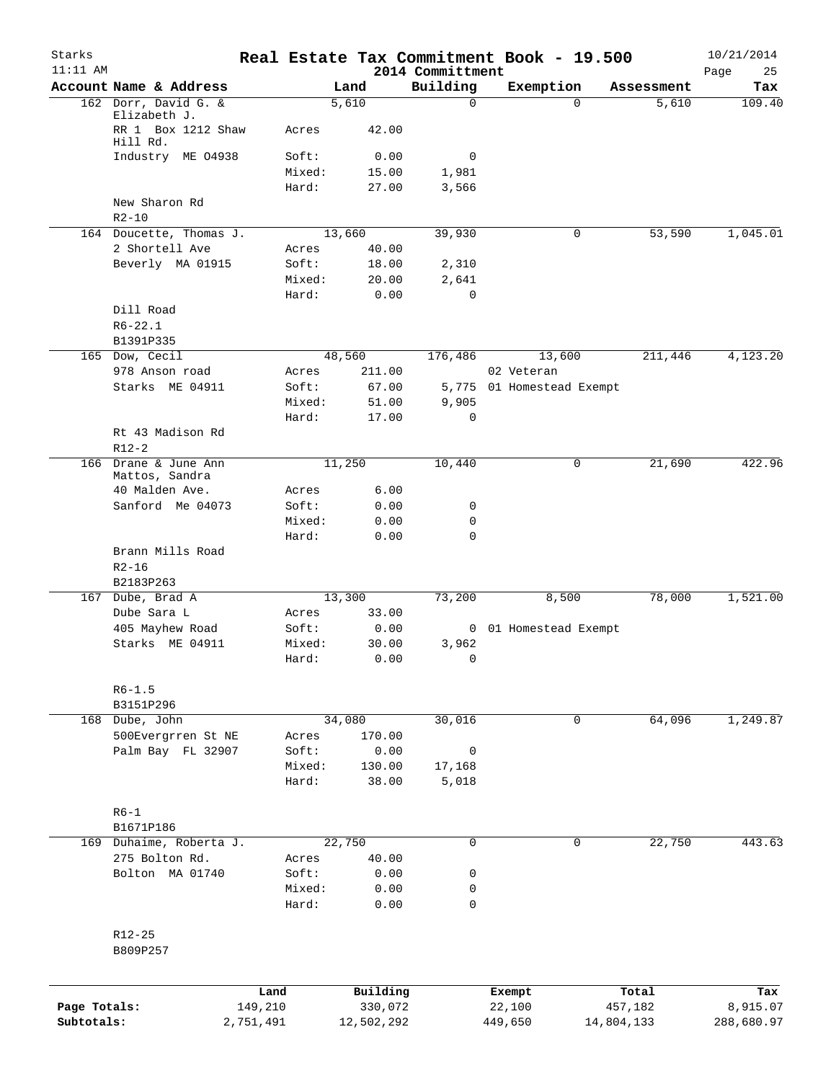| Starks<br>$11:11$ AM |                                                |           |                |                  | 2014 Committment | Real Estate Tax Commitment Book - 19.500 |            | 10/21/2014<br>Page<br>25 |
|----------------------|------------------------------------------------|-----------|----------------|------------------|------------------|------------------------------------------|------------|--------------------------|
|                      | Account Name & Address                         |           |                | Land             | Building         | Exemption                                | Assessment | Tax                      |
|                      | 162 Dorr, David G. &                           |           |                | 5,610            | $\mathbf 0$      | $\Omega$                                 | 5,610      | 109.40                   |
|                      | Elizabeth J.<br>RR 1 Box 1212 Shaw<br>Hill Rd. |           | Acres          | 42.00            |                  |                                          |            |                          |
|                      | Industry ME 04938                              |           | Soft:          | 0.00             | 0                |                                          |            |                          |
|                      |                                                |           | Mixed:         | 15.00            | 1,981            |                                          |            |                          |
|                      |                                                |           | Hard:          | 27.00            | 3,566            |                                          |            |                          |
|                      | New Sharon Rd<br>$R2 - 10$                     |           |                |                  |                  |                                          |            |                          |
|                      | 164 Doucette, Thomas J.                        |           |                | 13,660           | 39,930           | 0                                        | 53,590     | 1,045.01                 |
|                      | 2 Shortell Ave                                 |           | Acres          | 40.00            |                  |                                          |            |                          |
|                      | Beverly MA 01915                               |           | Soft:          | 18.00            | 2,310            |                                          |            |                          |
|                      |                                                |           | Mixed:         | 20.00            | 2,641            |                                          |            |                          |
|                      |                                                |           | Hard:          | 0.00             | 0                |                                          |            |                          |
|                      | Dill Road                                      |           |                |                  |                  |                                          |            |                          |
|                      | $R6 - 22.1$                                    |           |                |                  |                  |                                          |            |                          |
|                      | B1391P335                                      |           |                |                  |                  |                                          |            |                          |
|                      | 165 Dow, Cecil<br>978 Anson road               |           |                | 48,560<br>211.00 | 176,486          | 13,600                                   | 211,446    | 4,123.20                 |
|                      | Starks ME 04911                                |           | Acres<br>Soft: | 67.00            |                  | 02 Veteran<br>5,775 01 Homestead Exempt  |            |                          |
|                      |                                                |           | Mixed:         | 51.00            | 9,905            |                                          |            |                          |
|                      |                                                |           | Hard:          | 17.00            | $\mathbf 0$      |                                          |            |                          |
|                      | Rt 43 Madison Rd                               |           |                |                  |                  |                                          |            |                          |
|                      | $R12-2$                                        |           |                |                  |                  |                                          |            |                          |
| 166                  | Drane & June Ann                               |           |                | 11,250           | 10,440           | 0                                        | 21,690     | 422.96                   |
|                      | Mattos, Sandra<br>40 Malden Ave.               |           | Acres          | 6.00             |                  |                                          |            |                          |
|                      | Sanford Me 04073                               |           | Soft:          | 0.00             | 0                |                                          |            |                          |
|                      |                                                |           | Mixed:         | 0.00             | 0                |                                          |            |                          |
|                      |                                                |           | Hard:          | 0.00             | 0                |                                          |            |                          |
|                      | Brann Mills Road<br>$R2 - 16$<br>B2183P263     |           |                |                  |                  |                                          |            |                          |
|                      | 167 Dube, Brad A                               |           |                | 13,300           | 73,200           | 8,500                                    | 78,000     | 1,521.00                 |
|                      | Dube Sara L                                    |           | Acres          | 33.00            |                  |                                          |            |                          |
|                      | 405 Mayhew Road                                |           | Soft:          | 0.00             |                  | 0 01 Homestead Exempt                    |            |                          |
|                      | Starks ME 04911                                |           | Mixed:         | 30.00            | 3,962            |                                          |            |                          |
|                      |                                                |           | Hard:          | 0.00             | 0                |                                          |            |                          |
|                      | $R6 - 1.5$                                     |           |                |                  |                  |                                          |            |                          |
|                      | B3151P296                                      |           |                |                  |                  |                                          |            |                          |
|                      | 168 Dube, John                                 |           |                | 34,080           | 30,016           | $\mathbf{0}$                             | 64,096     | 1,249.87                 |
|                      | 500Evergrren St NE                             |           | Acres          | 170.00           |                  |                                          |            |                          |
|                      | Palm Bay FL 32907                              |           | Soft:          | 0.00             | $\mathbf 0$      |                                          |            |                          |
|                      |                                                |           | Mixed:         | 130.00           | 17,168           |                                          |            |                          |
|                      |                                                |           | Hard:          | 38.00            | 5,018            |                                          |            |                          |
|                      | $R6-1$                                         |           |                |                  |                  |                                          |            |                          |
|                      | B1671P186                                      |           |                |                  |                  |                                          |            |                          |
|                      | 169 Duhaime, Roberta J.                        |           |                | 22,750           | $\mathbf 0$      | 0                                        | 22,750     | 443.63                   |
|                      | 275 Bolton Rd.                                 |           | Acres          | 40.00            |                  |                                          |            |                          |
|                      | Bolton MA 01740                                |           | Soft:          | 0.00             | 0                |                                          |            |                          |
|                      |                                                |           | Mixed:         | 0.00             | 0                |                                          |            |                          |
|                      |                                                |           | Hard:          | 0.00             | 0                |                                          |            |                          |
|                      | R12-25                                         |           |                |                  |                  |                                          |            |                          |
|                      | B809P257                                       |           |                |                  |                  |                                          |            |                          |
|                      |                                                |           |                |                  |                  |                                          |            |                          |
|                      |                                                | Land      |                | Building         |                  | Exempt                                   | Total      | Tax                      |
| Page Totals:         |                                                | 149,210   |                | 330,072          |                  | 22,100                                   | 457,182    | 8,915.07                 |
| Subtotals:           |                                                | 2,751,491 |                | 12,502,292       |                  | 449,650                                  | 14,804,133 | 288,680.97               |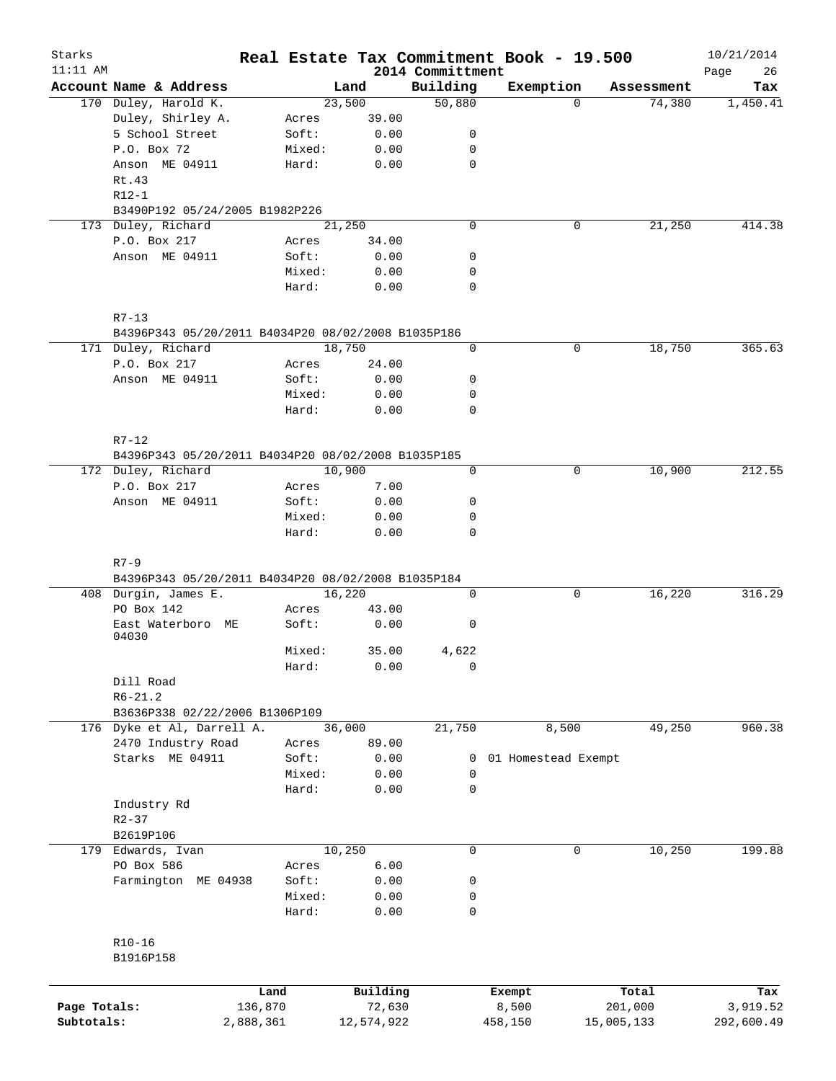| Starks       |                                                    |        |            |                              | Real Estate Tax Commitment Book - 19.500 |             |            | 10/21/2014        |
|--------------|----------------------------------------------------|--------|------------|------------------------------|------------------------------------------|-------------|------------|-------------------|
| $11:11$ AM   | Account Name & Address                             |        | Land       | 2014 Committment<br>Building | Exemption                                |             | Assessment | 26<br>Page<br>Tax |
|              | 170 Duley, Harold K.                               |        | 23,500     | 50,880                       |                                          | $\Omega$    | 74,380     | 1,450.41          |
|              | Duley, Shirley A.                                  | Acres  | 39.00      |                              |                                          |             |            |                   |
|              | 5 School Street                                    | Soft:  | 0.00       | 0                            |                                          |             |            |                   |
|              | P.O. Box 72                                        | Mixed: | 0.00       | 0                            |                                          |             |            |                   |
|              | Anson ME 04911                                     | Hard:  | 0.00       | $\mathbf 0$                  |                                          |             |            |                   |
|              | Rt.43                                              |        |            |                              |                                          |             |            |                   |
|              | $R12-1$                                            |        |            |                              |                                          |             |            |                   |
|              | B3490P192 05/24/2005 B1982P226                     |        |            |                              |                                          |             |            |                   |
|              | 173 Duley, Richard                                 |        | 21,250     | $\mathbf 0$                  |                                          | $\mathbf 0$ | 21,250     | 414.38            |
|              | P.O. Box 217                                       | Acres  | 34.00      |                              |                                          |             |            |                   |
|              | Anson ME 04911                                     | Soft:  | 0.00       | 0                            |                                          |             |            |                   |
|              |                                                    | Mixed: | 0.00       | 0                            |                                          |             |            |                   |
|              |                                                    | Hard:  | 0.00       | 0                            |                                          |             |            |                   |
|              | $R7 - 13$                                          |        |            |                              |                                          |             |            |                   |
|              | B4396P343 05/20/2011 B4034P20 08/02/2008 B1035P186 |        |            |                              |                                          |             |            |                   |
|              | 171 Duley, Richard                                 |        | 18,750     | 0                            |                                          | $\mathbf 0$ | 18,750     | 365.63            |
|              | P.O. Box 217                                       | Acres  | 24.00      |                              |                                          |             |            |                   |
|              | Anson ME 04911                                     | Soft:  | 0.00       | 0                            |                                          |             |            |                   |
|              |                                                    | Mixed: | 0.00       | 0                            |                                          |             |            |                   |
|              |                                                    | Hard:  | 0.00       | 0                            |                                          |             |            |                   |
|              | $R7-12$                                            |        |            |                              |                                          |             |            |                   |
|              | B4396P343 05/20/2011 B4034P20 08/02/2008 B1035P185 |        |            |                              |                                          |             |            |                   |
|              | 172 Duley, Richard                                 |        | 10,900     | $\mathbf 0$                  |                                          | 0           | 10,900     | 212.55            |
|              | P.O. Box 217                                       | Acres  | 7.00       |                              |                                          |             |            |                   |
|              | Anson ME 04911                                     | Soft:  | 0.00       | 0                            |                                          |             |            |                   |
|              |                                                    | Mixed: | 0.00       | 0                            |                                          |             |            |                   |
|              |                                                    | Hard:  | 0.00       | 0                            |                                          |             |            |                   |
|              | $R7 - 9$                                           |        |            |                              |                                          |             |            |                   |
|              | B4396P343 05/20/2011 B4034P20 08/02/2008 B1035P184 |        |            |                              |                                          |             |            |                   |
|              | 408 Durgin, James E.                               |        | 16,220     | 0                            |                                          | 0           | 16,220     | 316.29            |
|              | PO Box 142                                         | Acres  | 43.00      |                              |                                          |             |            |                   |
|              | East Waterboro ME<br>04030                         | Soft:  | 0.00       | 0                            |                                          |             |            |                   |
|              |                                                    | Mixed: | 35.00      | 4,622                        |                                          |             |            |                   |
|              |                                                    | Hard:  | 0.00       | 0                            |                                          |             |            |                   |
|              | Dill Road                                          |        |            |                              |                                          |             |            |                   |
|              | $R6 - 21.2$                                        |        |            |                              |                                          |             |            |                   |
|              | B3636P338 02/22/2006 B1306P109                     |        |            |                              |                                          |             |            |                   |
|              | 176 Dyke et Al, Darrell A.                         |        | 36,000     | 21,750                       | 8,500                                    |             | 49,250     | 960.38            |
|              | 2470 Industry Road                                 | Acres  | 89.00      |                              |                                          |             |            |                   |
|              | Starks ME 04911                                    | Soft:  | 0.00       | 0                            | 01 Homestead Exempt                      |             |            |                   |
|              |                                                    | Mixed: | 0.00       | 0                            |                                          |             |            |                   |
|              |                                                    | Hard:  | 0.00       | $\mathbf 0$                  |                                          |             |            |                   |
|              | Industry Rd                                        |        |            |                              |                                          |             |            |                   |
|              | $R2 - 37$                                          |        |            |                              |                                          |             |            |                   |
|              | B2619P106                                          |        |            |                              |                                          |             |            |                   |
|              | 179 Edwards, Ivan                                  |        | 10,250     | 0                            |                                          | $\mathbf 0$ | 10,250     | 199.88            |
|              | PO Box 586                                         | Acres  | 6.00       |                              |                                          |             |            |                   |
|              | Farmington ME 04938                                | Soft:  | 0.00       | 0                            |                                          |             |            |                   |
|              |                                                    | Mixed: | 0.00       | 0                            |                                          |             |            |                   |
|              |                                                    | Hard:  | 0.00       | 0                            |                                          |             |            |                   |
|              | $R10 - 16$                                         |        |            |                              |                                          |             |            |                   |
|              | B1916P158                                          |        |            |                              |                                          |             |            |                   |
|              |                                                    |        |            |                              |                                          |             |            |                   |
|              | Land                                               |        | Building   |                              | Exempt                                   |             | Total      | Tax               |
| Page Totals: | 136,870                                            |        | 72,630     |                              | 8,500                                    |             | 201,000    | 3,919.52          |
| Subtotals:   | 2,888,361                                          |        | 12,574,922 |                              | 458,150                                  | 15,005,133  |            | 292,600.49        |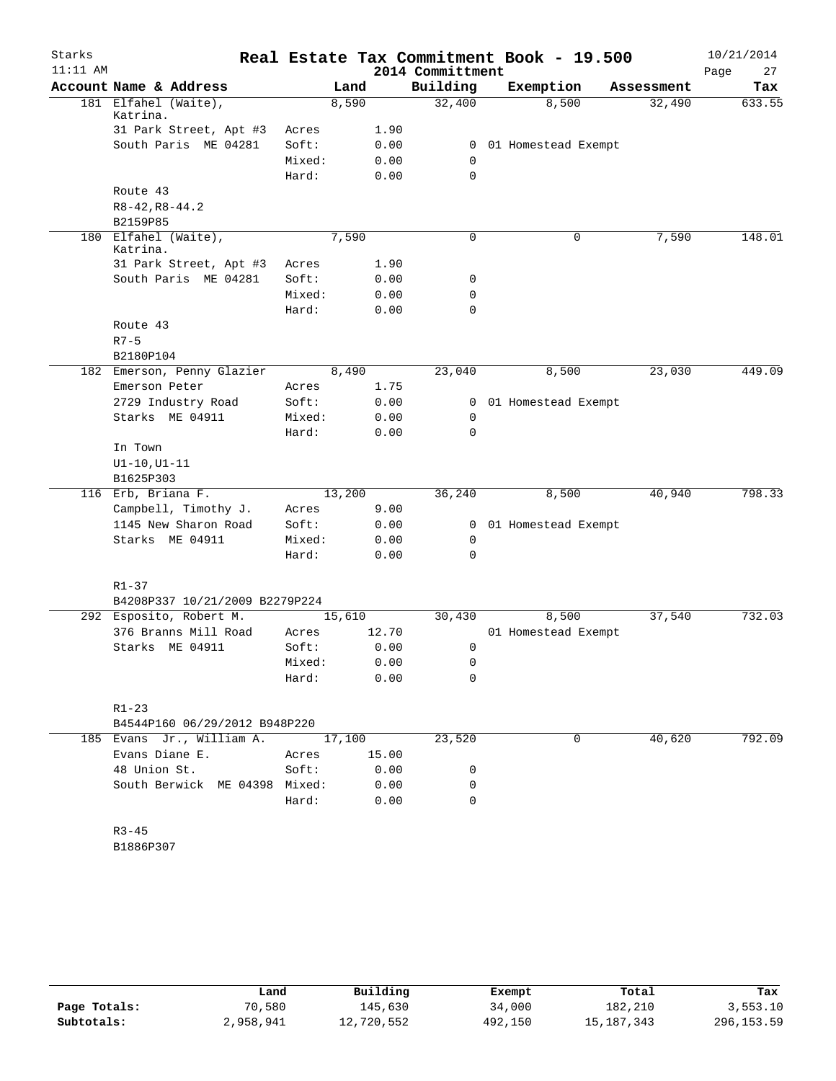| Starks     |                                              |                |        |              |                  | Real Estate Tax Commitment Book - 19.500 |            | 10/21/2014 |
|------------|----------------------------------------------|----------------|--------|--------------|------------------|------------------------------------------|------------|------------|
| $11:11$ AM |                                              |                |        |              | 2014 Committment |                                          |            | 27<br>Page |
|            | Account Name & Address                       |                | Land   |              | Building         | Exemption                                | Assessment | Tax        |
|            | 181 Elfahel (Waite),<br>Katrina.             |                | 8,590  |              | 32,400           | 8,500                                    | 32,490     | 633.55     |
|            | 31 Park Street, Apt #3                       | Acres          |        | 1.90         |                  |                                          |            |            |
|            | South Paris ME 04281                         | Soft:          |        | 0.00         | $\overline{0}$   | 01 Homestead Exempt                      |            |            |
|            |                                              | Mixed:         |        | 0.00         | $\mathbf 0$      |                                          |            |            |
|            |                                              | Hard:          |        | 0.00         | 0                |                                          |            |            |
|            | Route 43                                     |                |        |              |                  |                                          |            |            |
|            | $R8 - 42, R8 - 44.2$                         |                |        |              |                  |                                          |            |            |
|            | B2159P85                                     |                |        |              |                  |                                          |            |            |
|            | 180 Elfahel (Waite),<br>Katrina.             |                | 7,590  |              | 0                | 0                                        | 7,590      | 148.01     |
|            | 31 Park Street, Apt #3                       | Acres          |        | 1.90         |                  |                                          |            |            |
|            | South Paris ME 04281                         | Soft:          |        | 0.00         | 0                |                                          |            |            |
|            |                                              | Mixed:         |        | 0.00         | 0                |                                          |            |            |
|            |                                              | Hard:          |        | 0.00         | 0                |                                          |            |            |
|            | Route 43                                     |                |        |              |                  |                                          |            |            |
|            | $R7 - 5$                                     |                |        |              |                  |                                          |            |            |
|            | B2180P104                                    |                |        |              |                  |                                          |            |            |
|            | 182 Emerson, Penny Glazier                   |                | 8,490  |              | 23,040           | 8,500                                    | 23,030     | 449.09     |
|            | Emerson Peter                                | Acres          |        | 1.75         |                  |                                          |            |            |
|            | 2729 Industry Road                           | Soft:          |        | 0.00         | 0                | 01 Homestead Exempt                      |            |            |
|            | Starks ME 04911                              | Mixed:         |        | 0.00         | 0                |                                          |            |            |
|            |                                              | Hard:          |        | 0.00         | $\Omega$         |                                          |            |            |
|            | In Town                                      |                |        |              |                  |                                          |            |            |
|            | $UI-10, UI-11$                               |                |        |              |                  |                                          |            |            |
|            | B1625P303                                    |                |        |              |                  |                                          |            | 798.33     |
|            | 116 Erb, Briana F.                           |                | 13,200 |              | 36,240           | 8,500                                    | 40,940     |            |
|            | Campbell, Timothy J.<br>1145 New Sharon Road | Acres<br>Soft: |        | 9.00<br>0.00 | $\overline{0}$   | 01 Homestead Exempt                      |            |            |
|            | Starks ME 04911                              | Mixed:         |        | 0.00         | 0                |                                          |            |            |
|            |                                              | Hard:          |        | 0.00         | 0                |                                          |            |            |
|            |                                              |                |        |              |                  |                                          |            |            |
|            | $R1 - 37$                                    |                |        |              |                  |                                          |            |            |
|            | B4208P337 10/21/2009 B2279P224               |                |        |              |                  |                                          |            |            |
|            | 292 Esposito, Robert M.                      |                | 15,610 |              | 30,430           | 8,500                                    | 37,540     | 732.03     |
|            | 376 Branns Mill Road                         | Acres          |        | 12.70        |                  | 01 Homestead Exempt                      |            |            |
|            | Starks ME 04911                              | Soft:          |        | 0.00         | 0                |                                          |            |            |
|            |                                              | Mixed: 0.00    |        |              | $\overline{0}$   |                                          |            |            |
|            |                                              | Hard:          |        | 0.00         | 0                |                                          |            |            |
|            |                                              |                |        |              |                  |                                          |            |            |
|            | $R1 - 23$<br>B4544P160 06/29/2012 B948P220   |                |        |              |                  |                                          |            |            |
|            | 185 Evans Jr., William A.                    |                | 17,100 |              | 23,520           | 0                                        | 40,620     | 792.09     |
|            | Evans Diane E.                               | Acres          | 15.00  |              |                  |                                          |            |            |
|            | 48 Union St.                                 | Soft:          |        | 0.00         | 0                |                                          |            |            |
|            | South Berwick ME 04398 Mixed:                |                |        | 0.00         | 0                |                                          |            |            |
|            |                                              | Hard:          |        | 0.00         | $\Omega$         |                                          |            |            |
|            |                                              |                |        |              |                  |                                          |            |            |
|            | $R3 - 45$                                    |                |        |              |                  |                                          |            |            |
|            | B1886P307                                    |                |        |              |                  |                                          |            |            |
|            |                                              |                |        |              |                  |                                          |            |            |
|            |                                              |                |        |              |                  |                                          |            |            |

|              | Land      | Building   | Exempt  | Total      | Tax         |
|--------------|-----------|------------|---------|------------|-------------|
| Page Totals: | 70,580    | 145,630    | 34,000  | 182,210    | 3,553.10    |
| Subtotals:   | 2,958,941 | 12,720,552 | 492,150 | 15,187,343 | 296, 153.59 |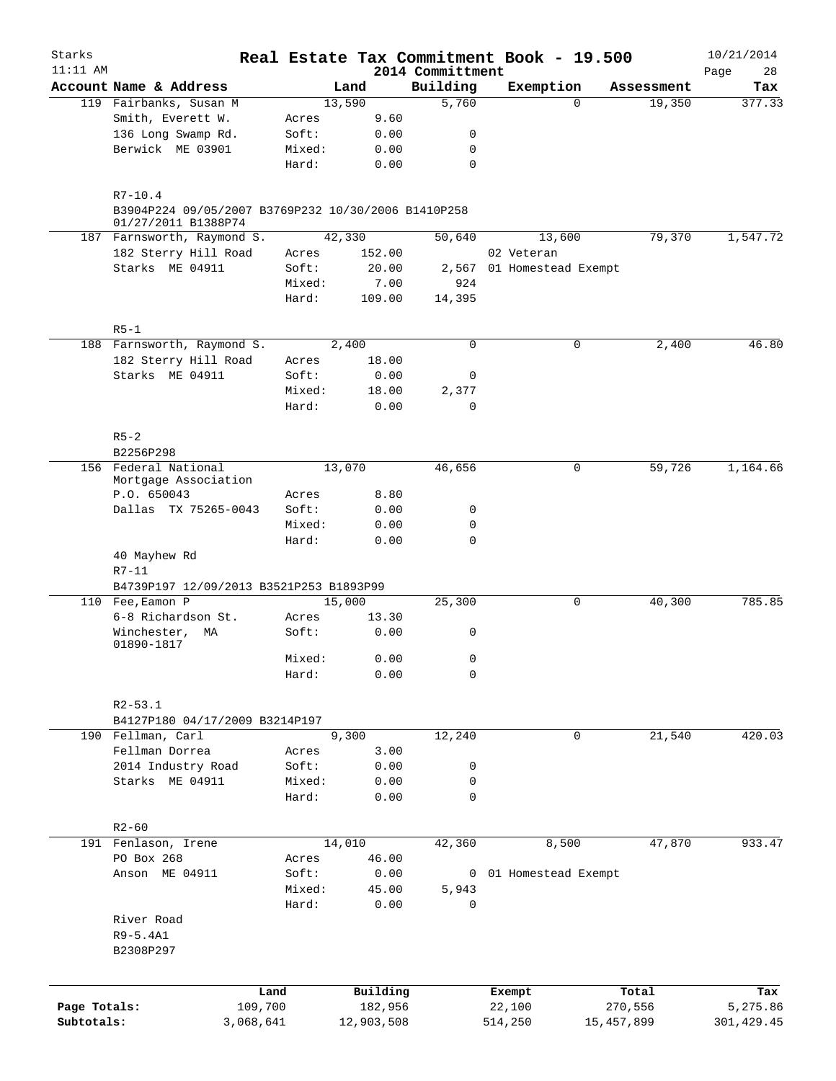| Starks<br>$11:11$ AM |                                                                            |                 |              |                              | Real Estate Tax Commitment Book - 19.500 |            | 10/21/2014        |
|----------------------|----------------------------------------------------------------------------|-----------------|--------------|------------------------------|------------------------------------------|------------|-------------------|
|                      | Account Name & Address                                                     |                 | Land         | 2014 Committment<br>Building | Exemption                                | Assessment | 28<br>Page<br>Tax |
|                      | 119 Fairbanks, Susan M                                                     |                 | 13,590       | 5,760                        | $\Omega$                                 | 19,350     | 377.33            |
|                      | Smith, Everett W.                                                          | Acres           | 9.60         |                              |                                          |            |                   |
|                      | 136 Long Swamp Rd.                                                         | Soft:           | 0.00         | 0                            |                                          |            |                   |
|                      | Berwick ME 03901                                                           | Mixed:          | 0.00         | 0                            |                                          |            |                   |
|                      |                                                                            | Hard:           | 0.00         | 0                            |                                          |            |                   |
|                      | $R7 - 10.4$                                                                |                 |              |                              |                                          |            |                   |
|                      | B3904P224 09/05/2007 B3769P232 10/30/2006 B1410P258<br>01/27/2011 B1388P74 |                 |              |                              |                                          |            |                   |
|                      | 187 Farnsworth, Raymond S.                                                 |                 | 42,330       | 50,640                       | 13,600                                   | 79,370     | 1,547.72          |
|                      | 182 Sterry Hill Road                                                       | Acres           | 152.00       |                              | 02 Veteran                               |            |                   |
|                      | Starks ME 04911                                                            | Soft:           | 20.00        |                              | 2,567 01 Homestead Exempt                |            |                   |
|                      |                                                                            | Mixed:          | 7.00         | 924                          |                                          |            |                   |
|                      |                                                                            | Hard:           | 109.00       | 14,395                       |                                          |            |                   |
|                      | $R5-1$                                                                     |                 |              |                              |                                          |            |                   |
|                      | 188 Farnsworth, Raymond S.                                                 |                 | 2,400        | 0                            | 0                                        | 2,400      | 46.80             |
|                      | 182 Sterry Hill Road                                                       | Acres           | 18.00        |                              |                                          |            |                   |
|                      | Starks ME 04911                                                            | Soft:           | 0.00         | 0                            |                                          |            |                   |
|                      |                                                                            | Mixed:          | 18.00        | 2,377                        |                                          |            |                   |
|                      |                                                                            | Hard:           | 0.00         | 0                            |                                          |            |                   |
|                      | $R5 - 2$                                                                   |                 |              |                              |                                          |            |                   |
|                      | B2256P298                                                                  |                 |              |                              |                                          |            |                   |
|                      | 156 Federal National                                                       |                 | 13,070       | 46,656                       | 0                                        | 59,726     | 1,164.66          |
|                      | Mortgage Association                                                       |                 |              |                              |                                          |            |                   |
|                      | P.O. 650043                                                                | Acres           | 8.80         |                              |                                          |            |                   |
|                      | Dallas TX 75265-0043                                                       | Soft:           | 0.00         | 0                            |                                          |            |                   |
|                      |                                                                            | Mixed:<br>Hard: | 0.00<br>0.00 | 0<br>0                       |                                          |            |                   |
|                      | 40 Mayhew Rd<br>$R7 - 11$                                                  |                 |              |                              |                                          |            |                   |
|                      | B4739P197 12/09/2013 B3521P253 B1893P99                                    |                 |              |                              |                                          |            |                   |
|                      | 110 Fee, Eamon P                                                           |                 | 15,000       | 25,300                       | 0                                        | 40,300     | 785.85            |
|                      | 6-8 Richardson St.                                                         | Acres           | 13.30        |                              |                                          |            |                   |
|                      | Winchester,<br>МA<br>01890-1817                                            | Soft:           | 0.00         | 0                            |                                          |            |                   |
|                      |                                                                            | Mixed:          | 0.00         | 0                            |                                          |            |                   |
|                      |                                                                            | Hard:           | 0.00         | 0                            |                                          |            |                   |
|                      |                                                                            |                 |              |                              |                                          |            |                   |
|                      | $R2 - 53.1$<br>B4127P180 04/17/2009 B3214P197                              |                 |              |                              |                                          |            |                   |
|                      | 190 Fellman, Carl                                                          |                 | 9,300        | 12,240                       | $\mathbf 0$                              | 21,540     | 420.03            |
|                      | Fellman Dorrea                                                             | Acres           | 3.00         |                              |                                          |            |                   |
|                      | 2014 Industry Road                                                         | Soft:           | 0.00         | 0                            |                                          |            |                   |
|                      | Starks ME 04911                                                            | Mixed:          | 0.00         | 0                            |                                          |            |                   |
|                      |                                                                            | Hard:           | 0.00         | 0                            |                                          |            |                   |
|                      |                                                                            |                 |              |                              |                                          |            |                   |
|                      | $R2 - 60$                                                                  |                 |              |                              |                                          |            |                   |
|                      | 191 Fenlason, Irene                                                        |                 | 14,010       | 42,360                       | 8,500                                    | 47,870     | 933.47            |
|                      | PO Box 268                                                                 | Acres           | 46.00        |                              |                                          |            |                   |
|                      | Anson ME 04911                                                             | Soft:           | 0.00         |                              | 0 01 Homestead Exempt                    |            |                   |
|                      |                                                                            | Mixed:          | 45.00        | 5,943                        |                                          |            |                   |
|                      |                                                                            | Hard:           | 0.00         | 0                            |                                          |            |                   |
|                      | River Road                                                                 |                 |              |                              |                                          |            |                   |
|                      | R9-5.4A1                                                                   |                 |              |                              |                                          |            |                   |
|                      | B2308P297                                                                  |                 |              |                              |                                          |            |                   |
|                      |                                                                            |                 |              |                              |                                          |            |                   |
|                      | Land                                                                       |                 | Building     |                              | Exempt                                   | Total      | Tax               |
| Page Totals:         | 109,700                                                                    |                 | 182,956      |                              | 22,100                                   | 270,556    | 5,275.86          |
| Subtotals:           | 3,068,641                                                                  |                 | 12,903,508   |                              | 514,250                                  | 15,457,899 | 301,429.45        |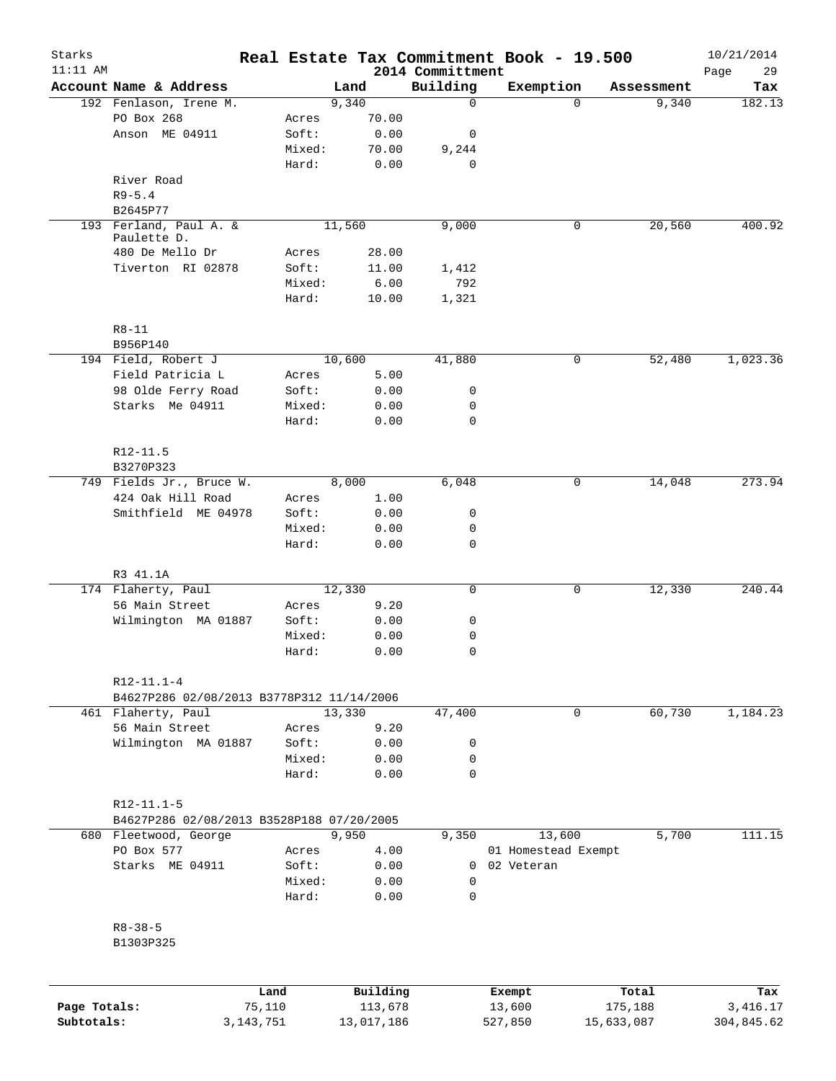| Starks       |                                           |             |        |            |                              | Real Estate Tax Commitment Book - 19.500 |            | 10/21/2014        |
|--------------|-------------------------------------------|-------------|--------|------------|------------------------------|------------------------------------------|------------|-------------------|
| $11:11$ AM   | Account Name & Address                    |             |        | Land       | 2014 Committment<br>Building | Exemption                                | Assessment | Page<br>29<br>Tax |
|              | 192 Fenlason, Irene M.                    |             |        | 9,340      | 0                            | $\Omega$                                 | 9,340      | 182.13            |
|              | PO Box 268                                |             | Acres  | 70.00      |                              |                                          |            |                   |
|              | Anson ME 04911                            |             | Soft:  | 0.00       | 0                            |                                          |            |                   |
|              |                                           |             | Mixed: | 70.00      | 9,244                        |                                          |            |                   |
|              |                                           |             | Hard:  | 0.00       | $\mathbf 0$                  |                                          |            |                   |
|              | River Road                                |             |        |            |                              |                                          |            |                   |
|              | $R9 - 5.4$                                |             |        |            |                              |                                          |            |                   |
|              | B2645P77                                  |             |        |            |                              |                                          |            |                   |
|              | 193 Ferland, Paul A. &                    |             |        | 11,560     | 9,000                        | 0                                        | 20,560     | 400.92            |
|              | Paulette D.                               |             |        |            |                              |                                          |            |                   |
|              | 480 De Mello Dr                           |             | Acres  | 28.00      |                              |                                          |            |                   |
|              | Tiverton RI 02878                         |             | Soft:  | 11.00      | 1,412                        |                                          |            |                   |
|              |                                           |             | Mixed: | 6.00       | 792                          |                                          |            |                   |
|              |                                           |             | Hard:  | 10.00      | 1,321                        |                                          |            |                   |
|              | $R8 - 11$                                 |             |        |            |                              |                                          |            |                   |
|              | B956P140                                  |             |        |            |                              |                                          |            |                   |
|              | 194 Field, Robert J                       |             |        | 10,600     | 41,880                       | 0                                        | 52,480     | 1,023.36          |
|              | Field Patricia L                          |             | Acres  | 5.00       |                              |                                          |            |                   |
|              | 98 Olde Ferry Road                        |             | Soft:  | 0.00       | 0                            |                                          |            |                   |
|              | Starks Me 04911                           |             | Mixed: | 0.00       | 0                            |                                          |            |                   |
|              |                                           |             | Hard:  | 0.00       | $\Omega$                     |                                          |            |                   |
|              | R12-11.5                                  |             |        |            |                              |                                          |            |                   |
|              | B3270P323                                 |             |        |            |                              |                                          |            |                   |
|              | 749 Fields Jr., Bruce W.                  |             |        | 8,000      | 6,048                        | 0                                        | 14,048     | 273.94            |
|              | 424 Oak Hill Road                         |             | Acres  | 1.00       |                              |                                          |            |                   |
|              | Smithfield ME 04978                       |             | Soft:  | 0.00       | 0                            |                                          |            |                   |
|              |                                           |             | Mixed: | 0.00       | 0                            |                                          |            |                   |
|              |                                           |             | Hard:  | 0.00       | 0                            |                                          |            |                   |
|              | R3 41.1A                                  |             |        |            |                              |                                          |            |                   |
|              | 174 Flaherty, Paul                        |             |        | 12,330     | 0                            | 0                                        | 12,330     | 240.44            |
|              | 56 Main Street                            |             | Acres  | 9.20       |                              |                                          |            |                   |
|              | Wilmington MA 01887                       |             | Soft:  | 0.00       | 0                            |                                          |            |                   |
|              |                                           |             | Mixed: | 0.00       | 0                            |                                          |            |                   |
|              |                                           |             | Hard:  | 0.00       | $\mathbf 0$                  |                                          |            |                   |
|              | $R12-11.1-4$                              |             |        |            |                              |                                          |            |                   |
|              | B4627P286 02/08/2013 B3778P312 11/14/2006 |             |        |            |                              |                                          |            |                   |
|              | 461 Flaherty, Paul                        |             |        | 13,330     | 47,400                       | 0                                        | 60,730     | 1,184.23          |
|              | 56 Main Street                            |             | Acres  | 9.20       |                              |                                          |            |                   |
|              | Wilmington MA 01887                       |             | Soft:  | 0.00       | 0                            |                                          |            |                   |
|              |                                           |             | Mixed: | 0.00       | 0                            |                                          |            |                   |
|              |                                           |             | Hard:  | 0.00       | $\mathbf 0$                  |                                          |            |                   |
|              | $R12-11.1-5$                              |             |        |            |                              |                                          |            |                   |
|              | B4627P286 02/08/2013 B3528P188 07/20/2005 |             |        |            |                              |                                          |            |                   |
|              | 680 Fleetwood, George                     |             |        | 9,950      | 9,350                        | 13,600                                   | 5,700      | 111.15            |
|              | PO Box 577                                |             | Acres  | 4.00       |                              | 01 Homestead Exempt                      |            |                   |
|              | Starks ME 04911                           |             | Soft:  | 0.00       | $\overline{0}$               | 02 Veteran                               |            |                   |
|              |                                           |             | Mixed: | 0.00       | $\mathbf 0$                  |                                          |            |                   |
|              |                                           |             | Hard:  | 0.00       | $\mathbf 0$                  |                                          |            |                   |
|              | $R8 - 38 - 5$                             |             |        |            |                              |                                          |            |                   |
|              | B1303P325                                 |             |        |            |                              |                                          |            |                   |
|              |                                           | Land        |        | Building   |                              | Exempt                                   | Total      | Tax               |
| Page Totals: |                                           | 75,110      |        | 113,678    |                              | 13,600                                   | 175,188    | 3,416.17          |
| Subtotals:   |                                           | 3, 143, 751 |        | 13,017,186 |                              | 527,850                                  | 15,633,087 | 304,845.62        |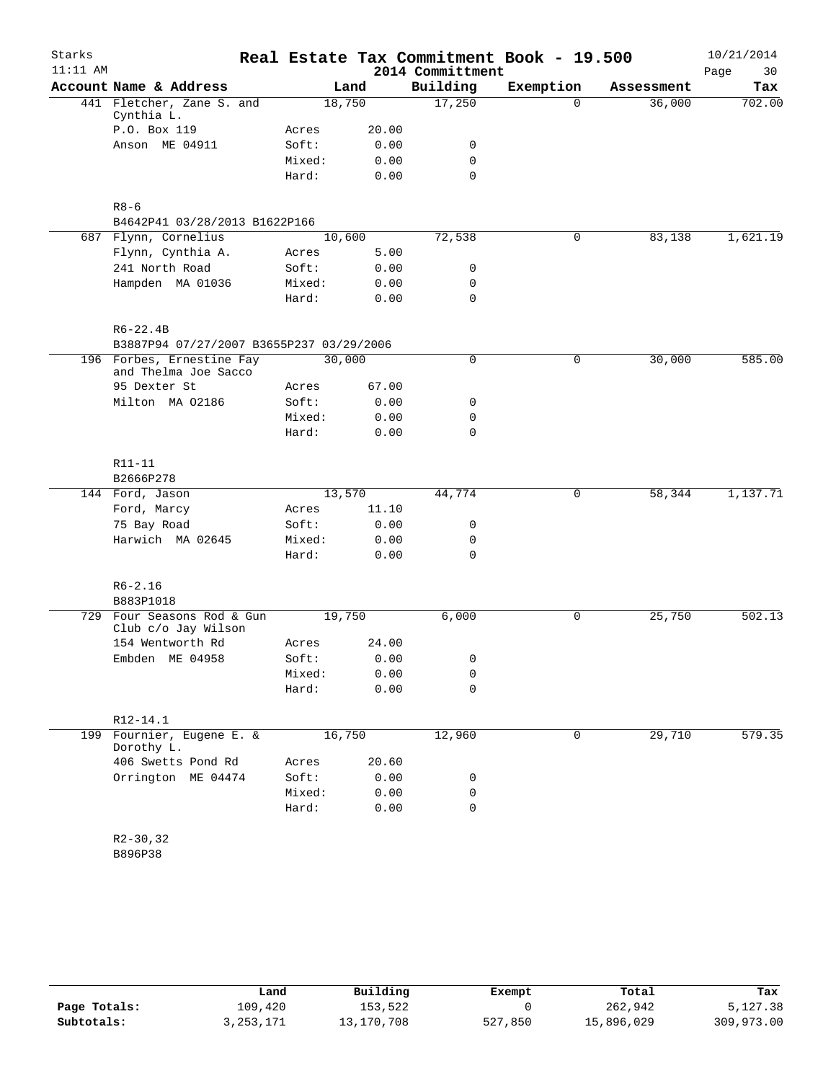| Starks     |                                                   |        |       |                  | Real Estate Tax Commitment Book - 19.500 |            | 10/21/2014 |
|------------|---------------------------------------------------|--------|-------|------------------|------------------------------------------|------------|------------|
| $11:11$ AM |                                                   |        |       | 2014 Committment |                                          |            | Page<br>30 |
|            | Account Name & Address                            |        | Land  | Building         | Exemption                                | Assessment | Tax        |
|            | 441 Fletcher, Zane S. and<br>Cynthia L.           | 18,750 |       | 17,250           | $\Omega$                                 | 36,000     | 702.00     |
|            | P.O. Box 119                                      | Acres  | 20.00 |                  |                                          |            |            |
|            | Anson ME 04911                                    | Soft:  | 0.00  | 0                |                                          |            |            |
|            |                                                   | Mixed: | 0.00  | 0                |                                          |            |            |
|            |                                                   | Hard:  | 0.00  | $\mathbf 0$      |                                          |            |            |
|            | $R8 - 6$                                          |        |       |                  |                                          |            |            |
|            | B4642P41 03/28/2013 B1622P166                     |        |       |                  |                                          |            |            |
|            | 687 Flynn, Cornelius                              | 10,600 |       | 72,538           | $\mathbf 0$                              | 83,138     | 1,621.19   |
|            | Flynn, Cynthia A.                                 | Acres  | 5.00  |                  |                                          |            |            |
|            | 241 North Road                                    | Soft:  | 0.00  | 0                |                                          |            |            |
|            | Hampden MA 01036                                  | Mixed: | 0.00  | 0                |                                          |            |            |
|            |                                                   | Hard:  | 0.00  | 0                |                                          |            |            |
|            | $R6 - 22.4B$                                      |        |       |                  |                                          |            |            |
|            | B3887P94 07/27/2007 B3655P237 03/29/2006          |        |       |                  |                                          |            |            |
|            | 196 Forbes, Ernestine Fay<br>and Thelma Joe Sacco | 30,000 |       | 0                | $\mathsf{O}$                             | 30,000     | 585.00     |
|            | 95 Dexter St                                      | Acres  | 67.00 |                  |                                          |            |            |
|            | Milton MA 02186                                   | Soft:  | 0.00  | 0                |                                          |            |            |
|            |                                                   | Mixed: | 0.00  | 0                |                                          |            |            |
|            |                                                   | Hard:  | 0.00  | $\mathbf 0$      |                                          |            |            |
|            | R11-11                                            |        |       |                  |                                          |            |            |
|            | B2666P278                                         |        |       |                  |                                          |            |            |
|            | 144 Ford, Jason                                   | 13,570 |       | 44,774           | 0                                        | 58,344     | 1,137.71   |
|            | Ford, Marcy                                       | Acres  | 11.10 |                  |                                          |            |            |
|            | 75 Bay Road                                       | Soft:  | 0.00  | 0                |                                          |            |            |
|            | Harwich MA 02645                                  | Mixed: | 0.00  | 0                |                                          |            |            |
|            |                                                   | Hard:  | 0.00  | $\mathbf 0$      |                                          |            |            |
|            | $R6 - 2.16$                                       |        |       |                  |                                          |            |            |
|            | B883P1018                                         |        |       |                  |                                          |            |            |
|            | 729 Four Seasons Rod & Gun<br>Club c/o Jay Wilson | 19,750 |       | 6,000            | $\mathsf{O}$                             | 25,750     | 502.13     |
|            | 154 Wentworth Rd                                  | Acres  | 24.00 |                  |                                          |            |            |
|            | Embden ME 04958                                   | Soft:  | 0.00  | 0                |                                          |            |            |
|            |                                                   | Mixed: | 0.00  | 0                |                                          |            |            |
|            |                                                   | Hard:  | 0.00  | $\mathbf 0$      |                                          |            |            |
|            | $R12 - 14.1$                                      |        |       |                  |                                          |            |            |
| 199        | Fournier, Eugene E. &<br>Dorothy L.               | 16,750 |       | 12,960           | $\mathbf 0$                              | 29,710     | 579.35     |
|            | 406 Swetts Pond Rd                                | Acres  | 20.60 |                  |                                          |            |            |
|            | Orrington ME 04474                                | Soft:  | 0.00  | 0                |                                          |            |            |
|            |                                                   | Mixed: | 0.00  | 0                |                                          |            |            |
|            |                                                   | Hard:  | 0.00  | $\mathbf 0$      |                                          |            |            |
|            | $R2 - 30, 32$                                     |        |       |                  |                                          |            |            |
|            | B896P38                                           |        |       |                  |                                          |            |            |

|              | Land      | Building   | Exempt  | Total      | Tax        |
|--------------|-----------|------------|---------|------------|------------|
| Page Totals: | 109,420   | 153,522    |         | 262,942    | 5,127.38   |
| Subtotals:   | 3,253,171 | 13,170,708 | 527,850 | 15,896,029 | 309,973.00 |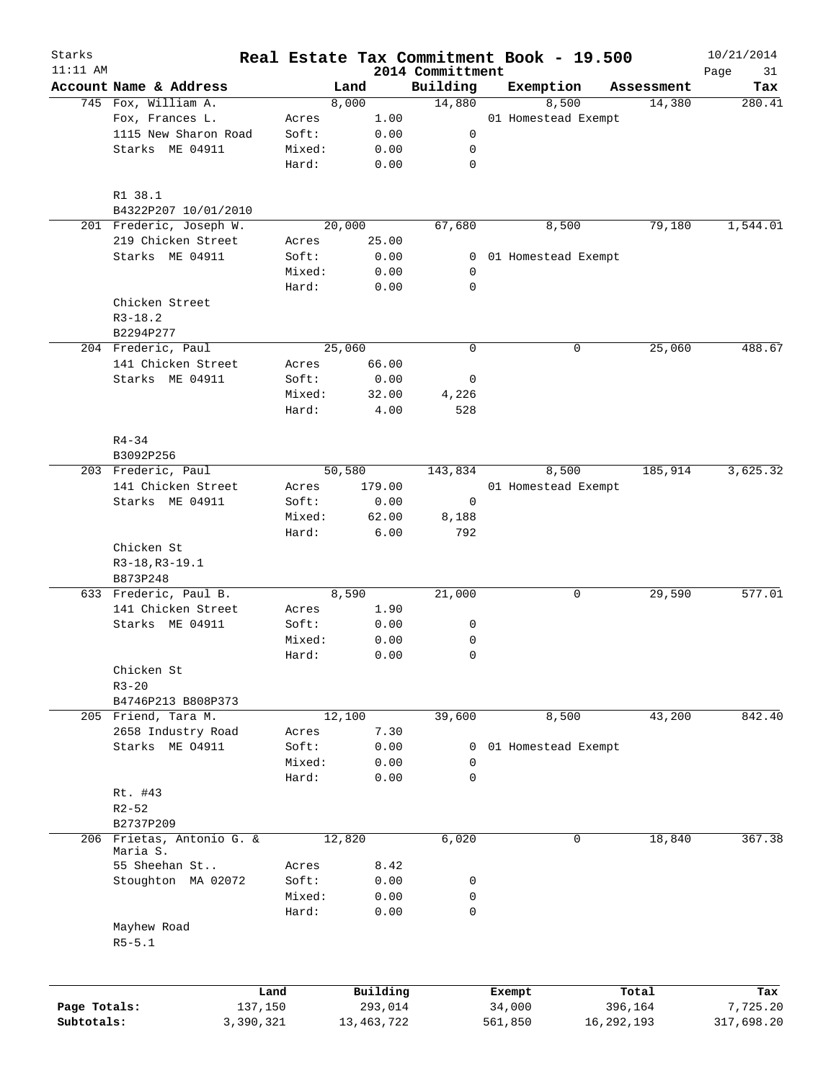| Starks<br>$11:11$ AM |                                       |           |              |                              | Real Estate Tax Commitment Book - 19.500 |            | 10/21/2014        |
|----------------------|---------------------------------------|-----------|--------------|------------------------------|------------------------------------------|------------|-------------------|
|                      | Account Name & Address                |           | Land         | 2014 Committment<br>Building | Exemption                                | Assessment | Page<br>31<br>Tax |
|                      | 745 Fox, William A.                   |           | 8,000        | 14,880                       | 8,500                                    | 14,380     | 280.41            |
|                      | Fox, Frances L.                       | Acres     | 1.00         |                              | 01 Homestead Exempt                      |            |                   |
|                      | 1115 New Sharon Road                  | Soft:     | 0.00         | 0                            |                                          |            |                   |
|                      | Starks ME 04911                       | Mixed:    | 0.00         | 0                            |                                          |            |                   |
|                      |                                       |           |              | $\mathbf 0$                  |                                          |            |                   |
|                      |                                       | Hard:     | 0.00         |                              |                                          |            |                   |
|                      | R1 38.1                               |           |              |                              |                                          |            |                   |
|                      | B4322P207 10/01/2010                  |           |              |                              |                                          |            |                   |
|                      | 201 Frederic, Joseph W.               |           | 20,000       | 67,680                       | 8,500                                    | 79,180     | 1,544.01          |
|                      | 219 Chicken Street                    | Acres     | 25.00        |                              |                                          |            |                   |
|                      | Starks ME 04911                       | Soft:     | 0.00         | 0                            | 01 Homestead Exempt                      |            |                   |
|                      |                                       | Mixed:    | 0.00         | 0                            |                                          |            |                   |
|                      |                                       | Hard:     | 0.00         | $\mathbf 0$                  |                                          |            |                   |
|                      | Chicken Street                        |           |              |                              |                                          |            |                   |
|                      | $R3 - 18.2$                           |           |              |                              |                                          |            |                   |
|                      | B2294P277                             |           |              |                              |                                          |            |                   |
|                      | 204 Frederic, Paul                    |           | 25,060       | 0                            | 0                                        | 25,060     | 488.67            |
|                      | 141 Chicken Street                    | Acres     | 66.00        |                              |                                          |            |                   |
|                      | Starks ME 04911                       | Soft:     | 0.00         | 0                            |                                          |            |                   |
|                      |                                       | Mixed:    | 32.00        | 4,226                        |                                          |            |                   |
|                      |                                       | Hard:     | 4.00         | 528                          |                                          |            |                   |
|                      |                                       |           |              |                              |                                          |            |                   |
|                      | $R4 - 34$                             |           |              |                              |                                          |            |                   |
|                      | B3092P256                             |           |              |                              |                                          |            |                   |
|                      | 203 Frederic, Paul                    |           | 50,580       | 143,834                      | 8,500                                    | 185,914    | 3,625.32          |
|                      | 141 Chicken Street                    | Acres     | 179.00       |                              | 01 Homestead Exempt                      |            |                   |
|                      | Starks ME 04911                       | Soft:     | 0.00         | 0                            |                                          |            |                   |
|                      |                                       | Mixed:    | 62.00        | 8,188                        |                                          |            |                   |
|                      |                                       | Hard:     | 6.00         | 792                          |                                          |            |                   |
|                      | Chicken St                            |           |              |                              |                                          |            |                   |
|                      | R3-18, R3-19.1                        |           |              |                              |                                          |            |                   |
|                      | B873P248                              |           |              |                              |                                          |            |                   |
|                      | 633 Frederic, Paul B.                 |           | 8,590        | 21,000                       | 0                                        | 29,590     | 577.01            |
|                      | 141 Chicken Street                    | Acres     | 1.90         |                              |                                          |            |                   |
|                      | Starks ME 04911                       | Soft:     | 0.00         | 0                            |                                          |            |                   |
|                      |                                       | Mixed:    | 0.00         | 0                            |                                          |            |                   |
|                      |                                       | Hard:     | 0.00         | 0                            |                                          |            |                   |
|                      | Chicken St                            |           |              |                              |                                          |            |                   |
|                      | $R3 - 20$                             |           |              |                              |                                          |            |                   |
|                      | B4746P213 B808P373                    |           |              |                              |                                          |            |                   |
|                      | 205 Friend, Tara M.                   |           | 12,100       | 39,600                       | 8,500                                    | 43,200     | 842.40            |
|                      | 2658 Industry Road                    |           |              |                              |                                          |            |                   |
|                      |                                       | Acres     | 7.30         |                              |                                          |            |                   |
|                      | Starks ME 04911                       | Soft:     | 0.00         | 0                            | 01 Homestead Exempt                      |            |                   |
|                      |                                       | Mixed:    | 0.00         | 0                            |                                          |            |                   |
|                      |                                       | Hard:     | 0.00         | 0                            |                                          |            |                   |
|                      | Rt. #43                               |           |              |                              |                                          |            |                   |
|                      | $R2 - 52$                             |           |              |                              |                                          |            |                   |
|                      | B2737P209                             |           |              |                              |                                          |            |                   |
|                      | 206 Frietas, Antonio G. &<br>Maria S. |           | 12,820       | 6,020                        | 0                                        | 18,840     | 367.38            |
|                      | 55 Sheehan St                         | Acres     | 8.42         |                              |                                          |            |                   |
|                      | Stoughton MA 02072                    | Soft:     | 0.00         | 0                            |                                          |            |                   |
|                      |                                       | Mixed:    | 0.00         | 0                            |                                          |            |                   |
|                      |                                       | Hard:     | 0.00         | 0                            |                                          |            |                   |
|                      | Mayhew Road                           |           |              |                              |                                          |            |                   |
|                      | $R5 - 5.1$                            |           |              |                              |                                          |            |                   |
|                      |                                       |           |              |                              |                                          |            |                   |
|                      |                                       | Land      | Building     |                              | Exempt                                   | Total      | Tax               |
| Page Totals:         |                                       | 137,150   | 293,014      |                              | 34,000                                   | 396,164    | 7,725.20          |
| Subtotals:           |                                       | 3,390,321 | 13, 463, 722 |                              | 561,850                                  | 16,292,193 | 317,698.20        |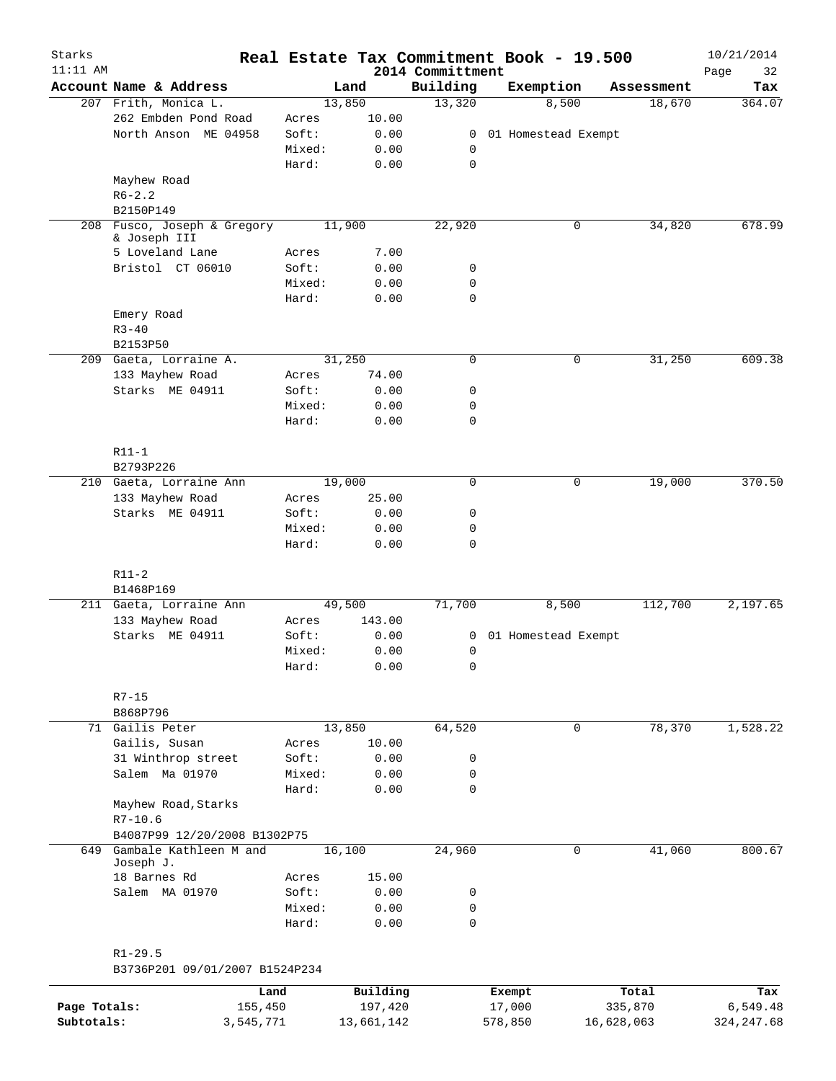| Starks       |                                     |                 |              |                              | Real Estate Tax Commitment Book - 19.500 |            | 10/21/2014        |
|--------------|-------------------------------------|-----------------|--------------|------------------------------|------------------------------------------|------------|-------------------|
| $11:11$ AM   | Account Name & Address              |                 | Land         | 2014 Committment<br>Building | Exemption                                | Assessment | Page<br>32<br>Tax |
|              | 207 Frith, Monica L.                |                 | 13,850       | 13,320                       | 8,500                                    | 18,670     | 364.07            |
|              | 262 Embden Pond Road                | Acres           | 10.00        |                              |                                          |            |                   |
|              | North Anson ME 04958                | Soft:           | 0.00         | 0                            | 01 Homestead Exempt                      |            |                   |
|              |                                     | Mixed:          | 0.00         | 0                            |                                          |            |                   |
|              |                                     | Hard:           | 0.00         | $\mathbf 0$                  |                                          |            |                   |
|              | Mayhew Road                         |                 |              |                              |                                          |            |                   |
|              | $R6 - 2.2$                          |                 |              |                              |                                          |            |                   |
|              | B2150P149                           |                 |              |                              |                                          |            |                   |
| 208          | Fusco, Joseph & Gregory             |                 | 11,900       | 22,920                       | 0                                        | 34,820     | 678.99            |
|              | & Joseph III                        |                 |              |                              |                                          |            |                   |
|              | 5 Loveland Lane                     | Acres           | 7.00         |                              |                                          |            |                   |
|              | Bristol CT 06010                    | Soft:           | 0.00         | 0                            |                                          |            |                   |
|              |                                     | Mixed:          | 0.00         | $\mathbf 0$                  |                                          |            |                   |
|              |                                     | Hard:           | 0.00         | $\mathbf 0$                  |                                          |            |                   |
|              | Emery Road                          |                 |              |                              |                                          |            |                   |
|              | $R3 - 40$                           |                 |              |                              |                                          |            |                   |
|              | B2153P50                            |                 |              |                              |                                          |            |                   |
|              |                                     |                 |              |                              |                                          |            | 609.38            |
|              | 209 Gaeta, Lorraine A.              |                 | 31,250       | $\mathbf 0$                  | 0                                        | 31,250     |                   |
|              | 133 Mayhew Road                     | Acres           | 74.00        |                              |                                          |            |                   |
|              | Starks ME 04911                     | Soft:           | 0.00         | 0                            |                                          |            |                   |
|              |                                     | Mixed:          | 0.00         | $\mathbf 0$                  |                                          |            |                   |
|              |                                     | Hard:           | 0.00         | $\mathbf 0$                  |                                          |            |                   |
|              |                                     |                 |              |                              |                                          |            |                   |
|              | $R11-1$                             |                 |              |                              |                                          |            |                   |
|              | B2793P226                           |                 |              |                              |                                          |            |                   |
|              | 210 Gaeta, Lorraine Ann             |                 | 19,000       | $\mathbf 0$                  | 0                                        | 19,000     | 370.50            |
|              | 133 Mayhew Road                     | Acres           | 25.00        |                              |                                          |            |                   |
|              | Starks ME 04911                     | Soft:           | 0.00         | 0                            |                                          |            |                   |
|              |                                     | Mixed:          | 0.00         | $\mathbf 0$                  |                                          |            |                   |
|              |                                     | Hard:           | 0.00         | $\mathbf 0$                  |                                          |            |                   |
|              |                                     |                 |              |                              |                                          |            |                   |
|              | $R11-2$                             |                 |              |                              |                                          |            |                   |
|              | B1468P169                           |                 |              |                              |                                          |            |                   |
|              | 211 Gaeta, Lorraine Ann             |                 | 49,500       | 71,700                       | 8,500                                    | 112,700    | 2,197.65          |
|              | 133 Mayhew Road                     | Acres           | 143.00       |                              |                                          |            |                   |
|              | Starks ME 04911                     | Soft:           | 0.00         | 0                            | 01 Homestead Exempt                      |            |                   |
|              |                                     | Mixed:          | 0.00         | 0                            |                                          |            |                   |
|              |                                     | Hard:           | 0.00         | 0                            |                                          |            |                   |
|              |                                     |                 |              |                              |                                          |            |                   |
|              | $R7 - 15$                           |                 |              |                              |                                          |            |                   |
|              | B868P796                            |                 |              |                              |                                          |            |                   |
|              | 71 Gailis Peter                     |                 | 13,850       | 64,520                       | 0                                        | 78,370     | 1,528.22          |
|              | Gailis, Susan                       | Acres           | 10.00        |                              |                                          |            |                   |
|              | 31 Winthrop street                  | Soft:           | 0.00         | 0                            |                                          |            |                   |
|              | Salem Ma 01970                      | Mixed:          | 0.00         | 0                            |                                          |            |                   |
|              |                                     | Hard:           |              | $\mathbf 0$                  |                                          |            |                   |
|              |                                     |                 | 0.00         |                              |                                          |            |                   |
|              | Mayhew Road, Starks                 |                 |              |                              |                                          |            |                   |
|              | $R7 - 10.6$                         |                 |              |                              |                                          |            |                   |
|              | B4087P99 12/20/2008 B1302P75        |                 |              |                              |                                          |            |                   |
| 649          | Gambale Kathleen M and<br>Joseph J. |                 | 16,100       | 24,960                       | $\mathbf 0$                              | 41,060     | 800.67            |
|              |                                     |                 |              |                              |                                          |            |                   |
|              | 18 Barnes Rd<br>Salem MA 01970      | Acres<br>Soft:  | 15.00        |                              |                                          |            |                   |
|              |                                     |                 | 0.00         | 0                            |                                          |            |                   |
|              |                                     | Mixed:<br>Hard: | 0.00<br>0.00 | $\mathbf 0$<br>$\mathbf 0$   |                                          |            |                   |
|              |                                     |                 |              |                              |                                          |            |                   |
|              |                                     |                 |              |                              |                                          |            |                   |
|              | $R1 - 29.5$                         |                 |              |                              |                                          |            |                   |
|              | B3736P201 09/01/2007 B1524P234      |                 |              |                              |                                          |            |                   |
|              |                                     | Land            | Building     |                              | Exempt                                   | Total      | Tax               |
| Page Totals: | 155,450                             |                 | 197,420      |                              | 17,000                                   | 335,870    | 6,549.48          |
| Subtotals:   | 3,545,771                           |                 | 13,661,142   |                              | 578,850                                  | 16,628,063 | 324, 247.68       |
|              |                                     |                 |              |                              |                                          |            |                   |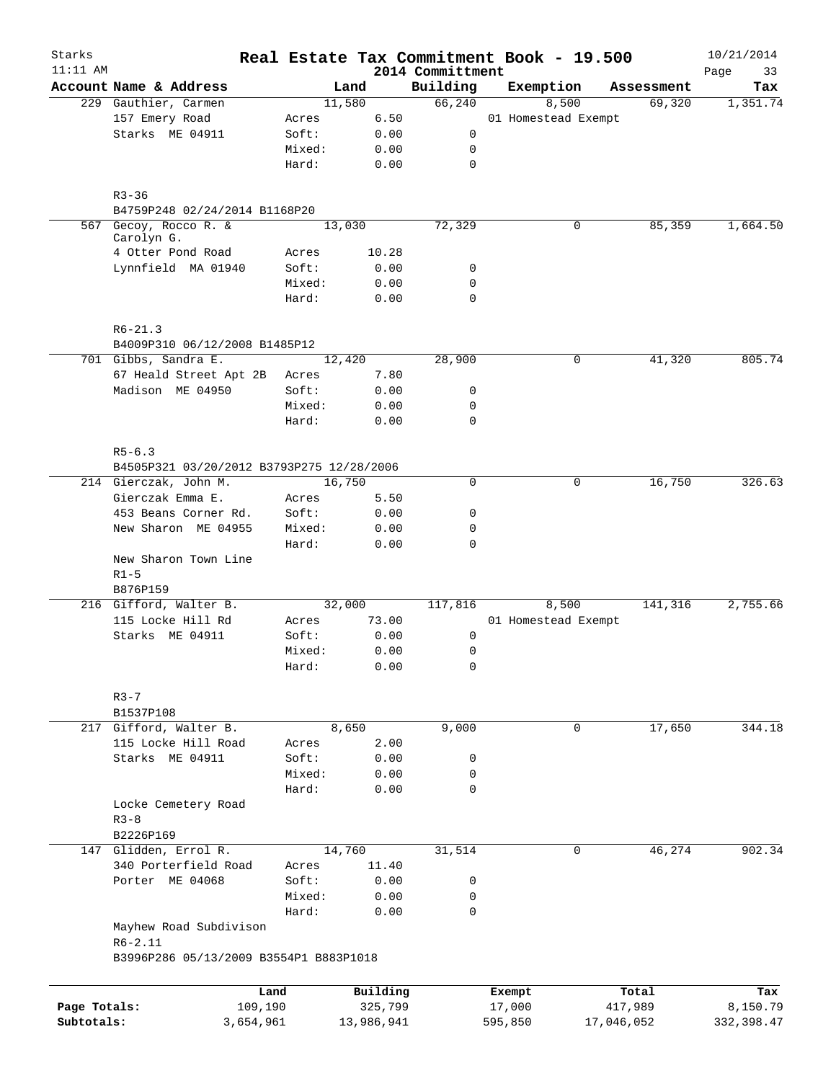| Starks       |                                                       |           |        |            | Real Estate Tax Commitment Book - 19.500 |                     |       |            | 10/21/2014        |
|--------------|-------------------------------------------------------|-----------|--------|------------|------------------------------------------|---------------------|-------|------------|-------------------|
| $11:11$ AM   | Account Name & Address                                |           |        | Land       | 2014 Committment<br>Building             | Exemption           |       | Assessment | Page<br>33<br>Tax |
|              | 229 Gauthier, Carmen                                  |           |        | 11,580     | 66,240                                   |                     | 8,500 | 69,320     | 1,351.74          |
|              | 157 Emery Road                                        |           | Acres  | 6.50       |                                          | 01 Homestead Exempt |       |            |                   |
|              | Starks ME 04911                                       |           | Soft:  | 0.00       | 0                                        |                     |       |            |                   |
|              |                                                       |           | Mixed: | 0.00       | 0                                        |                     |       |            |                   |
|              |                                                       |           | Hard:  | 0.00       | $\mathbf 0$                              |                     |       |            |                   |
|              | $R3 - 36$                                             |           |        |            |                                          |                     |       |            |                   |
|              | B4759P248 02/24/2014 B1168P20                         |           |        |            |                                          |                     |       |            |                   |
|              | 567 Gecoy, Rocco R. &                                 |           |        | 13,030     | 72,329                                   |                     | 0     | 85,359     | 1,664.50          |
|              | Carolyn G.<br>4 Otter Pond Road                       |           | Acres  | 10.28      |                                          |                     |       |            |                   |
|              | Lynnfield MA 01940                                    |           | Soft:  | 0.00       | 0                                        |                     |       |            |                   |
|              |                                                       |           | Mixed: | 0.00       | 0                                        |                     |       |            |                   |
|              |                                                       |           | Hard:  | 0.00       | $\mathbf 0$                              |                     |       |            |                   |
|              | $R6 - 21.3$                                           |           |        |            |                                          |                     |       |            |                   |
|              | B4009P310 06/12/2008 B1485P12                         |           |        |            |                                          |                     |       |            |                   |
|              | 701 Gibbs, Sandra E.                                  |           |        | 12,420     | 28,900                                   |                     | 0     | 41,320     | 805.74            |
|              | 67 Heald Street Apt 2B                                |           | Acres  | 7.80       |                                          |                     |       |            |                   |
|              | Madison ME 04950                                      |           | Soft:  | 0.00       | 0                                        |                     |       |            |                   |
|              |                                                       |           | Mixed: | 0.00       | 0                                        |                     |       |            |                   |
|              |                                                       |           | Hard:  | 0.00       | $\mathbf 0$                              |                     |       |            |                   |
|              | $R5 - 6.3$                                            |           |        |            |                                          |                     |       |            |                   |
|              | B4505P321 03/20/2012 B3793P275 12/28/2006             |           |        |            |                                          |                     |       |            |                   |
|              | 214 Gierczak, John M.                                 |           |        | 16,750     | $\Omega$                                 |                     | 0     | 16,750     | 326.63            |
|              | Gierczak Emma E.                                      |           | Acres  | 5.50       |                                          |                     |       |            |                   |
|              | 453 Beans Corner Rd.                                  |           | Soft:  | 0.00       | 0                                        |                     |       |            |                   |
|              | New Sharon ME 04955                                   |           | Mixed: | 0.00       | $\mathbf 0$                              |                     |       |            |                   |
|              |                                                       |           | Hard:  | 0.00       | 0                                        |                     |       |            |                   |
|              | New Sharon Town Line<br>$R1 - 5$                      |           |        |            |                                          |                     |       |            |                   |
|              | B876P159<br>216 Gifford, Walter B.                    |           |        | 32,000     | 117,816                                  |                     | 8,500 | 141,316    | 2,755.66          |
|              | 115 Locke Hill Rd                                     |           | Acres  | 73.00      |                                          | 01 Homestead Exempt |       |            |                   |
|              | Starks ME 04911                                       |           | Soft:  | 0.00       | 0                                        |                     |       |            |                   |
|              |                                                       |           | Mixed: | 0.00       | 0                                        |                     |       |            |                   |
|              |                                                       |           | Hard:  | 0.00       | 0                                        |                     |       |            |                   |
|              | $R3 - 7$                                              |           |        |            |                                          |                     |       |            |                   |
|              | B1537P108                                             |           |        |            |                                          |                     |       |            |                   |
|              | 217 Gifford, Walter B.                                |           |        | 8,650      | 9,000                                    |                     | 0     | 17,650     | 344.18            |
|              | 115 Locke Hill Road                                   |           | Acres  | 2.00       |                                          |                     |       |            |                   |
|              | Starks ME 04911                                       |           | Soft:  | 0.00       | 0                                        |                     |       |            |                   |
|              |                                                       |           | Mixed: | 0.00       | 0                                        |                     |       |            |                   |
|              |                                                       |           | Hard:  | 0.00       | 0                                        |                     |       |            |                   |
|              | Locke Cemetery Road                                   |           |        |            |                                          |                     |       |            |                   |
|              | $R3 - 8$                                              |           |        |            |                                          |                     |       |            |                   |
|              | B2226P169                                             |           |        |            |                                          |                     |       |            |                   |
|              | 147 Glidden, Errol R.                                 |           |        | 14,760     | 31,514                                   |                     | 0     | 46, 274    | 902.34            |
|              | 340 Porterfield Road                                  |           | Acres  | 11.40      |                                          |                     |       |            |                   |
|              | Porter ME 04068                                       |           | Soft:  | 0.00       | 0                                        |                     |       |            |                   |
|              |                                                       |           | Mixed: | 0.00       | 0                                        |                     |       |            |                   |
|              | Mayhew Road Subdivison                                |           | Hard:  | 0.00       | 0                                        |                     |       |            |                   |
|              | $R6 - 2.11$<br>B3996P286 05/13/2009 B3554P1 B883P1018 |           |        |            |                                          |                     |       |            |                   |
|              |                                                       |           |        |            |                                          |                     |       |            |                   |
|              |                                                       | Land      |        | Building   |                                          | Exempt              |       | Total      | Tax               |
| Page Totals: |                                                       | 109,190   |        | 325,799    |                                          | 17,000              |       | 417,989    | 8,150.79          |
| Subtotals:   |                                                       | 3,654,961 |        | 13,986,941 |                                          | 595,850             |       | 17,046,052 | 332, 398.47       |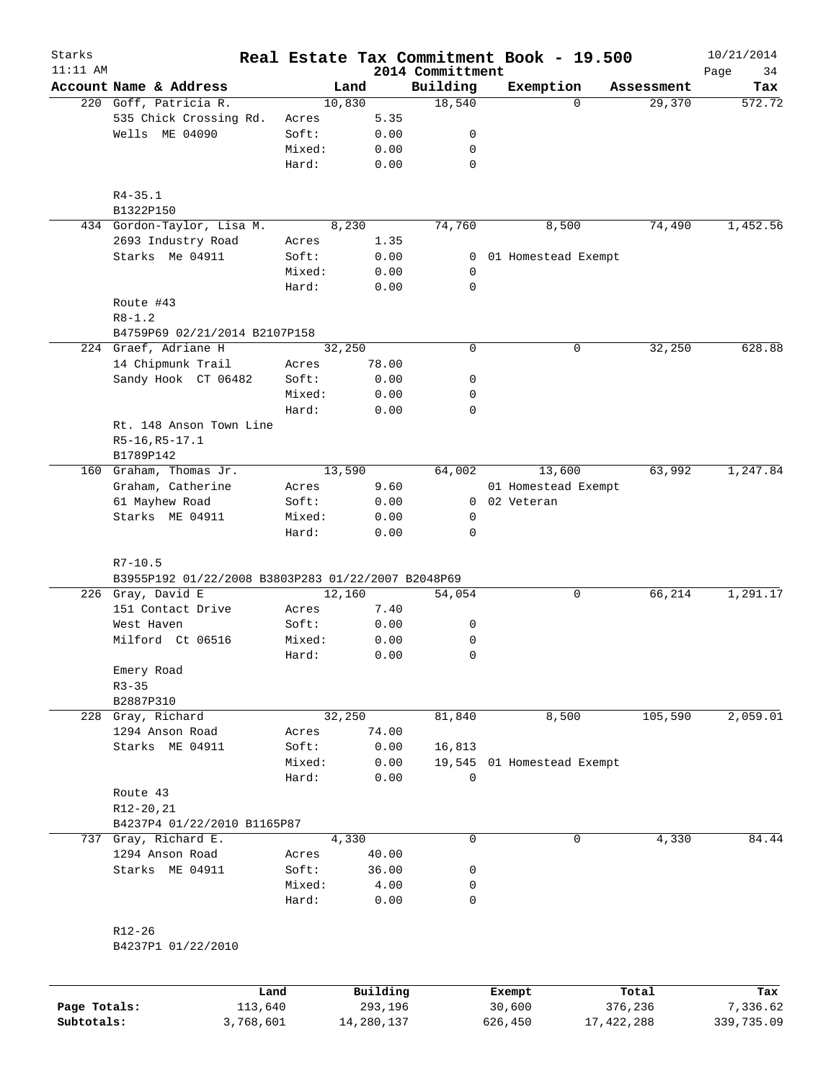| Starks<br>$11:11$ AM |                                                    |                 |          | 2014 Committment | Real Estate Tax Commitment Book - 19.500 |            | 10/21/2014        |
|----------------------|----------------------------------------------------|-----------------|----------|------------------|------------------------------------------|------------|-------------------|
|                      | Account Name & Address                             | Land            |          | Building         | Exemption                                | Assessment | Page<br>34<br>Tax |
|                      | 220 Goff, Patricia R.                              | 10,830          |          | 18,540           | $\Omega$                                 | 29,370     | 572.72            |
|                      | 535 Chick Crossing Rd.                             | Acres           | 5.35     |                  |                                          |            |                   |
|                      | Wells ME 04090                                     | Soft:           | 0.00     | 0                |                                          |            |                   |
|                      |                                                    | Mixed:          | 0.00     | 0                |                                          |            |                   |
|                      |                                                    | Hard:           | 0.00     | $\mathbf 0$      |                                          |            |                   |
|                      | $R4 - 35.1$                                        |                 |          |                  |                                          |            |                   |
|                      | B1322P150                                          |                 |          |                  |                                          |            |                   |
|                      | 434 Gordon-Taylor, Lisa M.                         | 8,230           |          | 74,760           | 8,500                                    | 74,490     | 1,452.56          |
|                      | 2693 Industry Road                                 | Acres           | 1.35     |                  |                                          |            |                   |
|                      | Starks Me 04911                                    | Soft:           | 0.00     | 0                | 01 Homestead Exempt                      |            |                   |
|                      |                                                    | Mixed:          | 0.00     | 0                |                                          |            |                   |
|                      |                                                    | Hard:           | 0.00     | $\mathbf 0$      |                                          |            |                   |
|                      | Route #43                                          |                 |          |                  |                                          |            |                   |
|                      | $R8 - 1.2$<br>B4759P69 02/21/2014 B2107P158        |                 |          |                  |                                          |            |                   |
|                      | 224 Graef, Adriane H                               | 32,250          |          | $\mathbf 0$      | 0                                        | 32,250     | 628.88            |
|                      | 14 Chipmunk Trail                                  | Acres           | 78.00    |                  |                                          |            |                   |
|                      | Sandy Hook CT 06482                                | Soft:           | 0.00     | 0                |                                          |            |                   |
|                      |                                                    | Mixed:          | 0.00     | 0                |                                          |            |                   |
|                      |                                                    | Hard:           | 0.00     | 0                |                                          |            |                   |
|                      | Rt. 148 Anson Town Line                            |                 |          |                  |                                          |            |                   |
|                      | R5-16, R5-17.1                                     |                 |          |                  |                                          |            |                   |
|                      | B1789P142                                          |                 |          |                  |                                          |            |                   |
| 160                  | Graham, Thomas Jr.                                 | 13,590          |          | 64,002           | 13,600                                   | 63,992     | 1,247.84          |
|                      | Graham, Catherine                                  | Acres           | 9.60     |                  | 01 Homestead Exempt                      |            |                   |
|                      | 61 Mayhew Road                                     | Soft:           | 0.00     | $\mathbf{0}$     | 02 Veteran                               |            |                   |
|                      | Starks ME 04911                                    | Mixed:          | 0.00     | 0                |                                          |            |                   |
|                      |                                                    | Hard:           | 0.00     | $\mathbf 0$      |                                          |            |                   |
|                      |                                                    |                 |          |                  |                                          |            |                   |
|                      | $R7 - 10.5$                                        |                 |          |                  |                                          |            |                   |
|                      | B3955P192 01/22/2008 B3803P283 01/22/2007 B2048P69 |                 |          |                  |                                          |            |                   |
|                      | 226 Gray, David E                                  | 12,160          |          | 54,054           | 0                                        | 66,214     | 1,291.17          |
|                      | 151 Contact Drive                                  | Acres           | 7.40     |                  |                                          |            |                   |
|                      | West Haven                                         | Soft:           | 0.00     | 0                |                                          |            |                   |
|                      | Milford Ct 06516                                   | Mixed:          | 0.00     | 0                |                                          |            |                   |
|                      |                                                    | Hard:           | 0.00     | $\mathbf 0$      |                                          |            |                   |
|                      | Emery Road                                         |                 |          |                  |                                          |            |                   |
|                      | $R3 - 35$                                          |                 |          |                  |                                          |            |                   |
|                      | B2887P310<br>228 Gray, Richard                     |                 |          |                  |                                          |            | 2,059.01          |
|                      | 1294 Anson Road                                    | 32,250<br>Acres | 74.00    | 81,840           | 8,500                                    | 105,590    |                   |
|                      | Starks ME 04911                                    | Soft:           | 0.00     | 16,813           |                                          |            |                   |
|                      |                                                    | Mixed:          | 0.00     |                  | 19,545 01 Homestead Exempt               |            |                   |
|                      |                                                    | Hard:           | 0.00     | $\mathbf 0$      |                                          |            |                   |
|                      | Route 43                                           |                 |          |                  |                                          |            |                   |
|                      | R12-20,21                                          |                 |          |                  |                                          |            |                   |
|                      | B4237P4 01/22/2010 B1165P87                        |                 |          |                  |                                          |            |                   |
|                      | 737 Gray, Richard E.                               | 4,330           |          | $\mathbf 0$      | 0                                        | 4,330      | 84.44             |
|                      | 1294 Anson Road                                    | Acres           | 40.00    |                  |                                          |            |                   |
|                      | Starks ME 04911                                    | Soft:           | 36.00    | 0                |                                          |            |                   |
|                      |                                                    | Mixed:          | 4.00     | 0                |                                          |            |                   |
|                      |                                                    | Hard:           | 0.00     | $\mathbf 0$      |                                          |            |                   |
|                      |                                                    |                 |          |                  |                                          |            |                   |
|                      | $R12 - 26$                                         |                 |          |                  |                                          |            |                   |
|                      | B4237P1 01/22/2010                                 |                 |          |                  |                                          |            |                   |
|                      |                                                    |                 |          |                  |                                          |            |                   |
|                      |                                                    | Land            | Building |                  | Exempt                                   | Total      | Tax               |

**Page Totals:** 113,640 293,196 30,600 376,236 7,336.62 **Subtotals:** 3,768,601 14,280,137 626,450 17,422,288 339,735.09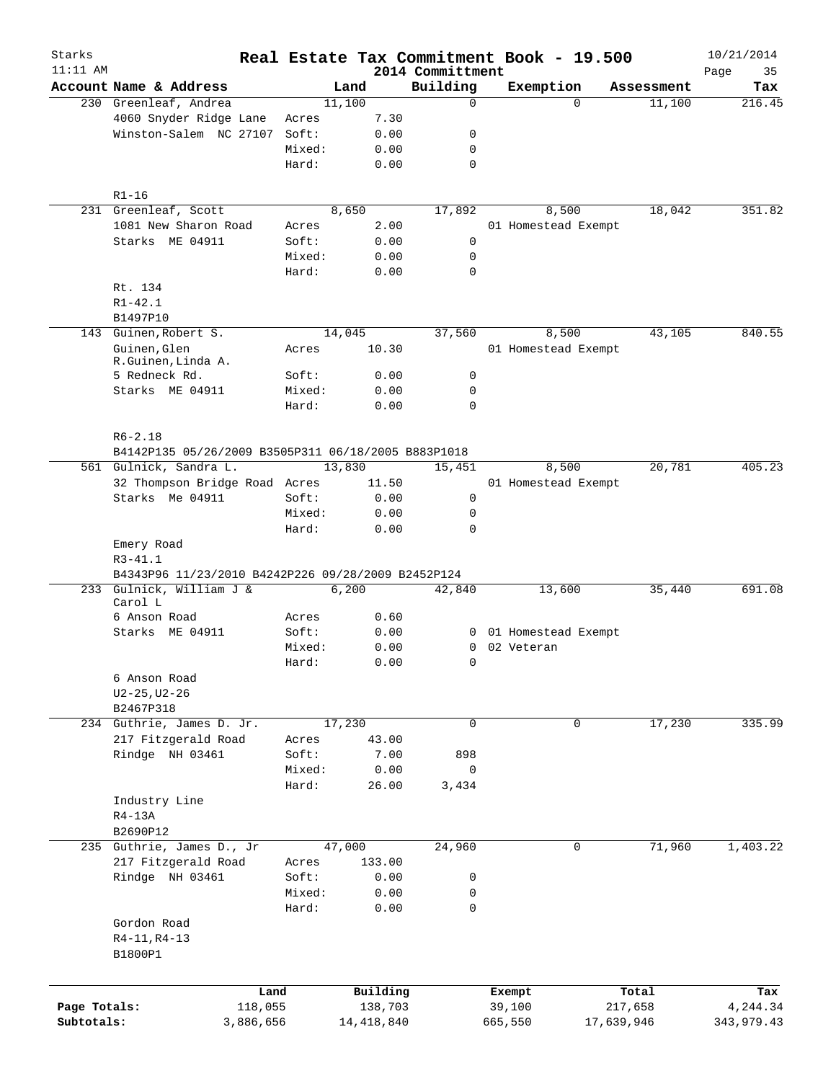| Starks       |                                                                                |        |              |                              | Real Estate Tax Commitment Book - 19.500 |            | 10/21/2014        |
|--------------|--------------------------------------------------------------------------------|--------|--------------|------------------------------|------------------------------------------|------------|-------------------|
| $11:11$ AM   | Account Name & Address                                                         |        | Land         | 2014 Committment<br>Building | Exemption                                | Assessment | Page<br>35<br>Tax |
|              | 230 Greenleaf, Andrea                                                          | 11,100 |              | $\mathbf 0$                  | $\Omega$                                 | 11,100     | 216.45            |
|              | 4060 Snyder Ridge Lane                                                         | Acres  | 7.30         |                              |                                          |            |                   |
|              | Winston-Salem NC 27107                                                         | Soft:  | 0.00         | 0                            |                                          |            |                   |
|              |                                                                                | Mixed: | 0.00         | 0                            |                                          |            |                   |
|              |                                                                                | Hard:  | 0.00         | $\mathbf 0$                  |                                          |            |                   |
|              | $R1 - 16$                                                                      |        |              |                              |                                          |            |                   |
|              | 231 Greenleaf, Scott                                                           | 8,650  |              | 17,892                       | 8,500                                    | 18,042     | 351.82            |
|              | 1081 New Sharon Road                                                           | Acres  | 2.00         |                              | 01 Homestead Exempt                      |            |                   |
|              | Starks ME 04911                                                                | Soft:  | 0.00         | $\mathbf 0$                  |                                          |            |                   |
|              |                                                                                | Mixed: | 0.00         | 0                            |                                          |            |                   |
|              |                                                                                | Hard:  | 0.00         | 0                            |                                          |            |                   |
|              | Rt. 134                                                                        |        |              |                              |                                          |            |                   |
|              | $R1 - 42.1$                                                                    |        |              |                              |                                          |            |                   |
|              | B1497P10                                                                       |        |              |                              |                                          |            |                   |
|              | 143 Guinen, Robert S.                                                          | 14,045 |              | 37,560                       | 8,500                                    | 43,105     | 840.55            |
|              | Guinen, Glen                                                                   | Acres  | 10.30        |                              | 01 Homestead Exempt                      |            |                   |
|              | R.Guinen, Linda A.                                                             |        |              |                              |                                          |            |                   |
|              | 5 Redneck Rd.                                                                  | Soft:  | 0.00         | 0                            |                                          |            |                   |
|              | Starks ME 04911                                                                | Mixed: | 0.00         | 0                            |                                          |            |                   |
|              |                                                                                | Hard:  | 0.00         | $\Omega$                     |                                          |            |                   |
|              |                                                                                |        |              |                              |                                          |            |                   |
|              | $R6 - 2.18$                                                                    |        |              |                              |                                          |            |                   |
|              | B4142P135 05/26/2009 B3505P311 06/18/2005 B883P1018                            |        |              |                              |                                          |            |                   |
|              | 561 Gulnick, Sandra L.                                                         | 13,830 |              | 15,451                       | 8,500                                    | 20,781     | 405.23            |
|              | 32 Thompson Bridge Road Acres                                                  |        | 11.50        |                              | 01 Homestead Exempt                      |            |                   |
|              | Starks Me 04911                                                                | Soft:  | 0.00         | 0                            |                                          |            |                   |
|              |                                                                                | Mixed: | 0.00         | 0                            |                                          |            |                   |
|              |                                                                                | Hard:  | 0.00         | $\Omega$                     |                                          |            |                   |
|              | Emery Road                                                                     |        |              |                              |                                          |            |                   |
|              | $R3 - 41.1$                                                                    |        |              |                              |                                          |            |                   |
|              | B4343P96 11/23/2010 B4242P226 09/28/2009 B2452P124<br>233 Gulnick, William J & |        |              | 42,840                       |                                          |            | 691.08            |
|              | Carol L                                                                        | 6,200  |              |                              | 13,600                                   | 35,440     |                   |
|              | 6 Anson Road                                                                   | Acres  | 0.60         |                              |                                          |            |                   |
|              | Starks ME 04911                                                                | Soft:  | 0.00         |                              | 0 01 Homestead Exempt                    |            |                   |
|              |                                                                                | Mixed: | 0.00         |                              | 0 02 Veteran                             |            |                   |
|              |                                                                                | Hard:  | 0.00         | $\overline{0}$               |                                          |            |                   |
|              | 6 Anson Road                                                                   |        |              |                              |                                          |            |                   |
|              | $U2 - 25, U2 - 26$                                                             |        |              |                              |                                          |            |                   |
|              | B2467P318                                                                      |        |              |                              |                                          |            |                   |
|              | 234 Guthrie, James D. Jr.                                                      | 17,230 |              | $\mathbf 0$                  | 0                                        | 17,230     | 335.99            |
|              | 217 Fitzgerald Road                                                            | Acres  | 43.00        |                              |                                          |            |                   |
|              | Rindge NH 03461                                                                | Soft:  | 7.00         | 898                          |                                          |            |                   |
|              |                                                                                | Mixed: | 0.00         | $\mathbf 0$                  |                                          |            |                   |
|              |                                                                                | Hard:  | 26.00        | 3,434                        |                                          |            |                   |
|              | Industry Line                                                                  |        |              |                              |                                          |            |                   |
|              | $R4-13A$                                                                       |        |              |                              |                                          |            |                   |
|              | B2690P12                                                                       |        |              |                              |                                          |            |                   |
|              | 235 Guthrie, James D., Jr                                                      | 47,000 |              | 24,960                       | 0                                        | 71,960     | 1,403.22          |
|              | 217 Fitzgerald Road                                                            | Acres  | 133.00       |                              |                                          |            |                   |
|              | Rindge NH 03461                                                                | Soft:  | 0.00         | 0                            |                                          |            |                   |
|              |                                                                                | Mixed: | 0.00         | 0                            |                                          |            |                   |
|              |                                                                                | Hard:  | 0.00         | 0                            |                                          |            |                   |
|              | Gordon Road                                                                    |        |              |                              |                                          |            |                   |
|              | $R4-11, R4-13$                                                                 |        |              |                              |                                          |            |                   |
|              | B1800P1                                                                        |        |              |                              |                                          |            |                   |
|              |                                                                                |        |              |                              |                                          |            |                   |
|              |                                                                                |        |              |                              |                                          |            |                   |
|              | Land                                                                           |        | Building     |                              | Exempt                                   | Total      | Tax               |
| Page Totals: | 118,055                                                                        |        | 138,703      |                              | 39,100                                   | 217,658    | 4,244.34          |
| Subtotals:   | 3,886,656                                                                      |        | 14, 418, 840 |                              | 17,639,946<br>665,550                    |            | 343,979.43        |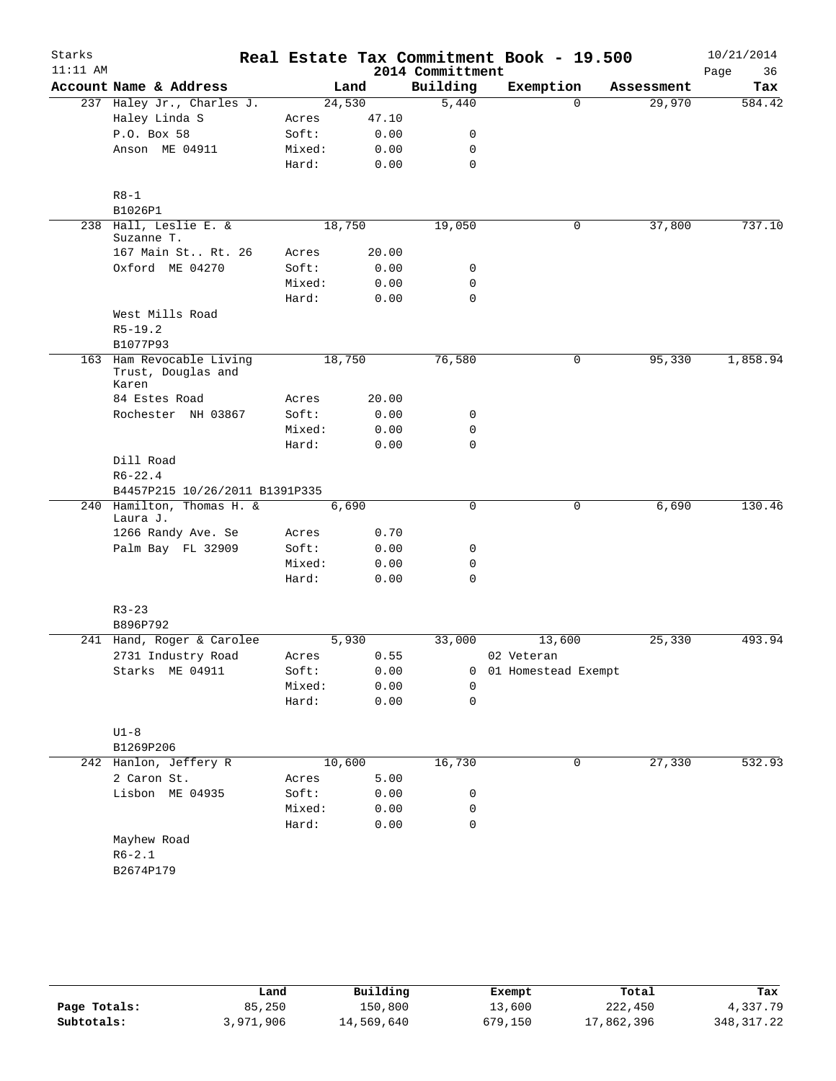| Starks<br>$11:11$ AM |                                                         |  |                 |              | 2014 Committment | Real Estate Tax Commitment Book - 19.500 |              |            | 10/21/2014<br>Page<br>36 |
|----------------------|---------------------------------------------------------|--|-----------------|--------------|------------------|------------------------------------------|--------------|------------|--------------------------|
|                      | Account Name & Address                                  |  |                 | Land         | Building         | Exemption                                |              | Assessment | Tax                      |
|                      | 237 Haley Jr., Charles J.                               |  | 24,530          |              | 5,440            |                                          | $\Omega$     | 29,970     | 584.42                   |
|                      | Haley Linda S                                           |  | Acres           | 47.10        |                  |                                          |              |            |                          |
|                      | P.O. Box 58                                             |  | Soft:           | 0.00         | 0                |                                          |              |            |                          |
|                      | Anson ME 04911                                          |  | Mixed:          | 0.00         | 0                |                                          |              |            |                          |
|                      |                                                         |  | Hard:           | 0.00         | 0                |                                          |              |            |                          |
|                      | $R8 - 1$<br>B1026P1                                     |  |                 |              |                  |                                          |              |            |                          |
|                      | 238 Hall, Leslie E. &<br>Suzanne T.                     |  | 18,750          |              | 19,050           |                                          | $\mathsf{O}$ | 37,800     | 737.10                   |
|                      | 167 Main St Rt. 26                                      |  | Acres           | 20.00        |                  |                                          |              |            |                          |
|                      | Oxford ME 04270                                         |  | Soft:           | 0.00         | 0                |                                          |              |            |                          |
|                      |                                                         |  | Mixed:          | 0.00         | 0                |                                          |              |            |                          |
|                      |                                                         |  | Hard:           | 0.00         | $\mathbf 0$      |                                          |              |            |                          |
|                      | West Mills Road<br>$R5 - 19.2$                          |  |                 |              |                  |                                          |              |            |                          |
|                      | B1077P93                                                |  |                 |              |                  |                                          |              |            |                          |
|                      | 163 Ham Revocable Living<br>Trust, Douglas and<br>Karen |  | 18,750          |              | 76,580           |                                          | 0            | 95,330     | 1,858.94                 |
|                      | 84 Estes Road                                           |  | Acres           | 20.00        |                  |                                          |              |            |                          |
|                      | Rochester NH 03867                                      |  | Soft:           | 0.00         | 0                |                                          |              |            |                          |
|                      |                                                         |  | Mixed:          | 0.00         | 0                |                                          |              |            |                          |
|                      |                                                         |  | Hard:           | 0.00         | $\mathbf 0$      |                                          |              |            |                          |
|                      | Dill Road<br>$R6 - 22.4$                                |  |                 |              |                  |                                          |              |            |                          |
|                      | B4457P215 10/26/2011 B1391P335                          |  |                 |              |                  |                                          |              |            |                          |
|                      | 240 Hamilton, Thomas H. &<br>Laura J.                   |  | 6,690           |              | 0                |                                          | 0            | 6,690      | 130.46                   |
|                      | 1266 Randy Ave. Se                                      |  | Acres           | 0.70         |                  |                                          |              |            |                          |
|                      | Palm Bay FL 32909                                       |  | Soft:           | 0.00         | 0                |                                          |              |            |                          |
|                      |                                                         |  | Mixed:          | 0.00         | 0                |                                          |              |            |                          |
|                      |                                                         |  | Hard:           | 0.00         | $\mathbf 0$      |                                          |              |            |                          |
|                      | $R3 - 23$                                               |  |                 |              |                  |                                          |              |            |                          |
|                      | B896P792                                                |  |                 |              | 33,000           |                                          |              | 25,330     | 493.94                   |
|                      | 241 Hand, Roger & Carolee                               |  | 5,930           | 0.55         |                  | 13,600                                   |              |            |                          |
|                      | 2731 Industry Road                                      |  | Acres           |              |                  | 02 Veteran                               |              |            |                          |
|                      | Starks ME 04911                                         |  | Soft:           | 0.00         | 0                | 01 Homestead Exempt                      |              |            |                          |
|                      |                                                         |  | Mixed:<br>Hard: | 0.00<br>0.00 | 0<br>$\mathbf 0$ |                                          |              |            |                          |
|                      |                                                         |  |                 |              |                  |                                          |              |            |                          |
|                      | $U1-8$                                                  |  |                 |              |                  |                                          |              |            |                          |
|                      | B1269P206                                               |  |                 |              |                  |                                          |              |            |                          |
|                      | 242 Hanlon, Jeffery R                                   |  | 10,600          |              | 16,730           |                                          | 0            | 27,330     | 532.93                   |
|                      | 2 Caron St.                                             |  | Acres           | 5.00         |                  |                                          |              |            |                          |
|                      | Lisbon ME 04935                                         |  | Soft:           | 0.00         | 0                |                                          |              |            |                          |
|                      |                                                         |  | Mixed:          | 0.00         | 0                |                                          |              |            |                          |
|                      |                                                         |  | Hard:           | 0.00         | $\mathbf 0$      |                                          |              |            |                          |
|                      | Mayhew Road                                             |  |                 |              |                  |                                          |              |            |                          |
|                      | $R6 - 2.1$                                              |  |                 |              |                  |                                          |              |            |                          |
|                      | B2674P179                                               |  |                 |              |                  |                                          |              |            |                          |
|                      |                                                         |  |                 |              |                  |                                          |              |            |                          |
|                      |                                                         |  |                 |              |                  |                                          |              |            |                          |
|                      |                                                         |  |                 |              |                  |                                          |              |            |                          |

|              | Land      | Building   | Exempt  | Total      | Tax         |
|--------------|-----------|------------|---------|------------|-------------|
| Page Totals: | 85,250    | 150,800    | 13,600  | 222,450    | 4,337.79    |
| Subtotals:   | 3,971,906 | 14,569,640 | 679,150 | 17,862,396 | 348, 317.22 |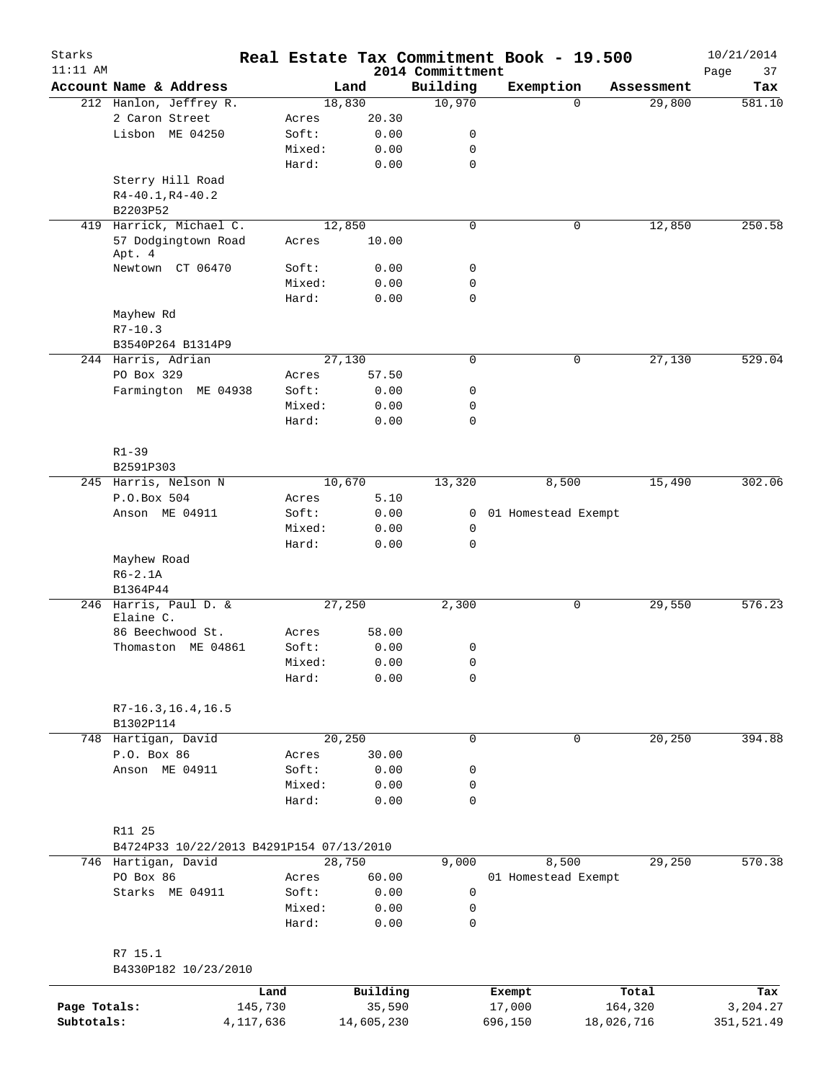| Starks       |                                          |           |               |                              | Real Estate Tax Commitment Book - 19.500 |            |            | 10/21/2014        |
|--------------|------------------------------------------|-----------|---------------|------------------------------|------------------------------------------|------------|------------|-------------------|
| $11:11$ AM   | Account Name & Address                   |           | Land          | 2014 Committment<br>Building | Exemption                                |            | Assessment | Page<br>37<br>Tax |
|              | 212 Hanlon, Jeffrey R.                   |           | 18,830        | 10,970                       |                                          | $\Omega$   | 29,800     | 581.10            |
|              | 2 Caron Street                           | Acres     | 20.30         |                              |                                          |            |            |                   |
|              | Lisbon ME 04250                          | Soft:     | 0.00          | 0                            |                                          |            |            |                   |
|              |                                          | Mixed:    | 0.00          | 0                            |                                          |            |            |                   |
|              |                                          | Hard:     | 0.00          | $\mathbf 0$                  |                                          |            |            |                   |
|              | Sterry Hill Road                         |           |               |                              |                                          |            |            |                   |
|              | $R4-40.1, R4-40.2$                       |           |               |                              |                                          |            |            |                   |
|              | B2203P52                                 |           |               |                              |                                          |            |            |                   |
|              | 419 Harrick, Michael C.                  |           | 12,850        | $\mathbf 0$                  |                                          | 0          | 12,850     | 250.58            |
|              | 57 Dodgingtown Road<br>Apt. 4            | Acres     | 10.00         |                              |                                          |            |            |                   |
|              | Newtown CT 06470                         | Soft:     | 0.00          | 0                            |                                          |            |            |                   |
|              |                                          | Mixed:    | 0.00          | $\mathbf 0$                  |                                          |            |            |                   |
|              |                                          | Hard:     | 0.00          | $\mathbf 0$                  |                                          |            |            |                   |
|              | Mayhew Rd                                |           |               |                              |                                          |            |            |                   |
|              | $R7 - 10.3$                              |           |               |                              |                                          |            |            |                   |
|              | B3540P264 B1314P9                        |           |               |                              |                                          |            |            |                   |
|              | 244 Harris, Adrian                       |           | 27,130        | $\mathbf 0$                  |                                          | 0          | 27,130     | 529.04            |
|              | PO Box 329                               | Acres     | 57.50         |                              |                                          |            |            |                   |
|              | Farmington ME 04938                      | Soft:     | 0.00          | 0                            |                                          |            |            |                   |
|              |                                          | Mixed:    | 0.00          | $\mathbf 0$                  |                                          |            |            |                   |
|              |                                          | Hard:     | 0.00          | $\mathbf 0$                  |                                          |            |            |                   |
|              | $R1 - 39$<br>B2591P303                   |           |               |                              |                                          |            |            |                   |
|              | 245 Harris, Nelson N                     |           | 10,670        | 13,320                       | 8,500                                    |            | 15,490     | 302.06            |
|              | P.O.Box 504                              | Acres     | 5.10          |                              |                                          |            |            |                   |
|              | Anson ME 04911                           | Soft:     | 0.00          | $\mathbf{0}$                 | 01 Homestead Exempt                      |            |            |                   |
|              |                                          | Mixed:    | 0.00          | $\mathbf 0$                  |                                          |            |            |                   |
|              |                                          | Hard:     | 0.00          | $\mathbf 0$                  |                                          |            |            |                   |
|              | Mayhew Road                              |           |               |                              |                                          |            |            |                   |
|              | $R6-2.1A$                                |           |               |                              |                                          |            |            |                   |
|              | B1364P44                                 |           |               |                              |                                          |            |            |                   |
|              | 246 Harris, Paul D. &<br>Elaine C.       |           | 27,250        | 2,300                        |                                          | 0          | 29,550     | 576.23            |
|              | 86 Beechwood St.                         | Acres     | 58.00         |                              |                                          |            |            |                   |
|              | Thomaston ME 04861                       | Soft:     | 0.00          | 0                            |                                          |            |            |                   |
|              |                                          | Mixed:    | 0.00          | $\mathsf 0$                  |                                          |            |            |                   |
|              |                                          | Hard:     | 0.00          | 0                            |                                          |            |            |                   |
|              | $R7-16.3, 16.4, 16.5$<br>B1302P114       |           |               |                              |                                          |            |            |                   |
|              | 748 Hartigan, David                      |           | 20, 250       | $\mathsf{O}$                 |                                          | 0          | 20, 250    | 394.88            |
|              | P.O. Box 86                              | Acres     | 30.00         |                              |                                          |            |            |                   |
|              | Anson ME 04911                           | Soft:     | 0.00          | 0                            |                                          |            |            |                   |
|              |                                          | Mixed:    | 0.00          | 0                            |                                          |            |            |                   |
|              |                                          | Hard:     | 0.00          | $\mathbf 0$                  |                                          |            |            |                   |
|              | R11 25                                   |           |               |                              |                                          |            |            |                   |
|              | B4724P33 10/22/2013 B4291P154 07/13/2010 |           | 28,750        | 9,000                        | 8,500                                    |            | 29,250     | 570.38            |
|              | 746 Hartigan, David<br>PO Box 86         | Acres     |               |                              | 01 Homestead Exempt                      |            |            |                   |
|              | Starks ME 04911                          | Soft:     | 60.00<br>0.00 | 0                            |                                          |            |            |                   |
|              |                                          | Mixed:    | 0.00          | 0                            |                                          |            |            |                   |
|              |                                          | Hard:     | 0.00          | $\mathbf 0$                  |                                          |            |            |                   |
|              | R7 15.1<br>B4330P182 10/23/2010          |           |               |                              |                                          |            |            |                   |
|              |                                          | Land      | Building      |                              | Exempt                                   | Total      |            | Tax               |
| Page Totals: |                                          | 145,730   | 35,590        |                              | 17,000                                   | 164,320    |            | 3,204.27          |
| Subtotals:   |                                          | 4,117,636 | 14,605,230    |                              | 696,150                                  | 18,026,716 |            | 351,521.49        |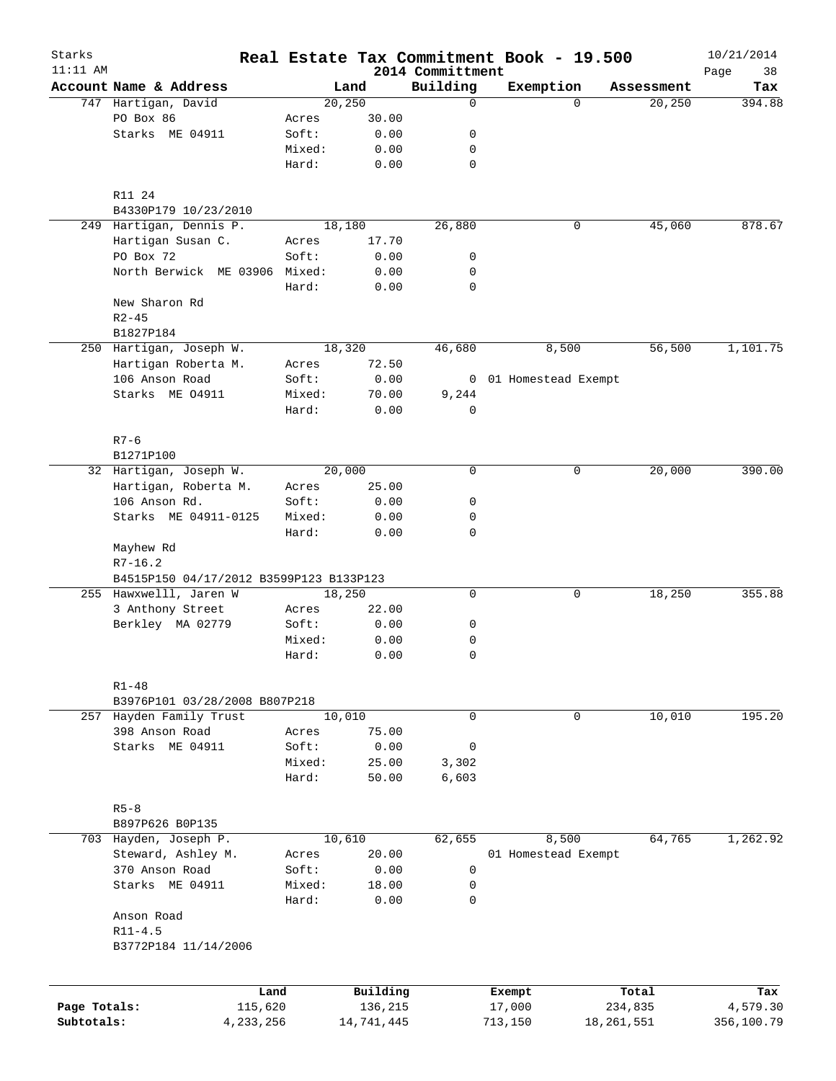| Starks<br>$11:11$ AM |                                         |        |                     | 2014 Committment | Real Estate Tax Commitment Book - 19.500 |                  | 10/21/2014<br>38<br>Page |
|----------------------|-----------------------------------------|--------|---------------------|------------------|------------------------------------------|------------------|--------------------------|
|                      | Account Name & Address                  |        | Land                | Building         | Exemption                                | Assessment       | Tax                      |
|                      | 747 Hartigan, David                     |        | 20,250              | $\mathbf 0$      | $\Omega$                                 | 20,250           | 394.88                   |
|                      | PO Box 86                               | Acres  | 30.00               |                  |                                          |                  |                          |
|                      | Starks ME 04911                         | Soft:  | 0.00                | 0                |                                          |                  |                          |
|                      |                                         | Mixed: | 0.00                | 0                |                                          |                  |                          |
|                      |                                         | Hard:  | 0.00                | 0                |                                          |                  |                          |
|                      | R11 24                                  |        |                     |                  |                                          |                  |                          |
|                      | B4330P179 10/23/2010                    |        |                     |                  |                                          |                  |                          |
|                      | 249 Hartigan, Dennis P.                 |        | 18,180              | 26,880           | 0                                        | 45,060           | 878.67                   |
|                      | Hartigan Susan C.                       | Acres  | 17.70               |                  |                                          |                  |                          |
|                      | PO Box 72                               | Soft:  | 0.00                | 0                |                                          |                  |                          |
|                      | North Berwick ME 03906 Mixed:           |        | 0.00                | 0                |                                          |                  |                          |
|                      |                                         | Hard:  | 0.00                | 0                |                                          |                  |                          |
|                      | New Sharon Rd                           |        |                     |                  |                                          |                  |                          |
|                      | $R2 - 45$                               |        |                     |                  |                                          |                  |                          |
|                      | B1827P184                               |        |                     |                  |                                          |                  |                          |
|                      | 250 Hartigan, Joseph W.                 |        | 18,320              | 46,680           | 8,500                                    | 56,500           | 1,101.75                 |
|                      | Hartigan Roberta M.                     | Acres  | 72.50               |                  |                                          |                  |                          |
|                      | 106 Anson Road                          | Soft:  | 0.00                |                  | 0 01 Homestead Exempt                    |                  |                          |
|                      | Starks ME 04911                         | Mixed: | 70.00               | 9,244            |                                          |                  |                          |
|                      |                                         | Hard:  | 0.00                | 0                |                                          |                  |                          |
|                      | $R7 - 6$                                |        |                     |                  |                                          |                  |                          |
|                      | B1271P100                               |        |                     |                  |                                          |                  |                          |
|                      | 32 Hartigan, Joseph W.                  |        | 20,000              | $\mathbf 0$      | 0                                        | 20,000           | 390.00                   |
|                      | Hartigan, Roberta M.                    | Acres  | 25.00               |                  |                                          |                  |                          |
|                      | 106 Anson Rd.                           | Soft:  | 0.00                | 0                |                                          |                  |                          |
|                      | Starks ME 04911-0125                    | Mixed: | 0.00                | 0                |                                          |                  |                          |
|                      | Mayhew Rd                               | Hard:  | 0.00                | 0                |                                          |                  |                          |
|                      | $R7 - 16.2$                             |        |                     |                  |                                          |                  |                          |
|                      | B4515P150 04/17/2012 B3599P123 B133P123 |        |                     |                  |                                          |                  |                          |
|                      | 255 Hawxwelll, Jaren W                  |        | 18,250              | 0                | 0                                        | 18,250           | 355.88                   |
|                      | 3 Anthony Street                        | Acres  | 22.00               |                  |                                          |                  |                          |
|                      | Berkley MA 02779                        | Soft:  | 0.00                | 0                |                                          |                  |                          |
|                      |                                         | Mixed: | 0.00                | 0                |                                          |                  |                          |
|                      |                                         | Hard:  | 0.00                | 0                |                                          |                  |                          |
|                      | $R1 - 48$                               |        |                     |                  |                                          |                  |                          |
|                      | B3976P101 03/28/2008 B807P218           |        |                     |                  |                                          |                  |                          |
|                      | 257 Hayden Family Trust                 |        | 10,010              | 0                | 0                                        | 10,010           | 195.20                   |
|                      | 398 Anson Road                          | Acres  | 75.00               |                  |                                          |                  |                          |
|                      | Starks ME 04911                         | Soft:  | 0.00                | 0                |                                          |                  |                          |
|                      |                                         | Mixed: | 25.00               | 3,302            |                                          |                  |                          |
|                      |                                         | Hard:  | 50.00               | 6,603            |                                          |                  |                          |
|                      | $R5 - 8$                                |        |                     |                  |                                          |                  |                          |
|                      | B897P626 B0P135                         |        |                     |                  |                                          |                  |                          |
|                      | 703 Hayden, Joseph P.                   |        | 10,610              | 62,655           | 8,500                                    | 64,765           | 1,262.92                 |
|                      | Steward, Ashley M.                      | Acres  | 20.00               |                  | 01 Homestead Exempt                      |                  |                          |
|                      | 370 Anson Road                          | Soft:  | 0.00                | 0                |                                          |                  |                          |
|                      | Starks ME 04911                         | Mixed: | 18.00               | 0                |                                          |                  |                          |
|                      |                                         | Hard:  | 0.00                | 0                |                                          |                  |                          |
|                      | Anson Road                              |        |                     |                  |                                          |                  |                          |
|                      | $R11 - 4.5$<br>B3772P184 11/14/2006     |        |                     |                  |                                          |                  |                          |
|                      |                                         |        |                     |                  |                                          |                  |                          |
|                      |                                         |        |                     |                  |                                          |                  |                          |
| Page Totals:         | Land<br>115,620                         |        | Building<br>136,215 |                  | Exempt<br>17,000                         | Total<br>234,835 | Tax<br>4,579.30          |
| Subtotals:           | 4,233,256                               |        | 14,741,445          |                  | 713,150                                  | 18, 261, 551     | 356,100.79               |
|                      |                                         |        |                     |                  |                                          |                  |                          |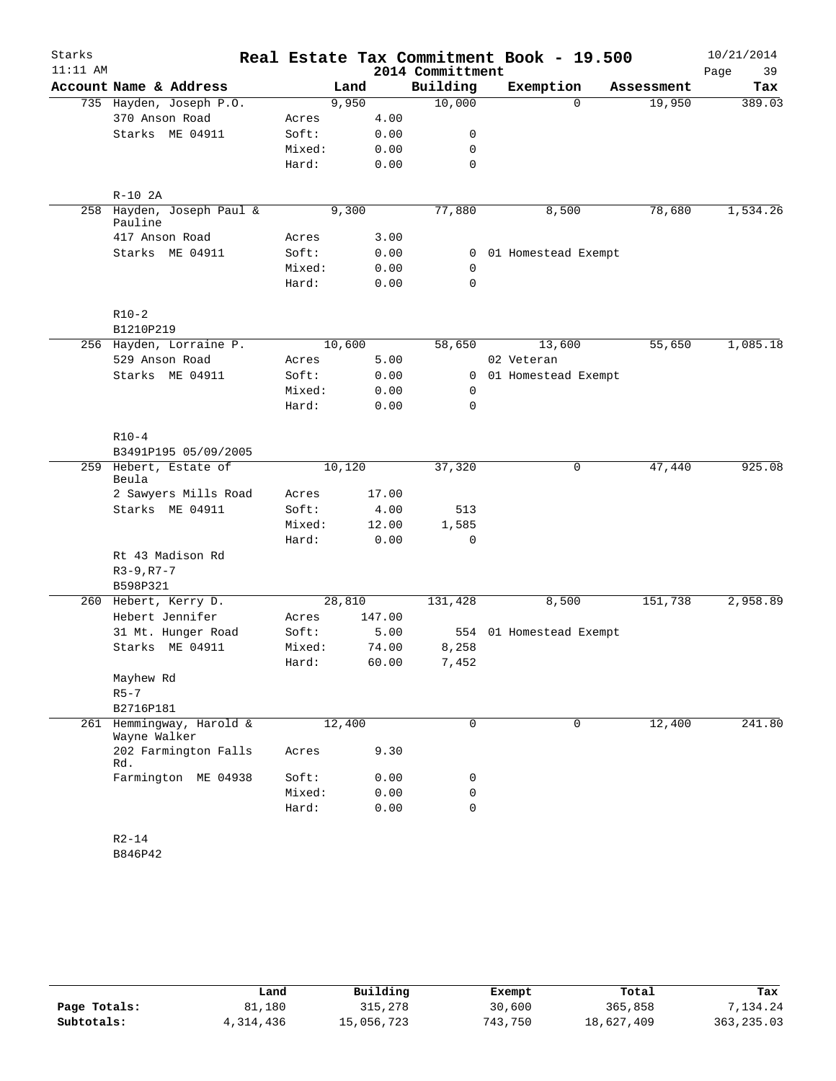| Starks     |                                             |                |        |        |                  | Real Estate Tax Commitment Book - 19.500 |            | 10/21/2014 |
|------------|---------------------------------------------|----------------|--------|--------|------------------|------------------------------------------|------------|------------|
| $11:11$ AM |                                             |                |        |        | 2014 Committment |                                          |            | 39<br>Page |
|            | Account Name & Address                      |                | Land   |        | Building         | Exemption                                | Assessment | Tax        |
|            | 735 Hayden, Joseph P.O.                     |                | 9,950  |        | 10,000           | $\Omega$                                 | 19,950     | 389.03     |
|            | 370 Anson Road                              | Acres          |        | 4.00   |                  |                                          |            |            |
|            | Starks ME 04911                             | Soft:          |        | 0.00   | 0                |                                          |            |            |
|            |                                             | Mixed:         |        | 0.00   | 0                |                                          |            |            |
|            |                                             | Hard:          |        | 0.00   | $\mathbf 0$      |                                          |            |            |
|            | $R-10$ 2A                                   |                |        |        |                  |                                          |            |            |
|            | 258 Hayden, Joseph Paul &<br>Pauline        |                | 9,300  |        | 77,880           | 8,500                                    | 78,680     | 1,534.26   |
|            | 417 Anson Road                              | Acres          |        | 3.00   |                  |                                          |            |            |
|            | Starks ME 04911                             | Soft:          |        | 0.00   |                  | 0 01 Homestead Exempt                    |            |            |
|            |                                             | Mixed:         |        | 0.00   | 0                |                                          |            |            |
|            |                                             | Hard:          |        | 0.00   | $\mathbf 0$      |                                          |            |            |
|            | $R10-2$                                     |                |        |        |                  |                                          |            |            |
|            | B1210P219                                   |                |        |        |                  |                                          |            |            |
|            | 256 Hayden, Lorraine P.                     |                | 10,600 |        | 58,650           | 13,600                                   | 55,650     | 1,085.18   |
|            | 529 Anson Road                              | Acres          |        | 5.00   |                  | 02 Veteran                               |            |            |
|            | Starks ME 04911                             | Soft:          |        | 0.00   | $\overline{0}$   | 01 Homestead Exempt                      |            |            |
|            |                                             | Mixed:         |        | 0.00   | 0                |                                          |            |            |
|            |                                             | Hard:          |        | 0.00   | $\mathbf 0$      |                                          |            |            |
|            | $R10-4$                                     |                |        |        |                  |                                          |            |            |
|            | B3491P195 05/09/2005                        |                |        |        |                  |                                          |            |            |
|            | 259 Hebert, Estate of<br>Beula              |                | 10,120 |        | 37,320           | 0                                        | 47,440     | 925.08     |
|            | 2 Sawyers Mills Road                        | Acres          |        | 17.00  |                  |                                          |            |            |
|            | Starks ME 04911                             | Soft:          |        | 4.00   | 513              |                                          |            |            |
|            |                                             | Mixed:         |        | 12.00  | 1,585            |                                          |            |            |
|            |                                             | Hard:          |        | 0.00   | 0                |                                          |            |            |
|            | Rt 43 Madison Rd                            |                |        |        |                  |                                          |            |            |
|            | $R3 - 9, R7 - 7$                            |                |        |        |                  |                                          |            |            |
|            | B598P321                                    |                |        |        |                  |                                          |            |            |
|            | 260 Hebert, Kerry D.<br>Hebert Jennifer     |                | 28,810 | 147.00 | 131,428          | 8,500                                    | 151,738    | 2,958.89   |
|            | 31 Mt. Hunger Road                          | Acres<br>Soft: |        | 5.00   |                  | 554 01 Homestead Exempt                  |            |            |
|            | Starks ME 04911                             | Mixed:         |        | 74.00  | 8,258            |                                          |            |            |
|            |                                             | Hard:          |        | 60.00  | 7,452            |                                          |            |            |
|            | Mayhew Rd                                   |                |        |        |                  |                                          |            |            |
|            | $R5 - 7$                                    |                |        |        |                  |                                          |            |            |
|            | B2716P181                                   |                |        |        |                  |                                          |            |            |
|            | 261 Hemmingway, Harold &                    |                | 12,400 |        | 0                | $\mathbf 0$                              | 12,400     | 241.80     |
|            | Wayne Walker<br>202 Farmington Falls<br>Rd. | Acres          |        | 9.30   |                  |                                          |            |            |
|            | Farmington ME 04938                         | Soft:          |        | 0.00   | 0                |                                          |            |            |
|            |                                             | Mixed:         |        | 0.00   | $\mathbf 0$      |                                          |            |            |
|            |                                             | Hard:          |        | 0.00   | $\mathbf 0$      |                                          |            |            |
|            | $R2 - 14$                                   |                |        |        |                  |                                          |            |            |
|            | B846P42                                     |                |        |        |                  |                                          |            |            |

|              | Land      | Building   | Exempt  | Total      | Tax         |
|--------------|-----------|------------|---------|------------|-------------|
| Page Totals: | 81,180    | 315,278    | 30,600  | 365,858    | 7,134.24    |
| Subtotals:   | 4,314,436 | 15,056,723 | 743,750 | 18,627,409 | 363, 235.03 |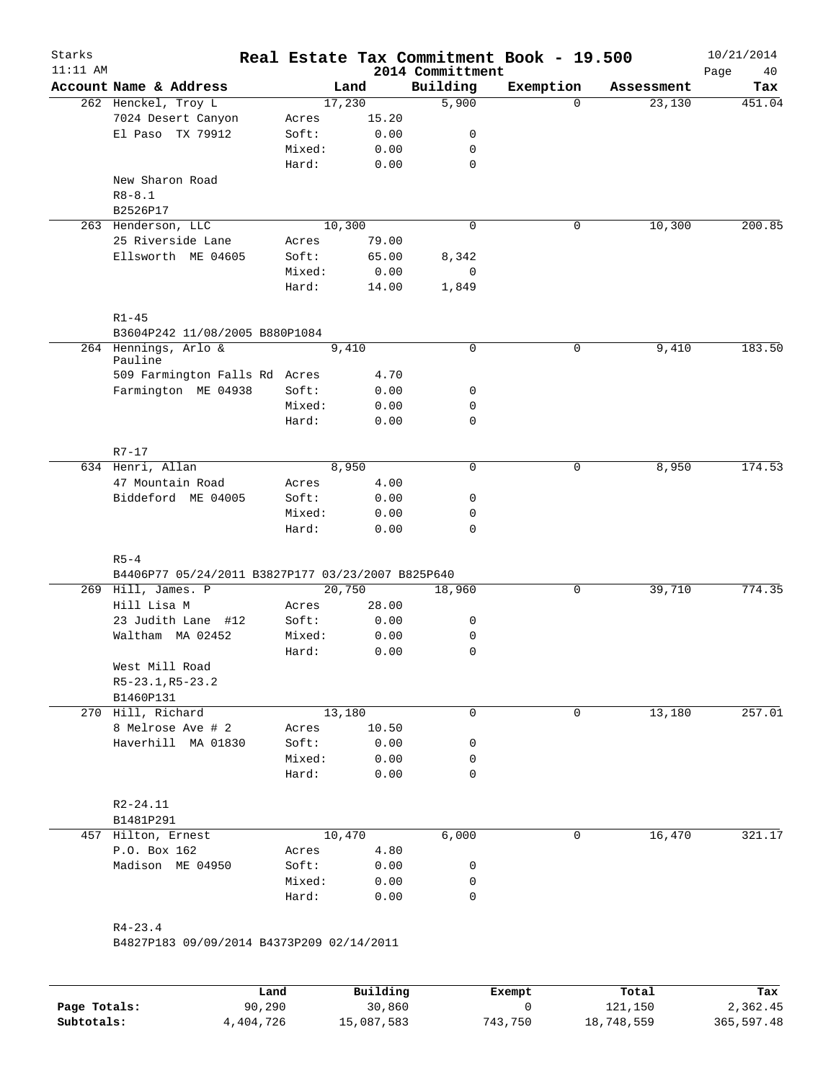| $11:11$ AM |                                                   |                 |              | 2014 Committment | Real Estate Tax Commitment Book - 19.500 |            | 10/21/2014<br>Page<br>40 |
|------------|---------------------------------------------------|-----------------|--------------|------------------|------------------------------------------|------------|--------------------------|
|            | Account Name & Address                            |                 | Land         | Building         | Exemption                                | Assessment | Tax                      |
|            | 262 Henckel, Troy L                               |                 | 17,230       | 5,900            | $\Omega$                                 | 23,130     | 451.04                   |
|            | 7024 Desert Canyon                                | Acres           | 15.20        |                  |                                          |            |                          |
|            | El Paso TX 79912                                  | Soft:           | 0.00         | 0                |                                          |            |                          |
|            |                                                   | Mixed:          | 0.00         | 0                |                                          |            |                          |
|            |                                                   | Hard:           | 0.00         | $\mathbf 0$      |                                          |            |                          |
|            | New Sharon Road                                   |                 |              |                  |                                          |            |                          |
|            | $R8 - 8.1$                                        |                 |              |                  |                                          |            |                          |
|            | B2526P17                                          |                 |              |                  |                                          |            |                          |
|            | 263 Henderson, LLC                                |                 | 10,300       | $\mathbf 0$      | 0                                        | 10,300     | 200.85                   |
|            | 25 Riverside Lane                                 | Acres           | 79.00        |                  |                                          |            |                          |
|            | Ellsworth ME 04605                                | Soft:           | 65.00        | 8,342            |                                          |            |                          |
|            |                                                   | Mixed:          | 0.00         | 0                |                                          |            |                          |
|            |                                                   | Hard:           | 14.00        | 1,849            |                                          |            |                          |
|            | $R1 - 45$                                         |                 |              |                  |                                          |            |                          |
|            | B3604P242 11/08/2005 B880P1084                    |                 |              |                  |                                          |            |                          |
|            | 264 Hennings, Arlo &                              |                 | 9,410        | 0                | $\mathsf{O}$                             | 9,410      | 183.50                   |
|            | Pauline                                           |                 |              |                  |                                          |            |                          |
|            | 509 Farmington Falls Rd Acres                     |                 | 4.70         |                  |                                          |            |                          |
|            | Farmington ME 04938                               | Soft:           | 0.00         | 0                |                                          |            |                          |
|            |                                                   | Mixed:          | 0.00         | 0                |                                          |            |                          |
|            |                                                   | Hard:           | 0.00         | $\mathbf 0$      |                                          |            |                          |
|            |                                                   |                 |              |                  |                                          |            |                          |
|            | $R7 - 17$                                         |                 |              |                  |                                          |            |                          |
|            | 634 Henri, Allan                                  |                 | 8,950        | $\mathbf 0$      | $\mathbf 0$                              | 8,950      | 174.53                   |
|            | 47 Mountain Road                                  | Acres           | 4.00         |                  |                                          |            |                          |
|            | Biddeford ME 04005                                | Soft:           | 0.00         | 0                |                                          |            |                          |
|            |                                                   | Mixed:          | 0.00         | $\mathbf 0$      |                                          |            |                          |
|            |                                                   | Hard:           | 0.00         | 0                |                                          |            |                          |
|            | $R5 - 4$                                          |                 |              |                  |                                          |            |                          |
|            | B4406P77 05/24/2011 B3827P177 03/23/2007 B825P640 |                 |              |                  |                                          |            |                          |
|            | 269 Hill, James. P                                |                 | 20,750       | 18,960           | 0                                        | 39,710     | 774.35                   |
|            | Hill Lisa M                                       | Acres           | 28.00        |                  |                                          |            |                          |
|            | 23 Judith Lane #12                                | Soft:           | 0.00         |                  |                                          |            |                          |
|            |                                                   |                 |              | 0                |                                          |            |                          |
|            | Waltham MA 02452                                  | Mixed:          | 0.00         | 0                |                                          |            |                          |
|            |                                                   | Hard:           | 0.00         | 0                |                                          |            |                          |
|            | West Mill Road                                    |                 |              |                  |                                          |            |                          |
|            | $R5 - 23.1, R5 - 23.2$                            |                 |              |                  |                                          |            |                          |
|            |                                                   |                 |              |                  |                                          |            |                          |
|            | B1460P131                                         |                 |              | 0                | 0                                        |            |                          |
|            | 270 Hill, Richard                                 |                 | 13,180       |                  |                                          | 13,180     |                          |
|            | 8 Melrose Ave # 2                                 | Acres           | 10.50        |                  |                                          |            |                          |
|            | Haverhill MA 01830                                | Soft:           | 0.00         | 0                |                                          |            |                          |
|            |                                                   | Mixed:<br>Hard: | 0.00<br>0.00 | 0<br>0           |                                          |            | 257.01                   |
|            |                                                   |                 |              |                  |                                          |            |                          |
|            | R2-24.11                                          |                 |              |                  |                                          |            |                          |
|            | B1481P291                                         |                 |              |                  |                                          |            |                          |
|            | 457 Hilton, Ernest                                |                 | 10,470       | 6,000            | $\mathbf 0$                              | 16,470     |                          |
|            | P.O. Box 162                                      | Acres           | 4.80         |                  |                                          |            |                          |
|            | Madison ME 04950                                  | Soft:           | 0.00         | 0                |                                          |            |                          |
|            |                                                   | Mixed:          | 0.00         | 0                |                                          |            |                          |
|            |                                                   | Hard:           | 0.00         | $\mathbf 0$      |                                          |            | 321.17                   |

|              | Land      | Building   | Exempt  | Total      | Tax        |
|--------------|-----------|------------|---------|------------|------------|
| Page Totals: | 90,290    | 30,860     |         | 121,150    | 2,362.45   |
| Subtotals:   | 4,404,726 | 15,087,583 | 743,750 | 18,748,559 | 365,597.48 |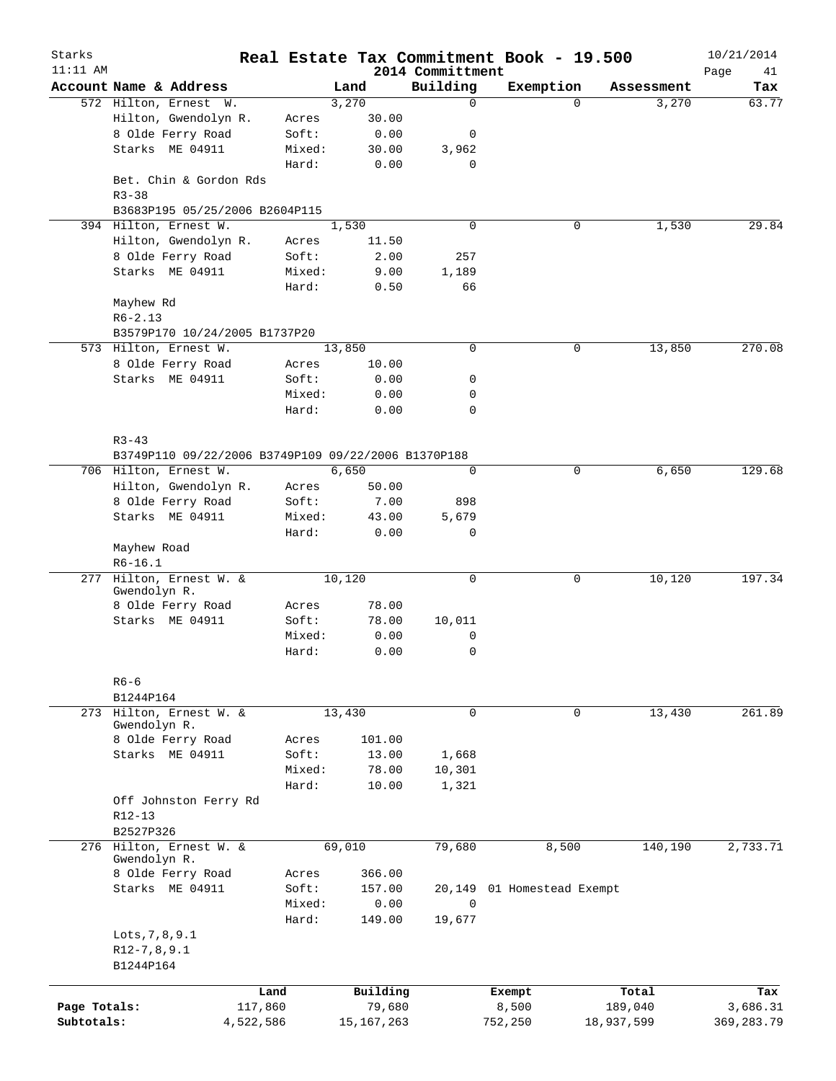| Starks<br>$11:11$ AM |                                                     |           |        |              | 2014 Committment | Real Estate Tax Commitment Book - 19.500 |            | 10/21/2014<br>Page<br>41 |
|----------------------|-----------------------------------------------------|-----------|--------|--------------|------------------|------------------------------------------|------------|--------------------------|
|                      | Account Name & Address                              |           |        | Land         | Building         | Exemption                                | Assessment | Tax                      |
|                      | 572 Hilton, Ernest W.                               |           |        | 3,270        | $\mathbf 0$      | $\Omega$                                 | 3,270      | 63.77                    |
|                      | Hilton, Gwendolyn R.                                |           | Acres  | 30.00        |                  |                                          |            |                          |
|                      | 8 Olde Ferry Road                                   |           | Soft:  | 0.00         | 0                |                                          |            |                          |
|                      | Starks ME 04911                                     |           | Mixed: | 30.00        | 3,962            |                                          |            |                          |
|                      |                                                     |           | Hard:  | 0.00         | 0                |                                          |            |                          |
|                      | Bet. Chin & Gordon Rds<br>$R3 - 38$                 |           |        |              |                  |                                          |            |                          |
|                      | B3683P195 05/25/2006 B2604P115                      |           |        |              |                  |                                          |            |                          |
|                      | 394 Hilton, Ernest W.                               |           |        | 1,530        | $\Omega$         | 0                                        | 1,530      | 29.84                    |
|                      | Hilton, Gwendolyn R.                                |           | Acres  | 11.50        |                  |                                          |            |                          |
|                      | 8 Olde Ferry Road                                   |           | Soft:  | 2.00         | 257              |                                          |            |                          |
|                      | Starks ME 04911                                     |           | Mixed: | 9.00         | 1,189            |                                          |            |                          |
|                      |                                                     |           | Hard:  | 0.50         | 66               |                                          |            |                          |
|                      | Mayhew Rd                                           |           |        |              |                  |                                          |            |                          |
|                      | $R6 - 2.13$                                         |           |        |              |                  |                                          |            |                          |
|                      | B3579P170 10/24/2005 B1737P20                       |           |        |              |                  |                                          |            |                          |
|                      | 573 Hilton, Ernest W.                               |           |        | 13,850       | 0                | 0                                        | 13,850     | 270.08                   |
|                      | 8 Olde Ferry Road                                   |           | Acres  | 10.00        |                  |                                          |            |                          |
|                      | Starks ME 04911                                     |           | Soft:  | 0.00         | 0                |                                          |            |                          |
|                      |                                                     |           | Mixed: | 0.00         | 0                |                                          |            |                          |
|                      |                                                     |           | Hard:  | 0.00         | $\mathbf 0$      |                                          |            |                          |
|                      |                                                     |           |        |              |                  |                                          |            |                          |
|                      | $R3 - 43$                                           |           |        |              |                  |                                          |            |                          |
|                      | B3749P110 09/22/2006 B3749P109 09/22/2006 B1370P188 |           |        |              |                  |                                          |            |                          |
|                      | 706 Hilton, Ernest W.                               |           |        | 6,650        | 0                | 0                                        | 6,650      | 129.68                   |
|                      | Hilton, Gwendolyn R.                                |           | Acres  | 50.00        |                  |                                          |            |                          |
|                      | 8 Olde Ferry Road                                   |           | Soft:  | 7.00         | 898              |                                          |            |                          |
|                      | Starks ME 04911                                     |           | Mixed: | 43.00        | 5,679            |                                          |            |                          |
|                      |                                                     |           | Hard:  | 0.00         | 0                |                                          |            |                          |
|                      | Mayhew Road                                         |           |        |              |                  |                                          |            |                          |
|                      | $R6 - 16.1$                                         |           |        |              |                  |                                          |            |                          |
| 277                  | Hilton, Ernest W. &                                 |           |        | 10,120       | 0                | 0                                        | 10,120     | 197.34                   |
|                      | Gwendolyn R.                                        |           |        |              |                  |                                          |            |                          |
|                      | 8 Olde Ferry Road                                   |           | Acres  | 78.00        |                  |                                          |            |                          |
|                      | Starks ME 04911                                     |           | Soft:  | 78.00        | 10,011           |                                          |            |                          |
|                      |                                                     |           | Mixed: | 0.00         | 0                |                                          |            |                          |
|                      |                                                     |           | Hard:  | 0.00         | 0                |                                          |            |                          |
|                      |                                                     |           |        |              |                  |                                          |            |                          |
|                      | $R6 - 6$                                            |           |        |              |                  |                                          |            |                          |
|                      | B1244P164                                           |           |        |              |                  |                                          |            |                          |
|                      | 273 Hilton, Ernest W. &                             |           |        | 13,430       | 0                | 0                                        | 13,430     | 261.89                   |
|                      | Gwendolyn R.                                        |           |        |              |                  |                                          |            |                          |
|                      | 8 Olde Ferry Road                                   |           | Acres  | 101.00       |                  |                                          |            |                          |
|                      | Starks ME 04911                                     |           | Soft:  | 13.00        | 1,668            |                                          |            |                          |
|                      |                                                     |           | Mixed: | 78.00        | 10,301           |                                          |            |                          |
|                      |                                                     |           | Hard:  | 10.00        | 1,321            |                                          |            |                          |
|                      | Off Johnston Ferry Rd                               |           |        |              |                  |                                          |            |                          |
|                      | $R12 - 13$                                          |           |        |              |                  |                                          |            |                          |
|                      | B2527P326                                           |           |        |              |                  |                                          |            |                          |
|                      | 276 Hilton, Ernest W. &<br>Gwendolyn R.             |           |        | 69,010       | 79,680           | 8,500                                    | 140,190    | 2,733.71                 |
|                      | 8 Olde Ferry Road                                   |           | Acres  | 366.00       |                  |                                          |            |                          |
|                      | Starks ME 04911                                     |           | Soft:  | 157.00       |                  | 20,149 01 Homestead Exempt               |            |                          |
|                      |                                                     |           | Mixed: | 0.00         | $\mathbf 0$      |                                          |            |                          |
|                      |                                                     |           | Hard:  | 149.00       | 19,677           |                                          |            |                          |
|                      | Lots, 7, 8, 9.1                                     |           |        |              |                  |                                          |            |                          |
|                      | $R12-7, 8, 9.1$                                     |           |        |              |                  |                                          |            |                          |
|                      | B1244P164                                           |           |        |              |                  |                                          |            |                          |
|                      |                                                     |           |        |              |                  |                                          |            |                          |
|                      |                                                     | Land      |        | Building     |                  | Exempt                                   | Total      | Tax                      |
| Page Totals:         |                                                     | 117,860   |        | 79,680       |                  | 8,500                                    | 189,040    | 3,686.31                 |
| Subtotals:           |                                                     | 4,522,586 |        | 15, 167, 263 |                  | 752,250                                  | 18,937,599 | 369, 283. 79             |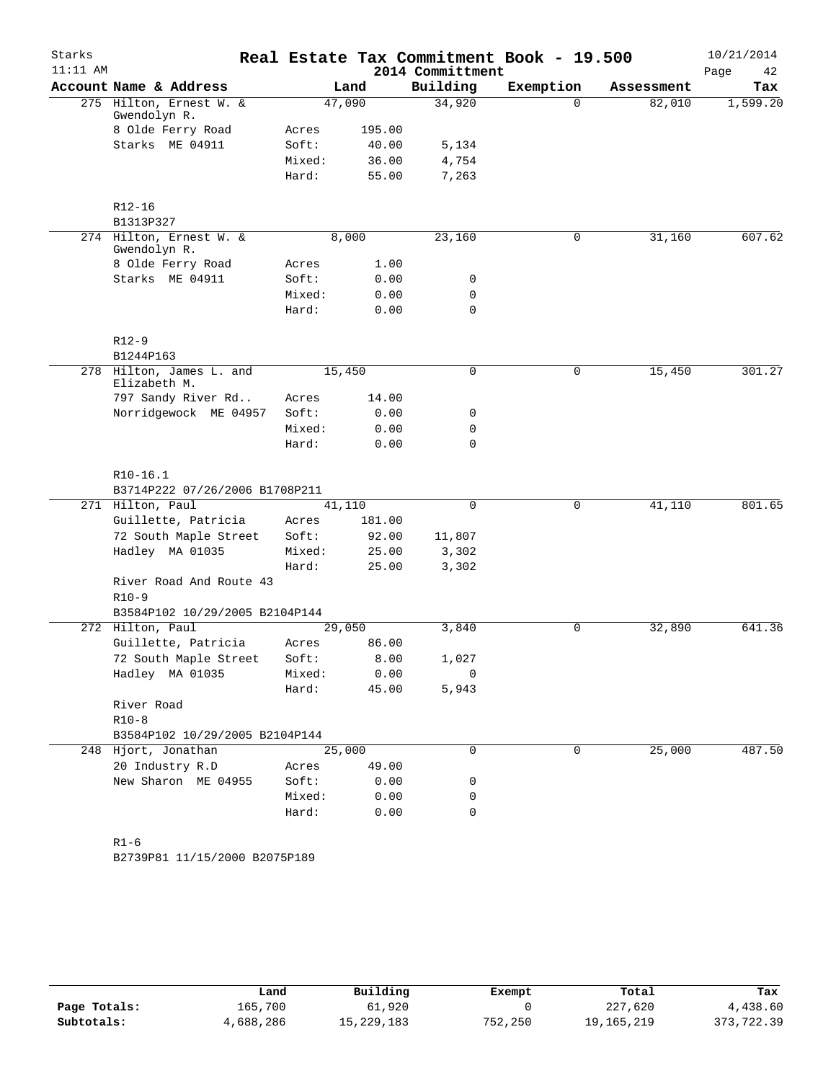| Starks<br>$11:11$ AM |                                          |        |                |                  | Real Estate Tax Commitment Book - 19.500 |            | 10/21/2014 |
|----------------------|------------------------------------------|--------|----------------|------------------|------------------------------------------|------------|------------|
|                      |                                          |        |                | 2014 Committment |                                          |            | Page<br>42 |
|                      | Account Name & Address                   |        | Land<br>47,090 | Building         | Exemption<br>$\Omega$                    | Assessment | Tax        |
|                      | 275 Hilton, Ernest W. &<br>Gwendolyn R.  |        |                | 34,920           |                                          | 82,010     | 1,599.20   |
|                      | 8 Olde Ferry Road                        | Acres  | 195.00         |                  |                                          |            |            |
|                      | Starks ME 04911                          | Soft:  | 40.00          | 5,134            |                                          |            |            |
|                      |                                          | Mixed: | 36.00          | 4,754            |                                          |            |            |
|                      |                                          | Hard:  | 55.00          | 7,263            |                                          |            |            |
|                      | $R12 - 16$                               |        |                |                  |                                          |            |            |
|                      | B1313P327                                |        |                |                  |                                          |            |            |
|                      | 274 Hilton, Ernest W. &<br>Gwendolyn R.  |        | 8,000          | 23,160           | 0                                        | 31,160     | 607.62     |
|                      | 8 Olde Ferry Road                        | Acres  | 1.00           |                  |                                          |            |            |
|                      | Starks ME 04911                          | Soft:  | 0.00           | 0                |                                          |            |            |
|                      |                                          | Mixed: | 0.00           | 0                |                                          |            |            |
|                      |                                          | Hard:  | 0.00           | $\mathbf 0$      |                                          |            |            |
|                      | $R12-9$                                  |        |                |                  |                                          |            |            |
|                      | B1244P163                                |        |                |                  |                                          |            |            |
|                      | 278 Hilton, James L. and<br>Elizabeth M. |        | 15,450         | 0                | 0                                        | 15,450     | 301.27     |
|                      | 797 Sandy River Rd                       | Acres  | 14.00          |                  |                                          |            |            |
|                      | Norridgewock ME 04957                    | Soft:  | 0.00           | 0                |                                          |            |            |
|                      |                                          | Mixed: | 0.00           | 0                |                                          |            |            |
|                      |                                          | Hard:  | 0.00           | $\mathbf 0$      |                                          |            |            |
|                      | $R10-16.1$                               |        |                |                  |                                          |            |            |
|                      | B3714P222 07/26/2006 B1708P211           |        |                |                  |                                          |            |            |
|                      | 271 Hilton, Paul                         |        | 41,110         | $\mathbf 0$      | $\mathbf 0$                              | 41,110     | 801.65     |
|                      | Guillette, Patricia                      | Acres  | 181.00         |                  |                                          |            |            |
|                      | 72 South Maple Street                    | Soft:  | 92.00          | 11,807           |                                          |            |            |
|                      | Hadley MA 01035                          | Mixed: | 25.00          | 3,302            |                                          |            |            |
|                      |                                          | Hard:  | 25.00          | 3,302            |                                          |            |            |
|                      | River Road And Route 43                  |        |                |                  |                                          |            |            |
|                      | $R10-9$                                  |        |                |                  |                                          |            |            |
|                      | B3584P102 10/29/2005 B2104P144           |        |                |                  |                                          |            |            |
|                      | 272 Hilton, Paul                         |        | 29,050         | 3,840            | $\mathbf 0$                              | 32,890     | 641.36     |
|                      | Guillette, Patricia                      | Acres  | 86.00          |                  |                                          |            |            |
|                      | 72 South Maple Street                    | Soft:  | 8.00           | 1,027            |                                          |            |            |
|                      | Hadley MA 01035                          | Mixed: | 0.00           | 0                |                                          |            |            |
|                      |                                          | Hard:  | 45.00          | 5,943            |                                          |            |            |
|                      | River Road                               |        |                |                  |                                          |            |            |
|                      | $R10-8$                                  |        |                |                  |                                          |            |            |
|                      | B3584P102 10/29/2005 B2104P144           |        |                |                  |                                          |            |            |
|                      | 248 Hjort, Jonathan                      |        | 25,000         | $\mathbf 0$      | $\mathbf 0$                              | 25,000     | 487.50     |
|                      | 20 Industry R.D                          | Acres  | 49.00          |                  |                                          |            |            |
|                      | New Sharon ME 04955                      | Soft:  | 0.00           | 0                |                                          |            |            |
|                      |                                          | Mixed: | 0.00           | 0                |                                          |            |            |
|                      |                                          | Hard:  | 0.00           | 0                |                                          |            |            |
|                      | $R1 - 6$                                 |        |                |                  |                                          |            |            |
|                      | B2739P81 11/15/2000 B2075P189            |        |                |                  |                                          |            |            |
|                      |                                          |        |                |                  |                                          |            |            |

|              | Land      | Building   | Exempt  | Total      | Tax        |
|--------------|-----------|------------|---------|------------|------------|
| Page Totals: | 165,700   | 61,920     |         | 227,620    | 4,438.60   |
| Subtotals:   | 4,688,286 | 15,229,183 | 752,250 | 19,165,219 | 373,722.39 |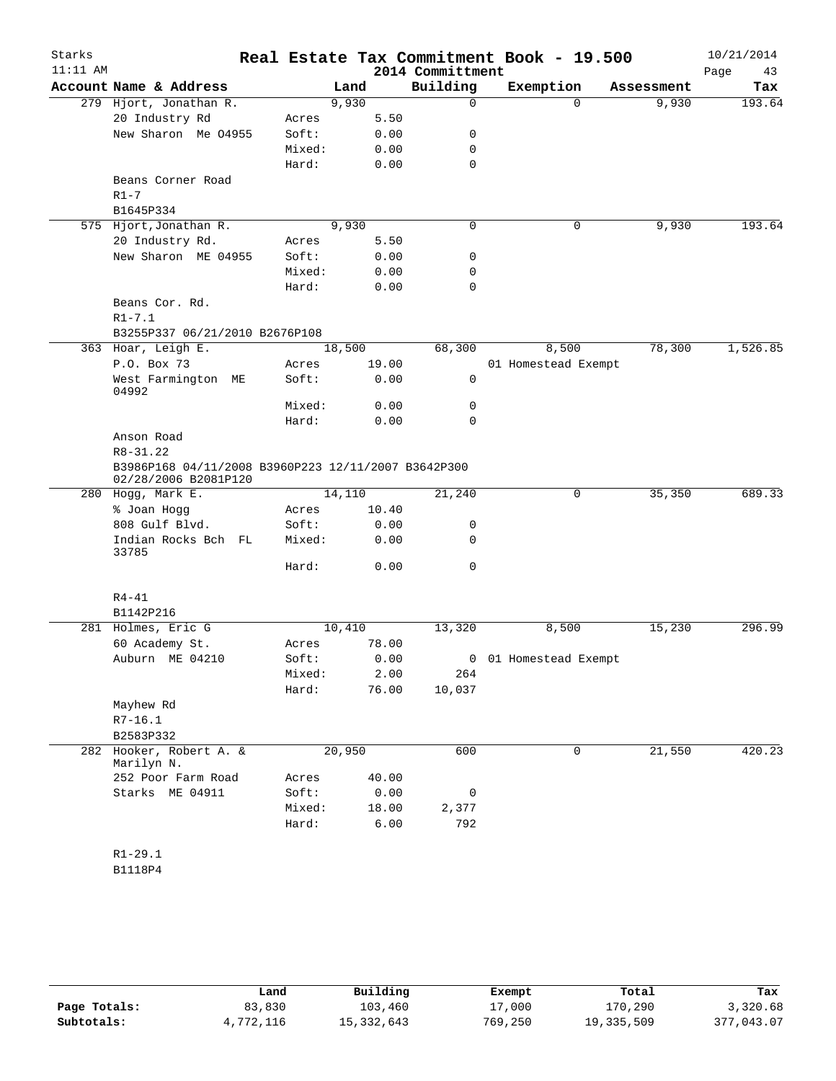| Starks     |                                                                             |                |        |               |                  | Real Estate Tax Commitment Book - 19.500 |            | 10/21/2014 |
|------------|-----------------------------------------------------------------------------|----------------|--------|---------------|------------------|------------------------------------------|------------|------------|
| $11:11$ AM |                                                                             |                |        |               | 2014 Committment |                                          |            | Page<br>43 |
|            | Account Name & Address                                                      |                | Land   |               | Building         | Exemption                                | Assessment | Tax        |
|            | 279 Hjort, Jonathan R.                                                      |                | 9,930  |               | 0                | $\Omega$                                 | 9,930      | 193.64     |
|            | 20 Industry Rd                                                              | Acres          |        | 5.50          |                  |                                          |            |            |
|            | New Sharon Me 04955                                                         | Soft:          |        | 0.00          | 0                |                                          |            |            |
|            |                                                                             | Mixed:         |        | 0.00          | 0                |                                          |            |            |
|            |                                                                             | Hard:          |        | 0.00          | $\mathbf 0$      |                                          |            |            |
|            | Beans Corner Road                                                           |                |        |               |                  |                                          |            |            |
|            | $R1 - 7$                                                                    |                |        |               |                  |                                          |            |            |
|            | B1645P334                                                                   |                |        |               |                  |                                          |            |            |
|            | 575 Hjort, Jonathan R.                                                      |                | 9,930  |               | $\mathbf 0$      | $\mathbf 0$                              | 9,930      | 193.64     |
|            | 20 Industry Rd.                                                             | Acres          |        | 5.50          |                  |                                          |            |            |
|            | New Sharon ME 04955                                                         | Soft:          |        | 0.00          | 0                |                                          |            |            |
|            |                                                                             | Mixed:         |        | 0.00          | 0                |                                          |            |            |
|            |                                                                             | Hard:          |        | 0.00          | $\mathbf 0$      |                                          |            |            |
|            | Beans Cor. Rd.                                                              |                |        |               |                  |                                          |            |            |
|            | $R1 - 7.1$                                                                  |                |        |               |                  |                                          |            |            |
|            | B3255P337 06/21/2010 B2676P108                                              |                |        |               |                  |                                          |            |            |
|            | 363 Hoar, Leigh E.                                                          |                | 18,500 |               | 68,300           | 8,500                                    | 78,300     | 1,526.85   |
|            | P.O. Box 73                                                                 | Acres          |        | 19.00         |                  | 01 Homestead Exempt                      |            |            |
|            | West Farmington<br>МE<br>04992                                              | Soft:          |        | 0.00          | 0                |                                          |            |            |
|            |                                                                             | Mixed:         |        | 0.00          | 0                |                                          |            |            |
|            |                                                                             | Hard:          |        | 0.00          | $\Omega$         |                                          |            |            |
|            | Anson Road                                                                  |                |        |               |                  |                                          |            |            |
|            | R8-31.22                                                                    |                |        |               |                  |                                          |            |            |
|            | B3986P168 04/11/2008 B3960P223 12/11/2007 B3642P300<br>02/28/2006 B2081P120 |                |        |               |                  |                                          |            |            |
|            | 280 Hogg, Mark E.                                                           |                | 14,110 |               | 21,240           | 0                                        | 35,350     | 689.33     |
|            | % Joan Hogg                                                                 | Acres          |        | 10.40         |                  |                                          |            |            |
|            | 808 Gulf Blvd.                                                              | Soft:          |        | 0.00          | 0                |                                          |            |            |
|            | Indian Rocks Bch FL                                                         | Mixed:         |        | 0.00          | 0                |                                          |            |            |
|            | 33785                                                                       | Hard:          |        | 0.00          | 0                |                                          |            |            |
|            | $R4 - 41$                                                                   |                |        |               |                  |                                          |            |            |
|            | B1142P216                                                                   |                |        |               |                  |                                          |            |            |
|            | 281 Holmes, Eric G                                                          |                | 10,410 |               | 13,320           | 8,500                                    | 15,230     | 296.99     |
|            | 60 Academy St.                                                              | Acres          |        | 78.00         |                  |                                          |            |            |
|            | Auburn ME 04210                                                             | Soft:          |        | 0.00          |                  | 0 01 Homestead Exempt                    |            |            |
|            |                                                                             | Mixed:         |        | 2.00          | 264              |                                          |            |            |
|            |                                                                             | Hard:          |        | 76.00         | 10,037           |                                          |            |            |
|            | Mayhew Rd                                                                   |                |        |               |                  |                                          |            |            |
|            | $R7-16.1$                                                                   |                |        |               |                  |                                          |            |            |
|            | B2583P332                                                                   |                |        |               |                  |                                          |            |            |
| 282        | Hooker, Robert A. &                                                         |                | 20,950 |               | 600              | $\mathbf 0$                              | 21,550     | 420.23     |
|            | Marilyn N.                                                                  |                |        |               |                  |                                          |            |            |
|            | 252 Poor Farm Road<br>Starks ME 04911                                       | Acres<br>Soft: |        | 40.00<br>0.00 | 0                |                                          |            |            |
|            |                                                                             |                |        |               |                  |                                          |            |            |
|            |                                                                             | Mixed:         |        | 18.00         | 2,377            |                                          |            |            |
|            |                                                                             | Hard:          |        | 6.00          | 792              |                                          |            |            |
|            |                                                                             |                |        |               |                  |                                          |            |            |
|            | $R1 - 29.1$                                                                 |                |        |               |                  |                                          |            |            |
|            | B1118P4                                                                     |                |        |               |                  |                                          |            |            |

|              | Land      | Building   | Exempt  | Total      | Tax        |
|--------------|-----------|------------|---------|------------|------------|
| Page Totals: | 83,830    | 103,460    | 17,000  | 170,290    | 3,320.68   |
| Subtotals:   | 4,772,116 | 15,332,643 | 769,250 | 19,335,509 | 377,043.07 |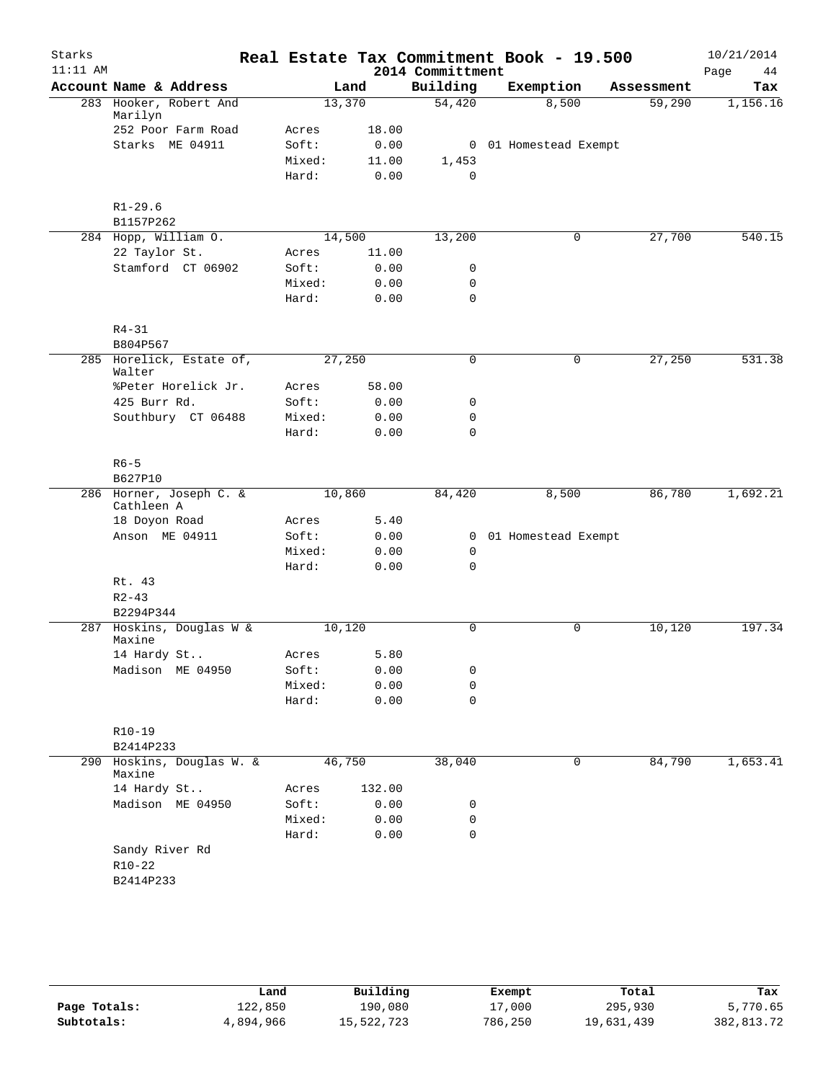| Starks<br>$11:11$ AM |                                       |        |        | Real Estate Tax Commitment Book - 19.500<br>2014 Committment |                       |             |            | 10/21/2014<br>Page<br>44 |
|----------------------|---------------------------------------|--------|--------|--------------------------------------------------------------|-----------------------|-------------|------------|--------------------------|
|                      | Account Name & Address                |        | Land   | Building                                                     | Exemption             |             | Assessment | Tax                      |
|                      | 283 Hooker, Robert And<br>Marilyn     | 13,370 |        | 54,420                                                       | 8,500                 |             | 59,290     | 1,156.16                 |
|                      | 252 Poor Farm Road                    | Acres  | 18.00  |                                                              |                       |             |            |                          |
|                      | Starks ME 04911                       | Soft:  | 0.00   |                                                              | 0 01 Homestead Exempt |             |            |                          |
|                      |                                       | Mixed: | 11.00  | 1,453                                                        |                       |             |            |                          |
|                      |                                       | Hard:  | 0.00   | $\mathbf 0$                                                  |                       |             |            |                          |
|                      | $R1 - 29.6$                           |        |        |                                                              |                       |             |            |                          |
|                      | B1157P262                             |        |        |                                                              |                       |             |            |                          |
|                      | 284 Hopp, William O.                  | 14,500 |        | 13,200                                                       |                       | 0           | 27,700     | 540.15                   |
|                      | 22 Taylor St.                         | Acres  | 11.00  |                                                              |                       |             |            |                          |
|                      | Stamford CT 06902                     | Soft:  | 0.00   | 0                                                            |                       |             |            |                          |
|                      |                                       | Mixed: | 0.00   | $\mathbf 0$                                                  |                       |             |            |                          |
|                      |                                       | Hard:  | 0.00   | $\Omega$                                                     |                       |             |            |                          |
|                      | $R4 - 31$                             |        |        |                                                              |                       |             |            |                          |
|                      | B804P567                              |        |        |                                                              |                       |             |            |                          |
|                      | 285 Horelick, Estate of,<br>Walter    | 27,250 |        | 0                                                            |                       | 0           | 27,250     | 531.38                   |
|                      | %Peter Horelick Jr.                   | Acres  | 58.00  |                                                              |                       |             |            |                          |
|                      | 425 Burr Rd.                          | Soft:  | 0.00   | 0                                                            |                       |             |            |                          |
|                      | Southbury CT 06488                    | Mixed: | 0.00   | 0                                                            |                       |             |            |                          |
|                      |                                       | Hard:  | 0.00   | 0                                                            |                       |             |            |                          |
|                      | $R6 - 5$                              |        |        |                                                              |                       |             |            |                          |
|                      | B627P10                               |        |        |                                                              |                       |             |            |                          |
|                      | 286 Horner, Joseph C. &<br>Cathleen A | 10,860 |        | 84,420                                                       | 8,500                 |             | 86,780     | 1,692.21                 |
|                      | 18 Doyon Road                         | Acres  | 5.40   |                                                              |                       |             |            |                          |
|                      | Anson ME 04911                        | Soft:  | 0.00   |                                                              | 0 01 Homestead Exempt |             |            |                          |
|                      |                                       | Mixed: | 0.00   | 0                                                            |                       |             |            |                          |
|                      |                                       | Hard:  | 0.00   | 0                                                            |                       |             |            |                          |
|                      | Rt. 43                                |        |        |                                                              |                       |             |            |                          |
|                      | $R2 - 43$                             |        |        |                                                              |                       |             |            |                          |
|                      | B2294P344                             |        |        |                                                              |                       |             |            |                          |
|                      | 287 Hoskins, Douglas W &<br>Maxine    | 10,120 |        | 0                                                            |                       | $\mathbf 0$ | 10,120     | 197.34                   |
|                      | 14 Hardy St                           | Acres  | 5.80   |                                                              |                       |             |            |                          |
|                      | Madison ME 04950                      | Soft:  | 0.00   | 0                                                            |                       |             |            |                          |
|                      |                                       | Mixed: | 0.00   | 0                                                            |                       |             |            |                          |
|                      |                                       | Hard:  | 0.00   | 0                                                            |                       |             |            |                          |
|                      | $R10-19$                              |        |        |                                                              |                       |             |            |                          |
|                      | B2414P233                             |        |        |                                                              |                       |             |            |                          |
| 290                  | Hoskins, Douglas W. &<br>Maxine       | 46,750 |        | 38,040                                                       |                       | 0           | 84,790     | 1,653.41                 |
|                      | 14 Hardy St                           | Acres  | 132.00 |                                                              |                       |             |            |                          |
|                      | Madison ME 04950                      | Soft:  | 0.00   | 0                                                            |                       |             |            |                          |
|                      |                                       | Mixed: | 0.00   | 0                                                            |                       |             |            |                          |
|                      |                                       | Hard:  | 0.00   | $\mathbf 0$                                                  |                       |             |            |                          |
|                      | Sandy River Rd<br>$R10 - 22$          |        |        |                                                              |                       |             |            |                          |
|                      | B2414P233                             |        |        |                                                              |                       |             |            |                          |
|                      |                                       |        |        |                                                              |                       |             |            |                          |
|                      |                                       |        |        |                                                              |                       |             |            |                          |

|              | Land      | Building   | Exempt  | Total      | Tax        |
|--------------|-----------|------------|---------|------------|------------|
| Page Totals: | 122,850   | 190,080    | 17,000  | 295,930    | 5,770.65   |
| Subtotals:   | 4,894,966 | 15,522,723 | 786,250 | 19,631,439 | 382,813.72 |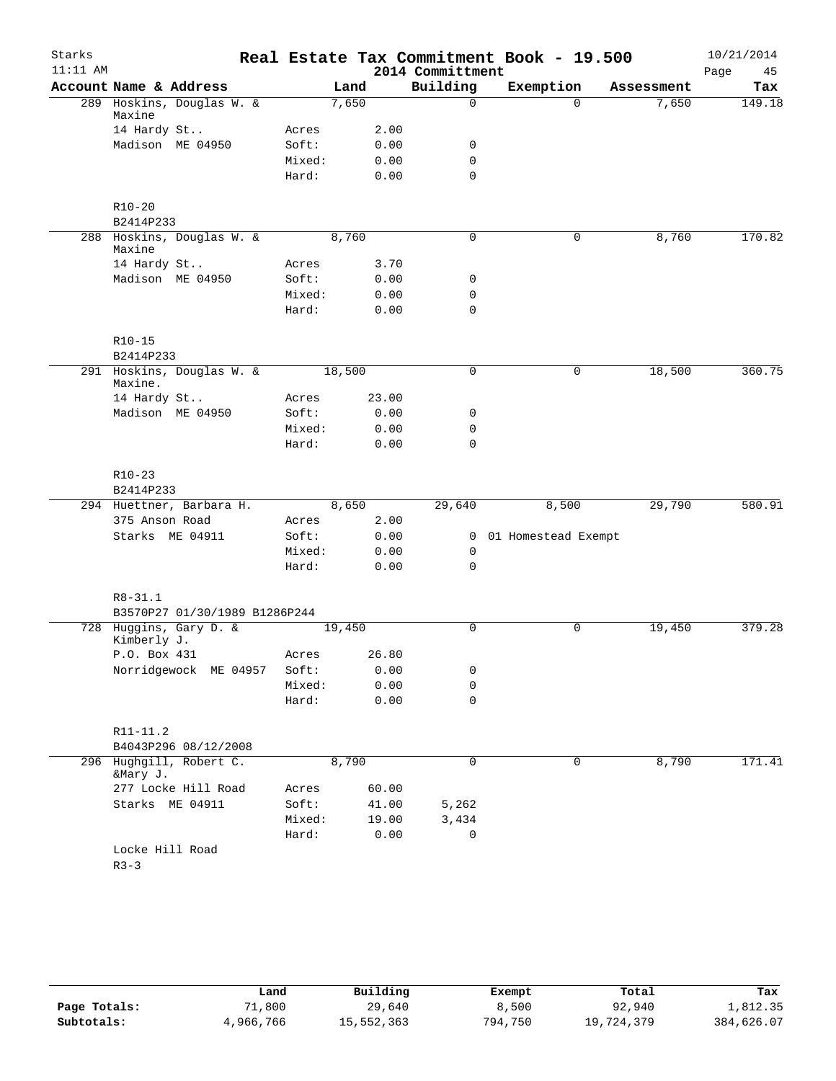| Starks     |                                       |        |        |                  | Real Estate Tax Commitment Book - 19.500 |            | 10/21/2014 |
|------------|---------------------------------------|--------|--------|------------------|------------------------------------------|------------|------------|
| $11:11$ AM |                                       |        |        | 2014 Committment |                                          |            | 45<br>Page |
|            | Account Name & Address                |        | Land   | Building         | Exemption                                | Assessment | Tax        |
|            | 289 Hoskins, Douglas W. &<br>Maxine   |        | 7,650  | $\Omega$         | $\Omega$                                 | 7,650      | 149.18     |
|            | 14 Hardy St                           | Acres  | 2.00   |                  |                                          |            |            |
|            | Madison ME 04950                      | Soft:  | 0.00   | $\mathbf 0$      |                                          |            |            |
|            |                                       | Mixed: | 0.00   | $\mathbf 0$      |                                          |            |            |
|            |                                       | Hard:  | 0.00   | $\mathbf 0$      |                                          |            |            |
|            | $R10 - 20$                            |        |        |                  |                                          |            |            |
|            | B2414P233                             |        |        |                  |                                          |            |            |
|            | 288 Hoskins, Douglas W. &<br>Maxine   |        | 8,760  | $\mathbf 0$      | 0                                        | 8,760      | 170.82     |
|            | 14 Hardy St                           | Acres  | 3.70   |                  |                                          |            |            |
|            | Madison ME 04950                      | Soft:  | 0.00   | 0                |                                          |            |            |
|            |                                       | Mixed: | 0.00   | 0                |                                          |            |            |
|            |                                       | Hard:  | 0.00   | $\mathbf 0$      |                                          |            |            |
|            | $R10-15$                              |        |        |                  |                                          |            |            |
|            | B2414P233                             |        |        |                  |                                          |            |            |
|            | 291 Hoskins, Douglas W. &<br>Maxine.  |        | 18,500 | $\mathbf 0$      | 0                                        | 18,500     | 360.75     |
|            | 14 Hardy St                           | Acres  | 23.00  |                  |                                          |            |            |
|            | Madison ME 04950                      | Soft:  | 0.00   | 0                |                                          |            |            |
|            |                                       | Mixed: | 0.00   | $\mathbf 0$      |                                          |            |            |
|            |                                       | Hard:  | 0.00   | $\mathbf 0$      |                                          |            |            |
|            | $R10-23$                              |        |        |                  |                                          |            |            |
|            | B2414P233                             |        |        |                  |                                          |            |            |
|            | 294 Huettner, Barbara H.              |        | 8,650  | 29,640           | 8,500                                    | 29,790     | 580.91     |
|            | 375 Anson Road                        | Acres  | 2.00   |                  |                                          |            |            |
|            | Starks ME 04911                       | Soft:  | 0.00   |                  | 0 01 Homestead Exempt                    |            |            |
|            |                                       | Mixed: | 0.00   | 0                |                                          |            |            |
|            |                                       | Hard:  | 0.00   | $\mathbf 0$      |                                          |            |            |
|            | $R8 - 31.1$                           |        |        |                  |                                          |            |            |
|            | B3570P27 01/30/1989 B1286P244         |        |        |                  |                                          |            |            |
|            | 728 Huggins, Gary D. &<br>Kimberly J. |        | 19,450 | $\mathbf 0$      | 0                                        | 19,450     | 379.28     |
|            | P.O. Box 431                          | Acres  | 26.80  |                  |                                          |            |            |
|            | Norridgewock ME 04957                 | Soft:  | 0.00   | 0                |                                          |            |            |
|            |                                       | Mixed: | 0.00   | 0                |                                          |            |            |
|            |                                       | Hard:  | 0.00   | $\mathbf 0$      |                                          |            |            |
|            | R11-11.2                              |        |        |                  |                                          |            |            |
|            | B4043P296 08/12/2008                  |        |        |                  |                                          |            |            |
|            | 296 Hughgill, Robert C.<br>&Mary J.   |        | 8,790  | 0                | 0                                        | 8,790      | 171.41     |
|            | 277 Locke Hill Road                   | Acres  | 60.00  |                  |                                          |            |            |
|            | Starks ME 04911                       | Soft:  | 41.00  | 5,262            |                                          |            |            |
|            |                                       | Mixed: | 19.00  | 3,434            |                                          |            |            |
|            |                                       | Hard:  | 0.00   | 0                |                                          |            |            |
|            | Locke Hill Road                       |        |        |                  |                                          |            |            |
|            | $R3 - 3$                              |        |        |                  |                                          |            |            |

|              | Land      | Building   | Exempt  | Total      | Tax        |
|--------------|-----------|------------|---------|------------|------------|
| Page Totals: | 1,800     | 29,640     | 8,500   | 92,940     | 1,812.35   |
| Subtotals:   | 4,966,766 | 15,552,363 | 794,750 | 19,724,379 | 384,626.07 |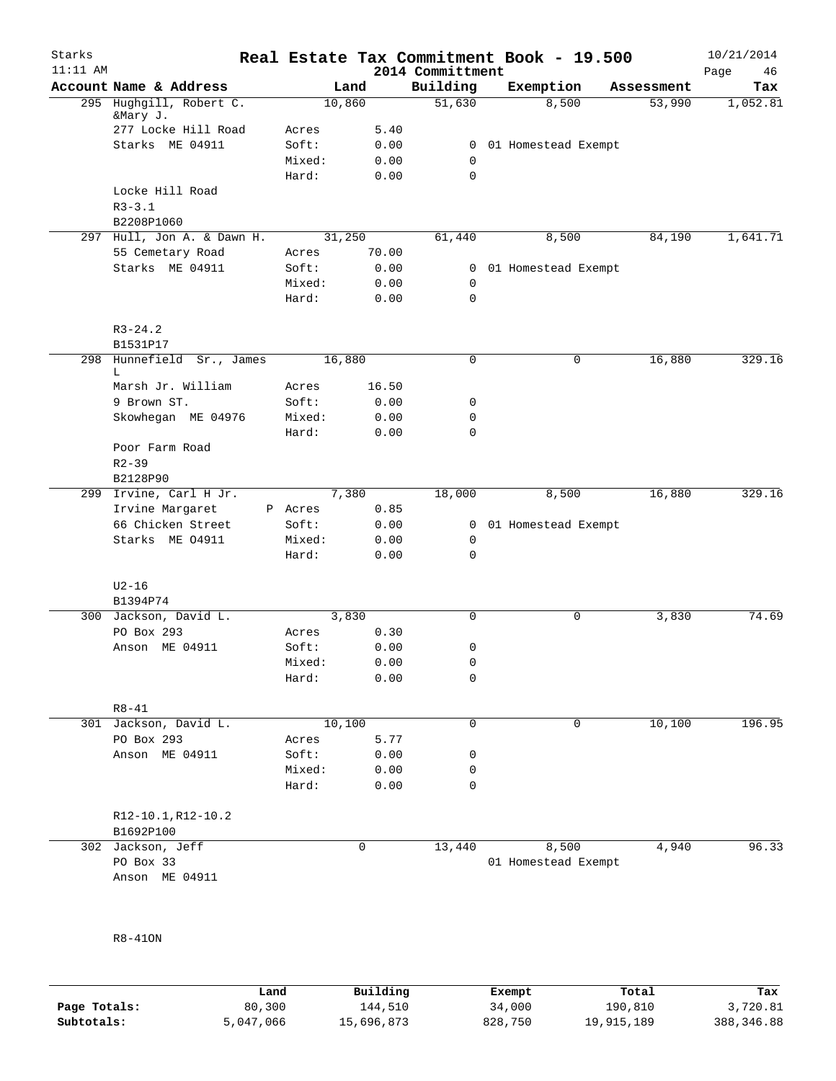| Starks<br>$11:11$ AM |                                 |         |        | 2014 Committment | Real Estate Tax Commitment Book - 19.500 |            | 10/21/2014<br>Page<br>46 |
|----------------------|---------------------------------|---------|--------|------------------|------------------------------------------|------------|--------------------------|
|                      | Account Name & Address          |         | Land   | Building         | Exemption                                | Assessment | Tax                      |
|                      | 295 Hughgill, Robert C.         |         | 10,860 | 51,630           | 8,500                                    | 53,990     | 1,052.81                 |
|                      | &Mary J.<br>277 Locke Hill Road | Acres   | 5.40   |                  |                                          |            |                          |
|                      | Starks ME 04911                 | Soft:   | 0.00   | 0                | 01 Homestead Exempt                      |            |                          |
|                      |                                 | Mixed:  | 0.00   | 0                |                                          |            |                          |
|                      |                                 | Hard:   | 0.00   | 0                |                                          |            |                          |
|                      | Locke Hill Road                 |         |        |                  |                                          |            |                          |
|                      | $R3 - 3.1$                      |         |        |                  |                                          |            |                          |
|                      | B2208P1060                      |         |        |                  |                                          |            |                          |
|                      | 297 Hull, Jon A. & Dawn H.      |         | 31,250 | 61,440           | 8,500                                    | 84,190     | 1,641.71                 |
|                      | 55 Cemetary Road                | Acres   | 70.00  |                  |                                          |            |                          |
|                      | Starks ME 04911                 | Soft:   | 0.00   | 0                | 01 Homestead Exempt                      |            |                          |
|                      |                                 | Mixed:  | 0.00   | $\mathbf 0$      |                                          |            |                          |
|                      |                                 | Hard:   | 0.00   | 0                |                                          |            |                          |
|                      |                                 |         |        |                  |                                          |            |                          |
|                      | $R3 - 24.2$                     |         |        |                  |                                          |            |                          |
|                      | B1531P17                        |         |        |                  |                                          |            |                          |
| 298                  | Hunnefield Sr., James           |         | 16,880 | 0                | 0                                        | 16,880     | 329.16                   |
|                      | L<br>Marsh Jr. William          | Acres   | 16.50  |                  |                                          |            |                          |
|                      | 9 Brown ST.                     | Soft:   | 0.00   | 0                |                                          |            |                          |
|                      |                                 | Mixed:  | 0.00   | 0                |                                          |            |                          |
|                      | Skowhegan ME 04976              | Hard:   |        | 0                |                                          |            |                          |
|                      |                                 |         | 0.00   |                  |                                          |            |                          |
|                      | Poor Farm Road<br>$R2 - 39$     |         |        |                  |                                          |            |                          |
|                      | B2128P90                        |         |        |                  |                                          |            |                          |
| 299                  | Irvine, Carl H Jr.              |         | 7,380  | 18,000           | 8,500                                    | 16,880     | 329.16                   |
|                      | Irvine Margaret                 | P Acres | 0.85   |                  |                                          |            |                          |
|                      | 66 Chicken Street               | Soft:   | 0.00   | 0                | 01 Homestead Exempt                      |            |                          |
|                      | Starks ME 04911                 | Mixed:  |        |                  |                                          |            |                          |
|                      |                                 | Hard:   | 0.00   | 0<br>0           |                                          |            |                          |
|                      |                                 |         | 0.00   |                  |                                          |            |                          |
|                      | $U2-16$                         |         |        |                  |                                          |            |                          |
|                      | B1394P74                        |         |        |                  |                                          |            |                          |
|                      | 300 Jackson, David L.           |         | 3,830  | 0                | 0                                        | 3,830      | 74.69                    |
|                      | PO Box 293                      | Acres   | 0.30   |                  |                                          |            |                          |
|                      | Anson ME 04911                  | Soft:   | 0.00   | 0                |                                          |            |                          |
|                      |                                 | Mixed:  | 0.00   | 0                |                                          |            |                          |
|                      |                                 | Hard:   | 0.00   | 0                |                                          |            |                          |
|                      |                                 |         |        |                  |                                          |            |                          |
|                      | $R8 - 41$                       |         |        |                  |                                          |            |                          |
|                      | 301 Jackson, David L.           |         | 10,100 | 0                | 0                                        | 10,100     | 196.95                   |
|                      | PO Box 293                      | Acres   | 5.77   |                  |                                          |            |                          |
|                      | Anson ME 04911                  | Soft:   | 0.00   | 0                |                                          |            |                          |
|                      |                                 | Mixed:  | 0.00   | 0                |                                          |            |                          |
|                      |                                 | Hard:   | 0.00   | 0                |                                          |            |                          |
|                      |                                 |         |        |                  |                                          |            |                          |
|                      | R12-10.1, R12-10.2<br>B1692P100 |         |        |                  |                                          |            |                          |
|                      | 302 Jackson, Jeff               |         | 0      | 13,440           | 8,500                                    | 4,940      | 96.33                    |
|                      | PO Box 33                       |         |        |                  | 01 Homestead Exempt                      |            |                          |
|                      | Anson ME 04911                  |         |        |                  |                                          |            |                          |
|                      |                                 |         |        |                  |                                          |            |                          |
|                      |                                 |         |        |                  |                                          |            |                          |
|                      |                                 |         |        |                  |                                          |            |                          |
|                      | $R8-410N$                       |         |        |                  |                                          |            |                          |

**Page Totals:** 80,300 144,510 34,000 190,810 3,720.81<br>**Subtotals:** 5,047,066 15,696,873 828,750 19,915,189 388,346.88 **Subtotals:** 5,047,066 15,696,873 828,750 19,915,189 388,346.88 **Land Building Exempt Total Tax**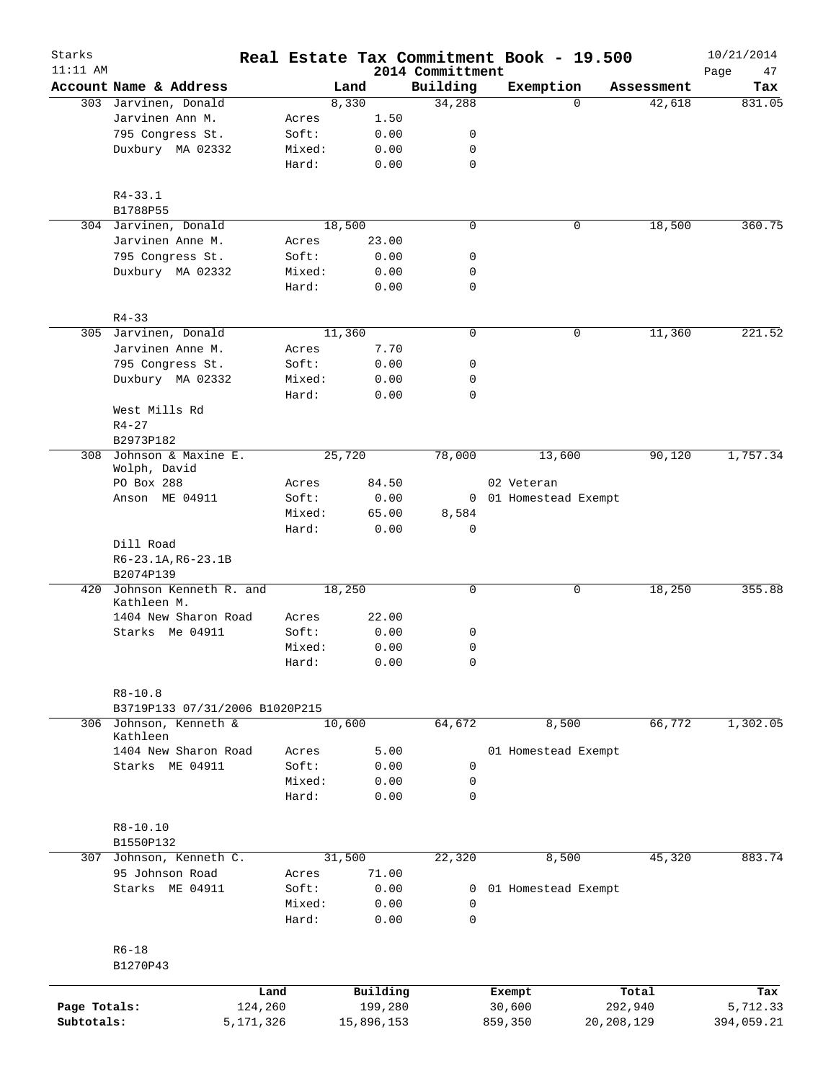| Starks<br>$11:11$ AM |                                       |         |            |                              | Real Estate Tax Commitment Book - 19.500 |              | 10/21/2014        |
|----------------------|---------------------------------------|---------|------------|------------------------------|------------------------------------------|--------------|-------------------|
|                      | Account Name & Address                |         | Land       | 2014 Committment<br>Building | Exemption                                | Assessment   | Page<br>47<br>Tax |
|                      | 303 Jarvinen, Donald                  |         | 8,330      | 34,288                       | $\Omega$                                 | 42,618       | 831.05            |
|                      | Jarvinen Ann M.                       | Acres   | 1.50       |                              |                                          |              |                   |
|                      | 795 Congress St.                      | Soft:   | 0.00       | 0                            |                                          |              |                   |
|                      | Duxbury MA 02332                      | Mixed:  | 0.00       | 0                            |                                          |              |                   |
|                      |                                       | Hard:   | 0.00       | 0                            |                                          |              |                   |
|                      | $R4 - 33.1$                           |         |            |                              |                                          |              |                   |
|                      | B1788P55                              |         |            |                              |                                          |              |                   |
|                      | 304 Jarvinen, Donald                  |         | 18,500     | 0                            | 0                                        | 18,500       | 360.75            |
|                      | Jarvinen Anne M.                      | Acres   | 23.00      |                              |                                          |              |                   |
|                      | 795 Congress St.                      | Soft:   | 0.00       | 0                            |                                          |              |                   |
|                      | Duxbury MA 02332                      | Mixed:  | 0.00       | 0                            |                                          |              |                   |
|                      |                                       | Hard:   | 0.00       | 0                            |                                          |              |                   |
|                      | $R4 - 33$                             |         |            |                              |                                          |              |                   |
|                      | 305 Jarvinen, Donald                  |         | 11,360     | $\mathbf 0$                  | 0                                        | 11,360       | 221.52            |
|                      | Jarvinen Anne M.                      | Acres   | 7.70       |                              |                                          |              |                   |
|                      | 795 Congress St.                      | Soft:   | 0.00       | 0                            |                                          |              |                   |
|                      | Duxbury MA 02332                      | Mixed:  | 0.00       | 0                            |                                          |              |                   |
|                      |                                       | Hard:   | 0.00       | 0                            |                                          |              |                   |
|                      | West Mills Rd                         |         |            |                              |                                          |              |                   |
|                      | $R4 - 27$                             |         |            |                              |                                          |              |                   |
|                      | B2973P182                             |         |            |                              |                                          |              |                   |
| 308                  | Johnson & Maxine E.<br>Wolph, David   |         | 25,720     | 78,000                       | 13,600                                   | 90,120       | 1,757.34          |
|                      | PO Box 288                            | Acres   | 84.50      |                              | 02 Veteran                               |              |                   |
|                      | Anson ME 04911                        | Soft:   | 0.00       |                              | 0 01 Homestead Exempt                    |              |                   |
|                      |                                       | Mixed:  | 65.00      | 8,584                        |                                          |              |                   |
|                      |                                       | Hard:   | 0.00       | $\Omega$                     |                                          |              |                   |
|                      | Dill Road                             |         |            |                              |                                          |              |                   |
|                      | $R6 - 23.1A, R6 - 23.1B$              |         |            |                              |                                          |              |                   |
|                      | B2074P139                             |         |            |                              |                                          |              |                   |
| 420                  | Johnson Kenneth R. and<br>Kathleen M. |         | 18,250     | 0                            | 0                                        | 18,250       | 355.88            |
|                      | 1404 New Sharon Road                  | Acres   | 22.00      |                              |                                          |              |                   |
|                      | Starks Me 04911                       | Soft:   | 0.00       | 0                            |                                          |              |                   |
|                      |                                       | Mixed:  | 0.00       | 0                            |                                          |              |                   |
|                      |                                       | Hard:   | 0.00       | $\cap$                       |                                          |              |                   |
|                      | $R8 - 10.8$                           |         |            |                              |                                          |              |                   |
|                      | B3719P133 07/31/2006 B1020P215        |         |            |                              |                                          |              |                   |
|                      | 306 Johnson, Kenneth &<br>Kathleen    |         | 10,600     | 64,672                       | 8,500                                    | 66,772       | 1,302.05          |
|                      | 1404 New Sharon Road                  | Acres   | 5.00       |                              | 01 Homestead Exempt                      |              |                   |
|                      | Starks ME 04911                       | Soft:   | 0.00       | 0                            |                                          |              |                   |
|                      |                                       | Mixed:  | 0.00       | 0                            |                                          |              |                   |
|                      |                                       | Hard:   | 0.00       | $\mathbf 0$                  |                                          |              |                   |
|                      | R8-10.10                              |         |            |                              |                                          |              |                   |
|                      | B1550P132                             |         |            |                              |                                          |              |                   |
| 307                  | Johnson, Kenneth C.                   |         | 31,500     | 22,320                       | 8,500                                    | 45,320       | 883.74            |
|                      | 95 Johnson Road                       | Acres   | 71.00      |                              |                                          |              |                   |
|                      | Starks ME 04911                       | Soft:   | 0.00       | 0                            | 01 Homestead Exempt                      |              |                   |
|                      |                                       | Mixed:  | 0.00       | 0                            |                                          |              |                   |
|                      |                                       | Hard:   | 0.00       | 0                            |                                          |              |                   |
|                      | $R6 - 18$                             |         |            |                              |                                          |              |                   |
|                      | B1270P43                              |         |            |                              |                                          |              |                   |
|                      |                                       | Land    | Building   |                              | Exempt                                   | Total        | Tax               |
| Page Totals:         |                                       | 124,260 | 199,280    |                              | 30,600                                   | 292,940      | 5,712.33          |
| Subtotals:           | 5,171,326                             |         | 15,896,153 |                              | 859,350                                  | 20, 208, 129 | 394,059.21        |
|                      |                                       |         |            |                              |                                          |              |                   |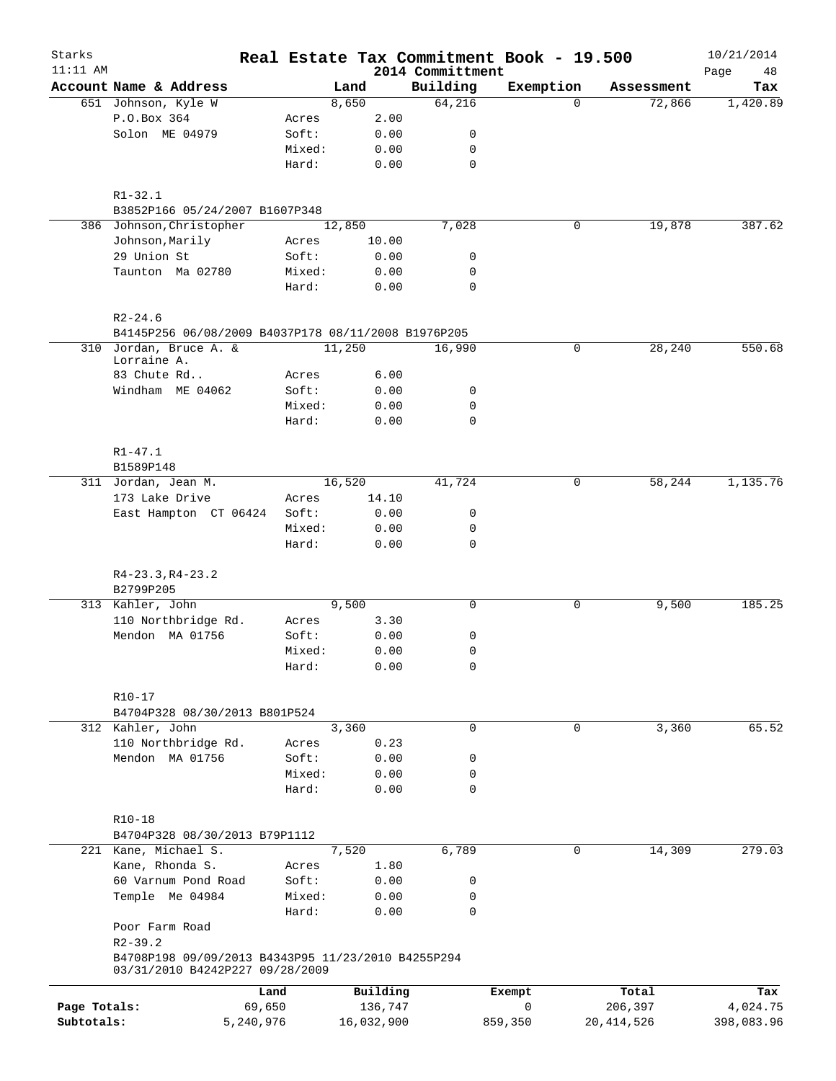| Starks       |                                                                                       |                 |              |                              | Real Estate Tax Commitment Book - 19.500 |              | 10/21/2014        |
|--------------|---------------------------------------------------------------------------------------|-----------------|--------------|------------------------------|------------------------------------------|--------------|-------------------|
| $11:11$ AM   | Account Name & Address                                                                |                 | Land         | 2014 Committment<br>Building | Exemption                                | Assessment   | Page<br>48<br>Tax |
|              | 651 Johnson, Kyle W                                                                   |                 | 8,650        | 64,216                       | $\mathbf{0}$                             | 72,866       | 1,420.89          |
|              | P.O.Box 364                                                                           | Acres           | 2.00         |                              |                                          |              |                   |
|              | Solon ME 04979                                                                        | Soft:           | 0.00         | 0                            |                                          |              |                   |
|              |                                                                                       | Mixed:          | 0.00         | 0                            |                                          |              |                   |
|              |                                                                                       | Hard:           | 0.00         | $\mathbf 0$                  |                                          |              |                   |
|              |                                                                                       |                 |              |                              |                                          |              |                   |
|              | $R1 - 32.1$                                                                           |                 |              |                              |                                          |              |                   |
|              | B3852P166 05/24/2007 B1607P348                                                        |                 |              |                              |                                          |              |                   |
|              | 386 Johnson, Christopher                                                              |                 | 12,850       | 7,028                        | 0                                        | 19,878       | 387.62            |
|              | Johnson, Marily                                                                       | Acres           | 10.00        |                              |                                          |              |                   |
|              | 29 Union St                                                                           | Soft:           | 0.00         | 0                            |                                          |              |                   |
|              | Taunton Ma 02780                                                                      | Mixed:          | 0.00         | 0                            |                                          |              |                   |
|              |                                                                                       | Hard:           | 0.00         | 0                            |                                          |              |                   |
|              | $R2 - 24.6$                                                                           |                 |              |                              |                                          |              |                   |
|              | B4145P256 06/08/2009 B4037P178 08/11/2008 B1976P205                                   |                 |              |                              |                                          |              |                   |
|              | 310 Jordan, Bruce A. &                                                                |                 | 11,250       | 16,990                       | 0                                        | 28,240       | 550.68            |
|              | Lorraine A.                                                                           |                 |              |                              |                                          |              |                   |
|              | 83 Chute Rd                                                                           | Acres           | 6.00         |                              |                                          |              |                   |
|              | Windham ME 04062                                                                      | Soft:           | 0.00         | 0                            |                                          |              |                   |
|              |                                                                                       | Mixed:          | 0.00         | 0                            |                                          |              |                   |
|              |                                                                                       | Hard:           | 0.00         | $\mathbf 0$                  |                                          |              |                   |
|              | $R1 - 47.1$                                                                           |                 |              |                              |                                          |              |                   |
|              | B1589P148                                                                             |                 |              |                              |                                          |              |                   |
|              | 311 Jordan, Jean M.                                                                   |                 | 16,520       | 41,724                       | 0                                        | 58,244       | 1,135.76          |
|              | 173 Lake Drive                                                                        | Acres           | 14.10        |                              |                                          |              |                   |
|              | East Hampton CT 06424                                                                 | Soft:           | 0.00         | 0                            |                                          |              |                   |
|              |                                                                                       | Mixed:          | 0.00         | 0                            |                                          |              |                   |
|              |                                                                                       | Hard:           | 0.00         | 0                            |                                          |              |                   |
|              |                                                                                       |                 |              |                              |                                          |              |                   |
|              | $R4-23.3, R4-23.2$<br>B2799P205                                                       |                 |              |                              |                                          |              |                   |
|              | 313 Kahler, John                                                                      |                 | 9,500        | $\mathbf 0$                  | 0                                        | 9,500        | 185.25            |
|              | 110 Northbridge Rd.                                                                   | Acres           | 3.30         |                              |                                          |              |                   |
|              | Mendon MA 01756                                                                       |                 |              | 0                            |                                          |              |                   |
|              |                                                                                       | Soft:           | 0.00         | 0                            |                                          |              |                   |
|              |                                                                                       | Mixed:<br>Hard: | 0.00<br>0.00 | 0                            |                                          |              |                   |
|              |                                                                                       |                 |              |                              |                                          |              |                   |
|              | R10-17                                                                                |                 |              |                              |                                          |              |                   |
|              | B4704P328 08/30/2013 B801P524                                                         |                 |              |                              |                                          |              |                   |
|              | 312 Kahler, John                                                                      |                 | 3,360        | 0                            | 0                                        | 3,360        | 65.52             |
|              | 110 Northbridge Rd.                                                                   | Acres           | 0.23         |                              |                                          |              |                   |
|              | Mendon MA 01756                                                                       | Soft:           | 0.00         | 0                            |                                          |              |                   |
|              |                                                                                       | Mixed:<br>Hard: | 0.00<br>0.00 | 0<br>0                       |                                          |              |                   |
|              |                                                                                       |                 |              |                              |                                          |              |                   |
|              | $R10 - 18$                                                                            |                 |              |                              |                                          |              |                   |
|              | B4704P328 08/30/2013 B79P1112                                                         |                 |              |                              |                                          |              |                   |
|              | 221 Kane, Michael S.                                                                  |                 | 7,520        | 6,789                        | 0                                        | 14,309       | 279.03            |
|              | Kane, Rhonda S.                                                                       | Acres           | 1.80         |                              |                                          |              |                   |
|              | 60 Varnum Pond Road                                                                   | Soft:           | 0.00         | 0                            |                                          |              |                   |
|              | Temple Me 04984                                                                       | Mixed:          | 0.00         | 0                            |                                          |              |                   |
|              |                                                                                       | Hard:           | 0.00         | 0                            |                                          |              |                   |
|              | Poor Farm Road                                                                        |                 |              |                              |                                          |              |                   |
|              | $R2 - 39.2$                                                                           |                 |              |                              |                                          |              |                   |
|              | B4708P198 09/09/2013 B4343P95 11/23/2010 B4255P294<br>03/31/2010 B4242P227 09/28/2009 |                 |              |                              |                                          |              |                   |
|              |                                                                                       | Land            | Building     |                              | Exempt                                   | Total        | Tax               |
| Page Totals: | 69,650                                                                                |                 | 136,747      |                              | 0                                        | 206,397      | 4,024.75          |
| Subtotals:   | 5,240,976                                                                             |                 | 16,032,900   |                              | 859,350                                  | 20, 414, 526 | 398,083.96        |
|              |                                                                                       |                 |              |                              |                                          |              |                   |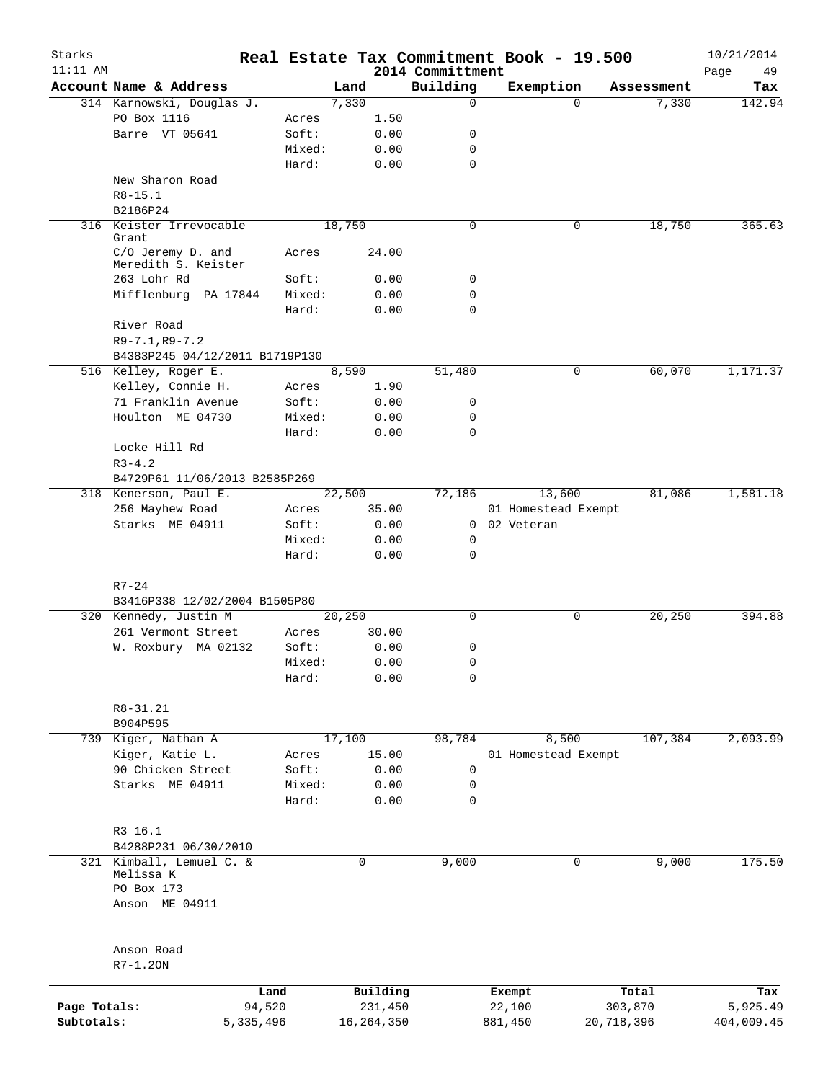| Starks       |                                             |           |              |                              | Real Estate Tax Commitment Book - 19.500 |            |            | 10/21/2014        |
|--------------|---------------------------------------------|-----------|--------------|------------------------------|------------------------------------------|------------|------------|-------------------|
| $11:11$ AM   | Account Name & Address                      |           | Land         | 2014 Committment<br>Building | Exemption                                |            | Assessment | Page<br>49<br>Tax |
|              | 314 Karnowski, Douglas J.                   |           | 7,330        | $\mathbf 0$                  |                                          | $\Omega$   | 7,330      | 142.94            |
|              | PO Box 1116                                 | Acres     | 1.50         |                              |                                          |            |            |                   |
|              | Barre VT 05641                              | Soft:     | 0.00         | 0                            |                                          |            |            |                   |
|              |                                             | Mixed:    | 0.00         | $\mathbf 0$                  |                                          |            |            |                   |
|              |                                             | Hard:     | 0.00         | $\mathbf 0$                  |                                          |            |            |                   |
|              | New Sharon Road                             |           |              |                              |                                          |            |            |                   |
|              | $R8 - 15.1$                                 |           |              |                              |                                          |            |            |                   |
|              | B2186P24                                    |           |              |                              |                                          |            |            |                   |
|              | 316 Keister Irrevocable                     |           | 18,750       | $\mathbf 0$                  |                                          | 0          | 18,750     | 365.63            |
|              | Grant<br>C/O Jeremy D. and                  | Acres     | 24.00        |                              |                                          |            |            |                   |
|              | Meredith S. Keister                         |           |              |                              |                                          |            |            |                   |
|              | 263 Lohr Rd                                 | Soft:     | 0.00         | 0                            |                                          |            |            |                   |
|              | Mifflenburg PA 17844                        | Mixed:    | 0.00         | 0                            |                                          |            |            |                   |
|              |                                             | Hard:     | 0.00         | $\mathbf 0$                  |                                          |            |            |                   |
|              | River Road                                  |           |              |                              |                                          |            |            |                   |
|              | $R9 - 7.1, R9 - 7.2$                        |           |              |                              |                                          |            |            |                   |
|              | B4383P245 04/12/2011 B1719P130              |           |              |                              |                                          |            |            |                   |
|              | 516 Kelley, Roger E.                        |           | 8,590        | 51,480                       |                                          | 0          | 60,070     | 1,171.37          |
|              | Kelley, Connie H.                           | Acres     | 1.90         |                              |                                          |            |            |                   |
|              | 71 Franklin Avenue                          | Soft:     | 0.00         | 0                            |                                          |            |            |                   |
|              | Houlton ME 04730                            | Mixed:    | 0.00         | 0<br>$\Omega$                |                                          |            |            |                   |
|              |                                             | Hard:     | 0.00         |                              |                                          |            |            |                   |
|              | Locke Hill Rd                               |           |              |                              |                                          |            |            |                   |
|              | $R3 - 4.2$<br>B4729P61 11/06/2013 B2585P269 |           |              |                              |                                          |            |            |                   |
|              | 318 Kenerson, Paul E.                       |           | 22,500       | 72,186                       | 13,600                                   |            | 81,086     | 1,581.18          |
|              | 256 Mayhew Road                             | Acres     | 35.00        |                              | 01 Homestead Exempt                      |            |            |                   |
|              | Starks ME 04911                             | Soft:     | 0.00         | $\mathbf{0}$                 | 02 Veteran                               |            |            |                   |
|              |                                             | Mixed:    | 0.00         | 0                            |                                          |            |            |                   |
|              |                                             | Hard:     | 0.00         | $\mathbf 0$                  |                                          |            |            |                   |
|              |                                             |           |              |                              |                                          |            |            |                   |
|              | $R7 - 24$                                   |           |              |                              |                                          |            |            |                   |
|              | B3416P338 12/02/2004 B1505P80               |           |              |                              |                                          |            |            |                   |
|              | 320 Kennedy, Justin M                       |           | 20,250       | $\mathbf 0$                  |                                          | 0          | 20,250     | 394.88            |
|              | 261 Vermont Street                          | Acres     | 30.00        |                              |                                          |            |            |                   |
|              | W. Roxbury MA 02132                         | Soft:     | 0.00         | 0                            |                                          |            |            |                   |
|              |                                             | Mixed:    | 0.00         | 0                            |                                          |            |            |                   |
|              |                                             | Hard:     | 0.00         | 0                            |                                          |            |            |                   |
|              | $R8 - 31.21$                                |           |              |                              |                                          |            |            |                   |
|              | B904P595                                    |           |              |                              |                                          |            |            |                   |
|              | 739 Kiger, Nathan A                         |           | 17,100       | 98,784                       | 8,500                                    |            | 107,384    | 2,093.99          |
|              | Kiger, Katie L.                             | Acres     | 15.00        |                              | 01 Homestead Exempt                      |            |            |                   |
|              | 90 Chicken Street                           | Soft:     | 0.00         | 0                            |                                          |            |            |                   |
|              | Starks ME 04911                             | Mixed:    | 0.00         | 0                            |                                          |            |            |                   |
|              |                                             | Hard:     | 0.00         | $\mathbf 0$                  |                                          |            |            |                   |
|              | R3 16.1                                     |           |              |                              |                                          |            |            |                   |
|              | B4288P231 06/30/2010                        |           |              |                              |                                          |            |            |                   |
|              | 321 Kimball, Lemuel C. &                    |           | 0            | 9,000                        |                                          | 0          | 9,000      | 175.50            |
|              | Melissa K                                   |           |              |                              |                                          |            |            |                   |
|              | PO Box 173                                  |           |              |                              |                                          |            |            |                   |
|              | Anson ME 04911                              |           |              |                              |                                          |            |            |                   |
|              |                                             |           |              |                              |                                          |            |            |                   |
|              | Anson Road                                  |           |              |                              |                                          |            |            |                   |
|              | $R7-1.20N$                                  |           |              |                              |                                          |            |            |                   |
|              |                                             | Land      | Building     |                              | Exempt                                   |            | Total      | Tax               |
| Page Totals: |                                             | 94,520    | 231,450      |                              | 22,100                                   |            | 303,870    | 5,925.49          |
| Subtotals:   |                                             | 5,335,496 | 16, 264, 350 |                              | 881,450                                  | 20,718,396 |            | 404,009.45        |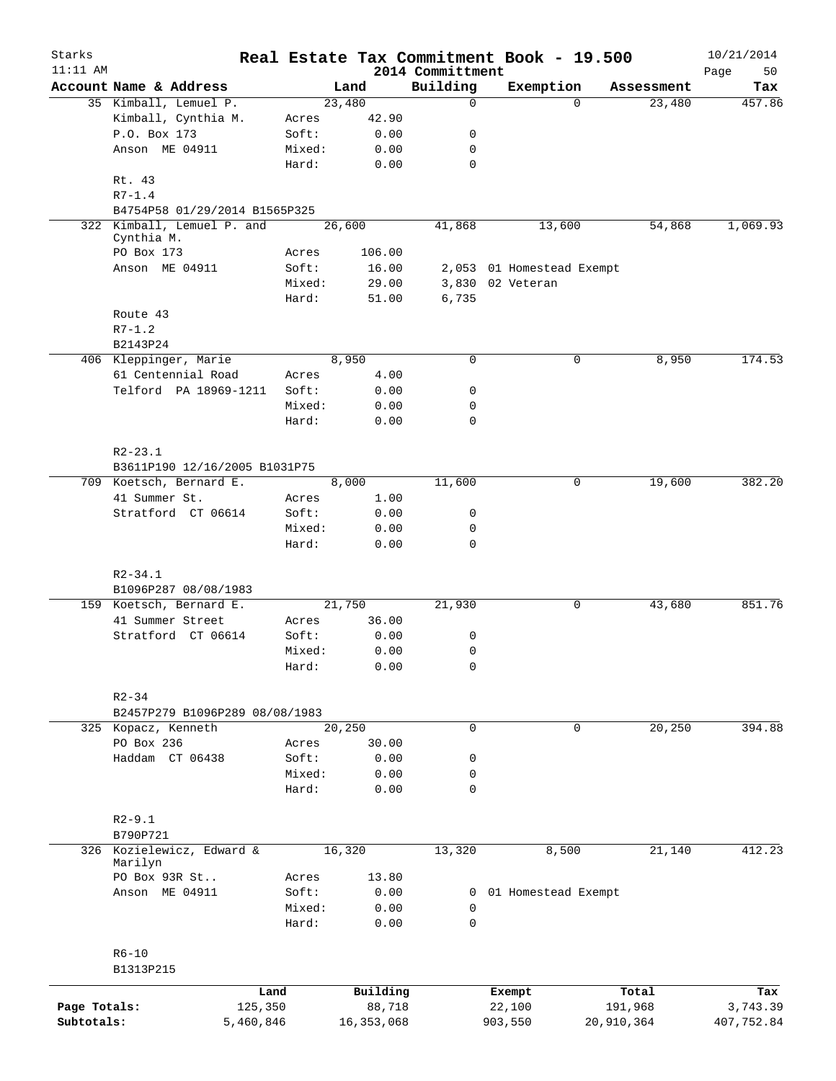| Starks<br>$11:11$ AM |                                      |                 |              |                              | Real Estate Tax Commitment Book - 19.500 |             |            | 10/21/2014        |
|----------------------|--------------------------------------|-----------------|--------------|------------------------------|------------------------------------------|-------------|------------|-------------------|
|                      | Account Name & Address               |                 | Land         | 2014 Committment<br>Building | Exemption                                |             | Assessment | Page<br>50<br>Tax |
|                      | 35 Kimball, Lemuel P.                |                 | 23,480       | 0                            |                                          | $\Omega$    | 23,480     | 457.86            |
|                      | Kimball, Cynthia M.                  | Acres           | 42.90        |                              |                                          |             |            |                   |
|                      | P.O. Box 173                         | Soft:           | 0.00         | 0                            |                                          |             |            |                   |
|                      | Anson ME 04911                       | Mixed:          | 0.00         | 0                            |                                          |             |            |                   |
|                      |                                      | Hard:           | 0.00         | $\mathbf 0$                  |                                          |             |            |                   |
|                      | Rt. 43<br>$R7 - 1.4$                 |                 |              |                              |                                          |             |            |                   |
|                      | B4754P58 01/29/2014 B1565P325        |                 |              |                              |                                          |             |            |                   |
|                      | 322 Kimball, Lemuel P. and           |                 | 26,600       | 41,868                       | 13,600                                   |             | 54,868     | 1,069.93          |
|                      | Cynthia M.<br>PO Box 173             | Acres           | 106.00       |                              |                                          |             |            |                   |
|                      | Anson ME 04911                       | Soft:           | 16.00        |                              | 2,053 01 Homestead Exempt                |             |            |                   |
|                      |                                      | Mixed:          | 29.00        |                              | 3,830 02 Veteran                         |             |            |                   |
|                      |                                      | Hard:           | 51.00        | 6,735                        |                                          |             |            |                   |
|                      | Route 43                             |                 |              |                              |                                          |             |            |                   |
|                      | $R7 - 1.2$                           |                 |              |                              |                                          |             |            |                   |
|                      | B2143P24                             |                 |              |                              |                                          |             |            |                   |
|                      | 406 Kleppinger, Marie                |                 | 8,950        | $\mathbf 0$                  |                                          | 0           | 8,950      | 174.53            |
|                      | 61 Centennial Road                   | Acres           | 4.00         |                              |                                          |             |            |                   |
|                      | Telford PA 18969-1211                | Soft:           | 0.00         | 0                            |                                          |             |            |                   |
|                      |                                      | Mixed:          | 0.00         | 0                            |                                          |             |            |                   |
|                      |                                      | Hard:           | 0.00         | 0                            |                                          |             |            |                   |
|                      |                                      |                 |              |                              |                                          |             |            |                   |
|                      | $R2 - 23.1$                          |                 |              |                              |                                          |             |            |                   |
|                      | B3611P190 12/16/2005 B1031P75        |                 |              |                              |                                          |             |            |                   |
|                      | 709 Koetsch, Bernard E.              |                 | 8,000        | 11,600                       |                                          | 0           | 19,600     | 382.20            |
|                      | 41 Summer St.                        | Acres           | 1.00         |                              |                                          |             |            |                   |
|                      | Stratford CT 06614                   | Soft:           | 0.00         | 0                            |                                          |             |            |                   |
|                      |                                      | Mixed:<br>Hard: | 0.00<br>0.00 | 0<br>0                       |                                          |             |            |                   |
|                      |                                      |                 |              |                              |                                          |             |            |                   |
|                      | $R2 - 34.1$                          |                 |              |                              |                                          |             |            |                   |
|                      | B1096P287 08/08/1983                 |                 |              |                              |                                          |             |            |                   |
|                      | 159 Koetsch, Bernard E.              |                 | 21,750       | 21,930                       |                                          | 0           | 43,680     | 851.76            |
|                      | 41 Summer Street                     | Acres           | 36.00        |                              |                                          |             |            |                   |
|                      | Stratford CT 06614                   | Soft:           | 0.00         | 0                            |                                          |             |            |                   |
|                      |                                      | Mixed:          | 0.00         | 0                            |                                          |             |            |                   |
|                      |                                      | Hard:           | 0.00         | 0                            |                                          |             |            |                   |
|                      | $R2 - 34$                            |                 |              |                              |                                          |             |            |                   |
|                      | B2457P279 B1096P289 08/08/1983       |                 |              |                              |                                          |             |            |                   |
|                      | 325 Kopacz, Kenneth                  |                 | 20,250       | 0                            |                                          | $\mathbf 0$ | 20,250     | 394.88            |
|                      | PO Box 236                           | Acres           | 30.00        |                              |                                          |             |            |                   |
|                      | Haddam CT 06438                      | Soft:           | 0.00         | 0                            |                                          |             |            |                   |
|                      |                                      | Mixed:          | 0.00         | 0                            |                                          |             |            |                   |
|                      |                                      | Hard:           | 0.00         | 0                            |                                          |             |            |                   |
|                      |                                      |                 |              |                              |                                          |             |            |                   |
|                      | $R2 - 9.1$                           |                 |              |                              |                                          |             |            |                   |
|                      | B790P721                             |                 |              |                              |                                          |             |            |                   |
|                      | 326 Kozielewicz, Edward &<br>Marilyn |                 | 16,320       | 13,320                       | 8,500                                    |             | 21,140     | 412.23            |
|                      | PO Box 93R St                        | Acres           | 13.80        |                              |                                          |             |            |                   |
|                      | Anson ME 04911                       | Soft:           | 0.00         |                              | 0 01 Homestead Exempt                    |             |            |                   |
|                      |                                      | Mixed:          | 0.00         | 0                            |                                          |             |            |                   |
|                      |                                      | Hard:           | 0.00         | $\mathbf 0$                  |                                          |             |            |                   |
|                      |                                      |                 |              |                              |                                          |             |            |                   |
|                      | $R6 - 10$                            |                 |              |                              |                                          |             |            |                   |
|                      | B1313P215                            |                 |              |                              |                                          |             |            |                   |
|                      |                                      | Land            | Building     |                              | Exempt                                   |             | Total      | Tax               |
| Page Totals:         | 125,350                              |                 | 88,718       |                              | 22,100                                   |             | 191,968    | 3,743.39          |
| Subtotals:           | 5,460,846                            |                 | 16, 353, 068 |                              | 903,550                                  | 20,910,364  |            | 407,752.84        |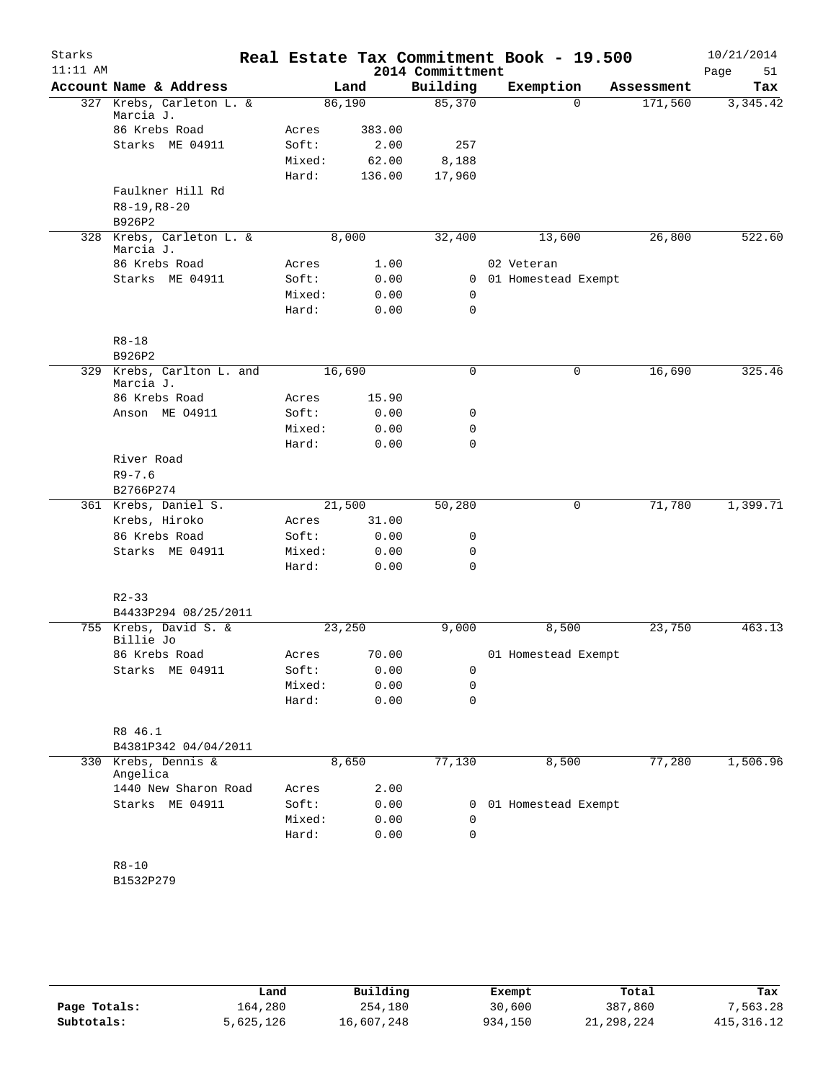| Starks<br>$11:11$ AM |                                        |        |        | 2014 Committment | Real Estate Tax Commitment Book - 19.500 |            | 10/21/2014<br>Page<br>51 |
|----------------------|----------------------------------------|--------|--------|------------------|------------------------------------------|------------|--------------------------|
|                      | Account Name & Address                 |        | Land   | Building         | Exemption                                | Assessment | Tax                      |
|                      | 327 Krebs, Carleton L. &<br>Marcia J.  | 86,190 |        | 85,370           | $\Omega$                                 | 171,560    | 3,345.42                 |
|                      | 86 Krebs Road                          | Acres  | 383.00 |                  |                                          |            |                          |
|                      | Starks ME 04911                        | Soft:  | 2.00   | 257              |                                          |            |                          |
|                      |                                        | Mixed: | 62.00  | 8,188            |                                          |            |                          |
|                      |                                        | Hard:  | 136.00 | 17,960           |                                          |            |                          |
|                      | Faulkner Hill Rd                       |        |        |                  |                                          |            |                          |
|                      | $R8-19, R8-20$                         |        |        |                  |                                          |            |                          |
|                      | B926P2                                 |        |        |                  |                                          |            |                          |
|                      | 328 Krebs, Carleton L. &<br>Marcia J.  | 8,000  |        | 32,400           | 13,600                                   | 26,800     | 522.60                   |
|                      | 86 Krebs Road                          | Acres  | 1.00   |                  | 02 Veteran                               |            |                          |
|                      | Starks ME 04911                        | Soft:  | 0.00   | $\mathbf{0}$     | 01 Homestead Exempt                      |            |                          |
|                      |                                        | Mixed: | 0.00   | 0                |                                          |            |                          |
|                      |                                        | Hard:  | 0.00   | $\mathbf 0$      |                                          |            |                          |
|                      | $R8 - 18$                              |        |        |                  |                                          |            |                          |
|                      | B926P2                                 |        |        |                  |                                          |            |                          |
|                      | 329 Krebs, Carlton L. and<br>Marcia J. | 16,690 |        | $\mathbf 0$      | 0                                        | 16,690     | 325.46                   |
|                      | 86 Krebs Road                          | Acres  | 15.90  |                  |                                          |            |                          |
|                      | Anson ME 04911                         | Soft:  | 0.00   | 0                |                                          |            |                          |
|                      |                                        | Mixed: | 0.00   | 0                |                                          |            |                          |
|                      |                                        | Hard:  | 0.00   | 0                |                                          |            |                          |
|                      | River Road                             |        |        |                  |                                          |            |                          |
|                      | $R9 - 7.6$<br>B2766P274                |        |        |                  |                                          |            |                          |
|                      | 361 Krebs, Daniel S.                   | 21,500 |        | 50,280           | 0                                        | 71,780     | 1,399.71                 |
|                      | Krebs, Hiroko                          | Acres  | 31.00  |                  |                                          |            |                          |
|                      | 86 Krebs Road                          | Soft:  | 0.00   | 0                |                                          |            |                          |
|                      | Starks ME 04911                        | Mixed: | 0.00   | 0                |                                          |            |                          |
|                      |                                        | Hard:  | 0.00   | 0                |                                          |            |                          |
|                      |                                        |        |        |                  |                                          |            |                          |
|                      | $R2 - 33$<br>B4433P294 08/25/2011      |        |        |                  |                                          |            |                          |
|                      | 755 Krebs, David S. &                  | 23,250 |        | 9,000            | 8,500                                    | 23,750     | 463.13                   |
|                      | Billie Jo                              |        |        |                  |                                          |            |                          |
|                      | 86 Krebs Road                          | Acres  | 70.00  |                  | 01 Homestead Exempt                      |            |                          |
|                      | Starks ME 04911                        | Soft:  | 0.00   | 0                |                                          |            |                          |
|                      |                                        | Mixed: | 0.00   | 0                |                                          |            |                          |
|                      |                                        | Hard:  | 0.00   | $\mathbf 0$      |                                          |            |                          |
|                      | R8 46.1                                |        |        |                  |                                          |            |                          |
|                      | B4381P342 04/04/2011                   |        |        |                  |                                          |            |                          |
|                      | 330 Krebs, Dennis &<br>Angelica        | 8,650  |        | 77,130           | 8,500                                    | 77,280     | 1,506.96                 |
|                      | 1440 New Sharon Road                   | Acres  | 2.00   |                  |                                          |            |                          |
|                      | Starks ME 04911                        | Soft:  | 0.00   | 0                | 01 Homestead Exempt                      |            |                          |
|                      |                                        | Mixed: | 0.00   | 0                |                                          |            |                          |
|                      |                                        | Hard:  | 0.00   | 0                |                                          |            |                          |
|                      | $R8 - 10$                              |        |        |                  |                                          |            |                          |
|                      | B1532P279                              |        |        |                  |                                          |            |                          |
|                      |                                        |        |        |                  |                                          |            |                          |
|                      |                                        |        |        |                  |                                          |            |                          |

|              | Land      | Building   | Exempt  | Total      | Tax         |
|--------------|-----------|------------|---------|------------|-------------|
| Page Totals: | 164,280   | 254,180    | 30,600  | 387,860    | 7,563.28    |
| Subtotals:   | 5,625,126 | 16,607,248 | 934,150 | 21,298,224 | 415, 316.12 |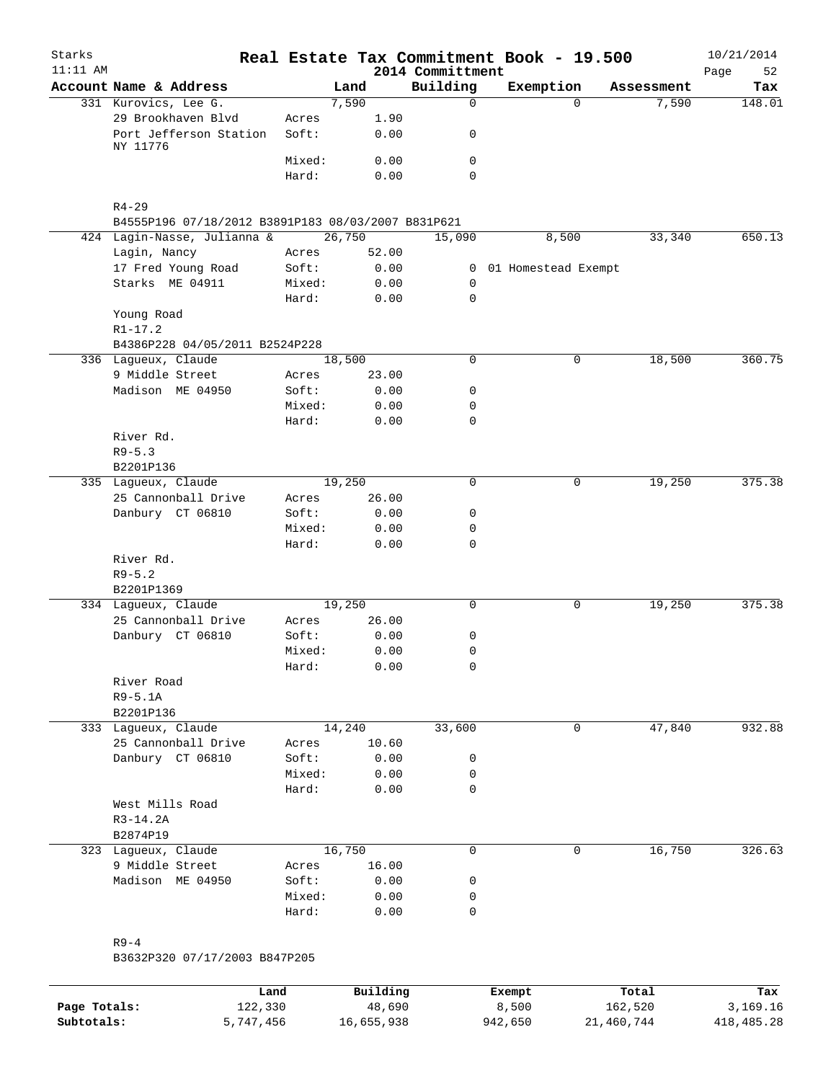| Starks<br>$11:11$ AM |                                                    |        |        | 2014 Committment | Real Estate Tax Commitment Book - 19.500 |                   | 10/21/2014<br>Page<br>52 |
|----------------------|----------------------------------------------------|--------|--------|------------------|------------------------------------------|-------------------|--------------------------|
|                      | Account Name & Address                             |        | Land   | Building         | Exemption                                | Assessment        | Tax                      |
|                      | 331 Kurovics, Lee G.                               |        | 7,590  | $\mathsf{O}$     |                                          | 7,590<br>$\Omega$ | 148.01                   |
|                      | 29 Brookhaven Blvd                                 | Acres  | 1.90   |                  |                                          |                   |                          |
|                      | Port Jefferson Station                             | Soft:  | 0.00   | 0                |                                          |                   |                          |
|                      | NY 11776                                           |        |        |                  |                                          |                   |                          |
|                      |                                                    | Mixed: | 0.00   | 0                |                                          |                   |                          |
|                      |                                                    | Hard:  | 0.00   | $\Omega$         |                                          |                   |                          |
|                      |                                                    |        |        |                  |                                          |                   |                          |
|                      | $R4 - 29$                                          |        |        |                  |                                          |                   |                          |
|                      | B4555P196 07/18/2012 B3891P183 08/03/2007 B831P621 |        |        |                  |                                          |                   |                          |
|                      | 424 Lagin-Nasse, Julianna &                        |        | 26,750 | 15,090           | 8,500                                    | 33,340            | 650.13                   |
|                      | Lagin, Nancy                                       | Acres  | 52.00  |                  |                                          |                   |                          |
|                      | 17 Fred Young Road                                 | Soft:  | 0.00   | $\mathbf{0}$     | 01 Homestead Exempt                      |                   |                          |
|                      | Starks ME 04911                                    | Mixed: | 0.00   | $\mathbf 0$      |                                          |                   |                          |
|                      |                                                    | Hard:  | 0.00   | $\Omega$         |                                          |                   |                          |
|                      | Young Road                                         |        |        |                  |                                          |                   |                          |
|                      | $R1 - 17.2$                                        |        |        |                  |                                          |                   |                          |
|                      | B4386P228 04/05/2011 B2524P228                     |        |        |                  |                                          |                   |                          |
|                      | 336 Lagueux, Claude                                |        | 18,500 | 0                |                                          | 0<br>18,500       | 360.75                   |
|                      | 9 Middle Street                                    | Acres  | 23.00  |                  |                                          |                   |                          |
|                      | Madison ME 04950                                   | Soft:  | 0.00   | 0                |                                          |                   |                          |
|                      |                                                    | Mixed: | 0.00   | 0                |                                          |                   |                          |
|                      |                                                    | Hard:  | 0.00   | 0                |                                          |                   |                          |
|                      | River Rd.                                          |        |        |                  |                                          |                   |                          |
|                      | $R9 - 5.3$                                         |        |        |                  |                                          |                   |                          |
|                      | B2201P136                                          |        |        |                  |                                          |                   |                          |
|                      | 335 Lagueux, Claude                                |        | 19,250 | $\Omega$         |                                          | 19,250<br>0       | 375.38                   |
|                      | 25 Cannonball Drive                                | Acres  | 26.00  |                  |                                          |                   |                          |
|                      | Danbury CT 06810                                   | Soft:  | 0.00   | 0                |                                          |                   |                          |
|                      |                                                    | Mixed: | 0.00   | 0                |                                          |                   |                          |
|                      |                                                    | Hard:  | 0.00   | $\mathbf 0$      |                                          |                   |                          |
|                      | River Rd.                                          |        |        |                  |                                          |                   |                          |
|                      | $R9 - 5.2$                                         |        |        |                  |                                          |                   |                          |
|                      | B2201P1369                                         |        |        |                  |                                          |                   |                          |
|                      | 334 Lagueux, Claude                                |        | 19,250 | $\mathbf 0$      |                                          | 0<br>19,250       | 375.38                   |
|                      | 25 Cannonball Drive                                | Acres  | 26.00  |                  |                                          |                   |                          |
|                      | Danbury CT 06810                                   | Soft:  | 0.00   | 0                |                                          |                   |                          |
|                      |                                                    | Mixed: | 0.00   | 0                |                                          |                   |                          |
|                      |                                                    | Hard:  | 0.00   | 0                |                                          |                   |                          |
|                      | River Road                                         |        |        |                  |                                          |                   |                          |
|                      | $R9-5.1A$                                          |        |        |                  |                                          |                   |                          |
|                      | B2201P136                                          |        |        |                  |                                          |                   |                          |
|                      | 333 Lagueux, Claude                                |        | 14,240 | 33,600           |                                          | 47,840<br>0       | 932.88                   |
|                      | 25 Cannonball Drive                                | Acres  | 10.60  |                  |                                          |                   |                          |
|                      | Danbury CT 06810                                   | Soft:  | 0.00   | 0                |                                          |                   |                          |
|                      |                                                    | Mixed: | 0.00   | 0                |                                          |                   |                          |
|                      |                                                    | Hard:  | 0.00   | 0                |                                          |                   |                          |
|                      | West Mills Road                                    |        |        |                  |                                          |                   |                          |
|                      | R3-14.2A                                           |        |        |                  |                                          |                   |                          |
|                      | B2874P19                                           |        |        |                  |                                          |                   |                          |
|                      | 323 Lagueux, Claude                                |        | 16,750 | 0                |                                          | 0<br>16,750       | 326.63                   |
|                      | 9 Middle Street                                    | Acres  | 16.00  |                  |                                          |                   |                          |
|                      | Madison ME 04950                                   | Soft:  | 0.00   | 0                |                                          |                   |                          |
|                      |                                                    |        |        | 0                |                                          |                   |                          |
|                      |                                                    | Mixed: | 0.00   |                  |                                          |                   |                          |
|                      |                                                    | Hard:  | 0.00   | 0                |                                          |                   |                          |
|                      |                                                    |        |        |                  |                                          |                   |                          |
|                      | $R9-4$                                             |        |        |                  |                                          |                   |                          |

|              | Land      | Building   | Exempt  | Total      | Tax        |
|--------------|-----------|------------|---------|------------|------------|
| Page Totals: | 122,330   | 48,690     | 8,500   | 162,520    | 3,169.16   |
| Subtotals:   | 5,747,456 | 16,655,938 | 942,650 | 21,460,744 | 418,485.28 |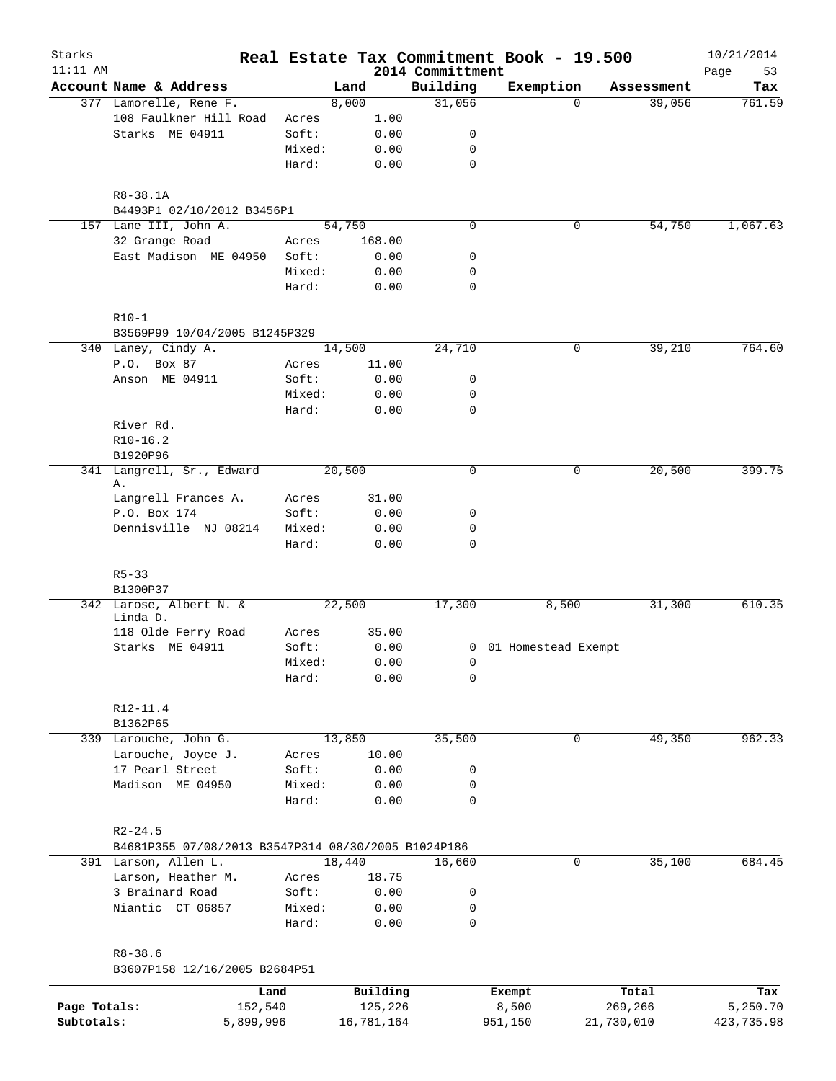| Starks       |                                                      |        |            |                              | Real Estate Tax Commitment Book - 19.500 |                    | 10/21/2014        |
|--------------|------------------------------------------------------|--------|------------|------------------------------|------------------------------------------|--------------------|-------------------|
| $11:11$ AM   | Account Name & Address                               |        | Land       | 2014 Committment<br>Building | Exemption                                | Assessment         | Page<br>53<br>Tax |
|              | 377 Lamorelle, Rene F.                               |        | 8,000      | 31,056                       |                                          | $\Omega$<br>39,056 | 761.59            |
|              | 108 Faulkner Hill Road                               | Acres  | 1.00       |                              |                                          |                    |                   |
|              | Starks ME 04911                                      | Soft:  | 0.00       | 0                            |                                          |                    |                   |
|              |                                                      | Mixed: | 0.00       | 0                            |                                          |                    |                   |
|              |                                                      | Hard:  | 0.00       | $\mathbf 0$                  |                                          |                    |                   |
|              |                                                      |        |            |                              |                                          |                    |                   |
|              | R8-38.1A<br>B4493P1 02/10/2012 B3456P1               |        |            |                              |                                          |                    |                   |
|              | 157 Lane III, John A.                                |        | 54,750     | $\mathbf 0$                  |                                          | 54,750<br>0        | 1,067.63          |
|              | 32 Grange Road                                       | Acres  | 168.00     |                              |                                          |                    |                   |
|              | East Madison ME 04950                                | Soft:  | 0.00       | 0                            |                                          |                    |                   |
|              |                                                      | Mixed: | 0.00       | 0                            |                                          |                    |                   |
|              |                                                      | Hard:  | 0.00       | 0                            |                                          |                    |                   |
|              | $R10-1$                                              |        |            |                              |                                          |                    |                   |
|              | B3569P99 10/04/2005 B1245P329<br>340 Laney, Cindy A. |        | 14,500     | 24,710                       |                                          | 39,210<br>0        | 764.60            |
|              | P.O. Box 87                                          | Acres  | 11.00      |                              |                                          |                    |                   |
|              |                                                      |        |            |                              |                                          |                    |                   |
|              | Anson ME 04911                                       | Soft:  | 0.00       | 0                            |                                          |                    |                   |
|              |                                                      | Mixed: | 0.00       | 0                            |                                          |                    |                   |
|              |                                                      | Hard:  | 0.00       | $\mathbf 0$                  |                                          |                    |                   |
|              | River Rd.                                            |        |            |                              |                                          |                    |                   |
|              | $R10-16.2$                                           |        |            |                              |                                          |                    |                   |
|              | B1920P96                                             |        |            |                              |                                          |                    |                   |
|              | 341 Langrell, Sr., Edward<br>Α.                      |        | 20,500     | $\mathbf 0$                  |                                          | 0<br>20,500        | 399.75            |
|              | Langrell Frances A.                                  | Acres  | 31.00      |                              |                                          |                    |                   |
|              | P.O. Box 174                                         | Soft:  | 0.00       | 0                            |                                          |                    |                   |
|              | Dennisville NJ 08214                                 | Mixed: | 0.00       | $\mathbf 0$                  |                                          |                    |                   |
|              |                                                      | Hard:  | 0.00       | $\mathbf 0$                  |                                          |                    |                   |
|              | $R5 - 33$                                            |        |            |                              |                                          |                    |                   |
|              | B1300P37                                             |        |            |                              |                                          |                    |                   |
|              | 342 Larose, Albert N. &<br>Linda D.                  |        | 22,500     | 17,300                       | 8,500                                    | 31,300             | 610.35            |
|              | 118 Olde Ferry Road                                  | Acres  | 35.00      |                              |                                          |                    |                   |
|              | Starks ME 04911                                      | Soft:  | 0.00       |                              | 0 01 Homestead Exempt                    |                    |                   |
|              |                                                      | Mixed: | 0.00       | $\overline{0}$               |                                          |                    |                   |
|              |                                                      | Hard:  | 0.00       | 0                            |                                          |                    |                   |
|              | R12-11.4                                             |        |            |                              |                                          |                    |                   |
|              | B1362P65                                             |        |            |                              |                                          |                    |                   |
|              | 339 Larouche, John G.                                |        | 13,850     | 35,500                       |                                          | 49,350<br>0        | 962.33            |
|              | Larouche, Joyce J.                                   | Acres  | 10.00      |                              |                                          |                    |                   |
|              | 17 Pearl Street                                      | Soft:  | 0.00       | 0                            |                                          |                    |                   |
|              | Madison ME 04950                                     | Mixed: | 0.00       | 0                            |                                          |                    |                   |
|              |                                                      | Hard:  | 0.00       | $\mathbf 0$                  |                                          |                    |                   |
|              | $R2 - 24.5$                                          |        |            |                              |                                          |                    |                   |
|              | B4681P355 07/08/2013 B3547P314 08/30/2005 B1024P186  |        |            |                              |                                          |                    |                   |
|              | 391 Larson, Allen L.                                 |        | 18,440     | 16,660                       |                                          | 35,100<br>0        | 684.45            |
|              | Larson, Heather M.                                   | Acres  | 18.75      |                              |                                          |                    |                   |
|              | 3 Brainard Road                                      | Soft:  | 0.00       | 0                            |                                          |                    |                   |
|              | Niantic CT 06857                                     | Mixed: | 0.00       | 0                            |                                          |                    |                   |
|              |                                                      | Hard:  | 0.00       | $\mathsf{O}$                 |                                          |                    |                   |
|              | $R8 - 38.6$                                          |        |            |                              |                                          |                    |                   |
|              | B3607P158 12/16/2005 B2684P51                        |        |            |                              |                                          |                    |                   |
|              |                                                      | Land   | Building   |                              | Exempt                                   | Total              | Tax               |
| Page Totals: | 152,540                                              |        | 125,226    |                              | 8,500                                    | 269,266            | 5,250.70          |
| Subtotals:   | 5,899,996                                            |        | 16,781,164 |                              | 951,150                                  | 21,730,010         | 423,735.98        |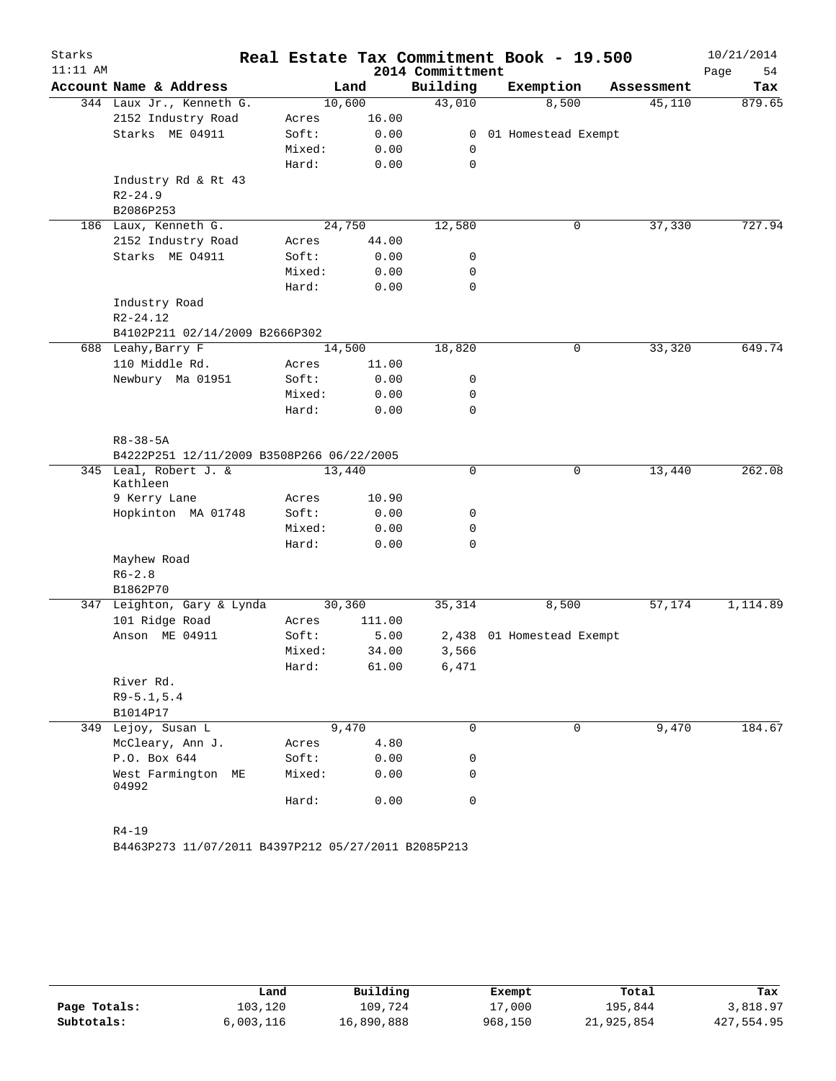| Starks     |                                                                    |        |        |                     | Real Estate Tax Commitment Book - 19.500 |            | 10/21/2014 |
|------------|--------------------------------------------------------------------|--------|--------|---------------------|------------------------------------------|------------|------------|
| $11:11$ AM |                                                                    |        |        | 2014 Committment    |                                          |            | Page<br>54 |
|            | Account Name & Address                                             |        | Land   | Building            | Exemption                                | Assessment | Tax        |
|            | 344 Laux Jr., Kenneth G.                                           |        | 10,600 | $\overline{43,010}$ | 8,500                                    | 45,110     | 879.65     |
|            | 2152 Industry Road                                                 | Acres  | 16.00  |                     |                                          |            |            |
|            | Starks ME 04911                                                    | Soft:  | 0.00   | $\mathbf{0}$        | 01 Homestead Exempt                      |            |            |
|            |                                                                    | Mixed: | 0.00   | 0                   |                                          |            |            |
|            |                                                                    | Hard:  | 0.00   | $\mathbf 0$         |                                          |            |            |
|            | Industry Rd & Rt 43                                                |        |        |                     |                                          |            |            |
|            | $R2 - 24.9$                                                        |        |        |                     |                                          |            |            |
|            | B2086P253                                                          |        |        |                     |                                          |            |            |
|            | 186 Laux, Kenneth G.                                               |        | 24,750 | 12,580              | $\mathsf{O}$                             | 37,330     | 727.94     |
|            | 2152 Industry Road                                                 | Acres  | 44.00  |                     |                                          |            |            |
|            | Starks ME 04911                                                    | Soft:  | 0.00   | 0                   |                                          |            |            |
|            |                                                                    | Mixed: | 0.00   | 0                   |                                          |            |            |
|            |                                                                    | Hard:  | 0.00   | 0                   |                                          |            |            |
|            | Industry Road                                                      |        |        |                     |                                          |            |            |
|            | $R2 - 24.12$                                                       |        |        |                     |                                          |            |            |
|            | B4102P211 02/14/2009 B2666P302                                     |        |        |                     |                                          |            |            |
|            | 688 Leahy, Barry F                                                 |        | 14,500 | 18,820              | 0                                        | 33,320     | 649.74     |
|            | 110 Middle Rd.                                                     | Acres  | 11.00  |                     |                                          |            |            |
|            | Newbury Ma 01951                                                   | Soft:  | 0.00   | 0                   |                                          |            |            |
|            |                                                                    | Mixed: | 0.00   | 0                   |                                          |            |            |
|            |                                                                    | Hard:  | 0.00   | 0                   |                                          |            |            |
|            |                                                                    |        |        |                     |                                          |            |            |
|            | $R8 - 38 - 5A$                                                     |        |        |                     |                                          |            |            |
|            | B4222P251 12/11/2009 B3508P266 06/22/2005<br>345 Leal, Robert J. & |        | 13,440 | 0                   | 0                                        | 13,440     | 262.08     |
|            | Kathleen                                                           |        |        |                     |                                          |            |            |
|            | 9 Kerry Lane                                                       | Acres  | 10.90  |                     |                                          |            |            |
|            | Hopkinton MA 01748                                                 | Soft:  | 0.00   | 0                   |                                          |            |            |
|            |                                                                    | Mixed: | 0.00   | 0                   |                                          |            |            |
|            |                                                                    | Hard:  | 0.00   | 0                   |                                          |            |            |
|            | Mayhew Road                                                        |        |        |                     |                                          |            |            |
|            | $R6 - 2.8$                                                         |        |        |                     |                                          |            |            |
|            | B1862P70                                                           |        |        |                     |                                          |            |            |
|            | 347 Leighton, Gary & Lynda                                         |        | 30,360 | 35,314              | 8,500                                    | 57,174     | 1,114.89   |
|            | 101 Ridge Road                                                     | Acres  | 111.00 |                     |                                          |            |            |
|            | Anson ME 04911                                                     | Soft:  | 5.00   |                     | 2,438 01 Homestead Exempt                |            |            |
|            |                                                                    | Mixed: | 34.00  | 3,566               |                                          |            |            |
|            |                                                                    | Hard:  | 61.00  | 6,471               |                                          |            |            |
|            | River Rd.                                                          |        |        |                     |                                          |            |            |
|            | $R9 - 5.1, 5.4$                                                    |        |        |                     |                                          |            |            |
|            | B1014P17                                                           |        |        |                     |                                          |            |            |
|            | 349 Lejoy, Susan L                                                 |        | 9,470  | 0                   | 0                                        | 9,470      | 184.67     |
|            | McCleary, Ann J.                                                   | Acres  | 4.80   |                     |                                          |            |            |
|            | P.O. Box 644                                                       | Soft:  | 0.00   | 0                   |                                          |            |            |
|            | West Farmington ME<br>04992                                        | Mixed: | 0.00   | 0                   |                                          |            |            |
|            |                                                                    | Hard:  | 0.00   | 0                   |                                          |            |            |
|            | $R4 - 19$                                                          |        |        |                     |                                          |            |            |

B4463P273 11/07/2011 B4397P212 05/27/2011 B2085P213

|              | Land      | Building   | Exempt  | Total      | Tax        |
|--------------|-----------|------------|---------|------------|------------|
| Page Totals: | 103,120   | 109,724    | 17,000  | 195,844    | 3,818.97   |
| Subtotals:   | 6,003,116 | 16,890,888 | 968,150 | 21,925,854 | 427,554.95 |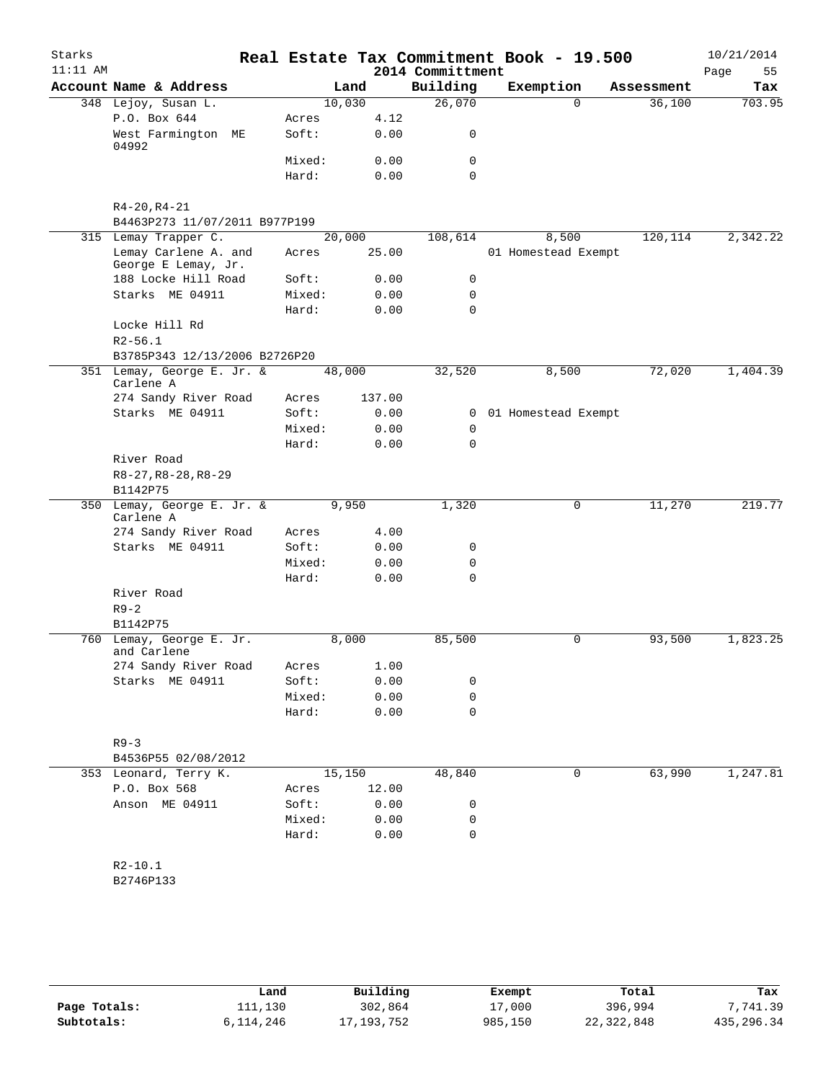| Starks     |                                                             |        |        |                  | Real Estate Tax Commitment Book - 19.500 |                       | 10/21/2014 |
|------------|-------------------------------------------------------------|--------|--------|------------------|------------------------------------------|-----------------------|------------|
| $11:11$ AM |                                                             |        |        | 2014 Committment |                                          |                       | Page<br>55 |
|            | Account Name & Address                                      |        | Land   | Building         | Exemption                                | Assessment            | Tax        |
|            | 348 Lejoy, Susan L.                                         | 10,030 |        | 26,070           |                                          | 36,100<br>$\Omega$    | 703.95     |
|            | P.O. Box 644                                                | Acres  | 4.12   |                  |                                          |                       |            |
|            | West Farmington ME<br>04992                                 | Soft:  | 0.00   | 0                |                                          |                       |            |
|            |                                                             | Mixed: | 0.00   | 0                |                                          |                       |            |
|            |                                                             | Hard:  | 0.00   | $\Omega$         |                                          |                       |            |
|            |                                                             |        |        |                  |                                          |                       |            |
|            | $R4 - 20, R4 - 21$                                          |        |        |                  |                                          |                       |            |
|            | B4463P273 11/07/2011 B977P199                               |        |        |                  |                                          |                       |            |
|            | 315 Lemay Trapper C.<br>Lemay Carlene A. and                | 20,000 | 25.00  | 108,614          | 8,500                                    | 120,114               | 2,342.22   |
|            | George E Lemay, Jr.                                         | Acres  |        |                  | 01 Homestead Exempt                      |                       |            |
|            | 188 Locke Hill Road                                         | Soft:  | 0.00   | 0                |                                          |                       |            |
|            | Starks ME 04911                                             | Mixed: | 0.00   | 0                |                                          |                       |            |
|            |                                                             | Hard:  | 0.00   | $\Omega$         |                                          |                       |            |
|            | Locke Hill Rd                                               |        |        |                  |                                          |                       |            |
|            | $R2 - 56.1$                                                 |        |        |                  |                                          |                       |            |
|            | B3785P343 12/13/2006 B2726P20<br>351 Lemay, George E. Jr. & |        |        |                  |                                          |                       | 1,404.39   |
|            | Carlene A                                                   | 48,000 |        | 32,520           | 8,500                                    | 72,020                |            |
|            | 274 Sandy River Road                                        | Acres  | 137.00 |                  |                                          |                       |            |
|            | Starks ME 04911                                             | Soft:  | 0.00   |                  | 0 01 Homestead Exempt                    |                       |            |
|            |                                                             | Mixed: | 0.00   | $\mathbf 0$      |                                          |                       |            |
|            |                                                             | Hard:  | 0.00   | $\Omega$         |                                          |                       |            |
|            | River Road                                                  |        |        |                  |                                          |                       |            |
|            | $R8-27, R8-28, R8-29$<br>B1142P75                           |        |        |                  |                                          |                       |            |
|            | 350 Lemay, George E. Jr. &                                  |        | 9,950  | 1,320            |                                          | 0<br>11,270           | 219.77     |
|            | Carlene A                                                   |        |        |                  |                                          |                       |            |
|            | 274 Sandy River Road                                        | Acres  | 4.00   |                  |                                          |                       |            |
|            | Starks ME 04911                                             | Soft:  | 0.00   | 0                |                                          |                       |            |
|            |                                                             | Mixed: | 0.00   | 0                |                                          |                       |            |
|            |                                                             | Hard:  | 0.00   | $\mathbf 0$      |                                          |                       |            |
|            | River Road                                                  |        |        |                  |                                          |                       |            |
|            | $R9 - 2$                                                    |        |        |                  |                                          |                       |            |
|            | B1142P75                                                    |        |        |                  |                                          |                       |            |
|            | 760 Lemay, George E. Jr.<br>and Carlene                     |        | 8,000  | 85,500           |                                          | 0<br>93,500           | 1,823.25   |
|            | 274 Sandy River Road                                        | Acres  | 1.00   |                  |                                          |                       |            |
|            | Starks ME 04911                                             | Soft:  | 0.00   | 0                |                                          |                       |            |
|            |                                                             | Mixed: | 0.00   | 0                |                                          |                       |            |
|            |                                                             | Hard:  | 0.00   | $\mathbf 0$      |                                          |                       |            |
|            | $R9 - 3$                                                    |        |        |                  |                                          |                       |            |
|            | B4536P55 02/08/2012                                         |        |        |                  |                                          |                       |            |
|            | 353 Leonard, Terry K.                                       | 15,150 |        | 48,840           |                                          | 63,990<br>$\mathbf 0$ | 1,247.81   |
|            | P.O. Box 568                                                | Acres  | 12.00  |                  |                                          |                       |            |
|            | Anson ME 04911                                              | Soft:  | 0.00   | 0                |                                          |                       |            |
|            |                                                             | Mixed: | 0.00   | 0                |                                          |                       |            |
|            |                                                             | Hard:  | 0.00   | 0                |                                          |                       |            |
|            | $R2 - 10.1$                                                 |        |        |                  |                                          |                       |            |
|            | B2746P133                                                   |        |        |                  |                                          |                       |            |
|            |                                                             |        |        |                  |                                          |                       |            |
|            |                                                             |        |        |                  |                                          |                       |            |

|              | Land      | Building   | Exempt  | Total      | Tax          |
|--------------|-----------|------------|---------|------------|--------------|
| Page Totals: | 111,130   | 302,864    | 17,000  | 396,994    | 7,741.39     |
| Subtotals:   | 6,114,246 | 17,193,752 | 985,150 | 22,322,848 | 435, 296, 34 |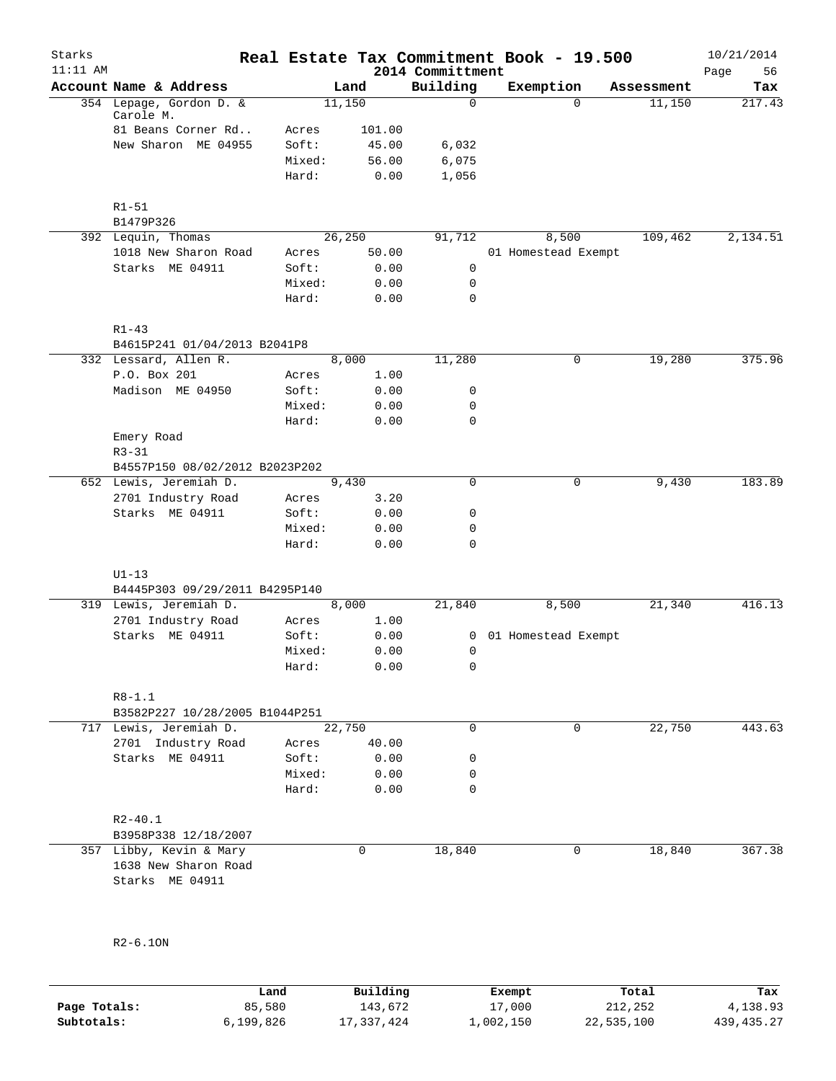| Starks<br>$11:11$ AM |                                           |        |        | 2014 Committment | Real Estate Tax Commitment Book - 19.500 |              |            | 10/21/2014<br>Page<br>56 |
|----------------------|-------------------------------------------|--------|--------|------------------|------------------------------------------|--------------|------------|--------------------------|
|                      | Account Name & Address                    |        | Land   | Building         | Exemption                                |              | Assessment | Tax                      |
|                      | 354 Lepage, Gordon D. &<br>Carole M.      |        | 11,150 | $\mathbf 0$      |                                          | $\Omega$     | 11,150     | 217.43                   |
|                      | 81 Beans Corner Rd                        | Acres  | 101.00 |                  |                                          |              |            |                          |
|                      | New Sharon ME 04955                       | Soft:  | 45.00  | 6,032            |                                          |              |            |                          |
|                      |                                           | Mixed: | 56.00  | 6,075            |                                          |              |            |                          |
|                      |                                           | Hard:  | 0.00   | 1,056            |                                          |              |            |                          |
|                      | $R1 - 51$<br>B1479P326                    |        |        |                  |                                          |              |            |                          |
|                      | 392 Lequin, Thomas                        |        | 26,250 | 91,712           | 8,500                                    |              | 109,462    | 2,134.51                 |
|                      | 1018 New Sharon Road                      | Acres  | 50.00  |                  | 01 Homestead Exempt                      |              |            |                          |
|                      | Starks ME 04911                           | Soft:  | 0.00   | $\mathsf{O}$     |                                          |              |            |                          |
|                      |                                           | Mixed: | 0.00   | 0                |                                          |              |            |                          |
|                      |                                           | Hard:  | 0.00   | $\mathbf 0$      |                                          |              |            |                          |
|                      | $R1 - 43$<br>B4615P241 01/04/2013 B2041P8 |        |        |                  |                                          |              |            |                          |
|                      | 332 Lessard, Allen R.                     |        | 8,000  | 11,280           |                                          | $\mathsf{O}$ | 19,280     | 375.96                   |
|                      | P.O. Box 201                              |        |        |                  |                                          |              |            |                          |
|                      | Madison ME 04950                          | Acres  | 1.00   |                  |                                          |              |            |                          |
|                      |                                           | Soft:  | 0.00   | 0                |                                          |              |            |                          |
|                      |                                           | Mixed: | 0.00   | 0                |                                          |              |            |                          |
|                      |                                           | Hard:  | 0.00   | $\mathbf 0$      |                                          |              |            |                          |
|                      | Emery Road<br>$R3 - 31$                   |        |        |                  |                                          |              |            |                          |
|                      | B4557P150 08/02/2012 B2023P202            |        |        |                  |                                          |              |            |                          |
|                      | 652 Lewis, Jeremiah D.                    |        | 9,430  | $\mathbf 0$      |                                          | $\mathbf 0$  | 9,430      | 183.89                   |
|                      | 2701 Industry Road                        | Acres  | 3.20   |                  |                                          |              |            |                          |
|                      | Starks ME 04911                           | Soft:  | 0.00   | 0                |                                          |              |            |                          |
|                      |                                           | Mixed: | 0.00   | $\mathbf 0$      |                                          |              |            |                          |
|                      |                                           | Hard:  | 0.00   | $\mathbf 0$      |                                          |              |            |                          |
|                      | $U1-13$                                   |        |        |                  |                                          |              |            |                          |
|                      | B4445P303 09/29/2011 B4295P140            |        |        |                  |                                          |              |            |                          |
|                      | 319 Lewis, Jeremiah D.                    |        | 8,000  | 21,840           | 8,500                                    |              | 21,340     | 416.13                   |
|                      | 2701 Industry Road                        | Acres  | 1.00   |                  |                                          |              |            |                          |
|                      | Starks ME 04911                           | Soft:  | 0.00   | 0                | 01 Homestead Exempt                      |              |            |                          |
|                      |                                           | Mixed: | 0.00   | 0                |                                          |              |            |                          |
|                      |                                           | Hard:  | 0.00   | 0                |                                          |              |            |                          |
|                      | $R8 - 1.1$                                |        |        |                  |                                          |              |            |                          |
|                      | B3582P227 10/28/2005 B1044P251            |        |        |                  |                                          |              |            |                          |
|                      | 717 Lewis, Jeremiah D.                    |        | 22,750 | $\mathbf 0$      |                                          | $\mathbf 0$  | 22,750     | 443.63                   |
|                      | 2701 Industry Road                        | Acres  | 40.00  |                  |                                          |              |            |                          |
|                      | Starks ME 04911                           | Soft:  | 0.00   | 0                |                                          |              |            |                          |
|                      |                                           | Mixed: | 0.00   | 0                |                                          |              |            |                          |
|                      |                                           | Hard:  | 0.00   | $\mathbf 0$      |                                          |              |            |                          |
|                      | $R2 - 40.1$                               |        |        |                  |                                          |              |            |                          |
|                      | B3958P338 12/18/2007                      |        |        |                  |                                          |              |            |                          |
|                      | 357 Libby, Kevin & Mary                   |        | 0      | 18,840           |                                          | $\mathbf 0$  | 18,840     | 367.38                   |
|                      | 1638 New Sharon Road<br>Starks ME 04911   |        |        |                  |                                          |              |            |                          |
|                      |                                           |        |        |                  |                                          |              |            |                          |
|                      |                                           |        |        |                  |                                          |              |            |                          |
|                      | $R2-6.10N$                                |        |        |                  |                                          |              |            |                          |
|                      |                                           |        |        |                  |                                          |              |            |                          |
|                      |                                           |        |        |                  |                                          |              |            |                          |

|              | Land      | Building   | Exempt    | Total      | Tax        |
|--------------|-----------|------------|-----------|------------|------------|
| Page Totals: | 85,580    | 143,672    | 17,000    | 212,252    | 4,138.93   |
| Subtotals:   | 6,199,826 | 17,337,424 | 1,002,150 | 22,535,100 | 439,435.27 |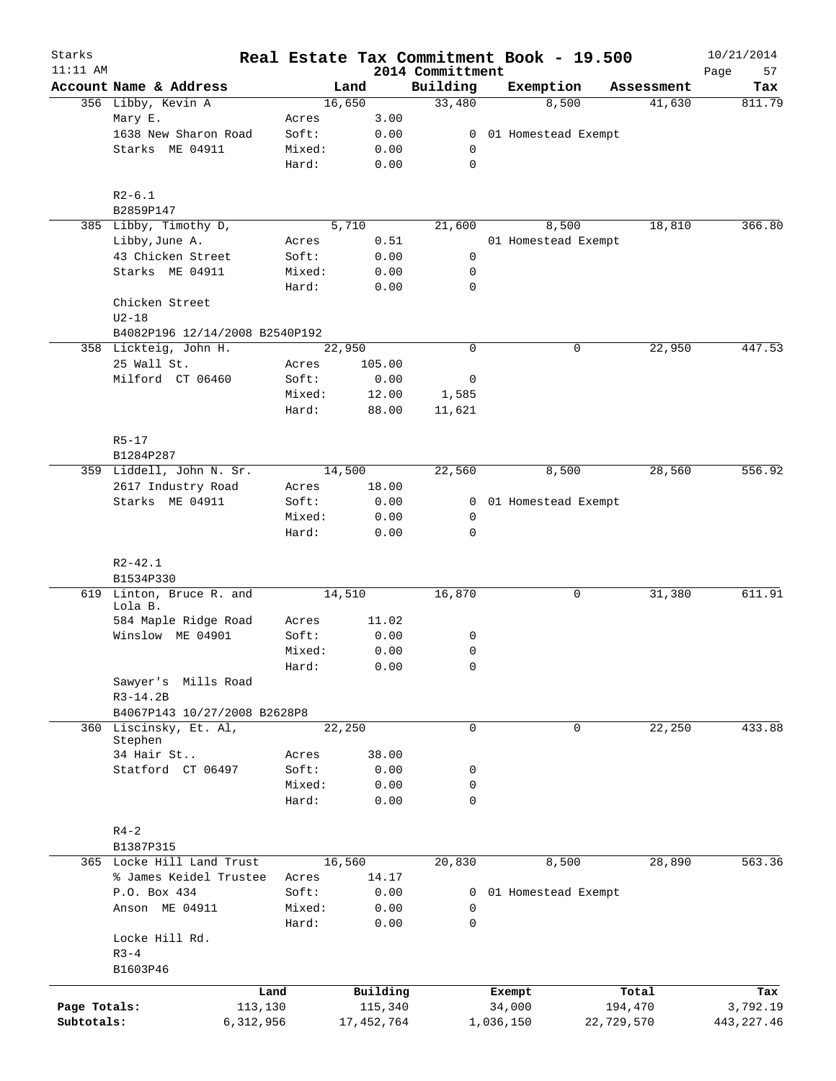| Starks       |                                |        |                |                    | Real Estate Tax Commitment Book - 19.500 |                      | 10/21/2014    |
|--------------|--------------------------------|--------|----------------|--------------------|------------------------------------------|----------------------|---------------|
| $11:11$ AM   | Account Name & Address         |        |                | 2014 Committment   |                                          |                      | 57<br>Page    |
|              | 356 Libby, Kevin A             |        | Land<br>16,650 | Building<br>33,480 | Exemption<br>8,500                       | Assessment<br>41,630 | Tax<br>811.79 |
|              | Mary E.                        | Acres  | 3.00           |                    |                                          |                      |               |
|              | 1638 New Sharon Road           |        |                |                    |                                          |                      |               |
|              |                                | Soft:  | 0.00           | $\mathbf{0}$       | 01 Homestead Exempt                      |                      |               |
|              | Starks ME 04911                | Mixed: | 0.00           | 0                  |                                          |                      |               |
|              |                                | Hard:  | 0.00           | 0                  |                                          |                      |               |
|              | $R2-6.1$                       |        |                |                    |                                          |                      |               |
|              | B2859P147                      |        |                |                    |                                          |                      |               |
|              | 385 Libby, Timothy D,          |        | 5,710          | 21,600             | 8,500                                    | 18,810               | 366.80        |
|              | Libby, June A.                 | Acres  | 0.51           |                    | 01 Homestead Exempt                      |                      |               |
|              | 43 Chicken Street              | Soft:  | 0.00           | 0                  |                                          |                      |               |
|              | Starks ME 04911                | Mixed: | 0.00           | 0                  |                                          |                      |               |
|              |                                | Hard:  | 0.00           | $\mathbf 0$        |                                          |                      |               |
|              | Chicken Street                 |        |                |                    |                                          |                      |               |
|              | $U2-18$                        |        |                |                    |                                          |                      |               |
|              | B4082P196 12/14/2008 B2540P192 |        |                |                    |                                          |                      |               |
|              | 358 Lickteig, John H.          |        | 22,950         | $\mathbf 0$        |                                          | 0<br>22,950          | 447.53        |
|              | 25 Wall St.                    | Acres  | 105.00         |                    |                                          |                      |               |
|              | Milford CT 06460               | Soft:  | 0.00           | 0                  |                                          |                      |               |
|              |                                | Mixed: | 12.00          | 1,585              |                                          |                      |               |
|              |                                | Hard:  | 88.00          | 11,621             |                                          |                      |               |
|              |                                |        |                |                    |                                          |                      |               |
|              | $R5 - 17$                      |        |                |                    |                                          |                      |               |
|              | B1284P287                      |        |                |                    |                                          |                      |               |
|              | 359 Liddell, John N. Sr.       |        | 14,500         | 22,560             | 8,500                                    | 28,560               | 556.92        |
|              | 2617 Industry Road             | Acres  | 18.00          |                    |                                          |                      |               |
|              | Starks ME 04911                | Soft:  | 0.00           | 0                  | 01 Homestead Exempt                      |                      |               |
|              |                                | Mixed: | 0.00           | 0                  |                                          |                      |               |
|              |                                | Hard:  | 0.00           | $\mathbf 0$        |                                          |                      |               |
|              | $R2 - 42.1$                    |        |                |                    |                                          |                      |               |
|              | B1534P330                      |        |                |                    |                                          |                      |               |
|              | 619 Linton, Bruce R. and       |        | 14,510         | 16,870             |                                          | 0<br>31,380          | 611.91        |
|              | Lola B.                        |        |                |                    |                                          |                      |               |
|              | 584 Maple Ridge Road           | Acres  | 11.02          |                    |                                          |                      |               |
|              | Winslow ME 04901               | Soft:  | 0.00           | 0                  |                                          |                      |               |
|              |                                | Mixed: | 0.00           | 0                  |                                          |                      |               |
|              |                                | Hard:  | 0.00           | 0                  |                                          |                      |               |
|              | Sawyer's Mills Road            |        |                |                    |                                          |                      |               |
|              | $R3-14.2B$                     |        |                |                    |                                          |                      |               |
|              | B4067P143 10/27/2008 B2628P8   |        |                |                    |                                          |                      |               |
| 360          | Liscinsky, Et. Al,             |        | 22,250         | $\mathbf 0$        |                                          | 22,250<br>0          | 433.88        |
|              | Stephen<br>34 Hair St          |        |                |                    |                                          |                      |               |
|              |                                | Acres  | 38.00          |                    |                                          |                      |               |
|              | Statford CT 06497              | Soft:  | 0.00           | 0                  |                                          |                      |               |
|              |                                | Mixed: | 0.00           | 0                  |                                          |                      |               |
|              |                                | Hard:  | 0.00           | $\mathbf 0$        |                                          |                      |               |
|              | $R4 - 2$                       |        |                |                    |                                          |                      |               |
|              | B1387P315                      |        |                |                    |                                          |                      |               |
|              | 365 Locke Hill Land Trust      |        | 16,560         | 20,830             | 8,500                                    | 28,890               | 563.36        |
|              | % James Keidel Trustee         |        | 14.17          |                    |                                          |                      |               |
|              |                                | Acres  |                |                    |                                          |                      |               |
|              | P.O. Box 434                   | Soft:  | 0.00           | 0                  | 01 Homestead Exempt                      |                      |               |
|              | Anson ME 04911                 | Mixed: | 0.00           | 0                  |                                          |                      |               |
|              |                                | Hard:  | 0.00           | $\mathbf 0$        |                                          |                      |               |
|              | Locke Hill Rd.                 |        |                |                    |                                          |                      |               |
|              | $R3 - 4$                       |        |                |                    |                                          |                      |               |
|              | B1603P46                       |        |                |                    |                                          |                      |               |
|              |                                | Land   | Building       |                    | Exempt                                   | Total                | Tax           |
| Page Totals: | 113,130                        |        | 115,340        |                    | 34,000                                   | 194,470              | 3,792.19      |
| Subtotals:   | 6,312,956                      |        | 17, 452, 764   |                    | 1,036,150                                | 22,729,570           | 443, 227.46   |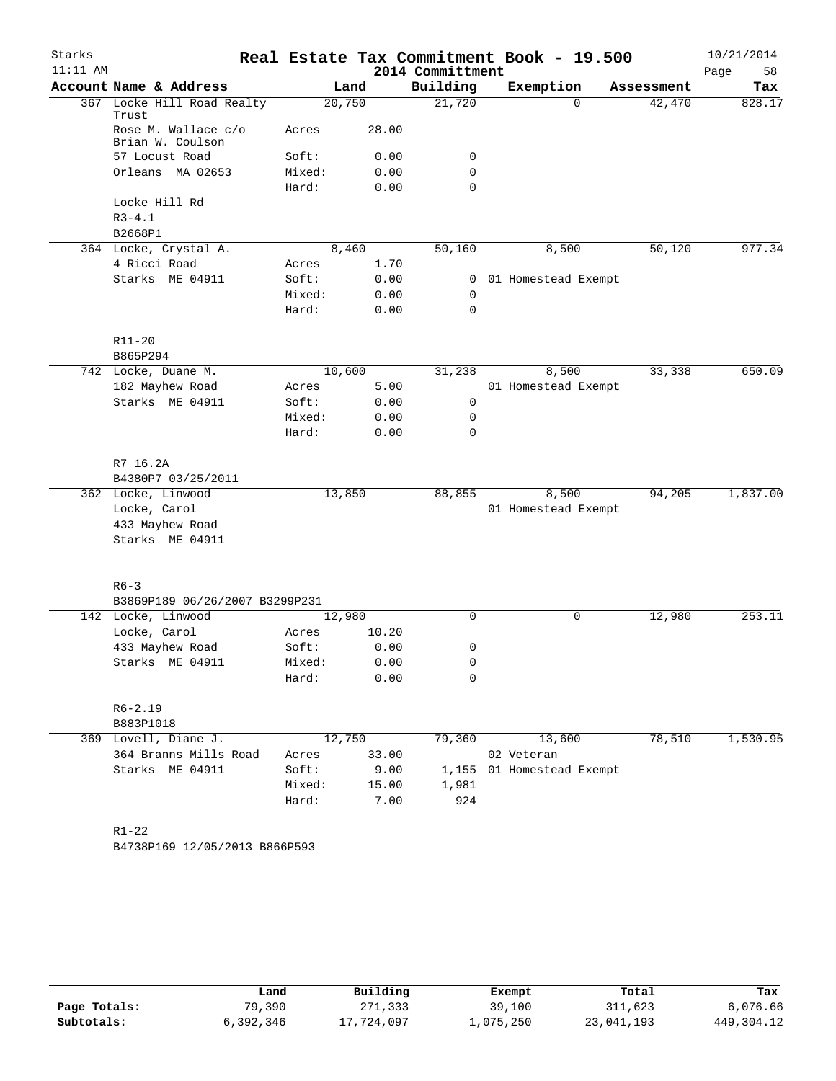|            |                                         |                 |              |                  | Real Estate Tax Commitment Book - 19.500 |            | 10/21/2014 |
|------------|-----------------------------------------|-----------------|--------------|------------------|------------------------------------------|------------|------------|
| $11:11$ AM |                                         |                 |              | 2014 Committment |                                          |            | Page<br>58 |
|            | Account Name & Address                  |                 | Land         | Building         | Exemption                                | Assessment | Tax        |
|            | 367 Locke Hill Road Realty<br>Trust     | 20,750          |              | 21,720           | $\Omega$                                 | 42,470     | 828.17     |
|            | Rose M. Wallace c/o<br>Brian W. Coulson | Acres           | 28.00        |                  |                                          |            |            |
|            | 57 Locust Road                          | Soft:           | 0.00         | 0                |                                          |            |            |
|            | Orleans MA 02653                        | Mixed:<br>Hard: | 0.00<br>0.00 | 0<br>$\Omega$    |                                          |            |            |
|            | Locke Hill Rd                           |                 |              |                  |                                          |            |            |
|            | $R3 - 4.1$<br>B2668P1                   |                 |              |                  |                                          |            |            |
|            | 364 Locke, Crystal A.                   |                 | 8,460        | 50,160           | 8,500                                    | 50,120     | 977.34     |
|            | 4 Ricci Road                            | Acres           | 1.70         |                  |                                          |            |            |
|            | Starks ME 04911                         | Soft:           | 0.00         | $\mathbf{0}$     | 01 Homestead Exempt                      |            |            |
|            |                                         | Mixed:          | 0.00         | 0                |                                          |            |            |
|            |                                         | Hard:           | 0.00         | $\mathbf 0$      |                                          |            |            |
|            | R11-20                                  |                 |              |                  |                                          |            |            |
|            | B865P294                                |                 |              |                  |                                          |            |            |
|            | 742 Locke, Duane M.                     | 10,600          |              | 31,238           | 8,500                                    | 33,338     | 650.09     |
|            | 182 Mayhew Road                         | Acres           | 5.00         |                  | 01 Homestead Exempt                      |            |            |
|            | Starks ME 04911                         | Soft:           | 0.00         | 0                |                                          |            |            |
|            |                                         | Mixed:          | 0.00         | 0                |                                          |            |            |
|            |                                         | Hard:           | 0.00         | 0                |                                          |            |            |
|            | R7 16.2A                                |                 |              |                  |                                          |            |            |
|            | B4380P7 03/25/2011                      |                 |              |                  |                                          |            |            |
|            | 362 Locke, Linwood                      | 13,850          |              | 88,855           | 8,500                                    | 94,205     | 1,837.00   |
|            | Locke, Carol                            |                 |              |                  | 01 Homestead Exempt                      |            |            |
|            | 433 Mayhew Road<br>Starks ME 04911      |                 |              |                  |                                          |            |            |
|            | $R6 - 3$                                |                 |              |                  |                                          |            |            |
|            | B3869P189 06/26/2007 B3299P231          |                 |              |                  |                                          |            |            |
|            | 142 Locke, Linwood                      | 12,980          |              | $\Omega$         | 0                                        | 12,980     | 253.11     |
|            | Locke, Carol                            | Acres           | 10.20        |                  |                                          |            |            |
|            | 433 Mayhew Road                         | Soft:           | 0.00         | 0                |                                          |            |            |
|            | Starks ME 04911                         | Mixed:          | 0.00         | 0                |                                          |            |            |
|            |                                         | Hard:           | 0.00         | 0                |                                          |            |            |
|            | $R6 - 2.19$                             |                 |              |                  |                                          |            |            |
|            | B883P1018                               |                 |              |                  |                                          |            |            |
|            | 369 Lovell, Diane J.                    | 12,750          |              | 79,360           | 13,600                                   | 78,510     | 1,530.95   |
|            | 364 Branns Mills Road                   | Acres           | 33.00        |                  | 02 Veteran                               |            |            |
|            | Starks ME 04911                         | Soft:           | 9.00         |                  | 1,155 01 Homestead Exempt                |            |            |
|            |                                         |                 | 15.00        | 1,981            |                                          |            |            |
|            |                                         | Mixed:          |              |                  |                                          |            |            |

|              | Land      | Building   | Exempt    | Total      | Tax        |
|--------------|-----------|------------|-----------|------------|------------|
| Page Totals: | 79,390    | 271,333    | 39,100    | 311,623    | 6,076.66   |
| Subtotals:   | 6,392,346 | 17,724,097 | 1,075,250 | 23,041,193 | 449,304.12 |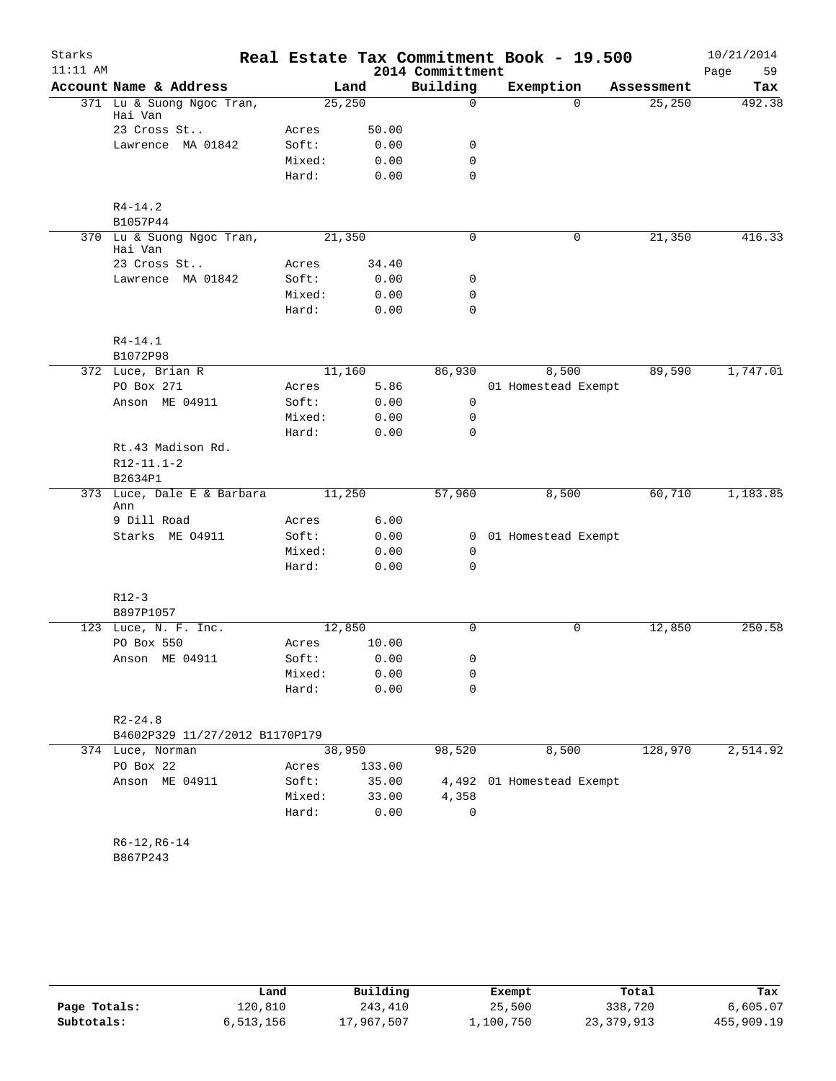| Starks     |                                       |                 |              |                  | Real Estate Tax Commitment Book - 19.500 |            | 10/21/2014 |
|------------|---------------------------------------|-----------------|--------------|------------------|------------------------------------------|------------|------------|
| $11:11$ AM |                                       |                 |              | 2014 Committment |                                          |            | Page<br>59 |
|            | Account Name & Address                |                 | Land         | Building         | Exemption                                | Assessment | Tax        |
|            | 371 Lu & Suong Ngoc Tran,             | 25,250          |              | $\mathbf 0$      | $\Omega$                                 | 25,250     | 492.38     |
|            | Hai Van<br>23 Cross St                | Acres           | 50.00        |                  |                                          |            |            |
|            | Lawrence MA 01842                     | Soft:           | 0.00         | 0                |                                          |            |            |
|            |                                       | Mixed:          | 0.00         | $\mathbf 0$      |                                          |            |            |
|            |                                       | Hard:           | 0.00         | $\Omega$         |                                          |            |            |
|            |                                       |                 |              |                  |                                          |            |            |
|            | $R4 - 14.2$                           |                 |              |                  |                                          |            |            |
|            | B1057P44                              |                 |              |                  |                                          |            |            |
|            | 370 Lu & Suong Ngoc Tran,<br>Hai Van  | 21,350          |              | 0                | 0                                        | 21,350     | 416.33     |
|            | 23 Cross St                           | Acres           | 34.40        |                  |                                          |            |            |
|            | Lawrence MA 01842                     | Soft:           | 0.00         | 0                |                                          |            |            |
|            |                                       | Mixed:          | 0.00         | 0                |                                          |            |            |
|            |                                       | Hard:           | 0.00         | $\mathbf 0$      |                                          |            |            |
|            |                                       |                 |              |                  |                                          |            |            |
|            | $R4 - 14.1$                           |                 |              |                  |                                          |            |            |
|            | B1072P98<br>372 Luce, Brian R         | 11,160          |              | 86,930           | 8,500                                    | 89,590     | 1,747.01   |
|            | PO Box 271                            | Acres           | 5.86         |                  | 01 Homestead Exempt                      |            |            |
|            |                                       | Soft:           |              | 0                |                                          |            |            |
|            | Anson ME 04911                        |                 | 0.00         |                  |                                          |            |            |
|            |                                       | Mixed:<br>Hard: | 0.00<br>0.00 | 0<br>$\Omega$    |                                          |            |            |
|            |                                       |                 |              |                  |                                          |            |            |
|            | Rt.43 Madison Rd.<br>$R12 - 11.1 - 2$ |                 |              |                  |                                          |            |            |
|            | B2634P1                               |                 |              |                  |                                          |            |            |
| 373        | Luce, Dale E & Barbara                | 11,250          |              | 57,960           | 8,500                                    | 60,710     | 1,183.85   |
|            | Ann                                   |                 |              |                  |                                          |            |            |
|            | 9 Dill Road                           | Acres           | 6.00         |                  |                                          |            |            |
|            | Starks ME 04911                       | Soft:           | 0.00         |                  | 0 01 Homestead Exempt                    |            |            |
|            |                                       | Mixed:          | 0.00         | 0                |                                          |            |            |
|            |                                       | Hard:           | 0.00         | 0                |                                          |            |            |
|            |                                       |                 |              |                  |                                          |            |            |
|            | $R12-3$                               |                 |              |                  |                                          |            |            |
|            | B897P1057                             |                 |              |                  |                                          |            |            |
|            | 123 Luce, N. F. Inc.                  | 12,850          |              | 0                | $\mathbf 0$                              | 12,850     | 250.58     |
|            | PO Box 550                            | Acres           | 10.00        |                  |                                          |            |            |
|            | Anson ME 04911                        | Soft:           | 0.00         | 0                |                                          |            |            |
|            |                                       | Mixed:          | 0.00         | 0                |                                          |            |            |
|            |                                       | Hard:           | 0.00         | 0                |                                          |            |            |
|            | $R2 - 24.8$                           |                 |              |                  |                                          |            |            |
|            | B4602P329 11/27/2012 B1170P179        |                 |              |                  |                                          |            |            |
|            | 374 Luce, Norman                      | 38,950          |              | 98,520           | 8,500                                    | 128,970    | 2,514.92   |
|            | PO Box 22                             | Acres           | 133.00       |                  |                                          |            |            |
|            | Anson ME 04911                        | Soft:           | 35.00        | 4,492            | 01 Homestead Exempt                      |            |            |
|            |                                       | Mixed:          | 33.00        | 4,358            |                                          |            |            |
|            |                                       | Hard:           | 0.00         | 0                |                                          |            |            |
|            |                                       |                 |              |                  |                                          |            |            |
|            | $R6-12, R6-14$                        |                 |              |                  |                                          |            |            |
|            | B867P243                              |                 |              |                  |                                          |            |            |
|            |                                       |                 |              |                  |                                          |            |            |
|            |                                       |                 |              |                  |                                          |            |            |

|              | Land      | Building   | Exempt    | Total      | Tax        |
|--------------|-----------|------------|-----------|------------|------------|
| Page Totals: | 120,810   | 243,410    | 25,500    | 338,720    | 6,605.07   |
| Subtotals:   | 6,513,156 | 17,967,507 | 1,100,750 | 23,379,913 | 455,909.19 |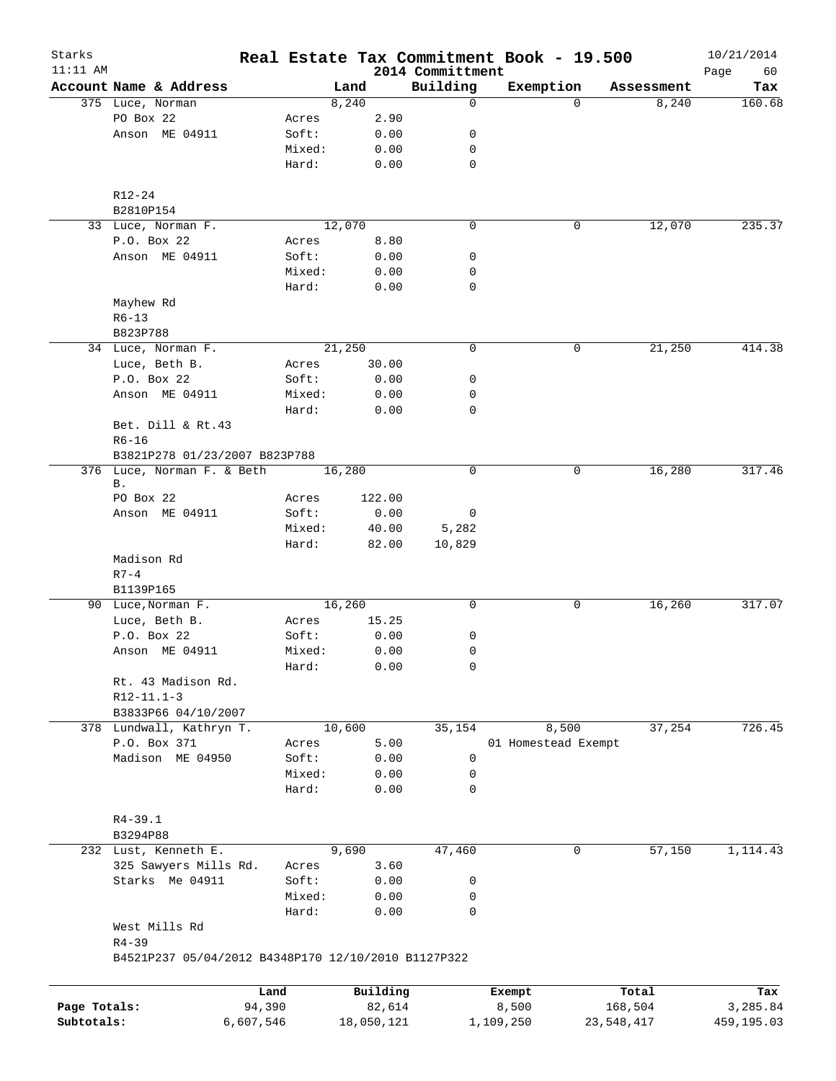| Starks       |                                                     |                |        |         |                    |                              |                 | Real Estate Tax Commitment Book - 19.500 |                     | 10/21/2014      |
|--------------|-----------------------------------------------------|----------------|--------|---------|--------------------|------------------------------|-----------------|------------------------------------------|---------------------|-----------------|
| $11:11$ AM   | Account Name & Address                              |                |        | Land    |                    | 2014 Committment<br>Building |                 |                                          |                     | Page<br>60      |
|              | 375 Luce, Norman                                    |                |        | 8,240   |                    | 0                            | Exemption       | $\Omega$                                 | Assessment<br>8,240 | Tax<br>160.68   |
|              | PO Box 22                                           |                | Acres  |         | 2.90               |                              |                 |                                          |                     |                 |
|              | Anson ME 04911                                      |                | Soft:  |         | 0.00               | 0                            |                 |                                          |                     |                 |
|              |                                                     |                | Mixed: |         | 0.00               | 0                            |                 |                                          |                     |                 |
|              |                                                     |                | Hard:  |         | 0.00               | $\mathbf 0$                  |                 |                                          |                     |                 |
|              |                                                     |                |        |         |                    |                              |                 |                                          |                     |                 |
|              | R12-24                                              |                |        |         |                    |                              |                 |                                          |                     |                 |
|              | B2810P154                                           |                |        |         |                    |                              |                 |                                          |                     |                 |
|              | 33 Luce, Norman F.                                  |                |        | 12,070  |                    | 0                            |                 | 0                                        | 12,070              | 235.37          |
|              | P.O. Box 22                                         |                | Acres  |         | 8.80               |                              |                 |                                          |                     |                 |
|              | Anson ME 04911                                      |                | Soft:  |         | 0.00               | 0                            |                 |                                          |                     |                 |
|              |                                                     |                | Mixed: |         | 0.00               | 0                            |                 |                                          |                     |                 |
|              |                                                     |                | Hard:  |         | 0.00               | 0                            |                 |                                          |                     |                 |
|              | Mayhew Rd                                           |                |        |         |                    |                              |                 |                                          |                     |                 |
|              | $R6 - 13$                                           |                |        |         |                    |                              |                 |                                          |                     |                 |
|              | B823P788                                            |                |        |         |                    |                              |                 |                                          |                     |                 |
|              | 34 Luce, Norman F.                                  |                |        | 21,250  |                    | 0                            |                 | 0                                        | 21,250              | 414.38          |
|              | Luce, Beth B.                                       |                | Acres  |         | 30.00              |                              |                 |                                          |                     |                 |
|              | P.O. Box 22                                         |                | Soft:  |         | 0.00               | 0                            |                 |                                          |                     |                 |
|              | Anson ME 04911                                      |                | Mixed: |         | 0.00               | 0                            |                 |                                          |                     |                 |
|              |                                                     |                | Hard:  |         | 0.00               | 0                            |                 |                                          |                     |                 |
|              | Bet. Dill & Rt.43                                   |                |        |         |                    |                              |                 |                                          |                     |                 |
|              | $R6 - 16$                                           |                |        |         |                    |                              |                 |                                          |                     |                 |
|              | B3821P278 01/23/2007 B823P788                       |                |        |         |                    |                              |                 |                                          |                     |                 |
|              | 376 Luce, Norman F. & Beth                          |                |        | 16,280  |                    | 0                            |                 | 0                                        | 16,280              | 317.46          |
|              | В.                                                  |                |        |         |                    |                              |                 |                                          |                     |                 |
|              | PO Box 22                                           |                | Acres  |         | 122.00             |                              |                 |                                          |                     |                 |
|              | Anson ME 04911                                      |                | Soft:  |         | 0.00               | 0                            |                 |                                          |                     |                 |
|              |                                                     |                | Mixed: |         | 40.00              | 5,282                        |                 |                                          |                     |                 |
|              |                                                     |                | Hard:  |         | 82.00              | 10,829                       |                 |                                          |                     |                 |
|              | Madison Rd                                          |                |        |         |                    |                              |                 |                                          |                     |                 |
|              | $R7 - 4$                                            |                |        |         |                    |                              |                 |                                          |                     |                 |
|              | B1139P165                                           |                |        |         |                    |                              |                 |                                          |                     |                 |
|              | 90 Luce, Norman F.                                  |                |        | 16, 260 |                    | 0                            |                 | 0                                        | 16,260              | 317.07          |
|              | Luce, Beth B.                                       |                | Acres  |         | 15.25              |                              |                 |                                          |                     |                 |
|              | P.O. Box 22                                         |                | Soft:  |         | 0.00               | 0                            |                 |                                          |                     |                 |
|              | Anson ME 04911                                      |                | Mixed: |         | 0.00               | 0                            |                 |                                          |                     |                 |
|              |                                                     |                | Hard:  |         | 0.00               | 0                            |                 |                                          |                     |                 |
|              | Rt. 43 Madison Rd.                                  |                |        |         |                    |                              |                 |                                          |                     |                 |
|              | $R12-11.1-3$                                        |                |        |         |                    |                              |                 |                                          |                     |                 |
|              | B3833P66 04/10/2007                                 |                |        |         |                    |                              |                 |                                          |                     |                 |
|              | 378 Lundwall, Kathryn T.                            |                |        | 10,600  |                    | 35,154                       |                 | 8,500                                    | 37,254              | 726.45          |
|              | P.O. Box 371                                        |                | Acres  |         | 5.00               |                              |                 | 01 Homestead Exempt                      |                     |                 |
|              | Madison ME 04950                                    |                | Soft:  |         | 0.00               | $\mathbf 0$                  |                 |                                          |                     |                 |
|              |                                                     |                | Mixed: |         | 0.00               | 0                            |                 |                                          |                     |                 |
|              |                                                     |                | Hard:  |         | 0.00               | $\mathbf 0$                  |                 |                                          |                     |                 |
|              |                                                     |                |        |         |                    |                              |                 |                                          |                     |                 |
|              | $R4 - 39.1$                                         |                |        |         |                    |                              |                 |                                          |                     |                 |
|              | B3294P88                                            |                |        |         |                    |                              |                 |                                          |                     |                 |
|              | 232 Lust, Kenneth E.                                |                |        | 9,690   |                    | 47,460                       |                 | $\mathbf 0$                              | 57,150              | 1,114.43        |
|              | 325 Sawyers Mills Rd.                               |                | Acres  |         | 3.60               |                              |                 |                                          |                     |                 |
|              | Starks Me 04911                                     |                | Soft:  |         | 0.00               | 0                            |                 |                                          |                     |                 |
|              |                                                     |                | Mixed: |         | 0.00               | 0                            |                 |                                          |                     |                 |
|              |                                                     |                | Hard:  |         | 0.00               | 0                            |                 |                                          |                     |                 |
|              | West Mills Rd                                       |                |        |         |                    |                              |                 |                                          |                     |                 |
|              | $R4 - 39$                                           |                |        |         |                    |                              |                 |                                          |                     |                 |
|              | B4521P237 05/04/2012 B4348P170 12/10/2010 B1127P322 |                |        |         |                    |                              |                 |                                          |                     |                 |
|              |                                                     |                |        |         |                    |                              |                 |                                          |                     |                 |
| Page Totals: |                                                     | Land<br>94,390 |        |         | Building<br>82,614 |                              | Exempt<br>8,500 |                                          | Total<br>168,504    | Tax<br>3,285.84 |
| Subtotals:   |                                                     | 6,607,546      |        |         | 18,050,121         |                              | 1,109,250       | 23,548,417                               |                     | 459,195.03      |
|              |                                                     |                |        |         |                    |                              |                 |                                          |                     |                 |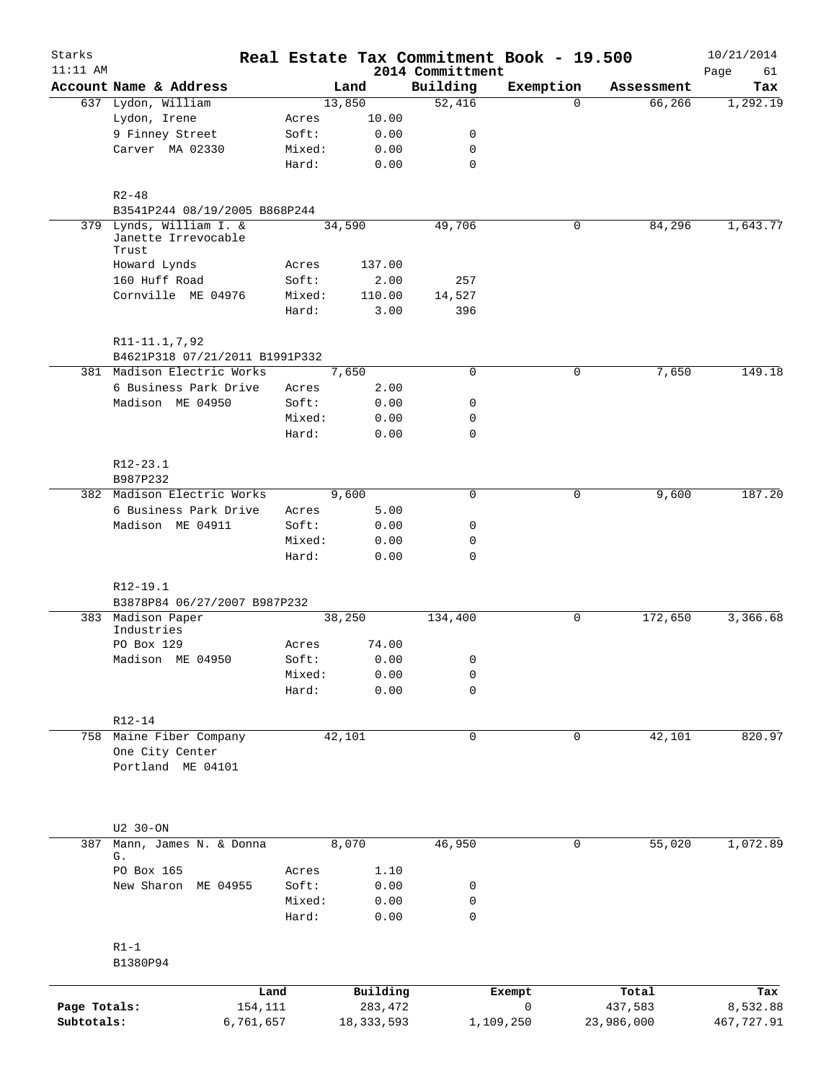| Starks       |                                                     |        |              |                              | Real Estate Tax Commitment Book - 19.500 |            | 10/21/2014        |
|--------------|-----------------------------------------------------|--------|--------------|------------------------------|------------------------------------------|------------|-------------------|
| $11:11$ AM   | Account Name & Address                              |        | Land         | 2014 Committment<br>Building | Exemption                                | Assessment | Page<br>61<br>Tax |
|              | 637 Lydon, William                                  |        | 13,850       | 52,416                       | $\Omega$                                 | 66,266     | 1,292.19          |
|              | Lydon, Irene                                        | Acres  | 10.00        |                              |                                          |            |                   |
|              | 9 Finney Street                                     | Soft:  | 0.00         | 0                            |                                          |            |                   |
|              | Carver MA 02330                                     | Mixed: | 0.00         | 0                            |                                          |            |                   |
|              |                                                     | Hard:  | 0.00         | $\mathbf 0$                  |                                          |            |                   |
|              | $R2 - 48$                                           |        |              |                              |                                          |            |                   |
|              | B3541P244 08/19/2005 B868P244                       |        |              |                              |                                          |            |                   |
| 379          | Lynds, William I. &<br>Janette Irrevocable<br>Trust |        | 34,590       | 49,706                       | $\mathbf 0$                              | 84,296     | 1,643.77          |
|              | Howard Lynds                                        | Acres  | 137.00       |                              |                                          |            |                   |
|              | 160 Huff Road                                       | Soft:  | 2.00         | 257                          |                                          |            |                   |
|              | Cornville ME 04976                                  | Mixed: | 110.00       | 14,527                       |                                          |            |                   |
|              |                                                     | Hard:  | 3.00         | 396                          |                                          |            |                   |
|              | R11-11.1,7,92<br>B4621P318 07/21/2011 B1991P332     |        |              |                              |                                          |            |                   |
|              | 381 Madison Electric Works                          |        | 7,650        | 0                            | 0                                        | 7,650      | 149.18            |
|              | 6 Business Park Drive                               | Acres  | 2.00         |                              |                                          |            |                   |
|              | Madison ME 04950                                    | Soft:  | 0.00         | 0                            |                                          |            |                   |
|              |                                                     | Mixed: | 0.00         | $\mathbf 0$                  |                                          |            |                   |
|              |                                                     | Hard:  | 0.00         | $\mathbf 0$                  |                                          |            |                   |
|              |                                                     |        |              |                              |                                          |            |                   |
|              | $R12 - 23.1$                                        |        |              |                              |                                          |            |                   |
|              | B987P232<br>382 Madison Electric Works              |        | 9,600        | 0                            | 0                                        |            | 187.20            |
|              | 6 Business Park Drive                               | Acres  | 5.00         |                              |                                          | 9,600      |                   |
|              | Madison ME 04911                                    | Soft:  | 0.00         | 0                            |                                          |            |                   |
|              |                                                     | Mixed: | 0.00         | 0                            |                                          |            |                   |
|              |                                                     | Hard:  | 0.00         | $\mathbf 0$                  |                                          |            |                   |
|              |                                                     |        |              |                              |                                          |            |                   |
|              | R12-19.1                                            |        |              |                              |                                          |            |                   |
|              | B3878P84 06/27/2007 B987P232                        |        |              |                              |                                          |            |                   |
|              | 383 Madison Paper<br>Industries                     |        | 38,250       | 134,400                      | 0                                        | 172,650    | 3,366.68          |
|              | PO Box 129                                          | Acres  | 74.00        |                              |                                          |            |                   |
|              | Madison ME 04950                                    | Soft:  | 0.00         | 0                            |                                          |            |                   |
|              |                                                     | Mixed: | 0.00         | 0                            |                                          |            |                   |
|              |                                                     | Hard:  | 0.00         | 0                            |                                          |            |                   |
|              |                                                     |        |              |                              |                                          |            |                   |
|              | $R12 - 14$                                          |        |              |                              |                                          |            |                   |
|              | 758 Maine Fiber Company<br>One City Center          |        | 42,101       | $\mathbf 0$                  | $\mathbf 0$                              | 42,101     | 820.97            |
|              | Portland ME 04101                                   |        |              |                              |                                          |            |                   |
|              |                                                     |        |              |                              |                                          |            |                   |
|              |                                                     |        |              |                              |                                          |            |                   |
| 387          | U2 30-ON<br>Mann, James N. & Donna                  |        | 8,070        | 46,950                       | 0                                        | 55,020     | 1,072.89          |
|              | G.                                                  |        |              |                              |                                          |            |                   |
|              | PO Box 165                                          | Acres  | 1.10         |                              |                                          |            |                   |
|              | New Sharon ME 04955                                 | Soft:  | 0.00         | 0                            |                                          |            |                   |
|              |                                                     | Mixed: | 0.00         | 0                            |                                          |            |                   |
|              |                                                     | Hard:  | 0.00         | $\mathbf 0$                  |                                          |            |                   |
|              |                                                     |        |              |                              |                                          |            |                   |
|              | $R1-1$<br>B1380P94                                  |        |              |                              |                                          |            |                   |
|              |                                                     |        |              |                              |                                          |            |                   |
|              | Land                                                |        | Building     |                              | Exempt                                   | Total      | Tax               |
| Page Totals: | 154,111                                             |        | 283,472      |                              | 0                                        | 437,583    | 8,532.88          |
| Subtotals:   | 6,761,657                                           |        | 18, 333, 593 |                              | 1,109,250                                | 23,986,000 | 467,727.91        |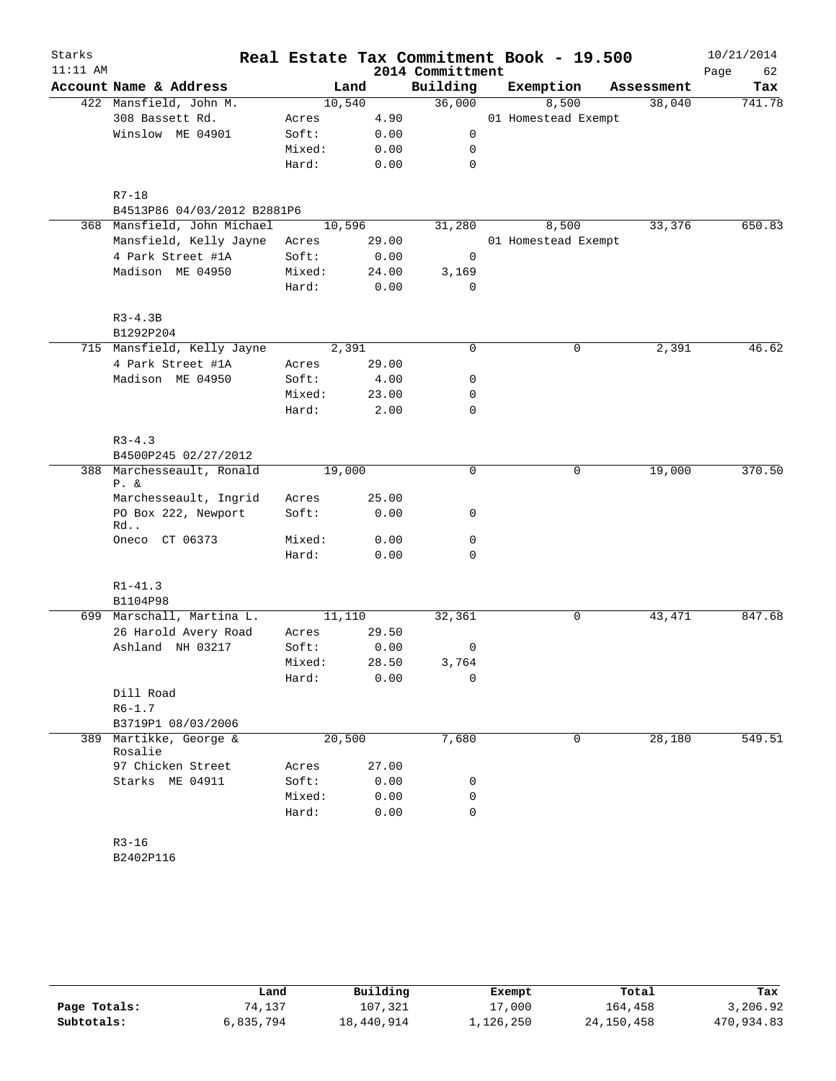| Starks<br>$11:11$ AM |                                      |        |        | 2014 Committment | Real Estate Tax Commitment Book - 19.500 |            | 10/21/2014<br>Page<br>62 |
|----------------------|--------------------------------------|--------|--------|------------------|------------------------------------------|------------|--------------------------|
|                      | Account Name & Address               |        | Land   | Building         | Exemption                                | Assessment | Tax                      |
|                      | 422 Mansfield, John M.               |        | 10,540 | 36,000           | 8,500                                    | 38,040     | 741.78                   |
|                      | 308 Bassett Rd.                      | Acres  | 4.90   |                  | 01 Homestead Exempt                      |            |                          |
|                      | Winslow ME 04901                     | Soft:  | 0.00   | 0                |                                          |            |                          |
|                      |                                      | Mixed: | 0.00   | 0                |                                          |            |                          |
|                      |                                      | Hard:  | 0.00   | $\mathbf 0$      |                                          |            |                          |
|                      | $R7 - 18$                            |        |        |                  |                                          |            |                          |
|                      | B4513P86 04/03/2012 B2881P6          |        |        |                  |                                          |            |                          |
|                      | 368 Mansfield, John Michael          |        | 10,596 | 31,280           | 8,500                                    | 33,376     | 650.83                   |
|                      | Mansfield, Kelly Jayne               | Acres  | 29.00  |                  | 01 Homestead Exempt                      |            |                          |
|                      | 4 Park Street #1A                    | Soft:  | 0.00   | 0                |                                          |            |                          |
|                      | Madison ME 04950                     | Mixed: | 24.00  | 3,169            |                                          |            |                          |
|                      |                                      | Hard:  | 0.00   | $\mathbf 0$      |                                          |            |                          |
|                      | $R3 - 4.3B$                          |        |        |                  |                                          |            |                          |
|                      | B1292P204                            |        |        |                  |                                          |            |                          |
|                      | 715 Mansfield, Kelly Jayne           |        | 2,391  | 0                | 0                                        | 2,391      | 46.62                    |
|                      | 4 Park Street #1A                    | Acres  | 29.00  |                  |                                          |            |                          |
|                      | Madison ME 04950                     | Soft:  | 4.00   | 0                |                                          |            |                          |
|                      |                                      | Mixed: | 23.00  | 0                |                                          |            |                          |
|                      |                                      | Hard:  | 2.00   | 0                |                                          |            |                          |
|                      | $R3 - 4.3$                           |        |        |                  |                                          |            |                          |
|                      | B4500P245 02/27/2012                 |        |        |                  |                                          |            |                          |
|                      | 388 Marchesseault, Ronald<br>$P. \&$ | 19,000 |        | 0                | 0                                        | 19,000     | 370.50                   |
|                      | Marchesseault, Ingrid                | Acres  | 25.00  |                  |                                          |            |                          |
|                      | PO Box 222, Newport<br>Rd            | Soft:  | 0.00   | 0                |                                          |            |                          |
|                      | Oneco CT 06373                       | Mixed: | 0.00   | 0                |                                          |            |                          |
|                      |                                      | Hard:  | 0.00   | 0                |                                          |            |                          |
|                      | $R1 - 41.3$                          |        |        |                  |                                          |            |                          |
|                      | B1104P98                             |        |        |                  |                                          |            |                          |
|                      | 699 Marschall, Martina L.            |        | 11,110 | 32,361           | 0                                        | 43, 471    | 847.68                   |
|                      | 26 Harold Avery Road                 | Acres  | 29.50  |                  |                                          |            |                          |
|                      | Ashland NH 03217                     | Soft:  | 0.00   | 0                |                                          |            |                          |
|                      |                                      | Mixed: | 28.50  | 3,764            |                                          |            |                          |
|                      |                                      | Hard:  | 0.00   | 0                |                                          |            |                          |
|                      | Dill Road                            |        |        |                  |                                          |            |                          |
|                      | $R6 - 1.7$                           |        |        |                  |                                          |            |                          |
|                      | B3719P1 08/03/2006                   |        |        |                  |                                          |            |                          |
|                      | 389 Martikke, George &<br>Rosalie    |        | 20,500 | 7,680            | 0                                        | 28,180     | 549.51                   |
|                      | 97 Chicken Street                    | Acres  | 27.00  |                  |                                          |            |                          |
|                      | Starks ME 04911                      | Soft:  | 0.00   | 0                |                                          |            |                          |
|                      |                                      | Mixed: | 0.00   | 0                |                                          |            |                          |
|                      |                                      | Hard:  | 0.00   | $\mathbf 0$      |                                          |            |                          |
|                      | $R3 - 16$                            |        |        |                  |                                          |            |                          |
|                      | B2402P116                            |        |        |                  |                                          |            |                          |

|              | Land      | Building   | Exempt    | Total        | Tax        |
|--------------|-----------|------------|-----------|--------------|------------|
| Page Totals: | 74,137    | 107,321    | 17,000    | 164,458      | 3,206.92   |
| Subtotals:   | 6,835,794 | 18,440,914 | 1,126,250 | 24, 150, 458 | 470,934.83 |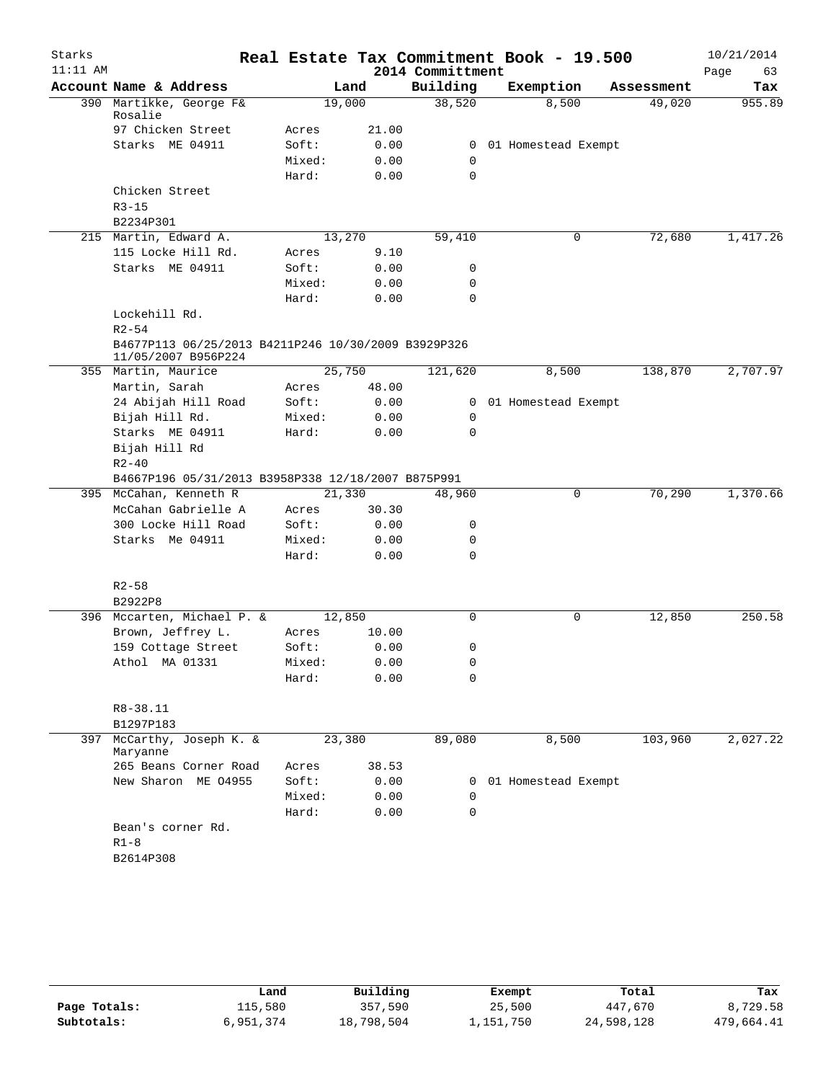| Starks     |                                                                            |        |       |                  | Real Estate Tax Commitment Book - 19.500 |            | 10/21/2014 |
|------------|----------------------------------------------------------------------------|--------|-------|------------------|------------------------------------------|------------|------------|
| $11:11$ AM |                                                                            |        |       | 2014 Committment |                                          |            | Page<br>63 |
|            | Account Name & Address                                                     |        | Land  | Building         | Exemption                                | Assessment | Tax        |
|            | 390 Martikke, George F&<br>Rosalie                                         | 19,000 |       | 38,520           | 8,500                                    | 49,020     | 955.89     |
|            | 97 Chicken Street                                                          | Acres  | 21.00 |                  |                                          |            |            |
|            | Starks ME 04911                                                            | Soft:  | 0.00  |                  | 0 01 Homestead Exempt                    |            |            |
|            |                                                                            | Mixed: | 0.00  | 0                |                                          |            |            |
|            |                                                                            | Hard:  | 0.00  | $\mathbf 0$      |                                          |            |            |
|            | Chicken Street                                                             |        |       |                  |                                          |            |            |
|            | $R3 - 15$                                                                  |        |       |                  |                                          |            |            |
|            | B2234P301                                                                  |        |       |                  |                                          |            |            |
|            | 215 Martin, Edward A.                                                      | 13,270 |       | 59,410           | 0                                        | 72,680     | 1,417.26   |
|            | 115 Locke Hill Rd.                                                         | Acres  | 9.10  |                  |                                          |            |            |
|            | Starks ME 04911                                                            | Soft:  | 0.00  | 0                |                                          |            |            |
|            |                                                                            | Mixed: | 0.00  | 0                |                                          |            |            |
|            |                                                                            | Hard:  | 0.00  | 0                |                                          |            |            |
|            | Lockehill Rd.                                                              |        |       |                  |                                          |            |            |
|            | $R2 - 54$                                                                  |        |       |                  |                                          |            |            |
|            | B4677P113 06/25/2013 B4211P246 10/30/2009 B3929P326<br>11/05/2007 B956P224 |        |       |                  |                                          |            |            |
|            | 355 Martin, Maurice                                                        | 25,750 |       | 121,620          | 8,500                                    | 138,870    | 2,707.97   |
|            | Martin, Sarah                                                              | Acres  | 48.00 |                  |                                          |            |            |
|            | 24 Abijah Hill Road                                                        | Soft:  | 0.00  |                  | 0 01 Homestead Exempt                    |            |            |
|            | Bijah Hill Rd.                                                             | Mixed: | 0.00  | 0                |                                          |            |            |
|            | Starks ME 04911                                                            | Hard:  | 0.00  | 0                |                                          |            |            |
|            | Bijah Hill Rd                                                              |        |       |                  |                                          |            |            |
|            | $R2 - 40$                                                                  |        |       |                  |                                          |            |            |
|            | B4667P196 05/31/2013 B3958P338 12/18/2007 B875P991                         |        |       |                  |                                          |            |            |
|            | 395 McCahan, Kenneth R                                                     | 21,330 |       | 48,960           | 0                                        | 70,290     | 1,370.66   |
|            | McCahan Gabrielle A                                                        | Acres  | 30.30 |                  |                                          |            |            |
|            | 300 Locke Hill Road                                                        | Soft:  | 0.00  | 0                |                                          |            |            |
|            | Starks Me 04911                                                            | Mixed: | 0.00  | 0                |                                          |            |            |
|            |                                                                            | Hard:  | 0.00  | 0                |                                          |            |            |
|            |                                                                            |        |       |                  |                                          |            |            |
|            | $R2 - 58$                                                                  |        |       |                  |                                          |            |            |
|            | B2922P8                                                                    |        |       |                  |                                          |            |            |
|            | 396 Mccarten, Michael P. &                                                 | 12,850 |       | $\mathbf 0$      | 0                                        | 12,850     | 250.58     |
|            | Brown, Jeffrey L.                                                          | Acres  | 10.00 |                  |                                          |            |            |
|            | 159 Cottage Street                                                         | Soft:  | 0.00  | 0                |                                          |            |            |
|            | Athol MA 01331                                                             | Mixed: | 0.00  | 0                |                                          |            |            |
|            |                                                                            | Hard:  | 0.00  | $\mathbf 0$      |                                          |            |            |
|            |                                                                            |        |       |                  |                                          |            |            |
|            | R8-38.11                                                                   |        |       |                  |                                          |            |            |
|            | B1297P183                                                                  |        |       |                  |                                          |            |            |
| 397        | McCarthy, Joseph K. &<br>Maryanne                                          | 23,380 |       | 89,080           | 8,500                                    | 103,960    | 2,027.22   |
|            | 265 Beans Corner Road                                                      | Acres  | 38.53 |                  |                                          |            |            |
|            | New Sharon ME 04955                                                        | Soft:  | 0.00  | 0                | 01 Homestead Exempt                      |            |            |
|            |                                                                            | Mixed: | 0.00  | $\Omega$         |                                          |            |            |
|            |                                                                            | Hard:  | 0.00  | 0                |                                          |            |            |
|            | Bean's corner Rd.                                                          |        |       |                  |                                          |            |            |
|            | $R1 - 8$                                                                   |        |       |                  |                                          |            |            |
|            | B2614P308                                                                  |        |       |                  |                                          |            |            |
|            |                                                                            |        |       |                  |                                          |            |            |

|              | Land      | Building   | Exempt    | Total      | Tax        |
|--------------|-----------|------------|-----------|------------|------------|
| Page Totals: | 115,580   | 357,590    | 25,500    | 447,670    | 8,729.58   |
| Subtotals:   | 6,951,374 | 18,798,504 | 1,151,750 | 24,598,128 | 479,664.41 |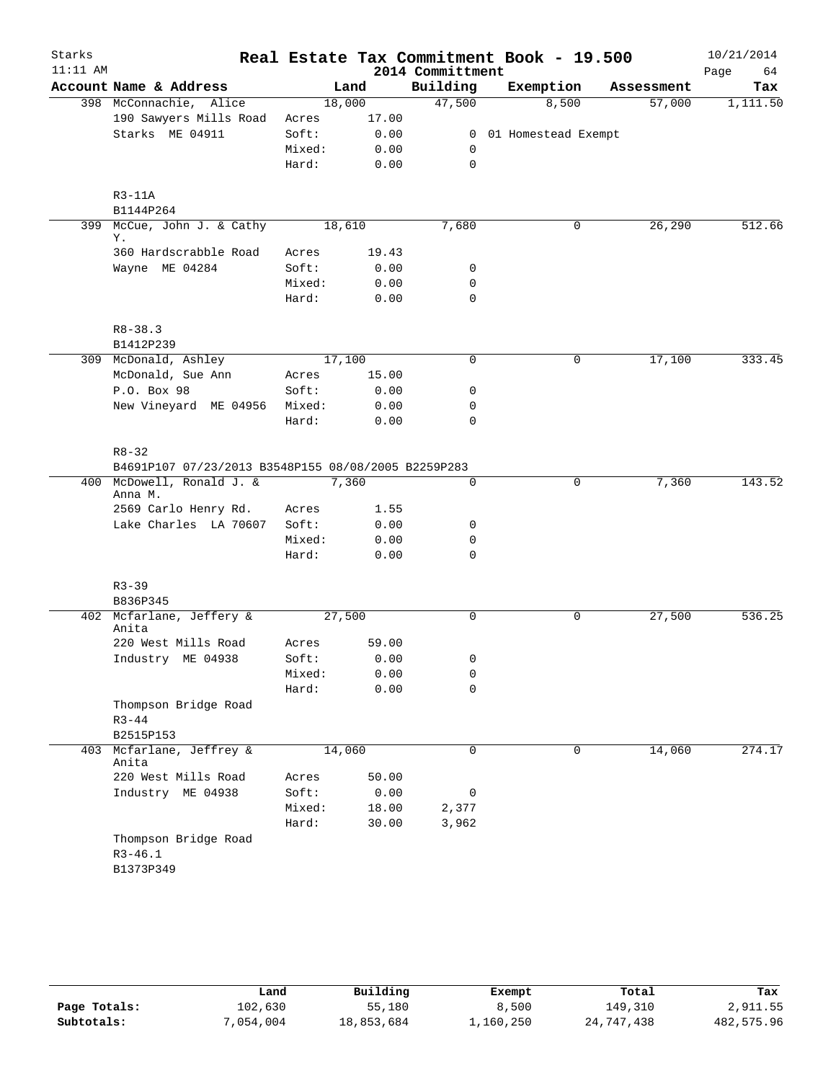| Starks     |                                                     |        |       |                  | Real Estate Tax Commitment Book - 19.500 |            | 10/21/2014 |
|------------|-----------------------------------------------------|--------|-------|------------------|------------------------------------------|------------|------------|
| $11:11$ AM |                                                     |        |       | 2014 Committment |                                          |            | 64<br>Page |
|            | Account Name & Address                              |        | Land  | Building         | Exemption                                | Assessment | Tax        |
|            | 398 McConnachie, Alice                              | 18,000 |       | 47,500           | 8,500                                    | 57,000     | 1,111.50   |
|            | 190 Sawyers Mills Road                              | Acres  | 17.00 |                  |                                          |            |            |
|            | Starks ME 04911                                     | Soft:  | 0.00  |                  | 0 01 Homestead Exempt                    |            |            |
|            |                                                     | Mixed: | 0.00  | 0                |                                          |            |            |
|            |                                                     | Hard:  | 0.00  | $\mathbf 0$      |                                          |            |            |
|            | $R3-11A$<br>B1144P264                               |        |       |                  |                                          |            |            |
|            | 399 McCue, John J. & Cathy                          | 18,610 |       | 7,680            | 0                                        | 26,290     | 512.66     |
|            | Υ.                                                  |        |       |                  |                                          |            |            |
|            | 360 Hardscrabble Road                               | Acres  | 19.43 |                  |                                          |            |            |
|            | Wayne ME 04284                                      | Soft:  | 0.00  | 0                |                                          |            |            |
|            |                                                     | Mixed: | 0.00  | $\mathbf 0$      |                                          |            |            |
|            |                                                     | Hard:  | 0.00  | $\mathbf 0$      |                                          |            |            |
|            | $R8 - 38.3$                                         |        |       |                  |                                          |            |            |
|            | B1412P239                                           |        |       |                  |                                          |            |            |
|            | 309 McDonald, Ashley                                | 17,100 |       | $\mathsf{O}$     | 0                                        | 17,100     | 333.45     |
|            | McDonald, Sue Ann                                   | Acres  | 15.00 |                  |                                          |            |            |
|            | P.O. Box 98                                         | Soft:  | 0.00  | 0                |                                          |            |            |
|            | New Vineyard ME 04956                               | Mixed: | 0.00  | $\mathbf 0$      |                                          |            |            |
|            |                                                     | Hard:  | 0.00  | $\mathbf 0$      |                                          |            |            |
|            | $R8 - 32$                                           |        |       |                  |                                          |            |            |
|            | B4691P107 07/23/2013 B3548P155 08/08/2005 B2259P283 |        |       |                  |                                          |            |            |
|            | 400 McDowell, Ronald J. &<br>Anna M.                |        | 7,360 | $\mathbf 0$      | 0                                        | 7,360      | 143.52     |
|            | 2569 Carlo Henry Rd.                                | Acres  | 1.55  |                  |                                          |            |            |
|            | Lake Charles LA 70607                               | Soft:  | 0.00  | 0                |                                          |            |            |
|            |                                                     | Mixed: | 0.00  | 0                |                                          |            |            |
|            |                                                     | Hard:  | 0.00  | $\mathbf 0$      |                                          |            |            |
|            | $R3 - 39$                                           |        |       |                  |                                          |            |            |
|            | B836P345                                            |        |       |                  |                                          |            |            |
|            | 402 Mcfarlane, Jeffery &                            | 27,500 |       | $\mathbf 0$      | 0                                        | 27,500     | 536.25     |
|            | Anita                                               |        |       |                  |                                          |            |            |
|            | 220 West Mills Road                                 | Acres  | 59.00 |                  |                                          |            |            |
|            | Industry ME 04938                                   | Soft:  | 0.00  | 0                |                                          |            |            |
|            |                                                     | Mixed: | 0.00  | 0                |                                          |            |            |
|            |                                                     | Hard:  | 0.00  | $\mathbf 0$      |                                          |            |            |
|            | Thompson Bridge Road                                |        |       |                  |                                          |            |            |
|            | $R3 - 44$                                           |        |       |                  |                                          |            |            |
|            | B2515P153                                           |        |       |                  |                                          |            |            |
| 403        | Mcfarlane, Jeffrey &<br>Anita                       | 14,060 |       | $\mathbf 0$      | 0                                        | 14,060     | 274.17     |
|            | 220 West Mills Road                                 | Acres  | 50.00 |                  |                                          |            |            |
|            | Industry ME 04938                                   | Soft:  | 0.00  | 0                |                                          |            |            |
|            |                                                     | Mixed: | 18.00 | 2,377            |                                          |            |            |
|            |                                                     | Hard:  | 30.00 | 3,962            |                                          |            |            |
|            | Thompson Bridge Road                                |        |       |                  |                                          |            |            |
|            | $R3 - 46.1$                                         |        |       |                  |                                          |            |            |
|            | B1373P349                                           |        |       |                  |                                          |            |            |

|              | Land      | Building   | Exempt    | Total      | Tax        |
|--------------|-----------|------------|-----------|------------|------------|
| Page Totals: | 102,630   | 55,180     | 8,500     | 149,310    | 2,911.55   |
| Subtotals:   | 7,054,004 | 18,853,684 | 1,160,250 | 24,747,438 | 482,575.96 |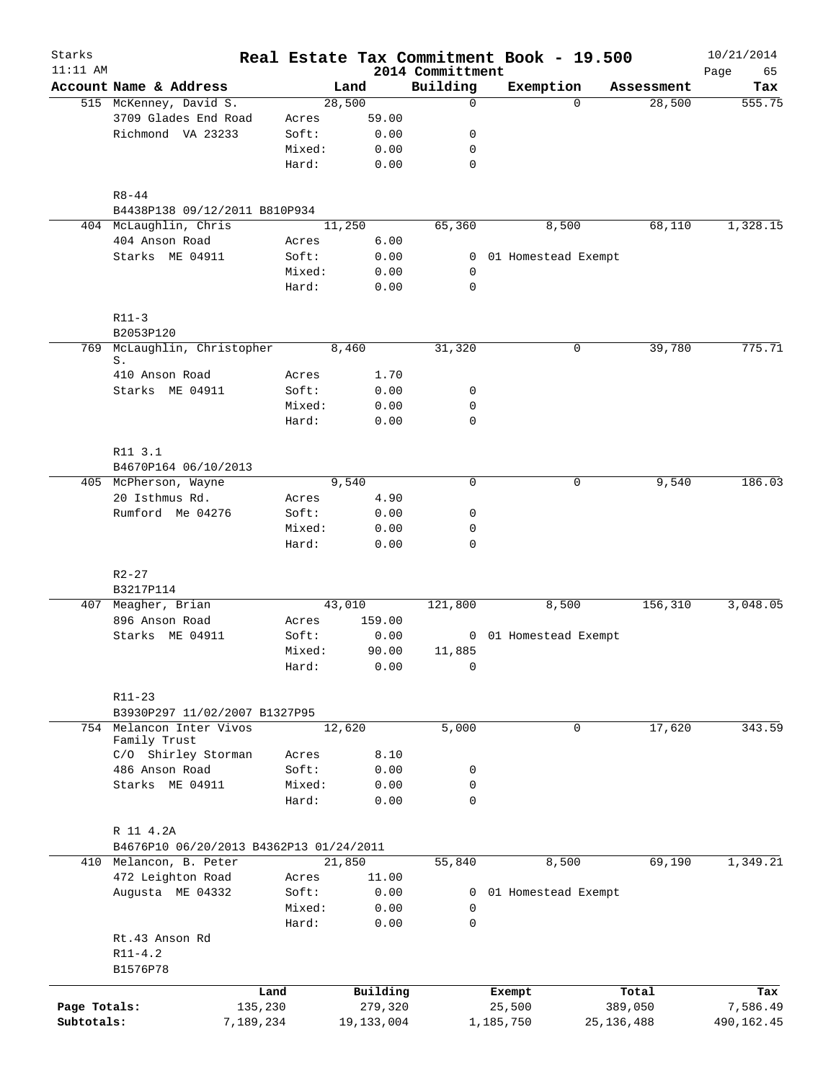| Starks<br>$11:11$ AM |                                          |                 |              |               |                              | Real Estate Tax Commitment Book - 19.500 |              | 10/21/2014        |
|----------------------|------------------------------------------|-----------------|--------------|---------------|------------------------------|------------------------------------------|--------------|-------------------|
|                      | Account Name & Address                   |                 | Land         |               | 2014 Committment<br>Building | Exemption                                | Assessment   | Page<br>65<br>Tax |
|                      | 515 McKenney, David S.                   |                 | 28,500       |               | $\mathbf 0$                  | $\Omega$                                 | 28,500       | 555.75            |
|                      | 3709 Glades End Road                     | Acres           |              | 59.00         |                              |                                          |              |                   |
|                      | Richmond VA 23233                        | Soft:           |              | 0.00          | 0                            |                                          |              |                   |
|                      |                                          | Mixed:          |              | 0.00          | 0                            |                                          |              |                   |
|                      |                                          | Hard:           |              | 0.00          | $\mathbf 0$                  |                                          |              |                   |
|                      | $R8 - 44$                                |                 |              |               |                              |                                          |              |                   |
|                      | B4438P138 09/12/2011 B810P934            |                 |              |               |                              |                                          |              |                   |
|                      | 404 McLaughlin, Chris                    |                 | 11,250       |               | 65,360                       | 8,500                                    | 68,110       | 1,328.15          |
|                      | 404 Anson Road                           | Acres           |              | 6.00          |                              |                                          |              |                   |
|                      | Starks ME 04911                          | Soft:           |              | 0.00          |                              | 0 01 Homestead Exempt                    |              |                   |
|                      |                                          | Mixed:          |              | 0.00          | $\mathbf 0$                  |                                          |              |                   |
|                      |                                          | Hard:           |              | 0.00          | 0                            |                                          |              |                   |
|                      | $R11-3$                                  |                 |              |               |                              |                                          |              |                   |
|                      | B2053P120                                |                 |              |               |                              |                                          |              |                   |
| 769                  | McLaughlin, Christopher<br>S.            |                 | 8,460        |               | 31,320                       | 0                                        | 39,780       | 775.71            |
|                      | 410 Anson Road                           | Acres           |              | 1.70          |                              |                                          |              |                   |
|                      | Starks ME 04911                          | Soft:           |              | 0.00          | 0                            |                                          |              |                   |
|                      |                                          | Mixed:          |              | 0.00          | 0                            |                                          |              |                   |
|                      |                                          | Hard:           |              | 0.00          | $\mathbf 0$                  |                                          |              |                   |
|                      |                                          |                 |              |               |                              |                                          |              |                   |
|                      | R11 3.1<br>B4670P164 06/10/2013          |                 |              |               |                              |                                          |              |                   |
|                      | 405 McPherson, Wayne                     |                 | 9,540        |               | $\mathbf 0$                  | 0                                        | 9,540        | 186.03            |
|                      | 20 Isthmus Rd.                           | Acres           |              | 4.90          |                              |                                          |              |                   |
|                      |                                          |                 |              |               |                              |                                          |              |                   |
|                      | Rumford Me 04276                         | Soft:           |              | 0.00          | 0                            |                                          |              |                   |
|                      |                                          | Mixed:<br>Hard: |              | 0.00<br>0.00  | $\mathbf 0$<br>$\mathbf 0$   |                                          |              |                   |
|                      |                                          |                 |              |               |                              |                                          |              |                   |
|                      | $R2 - 27$                                |                 |              |               |                              |                                          |              |                   |
|                      | B3217P114                                |                 |              |               |                              |                                          |              | 3,048.05          |
|                      | 407 Meagher, Brian                       |                 | 43,010       |               | 121,800                      | 8,500                                    | 156, 310     |                   |
|                      | 896 Anson Road                           | Acres           |              | 159.00        |                              |                                          |              |                   |
|                      | Starks ME 04911                          | Soft:           |              | 0.00          |                              | 0 01 Homestead Exempt                    |              |                   |
|                      |                                          | Mixed:<br>Hard: |              | 90.00<br>0.00 | 11,885<br>0                  |                                          |              |                   |
|                      |                                          |                 |              |               |                              |                                          |              |                   |
|                      | $R11 - 23$                               |                 |              |               |                              |                                          |              |                   |
|                      | B3930P297 11/02/2007 B1327P95            |                 |              |               |                              |                                          |              |                   |
|                      | 754 Melancon Inter Vivos<br>Family Trust |                 | 12,620       |               | 5,000                        | 0                                        | 17,620       | 343.59            |
|                      | C/O Shirley Storman                      | Acres           |              | 8.10          |                              |                                          |              |                   |
|                      | 486 Anson Road                           | Soft:           |              | 0.00          | 0                            |                                          |              |                   |
|                      | Starks ME 04911                          | Mixed:          |              | 0.00          | 0                            |                                          |              |                   |
|                      |                                          | Hard:           |              | 0.00          | $\mathbf 0$                  |                                          |              |                   |
|                      | R 11 4.2A                                |                 |              |               |                              |                                          |              |                   |
|                      | B4676P10 06/20/2013 B4362P13 01/24/2011  |                 |              |               |                              |                                          |              |                   |
|                      | 410 Melancon, B. Peter                   |                 | 21,850       |               | 55,840                       | 8,500                                    | 69,190       | 1,349.21          |
|                      | 472 Leighton Road                        | Acres           |              | 11.00         |                              |                                          |              |                   |
|                      | Augusta ME 04332                         | Soft:           |              | 0.00          |                              | 0 01 Homestead Exempt                    |              |                   |
|                      |                                          | Mixed:          |              | 0.00          | 0                            |                                          |              |                   |
|                      |                                          | Hard:           |              | 0.00          | $\mathbf 0$                  |                                          |              |                   |
|                      | Rt.43 Anson Rd                           |                 |              |               |                              |                                          |              |                   |
|                      | $R11 - 4.2$                              |                 |              |               |                              |                                          |              |                   |
|                      | B1576P78                                 |                 |              |               |                              |                                          |              |                   |
|                      |                                          | Land            |              | Building      |                              | Exempt                                   | Total        | Tax               |
| Page Totals:         | 135,230                                  |                 |              | 279,320       |                              | 25,500                                   | 389,050      | 7,586.49          |
| Subtotals:           | 7,189,234                                |                 | 19, 133, 004 |               |                              | 1,185,750                                | 25, 136, 488 | 490,162.45        |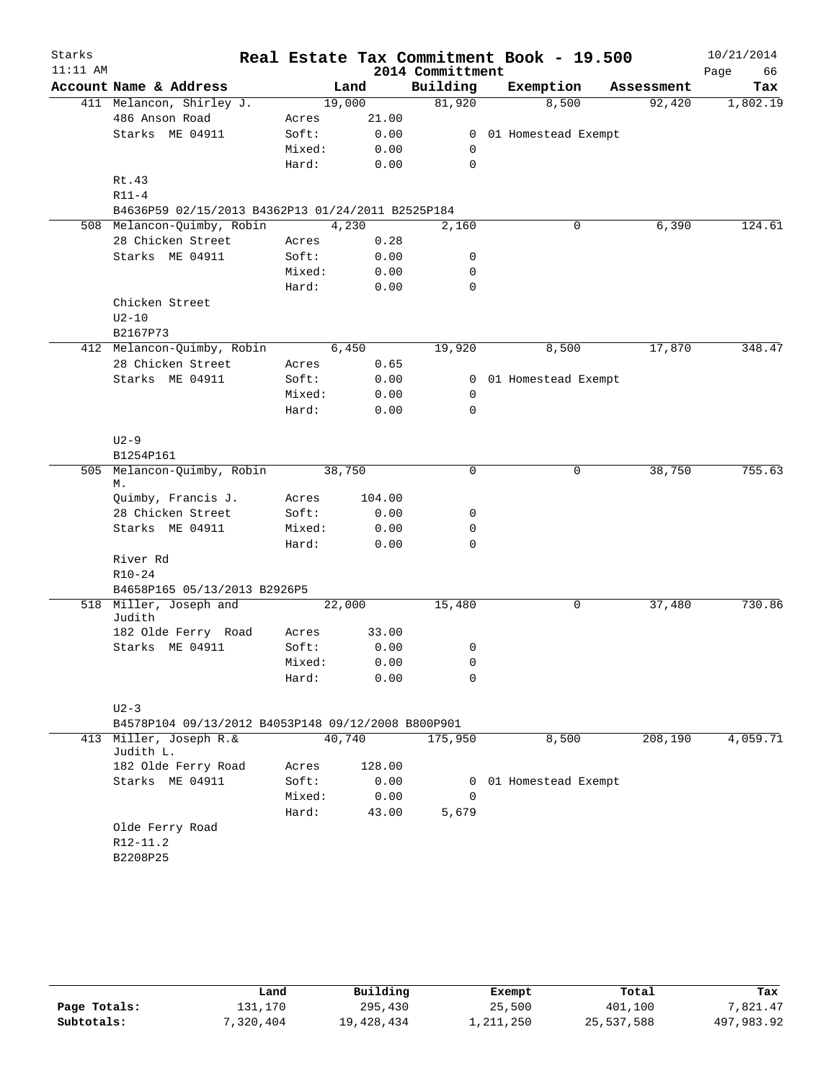| Starks     |                                                    |        |        |        |                  | Real Estate Tax Commitment Book - 19.500 |            | 10/21/2014 |
|------------|----------------------------------------------------|--------|--------|--------|------------------|------------------------------------------|------------|------------|
| $11:11$ AM |                                                    |        |        |        | 2014 Committment |                                          |            | Page<br>66 |
|            | Account Name & Address                             |        | Land   |        | Building         | Exemption                                | Assessment | Tax        |
|            | 411 Melancon, Shirley J.                           |        | 19,000 |        | 81,920           | 8,500                                    | 92,420     | 1,802.19   |
|            | 486 Anson Road                                     | Acres  |        | 21.00  |                  |                                          |            |            |
|            | Starks ME 04911                                    | Soft:  |        | 0.00   |                  | 0 01 Homestead Exempt                    |            |            |
|            |                                                    | Mixed: |        | 0.00   | 0                |                                          |            |            |
|            |                                                    | Hard:  |        | 0.00   | 0                |                                          |            |            |
|            | Rt.43                                              |        |        |        |                  |                                          |            |            |
|            | $R11-4$                                            |        |        |        |                  |                                          |            |            |
|            | B4636P59 02/15/2013 B4362P13 01/24/2011 B2525P184  |        |        |        |                  |                                          |            |            |
|            | 508 Melancon-Quimby, Robin                         |        | 4,230  |        | 2,160            | 0                                        | 6,390      | 124.61     |
|            | 28 Chicken Street                                  | Acres  |        | 0.28   |                  |                                          |            |            |
|            | Starks ME 04911                                    | Soft:  |        | 0.00   | 0                |                                          |            |            |
|            |                                                    | Mixed: |        | 0.00   | 0                |                                          |            |            |
|            |                                                    | Hard:  |        | 0.00   | 0                |                                          |            |            |
|            | Chicken Street                                     |        |        |        |                  |                                          |            |            |
|            | $U2-10$                                            |        |        |        |                  |                                          |            |            |
|            | B2167P73<br>412 Melancon-Quimby, Robin             |        | 6,450  |        | 19,920           | 8,500                                    | 17,870     | 348.47     |
|            | 28 Chicken Street                                  | Acres  |        | 0.65   |                  |                                          |            |            |
|            | Starks ME 04911                                    | Soft:  |        | 0.00   |                  | 0 01 Homestead Exempt                    |            |            |
|            |                                                    | Mixed: |        | 0.00   | $\mathbf 0$      |                                          |            |            |
|            |                                                    | Hard:  |        | 0.00   | 0                |                                          |            |            |
|            |                                                    |        |        |        |                  |                                          |            |            |
|            | $U2-9$                                             |        |        |        |                  |                                          |            |            |
|            | B1254P161                                          |        |        |        |                  |                                          |            |            |
| 505        | Melancon-Quimby, Robin                             |        | 38,750 |        | $\mathbf 0$      | 0                                        | 38,750     | 755.63     |
|            | М.                                                 |        |        |        |                  |                                          |            |            |
|            | Quimby, Francis J.                                 | Acres  |        | 104.00 |                  |                                          |            |            |
|            | 28 Chicken Street                                  | Soft:  |        | 0.00   | 0                |                                          |            |            |
|            | Starks ME 04911                                    | Mixed: |        | 0.00   | 0                |                                          |            |            |
|            |                                                    | Hard:  |        | 0.00   | 0                |                                          |            |            |
|            | River Rd                                           |        |        |        |                  |                                          |            |            |
|            | $R10 - 24$                                         |        |        |        |                  |                                          |            |            |
|            | B4658P165 05/13/2013 B2926P5                       |        |        |        |                  |                                          |            | 730.86     |
|            | 518 Miller, Joseph and<br>Judith                   |        | 22,000 |        | 15,480           | 0                                        | 37,480     |            |
|            | 182 Olde Ferry Road                                | Acres  |        | 33.00  |                  |                                          |            |            |
|            | Starks ME 04911                                    | Soft:  |        | 0.00   | 0                |                                          |            |            |
|            |                                                    | Mixed: |        | 0.00   | 0                |                                          |            |            |
|            |                                                    | Hard:  |        | 0.00   | 0                |                                          |            |            |
|            |                                                    |        |        |        |                  |                                          |            |            |
|            | $U2-3$                                             |        |        |        |                  |                                          |            |            |
|            | B4578P104 09/13/2012 B4053P148 09/12/2008 B800P901 |        |        |        |                  |                                          |            |            |
| 413        | Miller, Joseph R.&                                 |        | 40,740 |        | 175,950          | 8,500                                    | 208,190    | 4,059.71   |
|            | Judith L.                                          |        |        |        |                  |                                          |            |            |
|            | 182 Olde Ferry Road                                | Acres  |        | 128.00 |                  |                                          |            |            |
|            | Starks ME 04911                                    | Soft:  |        | 0.00   | 0                | 01 Homestead Exempt                      |            |            |
|            |                                                    | Mixed: |        | 0.00   | 0                |                                          |            |            |
|            |                                                    | Hard:  |        | 43.00  | 5,679            |                                          |            |            |
|            | Olde Ferry Road<br>$R12 - 11.2$                    |        |        |        |                  |                                          |            |            |
|            | B2208P25                                           |        |        |        |                  |                                          |            |            |
|            |                                                    |        |        |        |                  |                                          |            |            |
|            |                                                    |        |        |        |                  |                                          |            |            |

|              | Land      | Building   | Exempt    | Total      | Tax        |
|--------------|-----------|------------|-----------|------------|------------|
| Page Totals: | 131.170   | 295,430    | 25,500    | 401,100    | 7,821.47   |
| Subtotals:   | 7,320,404 | 19,428,434 | 1,211,250 | 25,537,588 | 497,983.92 |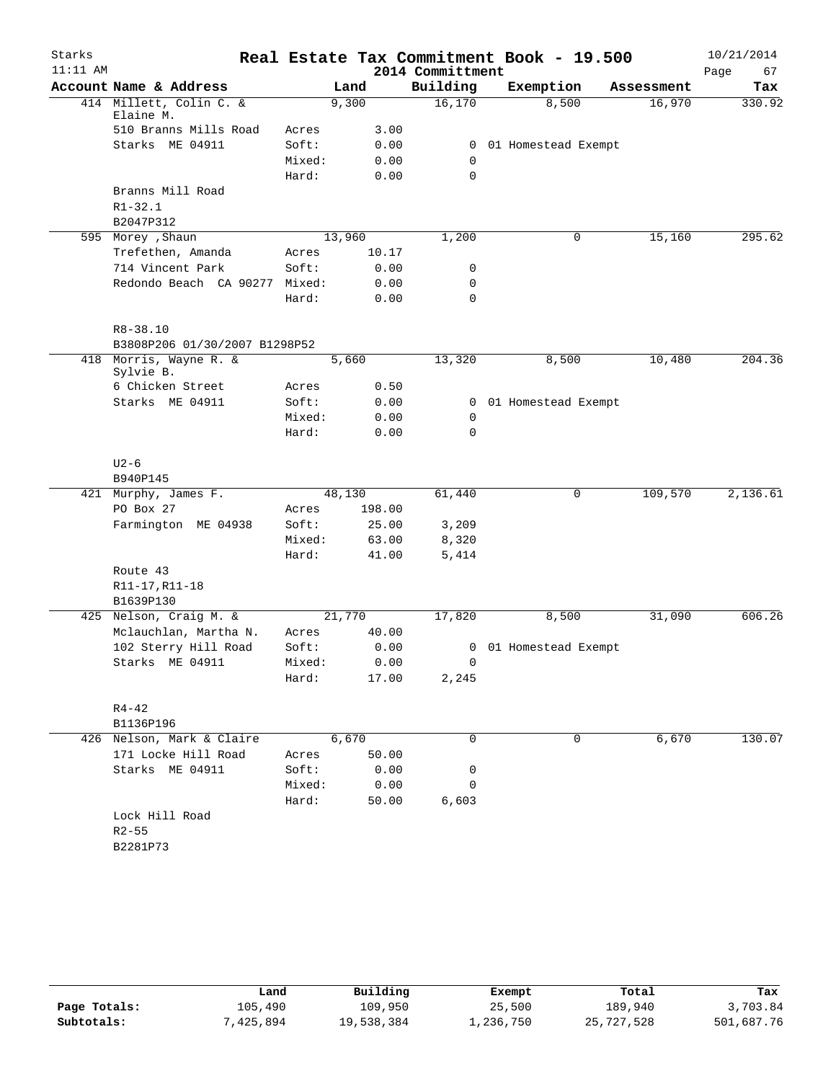| Starks     |                               |        |        |        |                  | Real Estate Tax Commitment Book - 19.500 |            | 10/21/2014 |
|------------|-------------------------------|--------|--------|--------|------------------|------------------------------------------|------------|------------|
| $11:11$ AM |                               |        |        |        | 2014 Committment |                                          |            | Page<br>67 |
|            | Account Name & Address        |        | Land   |        | Building         | Exemption                                | Assessment | Tax        |
|            | 414 Millett, Colin C. &       |        | 9,300  |        | 16, 170          | 8,500                                    | 16,970     | 330.92     |
|            | Elaine M.                     |        |        |        |                  |                                          |            |            |
|            | 510 Branns Mills Road         | Acres  |        | 3.00   |                  |                                          |            |            |
|            | Starks ME 04911               | Soft:  |        | 0.00   | $\mathbf{0}$     | 01 Homestead Exempt                      |            |            |
|            |                               | Mixed: |        | 0.00   | 0                |                                          |            |            |
|            |                               | Hard:  |        | 0.00   | $\mathbf 0$      |                                          |            |            |
|            | Branns Mill Road              |        |        |        |                  |                                          |            |            |
|            | $R1 - 32.1$<br>B2047P312      |        |        |        |                  |                                          |            |            |
|            | 595 Morey , Shaun             |        | 13,960 |        | 1,200            | 0                                        | 15,160     | 295.62     |
|            | Trefethen, Amanda             | Acres  |        | 10.17  |                  |                                          |            |            |
|            | 714 Vincent Park              | Soft:  |        | 0.00   | 0                |                                          |            |            |
|            | Redondo Beach CA 90277 Mixed: |        |        | 0.00   | 0                |                                          |            |            |
|            |                               | Hard:  |        | 0.00   | $\mathbf 0$      |                                          |            |            |
|            |                               |        |        |        |                  |                                          |            |            |
|            | $R8 - 38.10$                  |        |        |        |                  |                                          |            |            |
|            | B3808P206 01/30/2007 B1298P52 |        |        |        |                  |                                          |            |            |
|            | 418 Morris, Wayne R. &        |        | 5,660  |        | 13,320           | 8,500                                    | 10,480     | 204.36     |
|            | Sylvie B.                     |        |        |        |                  |                                          |            |            |
|            | 6 Chicken Street              | Acres  |        | 0.50   |                  |                                          |            |            |
|            | Starks ME 04911               | Soft:  |        | 0.00   |                  | 0 01 Homestead Exempt                    |            |            |
|            |                               | Mixed: |        | 0.00   | 0                |                                          |            |            |
|            |                               | Hard:  |        | 0.00   | 0                |                                          |            |            |
|            |                               |        |        |        |                  |                                          |            |            |
|            | $U2-6$                        |        |        |        |                  |                                          |            |            |
|            | B940P145                      |        |        |        |                  |                                          |            |            |
|            | 421 Murphy, James F.          |        | 48,130 |        | 61,440           | 0                                        | 109,570    | 2,136.61   |
|            | PO Box 27                     | Acres  |        | 198.00 |                  |                                          |            |            |
|            | Farmington ME 04938           | Soft:  |        | 25.00  | 3,209            |                                          |            |            |
|            |                               | Mixed: |        | 63.00  | 8,320            |                                          |            |            |
|            |                               | Hard:  |        | 41.00  | 5,414            |                                          |            |            |
|            | Route 43                      |        |        |        |                  |                                          |            |            |
|            | R11-17, R11-18                |        |        |        |                  |                                          |            |            |
|            | B1639P130                     |        |        |        |                  |                                          |            |            |
| 425        | Nelson, Craig M. &            |        | 21,770 |        | 17,820           | 8,500                                    | 31,090     | 606.26     |
|            | Mclauchlan, Martha N.         | Acres  |        | 40.00  |                  |                                          |            |            |
|            | 102 Sterry Hill Road          | Soft:  |        | 0.00   |                  | 0 01 Homestead Exempt                    |            |            |
|            | Starks ME 04911               | Mixed: |        | 0.00   | $\overline{0}$   |                                          |            |            |
|            |                               | Hard:  |        | 17.00  | 2,245            |                                          |            |            |
|            |                               |        |        |        |                  |                                          |            |            |
|            | $R4 - 42$                     |        |        |        |                  |                                          |            |            |
|            | B1136P196                     |        |        |        |                  |                                          |            |            |
|            | 426 Nelson, Mark & Claire     |        | 6,670  |        | $\Omega$         | 0                                        | 6,670      | 130.07     |
|            | 171 Locke Hill Road           | Acres  |        | 50.00  |                  |                                          |            |            |
|            | Starks ME 04911               | Soft:  |        | 0.00   | 0                |                                          |            |            |
|            |                               | Mixed: |        | 0.00   | 0                |                                          |            |            |
|            |                               | Hard:  |        | 50.00  | 6,603            |                                          |            |            |
|            | Lock Hill Road                |        |        |        |                  |                                          |            |            |
|            | $R2 - 55$                     |        |        |        |                  |                                          |            |            |
|            | B2281P73                      |        |        |        |                  |                                          |            |            |
|            |                               |        |        |        |                  |                                          |            |            |

|              | Land      | Building   | Exempt    | Total      | Tax        |
|--------------|-----------|------------|-----------|------------|------------|
| Page Totals: | 105,490   | 109,950    | 25,500    | 189,940    | 3,703.84   |
| Subtotals:   | 7,425,894 | 19,538,384 | 1,236,750 | 25,727,528 | 501,687.76 |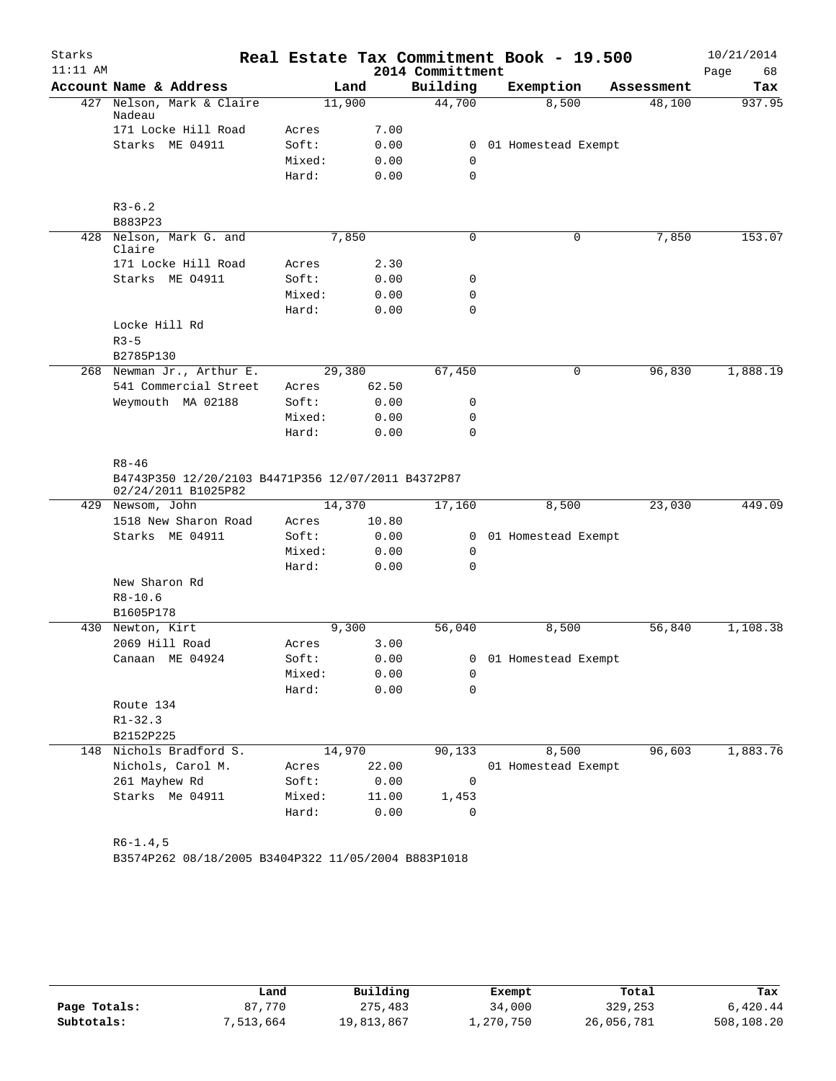| Starks     |                                                                           |        |       |                  | Real Estate Tax Commitment Book - 19.500 |            | 10/21/2014 |
|------------|---------------------------------------------------------------------------|--------|-------|------------------|------------------------------------------|------------|------------|
| $11:11$ AM |                                                                           |        |       | 2014 Committment |                                          |            | Page<br>68 |
|            | Account Name & Address                                                    | Land   |       | Building         | Exemption                                | Assessment | Tax        |
|            | 427 Nelson, Mark & Claire<br>Nadeau                                       | 11,900 |       | 44,700           | 8,500                                    | 48,100     | 937.95     |
|            | 171 Locke Hill Road                                                       | Acres  | 7.00  |                  |                                          |            |            |
|            | Starks ME 04911                                                           | Soft:  | 0.00  |                  | 0 01 Homestead Exempt                    |            |            |
|            |                                                                           | Mixed: | 0.00  | 0                |                                          |            |            |
|            |                                                                           | Hard:  | 0.00  | $\mathbf 0$      |                                          |            |            |
|            | $R3-6.2$                                                                  |        |       |                  |                                          |            |            |
|            | B883P23                                                                   |        |       |                  |                                          |            |            |
|            | 428 Nelson, Mark G. and<br>Claire                                         | 7,850  |       | 0                | 0                                        | 7,850      | 153.07     |
|            | 171 Locke Hill Road                                                       | Acres  | 2.30  |                  |                                          |            |            |
|            | Starks ME 04911                                                           | Soft:  | 0.00  | 0                |                                          |            |            |
|            |                                                                           | Mixed: | 0.00  | 0                |                                          |            |            |
|            |                                                                           | Hard:  | 0.00  | $\mathbf 0$      |                                          |            |            |
|            | Locke Hill Rd<br>$R3 - 5$                                                 |        |       |                  |                                          |            |            |
|            | B2785P130                                                                 |        |       |                  |                                          |            |            |
|            | 268 Newman Jr., Arthur E.                                                 | 29,380 |       | 67,450           | $\mathsf{O}$                             | 96,830     | 1,888.19   |
|            | 541 Commercial Street                                                     | Acres  | 62.50 |                  |                                          |            |            |
|            | Weymouth MA 02188                                                         | Soft:  | 0.00  | 0                |                                          |            |            |
|            |                                                                           | Mixed: | 0.00  | 0                |                                          |            |            |
|            |                                                                           | Hard:  | 0.00  | $\mathbf 0$      |                                          |            |            |
|            | $R8 - 46$                                                                 |        |       |                  |                                          |            |            |
|            | B4743P350 12/20/2103 B4471P356 12/07/2011 B4372P87<br>02/24/2011 B1025P82 |        |       |                  |                                          |            |            |
|            | 429 Newsom, John                                                          | 14,370 |       | 17,160           | 8,500                                    | 23,030     | 449.09     |
|            | 1518 New Sharon Road                                                      | Acres  | 10.80 |                  |                                          |            |            |
|            | Starks ME 04911                                                           | Soft:  | 0.00  | $\mathbf{0}$     | 01 Homestead Exempt                      |            |            |
|            |                                                                           | Mixed: | 0.00  | 0                |                                          |            |            |
|            |                                                                           | Hard:  | 0.00  | 0                |                                          |            |            |
|            | New Sharon Rd                                                             |        |       |                  |                                          |            |            |
|            | $R8 - 10.6$                                                               |        |       |                  |                                          |            |            |
|            | B1605P178                                                                 |        |       |                  |                                          |            |            |
|            | 430 Newton, Kirt                                                          | 9,300  |       | 56,040           | 8,500                                    | 56,840     | 1,108.38   |
|            | 2069 Hill Road                                                            | Acres  | 3.00  |                  |                                          |            |            |
|            | Canaan ME 04924                                                           | Soft:  | 0.00  |                  | 0 01 Homestead Exempt                    |            |            |
|            |                                                                           | Mixed: | 0.00  | 0                |                                          |            |            |
|            |                                                                           | Hard:  | 0.00  | $\Omega$         |                                          |            |            |
|            | Route 134                                                                 |        |       |                  |                                          |            |            |
|            | $R1 - 32.3$                                                               |        |       |                  |                                          |            |            |
|            | B2152P225                                                                 |        |       |                  |                                          |            |            |
|            | 148 Nichols Bradford S.                                                   | 14,970 |       | 90,133           | 8,500                                    | 96,603     | 1,883.76   |
|            | Nichols, Carol M.                                                         | Acres  | 22.00 |                  | 01 Homestead Exempt                      |            |            |
|            | 261 Mayhew Rd                                                             | Soft:  | 0.00  | 0                |                                          |            |            |
|            | Starks Me 04911                                                           | Mixed: | 11.00 | 1,453            |                                          |            |            |
|            |                                                                           | Hard:  | 0.00  | 0                |                                          |            |            |
|            | $R6 - 1.4, 5$                                                             |        |       |                  |                                          |            |            |
|            |                                                                           |        |       |                  |                                          |            |            |

B3574P262 08/18/2005 B3404P322 11/05/2004 B883P1018

|              | Land      | Building   | Exempt    | Total      | Tax        |
|--------------|-----------|------------|-----------|------------|------------|
| Page Totals: | 87.770    | 275,483    | 34,000    | 329,253    | 6,420.44   |
| Subtotals:   | 7,513,664 | 19,813,867 | 1,270,750 | 26,056,781 | 508,108.20 |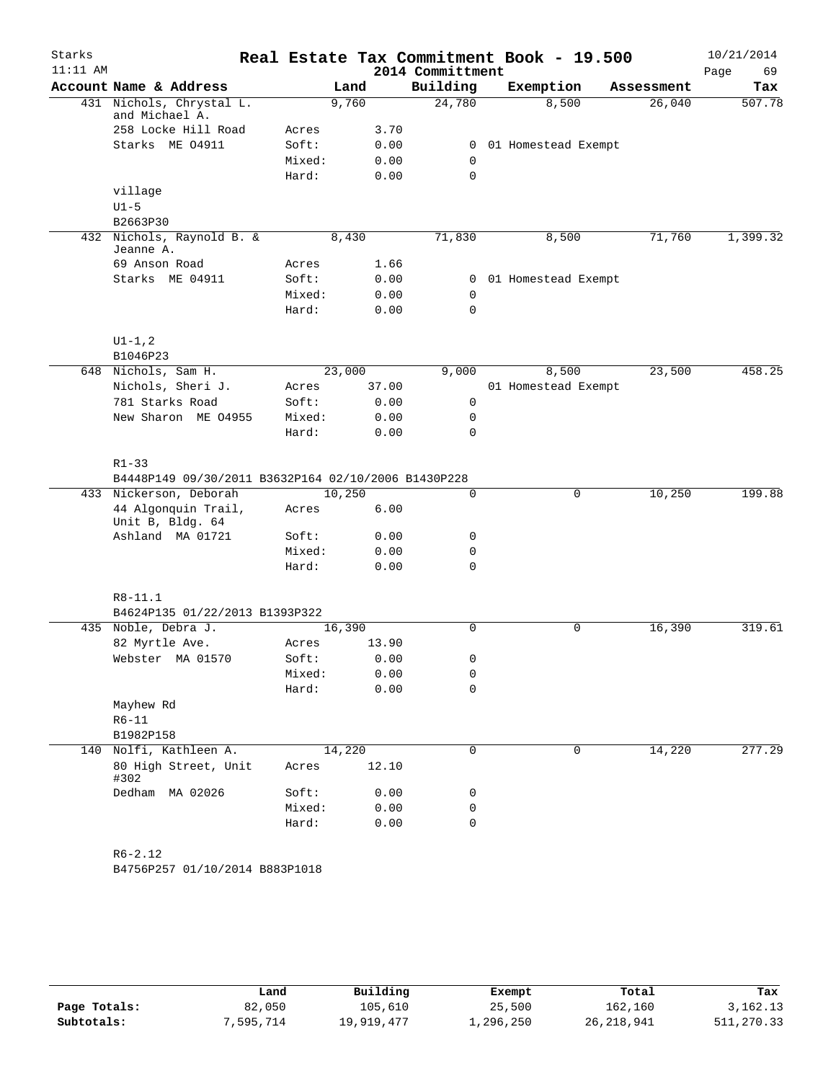| Starks     |                                                                  |                |        |       |                  | Real Estate Tax Commitment Book - 19.500 |             |            | 10/21/2014 |
|------------|------------------------------------------------------------------|----------------|--------|-------|------------------|------------------------------------------|-------------|------------|------------|
| $11:11$ AM |                                                                  |                |        |       | 2014 Committment |                                          |             |            | Page<br>69 |
|            | Account Name & Address                                           |                | Land   |       | Building         | Exemption                                |             | Assessment | Tax        |
|            | 431 Nichols, Chrystal L.<br>and Michael A.                       |                | 9,760  |       | 24,780           |                                          | 8,500       | 26,040     | 507.78     |
|            | 258 Locke Hill Road                                              | Acres          |        | 3.70  |                  |                                          |             |            |            |
|            | Starks ME 04911                                                  | Soft:          |        | 0.00  | 0                | 01 Homestead Exempt                      |             |            |            |
|            |                                                                  | Mixed:         |        | 0.00  | $\mathbf 0$      |                                          |             |            |            |
|            |                                                                  | Hard:          |        | 0.00  | $\mathbf 0$      |                                          |             |            |            |
|            | village                                                          |                |        |       |                  |                                          |             |            |            |
|            | $U1-5$                                                           |                |        |       |                  |                                          |             |            |            |
|            | B2663P30                                                         |                |        |       |                  |                                          |             |            |            |
|            | 432 Nichols, Raynold B. &<br>Jeanne A.                           |                | 8,430  |       | 71,830           |                                          | 8,500       | 71,760     | 1,399.32   |
|            | 69 Anson Road                                                    | Acres          |        | 1.66  |                  |                                          |             |            |            |
|            | Starks ME 04911                                                  | Soft:          |        | 0.00  | 0                | 01 Homestead Exempt                      |             |            |            |
|            |                                                                  | Mixed:         |        | 0.00  | 0                |                                          |             |            |            |
|            |                                                                  | Hard:          |        | 0.00  | $\mathbf 0$      |                                          |             |            |            |
|            | $UI - 1, 2$                                                      |                |        |       |                  |                                          |             |            |            |
|            | B1046P23                                                         |                |        |       |                  |                                          |             |            |            |
|            | 648 Nichols, Sam H.                                              |                | 23,000 |       | 9,000            |                                          | 8,500       | 23,500     | 458.25     |
|            | Nichols, Sheri J.                                                | Acres          |        | 37.00 |                  | 01 Homestead Exempt                      |             |            |            |
|            | 781 Starks Road                                                  | Soft:          |        | 0.00  | 0                |                                          |             |            |            |
|            | New Sharon ME 04955                                              | Mixed:         |        | 0.00  | 0                |                                          |             |            |            |
|            |                                                                  | Hard:          |        | 0.00  | $\mathbf 0$      |                                          |             |            |            |
|            | $R1 - 33$<br>B4448P149 09/30/2011 B3632P164 02/10/2006 B1430P228 |                |        |       |                  |                                          |             |            |            |
|            | 433 Nickerson, Deborah                                           |                | 10,250 |       | 0                |                                          | $\mathbf 0$ | 10,250     | 199.88     |
|            | 44 Algonquin Trail,<br>Unit B, Bldg. 64                          | Acres          |        | 6.00  |                  |                                          |             |            |            |
|            | Ashland MA 01721                                                 | Soft:          |        | 0.00  | 0                |                                          |             |            |            |
|            |                                                                  | Mixed:         |        | 0.00  | $\mathbf 0$      |                                          |             |            |            |
|            |                                                                  | Hard:          |        | 0.00  | $\mathbf 0$      |                                          |             |            |            |
|            |                                                                  |                |        |       |                  |                                          |             |            |            |
|            | $R8 - 11.1$                                                      |                |        |       |                  |                                          |             |            |            |
|            | B4624P135 01/22/2013 B1393P322<br>435 Noble, Debra J.            |                |        |       | $\Omega$         |                                          | $\mathbf 0$ | 16,390     | 319.61     |
|            | 82 Myrtle Ave.                                                   |                | 16,390 | 13.90 |                  |                                          |             |            |            |
|            | Webster MA 01570                                                 | Acres<br>Soft: |        | 0.00  | 0                |                                          |             |            |            |
|            |                                                                  | Mixed:         |        | 0.00  | 0                |                                          |             |            |            |
|            |                                                                  | Hard:          |        | 0.00  | $\mathbf 0$      |                                          |             |            |            |
|            | Mayhew Rd                                                        |                |        |       |                  |                                          |             |            |            |
|            | $R6 - 11$                                                        |                |        |       |                  |                                          |             |            |            |
|            | B1982P158                                                        |                |        |       |                  |                                          |             |            |            |
|            | 140 Nolfi, Kathleen A.                                           |                | 14,220 |       | 0                |                                          | $\mathbf 0$ | 14,220     | 277.29     |
|            | 80 High Street, Unit<br>#302                                     | Acres          |        | 12.10 |                  |                                          |             |            |            |
|            | Dedham MA 02026                                                  | Soft:          |        | 0.00  | 0                |                                          |             |            |            |
|            |                                                                  | Mixed:         |        | 0.00  | 0                |                                          |             |            |            |
|            |                                                                  | Hard:          |        | 0.00  | $\mathbf 0$      |                                          |             |            |            |
|            | $R6 - 2.12$                                                      |                |        |       |                  |                                          |             |            |            |
|            | B4756P257 01/10/2014 B883P1018                                   |                |        |       |                  |                                          |             |            |            |

|              | Land     | Building   | Exempt    | Total        | Tax        |
|--------------|----------|------------|-----------|--------------|------------|
| Page Totals: | 82,050   | 105,610    | 25,500    | 162,160      | 3,162.13   |
| Subtotals:   | ,595,714 | 19,919,477 | 1,296,250 | 26, 218, 941 | 511,270.33 |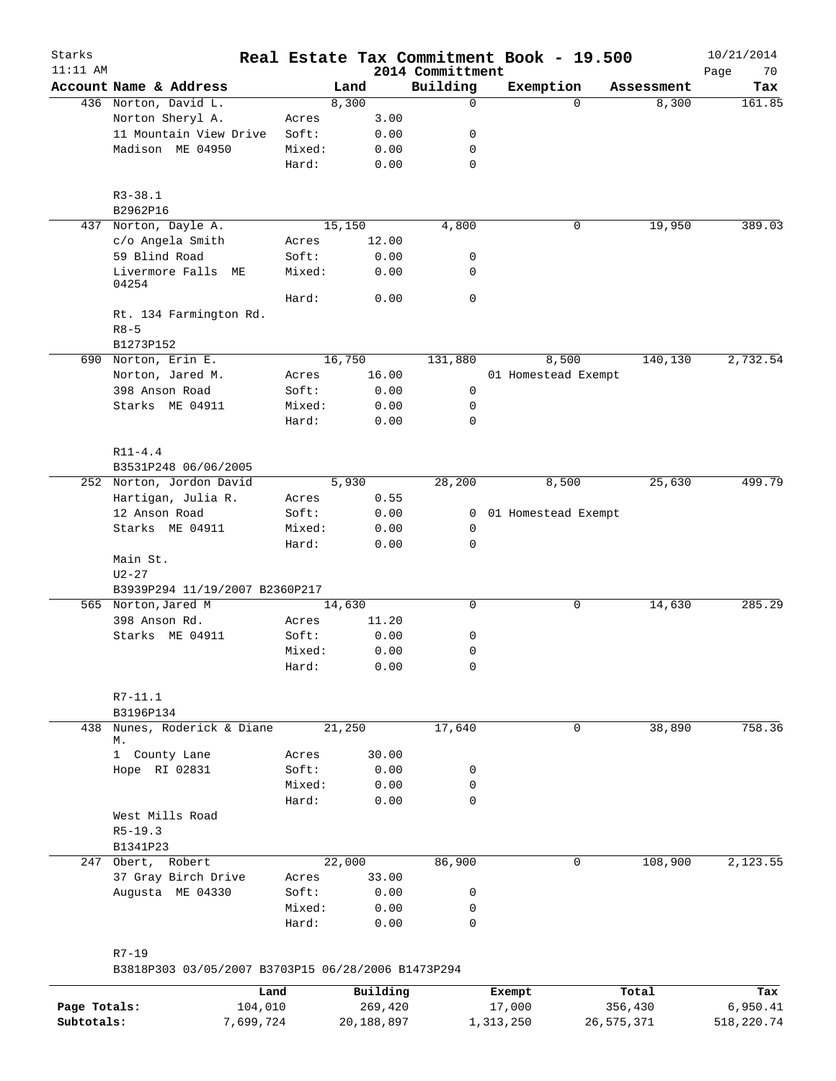| Starks<br>$11:11$ AM |                                                                 |                 |              | 2014 Committment | Real Estate Tax Commitment Book - 19.500 |            | 10/21/2014        |
|----------------------|-----------------------------------------------------------------|-----------------|--------------|------------------|------------------------------------------|------------|-------------------|
|                      | Account Name & Address                                          |                 | Land         | Building         | Exemption                                | Assessment | Page<br>70<br>Tax |
|                      | 436 Norton, David L.                                            |                 | 8,300        | 0                | $\Omega$                                 | 8,300      | 161.85            |
|                      | Norton Sheryl A.                                                | Acres           | 3.00         |                  |                                          |            |                   |
|                      | 11 Mountain View Drive                                          | Soft:           | 0.00         | 0                |                                          |            |                   |
|                      | Madison ME 04950                                                | Mixed:          | 0.00         | 0                |                                          |            |                   |
|                      |                                                                 | Hard:           | 0.00         | $\mathbf 0$      |                                          |            |                   |
|                      | $R3 - 38.1$                                                     |                 |              |                  |                                          |            |                   |
|                      | B2962P16                                                        |                 |              |                  |                                          |            |                   |
| 437                  | Norton, Dayle A.                                                |                 | 15,150       | 4,800            | $\mathsf{O}$                             | 19,950     | 389.03            |
|                      | c/o Angela Smith                                                | Acres           | 12.00        |                  |                                          |            |                   |
|                      | 59 Blind Road                                                   | Soft:           | 0.00         | 0                |                                          |            |                   |
|                      | Livermore Falls<br>МE<br>04254                                  | Mixed:          | 0.00         | 0                |                                          |            |                   |
|                      | Rt. 134 Farmington Rd.                                          | Hard:           | 0.00         | $\mathbf 0$      |                                          |            |                   |
|                      | $R8 - 5$                                                        |                 |              |                  |                                          |            |                   |
|                      | B1273P152                                                       |                 |              |                  |                                          |            |                   |
|                      | 690 Norton, Erin E.                                             |                 | 16,750       | 131,880          | 8,500                                    | 140,130    | 2,732.54          |
|                      | Norton, Jared M.                                                | Acres           | 16.00        |                  | 01 Homestead Exempt                      |            |                   |
|                      | 398 Anson Road                                                  | Soft:           | 0.00         | 0                |                                          |            |                   |
|                      | Starks ME 04911                                                 | Mixed:          | 0.00         | 0                |                                          |            |                   |
|                      |                                                                 | Hard:           | 0.00         | 0                |                                          |            |                   |
|                      | $R11 - 4.4$                                                     |                 |              |                  |                                          |            |                   |
|                      | B3531P248 06/06/2005                                            |                 |              |                  |                                          |            |                   |
|                      | 252 Norton, Jordon David                                        |                 | 5,930        | 28,200           | 8,500                                    | 25,630     | 499.79            |
|                      | Hartigan, Julia R.                                              | Acres           | 0.55         |                  |                                          |            |                   |
|                      | 12 Anson Road                                                   | Soft:           | 0.00         | 0                | 01 Homestead Exempt                      |            |                   |
|                      | Starks ME 04911                                                 | Mixed:          | 0.00         | $\mathbf 0$      |                                          |            |                   |
|                      |                                                                 | Hard:           | 0.00         | 0                |                                          |            |                   |
|                      | Main St.<br>$U2 - 27$                                           |                 |              |                  |                                          |            |                   |
|                      | B3939P294 11/19/2007 B2360P217                                  |                 |              |                  |                                          |            |                   |
|                      | 565 Norton, Jared M                                             |                 | 14,630       | 0                | $\mathsf{O}$                             | 14,630     | 285.29            |
|                      | 398 Anson Rd.                                                   | Acres           | 11.20        |                  |                                          |            |                   |
|                      | Starks ME 04911                                                 | Soft:           | 0.00         | 0                |                                          |            |                   |
|                      |                                                                 | Mixed:          | 0.00         | 0                |                                          |            |                   |
|                      |                                                                 | Hard:           | 0.00         | 0                |                                          |            |                   |
|                      | R7-11.1                                                         |                 |              |                  |                                          |            |                   |
|                      | B3196P134                                                       |                 |              |                  |                                          |            |                   |
| 438                  | Nunes, Roderick & Diane<br>М.                                   |                 | 21,250       | 17,640           | $\mathsf{O}$                             | 38,890     | 758.36            |
|                      | 1 County Lane                                                   | Acres           | 30.00        |                  |                                          |            |                   |
|                      | Hope RI 02831                                                   | Soft:           | 0.00         | 0                |                                          |            |                   |
|                      |                                                                 | Mixed:          | 0.00         | 0                |                                          |            |                   |
|                      |                                                                 | Hard:           | 0.00         | $\mathbf 0$      |                                          |            |                   |
|                      | West Mills Road                                                 |                 |              |                  |                                          |            |                   |
|                      | $R5 - 19.3$                                                     |                 |              |                  |                                          |            |                   |
|                      | B1341P23                                                        |                 |              |                  |                                          |            |                   |
|                      | 247 Obert, Robert                                               |                 | 22,000       | 86,900           | 0                                        | 108,900    | 2,123.55          |
|                      |                                                                 |                 |              |                  |                                          |            |                   |
|                      | 37 Gray Birch Drive                                             | Acres           | 33.00        |                  |                                          |            |                   |
|                      | Augusta ME 04330                                                | Soft:           | 0.00         | 0                |                                          |            |                   |
|                      |                                                                 | Mixed:<br>Hard: | 0.00<br>0.00 | 0<br>0           |                                          |            |                   |
|                      |                                                                 |                 |              |                  |                                          |            |                   |
|                      | $R7 - 19$<br>B3818P303 03/05/2007 B3703P15 06/28/2006 B1473P294 |                 |              |                  |                                          |            |                   |
|                      | Land                                                            |                 | Building     |                  | Exempt                                   | Total      | Tax               |
|                      |                                                                 |                 |              |                  |                                          |            |                   |

|              | Land      | Building   | Exempt    | Total      | Tax        |
|--------------|-----------|------------|-----------|------------|------------|
| Page Totals: | 104,010   | 269,420    | 17,000    | 356,430    | 6,950.41   |
| Subtotals:   | 7,699,724 | 20,188,897 | ⊥,313,250 | 26,575,371 | 518,220.74 |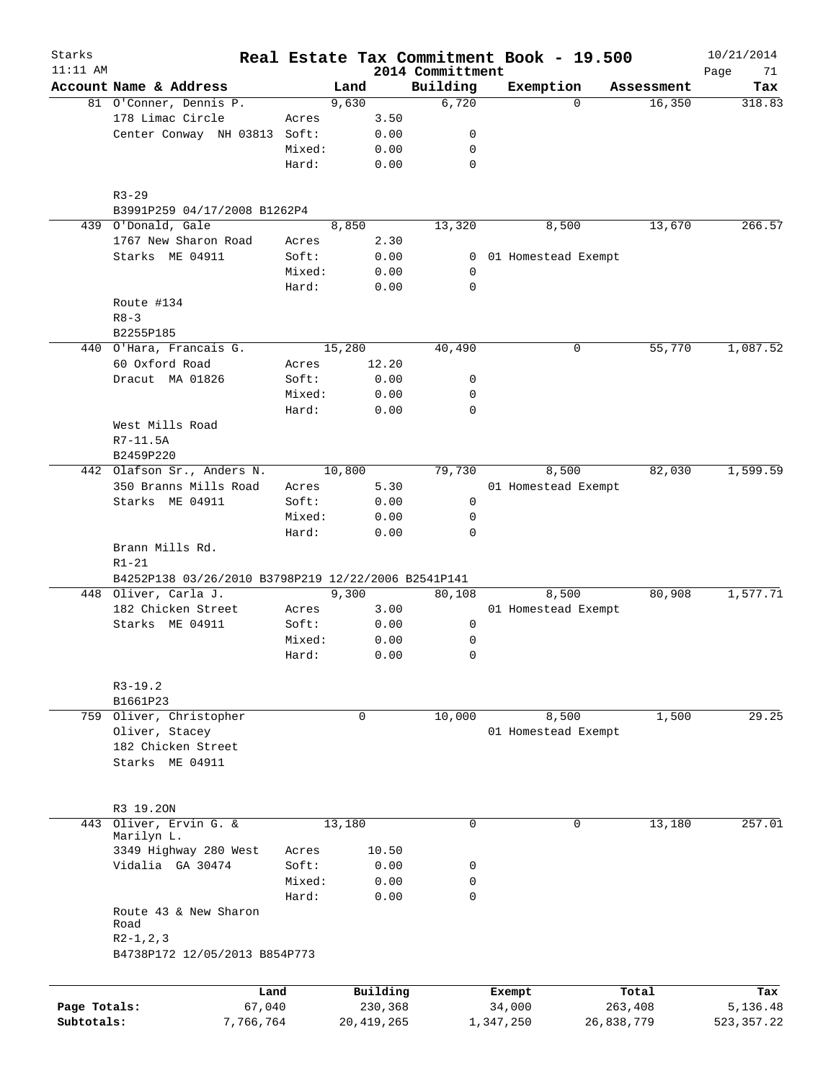| Starks<br>$11:11$ AM |                                                                                     |                |        |              | 2014 Committment | Real Estate Tax Commitment Book - 19.500 |          |            | 10/21/2014<br>Page<br>71 |
|----------------------|-------------------------------------------------------------------------------------|----------------|--------|--------------|------------------|------------------------------------------|----------|------------|--------------------------|
|                      | Account Name & Address                                                              |                | Land   |              | Building         | Exemption                                |          | Assessment | Tax                      |
|                      | 81 O'Conner, Dennis P.                                                              |                | 9,630  |              | 6,720            |                                          | $\Omega$ | 16,350     | 318.83                   |
|                      | 178 Limac Circle                                                                    | Acres          |        | 3.50         |                  |                                          |          |            |                          |
|                      | Center Conway NH 03813                                                              | Soft:          |        | 0.00         | 0                |                                          |          |            |                          |
|                      |                                                                                     | Mixed:         |        | 0.00         | 0                |                                          |          |            |                          |
|                      |                                                                                     | Hard:          |        | 0.00         | $\mathbf 0$      |                                          |          |            |                          |
|                      | $R3 - 29$                                                                           |                |        |              |                  |                                          |          |            |                          |
|                      | B3991P259 04/17/2008 B1262P4                                                        |                |        |              |                  |                                          |          |            |                          |
|                      | 439 O'Donald, Gale                                                                  |                | 8,850  |              | 13,320           |                                          | 8,500    | 13,670     | 266.57                   |
|                      | 1767 New Sharon Road                                                                | Acres          |        | 2.30         |                  |                                          |          |            |                          |
|                      | Starks ME 04911                                                                     | Soft:          |        | 0.00         | 0                | 01 Homestead Exempt                      |          |            |                          |
|                      |                                                                                     | Mixed:         |        | 0.00         | 0                |                                          |          |            |                          |
|                      |                                                                                     | Hard:          |        | 0.00         | $\mathbf 0$      |                                          |          |            |                          |
|                      | Route #134                                                                          |                |        |              |                  |                                          |          |            |                          |
|                      | $R8 - 3$                                                                            |                |        |              |                  |                                          |          |            |                          |
|                      | B2255P185                                                                           |                |        |              |                  |                                          |          |            |                          |
|                      | 440 O'Hara, Francais G.                                                             |                | 15,280 |              | 40,490           |                                          | 0        | 55,770     | 1,087.52                 |
|                      | 60 Oxford Road                                                                      | Acres          |        | 12.20        |                  |                                          |          |            |                          |
|                      | Dracut MA 01826                                                                     | Soft:          |        | 0.00         | 0                |                                          |          |            |                          |
|                      |                                                                                     | Mixed:         |        | 0.00         | 0                |                                          |          |            |                          |
|                      |                                                                                     | Hard:          |        | 0.00         | $\mathbf 0$      |                                          |          |            |                          |
|                      | West Mills Road                                                                     |                |        |              |                  |                                          |          |            |                          |
|                      | R7-11.5A                                                                            |                |        |              |                  |                                          |          |            |                          |
|                      | B2459P220                                                                           |                |        |              |                  |                                          |          |            |                          |
|                      | 442 Olafson Sr., Anders N.                                                          |                | 10,800 |              | 79,730           |                                          | 8,500    | 82,030     | 1,599.59                 |
|                      | 350 Branns Mills Road                                                               | Acres          |        | 5.30         |                  | 01 Homestead Exempt                      |          |            |                          |
|                      | Starks ME 04911                                                                     | Soft:          |        | 0.00         | 0                |                                          |          |            |                          |
|                      |                                                                                     | Mixed:         |        | 0.00         | 0                |                                          |          |            |                          |
|                      |                                                                                     | Hard:          |        | 0.00         | $\Omega$         |                                          |          |            |                          |
|                      | Brann Mills Rd.<br>$R1 - 21$<br>B4252P138 03/26/2010 B3798P219 12/22/2006 B2541P141 |                |        |              |                  |                                          |          |            |                          |
|                      | 448 Oliver, Carla J.                                                                |                |        |              |                  |                                          |          | 80,908     |                          |
|                      | 182 Chicken Street                                                                  |                | 9,300  | 3.00         | 80,108           | 01 Homestead Exempt                      | 8,500    |            | 1,577.71                 |
|                      | Starks ME 04911                                                                     | Acres<br>Soft: |        | 0.00         | 0                |                                          |          |            |                          |
|                      |                                                                                     | Mixed:         |        | 0.00         | 0                |                                          |          |            |                          |
|                      |                                                                                     | Hard:          |        | 0.00         | $\mathbf 0$      |                                          |          |            |                          |
|                      |                                                                                     |                |        |              |                  |                                          |          |            |                          |
|                      | $R3-19.2$<br>B1661P23                                                               |                |        |              |                  |                                          |          |            |                          |
|                      | 759 Oliver, Christopher                                                             |                |        | 0            | 10,000           |                                          | 8,500    | 1,500      | 29.25                    |
|                      | Oliver, Stacey                                                                      |                |        |              |                  | 01 Homestead Exempt                      |          |            |                          |
|                      | 182 Chicken Street                                                                  |                |        |              |                  |                                          |          |            |                          |
|                      | Starks ME 04911                                                                     |                |        |              |                  |                                          |          |            |                          |
|                      |                                                                                     |                |        |              |                  |                                          |          |            |                          |
|                      |                                                                                     |                |        |              |                  |                                          |          |            |                          |
|                      | R3 19.20N                                                                           |                |        |              |                  |                                          |          |            |                          |
| 443                  | Oliver, Ervin G. &                                                                  |                | 13,180 |              | $\mathbf 0$      |                                          | 0        | 13,180     | 257.01                   |
|                      | Marilyn L.<br>3349 Highway 280 West                                                 | Acres          |        | 10.50        |                  |                                          |          |            |                          |
|                      | Vidalia GA 30474                                                                    | Soft:          |        | 0.00         | 0                |                                          |          |            |                          |
|                      |                                                                                     | Mixed:         |        | 0.00         | 0                |                                          |          |            |                          |
|                      |                                                                                     | Hard:          |        | 0.00         | $\mathbf 0$      |                                          |          |            |                          |
|                      | Route 43 & New Sharon                                                               |                |        |              |                  |                                          |          |            |                          |
|                      | Road<br>$R2-1, 2, 3$                                                                |                |        |              |                  |                                          |          |            |                          |
|                      | B4738P172 12/05/2013 B854P773                                                       |                |        |              |                  |                                          |          |            |                          |
|                      |                                                                                     |                |        |              |                  |                                          |          |            |                          |
|                      | Land                                                                                |                |        | Building     |                  | Exempt                                   |          | Total      | Tax                      |
| Page Totals:         | 67,040                                                                              |                |        | 230,368      |                  | 34,000                                   |          | 263,408    | 5,136.48                 |
| Subtotals:           | 7,766,764                                                                           |                |        | 20, 419, 265 |                  | 1,347,250                                |          | 26,838,779 | 523, 357. 22             |
|                      |                                                                                     |                |        |              |                  |                                          |          |            |                          |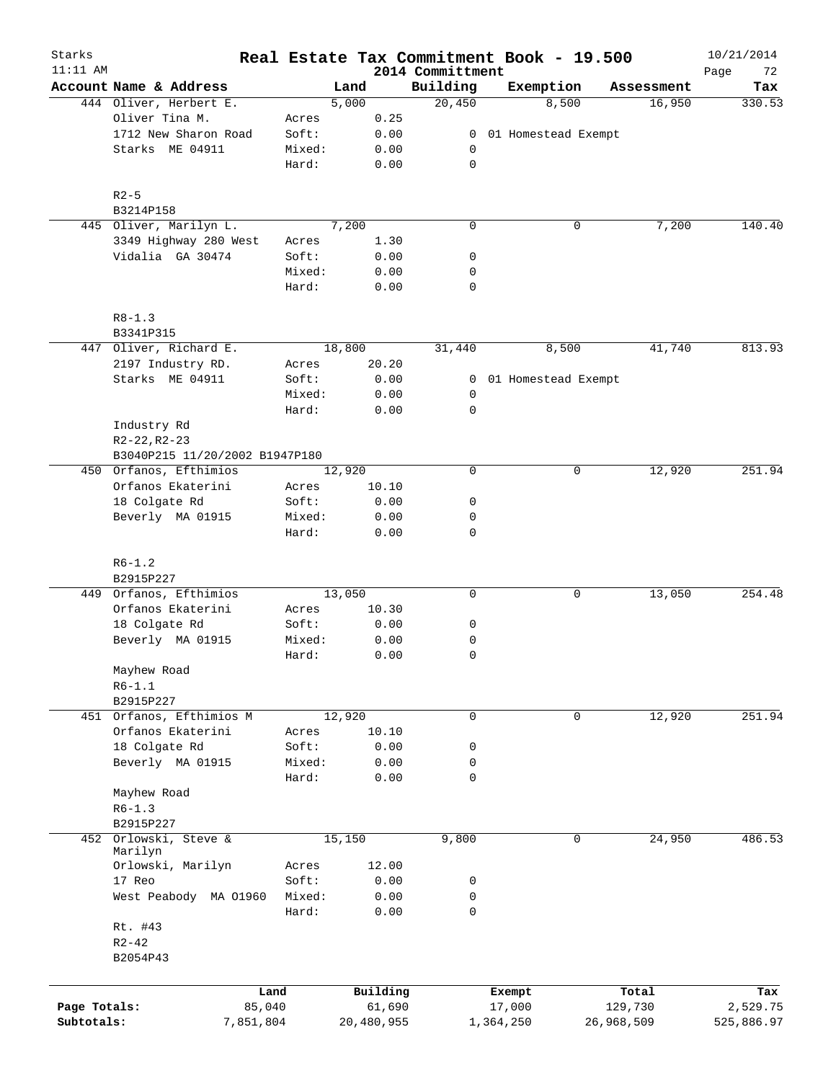| Starks       |                                |                 |        |              |                              | Real Estate Tax Commitment Book - 19.500 |              |            | 10/21/2014        |
|--------------|--------------------------------|-----------------|--------|--------------|------------------------------|------------------------------------------|--------------|------------|-------------------|
| $11:11$ AM   | Account Name & Address         |                 | Land   |              | 2014 Committment<br>Building | Exemption                                |              | Assessment | Page<br>72<br>Tax |
|              | 444 Oliver, Herbert E.         |                 | 5,000  |              | 20,450                       | 8,500                                    |              | 16,950     | 330.53            |
|              | Oliver Tina M.                 | Acres           |        | 0.25         |                              |                                          |              |            |                   |
|              | 1712 New Sharon Road           | Soft:           |        | 0.00         | $\mathbf{0}$                 | 01 Homestead Exempt                      |              |            |                   |
|              | Starks ME 04911                | Mixed:          |        | 0.00         | 0                            |                                          |              |            |                   |
|              |                                | Hard:           |        | 0.00         | $\mathsf{O}$                 |                                          |              |            |                   |
|              | $R2-5$                         |                 |        |              |                              |                                          |              |            |                   |
|              | B3214P158                      |                 |        |              |                              |                                          |              |            |                   |
|              | 445 Oliver, Marilyn L.         |                 | 7,200  |              | $\mathbf 0$                  |                                          | $\mathsf{O}$ | 7,200      | 140.40            |
|              | 3349 Highway 280 West          | Acres           |        | 1.30         |                              |                                          |              |            |                   |
|              | Vidalia GA 30474               | Soft:           |        | 0.00         | 0                            |                                          |              |            |                   |
|              |                                | Mixed:          |        | 0.00         | 0                            |                                          |              |            |                   |
|              |                                | Hard:           |        | 0.00         | 0                            |                                          |              |            |                   |
|              | $R8 - 1.3$                     |                 |        |              |                              |                                          |              |            |                   |
|              | B3341P315                      |                 |        |              |                              |                                          |              |            |                   |
|              | 447 Oliver, Richard E.         |                 | 18,800 |              | 31,440                       | 8,500                                    |              | 41,740     | 813.93            |
|              | 2197 Industry RD.              | Acres           |        | 20.20        |                              |                                          |              |            |                   |
|              | Starks ME 04911                | Soft:           |        | 0.00         |                              | 0 01 Homestead Exempt                    |              |            |                   |
|              |                                | Mixed:          |        | 0.00         | 0                            |                                          |              |            |                   |
|              |                                | Hard:           |        | 0.00         | 0                            |                                          |              |            |                   |
|              | Industry Rd                    |                 |        |              |                              |                                          |              |            |                   |
|              | $R2 - 22, R2 - 23$             |                 |        |              |                              |                                          |              |            |                   |
|              | B3040P215 11/20/2002 B1947P180 |                 |        |              |                              |                                          |              |            |                   |
|              | 450 Orfanos, Efthimios         |                 | 12,920 |              | $\mathbf 0$                  |                                          | 0            | 12,920     | 251.94            |
|              | Orfanos Ekaterini              | Acres           |        | 10.10        |                              |                                          |              |            |                   |
|              |                                |                 |        |              |                              |                                          |              |            |                   |
|              | 18 Colgate Rd                  | Soft:           |        | 0.00         | 0                            |                                          |              |            |                   |
|              | Beverly MA 01915               | Mixed:<br>Hard: |        | 0.00<br>0.00 | 0<br>$\mathbf 0$             |                                          |              |            |                   |
|              |                                |                 |        |              |                              |                                          |              |            |                   |
|              | $R6 - 1.2$<br>B2915P227        |                 |        |              |                              |                                          |              |            |                   |
|              | 449 Orfanos, Efthimios         |                 | 13,050 |              | $\mathbf 0$                  |                                          | 0            | 13,050     | 254.48            |
|              | Orfanos Ekaterini              | Acres           |        | 10.30        |                              |                                          |              |            |                   |
|              | 18 Colgate Rd                  | Soft:           |        | 0.00         | 0                            |                                          |              |            |                   |
|              | Beverly MA 01915               | Mixed:          |        | 0.00         | 0                            |                                          |              |            |                   |
|              |                                | Hard:           |        | 0.00         | 0                            |                                          |              |            |                   |
|              | Mayhew Road                    |                 |        |              |                              |                                          |              |            |                   |
|              | $R6 - 1.1$                     |                 |        |              |                              |                                          |              |            |                   |
|              |                                |                 |        |              |                              |                                          |              |            |                   |
|              | B2915P227                      |                 |        |              |                              |                                          |              |            |                   |
|              | 451 Orfanos, Efthimios M       |                 | 12,920 |              | 0                            |                                          | 0            | 12,920     | 251.94            |
|              | Orfanos Ekaterini              | Acres           |        | 10.10        |                              |                                          |              |            |                   |
|              | 18 Colgate Rd                  | Soft:           |        | 0.00         | 0                            |                                          |              |            |                   |
|              | Beverly MA 01915               | Mixed:          |        | 0.00         | 0                            |                                          |              |            |                   |
|              |                                | Hard:           |        | 0.00         | 0                            |                                          |              |            |                   |
|              | Mayhew Road                    |                 |        |              |                              |                                          |              |            |                   |
|              | $R6 - 1.3$                     |                 |        |              |                              |                                          |              |            |                   |
|              | B2915P227                      |                 |        |              |                              |                                          |              |            |                   |
| 452          | Orlowski, Steve &              |                 | 15,150 |              | 9,800                        |                                          | $\mathbf 0$  | 24,950     | 486.53            |
|              | Marilyn                        |                 |        |              |                              |                                          |              |            |                   |
|              | Orlowski, Marilyn              | Acres           |        | 12.00        |                              |                                          |              |            |                   |
|              | 17 Reo                         | Soft:           |        | 0.00         | 0                            |                                          |              |            |                   |
|              | West Peabody MA 01960          | Mixed:          |        | 0.00         | 0                            |                                          |              |            |                   |
|              |                                | Hard:           |        | 0.00         | 0                            |                                          |              |            |                   |
|              | Rt. #43                        |                 |        |              |                              |                                          |              |            |                   |
|              | $R2 - 42$                      |                 |        |              |                              |                                          |              |            |                   |
|              | B2054P43                       |                 |        |              |                              |                                          |              |            |                   |
|              |                                |                 |        |              |                              |                                          |              |            |                   |
|              |                                | Land            |        | Building     |                              | Exempt                                   |              | Total      | Tax               |
| Page Totals: | 85,040                         |                 |        | 61,690       |                              | 17,000                                   |              | 129,730    | 2,529.75          |
| Subtotals:   | 7,851,804                      |                 |        | 20,480,955   |                              | 1,364,250                                | 26,968,509   |            | 525,886.97        |
|              |                                |                 |        |              |                              |                                          |              |            |                   |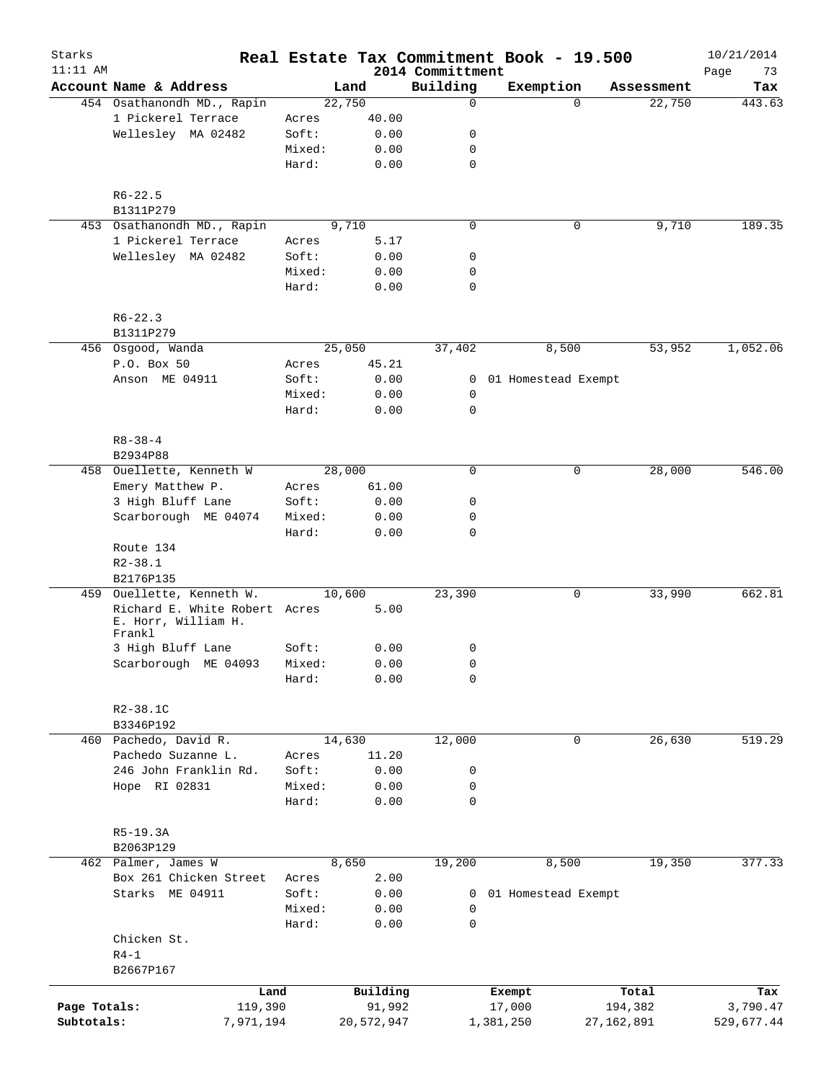| Starks<br>$11:11$ AM |                                                                |        |                                 | 2014 Committment | Real Estate Tax Commitment Book - 19.500 |              | 10/21/2014<br>73<br>Page |
|----------------------|----------------------------------------------------------------|--------|---------------------------------|------------------|------------------------------------------|--------------|--------------------------|
|                      | Account Name & Address                                         |        | Land                            | Building         | Exemption                                | Assessment   | Tax                      |
|                      | 454 Osathanondh MD., Rapin                                     |        | 22,750                          | $\mathbf 0$      | $\Omega$                                 | 22,750       | 443.63                   |
|                      | 1 Pickerel Terrace                                             | Acres  | 40.00                           |                  |                                          |              |                          |
|                      | Wellesley MA 02482                                             | Soft:  | 0.00                            | 0                |                                          |              |                          |
|                      |                                                                | Mixed: | 0.00                            | 0                |                                          |              |                          |
|                      |                                                                | Hard:  | 0.00                            | $\mathbf 0$      |                                          |              |                          |
|                      | $R6 - 22.5$                                                    |        |                                 |                  |                                          |              |                          |
|                      | B1311P279                                                      |        |                                 |                  |                                          |              |                          |
|                      | 453 Osathanondh MD., Rapin                                     |        | 9,710                           | $\mathbf 0$      | 0                                        | 9,710        | 189.35                   |
|                      | 1 Pickerel Terrace                                             | Acres  | 5.17                            |                  |                                          |              |                          |
|                      | Wellesley MA 02482                                             | Soft:  | 0.00                            | 0                |                                          |              |                          |
|                      |                                                                | Mixed: | 0.00                            | 0                |                                          |              |                          |
|                      |                                                                | Hard:  | 0.00                            | $\mathbf 0$      |                                          |              |                          |
|                      | $R6 - 22.3$                                                    |        |                                 |                  |                                          |              |                          |
|                      | B1311P279                                                      |        |                                 |                  |                                          |              |                          |
|                      | 456 Osgood, Wanda                                              |        | 25,050                          | 37,402           | 8,500                                    | 53,952       | 1,052.06                 |
|                      | P.O. Box 50                                                    | Acres  | 45.21                           |                  |                                          |              |                          |
|                      | Anson ME 04911                                                 | Soft:  | 0.00                            |                  | 0 01 Homestead Exempt                    |              |                          |
|                      |                                                                | Mixed: | 0.00                            | 0                |                                          |              |                          |
|                      |                                                                | Hard:  | 0.00                            | 0                |                                          |              |                          |
|                      | $R8 - 38 - 4$                                                  |        |                                 |                  |                                          |              |                          |
|                      | B2934P88                                                       |        |                                 |                  |                                          |              |                          |
|                      | 458 Ouellette, Kenneth W                                       |        | 28,000                          | $\mathbf 0$      | 0                                        | 28,000       | 546.00                   |
|                      | Emery Matthew P.                                               | Acres  | 61.00                           |                  |                                          |              |                          |
|                      | 3 High Bluff Lane                                              | Soft:  | 0.00                            | 0                |                                          |              |                          |
|                      | Scarborough ME 04074                                           | Mixed: | 0.00                            | 0                |                                          |              |                          |
|                      |                                                                | Hard:  | 0.00                            | $\mathbf 0$      |                                          |              |                          |
|                      | Route 134                                                      |        |                                 |                  |                                          |              |                          |
|                      | $R2 - 38.1$                                                    |        |                                 |                  |                                          |              |                          |
|                      | B2176P135                                                      |        |                                 |                  |                                          |              |                          |
| 459                  | Ouellette, Kenneth W.                                          |        | 10,600                          | 23,390           | 0                                        | 33,990       | 662.81                   |
|                      | Richard E. White Robert Acres<br>E. Horr, William H.<br>Frankl |        | 5.00                            |                  |                                          |              |                          |
|                      | 3 High Bluff Lane                                              | Soft:  | 0.00                            | 0                |                                          |              |                          |
|                      | Scarborough ME 04093                                           | Mixed: | ${\bf 0}$ . ${\bf 0}$ ${\bf 0}$ | 0                |                                          |              |                          |
|                      |                                                                | Hard:  | 0.00                            | 0                |                                          |              |                          |
|                      | R2-38.1C                                                       |        |                                 |                  |                                          |              |                          |
|                      | B3346P192                                                      |        |                                 |                  |                                          |              |                          |
|                      | 460 Pachedo, David R.                                          |        | 14,630                          | 12,000           | 0                                        | 26,630       | 519.29                   |
|                      | Pachedo Suzanne L.                                             | Acres  | 11.20                           |                  |                                          |              |                          |
|                      | 246 John Franklin Rd.                                          | Soft:  | 0.00                            | 0                |                                          |              |                          |
|                      | Hope RI 02831                                                  | Mixed: | 0.00                            | 0                |                                          |              |                          |
|                      |                                                                | Hard:  | 0.00                            | 0                |                                          |              |                          |
|                      | $R5-19.3A$                                                     |        |                                 |                  |                                          |              |                          |
|                      | B2063P129                                                      |        |                                 |                  |                                          |              |                          |
|                      | 462 Palmer, James W                                            |        | 8,650                           | 19,200           | 8,500                                    | 19,350       | 377.33                   |
|                      | Box 261 Chicken Street                                         | Acres  | 2.00                            |                  |                                          |              |                          |
|                      | Starks ME 04911                                                | Soft:  | 0.00                            | 0                | 01 Homestead Exempt                      |              |                          |
|                      |                                                                | Mixed: | 0.00                            | 0                |                                          |              |                          |
|                      |                                                                | Hard:  | 0.00                            | $\mathbf 0$      |                                          |              |                          |
|                      | Chicken St.                                                    |        |                                 |                  |                                          |              |                          |
|                      | $R4-1$                                                         |        |                                 |                  |                                          |              |                          |
|                      | B2667P167                                                      |        |                                 |                  |                                          |              |                          |
|                      | Land                                                           |        | Building                        |                  | Exempt                                   | Total        | Tax                      |
| Page Totals:         | 119,390                                                        |        | 91,992                          |                  | 17,000                                   | 194,382      | 3,790.47                 |
| Subtotals:           | 7,971,194                                                      |        | 20,572,947                      |                  | 1,381,250                                | 27, 162, 891 | 529,677.44               |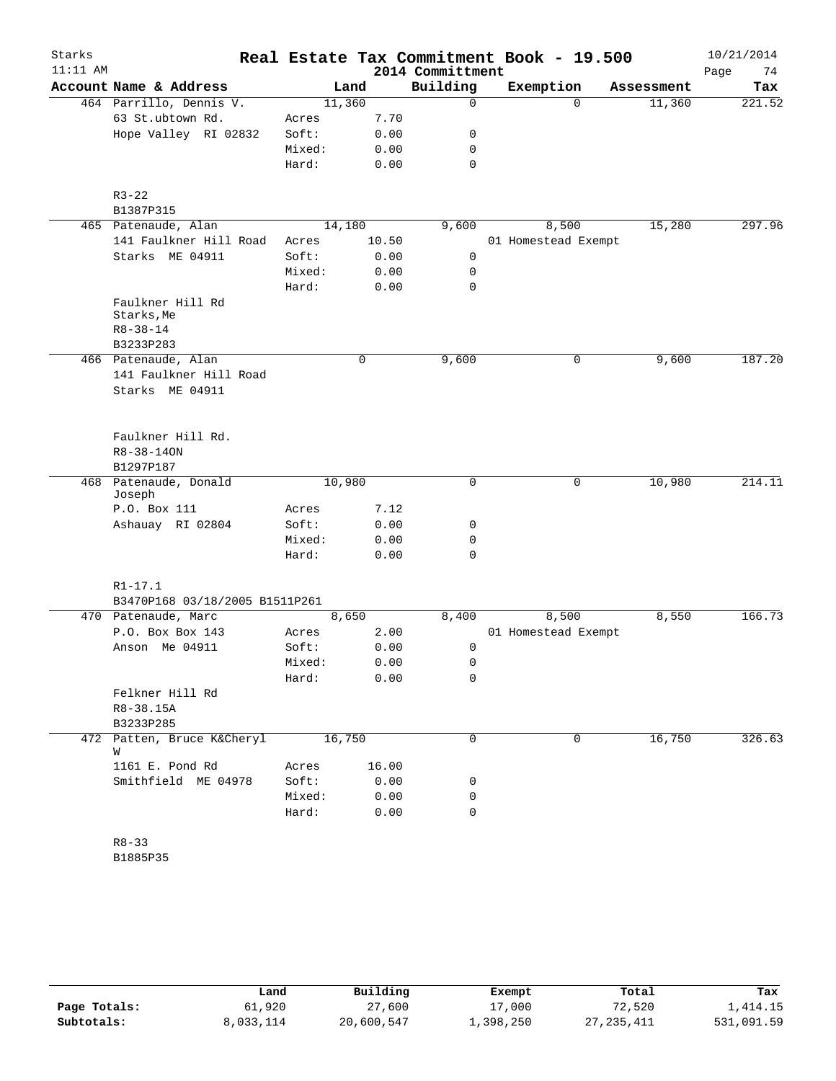| Starks     |                                 |                 |        |              |                  | Real Estate Tax Commitment Book - 19.500 |             |            | 10/21/2014 |
|------------|---------------------------------|-----------------|--------|--------------|------------------|------------------------------------------|-------------|------------|------------|
| $11:11$ AM |                                 |                 |        |              | 2014 Committment |                                          |             |            | Page<br>74 |
|            | Account Name & Address          |                 | Land   |              | Building         | Exemption                                |             | Assessment | Tax        |
|            | 464 Parrillo, Dennis V.         |                 | 11,360 |              | 0                |                                          | $\Omega$    | 11,360     | 221.52     |
|            | 63 St.ubtown Rd.                | Acres           |        | 7.70         |                  |                                          |             |            |            |
|            | Hope Valley RI 02832            | Soft:           |        | 0.00         | 0                |                                          |             |            |            |
|            |                                 | Mixed:          |        | 0.00         | 0                |                                          |             |            |            |
|            |                                 | Hard:           |        | 0.00         | $\mathbf 0$      |                                          |             |            |            |
|            | $R3 - 22$                       |                 |        |              |                  |                                          |             |            |            |
|            | B1387P315                       |                 |        |              |                  |                                          |             |            |            |
|            | 465 Patenaude, Alan             |                 | 14,180 |              | 9,600            | 8,500                                    |             | 15,280     | 297.96     |
|            | 141 Faulkner Hill Road          | Acres           |        | 10.50        |                  | 01 Homestead Exempt                      |             |            |            |
|            | Starks ME 04911                 | Soft:           |        | 0.00         | 0                |                                          |             |            |            |
|            |                                 | Mixed:<br>Hard: |        | 0.00<br>0.00 | 0<br>$\mathbf 0$ |                                          |             |            |            |
|            | Faulkner Hill Rd                |                 |        |              |                  |                                          |             |            |            |
|            | Starks, Me                      |                 |        |              |                  |                                          |             |            |            |
|            | $R8 - 38 - 14$                  |                 |        |              |                  |                                          |             |            |            |
|            | B3233P283                       |                 |        |              |                  |                                          |             |            |            |
|            | 466 Patenaude, Alan             |                 |        | 0            | 9,600            |                                          | 0           | 9,600      | 187.20     |
|            | 141 Faulkner Hill Road          |                 |        |              |                  |                                          |             |            |            |
|            | Starks ME 04911                 |                 |        |              |                  |                                          |             |            |            |
|            |                                 |                 |        |              |                  |                                          |             |            |            |
|            | Faulkner Hill Rd.               |                 |        |              |                  |                                          |             |            |            |
|            | R8-38-140N                      |                 |        |              |                  |                                          |             |            |            |
|            | B1297P187                       |                 |        |              |                  |                                          |             |            |            |
|            | 468 Patenaude, Donald           |                 | 10,980 |              | 0                |                                          | $\mathbf 0$ | 10,980     | 214.11     |
|            | Joseph                          |                 |        |              |                  |                                          |             |            |            |
|            | P.O. Box 111                    | Acres           |        | 7.12         |                  |                                          |             |            |            |
|            | Ashauay RI 02804                | Soft:           |        | 0.00         | 0                |                                          |             |            |            |
|            |                                 | Mixed:          |        | 0.00         | 0                |                                          |             |            |            |
|            |                                 | Hard:           |        | 0.00         | 0                |                                          |             |            |            |
|            | $R1 - 17.1$                     |                 |        |              |                  |                                          |             |            |            |
|            | B3470P168 03/18/2005 B1511P261  |                 |        |              |                  |                                          |             |            |            |
|            | 470 Patenaude, Marc             |                 | 8,650  |              | 8,400            | 8,500                                    |             | 8,550      | 166.73     |
|            | P.O. Box Box 143                | Acres           |        | 2.00         |                  | 01 Homestead Exempt                      |             |            |            |
|            | Anson Me 04911                  | Soft:           |        | 0.00         | 0                |                                          |             |            |            |
|            |                                 | Mixed:          |        | 0.00         | 0                |                                          |             |            |            |
|            |                                 | Hard:           |        | 0.00         | 0                |                                          |             |            |            |
|            | Felkner Hill Rd                 |                 |        |              |                  |                                          |             |            |            |
|            | R8-38.15A                       |                 |        |              |                  |                                          |             |            |            |
|            | B3233P285                       |                 |        |              |                  |                                          |             |            |            |
|            | 472 Patten, Bruce K&Cheryl<br>W |                 | 16,750 |              | 0                |                                          | 0           | 16,750     | 326.63     |
|            | 1161 E. Pond Rd                 | Acres           |        | 16.00        |                  |                                          |             |            |            |
|            | Smithfield ME 04978             | Soft:           |        | 0.00         | 0                |                                          |             |            |            |
|            |                                 | Mixed:          |        | 0.00         | 0                |                                          |             |            |            |
|            |                                 | Hard:           |        | 0.00         | 0                |                                          |             |            |            |
|            |                                 |                 |        |              |                  |                                          |             |            |            |
|            | $R8 - 33$<br>B1885P35           |                 |        |              |                  |                                          |             |            |            |
|            |                                 |                 |        |              |                  |                                          |             |            |            |

|              | Land      | Building   | Exempt    | Total        | Tax        |
|--------------|-----------|------------|-----------|--------------|------------|
| Page Totals: | 61,920    | 27,600     | 17,000    | 72,520       | 1,414.15   |
| Subtotals:   | 8,033,114 | 20,600,547 | ⊥,398,250 | 27, 235, 411 | 531,091.59 |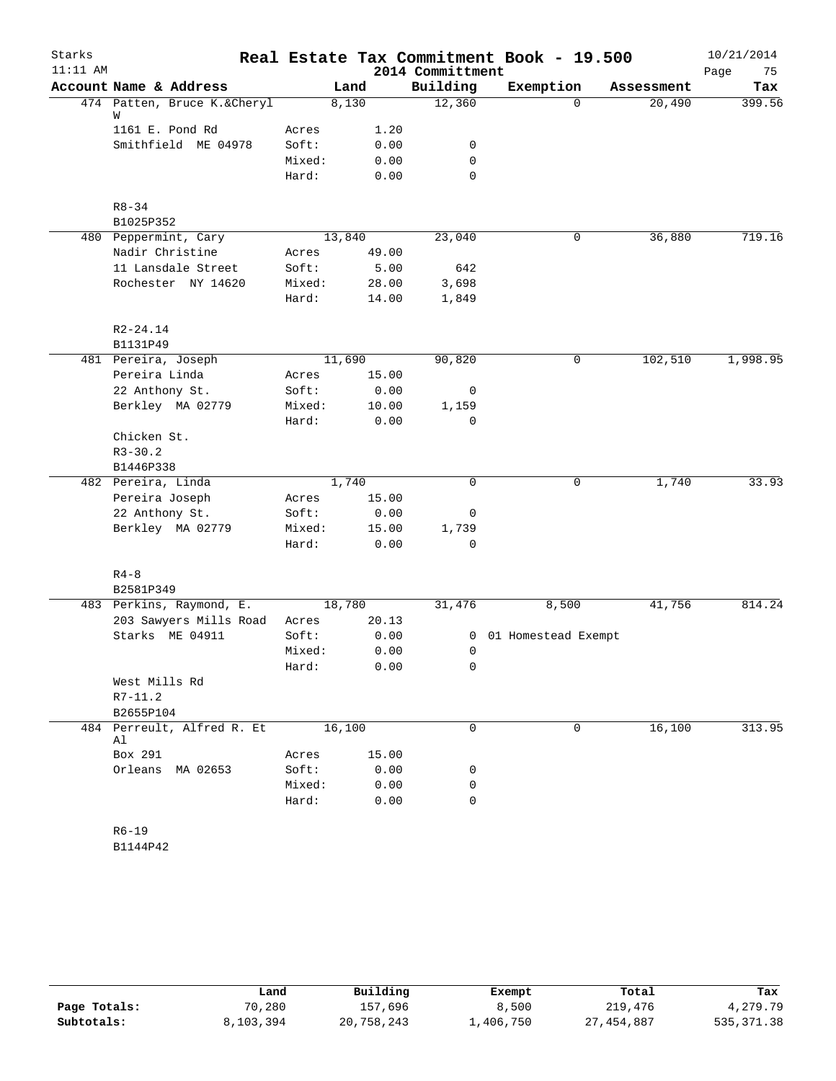| Starks     |                                           |                 |        |                  | Real Estate Tax Commitment Book - 19.500 |            | 10/21/2014 |
|------------|-------------------------------------------|-----------------|--------|------------------|------------------------------------------|------------|------------|
| $11:11$ AM |                                           |                 |        | 2014 Committment |                                          |            | Page<br>75 |
|            | Account Name & Address                    |                 | Land   | Building         | Exemption                                | Assessment | Tax        |
|            | 474 Patten, Bruce K.&Cheryl<br>W          |                 | 8,130  | 12,360           | $\Omega$                                 | 20,490     | 399.56     |
|            | 1161 E. Pond Rd                           | Acres           | 1.20   |                  |                                          |            |            |
|            | Smithfield ME 04978                       | Soft:           | 0.00   | 0                |                                          |            |            |
|            |                                           | Mixed:          | 0.00   | 0                |                                          |            |            |
|            |                                           | Hard:           | 0.00   | 0                |                                          |            |            |
|            | $R8 - 34$                                 |                 |        |                  |                                          |            |            |
|            | B1025P352                                 |                 |        |                  |                                          |            |            |
|            | 480 Peppermint, Cary                      |                 | 13,840 | 23,040           | 0                                        | 36,880     | 719.16     |
|            | Nadir Christine                           | Acres           | 49.00  |                  |                                          |            |            |
|            | 11 Lansdale Street                        | Soft:           | 5.00   | 642              |                                          |            |            |
|            | Rochester NY 14620                        | Mixed:          | 28.00  | 3,698            |                                          |            |            |
|            |                                           | Hard:           | 14.00  | 1,849            |                                          |            |            |
|            | $R2 - 24.14$                              |                 |        |                  |                                          |            |            |
|            | B1131P49                                  |                 |        |                  |                                          |            |            |
|            | 481 Pereira, Joseph                       |                 | 11,690 | 90,820           | 0                                        | 102,510    | 1,998.95   |
|            | Pereira Linda                             | Acres           | 15.00  |                  |                                          |            |            |
|            | 22 Anthony St.                            | Soft:           | 0.00   | 0                |                                          |            |            |
|            | Berkley MA 02779                          | Mixed:          | 10.00  | 1,159            |                                          |            |            |
|            |                                           | Hard:           | 0.00   | 0                |                                          |            |            |
|            | Chicken St.                               |                 |        |                  |                                          |            |            |
|            | $R3 - 30.2$                               |                 |        |                  |                                          |            |            |
|            | B1446P338                                 |                 |        |                  |                                          |            |            |
|            | 482 Pereira, Linda                        |                 | 1,740  | $\mathbf 0$      | 0                                        | 1,740      | 33.93      |
|            | Pereira Joseph                            | Acres           | 15.00  |                  |                                          |            |            |
|            | 22 Anthony St.                            | Soft:           | 0.00   | 0                |                                          |            |            |
|            | Berkley MA 02779                          | Mixed:          | 15.00  | 1,739            |                                          |            |            |
|            |                                           | Hard:           | 0.00   | 0                |                                          |            |            |
|            | $R4-8$                                    |                 |        |                  |                                          |            |            |
|            | B2581P349<br>483 Perkins, Raymond, E.     |                 | 18,780 |                  |                                          |            | 814.24     |
|            |                                           |                 | 20.13  | 31,476           | 8,500                                    | 41,756     |            |
|            | 203 Sawyers Mills Road<br>Starks ME 04911 | Acres           | 0.00   |                  |                                          |            |            |
|            |                                           | Soft:<br>Mixed: |        | 0<br>0           | 01 Homestead Exempt                      |            |            |
|            |                                           |                 | 0.00   |                  |                                          |            |            |
|            | West Mills Rd                             | Hard:           | 0.00   | 0                |                                          |            |            |
|            | $R7 - 11.2$                               |                 |        |                  |                                          |            |            |
|            | B2655P104                                 |                 |        |                  |                                          |            |            |
|            | 484 Perreult, Alfred R. Et                |                 | 16,100 | 0                | $\Omega$                                 | 16,100     | 313.95     |
|            | Al<br>Box 291                             | Acres           | 15.00  |                  |                                          |            |            |
|            | Orleans MA 02653                          | Soft:           | 0.00   | 0                |                                          |            |            |
|            |                                           | Mixed:          | 0.00   | 0                |                                          |            |            |
|            |                                           | Hard:           | 0.00   | 0                |                                          |            |            |
|            |                                           |                 |        |                  |                                          |            |            |
|            | $R6 - 19$                                 |                 |        |                  |                                          |            |            |

B1144P42

|              | Land      | Building   | Exempt    | Total      | Tax        |
|--------------|-----------|------------|-----------|------------|------------|
| Page Totals: | 70,280    | 157,696    | 8,500     | 219,476    | 4,279.79   |
| Subtotals:   | 8,103,394 | 20,758,243 | 1,406,750 | 27,454,887 | 535,371.38 |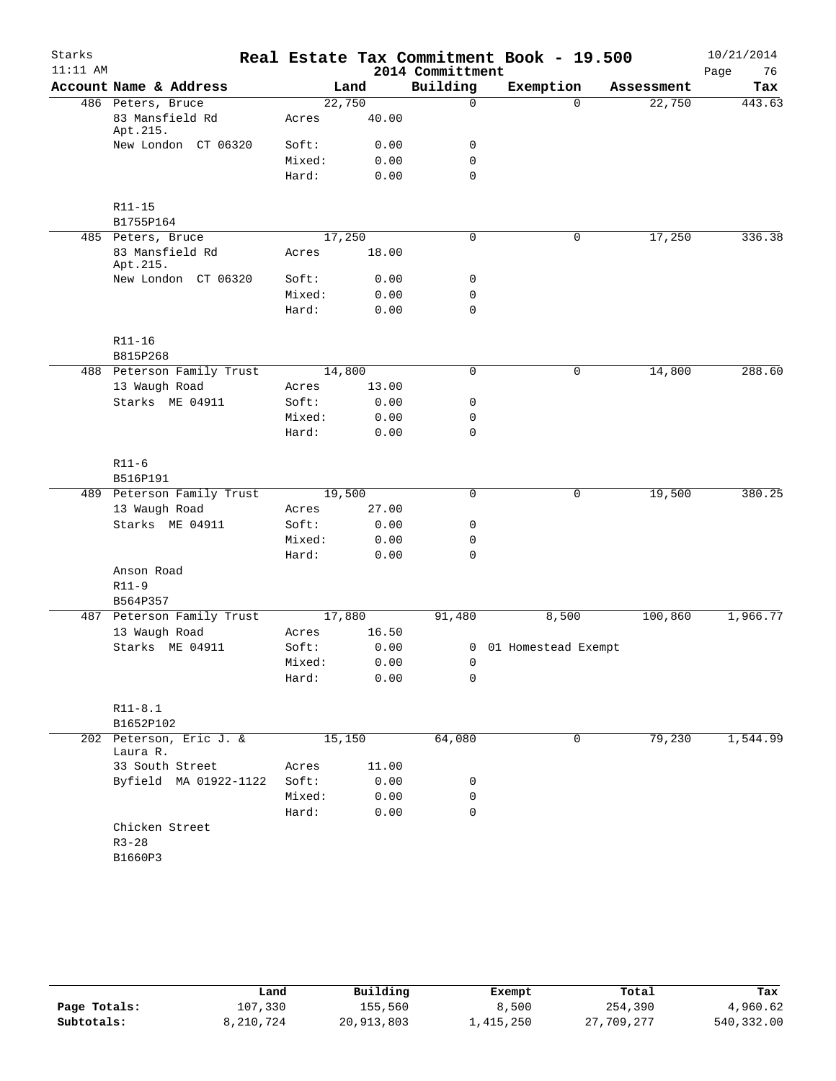| Starks     |                                     |        |       |                  | Real Estate Tax Commitment Book - 19.500 |            | 10/21/2014 |
|------------|-------------------------------------|--------|-------|------------------|------------------------------------------|------------|------------|
| $11:11$ AM |                                     |        |       | 2014 Committment |                                          |            | Page<br>76 |
|            | Account Name & Address              |        | Land  | Building         | Exemption                                | Assessment | Tax        |
|            | 486 Peters, Bruce                   | 22,750 |       | $\mathbf 0$      | $\Omega$                                 | 22,750     | 443.63     |
|            | 83 Mansfield Rd<br>Apt.215.         | Acres  | 40.00 |                  |                                          |            |            |
|            | New London CT 06320                 | Soft:  | 0.00  | 0                |                                          |            |            |
|            |                                     | Mixed: | 0.00  | $\mathbf 0$      |                                          |            |            |
|            |                                     | Hard:  | 0.00  | $\mathbf 0$      |                                          |            |            |
|            | R11-15                              |        |       |                  |                                          |            |            |
|            | B1755P164                           |        |       |                  |                                          |            |            |
|            | 485 Peters, Bruce                   | 17,250 |       | $\mathbf 0$      | $\mathbf 0$                              | 17,250     | 336.38     |
|            | 83 Mansfield Rd<br>Apt.215.         | Acres  | 18.00 |                  |                                          |            |            |
|            | New London CT 06320                 | Soft:  | 0.00  | 0                |                                          |            |            |
|            |                                     | Mixed: | 0.00  | 0                |                                          |            |            |
|            |                                     | Hard:  | 0.00  | $\mathbf 0$      |                                          |            |            |
|            | R11-16                              |        |       |                  |                                          |            |            |
|            | B815P268                            |        |       |                  |                                          |            |            |
|            | 488 Peterson Family Trust           | 14,800 |       | 0                | 0                                        | 14,800     | 288.60     |
|            | 13 Waugh Road                       | Acres  | 13.00 |                  |                                          |            |            |
|            | Starks ME 04911                     | Soft:  | 0.00  | 0                |                                          |            |            |
|            |                                     | Mixed: | 0.00  | 0                |                                          |            |            |
|            |                                     | Hard:  | 0.00  | $\mathbf 0$      |                                          |            |            |
|            | $R11-6$                             |        |       |                  |                                          |            |            |
|            | B516P191                            |        |       |                  |                                          |            |            |
|            | 489 Peterson Family Trust           | 19,500 |       | 0                | 0                                        | 19,500     | 380.25     |
|            | 13 Waugh Road                       | Acres  | 27.00 |                  |                                          |            |            |
|            | Starks ME 04911                     | Soft:  | 0.00  | 0                |                                          |            |            |
|            |                                     | Mixed: | 0.00  | 0                |                                          |            |            |
|            |                                     | Hard:  | 0.00  | $\mathbf 0$      |                                          |            |            |
|            | Anson Road                          |        |       |                  |                                          |            |            |
|            | $R11-9$                             |        |       |                  |                                          |            |            |
|            | B564P357                            |        |       |                  |                                          |            |            |
|            | 487 Peterson Family Trust           | 17,880 |       | 91,480           | 8,500                                    | 100,860    | 1,966.77   |
|            | 13 Waugh Road                       | Acres  | 16.50 |                  |                                          |            |            |
|            | Starks ME 04911                     | Soft:  | 0.00  |                  | 0 01 Homestead Exempt                    |            |            |
|            |                                     | Mixed: | 0.00  | 0                |                                          |            |            |
|            |                                     | Hard:  | 0.00  | 0                |                                          |            |            |
|            | $R11 - 8.1$                         |        |       |                  |                                          |            |            |
|            | B1652P102                           |        |       |                  |                                          |            |            |
|            | 202 Peterson, Eric J. &<br>Laura R. | 15,150 |       | 64,080           | 0                                        | 79,230     | 1,544.99   |
|            | 33 South Street                     | Acres  | 11.00 |                  |                                          |            |            |
|            | Byfield MA 01922-1122               | Soft:  | 0.00  | 0                |                                          |            |            |
|            |                                     | Mixed: | 0.00  | 0                |                                          |            |            |
|            |                                     | Hard:  | 0.00  | 0                |                                          |            |            |
|            | Chicken Street                      |        |       |                  |                                          |            |            |
|            | $R3 - 28$                           |        |       |                  |                                          |            |            |
|            | B1660P3                             |        |       |                  |                                          |            |            |
|            |                                     |        |       |                  |                                          |            |            |

|              | Land      | Building   | Exempt    | Total      | Tax        |
|--------------|-----------|------------|-----------|------------|------------|
| Page Totals: | 107,330   | 155,560    | 8,500     | 254,390    | 4,960.62   |
| Subtotals:   | 8,210,724 | 20,913,803 | ⊥,415,250 | 27,709,277 | 540,332.00 |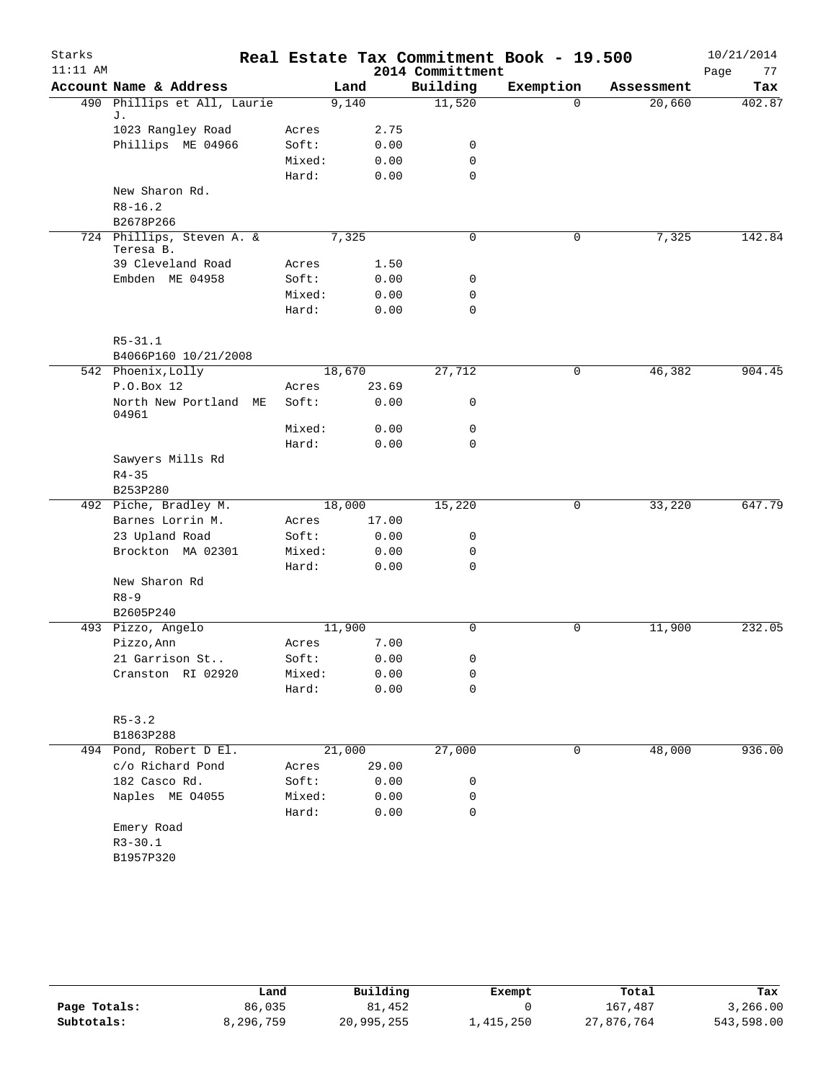| Starks<br>$11:11$ AM |                                        |        |        |       | Real Estate Tax Commitment Book - 19.500<br>2014 Committment |             |            | 10/21/2014<br>77 |
|----------------------|----------------------------------------|--------|--------|-------|--------------------------------------------------------------|-------------|------------|------------------|
|                      | Account Name & Address                 |        | Land   |       | Building                                                     | Exemption   | Assessment | Page<br>Tax      |
|                      | 490 Phillips et All, Laurie            |        | 9,140  |       | 11,520                                                       | $\Omega$    | 20,660     | 402.87           |
|                      | J.                                     |        |        |       |                                                              |             |            |                  |
|                      | 1023 Rangley Road                      | Acres  |        | 2.75  |                                                              |             |            |                  |
|                      | Phillips ME 04966                      | Soft:  |        | 0.00  | 0                                                            |             |            |                  |
|                      |                                        | Mixed: |        | 0.00  | 0                                                            |             |            |                  |
|                      |                                        | Hard:  |        | 0.00  | 0                                                            |             |            |                  |
|                      | New Sharon Rd.                         |        |        |       |                                                              |             |            |                  |
|                      | $R8 - 16.2$                            |        |        |       |                                                              |             |            |                  |
|                      | B2678P266                              |        |        |       |                                                              |             |            |                  |
|                      | 724 Phillips, Steven A. &<br>Teresa B. |        | 7,325  |       | 0                                                            | 0           | 7,325      | 142.84           |
|                      | 39 Cleveland Road                      | Acres  |        | 1.50  |                                                              |             |            |                  |
|                      | Embden ME 04958                        | Soft:  |        | 0.00  | 0                                                            |             |            |                  |
|                      |                                        | Mixed: |        | 0.00  | 0                                                            |             |            |                  |
|                      |                                        | Hard:  |        | 0.00  | 0                                                            |             |            |                  |
|                      | $R5 - 31.1$                            |        |        |       |                                                              |             |            |                  |
|                      | B4066P160 10/21/2008                   |        |        |       |                                                              |             |            |                  |
|                      | 542 Phoenix, Lolly                     |        | 18,670 |       | 27,712                                                       | $\mathbf 0$ | 46,382     | 904.45           |
|                      | P.O.Box 12                             | Acres  |        | 23.69 |                                                              |             |            |                  |
|                      | North New Portland ME<br>04961         | Soft:  |        | 0.00  | 0                                                            |             |            |                  |
|                      |                                        | Mixed: |        | 0.00  | 0                                                            |             |            |                  |
|                      |                                        | Hard:  |        | 0.00  | $\Omega$                                                     |             |            |                  |
|                      | Sawyers Mills Rd                       |        |        |       |                                                              |             |            |                  |
|                      | $R4 - 35$                              |        |        |       |                                                              |             |            |                  |
|                      | B253P280                               |        |        |       |                                                              |             |            |                  |
|                      | 492 Piche, Bradley M.                  |        | 18,000 |       | 15,220                                                       | 0           | 33,220     | 647.79           |
|                      | Barnes Lorrin M.                       | Acres  |        | 17.00 |                                                              |             |            |                  |
|                      | 23 Upland Road                         | Soft:  |        | 0.00  | 0                                                            |             |            |                  |
|                      | Brockton MA 02301                      | Mixed: |        | 0.00  | 0                                                            |             |            |                  |
|                      |                                        | Hard:  |        | 0.00  | 0                                                            |             |            |                  |
|                      | New Sharon Rd                          |        |        |       |                                                              |             |            |                  |
|                      | $R8 - 9$                               |        |        |       |                                                              |             |            |                  |
|                      | B2605P240                              |        |        |       |                                                              |             |            |                  |
|                      | 493 Pizzo, Angelo                      |        | 11,900 |       | 0                                                            | $\mathbf 0$ | 11,900     | 232.05           |
|                      | Pizzo, Ann                             | Acres  |        | 7.00  |                                                              |             |            |                  |
|                      | 21 Garrison St                         | Soft:  |        | 0.00  | 0                                                            |             |            |                  |
|                      | Cranston RI 02920                      | Mixed: |        | 0.00  | 0                                                            |             |            |                  |
|                      |                                        | Hard:  |        | 0.00  | 0                                                            |             |            |                  |
|                      | $R5 - 3.2$                             |        |        |       |                                                              |             |            |                  |
|                      | B1863P288                              |        |        |       |                                                              |             |            |                  |
|                      | 494 Pond, Robert D El.                 |        | 21,000 |       | 27,000                                                       | 0           | 48,000     | 936.00           |
|                      | c/o Richard Pond                       | Acres  |        | 29.00 |                                                              |             |            |                  |
|                      | 182 Casco Rd.                          | Soft:  |        | 0.00  | 0                                                            |             |            |                  |
|                      | Naples ME 04055                        | Mixed: |        | 0.00  | 0                                                            |             |            |                  |
|                      |                                        | Hard:  |        | 0.00  | 0                                                            |             |            |                  |
|                      | Emery Road                             |        |        |       |                                                              |             |            |                  |
|                      | $R3 - 30.1$                            |        |        |       |                                                              |             |            |                  |
|                      | B1957P320                              |        |        |       |                                                              |             |            |                  |
|                      |                                        |        |        |       |                                                              |             |            |                  |

|              | Land      | Building   | Exempt    | Total      | Tax        |
|--------------|-----------|------------|-----------|------------|------------|
| Page Totals: | 86,035    | 81,452     |           | 167,487    | 3,266.00   |
| Subtotals:   | 8,296,759 | 20,995,255 | ⊥,415,250 | 27,876,764 | 543,598.00 |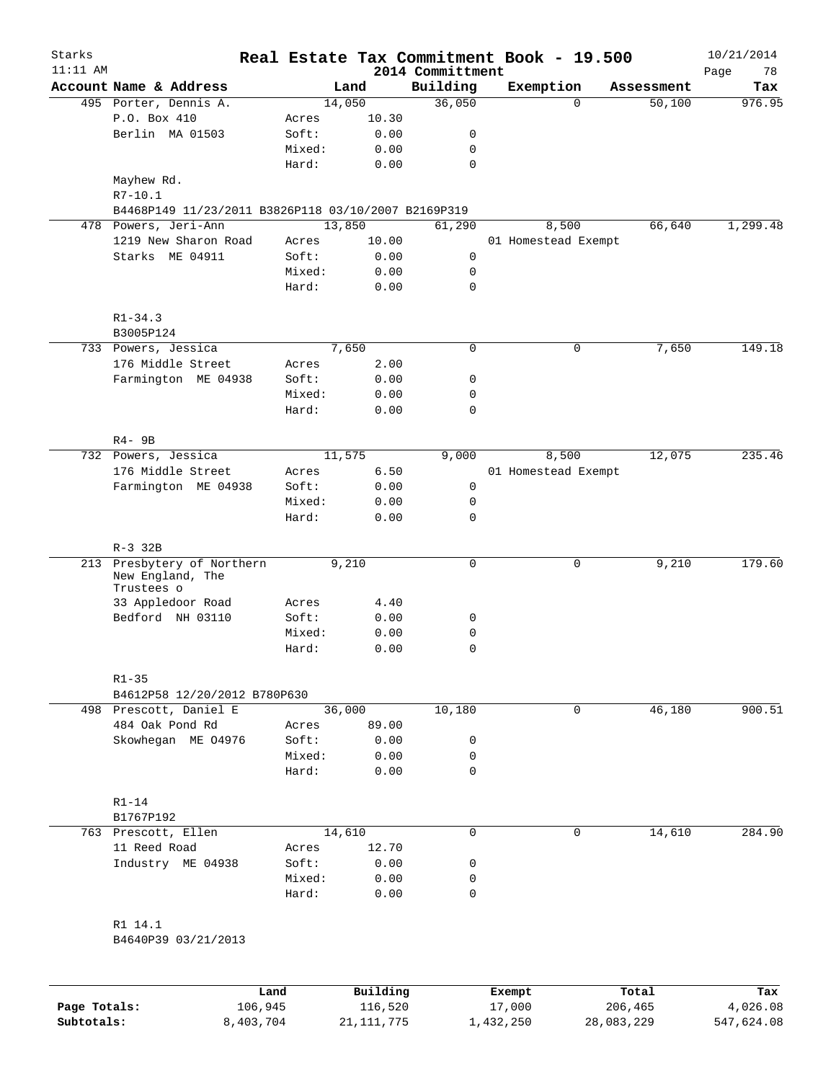| Starks<br>$11:11$ AM |                                                        |        |        | Real Estate Tax Commitment Book - 19.500<br>2014 Committment |           |                     |            | 10/21/2014<br>78<br>Page |
|----------------------|--------------------------------------------------------|--------|--------|--------------------------------------------------------------|-----------|---------------------|------------|--------------------------|
|                      | Account Name & Address                                 |        | Land   | Building                                                     | Exemption |                     | Assessment | Tax                      |
|                      | 495 Porter, Dennis A.                                  |        | 14,050 | 36,050                                                       |           | $\Omega$            | 50,100     | 976.95                   |
|                      | P.O. Box 410                                           | Acres  | 10.30  |                                                              |           |                     |            |                          |
|                      | Berlin MA 01503                                        | Soft:  | 0.00   | 0                                                            |           |                     |            |                          |
|                      |                                                        | Mixed: | 0.00   | $\mathbf 0$                                                  |           |                     |            |                          |
|                      |                                                        | Hard:  | 0.00   | $\mathbf 0$                                                  |           |                     |            |                          |
|                      | Mayhew Rd.                                             |        |        |                                                              |           |                     |            |                          |
|                      | $R7 - 10.1$                                            |        |        |                                                              |           |                     |            |                          |
|                      | B4468P149 11/23/2011 B3826P118 03/10/2007 B2169P319    |        |        |                                                              |           |                     |            |                          |
|                      | 478 Powers, Jeri-Ann                                   |        | 13,850 | 61,290                                                       |           | 8,500               | 66,640     | 1,299.48                 |
|                      | 1219 New Sharon Road                                   | Acres  | 10.00  |                                                              |           | 01 Homestead Exempt |            |                          |
|                      | Starks ME 04911                                        | Soft:  | 0.00   | $\mathbf 0$                                                  |           |                     |            |                          |
|                      |                                                        | Mixed: | 0.00   | 0                                                            |           |                     |            |                          |
|                      |                                                        | Hard:  | 0.00   | $\mathbf 0$                                                  |           |                     |            |                          |
|                      |                                                        |        |        |                                                              |           |                     |            |                          |
|                      | $R1 - 34.3$                                            |        |        |                                                              |           |                     |            |                          |
|                      | B3005P124                                              |        |        |                                                              |           |                     |            |                          |
|                      | 733 Powers, Jessica                                    |        | 7,650  | $\mathbf 0$                                                  |           | 0                   | 7,650      | 149.18                   |
|                      | 176 Middle Street                                      | Acres  | 2.00   |                                                              |           |                     |            |                          |
|                      | Farmington ME 04938                                    | Soft:  | 0.00   | 0                                                            |           |                     |            |                          |
|                      |                                                        | Mixed: | 0.00   | 0                                                            |           |                     |            |                          |
|                      |                                                        | Hard:  | 0.00   | 0                                                            |           |                     |            |                          |
|                      |                                                        |        |        |                                                              |           |                     |            |                          |
|                      | $R4 - 9B$                                              |        |        |                                                              |           |                     |            |                          |
|                      | 732 Powers, Jessica                                    |        | 11,575 | 9,000                                                        |           | 8,500               | 12,075     | 235.46                   |
|                      | 176 Middle Street                                      | Acres  | 6.50   |                                                              |           | 01 Homestead Exempt |            |                          |
|                      | Farmington ME 04938                                    | Soft:  | 0.00   | 0                                                            |           |                     |            |                          |
|                      |                                                        | Mixed: | 0.00   | 0                                                            |           |                     |            |                          |
|                      |                                                        | Hard:  | 0.00   | $\mathbf 0$                                                  |           |                     |            |                          |
|                      | $R-3$ 32B                                              |        |        |                                                              |           |                     |            |                          |
|                      | 213 Presbytery of Northern                             |        | 9,210  | 0                                                            |           | 0                   | 9,210      | 179.60                   |
|                      | New England, The<br>Trustees o                         |        |        |                                                              |           |                     |            |                          |
|                      | 33 Appledoor Road                                      | Acres  | 4.40   |                                                              |           |                     |            |                          |
|                      | Bedford NH 03110                                       | Soft:  | 0.00   | 0                                                            |           |                     |            |                          |
|                      |                                                        | Mixed: | 0.00   | 0                                                            |           |                     |            |                          |
|                      |                                                        | Hard:  | 0.00   | 0                                                            |           |                     |            |                          |
|                      |                                                        |        |        |                                                              |           |                     |            |                          |
|                      | $R1 - 35$                                              |        |        |                                                              |           |                     |            |                          |
|                      | B4612P58 12/20/2012 B780P630<br>498 Prescott, Daniel E |        | 36,000 | 10,180                                                       |           | $\mathbf 0$         | 46,180     | 900.51                   |
|                      | 484 Oak Pond Rd                                        | Acres  | 89.00  |                                                              |           |                     |            |                          |
|                      | Skowhegan ME 04976                                     | Soft:  | 0.00   | 0                                                            |           |                     |            |                          |
|                      |                                                        | Mixed: | 0.00   | 0                                                            |           |                     |            |                          |
|                      |                                                        | Hard:  | 0.00   | $\mathbf 0$                                                  |           |                     |            |                          |
|                      |                                                        |        |        |                                                              |           |                     |            |                          |
|                      | $R1 - 14$                                              |        |        |                                                              |           |                     |            |                          |
|                      | B1767P192                                              |        |        |                                                              |           |                     |            |                          |
|                      | 763 Prescott, Ellen                                    |        | 14,610 | $\mathbf 0$                                                  |           | $\mathbf 0$         | 14,610     | 284.90                   |
|                      | 11 Reed Road                                           | Acres  | 12.70  |                                                              |           |                     |            |                          |
|                      | Industry ME 04938                                      | Soft:  | 0.00   | 0                                                            |           |                     |            |                          |
|                      |                                                        | Mixed: | 0.00   | 0                                                            |           |                     |            |                          |
|                      |                                                        | Hard:  | 0.00   | 0                                                            |           |                     |            |                          |
|                      |                                                        |        |        |                                                              |           |                     |            |                          |
|                      | R1 14.1                                                |        |        |                                                              |           |                     |            |                          |
|                      | B4640P39 03/21/2013                                    |        |        |                                                              |           |                     |            |                          |
|                      |                                                        |        |        |                                                              |           |                     |            |                          |
|                      |                                                        |        |        |                                                              |           |                     |            |                          |

|              | Land      | Building     | Exempt    | Total      | Tax        |
|--------------|-----------|--------------|-----------|------------|------------|
| Page Totals: | 106,945   | 116,520      | 17,000    | 206,465    | 4,026.08   |
| Subtotals:   | 8,403,704 | 21, 111, 775 | 1,432,250 | 28,083,229 | 547,624.08 |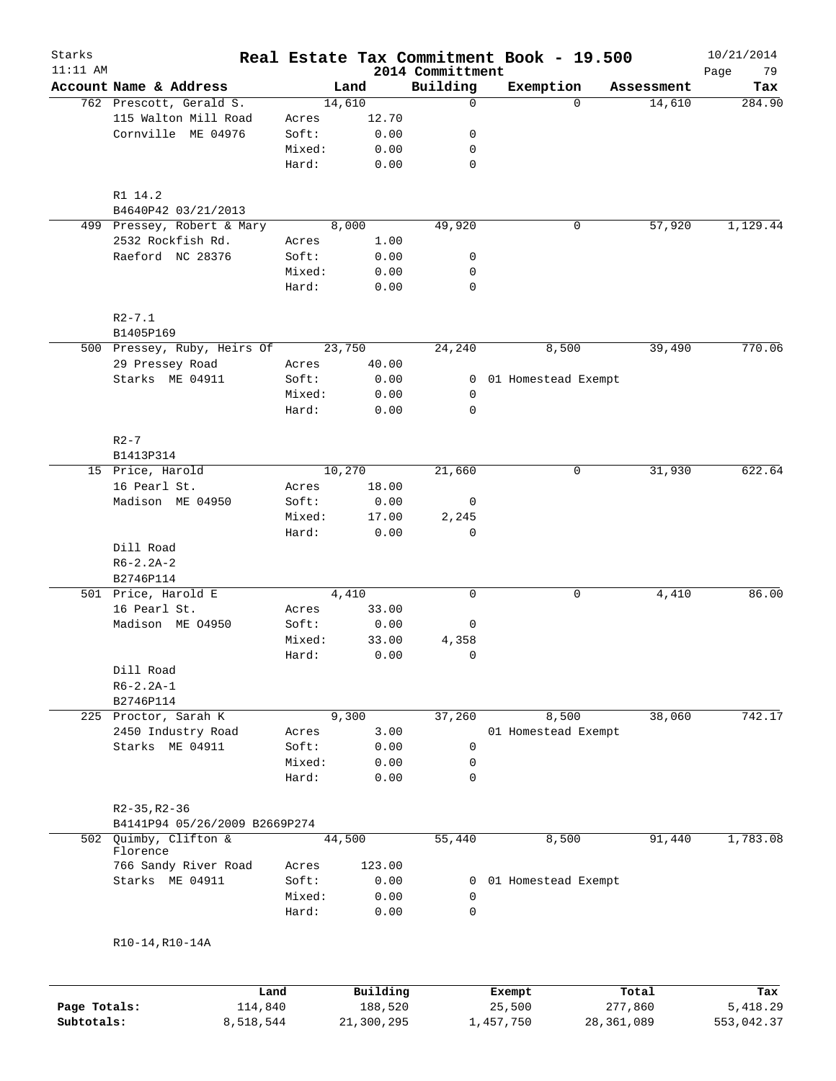| Starks<br>$11:11$ AM |                                                |        |                 |                              | Real Estate Tax Commitment Book - 19.500 |              | 10/21/2014        |
|----------------------|------------------------------------------------|--------|-----------------|------------------------------|------------------------------------------|--------------|-------------------|
|                      | Account Name & Address                         |        | Land            | 2014 Committment<br>Building | Exemption                                | Assessment   | Page<br>79<br>Tax |
|                      | 762 Prescott, Gerald S.                        |        | 14,610          | 0                            | $\Omega$                                 | 14,610       | 284.90            |
|                      | 115 Walton Mill Road                           | Acres  | 12.70           |                              |                                          |              |                   |
|                      | Cornville ME 04976                             | Soft:  | 0.00            | 0                            |                                          |              |                   |
|                      |                                                | Mixed: | 0.00            | 0                            |                                          |              |                   |
|                      |                                                | Hard:  | 0.00            | $\mathbf 0$                  |                                          |              |                   |
|                      |                                                |        |                 |                              |                                          |              |                   |
|                      | R1 14.2                                        |        |                 |                              |                                          |              |                   |
|                      | B4640P42 03/21/2013                            |        |                 |                              |                                          |              |                   |
|                      | 499 Pressey, Robert & Mary                     |        | 8,000           | 49,920                       | 0                                        | 57,920       | 1,129.44          |
|                      | 2532 Rockfish Rd.                              | Acres  | 1.00            |                              |                                          |              |                   |
|                      | Raeford NC 28376                               | Soft:  | 0.00            | 0                            |                                          |              |                   |
|                      |                                                | Mixed: | 0.00            | 0                            |                                          |              |                   |
|                      |                                                | Hard:  | 0.00            | $\mathbf 0$                  |                                          |              |                   |
|                      |                                                |        |                 |                              |                                          |              |                   |
|                      | $R2 - 7.1$                                     |        |                 |                              |                                          |              |                   |
|                      | B1405P169                                      |        |                 |                              | 8,500                                    |              | 770.06            |
|                      | 500 Pressey, Ruby, Heirs Of<br>29 Pressey Road |        | 23,750<br>40.00 | 24,240                       |                                          | 39,490       |                   |
|                      |                                                | Acres  |                 |                              |                                          |              |                   |
|                      | Starks ME 04911                                | Soft:  | 0.00            |                              | 0 01 Homestead Exempt                    |              |                   |
|                      |                                                | Mixed: | 0.00            | 0                            |                                          |              |                   |
|                      |                                                | Hard:  | 0.00            | $\mathbf 0$                  |                                          |              |                   |
|                      | $R2 - 7$                                       |        |                 |                              |                                          |              |                   |
|                      | B1413P314                                      |        |                 |                              |                                          |              |                   |
|                      | 15 Price, Harold                               |        | 10,270          | 21,660                       | 0                                        | 31,930       | 622.64            |
|                      | 16 Pearl St.                                   | Acres  | 18.00           |                              |                                          |              |                   |
|                      | Madison ME 04950                               | Soft:  | 0.00            | 0                            |                                          |              |                   |
|                      |                                                | Mixed: | 17.00           | 2,245                        |                                          |              |                   |
|                      |                                                | Hard:  | 0.00            | $\mathbf 0$                  |                                          |              |                   |
|                      | Dill Road                                      |        |                 |                              |                                          |              |                   |
|                      | $R6 - 2.2A - 2$                                |        |                 |                              |                                          |              |                   |
|                      | B2746P114                                      |        |                 |                              |                                          |              |                   |
|                      | 501 Price, Harold E                            |        | 4,410           | 0                            | 0                                        | 4,410        | 86.00             |
|                      | 16 Pearl St.                                   | Acres  | 33.00           |                              |                                          |              |                   |
|                      | Madison ME 04950                               | Soft:  | 0.00            | 0                            |                                          |              |                   |
|                      |                                                | Mixed: | 33.00           | 4,358                        |                                          |              |                   |
|                      |                                                | Hard:  | 0.00            | $\mathbf 0$                  |                                          |              |                   |
|                      | Dill Road                                      |        |                 |                              |                                          |              |                   |
|                      | $R6 - 2.2A - 1$                                |        |                 |                              |                                          |              |                   |
|                      | B2746P114                                      |        |                 |                              |                                          |              |                   |
|                      | 225 Proctor, Sarah K                           |        | 9,300           | 37,260                       | 8,500                                    | 38,060       | 742.17            |
|                      | 2450 Industry Road                             | Acres  | 3.00            |                              | 01 Homestead Exempt                      |              |                   |
|                      | Starks ME 04911                                | Soft:  | 0.00            | 0                            |                                          |              |                   |
|                      |                                                | Mixed: | 0.00            | 0                            |                                          |              |                   |
|                      |                                                | Hard:  | 0.00            | $\mathbf 0$                  |                                          |              |                   |
|                      |                                                |        |                 |                              |                                          |              |                   |
|                      | $R2 - 35, R2 - 36$                             |        |                 |                              |                                          |              |                   |
|                      | B4141P94 05/26/2009 B2669P274                  |        |                 |                              |                                          |              |                   |
|                      | 502 Quimby, Clifton &                          |        | 44,500          | 55,440                       | 8,500                                    | 91,440       | 1,783.08          |
|                      | Florence<br>766 Sandy River Road               | Acres  | 123.00          |                              |                                          |              |                   |
|                      | Starks ME 04911                                | Soft:  | 0.00            | 0                            | 01 Homestead Exempt                      |              |                   |
|                      |                                                | Mixed: | 0.00            | 0                            |                                          |              |                   |
|                      |                                                | Hard:  | 0.00            | $\mathbf 0$                  |                                          |              |                   |
|                      |                                                |        |                 |                              |                                          |              |                   |
|                      | R10-14, R10-14A                                |        |                 |                              |                                          |              |                   |
|                      |                                                |        |                 |                              |                                          |              |                   |
|                      | Land                                           |        | Building        |                              | Exempt                                   | Total        | Tax               |
| Page Totals:         | 114,840                                        |        | 188,520         |                              | 25,500                                   | 277,860      | 5,418.29          |
| Subtotals:           | 8,518,544                                      |        | 21,300,295      |                              | 1,457,750                                | 28, 361, 089 | 553,042.37        |
|                      |                                                |        |                 |                              |                                          |              |                   |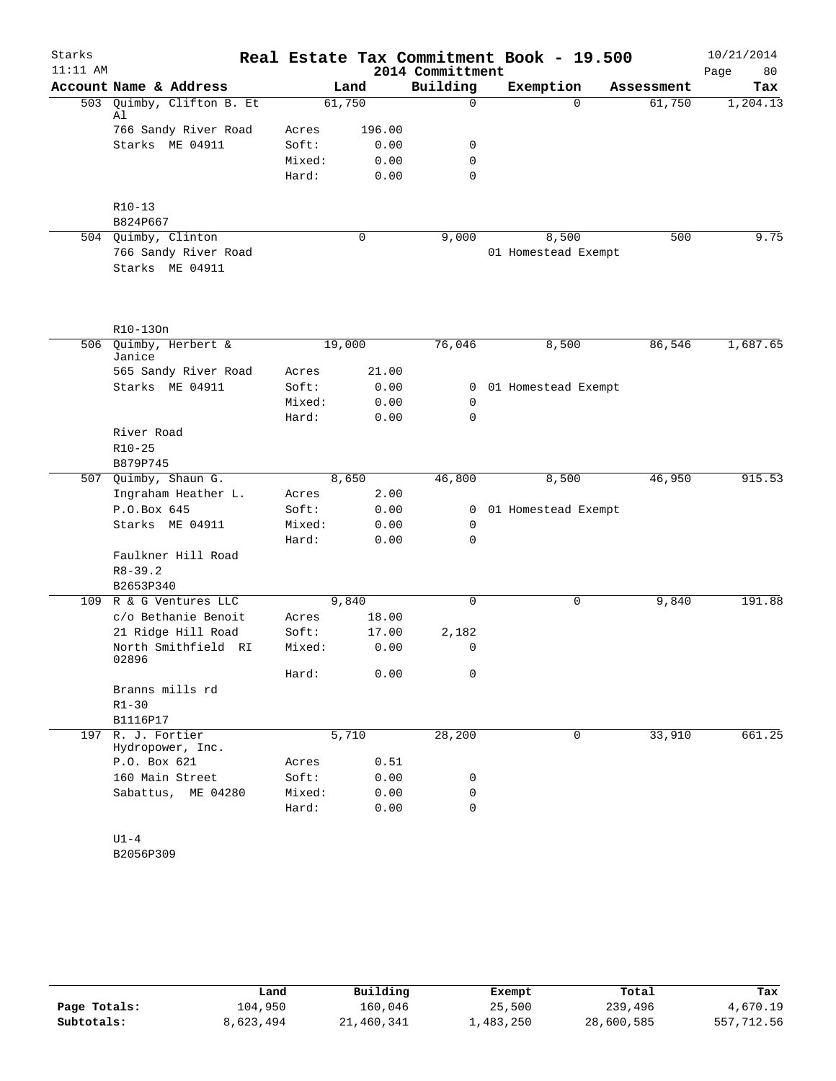| Starks     |                                           |                |                |                  | Real Estate Tax Commitment Book - 19.500 |            | 10/21/2014 |
|------------|-------------------------------------------|----------------|----------------|------------------|------------------------------------------|------------|------------|
| $11:11$ AM |                                           |                |                | 2014 Committment |                                          |            | Page<br>80 |
|            | Account Name & Address                    |                | Land           | Building         | Exemption                                | Assessment | Tax        |
|            | 503 Quimby, Clifton B. Et<br>Al           | 61,750         |                | $\Omega$         | $\Omega$                                 | 61,750     | 1,204.13   |
|            | 766 Sandy River Road                      | Acres          | 196.00         |                  |                                          |            |            |
|            | Starks ME 04911                           | Soft:          | 0.00           | $\mathbf 0$      |                                          |            |            |
|            |                                           | Mixed:         | 0.00           | $\mathbf 0$      |                                          |            |            |
|            |                                           | Hard:          | 0.00           | $\mathbf 0$      |                                          |            |            |
|            | $R10-13$                                  |                |                |                  |                                          |            |            |
|            | B824P667                                  |                |                |                  |                                          |            |            |
|            | 504 Quimby, Clinton                       |                | $\mathbf 0$    | 9,000            | 8,500                                    | 500        | 9.75       |
|            | 766 Sandy River Road<br>Starks ME 04911   |                |                |                  | 01 Homestead Exempt                      |            |            |
|            | R10-130n                                  |                |                |                  |                                          |            |            |
| 506        | Quimby, Herbert &<br>Janice               | 19,000         |                | 76,046           | 8,500                                    | 86,546     | 1,687.65   |
|            | 565 Sandy River Road                      | Acres          | 21.00          |                  |                                          |            |            |
|            | Starks ME 04911                           | Soft:          | 0.00           |                  | 0 01 Homestead Exempt                    |            |            |
|            |                                           | Mixed:         | 0.00           | 0                |                                          |            |            |
|            |                                           | Hard:          | 0.00           | $\mathbf 0$      |                                          |            |            |
|            | River Road                                |                |                |                  |                                          |            |            |
|            | $R10 - 25$<br>B879P745                    |                |                |                  |                                          |            |            |
|            | 507 Quimby, Shaun G.                      |                | 8,650          | 46,800           | 8,500                                    | 46,950     | 915.53     |
|            | Ingraham Heather L.                       | Acres          | 2.00           |                  |                                          |            |            |
|            | P.O.Box 645                               | Soft:          | 0.00           |                  | 0 01 Homestead Exempt                    |            |            |
|            | Starks ME 04911                           | Mixed:         | 0.00           | 0                |                                          |            |            |
|            |                                           | Hard:          | 0.00           | $\mathbf 0$      |                                          |            |            |
|            | Faulkner Hill Road                        |                |                |                  |                                          |            |            |
|            | $R8 - 39.2$                               |                |                |                  |                                          |            |            |
|            | B2653P340                                 |                |                |                  |                                          |            |            |
|            | 109 R & G Ventures LLC                    |                | 9,840          | $\mathbf 0$      | 0                                        | 9,840      | 191.88     |
|            | c/o Bethanie Benoit<br>21 Ridge Hill Road | Acres<br>Soft: | 18.00<br>17.00 | 2,182            |                                          |            |            |
|            | North Smithfield RI                       | Mixed:         | 0.00           | 0                |                                          |            |            |
|            | 02896                                     | Hard:          | 0.00           | $\mathbf 0$      |                                          |            |            |
|            | Branns mills rd                           |                |                |                  |                                          |            |            |
|            | $R1 - 30$                                 |                |                |                  |                                          |            |            |
|            | B1116P17                                  |                |                |                  |                                          |            |            |
| 197        | R. J. Fortier<br>Hydropower, Inc.         |                | 5,710          | 28,200           | 0                                        | 33,910     | 661.25     |
|            | P.O. Box 621                              | Acres          | 0.51           |                  |                                          |            |            |
|            | 160 Main Street                           | Soft:          | 0.00           | 0                |                                          |            |            |
|            | Sabattus, ME 04280                        | Mixed:         | 0.00           | 0                |                                          |            |            |
|            |                                           | Hard:          | 0.00           | 0                |                                          |            |            |
|            |                                           |                |                |                  |                                          |            |            |

U1-4 B2056P309

|              | Land      | Building   | Exempt    | Total      | Tax        |
|--------------|-----------|------------|-----------|------------|------------|
| Page Totals: | 104,950   | 160,046    | 25,500    | 239,496    | 4,670.19   |
| Subtotals:   | 8,623,494 | 21,460,341 | 1,483,250 | 28,600,585 | 557,712.56 |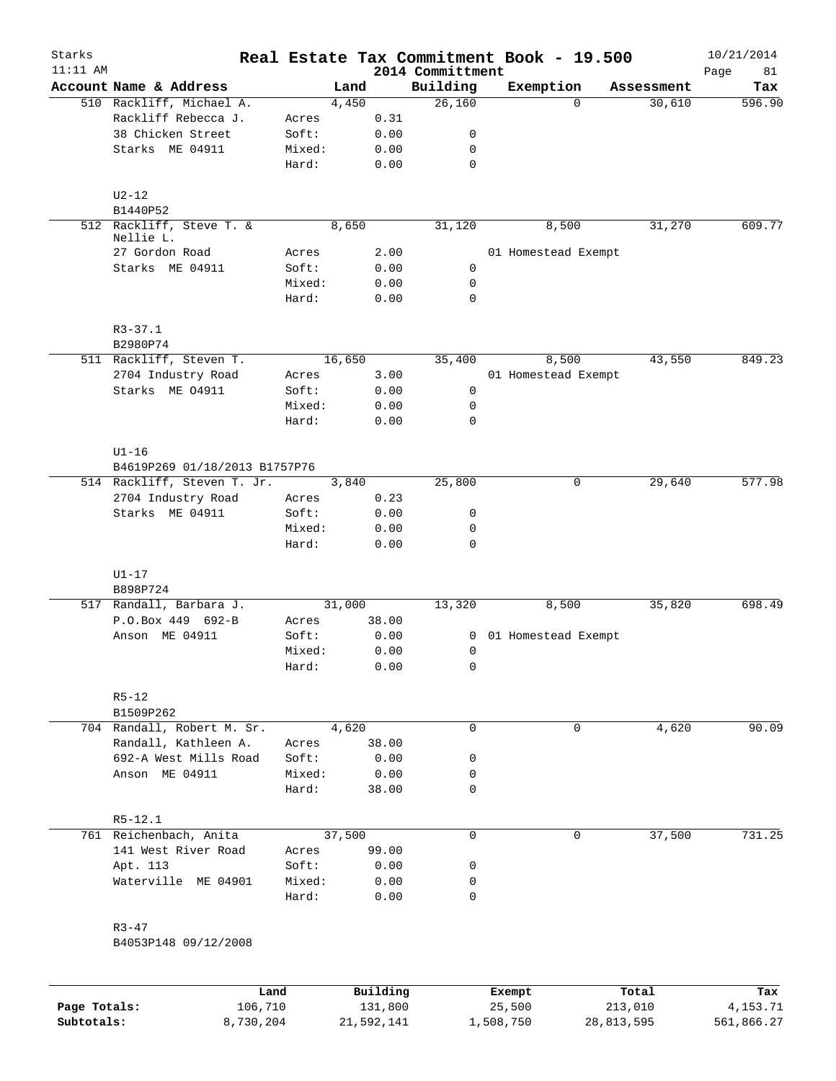| Starks       |                                       |                 |        |              |                              | Real Estate Tax Commitment Book - 19.500 |            | 10/21/2014        |
|--------------|---------------------------------------|-----------------|--------|--------------|------------------------------|------------------------------------------|------------|-------------------|
| $11:11$ AM   | Account Name & Address                |                 | Land   |              | 2014 Committment<br>Building | Exemption                                | Assessment | Page<br>81<br>Tax |
|              | 510 Rackliff, Michael A.              |                 | 4,450  |              | 26,160                       | $\Omega$                                 | 30,610     | 596.90            |
|              | Rackliff Rebecca J.                   | Acres           |        | 0.31         |                              |                                          |            |                   |
|              | 38 Chicken Street                     | Soft:           |        | 0.00         | 0                            |                                          |            |                   |
|              | Starks ME 04911                       | Mixed:          |        | 0.00         | 0                            |                                          |            |                   |
|              |                                       | Hard:           |        | 0.00         | $\mathbf 0$                  |                                          |            |                   |
|              | $U2-12$                               |                 |        |              |                              |                                          |            |                   |
|              | B1440P52                              |                 |        |              |                              |                                          |            |                   |
|              | 512 Rackliff, Steve T. &<br>Nellie L. |                 | 8,650  |              | 31,120                       | 8,500                                    | 31,270     | 609.77            |
|              | 27 Gordon Road                        | Acres           |        | 2.00         |                              | 01 Homestead Exempt                      |            |                   |
|              | Starks ME 04911                       | Soft:           |        | 0.00         | $\mathbf 0$                  |                                          |            |                   |
|              |                                       | Mixed:<br>Hard: |        | 0.00<br>0.00 | 0<br>0                       |                                          |            |                   |
|              | $R3 - 37.1$                           |                 |        |              |                              |                                          |            |                   |
|              | B2980P74                              |                 |        |              |                              |                                          |            |                   |
|              | 511 Rackliff, Steven T.               |                 | 16,650 |              | 35,400                       | 8,500                                    | 43,550     | 849.23            |
|              | 2704 Industry Road                    | Acres           |        | 3.00         |                              | 01 Homestead Exempt                      |            |                   |
|              | Starks ME 04911                       | Soft:           |        | 0.00         | $\mathbf 0$                  |                                          |            |                   |
|              |                                       | Mixed:          |        | 0.00         | $\mathbf 0$                  |                                          |            |                   |
|              |                                       | Hard:           |        | 0.00         | 0                            |                                          |            |                   |
|              | $U1-16$                               |                 |        |              |                              |                                          |            |                   |
|              | B4619P269 01/18/2013 B1757P76         |                 |        |              |                              |                                          |            |                   |
|              | 514 Rackliff, Steven T. Jr.           |                 | 3,840  |              | 25,800                       | 0                                        | 29,640     | 577.98            |
|              | 2704 Industry Road                    | Acres           |        | 0.23         |                              |                                          |            |                   |
|              | Starks ME 04911                       | Soft:           |        | 0.00         | 0                            |                                          |            |                   |
|              |                                       | Mixed:          |        | 0.00         | 0                            |                                          |            |                   |
|              |                                       | Hard:           |        | 0.00         | 0                            |                                          |            |                   |
|              | $U1-17$                               |                 |        |              |                              |                                          |            |                   |
|              | B898P724<br>517 Randall, Barbara J.   |                 | 31,000 |              | 13,320                       | 8,500                                    | 35,820     | 698.49            |
|              | P.O.Box 449 692-B                     | Acres           |        | 38.00        |                              |                                          |            |                   |
|              | Anson ME 04911                        | Soft:           |        | 0.00         |                              | 0 01 Homestead Exempt                    |            |                   |
|              |                                       | Mixed:          |        | 0.00         | 0                            |                                          |            |                   |
|              |                                       | Hard:           |        | 0.00         | 0                            |                                          |            |                   |
|              | $R5 - 12$                             |                 |        |              |                              |                                          |            |                   |
|              | B1509P262                             |                 |        |              |                              |                                          |            |                   |
|              | 704 Randall, Robert M. Sr.            |                 | 4,620  |              | $\mathbf 0$                  | 0                                        | 4,620      | 90.09             |
|              | Randall, Kathleen A.                  | Acres           |        | 38.00        |                              |                                          |            |                   |
|              | 692-A West Mills Road                 | Soft:           |        | 0.00         | 0                            |                                          |            |                   |
|              | Anson ME 04911                        | Mixed:          |        | 0.00         | 0                            |                                          |            |                   |
|              |                                       | Hard:           |        | 38.00        | 0                            |                                          |            |                   |
|              | $R5 - 12.1$                           |                 |        |              |                              |                                          |            |                   |
|              | 761 Reichenbach, Anita                |                 | 37,500 |              | $\mathbf 0$                  | 0                                        | 37,500     | 731.25            |
|              | 141 West River Road                   | Acres           |        | 99.00        |                              |                                          |            |                   |
|              | Apt. 113                              | Soft:           |        | 0.00         | 0                            |                                          |            |                   |
|              | Waterville ME 04901                   | Mixed:<br>Hard: |        | 0.00<br>0.00 | 0<br>0                       |                                          |            |                   |
|              | $R3 - 47$                             |                 |        |              |                              |                                          |            |                   |
|              | B4053P148 09/12/2008                  |                 |        |              |                              |                                          |            |                   |
|              |                                       |                 |        |              |                              |                                          |            |                   |
|              | Land                                  |                 |        | Building     |                              | Exempt                                   | Total      | Tax               |
| Page Totals: | 106,710                               |                 |        | 131,800      |                              | 25,500                                   | 213,010    | 4,153.71          |

**Subtotals:** 8,730,204 21,592,141 1,508,750 28,813,595 561,866.27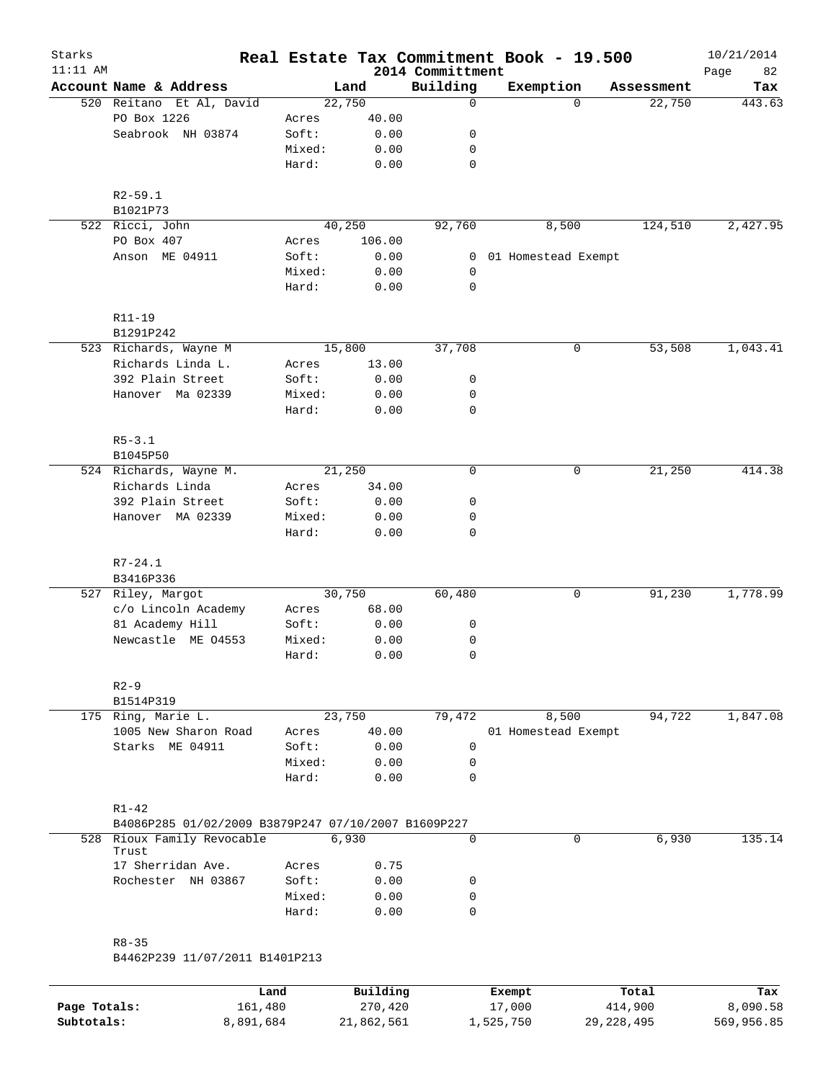| Starks<br>$11:11$ AM |                                                                  |                 |              | 2014 Committment | Real Estate Tax Commitment Book - 19.500 |            | 10/21/2014<br>82<br>Page |
|----------------------|------------------------------------------------------------------|-----------------|--------------|------------------|------------------------------------------|------------|--------------------------|
|                      | Account Name & Address                                           |                 | Land         | Building         | Exemption                                | Assessment | Tax                      |
|                      | 520 Reitano Et Al, David                                         |                 | 22,750       | 0                | $\Omega$                                 | 22,750     | 443.63                   |
|                      | PO Box 1226                                                      | Acres           | 40.00        |                  |                                          |            |                          |
|                      | Seabrook NH 03874                                                | Soft:           | 0.00         | 0                |                                          |            |                          |
|                      |                                                                  | Mixed:          | 0.00         | 0                |                                          |            |                          |
|                      |                                                                  | Hard:           | 0.00         | $\mathbf 0$      |                                          |            |                          |
|                      | $R2 - 59.1$                                                      |                 |              |                  |                                          |            |                          |
|                      | B1021P73                                                         |                 |              |                  |                                          |            |                          |
|                      | 522 Ricci, John                                                  |                 | 40,250       | 92,760           | 8,500                                    | 124,510    | 2,427.95                 |
|                      | PO Box 407                                                       | Acres           | 106.00       |                  |                                          |            |                          |
|                      | Anson ME 04911                                                   | Soft:           | 0.00         | 0                | 01 Homestead Exempt                      |            |                          |
|                      |                                                                  | Mixed:<br>Hard: | 0.00<br>0.00 | 0<br>$\mathbf 0$ |                                          |            |                          |
|                      | $R11 - 19$                                                       |                 |              |                  |                                          |            |                          |
|                      | B1291P242                                                        |                 |              |                  |                                          |            |                          |
|                      | 523 Richards, Wayne M                                            |                 | 15,800       | 37,708           | 0                                        | 53,508     | 1,043.41                 |
|                      | Richards Linda L.                                                | Acres           | 13.00        |                  |                                          |            |                          |
|                      | 392 Plain Street                                                 | Soft:           | 0.00         | 0                |                                          |            |                          |
|                      | Hanover Ma 02339                                                 | Mixed:          | 0.00         | 0                |                                          |            |                          |
|                      |                                                                  | Hard:           | 0.00         | 0                |                                          |            |                          |
|                      | $R5 - 3.1$                                                       |                 |              |                  |                                          |            |                          |
|                      | B1045P50                                                         |                 |              |                  |                                          |            |                          |
|                      | 524 Richards, Wayne M.                                           |                 | 21,250       | $\mathbf 0$      | 0                                        | 21,250     | 414.38                   |
|                      | Richards Linda                                                   | Acres           | 34.00        |                  |                                          |            |                          |
|                      | 392 Plain Street                                                 | Soft:           | 0.00         | 0                |                                          |            |                          |
|                      | Hanover MA 02339                                                 | Mixed:          | 0.00         | 0                |                                          |            |                          |
|                      |                                                                  | Hard:           | 0.00         | $\mathbf 0$      |                                          |            |                          |
|                      | $R7 - 24.1$                                                      |                 |              |                  |                                          |            |                          |
|                      | B3416P336                                                        |                 |              |                  |                                          |            |                          |
|                      | 527 Riley, Margot                                                |                 | 30,750       | 60,480           | 0                                        | 91,230     | 1,778.99                 |
|                      | c/o Lincoln Academy                                              | Acres           | 68.00        |                  |                                          |            |                          |
|                      | 81 Academy Hill                                                  | Soft:           | 0.00         | 0                |                                          |            |                          |
|                      | Newcastle ME 04553                                               | Mixed:<br>Hard: | 0.00<br>0.00 | 0<br>$\mathbf 0$ |                                          |            |                          |
|                      |                                                                  |                 |              |                  |                                          |            |                          |
|                      | $R2-9$<br>B1514P319                                              |                 |              |                  |                                          |            |                          |
|                      | 175 Ring, Marie L.                                               |                 | 23,750       | 79,472           | 8,500                                    | 94,722     | 1,847.08                 |
|                      | 1005 New Sharon Road                                             | Acres           | 40.00        |                  | 01 Homestead Exempt                      |            |                          |
|                      | Starks ME 04911                                                  | Soft:           | 0.00         | 0                |                                          |            |                          |
|                      |                                                                  | Mixed:          | 0.00         | 0                |                                          |            |                          |
|                      |                                                                  | Hard:           | 0.00         | $\mathbf 0$      |                                          |            |                          |
|                      | $R1 - 42$<br>B4086P285 01/02/2009 B3879P247 07/10/2007 B1609P227 |                 |              |                  |                                          |            |                          |
|                      | 528 Rioux Family Revocable                                       |                 | 6,930        | $\Omega$         | 0                                        | 6,930      | 135.14                   |
|                      | Trust                                                            |                 |              |                  |                                          |            |                          |
|                      | 17 Sherridan Ave.                                                | Acres           | 0.75         |                  |                                          |            |                          |
|                      | Rochester NH 03867                                               | Soft:           | 0.00         | 0                |                                          |            |                          |
|                      |                                                                  | Mixed:          | 0.00         | $\mathbf 0$      |                                          |            |                          |
|                      |                                                                  | Hard:           | 0.00         | $\mathbf 0$      |                                          |            |                          |
|                      | $R8 - 35$<br>B4462P239 11/07/2011 B1401P213                      |                 |              |                  |                                          |            |                          |
|                      |                                                                  |                 |              |                  |                                          |            |                          |
|                      |                                                                  | Land            | Building     |                  | Exempt                                   | Total      | Tax                      |

**Page Totals:** 161,480 270,420 17,000 414,900 8,090.58 **Subtotals:** 8,891,684 21,862,561 1,525,750 29,228,495 569,956.85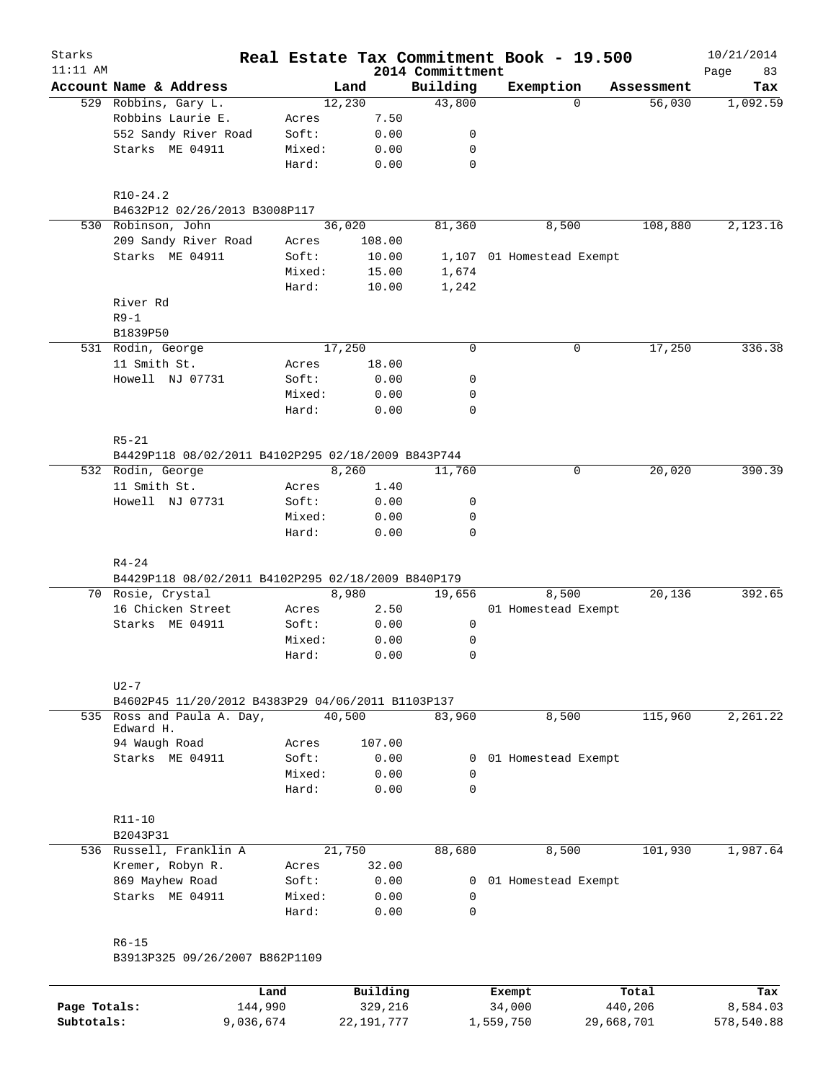| Starks       |                                                    |                 |              |                              | Real Estate Tax Commitment Book - 19.500 |            | 10/21/2014        |
|--------------|----------------------------------------------------|-----------------|--------------|------------------------------|------------------------------------------|------------|-------------------|
| $11:11$ AM   | Account Name & Address                             |                 | Land         | 2014 Committment<br>Building | Exemption                                | Assessment | Page<br>83<br>Tax |
|              | 529 Robbins, Gary L.                               |                 | 12,230       | 43,800                       | $\Omega$                                 | 56,030     | 1,092.59          |
|              | Robbins Laurie E.                                  | Acres           | 7.50         |                              |                                          |            |                   |
|              | 552 Sandy River Road                               | Soft:           | 0.00         | 0                            |                                          |            |                   |
|              | Starks ME 04911                                    | Mixed:          | 0.00         | 0                            |                                          |            |                   |
|              |                                                    | Hard:           | 0.00         | $\mathbf 0$                  |                                          |            |                   |
|              | $R10-24.2$                                         |                 |              |                              |                                          |            |                   |
|              | B4632P12 02/26/2013 B3008P117                      |                 |              |                              |                                          |            |                   |
|              | 530 Robinson, John                                 |                 | 36,020       | 81,360                       | 8,500                                    | 108,880    | 2,123.16          |
|              | 209 Sandy River Road                               | Acres           | 108.00       |                              |                                          |            |                   |
|              | Starks ME 04911                                    | Soft:           | 10.00        |                              | 1,107 01 Homestead Exempt                |            |                   |
|              |                                                    | Mixed:          | 15.00        | 1,674                        |                                          |            |                   |
|              |                                                    | Hard:           | 10.00        | 1,242                        |                                          |            |                   |
|              | River Rd                                           |                 |              |                              |                                          |            |                   |
|              | $R9-1$                                             |                 |              |                              |                                          |            |                   |
|              | B1839P50                                           |                 |              |                              |                                          |            |                   |
|              | 531 Rodin, George                                  |                 | 17,250       | 0                            | 0                                        | 17,250     | 336.38            |
|              | 11 Smith St.                                       | Acres           | 18.00        |                              |                                          |            |                   |
|              | Howell NJ 07731                                    | Soft:           | 0.00         | 0                            |                                          |            |                   |
|              |                                                    | Mixed:          | 0.00         | 0                            |                                          |            |                   |
|              |                                                    | Hard:           | 0.00         | 0                            |                                          |            |                   |
|              | $R5 - 21$                                          |                 |              |                              |                                          |            |                   |
|              | B4429P118 08/02/2011 B4102P295 02/18/2009 B843P744 |                 |              |                              |                                          |            |                   |
|              | 532 Rodin, George                                  |                 | 8,260        | 11,760                       | 0                                        | 20,020     | 390.39            |
|              | 11 Smith St.                                       | Acres           | 1.40         |                              |                                          |            |                   |
|              | Howell NJ 07731                                    | Soft:           | 0.00         | 0                            |                                          |            |                   |
|              |                                                    | Mixed:          | 0.00         | 0                            |                                          |            |                   |
|              |                                                    | Hard:           | 0.00         | 0                            |                                          |            |                   |
|              | $R4 - 24$                                          |                 |              |                              |                                          |            |                   |
|              | B4429P118 08/02/2011 B4102P295 02/18/2009 B840P179 |                 |              |                              |                                          |            |                   |
|              | 70 Rosie, Crystal                                  |                 | 8,980        | 19,656                       | 8,500                                    | 20,136     | 392.65            |
|              | 16 Chicken Street                                  | Acres           | 2.50         |                              | 01 Homestead Exempt                      |            |                   |
|              | Starks ME 04911                                    | Soft:           | 0.00         | 0                            |                                          |            |                   |
|              |                                                    | Mixed:<br>Hard: | 0.00<br>0.00 | 0<br>0                       |                                          |            |                   |
|              |                                                    |                 |              |                              |                                          |            |                   |
|              | $U2-7$                                             |                 |              |                              |                                          |            |                   |
|              | B4602P45 11/20/2012 B4383P29 04/06/2011 B1103P137  |                 |              |                              |                                          |            |                   |
|              | 535 Ross and Paula A. Day,<br>Edward H.            |                 | 40,500       | 83,960                       | 8,500                                    | 115,960    | 2,261.22          |
|              | 94 Waugh Road                                      | Acres           | 107.00       |                              |                                          |            |                   |
|              | Starks ME 04911                                    | Soft:           | 0.00         | $\mathbf{0}$                 | 01 Homestead Exempt                      |            |                   |
|              |                                                    | Mixed:          | 0.00         | 0                            |                                          |            |                   |
|              |                                                    | Hard:           | 0.00         | 0                            |                                          |            |                   |
|              | $R11 - 10$                                         |                 |              |                              |                                          |            |                   |
|              | B2043P31                                           |                 |              |                              |                                          |            |                   |
|              | 536 Russell, Franklin A                            |                 | 21,750       | 88,680                       | 8,500                                    | 101,930    | 1,987.64          |
|              | Kremer, Robyn R.                                   | Acres           | 32.00        |                              |                                          |            |                   |
|              | 869 Mayhew Road                                    | Soft:           | 0.00         | $\mathbf{0}$                 | 01 Homestead Exempt                      |            |                   |
|              | Starks ME 04911                                    | Mixed:<br>Hard: | 0.00<br>0.00 | 0<br>0                       |                                          |            |                   |
|              |                                                    |                 |              |                              |                                          |            |                   |
|              | $R6 - 15$<br>B3913P325 09/26/2007 B862P1109        |                 |              |                              |                                          |            |                   |
|              |                                                    |                 |              |                              |                                          |            |                   |
|              |                                                    | Land            | Building     |                              | Exempt                                   | Total      | Tax               |
| Page Totals: |                                                    | 144,990         | 329,216      |                              | 34,000                                   | 440,206    | 8,584.03          |

**Subtotals:** 9,036,674 22,191,777 1,559,750 29,668,701 578,540.88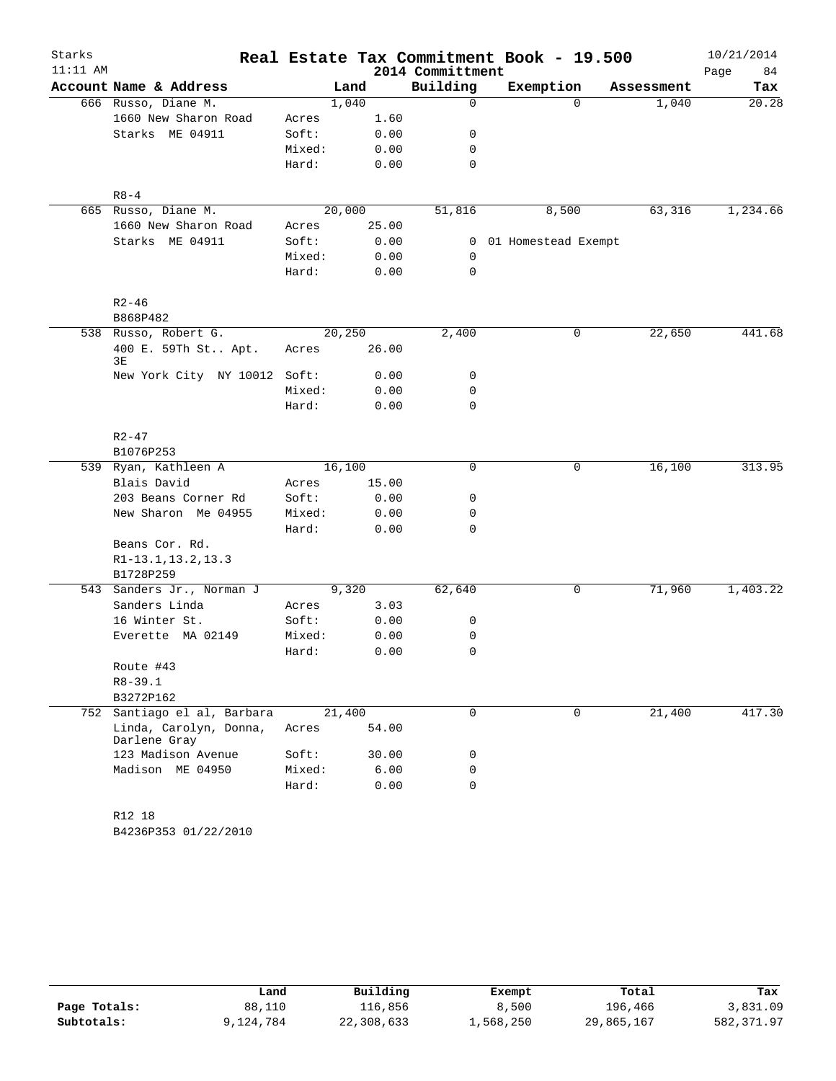| Starks     |                                        |        |        |                  | Real Estate Tax Commitment Book - 19.500 |                   | 10/21/2014 |
|------------|----------------------------------------|--------|--------|------------------|------------------------------------------|-------------------|------------|
| $11:11$ AM |                                        |        |        | 2014 Committment |                                          |                   | Page<br>84 |
|            | Account Name & Address                 |        | Land   | Building         | Exemption                                | Assessment        | Tax        |
|            | 666 Russo, Diane M.                    |        | 1,040  | 0                |                                          | $\Omega$<br>1,040 | 20.28      |
|            | 1660 New Sharon Road                   | Acres  | 1.60   |                  |                                          |                   |            |
|            | Starks ME 04911                        | Soft:  | 0.00   | 0                |                                          |                   |            |
|            |                                        | Mixed: | 0.00   | 0                |                                          |                   |            |
|            |                                        | Hard:  | 0.00   | 0                |                                          |                   |            |
|            | $R8 - 4$                               |        |        |                  |                                          |                   |            |
|            | 665 Russo, Diane M.                    |        | 20,000 | 51,816           | 8,500                                    | 63,316            | 1,234.66   |
|            | 1660 New Sharon Road                   | Acres  | 25.00  |                  |                                          |                   |            |
|            | Starks ME 04911                        | Soft:  | 0.00   |                  | $\overline{0}$<br>01 Homestead Exempt    |                   |            |
|            |                                        | Mixed: | 0.00   | 0                |                                          |                   |            |
|            |                                        | Hard:  | 0.00   | 0                |                                          |                   |            |
|            | $R2 - 46$                              |        |        |                  |                                          |                   |            |
|            | B868P482                               |        |        |                  |                                          |                   |            |
|            | 538 Russo, Robert G.                   |        | 20,250 | 2,400            |                                          | 22,650<br>0       | 441.68     |
|            | 400 E. 59Th St Apt.<br>3E              | Acres  | 26.00  |                  |                                          |                   |            |
|            | New York City NY 10012 Soft:           |        | 0.00   | 0                |                                          |                   |            |
|            |                                        | Mixed: | 0.00   | 0                |                                          |                   |            |
|            |                                        | Hard:  | 0.00   | 0                |                                          |                   |            |
|            | $R2 - 47$                              |        |        |                  |                                          |                   |            |
|            | B1076P253                              |        |        |                  |                                          |                   |            |
|            | 539 Ryan, Kathleen A                   |        | 16,100 | 0                |                                          | 16,100<br>0       | 313.95     |
|            | Blais David                            | Acres  | 15.00  |                  |                                          |                   |            |
|            | 203 Beans Corner Rd                    | Soft:  | 0.00   | 0                |                                          |                   |            |
|            | New Sharon Me 04955                    | Mixed: | 0.00   | 0                |                                          |                   |            |
|            |                                        | Hard:  | 0.00   | 0                |                                          |                   |            |
|            | Beans Cor. Rd.                         |        |        |                  |                                          |                   |            |
|            | R1-13.1, 13.2, 13.3                    |        |        |                  |                                          |                   |            |
|            | B1728P259                              |        |        |                  |                                          |                   |            |
|            | 543 Sanders Jr., Norman J              |        | 9,320  | 62,640           |                                          | 0<br>71,960       | 1,403.22   |
|            | Sanders Linda                          | Acres  | 3.03   |                  |                                          |                   |            |
|            | 16 Winter St.                          | Soft:  | 0.00   | 0                |                                          |                   |            |
|            | Everette MA 02149                      | Mixed: | 0.00   | 0                |                                          |                   |            |
|            |                                        | Hard:  | 0.00   | 0                |                                          |                   |            |
|            | Route #43                              |        |        |                  |                                          |                   |            |
|            | $R8 - 39.1$                            |        |        |                  |                                          |                   |            |
|            | B3272P162                              |        |        |                  |                                          |                   |            |
|            | 752 Santiago el al, Barbara            |        | 21,400 | 0                |                                          | 0<br>21,400       | 417.30     |
|            | Linda, Carolyn, Donna,<br>Darlene Gray | Acres  | 54.00  |                  |                                          |                   |            |
|            | 123 Madison Avenue                     | Soft:  | 30.00  | 0                |                                          |                   |            |
|            | Madison ME 04950                       | Mixed: | 6.00   | 0                |                                          |                   |            |
|            |                                        | Hard:  | 0.00   | $\mathbf 0$      |                                          |                   |            |
|            | R12 18                                 |        |        |                  |                                          |                   |            |
|            | B4236P353 01/22/2010                   |        |        |                  |                                          |                   |            |

|              | Land      | Building   | Exempt    | Total      | Tax        |
|--------------|-----------|------------|-----------|------------|------------|
| Page Totals: | 88,110    | 116,856    | 8,500     | 196,466    | 3,831.09   |
| Subtotals:   | 9,124,784 | 22,308,633 | 1,568,250 | 29,865,167 | 582,371.97 |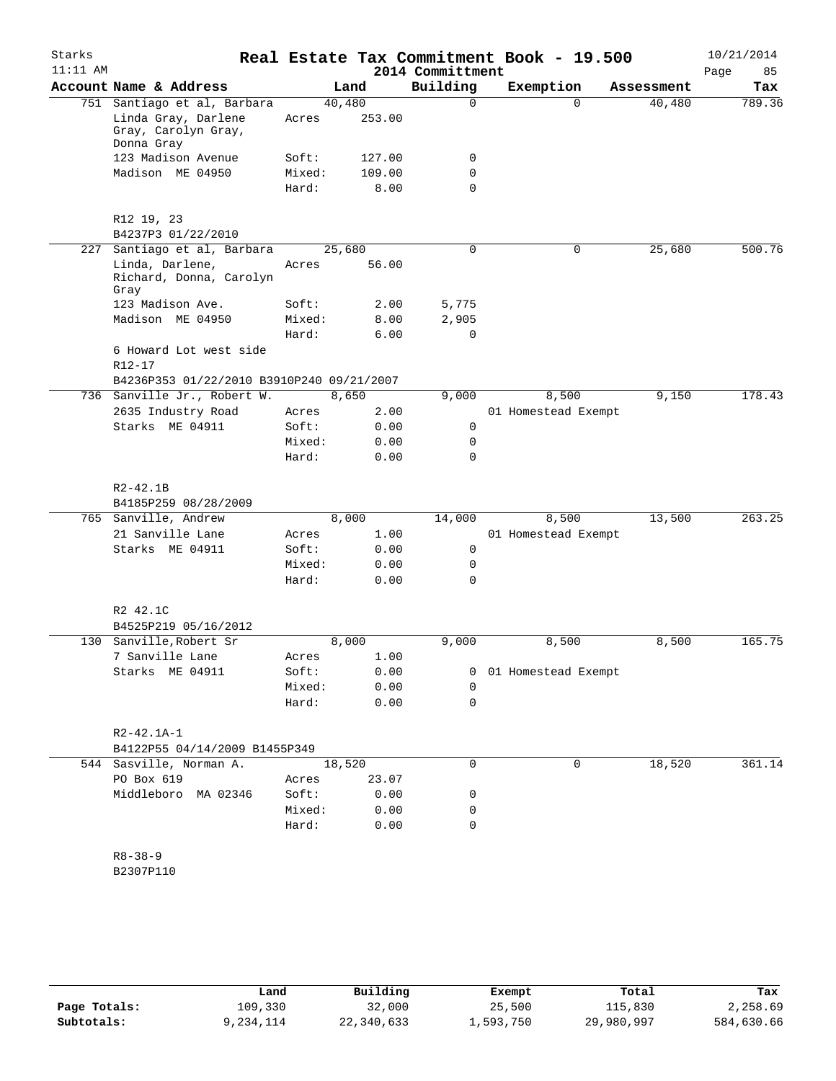| Starks<br>$11:11$ AM |                                                          |        |        | 2014 Committment | Real Estate Tax Commitment Book - 19.500 |            | 10/21/2014<br>Page<br>85 |
|----------------------|----------------------------------------------------------|--------|--------|------------------|------------------------------------------|------------|--------------------------|
|                      | Account Name & Address                                   |        | Land   | Building         | Exemption                                | Assessment | Tax                      |
|                      | 751 Santiago et al, Barbara                              | 40,480 |        | 0                | $\Omega$                                 | 40,480     | 789.36                   |
|                      | Linda Gray, Darlene<br>Gray, Carolyn Gray,<br>Donna Gray | Acres  | 253.00 |                  |                                          |            |                          |
|                      | 123 Madison Avenue                                       | Soft:  | 127.00 | 0                |                                          |            |                          |
|                      | Madison ME 04950                                         | Mixed: | 109.00 | 0                |                                          |            |                          |
|                      |                                                          | Hard:  | 8.00   | $\mathbf 0$      |                                          |            |                          |
|                      | R12 19, 23                                               |        |        |                  |                                          |            |                          |
|                      | B4237P3 01/22/2010                                       |        |        |                  |                                          |            |                          |
| 227                  | Santiago et al, Barbara                                  | 25,680 |        | 0                | $\mathbf 0$                              | 25,680     | 500.76                   |
|                      | Linda, Darlene,<br>Richard, Donna, Carolyn<br>Gray       | Acres  | 56.00  |                  |                                          |            |                          |
|                      | 123 Madison Ave.                                         | Soft:  | 2.00   | 5,775            |                                          |            |                          |
|                      | Madison ME 04950                                         | Mixed: | 8.00   | 2,905            |                                          |            |                          |
|                      |                                                          | Hard:  | 6.00   | $\mathbf 0$      |                                          |            |                          |
|                      | 6 Howard Lot west side<br>$R12 - 17$                     |        |        |                  |                                          |            |                          |
|                      | B4236P353 01/22/2010 B3910P240 09/21/2007                |        |        |                  |                                          |            |                          |
|                      | 736 Sanville Jr., Robert W.                              |        | 8,650  | 9,000            | 8,500                                    | 9,150      | 178.43                   |
|                      | 2635 Industry Road                                       | Acres  | 2.00   |                  | 01 Homestead Exempt                      |            |                          |
|                      | Starks ME 04911                                          | Soft:  | 0.00   | 0                |                                          |            |                          |
|                      |                                                          | Mixed: | 0.00   | 0                |                                          |            |                          |
|                      |                                                          | Hard:  | 0.00   | 0                |                                          |            |                          |
|                      | $R2 - 42.1B$<br>B4185P259 08/28/2009                     |        |        |                  |                                          |            |                          |
|                      | 765 Sanville, Andrew                                     |        | 8,000  | 14,000           | 8,500                                    | 13,500     | 263.25                   |
|                      | 21 Sanville Lane                                         | Acres  | 1.00   |                  | 01 Homestead Exempt                      |            |                          |
|                      | Starks ME 04911                                          | Soft:  | 0.00   | 0                |                                          |            |                          |
|                      |                                                          | Mixed: | 0.00   | 0                |                                          |            |                          |
|                      |                                                          | Hard:  | 0.00   | 0                |                                          |            |                          |
|                      | R2 42.1C                                                 |        |        |                  |                                          |            |                          |
|                      | B4525P219 05/16/2012                                     |        |        |                  |                                          |            |                          |
| 130                  | Sanville, Robert Sr                                      |        | 8,000  | 9,000            | 8,500                                    | 8,500      | 165.75                   |
|                      | 7 Sanville Lane                                          | Acres  | 1.00   |                  |                                          |            |                          |
|                      | Starks ME 04911                                          | Soft:  | 0.00   | 0                | 01 Homestead Exempt                      |            |                          |
|                      |                                                          | Mixed: | 0.00   | 0                |                                          |            |                          |
|                      |                                                          | Hard:  | 0.00   | 0                |                                          |            |                          |
|                      | $R2 - 42.1A - 1$                                         |        |        |                  |                                          |            |                          |
|                      | B4122P55 04/14/2009 B1455P349                            |        |        |                  |                                          |            |                          |
|                      | 544 Sasville, Norman A.                                  | 18,520 |        | 0                | 0                                        | 18,520     | 361.14                   |
|                      | PO Box 619                                               | Acres  | 23.07  |                  |                                          |            |                          |
|                      | Middleboro MA 02346                                      | Soft:  | 0.00   | 0                |                                          |            |                          |
|                      |                                                          | Mixed: | 0.00   | 0                |                                          |            |                          |
|                      |                                                          | Hard:  | 0.00   | 0                |                                          |            |                          |
|                      |                                                          |        |        |                  |                                          |            |                          |
|                      | $R8 - 38 - 9$                                            |        |        |                  |                                          |            |                          |
|                      | B2307P110                                                |        |        |                  |                                          |            |                          |
|                      |                                                          |        |        |                  |                                          |            |                          |
|                      |                                                          |        |        |                  |                                          |            |                          |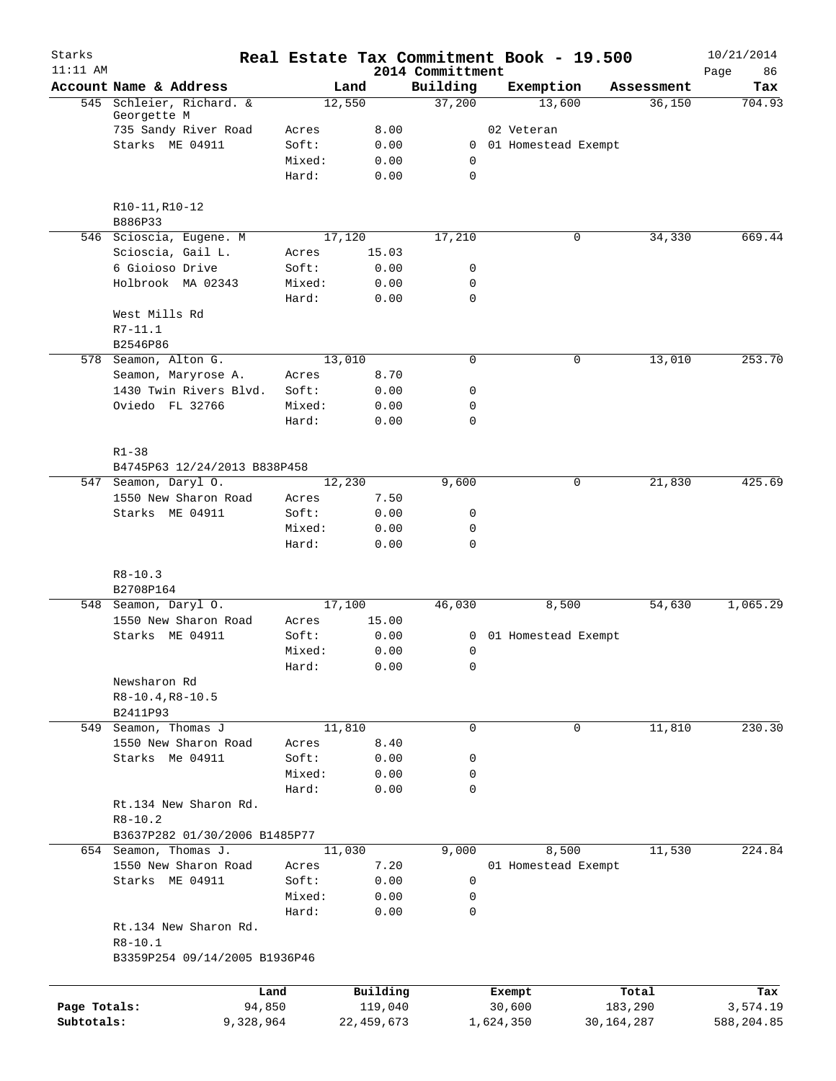| Starks       |                                              |                 |                 |                              |           | Real Estate Tax Commitment Book - 19.500 |              | 10/21/2014        |
|--------------|----------------------------------------------|-----------------|-----------------|------------------------------|-----------|------------------------------------------|--------------|-------------------|
| $11:11$ AM   | Account Name & Address                       |                 | Land            | 2014 Committment<br>Building |           | Exemption                                | Assessment   | 86<br>Page<br>Tax |
|              | 545 Schleier, Richard. &                     |                 | 12,550          | 37,200                       |           | 13,600                                   | 36,150       | 704.93            |
|              | Georgette M                                  |                 |                 |                              |           |                                          |              |                   |
|              | 735 Sandy River Road                         | Acres           | 8.00            |                              |           | 02 Veteran                               |              |                   |
|              | Starks ME 04911                              | Soft:           | 0.00            |                              |           | 0 01 Homestead Exempt                    |              |                   |
|              |                                              | Mixed:          | 0.00            | 0                            |           |                                          |              |                   |
|              |                                              | Hard:           | 0.00            | $\mathbf 0$                  |           |                                          |              |                   |
|              | R10-11, R10-12                               |                 |                 |                              |           |                                          |              |                   |
|              | B886P33                                      |                 |                 |                              |           |                                          |              |                   |
|              | 546 Scioscia, Eugene. M<br>Scioscia, Gail L. | Acres           | 17,120<br>15.03 | 17,210                       |           | 0                                        | 34,330       | 669.44            |
|              | 6 Gioioso Drive                              | Soft:           | 0.00            | 0                            |           |                                          |              |                   |
|              | Holbrook MA 02343                            | Mixed:          | 0.00            | $\mathbf 0$                  |           |                                          |              |                   |
|              |                                              | Hard:           | 0.00            | $\mathbf 0$                  |           |                                          |              |                   |
|              | West Mills Rd                                |                 |                 |                              |           |                                          |              |                   |
|              | R7-11.1                                      |                 |                 |                              |           |                                          |              |                   |
|              | B2546P86                                     |                 |                 |                              |           |                                          |              |                   |
|              | 578 Seamon, Alton G.                         |                 | 13,010          | 0                            |           | 0                                        | 13,010       | 253.70            |
|              | Seamon, Maryrose A.                          | Acres           | 8.70            |                              |           |                                          |              |                   |
|              | 1430 Twin Rivers Blvd.                       | Soft:           | 0.00            | 0                            |           |                                          |              |                   |
|              | Oviedo FL 32766                              | Mixed:          | 0.00            | 0                            |           |                                          |              |                   |
|              |                                              | Hard:           | 0.00            | 0                            |           |                                          |              |                   |
|              |                                              |                 |                 |                              |           |                                          |              |                   |
|              | $R1 - 38$                                    |                 |                 |                              |           |                                          |              |                   |
|              | B4745P63 12/24/2013 B838P458                 |                 |                 |                              |           | 0                                        | 21,830       | 425.69            |
|              | 547 Seamon, Daryl O.<br>1550 New Sharon Road |                 | 12,230          | 9,600                        |           |                                          |              |                   |
|              |                                              | Acres           | 7.50            |                              |           |                                          |              |                   |
|              | Starks ME 04911                              | Soft:<br>Mixed: | 0.00<br>0.00    | 0<br>0                       |           |                                          |              |                   |
|              |                                              | Hard:           | 0.00            | $\mathbf 0$                  |           |                                          |              |                   |
|              |                                              |                 |                 |                              |           |                                          |              |                   |
|              | $R8 - 10.3$                                  |                 |                 |                              |           |                                          |              |                   |
|              | B2708P164                                    |                 |                 |                              |           |                                          |              |                   |
|              | 548 Seamon, Daryl O.<br>1550 New Sharon Road |                 | 17,100          | 46,030                       |           | 8,500                                    | 54,630       | 1,065.29          |
|              | Starks ME 04911                              | Acres           | 15.00           |                              |           | 01 Homestead Exempt                      |              |                   |
|              |                                              | Soft:           | 0.00            | 0                            |           |                                          |              |                   |
|              |                                              | Mixed:          | 0.00<br>0.00    | 0<br>0                       |           |                                          |              |                   |
|              | Newsharon Rd                                 | Hard:           |                 |                              |           |                                          |              |                   |
|              | $R8-10.4, R8-10.5$                           |                 |                 |                              |           |                                          |              |                   |
|              | B2411P93                                     |                 |                 |                              |           |                                          |              |                   |
|              | 549 Seamon, Thomas J                         |                 | 11,810          | 0                            |           | 0                                        | 11,810       | 230.30            |
|              | 1550 New Sharon Road                         | Acres           | 8.40            |                              |           |                                          |              |                   |
|              | Starks Me 04911                              | Soft:           | 0.00            | 0                            |           |                                          |              |                   |
|              |                                              | Mixed:          | 0.00            | 0                            |           |                                          |              |                   |
|              |                                              | Hard:           | 0.00            | 0                            |           |                                          |              |                   |
|              | Rt.134 New Sharon Rd.                        |                 |                 |                              |           |                                          |              |                   |
|              | $R8 - 10.2$                                  |                 |                 |                              |           |                                          |              |                   |
|              | B3637P282 01/30/2006 B1485P77                |                 |                 |                              |           |                                          |              |                   |
|              | 654 Seamon, Thomas J.                        |                 | 11,030          | 9,000                        |           | 8,500                                    | 11,530       | 224.84            |
|              | 1550 New Sharon Road                         | Acres           | 7.20            |                              |           | 01 Homestead Exempt                      |              |                   |
|              | Starks ME 04911                              | Soft:           | 0.00            | 0                            |           |                                          |              |                   |
|              |                                              | Mixed:          | 0.00            | 0                            |           |                                          |              |                   |
|              |                                              | Hard:           | 0.00            | 0                            |           |                                          |              |                   |
|              | Rt.134 New Sharon Rd.                        |                 |                 |                              |           |                                          |              |                   |
|              | $R8 - 10.1$                                  |                 |                 |                              |           |                                          |              |                   |
|              | B3359P254 09/14/2005 B1936P46                |                 |                 |                              |           |                                          |              |                   |
|              |                                              | Land            | Building        |                              |           | Exempt                                   | Total        | Tax               |
| Page Totals: | 94,850                                       |                 | 119,040         |                              |           | 30,600                                   | 183,290      | 3,574.19          |
| Subtotals:   | 9,328,964                                    |                 | 22, 459, 673    |                              | 1,624,350 |                                          | 30, 164, 287 | 588,204.85        |
|              |                                              |                 |                 |                              |           |                                          |              |                   |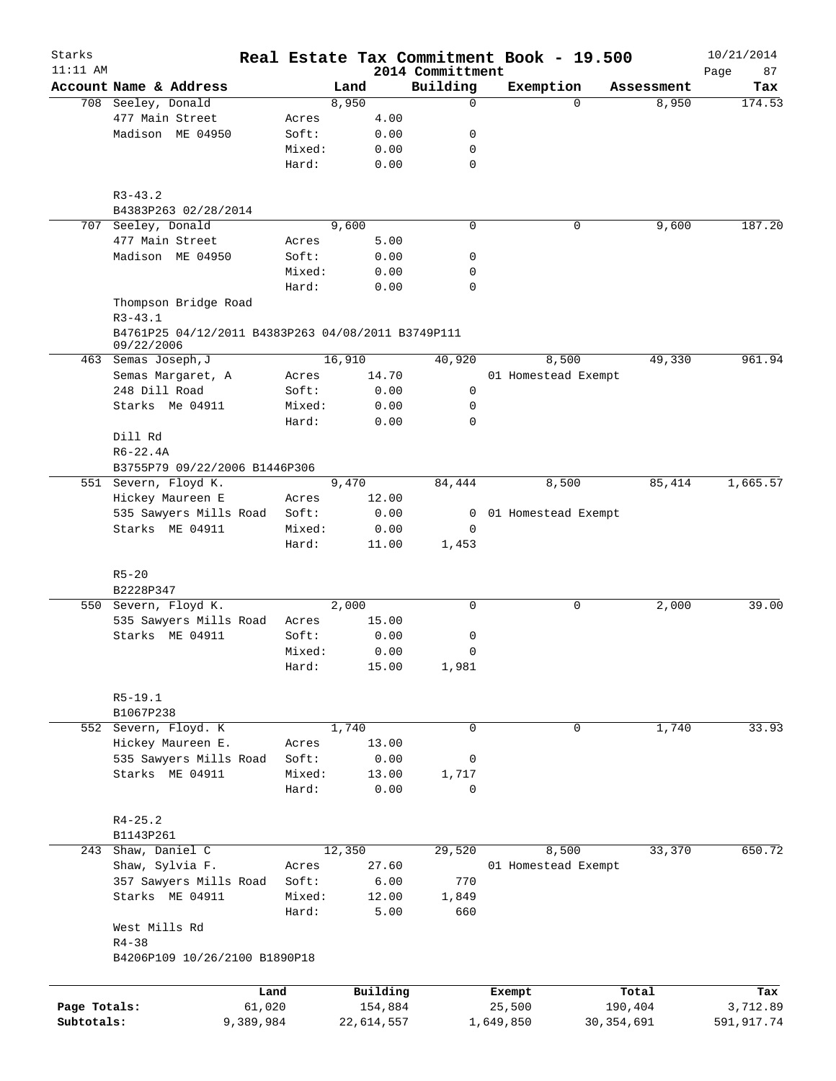| Starks<br>$11:11$ AM |                                                    |        |        |            | 2014 Committment |                     | Real Estate Tax Commitment Book - 19.500 |            | 10/21/2014        |
|----------------------|----------------------------------------------------|--------|--------|------------|------------------|---------------------|------------------------------------------|------------|-------------------|
|                      | Account Name & Address                             |        | Land   |            | Building         | Exemption           |                                          | Assessment | Page<br>87<br>Tax |
|                      | 708 Seeley, Donald                                 |        | 8,950  |            | $\mathbf 0$      |                     | $\Omega$                                 | 8,950      | 174.53            |
|                      | 477 Main Street                                    | Acres  |        | 4.00       |                  |                     |                                          |            |                   |
|                      | Madison ME 04950                                   | Soft:  |        | 0.00       | 0                |                     |                                          |            |                   |
|                      |                                                    | Mixed: |        | 0.00       | 0                |                     |                                          |            |                   |
|                      |                                                    | Hard:  |        | 0.00       | $\mathbf 0$      |                     |                                          |            |                   |
|                      |                                                    |        |        |            |                  |                     |                                          |            |                   |
|                      | $R3 - 43.2$                                        |        |        |            |                  |                     |                                          |            |                   |
|                      | B4383P263 02/28/2014                               |        |        |            |                  |                     |                                          |            |                   |
|                      | 707 Seeley, Donald                                 |        | 9,600  |            | $\mathbf 0$      |                     | 0                                        | 9,600      | 187.20            |
|                      | 477 Main Street                                    | Acres  |        | 5.00       |                  |                     |                                          |            |                   |
|                      | Madison ME 04950                                   | Soft:  |        | 0.00       | 0                |                     |                                          |            |                   |
|                      |                                                    | Mixed: |        | 0.00       | 0                |                     |                                          |            |                   |
|                      |                                                    | Hard:  |        | 0.00       | $\mathbf 0$      |                     |                                          |            |                   |
|                      | Thompson Bridge Road<br>$R3 - 43.1$                |        |        |            |                  |                     |                                          |            |                   |
|                      | B4761P25 04/12/2011 B4383P263 04/08/2011 B3749P111 |        |        |            |                  |                     |                                          |            |                   |
|                      | 09/22/2006                                         |        |        |            |                  |                     |                                          |            |                   |
|                      | 463 Semas Joseph, J                                |        | 16,910 |            | 40,920           |                     | 8,500                                    | 49,330     | 961.94            |
|                      | Semas Margaret, A                                  | Acres  |        | 14.70      |                  |                     | 01 Homestead Exempt                      |            |                   |
|                      | 248 Dill Road                                      | Soft:  |        | 0.00       | 0                |                     |                                          |            |                   |
|                      | Starks Me 04911                                    | Mixed: |        | 0.00       | 0                |                     |                                          |            |                   |
|                      |                                                    | Hard:  |        | 0.00       | $\Omega$         |                     |                                          |            |                   |
|                      | Dill Rd                                            |        |        |            |                  |                     |                                          |            |                   |
|                      | $R6 - 22.4A$                                       |        |        |            |                  |                     |                                          |            |                   |
|                      | B3755P79 09/22/2006 B1446P306                      |        |        |            |                  |                     |                                          |            |                   |
|                      | 551 Severn, Floyd K.                               |        | 9,470  |            | 84,444           |                     | 8,500                                    | 85,414     | 1,665.57          |
|                      | Hickey Maureen E                                   | Acres  |        | 12.00      |                  |                     |                                          |            |                   |
|                      | 535 Sawyers Mills Road                             | Soft:  |        | 0.00       | 0                | 01 Homestead Exempt |                                          |            |                   |
|                      | Starks ME 04911                                    | Mixed: |        | 0.00       | 0                |                     |                                          |            |                   |
|                      |                                                    | Hard:  |        | 11.00      | 1,453            |                     |                                          |            |                   |
|                      | $R5 - 20$                                          |        |        |            |                  |                     |                                          |            |                   |
|                      | B2228P347                                          |        |        |            |                  |                     |                                          |            |                   |
|                      | 550 Severn, Floyd K.                               |        | 2,000  |            | 0                |                     | 0                                        | 2,000      | 39.00             |
|                      | 535 Sawyers Mills Road                             | Acres  |        | 15.00      |                  |                     |                                          |            |                   |
|                      | Starks ME 04911                                    | Soft:  |        | 0.00       | 0                |                     |                                          |            |                   |
|                      |                                                    | Mixed: |        | 0.00       | 0                |                     |                                          |            |                   |
|                      |                                                    | Hard:  |        | 15.00      | 1,981            |                     |                                          |            |                   |
|                      |                                                    |        |        |            |                  |                     |                                          |            |                   |
|                      | $R5-19.1$<br>B1067P238                             |        |        |            |                  |                     |                                          |            |                   |
|                      | 552 Severn, Floyd. K                               |        | 1,740  |            | $\mathbf 0$      |                     | 0                                        | 1,740      | 33.93             |
|                      | Hickey Maureen E.                                  | Acres  |        | 13.00      |                  |                     |                                          |            |                   |
|                      | 535 Sawyers Mills Road                             | Soft:  |        | 0.00       | 0                |                     |                                          |            |                   |
|                      | Starks ME 04911                                    | Mixed: |        | 13.00      | 1,717            |                     |                                          |            |                   |
|                      |                                                    | Hard:  |        | 0.00       | 0                |                     |                                          |            |                   |
|                      | $R4 - 25.2$                                        |        |        |            |                  |                     |                                          |            |                   |
|                      | B1143P261                                          |        |        |            |                  |                     |                                          |            |                   |
|                      | 243 Shaw, Daniel C                                 |        | 12,350 |            | 29,520           |                     | 8,500                                    | 33,370     | 650.72            |
|                      | Shaw, Sylvia F.                                    | Acres  |        | 27.60      |                  |                     | 01 Homestead Exempt                      |            |                   |
|                      | 357 Sawyers Mills Road                             | Soft:  |        | 6.00       | 770              |                     |                                          |            |                   |
|                      | Starks ME 04911                                    | Mixed: |        | 12.00      | 1,849            |                     |                                          |            |                   |
|                      |                                                    | Hard:  |        | 5.00       | 660              |                     |                                          |            |                   |
|                      | West Mills Rd                                      |        |        |            |                  |                     |                                          |            |                   |
|                      | $R4 - 38$                                          |        |        |            |                  |                     |                                          |            |                   |
|                      | B4206P109 10/26/2100 B1890P18                      |        |        |            |                  |                     |                                          |            |                   |
|                      |                                                    |        |        |            |                  |                     |                                          |            |                   |
|                      |                                                    | Land   |        | Building   |                  | Exempt              |                                          | Total      | Tax               |
| Page Totals:         | 61,020                                             |        |        | 154,884    |                  | 25,500              |                                          | 190,404    | 3,712.89          |
| Subtotals:           | 9,389,984                                          |        |        | 22,614,557 |                  | 1,649,850           | 30, 354, 691                             |            | 591,917.74        |
|                      |                                                    |        |        |            |                  |                     |                                          |            |                   |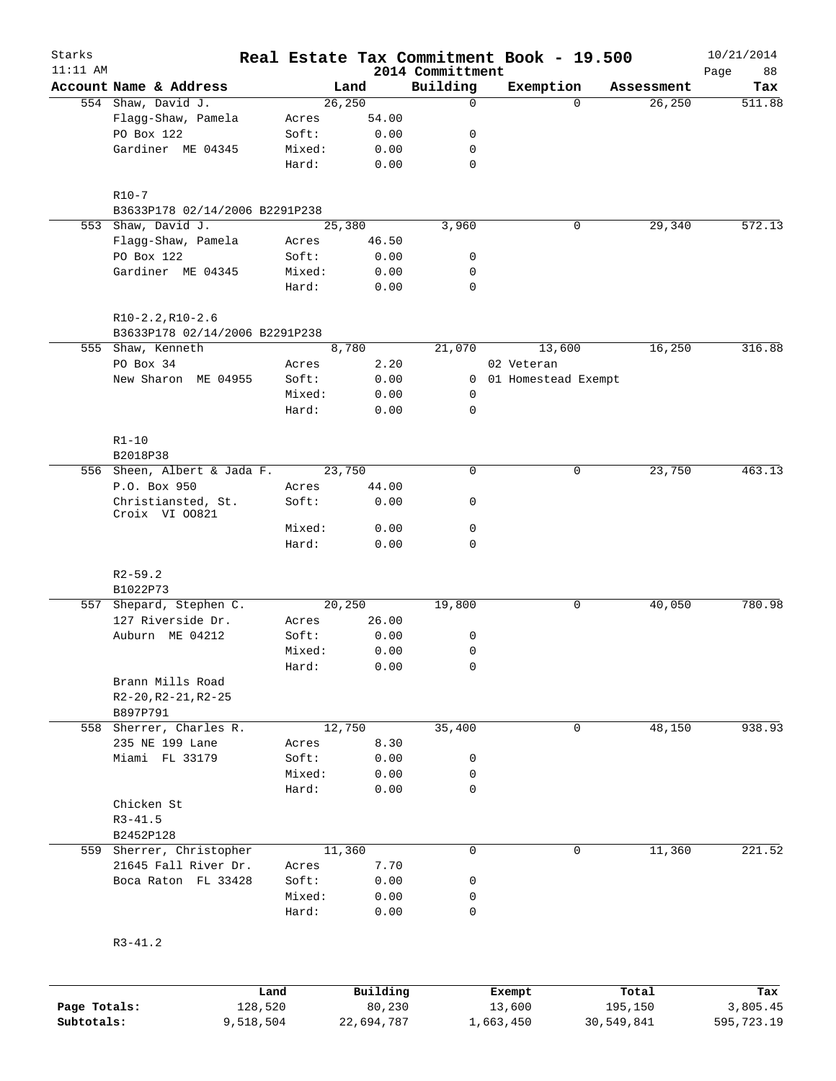| Starks     |                                         |                 |              |                              | Real Estate Tax Commitment Book - 19.500 |            | 10/21/2014        |
|------------|-----------------------------------------|-----------------|--------------|------------------------------|------------------------------------------|------------|-------------------|
| $11:11$ AM | Account Name & Address                  |                 | Land         | 2014 Committment<br>Building | Exemption                                | Assessment | Page<br>88<br>Tax |
|            | 554 Shaw, David J.                      |                 | 26, 250      | $\mathbf 0$                  | $\Omega$                                 | 26, 250    | 511.88            |
|            | Flagg-Shaw, Pamela                      | Acres           | 54.00        |                              |                                          |            |                   |
|            | PO Box 122                              | Soft:           | 0.00         | 0                            |                                          |            |                   |
|            | Gardiner ME 04345                       | Mixed:          | 0.00         | 0                            |                                          |            |                   |
|            |                                         | Hard:           | 0.00         | $\mathbf 0$                  |                                          |            |                   |
|            | $R10-7$                                 |                 |              |                              |                                          |            |                   |
|            | B3633P178 02/14/2006 B2291P238          |                 |              |                              |                                          |            |                   |
|            | 553 Shaw, David J.                      |                 | 25,380       | 3,960                        | 0                                        | 29,340     | 572.13            |
|            | Flagg-Shaw, Pamela<br>PO Box 122        | Acres           | 46.50        |                              |                                          |            |                   |
|            | Gardiner ME 04345                       | Soft:<br>Mixed: | 0.00<br>0.00 | 0<br>0                       |                                          |            |                   |
|            |                                         | Hard:           | 0.00         | $\mathbf 0$                  |                                          |            |                   |
|            | $R10-2.2, R10-2.6$                      |                 |              |                              |                                          |            |                   |
|            | B3633P178 02/14/2006 B2291P238          |                 |              |                              |                                          |            |                   |
|            | 555 Shaw, Kenneth                       |                 | 8,780        | 21,070                       | 13,600                                   | 16,250     | 316.88            |
|            | PO Box 34                               | Acres           | 2.20         |                              | 02 Veteran                               |            |                   |
|            | New Sharon ME 04955                     | Soft:           | 0.00         |                              | 0 01 Homestead Exempt                    |            |                   |
|            |                                         | Mixed:          | 0.00         | 0                            |                                          |            |                   |
|            |                                         | Hard:           | 0.00         | $\mathbf 0$                  |                                          |            |                   |
|            | $R1 - 10$                               |                 |              |                              |                                          |            |                   |
|            | B2018P38<br>556 Sheen, Albert & Jada F. |                 | 23,750       | $\mathbf 0$                  | 0                                        | 23,750     | 463.13            |
|            | P.O. Box 950                            | Acres           | 44.00        |                              |                                          |            |                   |
|            | Christiansted, St.<br>Croix VI 00821    | Soft:           | 0.00         | 0                            |                                          |            |                   |
|            |                                         | Mixed:          | 0.00         | $\mathbf 0$                  |                                          |            |                   |
|            |                                         | Hard:           | 0.00         | $\mathbf 0$                  |                                          |            |                   |
|            | $R2 - 59.2$                             |                 |              |                              |                                          |            |                   |
|            | B1022P73                                |                 |              |                              |                                          |            |                   |
|            | 557 Shepard, Stephen C.                 |                 | 20,250       | 19,800                       | 0                                        | 40,050     | 780.98            |
|            | 127 Riverside Dr.                       | Acres           | 26.00        |                              |                                          |            |                   |
|            | Auburn ME 04212                         | Soft:           | 0.00         | 0                            |                                          |            |                   |
|            |                                         | Mixed:          | 0.00         | $\mathbf 0$                  |                                          |            |                   |
|            |                                         | Hard:           | 0.00         | 0                            |                                          |            |                   |
|            | Brann Mills Road                        |                 |              |                              |                                          |            |                   |
|            | $R2-20, R2-21, R2-25$                   |                 |              |                              |                                          |            |                   |
|            | B897P791<br>558 Sherrer, Charles R.     |                 | 12,750       | 35,400                       | 0                                        | 48,150     | 938.93            |
|            | 235 NE 199 Lane                         | Acres           | 8.30         |                              |                                          |            |                   |
|            | Miami FL 33179                          | Soft:           | 0.00         | 0                            |                                          |            |                   |
|            |                                         | Mixed:          | 0.00         | 0                            |                                          |            |                   |
|            |                                         | Hard:           | 0.00         | $\mathbf 0$                  |                                          |            |                   |
|            | Chicken St                              |                 |              |                              |                                          |            |                   |
|            | $R3 - 41.5$                             |                 |              |                              |                                          |            |                   |
|            | B2452P128                               |                 |              |                              |                                          |            |                   |
|            | 559 Sherrer, Christopher                |                 | 11,360       | $\mathbf 0$                  | $\mathbf 0$                              | 11,360     | 221.52            |
|            | 21645 Fall River Dr.                    | Acres           | 7.70         |                              |                                          |            |                   |
|            | Boca Raton FL 33428                     | Soft:           | 0.00         | 0                            |                                          |            |                   |
|            |                                         | Mixed:          | 0.00         | 0                            |                                          |            |                   |
|            |                                         | Hard:           | 0.00         | 0                            |                                          |            |                   |
|            | $R3 - 41.2$                             |                 |              |                              |                                          |            |                   |
|            |                                         |                 |              |                              |                                          |            |                   |
|            |                                         | Land            | Building     |                              | Exempt                                   | Total      | Tax               |

**Page Totals:** 128,520 80,230 13,600 195,150 3,805.45 **Subtotals:** 9,518,504 22,694,787 1,663,450 30,549,841 595,723.19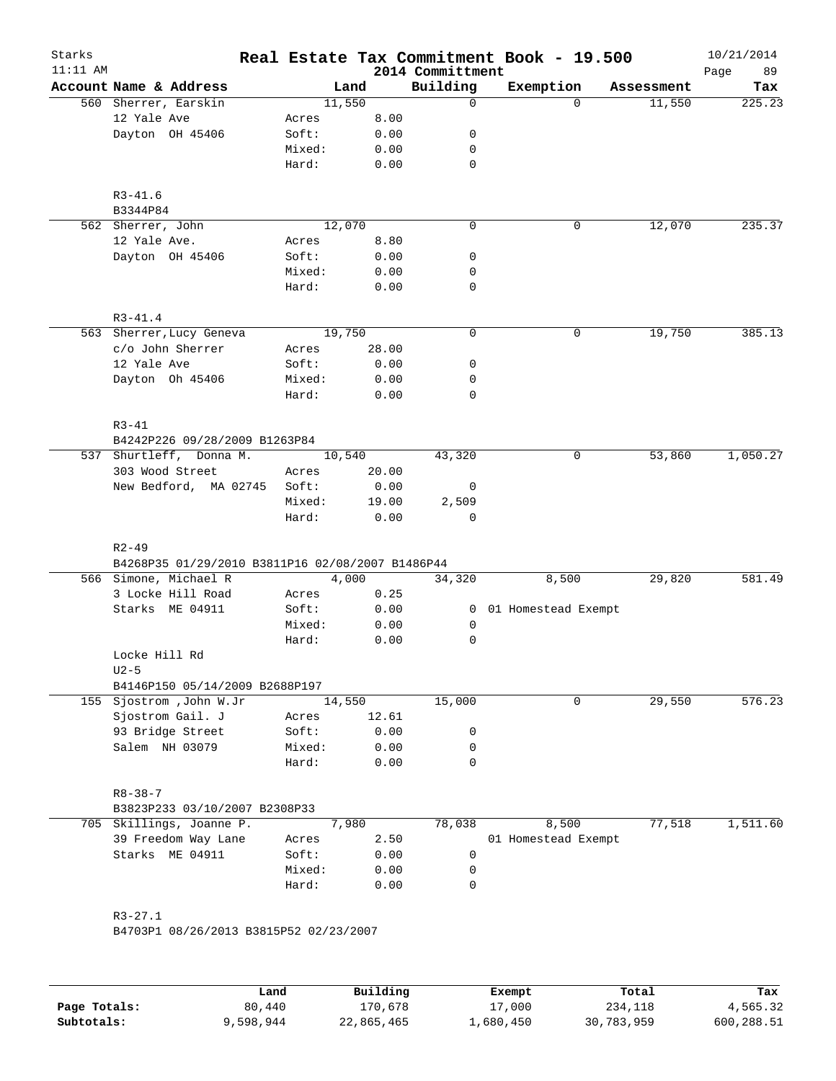| Starks<br>$11:11$ AM |                                                               |                 |               | 2014 Committment | Real Estate Tax Commitment Book - 19.500 |            | 10/21/2014<br>Page<br>89 |
|----------------------|---------------------------------------------------------------|-----------------|---------------|------------------|------------------------------------------|------------|--------------------------|
|                      | Account Name & Address                                        |                 | Land          | Building         | Exemption                                | Assessment | Tax                      |
|                      | 560 Sherrer, Earskin                                          |                 | 11,550        | $\mathbf 0$      | $\Omega$                                 | 11,550     | 225.23                   |
|                      | 12 Yale Ave                                                   | Acres           | 8.00          |                  |                                          |            |                          |
|                      | Dayton OH 45406                                               | Soft:           | 0.00          | 0                |                                          |            |                          |
|                      |                                                               | Mixed:          | 0.00          | 0                |                                          |            |                          |
|                      |                                                               | Hard:           | 0.00          | $\mathbf 0$      |                                          |            |                          |
|                      | $R3 - 41.6$<br>B3344P84                                       |                 |               |                  |                                          |            |                          |
|                      | 562 Sherrer, John                                             |                 | 12,070        | $\mathbf 0$      | 0                                        | 12,070     | 235.37                   |
|                      | 12 Yale Ave.                                                  | Acres           | 8.80          |                  |                                          |            |                          |
|                      | Dayton OH 45406                                               | Soft:           | 0.00          | 0                |                                          |            |                          |
|                      |                                                               | Mixed:          | 0.00          | 0                |                                          |            |                          |
|                      |                                                               | Hard:           | 0.00          | $\mathbf 0$      |                                          |            |                          |
|                      | $R3 - 41.4$                                                   |                 |               |                  |                                          |            |                          |
|                      | 563 Sherrer, Lucy Geneva                                      |                 | 19,750        | $\mathbf 0$      | $\mathsf{O}$                             | 19,750     | 385.13                   |
|                      | c/o John Sherrer                                              | Acres           | 28.00         |                  |                                          |            |                          |
|                      | 12 Yale Ave                                                   | Soft:           | 0.00          | 0                |                                          |            |                          |
|                      | Dayton Oh 45406                                               | Mixed:          | 0.00          | 0                |                                          |            |                          |
|                      |                                                               | Hard:           | 0.00          | $\mathbf 0$      |                                          |            |                          |
|                      | $R3 - 41$                                                     |                 |               |                  |                                          |            |                          |
|                      | B4242P226 09/28/2009 B1263P84                                 |                 |               |                  |                                          |            |                          |
|                      | 537 Shurtleff, Donna M.                                       |                 | 10,540        | 43,320           | 0                                        | 53,860     | 1,050.27                 |
|                      | 303 Wood Street                                               | Acres           | 20.00         |                  |                                          |            |                          |
|                      | New Bedford, MA 02745                                         | Soft:           | 0.00          | 0                |                                          |            |                          |
|                      |                                                               |                 |               | 2,509            |                                          |            |                          |
|                      |                                                               | Mixed:<br>Hard: | 19.00<br>0.00 | $\mathbf 0$      |                                          |            |                          |
|                      |                                                               |                 |               |                  |                                          |            |                          |
|                      | $R2 - 49$<br>B4268P35 01/29/2010 B3811P16 02/08/2007 B1486P44 |                 |               |                  |                                          |            |                          |
|                      | 566 Simone, Michael R                                         |                 | 4,000         | 34,320           | 8,500                                    | 29,820     | 581.49                   |
|                      | 3 Locke Hill Road                                             | Acres           | 0.25          |                  |                                          |            |                          |
|                      | Starks ME 04911                                               | Soft:           | 0.00          | $\mathbf{0}$     | 01 Homestead Exempt                      |            |                          |
|                      |                                                               | Mixed:          | 0.00          | 0                |                                          |            |                          |
|                      |                                                               | Hard:           | 0.00          | 0                |                                          |            |                          |
|                      | Locke Hill Rd                                                 |                 |               |                  |                                          |            |                          |
|                      | $U2-5$                                                        |                 |               |                  |                                          |            |                          |
|                      | B4146P150 05/14/2009 B2688P197                                |                 |               |                  |                                          |            |                          |
|                      | 155 Sjostrom , John W.Jr                                      |                 | 14,550        | 15,000           | $\mathbf 0$                              | 29,550     | 576.23                   |
|                      | Sjostrom Gail. J                                              | Acres           | 12.61         |                  |                                          |            |                          |
|                      | 93 Bridge Street                                              | Soft:           | 0.00          | 0                |                                          |            |                          |
|                      | Salem NH 03079                                                | Mixed:          | 0.00          | 0                |                                          |            |                          |
|                      |                                                               | Hard:           | 0.00          | $\mathbf 0$      |                                          |            |                          |
|                      | $R8 - 38 - 7$                                                 |                 |               |                  |                                          |            |                          |
|                      | B3823P233 03/10/2007 B2308P33                                 |                 |               |                  |                                          |            |                          |
| 705                  | Skillings, Joanne P.                                          |                 | 7,980         | 78,038           | 8,500                                    | 77,518     | 1,511.60                 |
|                      | 39 Freedom Way Lane                                           | Acres           | 2.50          |                  | 01 Homestead Exempt                      |            |                          |
|                      | Starks ME 04911                                               | Soft:           | 0.00          | 0                |                                          |            |                          |
|                      |                                                               | Mixed:          | 0.00          | 0                |                                          |            |                          |
|                      |                                                               | Hard:           | 0.00          | $\mathbf 0$      |                                          |            |                          |
|                      |                                                               |                 |               |                  |                                          |            |                          |
|                      | $R3 - 27.1$                                                   |                 |               |                  |                                          |            |                          |
|                      | B4703P1 08/26/2013 B3815P52 02/23/2007                        |                 |               |                  |                                          |            |                          |
|                      |                                                               |                 |               |                  |                                          |            |                          |

|              | Land      | Building   | Exempt    | Total      | Tax        |
|--------------|-----------|------------|-----------|------------|------------|
| Page Totals: | 80,440    | 170,678    | 17,000    | 234,118    | 4,565.32   |
| Subtotals:   | 9,598,944 | 22,865,465 | 1,680,450 | 30,783,959 | 600,288.51 |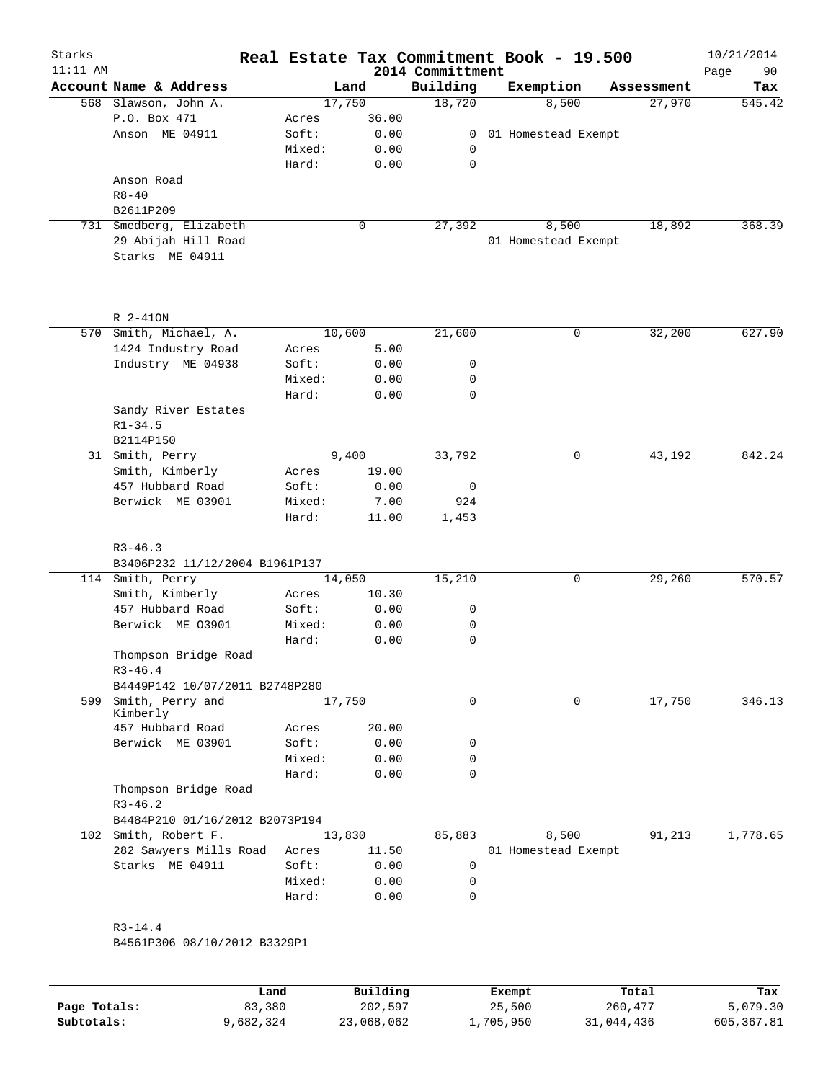| Starks<br>$11:11$ AM |                                               |        |        | Real Estate Tax Commitment Book - 19.500<br>2014 Committment |                       |            | 10/21/2014<br>Page<br>90 |
|----------------------|-----------------------------------------------|--------|--------|--------------------------------------------------------------|-----------------------|------------|--------------------------|
|                      | Account Name & Address                        |        | Land   | Building                                                     | Exemption             | Assessment | Tax                      |
|                      | 568 Slawson, John A.                          |        | 17,750 | 18,720                                                       | 8,500                 |            | 545.42<br>27,970         |
|                      | P.O. Box 471                                  | Acres  | 36.00  |                                                              |                       |            |                          |
|                      | Anson ME 04911                                | Soft:  | 0.00   |                                                              | 0 01 Homestead Exempt |            |                          |
|                      |                                               | Mixed: | 0.00   | 0                                                            |                       |            |                          |
|                      |                                               | Hard:  | 0.00   | 0                                                            |                       |            |                          |
|                      | Anson Road                                    |        |        |                                                              |                       |            |                          |
|                      | $R8 - 40$                                     |        |        |                                                              |                       |            |                          |
|                      | B2611P209                                     |        |        |                                                              |                       |            |                          |
|                      | 731 Smedberg, Elizabeth                       |        | 0      | 27, 392                                                      | 8,500                 |            | 18,892<br>368.39         |
|                      | 29 Abijah Hill Road                           |        |        |                                                              | 01 Homestead Exempt   |            |                          |
|                      | Starks ME 04911                               |        |        |                                                              |                       |            |                          |
|                      |                                               |        |        |                                                              |                       |            |                          |
|                      | R 2-410N                                      |        |        |                                                              |                       |            |                          |
|                      | 570 Smith, Michael, A.                        |        | 10,600 | 21,600                                                       | 0                     |            | 32,200<br>627.90         |
|                      | 1424 Industry Road                            | Acres  | 5.00   |                                                              |                       |            |                          |
|                      | Industry ME 04938                             | Soft:  | 0.00   | 0                                                            |                       |            |                          |
|                      |                                               | Mixed: | 0.00   | 0                                                            |                       |            |                          |
|                      |                                               | Hard:  | 0.00   | 0                                                            |                       |            |                          |
|                      | Sandy River Estates                           |        |        |                                                              |                       |            |                          |
|                      | $R1 - 34.5$                                   |        |        |                                                              |                       |            |                          |
|                      | B2114P150                                     |        |        |                                                              |                       |            |                          |
|                      | 31 Smith, Perry                               |        | 9,400  | 33,792                                                       | $\mathsf{O}$          |            | 43,192<br>842.24         |
|                      | Smith, Kimberly                               | Acres  | 19.00  |                                                              |                       |            |                          |
|                      | 457 Hubbard Road                              | Soft:  | 0.00   | 0                                                            |                       |            |                          |
|                      | Berwick ME 03901                              | Mixed: | 7.00   | 924                                                          |                       |            |                          |
|                      |                                               | Hard:  | 11.00  | 1,453                                                        |                       |            |                          |
|                      | $R3 - 46.3$<br>B3406P232 11/12/2004 B1961P137 |        |        |                                                              |                       |            |                          |
|                      | 114 Smith, Perry                              |        | 14,050 | 15,210                                                       | 0                     |            | 29,260<br>570.57         |
|                      | Smith, Kimberly                               | Acres  | 10.30  |                                                              |                       |            |                          |
|                      | 457 Hubbard Road                              | Soft:  | 0.00   | 0                                                            |                       |            |                          |
|                      | Berwick ME 03901                              | Mixed: | 0.00   | 0                                                            |                       |            |                          |
|                      |                                               | Hard:  | 0.00   | 0                                                            |                       |            |                          |
|                      | Thompson Bridge Road                          |        |        |                                                              |                       |            |                          |
|                      | $R3 - 46.4$                                   |        |        |                                                              |                       |            |                          |
|                      | B4449P142 10/07/2011 B2748P280                |        |        |                                                              |                       |            |                          |
| 599                  | Smith, Perry and                              |        | 17,750 | $\mathbf 0$                                                  | $\mathbf 0$           |            | 17,750<br>346.13         |
|                      | Kimberly                                      |        |        |                                                              |                       |            |                          |
|                      | 457 Hubbard Road                              | Acres  | 20.00  |                                                              |                       |            |                          |
|                      | Berwick ME 03901                              | Soft:  | 0.00   | 0                                                            |                       |            |                          |
|                      |                                               | Mixed: | 0.00   | 0                                                            |                       |            |                          |
|                      |                                               | Hard:  | 0.00   | 0                                                            |                       |            |                          |
|                      | Thompson Bridge Road                          |        |        |                                                              |                       |            |                          |
|                      | $R3 - 46.2$                                   |        |        |                                                              |                       |            |                          |
|                      | B4484P210 01/16/2012 B2073P194                |        |        |                                                              |                       |            |                          |
|                      | 102 Smith, Robert F.                          |        | 13,830 | 85,883                                                       | 8,500                 |            | 91,213<br>1,778.65       |
|                      | 282 Sawyers Mills Road                        | Acres  | 11.50  |                                                              | 01 Homestead Exempt   |            |                          |
|                      | Starks ME 04911                               | Soft:  | 0.00   | 0                                                            |                       |            |                          |
|                      |                                               | Mixed: | 0.00   | 0                                                            |                       |            |                          |
|                      |                                               | Hard:  | 0.00   | $\mathbf 0$                                                  |                       |            |                          |
|                      |                                               |        |        |                                                              |                       |            |                          |
|                      | $R3 - 14.4$                                   |        |        |                                                              |                       |            |                          |
|                      | B4561P306 08/10/2012 B3329P1                  |        |        |                                                              |                       |            |                          |
|                      |                                               |        |        |                                                              |                       |            |                          |

|              | Land      | Building   | Exempt    | Total      | Tax        |
|--------------|-----------|------------|-----------|------------|------------|
| Page Totals: | 83,380    | 202,597    | 25,500    | 260,477    | 5,079.30   |
| Subtotals:   | 9,682,324 | 23,068,062 | ⊥,705,950 | 31,044,436 | 605,367.81 |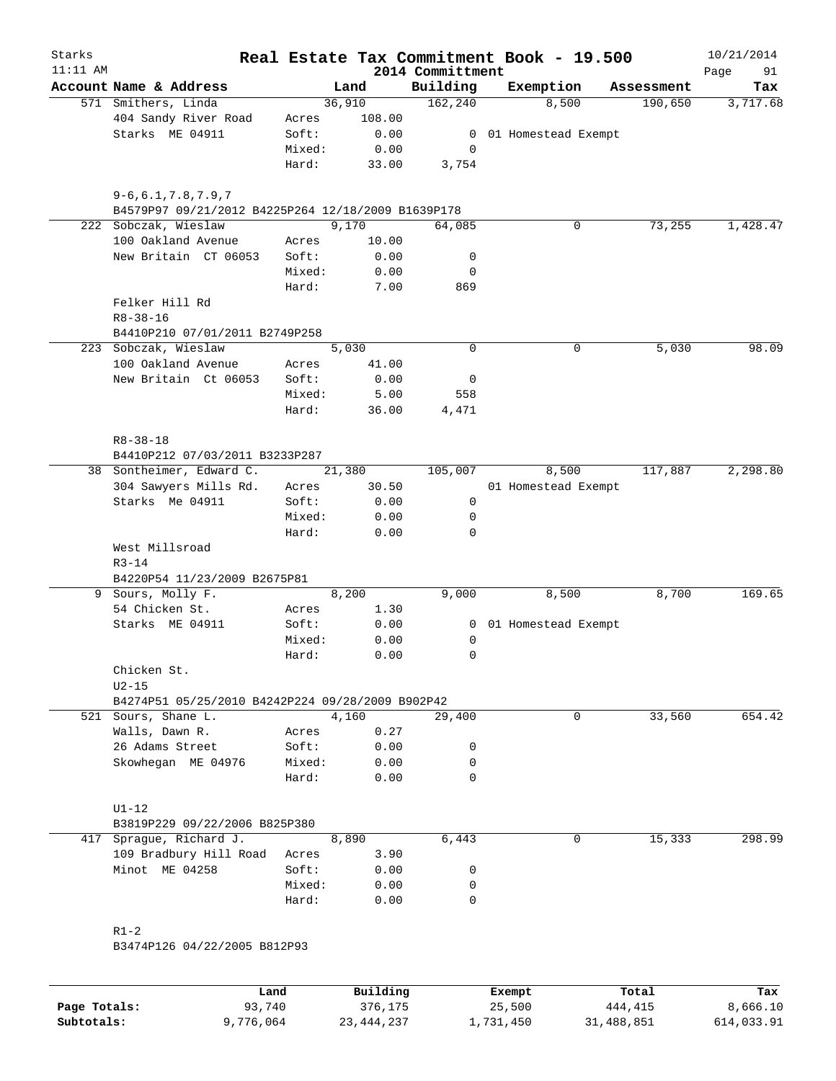| Starks<br>$11:11$ AM |                                                                                 |                 |        |              | 2014 Committment | Real Estate Tax Commitment Book - 19.500 |            | 10/21/2014<br>91<br>Page |
|----------------------|---------------------------------------------------------------------------------|-----------------|--------|--------------|------------------|------------------------------------------|------------|--------------------------|
|                      | Account Name & Address                                                          |                 | Land   |              | Building         | Exemption                                | Assessment | Tax                      |
|                      | 571 Smithers, Linda                                                             |                 | 36,910 |              | 162, 240         | 8,500                                    | 190,650    | 3,717.68                 |
|                      | 404 Sandy River Road                                                            | Acres           |        | 108.00       |                  |                                          |            |                          |
|                      | Starks ME 04911                                                                 | Soft:           |        | 0.00         |                  | 0 01 Homestead Exempt                    |            |                          |
|                      |                                                                                 | Mixed:          |        | 0.00         | 0                |                                          |            |                          |
|                      |                                                                                 | Hard:           |        | 33.00        | 3,754            |                                          |            |                          |
|                      | $9 - 6, 6.1, 7.8, 7.9, 7$<br>B4579P97 09/21/2012 B4225P264 12/18/2009 B1639P178 |                 |        |              |                  |                                          |            |                          |
|                      | 222 Sobczak, Wieslaw                                                            |                 | 9,170  |              | 64,085           | 0                                        | 73,255     | 1,428.47                 |
|                      | 100 Oakland Avenue                                                              | Acres           |        | 10.00        |                  |                                          |            |                          |
|                      | New Britain CT 06053                                                            | Soft:           |        | 0.00         | 0                |                                          |            |                          |
|                      |                                                                                 | Mixed:          |        | 0.00         | 0                |                                          |            |                          |
|                      |                                                                                 | Hard:           |        | 7.00         | 869              |                                          |            |                          |
|                      | Felker Hill Rd<br>$R8 - 38 - 16$                                                |                 |        |              |                  |                                          |            |                          |
|                      | B4410P210 07/01/2011 B2749P258                                                  |                 |        |              |                  |                                          |            |                          |
|                      | 223 Sobczak, Wieslaw                                                            |                 | 5,030  |              | $\mathbf 0$      | 0                                        | 5,030      | 98.09                    |
|                      | 100 Oakland Avenue                                                              | Acres           |        | 41.00        |                  |                                          |            |                          |
|                      | New Britain Ct 06053                                                            | Soft:           |        | 0.00         | 0                |                                          |            |                          |
|                      |                                                                                 | Mixed:          |        | 5.00         | 558              |                                          |            |                          |
|                      |                                                                                 | Hard:           |        | 36.00        | 4,471            |                                          |            |                          |
|                      | $R8 - 38 - 18$<br>B4410P212 07/03/2011 B3233P287                                |                 |        |              |                  |                                          |            |                          |
|                      | 38 Sontheimer, Edward C.                                                        |                 | 21,380 |              | 105,007          | 8,500                                    | 117,887    | 2,298.80                 |
|                      | 304 Sawyers Mills Rd.                                                           | Acres           |        | 30.50        |                  | 01 Homestead Exempt                      |            |                          |
|                      | Starks Me 04911                                                                 | Soft:           |        | 0.00         | $\mathbf 0$      |                                          |            |                          |
|                      |                                                                                 | Mixed:          |        | 0.00         | 0                |                                          |            |                          |
|                      |                                                                                 | Hard:           |        | 0.00         | 0                |                                          |            |                          |
|                      | West Millsroad                                                                  |                 |        |              |                  |                                          |            |                          |
|                      | $R3 - 14$                                                                       |                 |        |              |                  |                                          |            |                          |
|                      | B4220P54 11/23/2009 B2675P81                                                    |                 |        |              |                  |                                          |            |                          |
|                      | 9 Sours, Molly F.                                                               |                 | 8,200  |              | 9,000            | 8,500                                    | 8,700      | 169.65                   |
|                      | 54 Chicken St.                                                                  | Acres           |        | 1.30         |                  |                                          |            |                          |
|                      | Starks ME 04911                                                                 | Soft:           |        | 0.00         |                  | 0 01 Homestead Exempt                    |            |                          |
|                      |                                                                                 | Mixed:          |        | 0.00         | 0                |                                          |            |                          |
|                      |                                                                                 | Hard:           |        | 0.00         | 0                |                                          |            |                          |
|                      | Chicken St.                                                                     |                 |        |              |                  |                                          |            |                          |
|                      | $U2-15$                                                                         |                 |        |              |                  |                                          |            |                          |
|                      | B4274P51 05/25/2010 B4242P224 09/28/2009 B902P42                                |                 |        |              |                  |                                          |            |                          |
|                      | 521 Sours, Shane L.                                                             |                 | 4,160  |              | 29,400           | 0                                        | 33,560     | 654.42                   |
|                      | Walls, Dawn R.                                                                  | Acres           |        | 0.27         |                  |                                          |            |                          |
|                      | 26 Adams Street                                                                 | Soft:           |        | 0.00         | 0<br>0           |                                          |            |                          |
|                      | Skowhegan ME 04976                                                              | Mixed:<br>Hard: |        | 0.00<br>0.00 | 0                |                                          |            |                          |
|                      |                                                                                 |                 |        |              |                  |                                          |            |                          |
|                      | $U1-12$<br>B3819P229 09/22/2006 B825P380                                        |                 |        |              |                  |                                          |            |                          |
| 417                  | Sprague, Richard J.                                                             |                 | 8,890  |              | 6,443            | 0                                        | 15,333     | 298.99                   |
|                      | 109 Bradbury Hill Road                                                          | Acres           |        | 3.90         |                  |                                          |            |                          |
|                      | Minot ME 04258                                                                  | Soft:           |        | 0.00         | 0                |                                          |            |                          |
|                      |                                                                                 | Mixed:          |        | 0.00         | 0                |                                          |            |                          |
|                      |                                                                                 | Hard:           |        | 0.00         | 0                |                                          |            |                          |
|                      |                                                                                 |                 |        |              |                  |                                          |            |                          |
|                      | $R1-2$                                                                          |                 |        |              |                  |                                          |            |                          |
|                      | B3474P126 04/22/2005 B812P93                                                    |                 |        |              |                  |                                          |            |                          |
|                      |                                                                                 |                 |        |              |                  |                                          |            |                          |
|                      |                                                                                 |                 |        |              |                  |                                          |            |                          |

|              | Land      | Building     | Exempt    | Total      | Tax        |
|--------------|-----------|--------------|-----------|------------|------------|
| Page Totals: | 93,740    | 376,175      | 25,500    | 444,415    | 8,666.10   |
| Subtotals:   | 9,776,064 | 23, 444, 237 | 1,731,450 | 31,488,851 | 614,033.91 |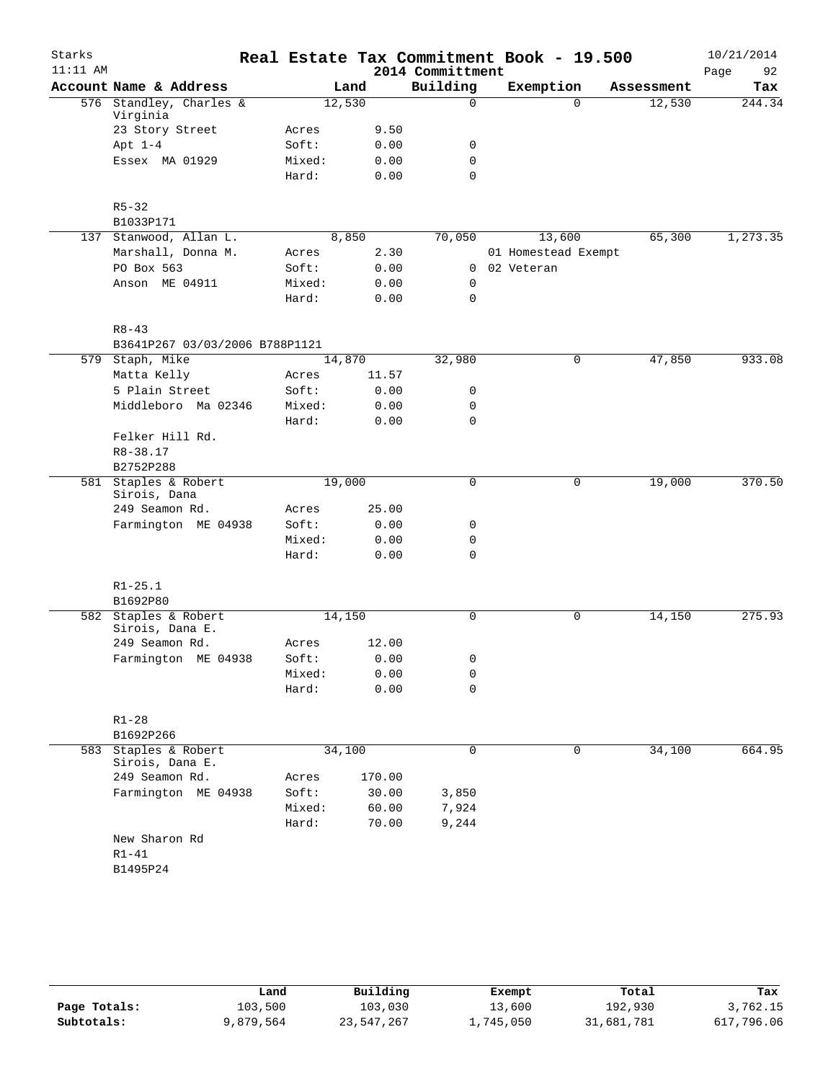| Starks     |                                     |        |        |                  | Real Estate Tax Commitment Book - 19.500 |             |            | 10/21/2014 |
|------------|-------------------------------------|--------|--------|------------------|------------------------------------------|-------------|------------|------------|
| $11:11$ AM |                                     |        |        | 2014 Committment |                                          |             |            | Page<br>92 |
|            | Account Name & Address              |        | Land   | Building         | Exemption                                |             | Assessment | Tax        |
|            | 576 Standley, Charles &             | 12,530 |        | $\mathbf 0$      |                                          | $\Omega$    | 12,530     | 244.34     |
|            | Virginia<br>23 Story Street         | Acres  | 9.50   |                  |                                          |             |            |            |
|            | Apt $1-4$                           | Soft:  | 0.00   | 0                |                                          |             |            |            |
|            | Essex MA 01929                      | Mixed: | 0.00   | $\mathbf 0$      |                                          |             |            |            |
|            |                                     | Hard:  | 0.00   | $\mathbf 0$      |                                          |             |            |            |
|            | $R5 - 32$                           |        |        |                  |                                          |             |            |            |
|            | B1033P171                           |        |        |                  |                                          |             |            |            |
|            | 137 Stanwood, Allan L.              |        | 8,850  | 70,050           | 13,600                                   |             | 65,300     | 1,273.35   |
|            | Marshall, Donna M.                  | Acres  | 2.30   |                  | 01 Homestead Exempt                      |             |            |            |
|            | PO Box 563                          | Soft:  | 0.00   | 0                | 02 Veteran                               |             |            |            |
|            | Anson ME 04911                      | Mixed: | 0.00   | $\mathbf 0$      |                                          |             |            |            |
|            |                                     | Hard:  | 0.00   | $\mathbf 0$      |                                          |             |            |            |
|            | $R8 - 43$                           |        |        |                  |                                          |             |            |            |
|            | B3641P267 03/03/2006 B788P1121      |        |        |                  |                                          |             |            |            |
|            | 579 Staph, Mike                     | 14,870 |        | 32,980           |                                          | 0           | 47,850     | 933.08     |
|            | Matta Kelly                         | Acres  | 11.57  |                  |                                          |             |            |            |
|            | 5 Plain Street                      | Soft:  | 0.00   | 0                |                                          |             |            |            |
|            | Middleboro Ma 02346                 | Mixed: | 0.00   | 0                |                                          |             |            |            |
|            |                                     | Hard:  | 0.00   | $\mathbf 0$      |                                          |             |            |            |
|            | Felker Hill Rd.                     |        |        |                  |                                          |             |            |            |
|            | $R8 - 38.17$                        |        |        |                  |                                          |             |            |            |
|            | B2752P288                           |        |        |                  |                                          |             |            |            |
|            | 581 Staples & Robert                | 19,000 |        | $\mathbf 0$      |                                          | $\mathbf 0$ | 19,000     | 370.50     |
|            | Sirois, Dana                        |        |        |                  |                                          |             |            |            |
|            | 249 Seamon Rd.                      | Acres  | 25.00  |                  |                                          |             |            |            |
|            | Farmington ME 04938                 | Soft:  | 0.00   | 0                |                                          |             |            |            |
|            |                                     | Mixed: | 0.00   | 0                |                                          |             |            |            |
|            |                                     | Hard:  | 0.00   | $\mathbf 0$      |                                          |             |            |            |
|            | $R1 - 25.1$                         |        |        |                  |                                          |             |            |            |
|            | B1692P80                            |        |        |                  |                                          |             |            |            |
|            | 582 Staples & Robert                | 14,150 |        | $\mathbf 0$      |                                          | 0           | 14,150     | 275.93     |
|            | Sirois, Dana E.                     |        |        |                  |                                          |             |            |            |
|            | 249 Seamon Rd.                      | Acres  | 12.00  |                  |                                          |             |            |            |
|            | Farmington ME 04938                 | Soft:  | 0.00   | 0                |                                          |             |            |            |
|            |                                     | Mixed: | 0.00   | 0                |                                          |             |            |            |
|            |                                     | Hard:  | 0.00   | $\mathbf 0$      |                                          |             |            |            |
|            | $R1 - 28$                           |        |        |                  |                                          |             |            |            |
|            | B1692P266                           |        |        |                  |                                          |             |            |            |
| 583        | Staples & Robert<br>Sirois, Dana E. | 34,100 |        | 0                |                                          | 0           | 34,100     | 664.95     |
|            | 249 Seamon Rd.                      | Acres  | 170.00 |                  |                                          |             |            |            |
|            | Farmington ME 04938                 | Soft:  | 30.00  | 3,850            |                                          |             |            |            |
|            |                                     | Mixed: | 60.00  | 7,924            |                                          |             |            |            |
|            |                                     | Hard:  | 70.00  | 9,244            |                                          |             |            |            |
|            | New Sharon Rd                       |        |        |                  |                                          |             |            |            |
|            | $R1 - 41$                           |        |        |                  |                                          |             |            |            |
|            | B1495P24                            |        |        |                  |                                          |             |            |            |
|            |                                     |        |        |                  |                                          |             |            |            |
|            |                                     |        |        |                  |                                          |             |            |            |

|              | Land      | Building   | Exempt    | Total      | Tax        |
|--------------|-----------|------------|-----------|------------|------------|
| Page Totals: | 103,500   | 103,030    | 13,600    | 192,930    | 3,762.15   |
| Subtotals:   | 9,879,564 | 23,547,267 | 1,745,050 | 31,681,781 | 617,796.06 |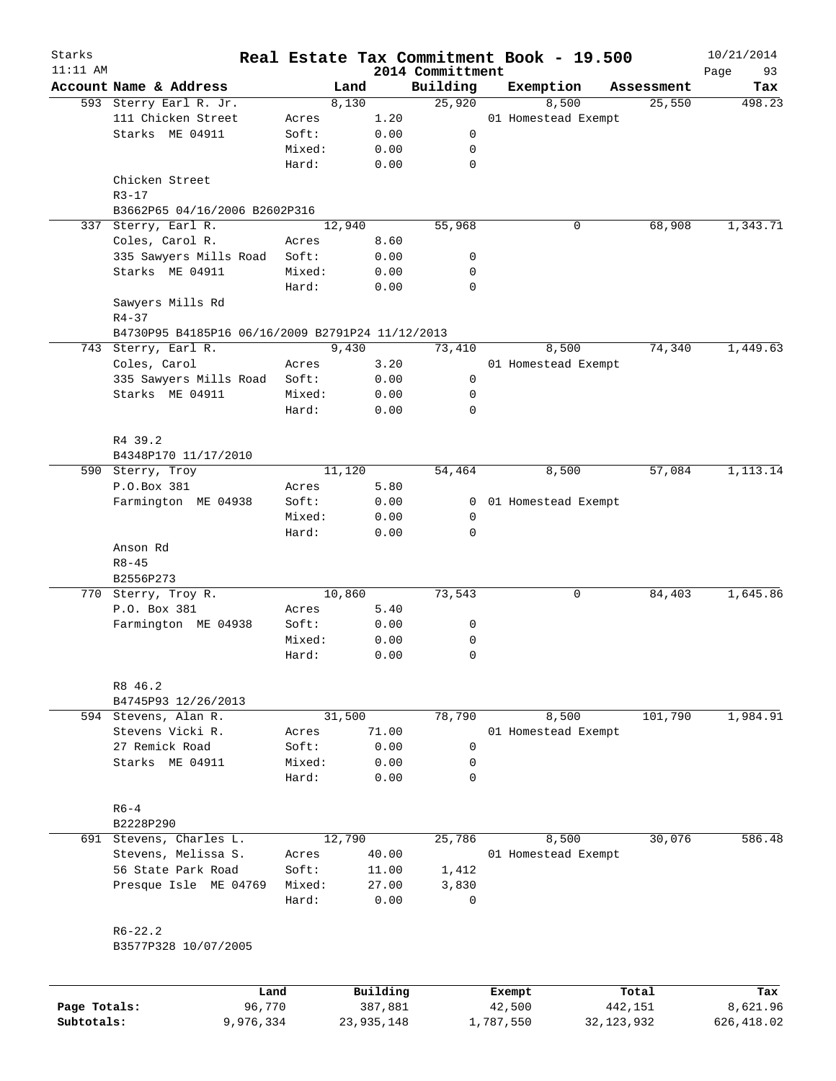| Starks<br>$11:11$ AM |                                                  |        |          | 2014 Committment | Real Estate Tax Commitment Book - 19.500 |            | 10/21/2014<br>Page<br>93 |
|----------------------|--------------------------------------------------|--------|----------|------------------|------------------------------------------|------------|--------------------------|
|                      | Account Name & Address                           | Land   |          | Building         | Exemption                                | Assessment | Tax                      |
|                      | 593 Sterry Earl R. Jr.                           | 8,130  |          | 25,920           | 8,500                                    | 25,550     | 498.23                   |
|                      | 111 Chicken Street                               | Acres  | 1.20     |                  | 01 Homestead Exempt                      |            |                          |
|                      | Starks ME 04911                                  | Soft:  | 0.00     | 0                |                                          |            |                          |
|                      |                                                  | Mixed: | 0.00     | 0                |                                          |            |                          |
|                      |                                                  | Hard:  | 0.00     | $\mathbf 0$      |                                          |            |                          |
|                      | Chicken Street<br>$R3 - 17$                      |        |          |                  |                                          |            |                          |
|                      | B3662P65 04/16/2006 B2602P316                    |        |          |                  |                                          |            |                          |
| 337                  | Sterry, Earl R.                                  | 12,940 |          | 55,968           | 0                                        | 68,908     | 1,343.71                 |
|                      | Coles, Carol R.                                  | Acres  | 8.60     |                  |                                          |            |                          |
|                      | 335 Sawyers Mills Road                           | Soft:  | 0.00     | 0                |                                          |            |                          |
|                      | Starks ME 04911                                  | Mixed: | 0.00     | 0                |                                          |            |                          |
|                      |                                                  | Hard:  | 0.00     | 0                |                                          |            |                          |
|                      | Sawyers Mills Rd<br>$R4 - 37$                    |        |          |                  |                                          |            |                          |
|                      | B4730P95 B4185P16 06/16/2009 B2791P24 11/12/2013 |        |          |                  |                                          |            |                          |
|                      | 743 Sterry, Earl R.                              | 9,430  |          | 73,410           | 8,500                                    | 74,340     | 1,449.63                 |
|                      | Coles, Carol                                     | Acres  | 3.20     |                  | 01 Homestead Exempt                      |            |                          |
|                      | 335 Sawyers Mills Road                           | Soft:  | 0.00     | 0                |                                          |            |                          |
|                      | Starks ME 04911                                  | Mixed: | 0.00     | 0                |                                          |            |                          |
|                      |                                                  | Hard:  | 0.00     | 0                |                                          |            |                          |
|                      | R4 39.2                                          |        |          |                  |                                          |            |                          |
|                      | B4348P170 11/17/2010                             |        |          |                  |                                          |            |                          |
|                      | 590 Sterry, Troy                                 | 11,120 |          | 54,464           | 8,500                                    | 57,084     | 1,113.14                 |
|                      | P.O.Box 381                                      | Acres  | 5.80     |                  |                                          |            |                          |
|                      | Farmington ME 04938                              | Soft:  | 0.00     | 0                | 01 Homestead Exempt                      |            |                          |
|                      |                                                  | Mixed: | 0.00     | 0                |                                          |            |                          |
|                      |                                                  | Hard:  | 0.00     | 0                |                                          |            |                          |
|                      | Anson Rd                                         |        |          |                  |                                          |            |                          |
|                      | $R8 - 45$                                        |        |          |                  |                                          |            |                          |
|                      | B2556P273                                        |        |          |                  |                                          |            |                          |
|                      | 770 Sterry, Troy R.                              | 10,860 |          | 73,543           | 0                                        | 84,403     | 1,645.86                 |
|                      | P.O. Box 381                                     | Acres  | 5.40     |                  |                                          |            |                          |
|                      | Farmington ME 04938                              | Soft:  | 0.00     | 0                |                                          |            |                          |
|                      |                                                  | Mixed: | 0.00     | 0                |                                          |            |                          |
|                      |                                                  | Hard:  | 0.00     | 0                |                                          |            |                          |
|                      | R8 46.2                                          |        |          |                  |                                          |            |                          |
|                      | B4745P93 12/26/2013                              |        |          |                  |                                          |            |                          |
|                      | 594 Stevens, Alan R.                             | 31,500 |          | 78,790           | 8,500                                    | 101,790    | 1,984.91                 |
|                      | Stevens Vicki R.                                 | Acres  | 71.00    |                  | 01 Homestead Exempt                      |            |                          |
|                      | 27 Remick Road                                   | Soft:  | 0.00     | 0                |                                          |            |                          |
|                      | Starks ME 04911                                  | Mixed: | 0.00     | 0                |                                          |            |                          |
|                      |                                                  | Hard:  | 0.00     | $\Omega$         |                                          |            |                          |
|                      | $R6 - 4$<br>B2228P290                            |        |          |                  |                                          |            |                          |
|                      | 691 Stevens, Charles L.                          | 12,790 |          | 25,786           | 8,500                                    | 30,076     | 586.48                   |
|                      | Stevens, Melissa S.                              | Acres  | 40.00    |                  | 01 Homestead Exempt                      |            |                          |
|                      | 56 State Park Road                               | Soft:  | 11.00    | 1,412            |                                          |            |                          |
|                      | Presque Isle ME 04769                            | Mixed: | 27.00    | 3,830            |                                          |            |                          |
|                      |                                                  | Hard:  | 0.00     | $\mathbf 0$      |                                          |            |                          |
|                      | $R6 - 22.2$                                      |        |          |                  |                                          |            |                          |
|                      | B3577P328 10/07/2005                             |        |          |                  |                                          |            |                          |
|                      |                                                  |        |          |                  |                                          |            |                          |
|                      |                                                  | Land   | Building |                  | Exempt                                   | Total      | Tax                      |

|              | Land      | Building   | Exempt    | Total      | Tax        |
|--------------|-----------|------------|-----------|------------|------------|
| Page Totals: | 96,770    | 387,881    | 42,500    | 442,151    | 8,621.96   |
| Subtotals:   | 9,976,334 | 23,935,148 | 1,787,550 | 32,123,932 | 626,418.02 |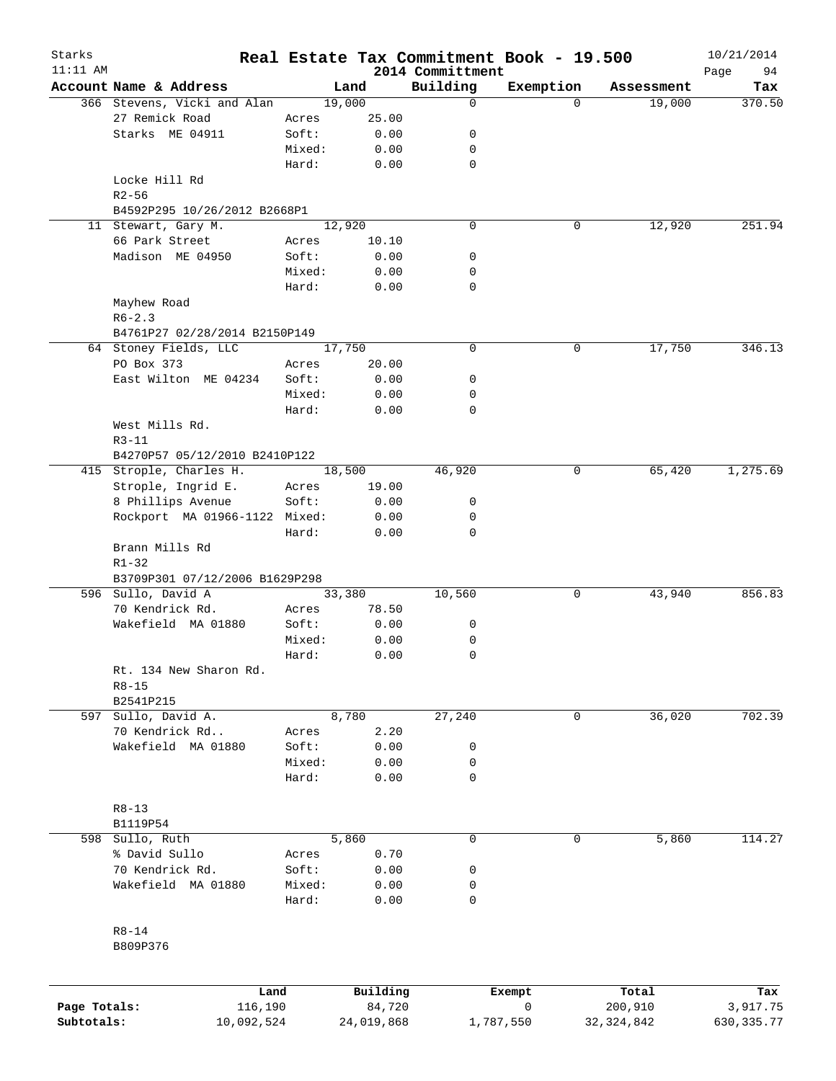| Starks<br>$11:11$ AM |                                |        |            | 2014 Committment | Real Estate Tax Commitment Book - 19.500 |              | 10/21/2014        |
|----------------------|--------------------------------|--------|------------|------------------|------------------------------------------|--------------|-------------------|
|                      | Account Name & Address         |        | Land       | Building         | Exemption                                | Assessment   | 94<br>Page<br>Tax |
|                      | 366 Stevens, Vicki and Alan    |        | 19,000     | 0                | $\Omega$                                 | 19,000       | 370.50            |
|                      | 27 Remick Road                 | Acres  | 25.00      |                  |                                          |              |                   |
|                      | Starks ME 04911                | Soft:  | 0.00       | 0                |                                          |              |                   |
|                      |                                | Mixed: | 0.00       | 0                |                                          |              |                   |
|                      |                                | Hard:  | 0.00       | $\mathbf 0$      |                                          |              |                   |
|                      | Locke Hill Rd                  |        |            |                  |                                          |              |                   |
|                      | $R2 - 56$                      |        |            |                  |                                          |              |                   |
|                      |                                |        |            |                  |                                          |              |                   |
|                      | B4592P295 10/26/2012 B2668P1   |        |            | $\mathbf 0$      |                                          |              |                   |
|                      | 11 Stewart, Gary M.            |        | 12,920     |                  | 0                                        | 12,920       | 251.94            |
|                      | 66 Park Street                 | Acres  | 10.10      |                  |                                          |              |                   |
|                      | Madison ME 04950               | Soft:  | 0.00       | 0                |                                          |              |                   |
|                      |                                | Mixed: | 0.00       | 0                |                                          |              |                   |
|                      |                                | Hard:  | 0.00       | $\mathbf 0$      |                                          |              |                   |
|                      | Mayhew Road                    |        |            |                  |                                          |              |                   |
|                      | $R6 - 2.3$                     |        |            |                  |                                          |              |                   |
|                      | B4761P27 02/28/2014 B2150P149  |        |            |                  |                                          |              |                   |
|                      | 64 Stoney Fields, LLC          |        | 17,750     | $\mathbf 0$      | 0                                        | 17,750       | 346.13            |
|                      | PO Box 373                     | Acres  | 20.00      |                  |                                          |              |                   |
|                      | East Wilton ME 04234           | Soft:  | 0.00       | 0                |                                          |              |                   |
|                      |                                | Mixed: | 0.00       | 0                |                                          |              |                   |
|                      |                                | Hard:  | 0.00       | $\mathbf 0$      |                                          |              |                   |
|                      | West Mills Rd.                 |        |            |                  |                                          |              |                   |
|                      | $R3 - 11$                      |        |            |                  |                                          |              |                   |
|                      | B4270P57 05/12/2010 B2410P122  |        |            |                  |                                          |              |                   |
|                      | 415 Strople, Charles H.        |        | 18,500     | 46,920           | 0                                        | 65,420       | 1,275.69          |
|                      |                                |        |            |                  |                                          |              |                   |
|                      | Strople, Ingrid E.             | Acres  | 19.00      |                  |                                          |              |                   |
|                      | 8 Phillips Avenue              | Soft:  | 0.00       | 0                |                                          |              |                   |
|                      | Rockport MA 01966-1122 Mixed:  |        | 0.00       | 0                |                                          |              |                   |
|                      |                                | Hard:  | 0.00       | $\mathbf 0$      |                                          |              |                   |
|                      | Brann Mills Rd                 |        |            |                  |                                          |              |                   |
|                      | $R1 - 32$                      |        |            |                  |                                          |              |                   |
|                      | B3709P301 07/12/2006 B1629P298 |        |            |                  |                                          |              |                   |
|                      | 596 Sullo, David A             |        | 33,380     | 10,560           | 0                                        | 43,940       | 856.83            |
|                      | 70 Kendrick Rd.                | Acres  | 78.50      |                  |                                          |              |                   |
|                      | Wakefield MA 01880             | Soft:  | 0.00       | 0                |                                          |              |                   |
|                      |                                | Mixed: | 0.00       | 0                |                                          |              |                   |
|                      |                                | Hard:  | 0.00       | 0                |                                          |              |                   |
|                      | Rt. 134 New Sharon Rd.         |        |            |                  |                                          |              |                   |
|                      | $R8 - 15$                      |        |            |                  |                                          |              |                   |
|                      | B2541P215                      |        |            |                  |                                          |              |                   |
| 597                  | Sullo, David A.                |        | 8,780      | 27,240           | 0                                        | 36,020       | 702.39            |
|                      | 70 Kendrick Rd                 | Acres  | 2.20       |                  |                                          |              |                   |
|                      | Wakefield MA 01880             | Soft:  | 0.00       | 0                |                                          |              |                   |
|                      |                                | Mixed: | 0.00       | 0                |                                          |              |                   |
|                      |                                |        |            | 0                |                                          |              |                   |
|                      |                                | Hard:  | 0.00       |                  |                                          |              |                   |
|                      |                                |        |            |                  |                                          |              |                   |
|                      | $R8 - 13$                      |        |            |                  |                                          |              |                   |
|                      | B1119P54                       |        |            |                  |                                          |              |                   |
| 598                  | Sullo, Ruth                    |        | 5,860      | 0                | 0                                        | 5,860        | 114.27            |
|                      | % David Sullo                  | Acres  | 0.70       |                  |                                          |              |                   |
|                      | 70 Kendrick Rd.                | Soft:  | 0.00       | 0                |                                          |              |                   |
|                      | Wakefield MA 01880             | Mixed: | 0.00       | 0                |                                          |              |                   |
|                      |                                | Hard:  | 0.00       | 0                |                                          |              |                   |
|                      |                                |        |            |                  |                                          |              |                   |
|                      | $R8 - 14$                      |        |            |                  |                                          |              |                   |
|                      | B809P376                       |        |            |                  |                                          |              |                   |
|                      |                                |        |            |                  |                                          |              |                   |
|                      |                                |        |            |                  |                                          |              |                   |
|                      | Land                           |        | Building   |                  | Exempt                                   | Total        | Tax               |
| Page Totals:         | 116,190                        |        | 84,720     |                  | 0                                        | 200,910      | 3,917.75          |
| Subtotals:           | 10,092,524                     |        | 24,019,868 |                  | 1,787,550                                | 32, 324, 842 | 630, 335.77       |
|                      |                                |        |            |                  |                                          |              |                   |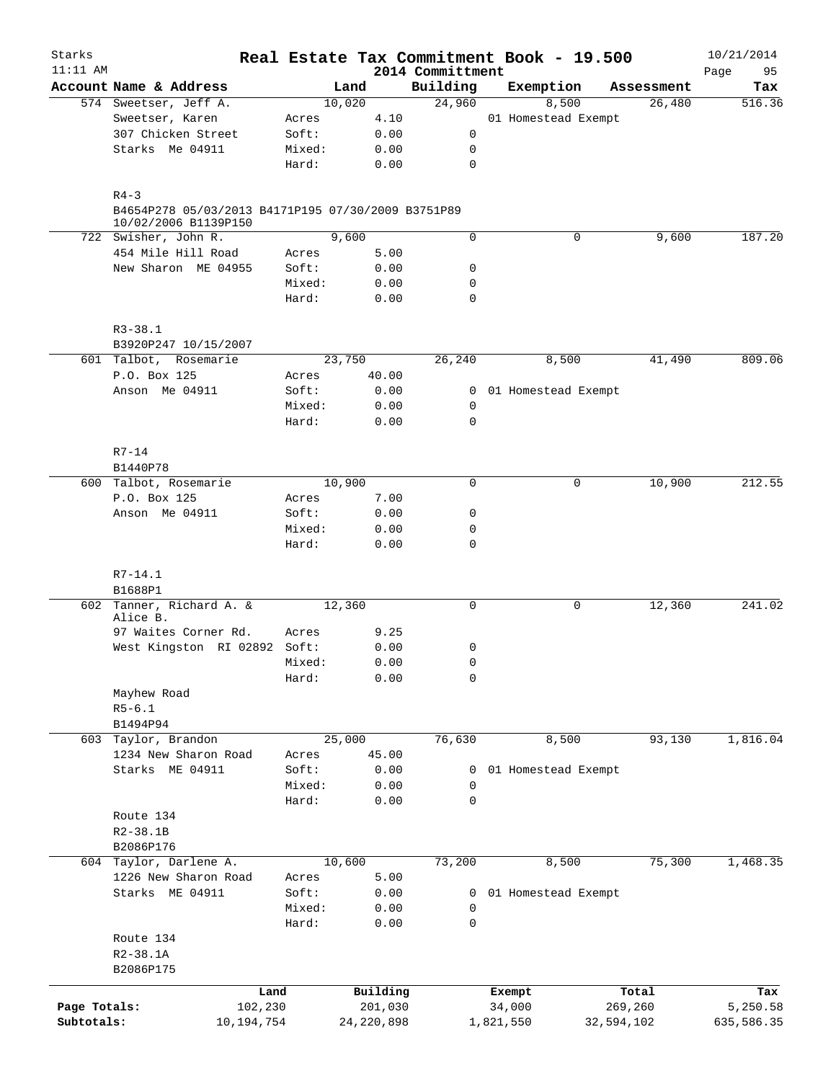| Starks<br>$11:11$ AM |                                                                            |                 |              |                              | Real Estate Tax Commitment Book - 19.500 |            | 10/21/2014        |
|----------------------|----------------------------------------------------------------------------|-----------------|--------------|------------------------------|------------------------------------------|------------|-------------------|
|                      | Account Name & Address                                                     | Land            |              | 2014 Committment<br>Building | Exemption                                | Assessment | 95<br>Page<br>Tax |
|                      | 574 Sweetser, Jeff A.                                                      | 10,020          |              | 24,960                       | 8,500                                    | 26,480     | 516.36            |
|                      | Sweetser, Karen                                                            | Acres           | 4.10         |                              | 01 Homestead Exempt                      |            |                   |
|                      | 307 Chicken Street                                                         | Soft:           | 0.00         | 0                            |                                          |            |                   |
|                      | Starks Me 04911                                                            | Mixed:          | 0.00         | 0                            |                                          |            |                   |
|                      |                                                                            | Hard:           | 0.00         | $\mathbf 0$                  |                                          |            |                   |
|                      | $R4 - 3$                                                                   |                 |              |                              |                                          |            |                   |
|                      | B4654P278 05/03/2013 B4171P195 07/30/2009 B3751P89<br>10/02/2006 B1139P150 |                 |              |                              |                                          |            |                   |
|                      | 722 Swisher, John R.                                                       | 9,600           |              | 0                            | 0                                        | 9,600      | 187.20            |
|                      | 454 Mile Hill Road                                                         | Acres           | 5.00         |                              |                                          |            |                   |
|                      | New Sharon ME 04955                                                        | Soft:           | 0.00         | 0                            |                                          |            |                   |
|                      |                                                                            | Mixed:          | 0.00         | 0                            |                                          |            |                   |
|                      |                                                                            | Hard:           | 0.00         | 0                            |                                          |            |                   |
|                      | $R3 - 38.1$                                                                |                 |              |                              |                                          |            |                   |
|                      | B3920P247 10/15/2007                                                       |                 |              |                              |                                          |            |                   |
|                      | 601 Talbot, Rosemarie                                                      | 23,750          |              | 26,240                       | 8,500                                    | 41,490     | 809.06            |
|                      | P.O. Box 125                                                               | Acres           | 40.00        |                              |                                          |            |                   |
|                      | Anson Me 04911                                                             | Soft:           | 0.00         |                              | 0 01 Homestead Exempt                    |            |                   |
|                      |                                                                            | Mixed:          | 0.00         | 0                            |                                          |            |                   |
|                      |                                                                            | Hard:           | 0.00         | 0                            |                                          |            |                   |
|                      | $R7 - 14$                                                                  |                 |              |                              |                                          |            |                   |
|                      | B1440P78                                                                   |                 |              |                              |                                          |            |                   |
|                      | 600 Talbot, Rosemarie                                                      | 10,900          |              | 0                            | 0                                        | 10,900     | 212.55            |
|                      | P.O. Box 125                                                               | Acres           | 7.00         |                              |                                          |            |                   |
|                      | Anson Me 04911                                                             | Soft:           | 0.00         | 0                            |                                          |            |                   |
|                      |                                                                            | Mixed:<br>Hard: | 0.00<br>0.00 | 0<br>0                       |                                          |            |                   |
|                      |                                                                            |                 |              |                              |                                          |            |                   |
|                      | $R7 - 14.1$<br>B1688P1                                                     |                 |              |                              |                                          |            |                   |
|                      | 602 Tanner, Richard A. &                                                   | 12,360          |              | 0                            | 0                                        | 12,360     | 241.02            |
|                      | Alice B.                                                                   |                 |              |                              |                                          |            |                   |
|                      | 97 Waites Corner Rd.                                                       | Acres           | 9.25         |                              |                                          |            |                   |
|                      | West Kingston RI 02892 Soft:                                               |                 | 0.00         | 0                            |                                          |            |                   |
|                      |                                                                            | Mixed:          | 0.00         | 0                            |                                          |            |                   |
|                      |                                                                            | Hard:           | 0.00         | 0                            |                                          |            |                   |
|                      | Mayhew Road                                                                |                 |              |                              |                                          |            |                   |
|                      | $R5 - 6.1$                                                                 |                 |              |                              |                                          |            |                   |
|                      | B1494P94                                                                   |                 |              |                              |                                          |            |                   |
|                      | 603 Taylor, Brandon                                                        | 25,000          |              | 76,630                       | 8,500                                    | 93,130     | 1,816.04          |
|                      | 1234 New Sharon Road                                                       | Acres           | 45.00        |                              |                                          |            |                   |
|                      | Starks ME 04911                                                            | Soft:           | 0.00         | 0                            | 01 Homestead Exempt                      |            |                   |
|                      |                                                                            | Mixed:          | 0.00         | 0                            |                                          |            |                   |
|                      |                                                                            | Hard:           | 0.00         | 0                            |                                          |            |                   |
|                      | Route 134                                                                  |                 |              |                              |                                          |            |                   |
|                      | $R2 - 38.1B$                                                               |                 |              |                              |                                          |            |                   |
|                      | B2086P176                                                                  |                 |              |                              |                                          |            |                   |
|                      | 604 Taylor, Darlene A.                                                     | 10,600          |              | 73,200                       | 8,500                                    | 75,300     | 1,468.35          |
|                      | 1226 New Sharon Road                                                       | Acres           | 5.00         |                              |                                          |            |                   |
|                      | Starks ME 04911                                                            | Soft:           | 0.00         | 0                            | 01 Homestead Exempt                      |            |                   |
|                      |                                                                            | Mixed:          | 0.00         | 0                            |                                          |            |                   |
|                      |                                                                            | Hard:           | 0.00         | 0                            |                                          |            |                   |
|                      | Route 134                                                                  |                 |              |                              |                                          |            |                   |
|                      | $R2 - 38.1A$                                                               |                 |              |                              |                                          |            |                   |
|                      | B2086P175                                                                  |                 |              |                              |                                          |            |                   |
|                      | Land                                                                       |                 | Building     |                              | Exempt                                   | Total      | Tax               |
| Page Totals:         | 102,230                                                                    |                 | 201,030      |                              | 34,000                                   | 269,260    | 5,250.58          |
| Subtotals:           | 10, 194, 754                                                               |                 | 24, 220, 898 |                              | 1,821,550                                | 32,594,102 | 635,586.35        |
|                      |                                                                            |                 |              |                              |                                          |            |                   |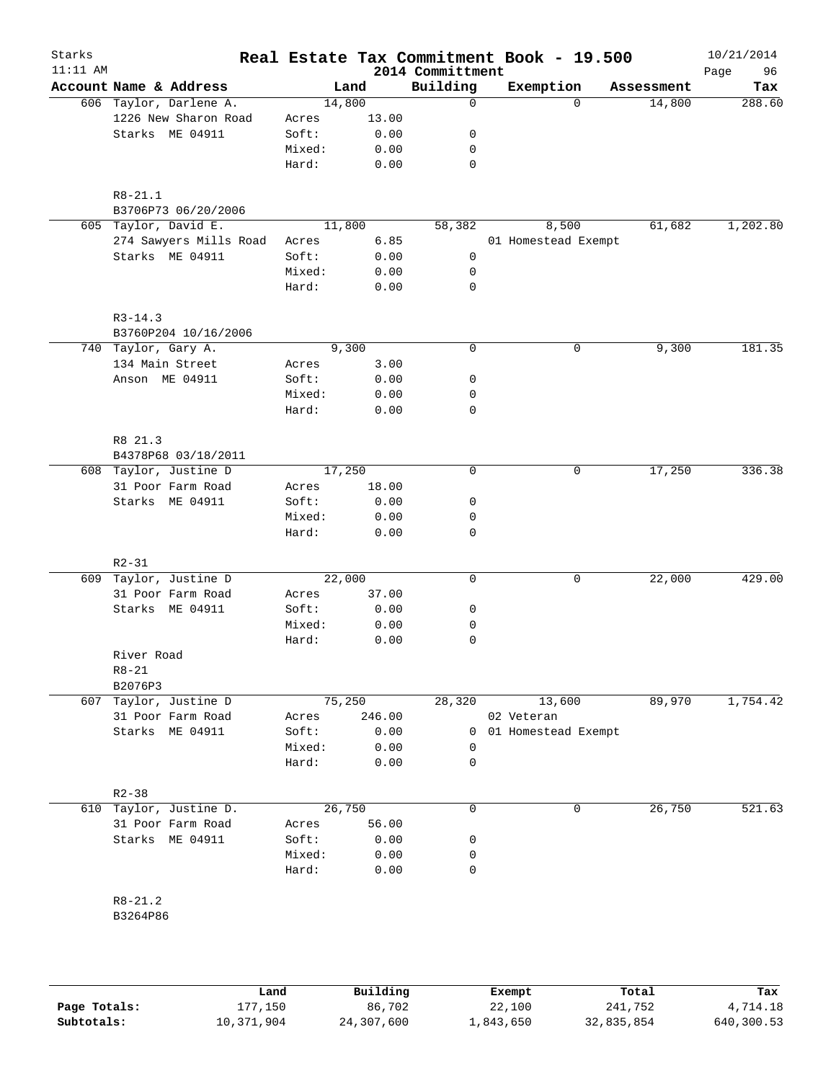| $11:11$ AM |                        |        |        | 2014 Committment | Real Estate Tax Commitment Book - 19.500 |            | 10/21/2014<br>96<br>Page |
|------------|------------------------|--------|--------|------------------|------------------------------------------|------------|--------------------------|
|            | Account Name & Address |        | Land   | Building         | Exemption                                | Assessment | Tax                      |
|            | 606 Taylor, Darlene A. |        | 14,800 | $\mathbf 0$      | $\Omega$                                 | 14,800     | 288.60                   |
|            | 1226 New Sharon Road   | Acres  | 13.00  |                  |                                          |            |                          |
|            | Starks ME 04911        | Soft:  | 0.00   | 0                |                                          |            |                          |
|            |                        | Mixed: | 0.00   | 0                |                                          |            |                          |
|            |                        | Hard:  | 0.00   | $\mathbf 0$      |                                          |            |                          |
|            | $R8 - 21.1$            |        |        |                  |                                          |            |                          |
|            | B3706P73 06/20/2006    |        |        |                  |                                          |            |                          |
|            | 605 Taylor, David E.   |        | 11,800 | 58,382           | 8,500                                    | 61,682     | 1,202.80                 |
|            | 274 Sawyers Mills Road | Acres  | 6.85   |                  | 01 Homestead Exempt                      |            |                          |
|            | Starks ME 04911        | Soft:  | 0.00   | 0                |                                          |            |                          |
|            |                        | Mixed: | 0.00   | 0                |                                          |            |                          |
|            |                        | Hard:  | 0.00   | $\mathbf 0$      |                                          |            |                          |
|            | $R3 - 14.3$            |        |        |                  |                                          |            |                          |
|            | B3760P204 10/16/2006   |        |        |                  |                                          |            |                          |
|            | 740 Taylor, Gary A.    |        | 9,300  | 0                | 0                                        | 9,300      | 181.35                   |
|            | 134 Main Street        | Acres  | 3.00   |                  |                                          |            |                          |
|            | Anson ME 04911         | Soft:  | 0.00   | 0                |                                          |            |                          |
|            |                        | Mixed: | 0.00   | 0                |                                          |            |                          |
|            |                        | Hard:  | 0.00   | $\mathbf 0$      |                                          |            |                          |
|            | R8 21.3                |        |        |                  |                                          |            |                          |
|            | B4378P68 03/18/2011    |        |        |                  |                                          |            |                          |
|            | 608 Taylor, Justine D  |        | 17,250 | $\mathbf 0$      | 0                                        | 17,250     | 336.38                   |
|            | 31 Poor Farm Road      | Acres  | 18.00  |                  |                                          |            |                          |
|            | Starks ME 04911        | Soft:  | 0.00   | 0                |                                          |            |                          |
|            |                        | Mixed: | 0.00   | 0                |                                          |            |                          |
|            |                        | Hard:  | 0.00   | $\mathbf 0$      |                                          |            |                          |
|            | $R2 - 31$              |        |        |                  |                                          |            |                          |
| 609        | Taylor, Justine D      |        | 22,000 | 0                | 0                                        | 22,000     | 429.00                   |
|            | 31 Poor Farm Road      | Acres  | 37.00  |                  |                                          |            |                          |
|            | Starks ME 04911        | Soft:  | 0.00   | 0                |                                          |            |                          |
|            |                        | Mixed: | 0.00   | 0                |                                          |            |                          |
|            |                        | Hard:  | 0.00   | 0                |                                          |            |                          |
|            | River Road             |        |        |                  |                                          |            |                          |
|            | $R8 - 21$              |        |        |                  |                                          |            |                          |
|            | B2076P3                |        |        |                  |                                          |            |                          |
| 607        | Taylor, Justine D      |        | 75,250 | 28,320           | 13,600                                   | 89,970     | 1,754.42                 |
|            | 31 Poor Farm Road      | Acres  | 246.00 |                  | 02 Veteran                               |            |                          |
|            | Starks ME 04911        | Soft:  | 0.00   | 0                | 01 Homestead Exempt                      |            |                          |
|            |                        | Mixed: | 0.00   | 0                |                                          |            |                          |
|            |                        | Hard:  | 0.00   | 0                |                                          |            |                          |
|            | $R2 - 38$              |        |        |                  |                                          |            |                          |
| 610        | Taylor, Justine D.     |        | 26,750 | 0                | 0                                        | 26,750     | 521.63                   |
|            | 31 Poor Farm Road      | Acres  | 56.00  |                  |                                          |            |                          |
|            | Starks ME 04911        | Soft:  | 0.00   | 0                |                                          |            |                          |
|            |                        | Mixed: | 0.00   | 0                |                                          |            |                          |
|            |                        | Hard:  | 0.00   | 0                |                                          |            |                          |
|            | $R8 - 21.2$            |        |        |                  |                                          |            |                          |
|            | B3264P86               |        |        |                  |                                          |            |                          |

|              | Land       | Building   | Exempt    | Total      | Tax        |
|--------------|------------|------------|-----------|------------|------------|
| Page Totals: | 177,150    | 86,702     | 22,100    | 241,752    | 4,714.18   |
| Subtotals:   | 10,371,904 | 24,307,600 | 1,843,650 | 32,835,854 | 640,300.53 |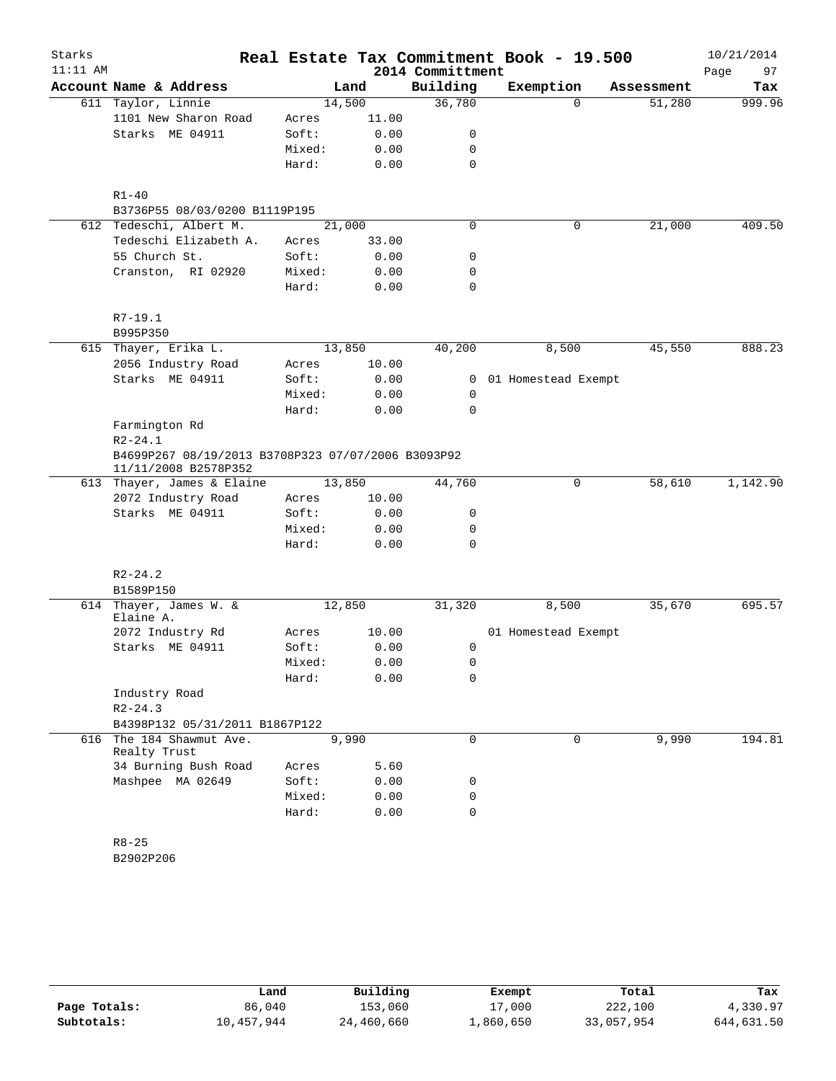| Starks     |                                                                            |        |       |                  | Real Estate Tax Commitment Book - 19.500 |             |            | 10/21/2014 |
|------------|----------------------------------------------------------------------------|--------|-------|------------------|------------------------------------------|-------------|------------|------------|
| $11:11$ AM |                                                                            |        |       | 2014 Committment |                                          |             |            | 97<br>Page |
|            | Account Name & Address                                                     |        | Land  | Building         | Exemption                                |             | Assessment | Tax        |
|            | 611 Taylor, Linnie                                                         | 14,500 |       | 36,780           |                                          | $\Omega$    | 51,280     | 999.96     |
|            | 1101 New Sharon Road                                                       | Acres  | 11.00 |                  |                                          |             |            |            |
|            | Starks ME 04911                                                            | Soft:  | 0.00  | 0                |                                          |             |            |            |
|            |                                                                            | Mixed: | 0.00  | 0                |                                          |             |            |            |
|            |                                                                            | Hard:  | 0.00  | $\mathbf 0$      |                                          |             |            |            |
|            | $R1 - 40$                                                                  |        |       |                  |                                          |             |            |            |
|            | B3736P55 08/03/0200 B1119P195                                              |        |       |                  |                                          |             |            |            |
|            | 612 Tedeschi, Albert M.                                                    | 21,000 |       | 0                |                                          | $\mathbf 0$ | 21,000     | 409.50     |
|            | Tedeschi Elizabeth A.                                                      | Acres  | 33.00 |                  |                                          |             |            |            |
|            | 55 Church St.                                                              | Soft:  | 0.00  | 0                |                                          |             |            |            |
|            | Cranston, RI 02920                                                         | Mixed: | 0.00  | 0                |                                          |             |            |            |
|            |                                                                            | Hard:  | 0.00  | $\mathbf 0$      |                                          |             |            |            |
|            | $R7 - 19.1$                                                                |        |       |                  |                                          |             |            |            |
|            | B995P350                                                                   |        |       |                  |                                          |             |            |            |
|            | 615 Thayer, Erika L.                                                       | 13,850 |       | 40,200           | 8,500                                    |             | 45,550     | 888.23     |
|            | 2056 Industry Road                                                         | Acres  | 10.00 |                  |                                          |             |            |            |
|            | Starks ME 04911                                                            | Soft:  | 0.00  | $\overline{0}$   | 01 Homestead Exempt                      |             |            |            |
|            |                                                                            | Mixed: | 0.00  | 0                |                                          |             |            |            |
|            |                                                                            | Hard:  | 0.00  | 0                |                                          |             |            |            |
|            | Farmington Rd                                                              |        |       |                  |                                          |             |            |            |
|            | $R2 - 24.1$                                                                |        |       |                  |                                          |             |            |            |
|            | B4699P267 08/19/2013 B3708P323 07/07/2006 B3093P92<br>11/11/2008 B2578P352 |        |       |                  |                                          |             |            |            |
|            | 613 Thayer, James & Elaine                                                 | 13,850 |       | 44,760           |                                          | 0           | 58,610     | 1,142.90   |
|            | 2072 Industry Road                                                         | Acres  | 10.00 |                  |                                          |             |            |            |
|            | Starks ME 04911                                                            | Soft:  | 0.00  | 0                |                                          |             |            |            |
|            |                                                                            | Mixed: | 0.00  | 0                |                                          |             |            |            |
|            |                                                                            | Hard:  | 0.00  | $\mathbf 0$      |                                          |             |            |            |
|            | $R2 - 24.2$                                                                |        |       |                  |                                          |             |            |            |
|            | B1589P150                                                                  |        |       |                  |                                          |             |            |            |
|            | 614 Thayer, James W. &<br>Elaine A.                                        | 12,850 |       | 31,320           | 8,500                                    |             | 35,670     | 695.57     |
|            | 2072 Industry Rd                                                           | Acres  | 10.00 |                  | 01 Homestead Exempt                      |             |            |            |
|            | Starks ME 04911                                                            | Soft:  | 0.00  | 0                |                                          |             |            |            |
|            |                                                                            | Mixed: | 0.00  | 0                |                                          |             |            |            |
|            |                                                                            | Hard:  | 0.00  | 0                |                                          |             |            |            |
|            | Industry Road                                                              |        |       |                  |                                          |             |            |            |
|            | $R2 - 24.3$                                                                |        |       |                  |                                          |             |            |            |
|            | B4398P132 05/31/2011 B1867P122                                             |        |       |                  |                                          |             |            |            |
|            | 616 The 184 Shawmut Ave.<br>Realty Trust                                   | 9,990  |       | 0                |                                          | 0           | 9,990      | 194.81     |
|            | 34 Burning Bush Road                                                       | Acres  | 5.60  |                  |                                          |             |            |            |
|            | Mashpee MA 02649                                                           | Soft:  | 0.00  | 0                |                                          |             |            |            |
|            |                                                                            | Mixed: | 0.00  | 0                |                                          |             |            |            |
|            |                                                                            | Hard:  | 0.00  | $\mathbf 0$      |                                          |             |            |            |
|            |                                                                            |        |       |                  |                                          |             |            |            |
|            | $R8 - 25$                                                                  |        |       |                  |                                          |             |            |            |
|            | B2902P206                                                                  |        |       |                  |                                          |             |            |            |

|              | Land       | Building   | Exempt    | Total      | Tax        |
|--------------|------------|------------|-----------|------------|------------|
| Page Totals: | 86,040     | 153,060    | 17,000    | 222,100    | 4,330.97   |
| Subtotals:   | 10,457,944 | 24,460,660 | ⊥,860,650 | 33,057,954 | 644,631.50 |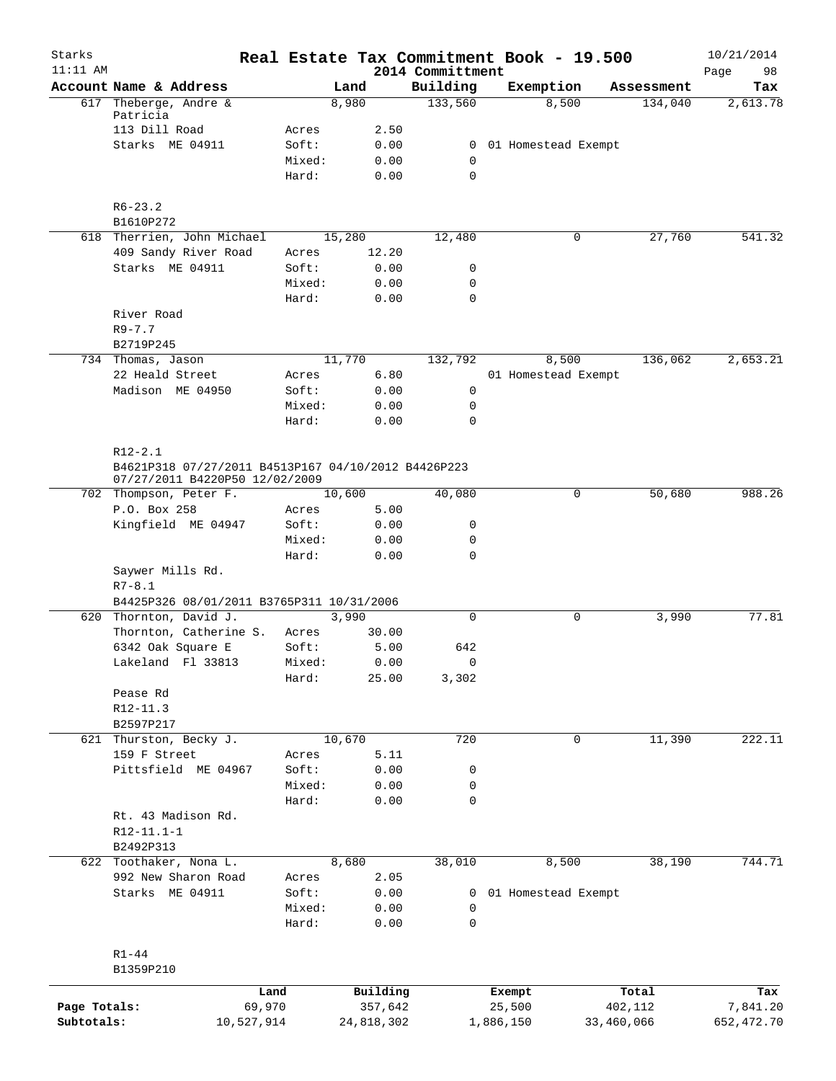| Starks<br>$11:11$ AM |                                                     |                 |            |              | 2014 Committment | Real Estate Tax Commitment Book - 19.500 |            | 10/21/2014<br>Page<br>98 |
|----------------------|-----------------------------------------------------|-----------------|------------|--------------|------------------|------------------------------------------|------------|--------------------------|
|                      | Account Name & Address                              |                 | Land       |              | Building         | Exemption                                | Assessment | Tax                      |
|                      | 617 Theberge, Andre &                               |                 | 8,980      |              | 133,560          | 8,500                                    | 134,040    | 2,613.78                 |
|                      | Patricia                                            |                 |            |              |                  |                                          |            |                          |
|                      | 113 Dill Road                                       | Acres           |            | 2.50         |                  |                                          |            |                          |
|                      | Starks ME 04911                                     | Soft:           |            | 0.00         |                  | 0 01 Homestead Exempt                    |            |                          |
|                      |                                                     | Mixed:          |            | 0.00         | 0                |                                          |            |                          |
|                      |                                                     | Hard:           |            | 0.00         | $\mathbf 0$      |                                          |            |                          |
|                      | $R6 - 23.2$                                         |                 |            |              |                  |                                          |            |                          |
|                      | B1610P272                                           |                 |            |              |                  |                                          |            |                          |
|                      | 618 Therrien, John Michael                          |                 | 15,280     |              | 12,480           | 0                                        | 27,760     | 541.32                   |
|                      | 409 Sandy River Road                                | Acres           | 12.20      |              |                  |                                          |            |                          |
|                      | Starks ME 04911                                     | Soft:           |            | 0.00         | 0                |                                          |            |                          |
|                      |                                                     | Mixed:          |            | 0.00         | 0                |                                          |            |                          |
|                      |                                                     | Hard:           |            | 0.00         | 0                |                                          |            |                          |
|                      | River Road                                          |                 |            |              |                  |                                          |            |                          |
|                      | $R9 - 7.7$                                          |                 |            |              |                  |                                          |            |                          |
|                      | B2719P245                                           |                 |            |              |                  |                                          |            |                          |
|                      | 734 Thomas, Jason                                   |                 | 11,770     |              | 132,792          | 8,500                                    | 136,062    | 2,653.21                 |
|                      | 22 Heald Street                                     | Acres           |            | 6.80         |                  | 01 Homestead Exempt                      |            |                          |
|                      | Madison ME 04950                                    | Soft:           |            | 0.00         | 0                |                                          |            |                          |
|                      |                                                     | Mixed:          |            | 0.00         | 0                |                                          |            |                          |
|                      |                                                     | Hard:           |            | 0.00         | $\Omega$         |                                          |            |                          |
|                      | $R12 - 2.1$                                         |                 |            |              |                  |                                          |            |                          |
|                      | B4621P318 07/27/2011 B4513P167 04/10/2012 B4426P223 |                 |            |              |                  |                                          |            |                          |
|                      | 07/27/2011 B4220P50 12/02/2009                      |                 |            |              |                  |                                          |            |                          |
|                      | 702 Thompson, Peter F.                              |                 | 10,600     |              | 40,080           | 0                                        | 50,680     | 988.26                   |
|                      | P.O. Box 258                                        | Acres           |            | 5.00         |                  |                                          |            |                          |
|                      | Kingfield ME 04947                                  | Soft:           |            | 0.00         | 0                |                                          |            |                          |
|                      |                                                     | Mixed:          |            | 0.00         | 0                |                                          |            |                          |
|                      |                                                     | Hard:           |            | 0.00         | $\mathbf 0$      |                                          |            |                          |
|                      | Saywer Mills Rd.                                    |                 |            |              |                  |                                          |            |                          |
|                      | $R7 - 8.1$                                          |                 |            |              |                  |                                          |            |                          |
|                      | B4425P326 08/01/2011 B3765P311 10/31/2006           |                 |            |              |                  |                                          |            |                          |
|                      | 620 Thornton, David J.                              |                 | 3,990      |              | 0                | 0                                        | 3,990      | 77.81                    |
|                      | Thornton, Catherine S.                              | Acres           | 30.00      |              |                  |                                          |            |                          |
|                      | 6342 Oak Square E                                   | Soft:           |            | 5.00         | 642              |                                          |            |                          |
|                      | Lakeland Fl 33813                                   | Mixed:          | 0.00       |              | $\mathbf 0$      |                                          |            |                          |
|                      |                                                     | Hard:           | 25.00      |              | 3,302            |                                          |            |                          |
|                      | Pease Rd                                            |                 |            |              |                  |                                          |            |                          |
|                      | $R12 - 11.3$                                        |                 |            |              |                  |                                          |            |                          |
|                      | B2597P217                                           |                 |            |              |                  |                                          |            |                          |
|                      | 621 Thurston, Becky J.                              |                 | 10,670     |              | 720              | 0                                        | 11,390     | 222.11                   |
|                      | 159 F Street                                        | Acres           |            | 5.11         |                  |                                          |            |                          |
|                      | Pittsfield ME 04967                                 | Soft:           |            | 0.00         | 0                |                                          |            |                          |
|                      |                                                     | Mixed:<br>Hard: |            | 0.00<br>0.00 | 0<br>0           |                                          |            |                          |
|                      | Rt. 43 Madison Rd.                                  |                 |            |              |                  |                                          |            |                          |
|                      | $R12-11.1-1$                                        |                 |            |              |                  |                                          |            |                          |
|                      | B2492P313                                           |                 |            |              |                  |                                          |            |                          |
|                      | 622 Toothaker, Nona L.                              |                 | 8,680      |              | 38,010           | 8,500                                    | 38,190     | 744.71                   |
|                      | 992 New Sharon Road                                 | Acres           |            | 2.05         |                  |                                          |            |                          |
|                      | Starks ME 04911                                     | Soft:           |            | 0.00         | 0                | 01 Homestead Exempt                      |            |                          |
|                      |                                                     | Mixed:          |            | 0.00         | 0                |                                          |            |                          |
|                      |                                                     | Hard:           |            | 0.00         | 0                |                                          |            |                          |
|                      |                                                     |                 |            |              |                  |                                          |            |                          |
|                      | $R1 - 44$                                           |                 |            |              |                  |                                          |            |                          |
|                      | B1359P210                                           |                 |            |              |                  |                                          |            |                          |
|                      |                                                     | Land            | Building   |              |                  | Exempt                                   | Total      | Tax                      |
| Page Totals:         | 69,970                                              |                 | 357,642    |              |                  | 25,500                                   | 402,112    | 7,841.20                 |
| Subtotals:           | 10,527,914                                          |                 | 24,818,302 |              |                  | 1,886,150<br>33,460,066                  |            | 652,472.70               |
|                      |                                                     |                 |            |              |                  |                                          |            |                          |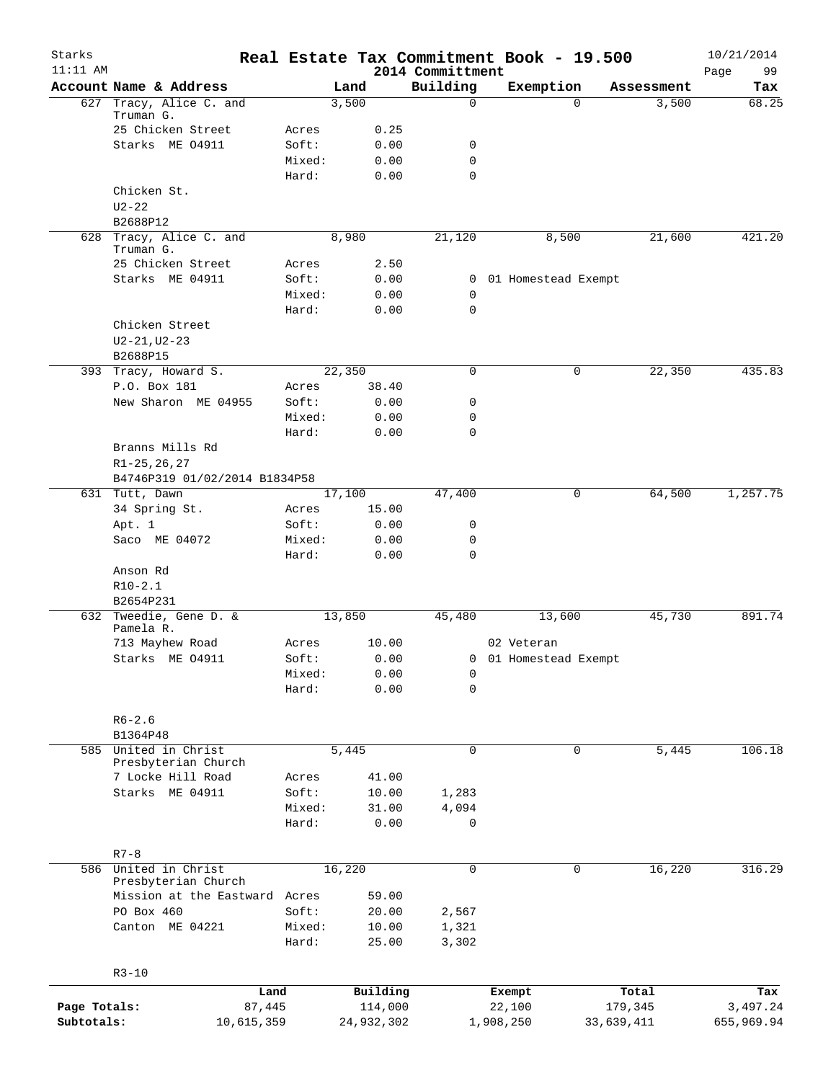| Starks<br>$11:11$ AM |                                          |                 |        |                | 2014 Committment           | Real Estate Tax Commitment Book - 19.500 |            |            | 10/21/2014<br>99<br>Page |
|----------------------|------------------------------------------|-----------------|--------|----------------|----------------------------|------------------------------------------|------------|------------|--------------------------|
|                      | Account Name & Address                   |                 | Land   |                | Building                   | Exemption                                |            | Assessment | Tax                      |
|                      | 627 Tracy, Alice C. and                  |                 | 3,500  |                | $\Omega$                   |                                          | 0          | 3,500      | 68.25                    |
|                      | Truman G.                                |                 |        |                |                            |                                          |            |            |                          |
|                      | 25 Chicken Street                        | Acres           |        | 0.25           |                            |                                          |            |            |                          |
|                      | Starks ME 04911                          | Soft:           |        | 0.00           | 0                          |                                          |            |            |                          |
|                      |                                          | Mixed:<br>Hard: |        | 0.00<br>0.00   | $\mathbf 0$<br>$\mathbf 0$ |                                          |            |            |                          |
|                      | Chicken St.                              |                 |        |                |                            |                                          |            |            |                          |
|                      | $U2 - 22$                                |                 |        |                |                            |                                          |            |            |                          |
|                      | B2688P12                                 |                 |        |                |                            |                                          |            |            |                          |
|                      | 628 Tracy, Alice C. and<br>Truman G.     |                 | 8,980  |                | 21,120                     | 8,500                                    |            | 21,600     | 421.20                   |
|                      | 25 Chicken Street                        | Acres           |        | 2.50           |                            |                                          |            |            |                          |
|                      | Starks ME 04911                          | Soft:           |        | 0.00           | $\overline{0}$             | 01 Homestead Exempt                      |            |            |                          |
|                      |                                          | Mixed:          |        | 0.00           | 0                          |                                          |            |            |                          |
|                      |                                          | Hard:           |        | 0.00           | $\mathbf 0$                |                                          |            |            |                          |
|                      | Chicken Street                           |                 |        |                |                            |                                          |            |            |                          |
|                      | $U2 - 21, U2 - 23$                       |                 |        |                |                            |                                          |            |            |                          |
|                      | B2688P15                                 |                 |        |                |                            |                                          |            |            |                          |
| 393                  | Tracy, Howard S.<br>P.O. Box 181         |                 | 22,350 |                | $\mathbf 0$                |                                          | 0          | 22,350     | 435.83                   |
|                      | New Sharon ME 04955                      | Acres<br>Soft:  |        | 38.40<br>0.00  | 0                          |                                          |            |            |                          |
|                      |                                          | Mixed:          |        | 0.00           | 0                          |                                          |            |            |                          |
|                      |                                          | Hard:           |        | 0.00           | $\mathbf 0$                |                                          |            |            |                          |
|                      | Branns Mills Rd                          |                 |        |                |                            |                                          |            |            |                          |
|                      | $R1 - 25, 26, 27$                        |                 |        |                |                            |                                          |            |            |                          |
|                      | B4746P319 01/02/2014 B1834P58            |                 |        |                |                            |                                          |            |            |                          |
|                      | 631 Tutt, Dawn                           |                 | 17,100 |                | 47,400                     |                                          | 0          | 64,500     | 1,257.75                 |
|                      | 34 Spring St.                            | Acres           |        | 15.00          |                            |                                          |            |            |                          |
|                      | Apt. 1                                   | Soft:           |        | 0.00           | 0                          |                                          |            |            |                          |
|                      | Saco ME 04072                            | Mixed:          |        | 0.00           | $\mathbf 0$                |                                          |            |            |                          |
|                      |                                          | Hard:           |        | 0.00           | $\mathbf 0$                |                                          |            |            |                          |
|                      | Anson Rd                                 |                 |        |                |                            |                                          |            |            |                          |
|                      | $R10-2.1$                                |                 |        |                |                            |                                          |            |            |                          |
|                      | B2654P231                                |                 |        |                |                            |                                          |            |            |                          |
| 632                  | Tweedie, Gene D. &<br>Pamela R.          |                 | 13,850 |                | 45,480                     | 13,600                                   |            | 45,730     | 891.74                   |
|                      | 713 Mayhew Road                          | Acres           |        | 10.00          |                            | 02 Veteran                               |            |            |                          |
|                      | Starks ME 04911                          | Soft:           |        | 0.00           |                            | 0 01 Homestead Exempt                    |            |            |                          |
|                      |                                          | Mixed:          |        | 0.00           | 0                          |                                          |            |            |                          |
|                      |                                          | Hard:           |        | 0.00           | $\mathbf 0$                |                                          |            |            |                          |
|                      |                                          |                 |        |                |                            |                                          |            |            |                          |
|                      | $R6 - 2.6$                               |                 |        |                |                            |                                          |            |            |                          |
|                      | B1364P48                                 |                 |        |                |                            |                                          |            |            |                          |
|                      | 585 United in Christ                     |                 | 5,445  |                | $\mathbf 0$                |                                          | 0          | 5,445      | 106.18                   |
|                      | Presbyterian Church<br>7 Locke Hill Road | Acres           |        | 41.00          |                            |                                          |            |            |                          |
|                      | Starks ME 04911                          | Soft:           |        | 10.00          | 1,283                      |                                          |            |            |                          |
|                      |                                          | Mixed:          |        | 31.00          | 4,094                      |                                          |            |            |                          |
|                      |                                          | Hard:           |        | 0.00           | $\mathbf 0$                |                                          |            |            |                          |
|                      |                                          |                 |        |                |                            |                                          |            |            |                          |
|                      | $R7 - 8$                                 |                 |        |                |                            |                                          |            |            |                          |
|                      | 586 United in Christ                     |                 | 16,220 |                | $\mathbf 0$                |                                          | 0          | 16,220     | 316.29                   |
|                      | Presbyterian Church                      |                 |        |                |                            |                                          |            |            |                          |
|                      | Mission at the Eastward Acres            |                 |        | 59.00          |                            |                                          |            |            |                          |
|                      | PO Box 460<br>Canton ME 04221            | Soft:           |        | 20.00          | 2,567                      |                                          |            |            |                          |
|                      |                                          | Mixed:<br>Hard: |        | 10.00<br>25.00 | 1,321<br>3,302             |                                          |            |            |                          |
|                      |                                          |                 |        |                |                            |                                          |            |            |                          |
|                      | $R3 - 10$                                |                 |        |                |                            |                                          |            |            |                          |
|                      | Land                                     |                 |        | Building       |                            | Exempt                                   |            | Total      | Tax                      |
| Page Totals:         | 87,445                                   |                 |        | 114,000        |                            | 22,100                                   | 179,345    |            | 3,497.24                 |
| Subtotals:           | 10,615,359                               |                 |        | 24,932,302     |                            | 1,908,250                                | 33,639,411 |            | 655,969.94               |
|                      |                                          |                 |        |                |                            |                                          |            |            |                          |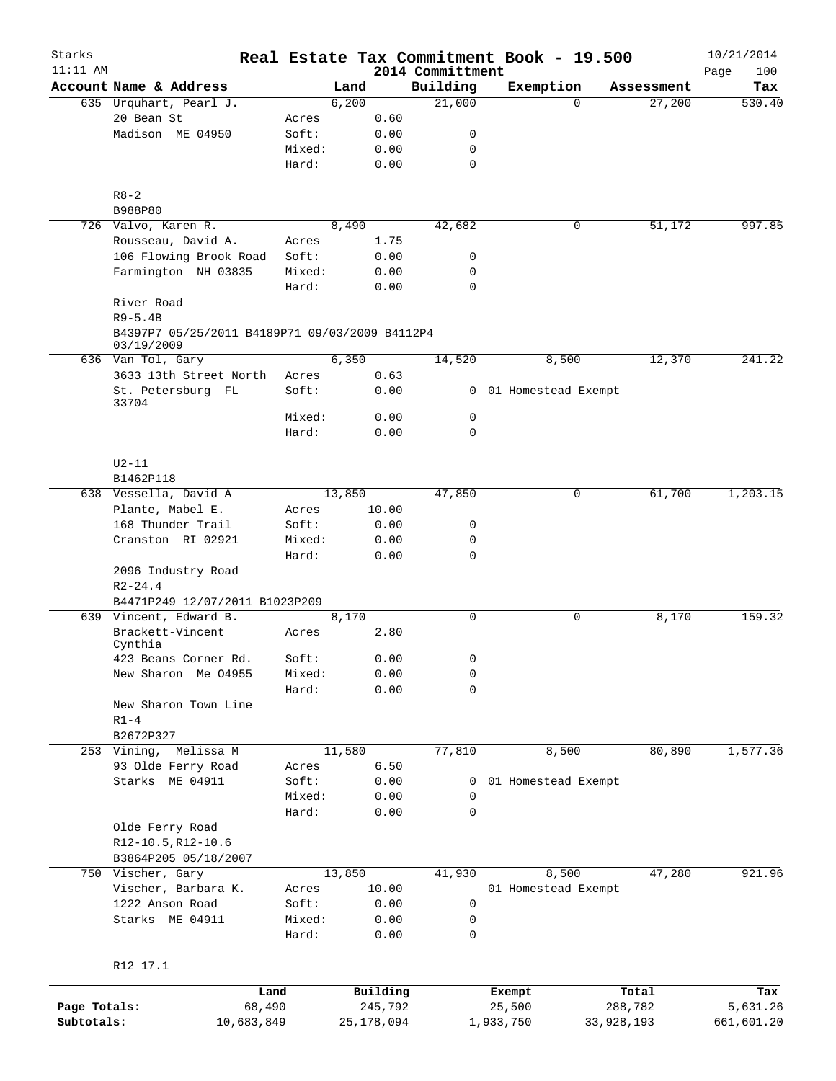| Starks       |                                                               |        |          |                              | Real Estate Tax Commitment Book - 19.500 |            | 10/21/2014         |
|--------------|---------------------------------------------------------------|--------|----------|------------------------------|------------------------------------------|------------|--------------------|
| $11:11$ AM   | Account Name & Address                                        |        | Land     | 2014 Committment<br>Building | Exemption                                | Assessment | Page<br>100<br>Tax |
|              | 635 Urquhart, Pearl J.                                        |        | 6,200    | 21,000                       | $\Omega$                                 | 27,200     | 530.40             |
|              | 20 Bean St                                                    | Acres  | 0.60     |                              |                                          |            |                    |
|              | Madison ME 04950                                              | Soft:  | 0.00     | 0                            |                                          |            |                    |
|              |                                                               | Mixed: | 0.00     | 0                            |                                          |            |                    |
|              |                                                               | Hard:  | 0.00     | $\mathbf 0$                  |                                          |            |                    |
|              | $R8 - 2$                                                      |        |          |                              |                                          |            |                    |
|              | B988P80                                                       |        |          |                              |                                          |            |                    |
|              | 726 Valvo, Karen R.                                           |        | 8,490    | 42,682                       | 0                                        | 51,172     | 997.85             |
|              | Rousseau, David A.                                            | Acres  | 1.75     |                              |                                          |            |                    |
|              | 106 Flowing Brook Road                                        | Soft:  | 0.00     | 0                            |                                          |            |                    |
|              | Farmington NH 03835                                           | Mixed: | 0.00     | 0                            |                                          |            |                    |
|              |                                                               | Hard:  | 0.00     | $\mathbf 0$                  |                                          |            |                    |
|              | River Road                                                    |        |          |                              |                                          |            |                    |
|              | $R9 - 5.4B$<br>B4397P7 05/25/2011 B4189P71 09/03/2009 B4112P4 |        |          |                              |                                          |            |                    |
|              | 03/19/2009                                                    |        |          |                              |                                          |            |                    |
|              | 636 Van Tol, Gary                                             |        | 6,350    | 14,520                       | 8,500                                    | 12,370     | 241.22             |
|              | 3633 13th Street North                                        | Acres  | 0.63     |                              |                                          |            |                    |
|              | St. Petersburg FL<br>33704                                    | Soft:  | 0.00     |                              | 0 01 Homestead Exempt                    |            |                    |
|              |                                                               | Mixed: | 0.00     | $\mathsf{O}$                 |                                          |            |                    |
|              |                                                               | Hard:  | 0.00     | $\Omega$                     |                                          |            |                    |
|              | $U2-11$                                                       |        |          |                              |                                          |            |                    |
|              | B1462P118                                                     |        |          |                              |                                          |            |                    |
|              | 638 Vessella, David A                                         |        | 13,850   | 47,850                       | 0                                        | 61,700     | 1,203.15           |
|              | Plante, Mabel E.                                              | Acres  | 10.00    |                              |                                          |            |                    |
|              | 168 Thunder Trail                                             | Soft:  | 0.00     | 0                            |                                          |            |                    |
|              | Cranston RI 02921                                             | Mixed: | 0.00     | 0                            |                                          |            |                    |
|              |                                                               | Hard:  | 0.00     | 0                            |                                          |            |                    |
|              | 2096 Industry Road                                            |        |          |                              |                                          |            |                    |
|              | $R2 - 24.4$                                                   |        |          |                              |                                          |            |                    |
|              | B4471P249 12/07/2011 B1023P209                                |        |          |                              |                                          |            |                    |
|              | 639 Vincent, Edward B.                                        |        | 8,170    | $\mathbf 0$                  | 0                                        | 8,170      | 159.32             |
|              | Brackett-Vincent<br>Cynthia                                   | Acres  | 2.80     |                              |                                          |            |                    |
|              | 423 Beans Corner Rd.                                          | Soft:  | 0.00     | 0                            |                                          |            |                    |
|              | New Sharon Me 04955                                           | Mixed: | 0.00     | 0                            |                                          |            |                    |
|              |                                                               | Hard:  | 0.00     | 0                            |                                          |            |                    |
|              | New Sharon Town Line                                          |        |          |                              |                                          |            |                    |
|              | $R1-4$                                                        |        |          |                              |                                          |            |                    |
|              | B2672P327                                                     |        |          |                              |                                          |            |                    |
|              | 253 Vining,<br>Melissa M                                      |        | 11,580   | 77,810                       | 8,500                                    | 80,890     | 1,577.36           |
|              | 93 Olde Ferry Road                                            | Acres  | 6.50     |                              |                                          |            |                    |
|              | Starks ME 04911                                               | Soft:  | 0.00     | 0                            | 01 Homestead Exempt                      |            |                    |
|              |                                                               | Mixed: | 0.00     | 0                            |                                          |            |                    |
|              |                                                               | Hard:  | 0.00     | 0                            |                                          |            |                    |
|              | Olde Ferry Road                                               |        |          |                              |                                          |            |                    |
|              | R12-10.5, R12-10.6                                            |        |          |                              |                                          |            |                    |
|              | B3864P205 05/18/2007                                          |        |          |                              |                                          |            |                    |
|              | 750 Vischer, Gary                                             |        | 13,850   | 41,930                       | 8,500                                    | 47,280     | 921.96             |
|              | Vischer, Barbara K.                                           | Acres  | 10.00    |                              | 01 Homestead Exempt                      |            |                    |
|              | 1222 Anson Road                                               | Soft:  | 0.00     | 0                            |                                          |            |                    |
|              | Starks ME 04911                                               | Mixed: | 0.00     | 0                            |                                          |            |                    |
|              |                                                               | Hard:  | 0.00     | 0                            |                                          |            |                    |
|              | R12 17.1                                                      |        |          |                              |                                          |            |                    |
|              | Land                                                          |        | Building |                              | Exempt                                   | Total      | Tax                |
| Page Totals: | 68,490                                                        |        | 245,792  |                              | 25,500                                   | 288,782    | 5,631.26           |
|              |                                                               |        |          |                              |                                          |            |                    |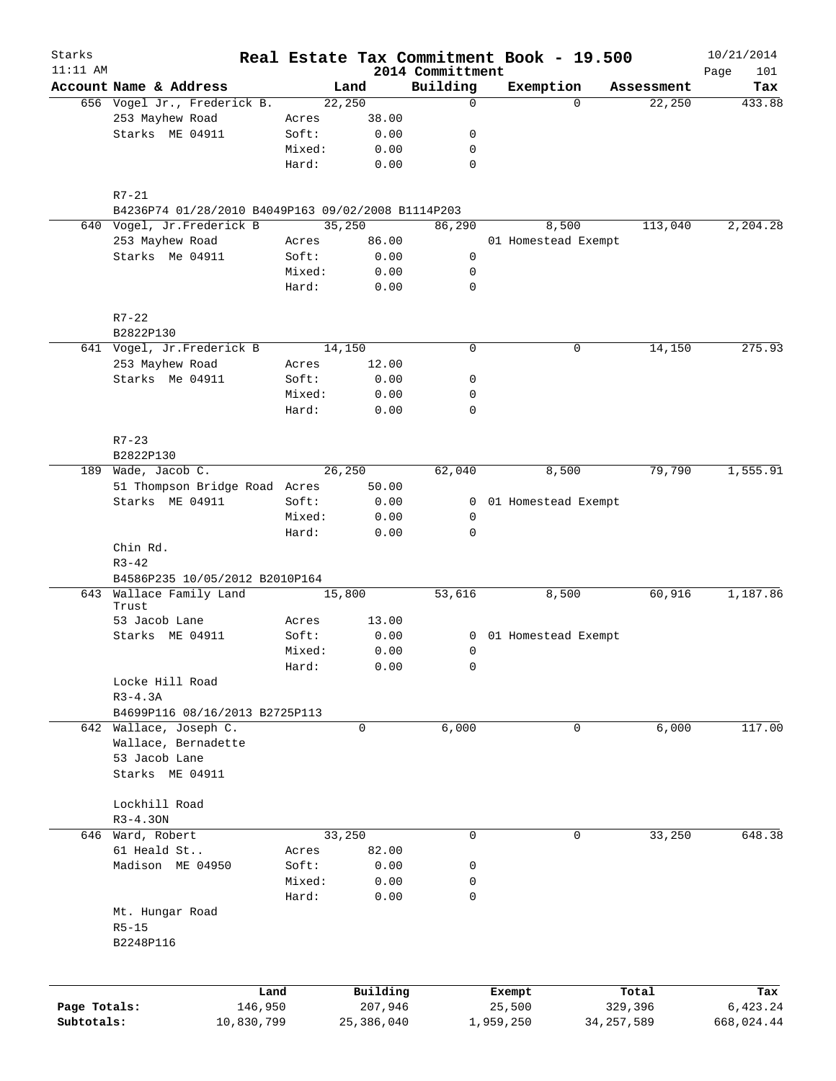| Starks<br>$11:11$ AM |                                                           |        |                     |                              | Real Estate Tax Commitment Book - 19.500 |                  | 10/21/2014         |
|----------------------|-----------------------------------------------------------|--------|---------------------|------------------------------|------------------------------------------|------------------|--------------------|
|                      | Account Name & Address                                    |        | Land                | 2014 Committment<br>Building | Exemption                                | Assessment       | Page<br>101<br>Tax |
|                      | 656 Vogel Jr., Frederick B.                               |        | 22,250              | $\mathbf 0$                  | $\Omega$                                 | 22,250           | 433.88             |
|                      | 253 Mayhew Road                                           | Acres  | 38.00               |                              |                                          |                  |                    |
|                      | Starks ME 04911                                           | Soft:  | 0.00                | 0                            |                                          |                  |                    |
|                      |                                                           | Mixed: | 0.00                | 0                            |                                          |                  |                    |
|                      |                                                           | Hard:  | 0.00                | $\mathbf 0$                  |                                          |                  |                    |
|                      | R7-21                                                     |        |                     |                              |                                          |                  |                    |
|                      | B4236P74 01/28/2010 B4049P163 09/02/2008 B1114P203        |        |                     |                              |                                          |                  |                    |
|                      | 640 Vogel, Jr.Frederick B                                 |        | 35,250              | 86,290                       | 8,500                                    | 113,040          | 2,204.28           |
|                      | 253 Mayhew Road                                           | Acres  | 86.00               |                              | 01 Homestead Exempt                      |                  |                    |
|                      | Starks Me 04911                                           | Soft:  | 0.00                | 0                            |                                          |                  |                    |
|                      |                                                           | Mixed: | 0.00                | 0                            |                                          |                  |                    |
|                      |                                                           | Hard:  | 0.00                | $\mathbf 0$                  |                                          |                  |                    |
|                      | $R7 - 22$                                                 |        |                     |                              |                                          |                  |                    |
|                      | B2822P130                                                 |        |                     |                              |                                          |                  |                    |
|                      | 641 Vogel, Jr.Frederick B                                 |        | 14,150              | $\mathbf 0$                  | 0                                        | 14,150           | 275.93             |
|                      | 253 Mayhew Road                                           | Acres  | 12.00               |                              |                                          |                  |                    |
|                      | Starks Me 04911                                           | Soft:  | 0.00                | 0                            |                                          |                  |                    |
|                      |                                                           | Mixed: | 0.00                | 0                            |                                          |                  |                    |
|                      |                                                           | Hard:  | 0.00                | $\mathbf 0$                  |                                          |                  |                    |
|                      | $R7 - 23$                                                 |        |                     |                              |                                          |                  |                    |
|                      | B2822P130<br>189 Wade, Jacob C.                           |        | 26,250              | 62,040                       | 8,500                                    | 79,790           | 1,555.91           |
|                      | 51 Thompson Bridge Road Acres                             |        | 50.00               |                              |                                          |                  |                    |
|                      | Starks ME 04911                                           | Soft:  | 0.00                | 0                            | 01 Homestead Exempt                      |                  |                    |
|                      |                                                           |        |                     |                              |                                          |                  |                    |
|                      |                                                           | Mixed: | 0.00                | 0                            |                                          |                  |                    |
|                      | Chin Rd.                                                  | Hard:  | 0.00                | $\mathbf 0$                  |                                          |                  |                    |
|                      | $R3 - 42$                                                 |        |                     |                              |                                          |                  |                    |
|                      | B4586P235 10/05/2012 B2010P164<br>643 Wallace Family Land |        | 15,800              | 53,616                       | 8,500                                    | 60,916           | 1,187.86           |
|                      | Trust                                                     |        |                     |                              |                                          |                  |                    |
|                      | 53 Jacob Lane                                             | Acres  | 13.00               |                              |                                          |                  |                    |
|                      | Starks ME 04911                                           | Soft:  | 0.00                | 0                            | 01 Homestead Exempt                      |                  |                    |
|                      |                                                           | Mixed: | 0.00                | 0                            |                                          |                  |                    |
|                      |                                                           | Hard:  | 0.00                | 0                            |                                          |                  |                    |
|                      | Locke Hill Road                                           |        |                     |                              |                                          |                  |                    |
|                      | $R3 - 4.3A$                                               |        |                     |                              |                                          |                  |                    |
|                      | B4699P116 08/16/2013 B2725P113                            |        |                     |                              |                                          |                  |                    |
|                      | 642 Wallace, Joseph C.                                    |        | 0                   | 6,000                        | 0                                        | 6,000            | 117.00             |
|                      | Wallace, Bernadette                                       |        |                     |                              |                                          |                  |                    |
|                      | 53 Jacob Lane                                             |        |                     |                              |                                          |                  |                    |
|                      | Starks ME 04911                                           |        |                     |                              |                                          |                  |                    |
|                      | Lockhill Road                                             |        |                     |                              |                                          |                  |                    |
|                      | $R3 - 4.30N$                                              |        |                     |                              |                                          |                  |                    |
|                      | 646 Ward, Robert                                          |        | 33,250              | 0                            | 0                                        | 33,250           | 648.38             |
|                      | 61 Heald St                                               | Acres  | 82.00               |                              |                                          |                  |                    |
|                      | Madison ME 04950                                          | Soft:  | 0.00                | 0                            |                                          |                  |                    |
|                      |                                                           | Mixed: | 0.00                | 0                            |                                          |                  |                    |
|                      |                                                           | Hard:  | 0.00                | 0                            |                                          |                  |                    |
|                      | Mt. Hungar Road                                           |        |                     |                              |                                          |                  |                    |
|                      | $R5 - 15$                                                 |        |                     |                              |                                          |                  |                    |
|                      | B2248P116                                                 |        |                     |                              |                                          |                  |                    |
|                      |                                                           |        |                     |                              |                                          |                  |                    |
| Page Totals:         | Land<br>146,950                                           |        | Building<br>207,946 |                              | Exempt<br>25,500                         | Total<br>329,396 | Tax<br>6,423.24    |
| Subtotals:           | 10,830,799                                                |        | 25,386,040          |                              | 1,959,250                                | 34, 257, 589     | 668,024.44         |
|                      |                                                           |        |                     |                              |                                          |                  |                    |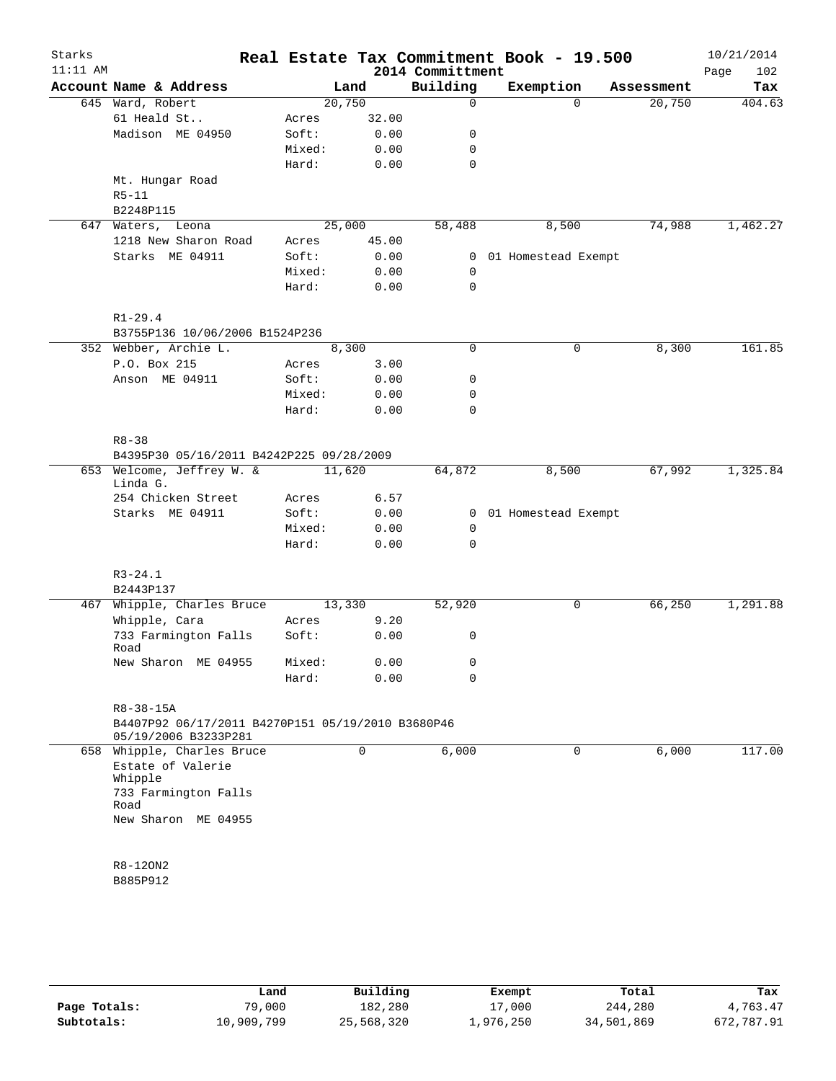| Starks<br>$11:11$ AM |                                                   |        |                | 2014 Committment | Real Estate Tax Commitment Book - 19.500 |                      | 10/21/2014<br>Page<br>102 |
|----------------------|---------------------------------------------------|--------|----------------|------------------|------------------------------------------|----------------------|---------------------------|
|                      | Account Name & Address                            |        | Land           | Building         | Exemption                                | Assessment           | Tax                       |
|                      | 645 Ward, Robert                                  |        | 20,750         | $\mathbf 0$      |                                          | 20,750<br>$\Omega$   | 404.63                    |
|                      | 61 Heald St                                       | Acres  | 32.00          |                  |                                          |                      |                           |
|                      | Madison ME 04950                                  | Soft:  | 0.00           | 0                |                                          |                      |                           |
|                      |                                                   | Mixed: | 0.00           | 0                |                                          |                      |                           |
|                      |                                                   | Hard:  | 0.00           | $\mathbf 0$      |                                          |                      |                           |
|                      | Mt. Hungar Road                                   |        |                |                  |                                          |                      |                           |
|                      | $R5 - 11$                                         |        |                |                  |                                          |                      |                           |
|                      | B2248P115                                         |        |                |                  |                                          |                      |                           |
| 647                  | Waters, Leona                                     |        | 25,000         | 58,488           | 8,500                                    | 74,988               | 1,462.27                  |
|                      | 1218 New Sharon Road                              | Acres  | 45.00          |                  |                                          |                      |                           |
|                      | Starks ME 04911                                   | Soft:  | 0.00           | 0                | 01 Homestead Exempt                      |                      |                           |
|                      |                                                   | Mixed: | 0.00           | 0                |                                          |                      |                           |
|                      |                                                   | Hard:  | 0.00           | $\mathbf 0$      |                                          |                      |                           |
|                      |                                                   |        |                |                  |                                          |                      |                           |
|                      | $R1 - 29.4$                                       |        |                |                  |                                          |                      |                           |
|                      | B3755P136 10/06/2006 B1524P236                    |        |                |                  |                                          |                      |                           |
|                      | 352 Webber, Archie L.                             |        | 8,300          | $\mathbf 0$      |                                          | $\mathbf 0$<br>8,300 | 161.85                    |
|                      | P.O. Box 215                                      | Acres  | 3.00           |                  |                                          |                      |                           |
|                      | Anson ME 04911                                    |        |                | 0                |                                          |                      |                           |
|                      |                                                   | Soft:  | 0.00           |                  |                                          |                      |                           |
|                      |                                                   | Mixed: | 0.00           | 0                |                                          |                      |                           |
|                      |                                                   | Hard:  | 0.00           | 0                |                                          |                      |                           |
|                      |                                                   |        |                |                  |                                          |                      |                           |
|                      | $R8 - 38$                                         |        |                |                  |                                          |                      |                           |
|                      | B4395P30 05/16/2011 B4242P225 09/28/2009          |        |                |                  |                                          |                      |                           |
|                      | 653 Welcome, Jeffrey W. &<br>Linda G.             |        | 11,620         | 64,872           | 8,500                                    | 67,992               | 1,325.84                  |
|                      | 254 Chicken Street                                | Acres  | 6.57           |                  |                                          |                      |                           |
|                      | Starks ME 04911                                   | Soft:  | 0.00           | $\overline{0}$   | 01 Homestead Exempt                      |                      |                           |
|                      |                                                   | Mixed: | 0.00           | $\mathbf 0$      |                                          |                      |                           |
|                      |                                                   | Hard:  |                | 0                |                                          |                      |                           |
|                      |                                                   |        | 0.00           |                  |                                          |                      |                           |
|                      | $R3 - 24.1$                                       |        |                |                  |                                          |                      |                           |
|                      | B2443P137                                         |        |                |                  |                                          |                      |                           |
|                      |                                                   |        |                |                  |                                          | 66, 250              | 1,291.88                  |
|                      | 467 Whipple, Charles Bruce                        |        | 13,330<br>9.20 | 52,920           |                                          | 0                    |                           |
|                      | Whipple, Cara                                     | Acres  |                |                  |                                          |                      |                           |
|                      | 733 Farmington Falls<br>Road                      | Soft:  | 0.00           | 0                |                                          |                      |                           |
|                      | New Sharon ME 04955                               | Mixed: | 0.00           | 0                |                                          |                      |                           |
|                      |                                                   | Hard:  | 0.00           | 0                |                                          |                      |                           |
|                      |                                                   |        |                |                  |                                          |                      |                           |
|                      | R8-38-15A                                         |        |                |                  |                                          |                      |                           |
|                      | B4407P92 06/17/2011 B4270P151 05/19/2010 B3680P46 |        |                |                  |                                          |                      |                           |
|                      | 05/19/2006 B3233P281                              |        |                |                  |                                          |                      |                           |
|                      | 658 Whipple, Charles Bruce                        |        | $\mathbf 0$    | 6,000            |                                          | 6,000<br>$\mathbf 0$ | 117.00                    |
|                      | Estate of Valerie                                 |        |                |                  |                                          |                      |                           |
|                      | Whipple                                           |        |                |                  |                                          |                      |                           |
|                      | 733 Farmington Falls                              |        |                |                  |                                          |                      |                           |
|                      | Road                                              |        |                |                  |                                          |                      |                           |
|                      | New Sharon ME 04955                               |        |                |                  |                                          |                      |                           |
|                      |                                                   |        |                |                  |                                          |                      |                           |
|                      |                                                   |        |                |                  |                                          |                      |                           |
|                      | R8-120N2                                          |        |                |                  |                                          |                      |                           |
|                      | B885P912                                          |        |                |                  |                                          |                      |                           |
|                      |                                                   |        |                |                  |                                          |                      |                           |
|                      |                                                   |        |                |                  |                                          |                      |                           |
|                      |                                                   |        |                |                  |                                          |                      |                           |
|                      |                                                   |        |                |                  |                                          |                      |                           |

|              | Land       | Building   | Exempt    | Total      | Tax        |
|--------------|------------|------------|-----------|------------|------------|
| Page Totals: | 79,000     | 182,280    | 17,000    | 244,280    | 4,763.47   |
| Subtotals:   | 10,909,799 | 25,568,320 | ⊥,976,250 | 34,501,869 | 672,787.91 |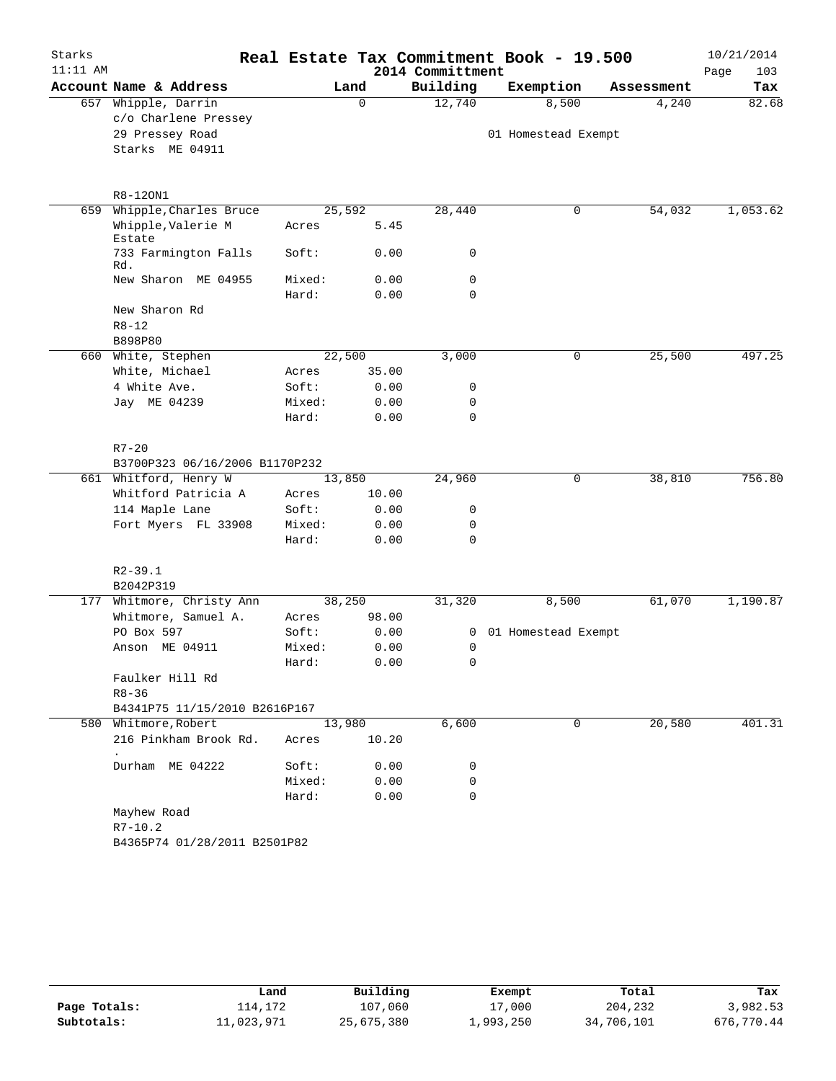| Starks     |                                |        |        |                  | Real Estate Tax Commitment Book - 19.500 |            | 10/21/2014  |
|------------|--------------------------------|--------|--------|------------------|------------------------------------------|------------|-------------|
| $11:11$ AM |                                |        |        | 2014 Committment |                                          |            | 103<br>Page |
|            | Account Name & Address         |        | Land   | Building         | Exemption                                | Assessment | Tax         |
|            | 657 Whipple, Darrin            |        | 0      | 12,740           | 8,500                                    | 4,240      | 82.68       |
|            | c/o Charlene Pressey           |        |        |                  |                                          |            |             |
|            | 29 Pressey Road                |        |        |                  | 01 Homestead Exempt                      |            |             |
|            | Starks ME 04911                |        |        |                  |                                          |            |             |
|            | R8-120N1                       |        |        |                  |                                          |            |             |
| 659        | Whipple, Charles Bruce         |        | 25,592 | 28,440           | 0                                        | 54,032     | 1,053.62    |
|            | Whipple, Valerie M<br>Estate   | Acres  | 5.45   |                  |                                          |            |             |
|            | 733 Farmington Falls<br>Rd.    | Soft:  | 0.00   | 0                |                                          |            |             |
|            | New Sharon ME 04955            | Mixed: | 0.00   | 0                |                                          |            |             |
|            |                                | Hard:  | 0.00   | 0                |                                          |            |             |
|            | New Sharon Rd                  |        |        |                  |                                          |            |             |
|            | $R8 - 12$                      |        |        |                  |                                          |            |             |
|            | B898P80                        |        |        |                  |                                          |            |             |
| 660        | White, Stephen                 |        | 22,500 | 3,000            | 0                                        | 25,500     | 497.25      |
|            | White, Michael                 | Acres  | 35.00  |                  |                                          |            |             |
|            | 4 White Ave.                   | Soft:  | 0.00   | 0                |                                          |            |             |
|            | Jay ME 04239                   | Mixed: | 0.00   | 0                |                                          |            |             |
|            |                                | Hard:  | 0.00   | 0                |                                          |            |             |
|            | $R7 - 20$                      |        |        |                  |                                          |            |             |
|            | B3700P323 06/16/2006 B1170P232 |        |        |                  |                                          |            |             |
|            | 661 Whitford, Henry W          |        | 13,850 | 24,960           | 0                                        | 38,810     | 756.80      |
|            | Whitford Patricia A            | Acres  | 10.00  |                  |                                          |            |             |
|            | 114 Maple Lane                 | Soft:  | 0.00   | 0                |                                          |            |             |
|            | Fort Myers FL 33908            | Mixed: | 0.00   | 0                |                                          |            |             |
|            |                                | Hard:  | 0.00   | 0                |                                          |            |             |
|            | $R2 - 39.1$                    |        |        |                  |                                          |            |             |
|            | B2042P319                      |        |        |                  |                                          |            |             |
| 177        | Whitmore, Christy Ann          |        | 38,250 | 31,320           | 8,500                                    | 61,070     | 1,190.87    |
|            | Whitmore, Samuel A.            | Acres  | 98.00  |                  |                                          |            |             |
|            | PO Box 597                     | Soft:  | 0.00   | 0                | 01 Homestead Exempt                      |            |             |
|            | Anson ME 04911                 | Mixed: | 0.00   | 0                |                                          |            |             |
|            |                                | Hard:  | 0.00   | $\mathbf 0$      |                                          |            |             |
|            | Faulker Hill Rd                |        |        |                  |                                          |            |             |
|            | $R8 - 36$                      |        |        |                  |                                          |            |             |
|            | B4341P75 11/15/2010 B2616P167  |        |        |                  |                                          |            |             |
|            | 580 Whitmore, Robert           |        | 13,980 | 6,600            | 0                                        | 20,580     | 401.31      |
|            | 216 Pinkham Brook Rd.          | Acres  | 10.20  |                  |                                          |            |             |
|            | Durham ME 04222                | Soft:  | 0.00   | 0                |                                          |            |             |
|            |                                | Mixed: | 0.00   | 0                |                                          |            |             |
|            |                                | Hard:  | 0.00   | 0                |                                          |            |             |
|            | Mayhew Road                    |        |        |                  |                                          |            |             |
|            | $R7 - 10.2$                    |        |        |                  |                                          |            |             |
|            | B4365P74 01/28/2011 B2501P82   |        |        |                  |                                          |            |             |

|              | Land       | Building   | Exempt    | Total      | Tax        |
|--------------|------------|------------|-----------|------------|------------|
| Page Totals: | 114.172    | 107,060    | 17,000    | 204,232    | 3,982.53   |
| Subtotals:   | 11,023,971 | 25,675,380 | ⊥,993,250 | 34,706,101 | 676,770.44 |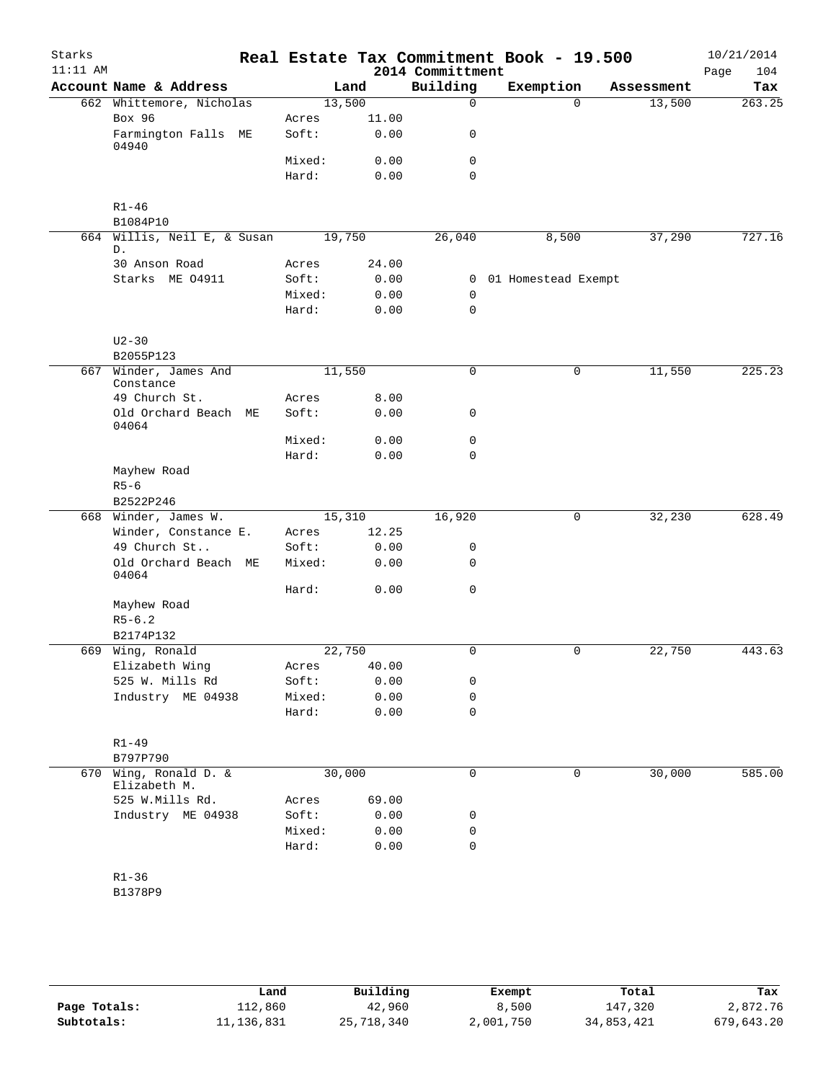| Starks<br>$11:11$ AM |                                   |        |       | 2014 Committment | Real Estate Tax Commitment Book - 19.500 |            | 10/21/2014<br>104<br>Page |
|----------------------|-----------------------------------|--------|-------|------------------|------------------------------------------|------------|---------------------------|
|                      | Account Name & Address            |        | Land  | Building         | Exemption                                | Assessment | Tax                       |
|                      | 662 Whittemore, Nicholas          | 13,500 |       | $\mathbf 0$      |                                          | $\Omega$   | 263.25<br>13,500          |
|                      | Box 96                            | Acres  | 11.00 |                  |                                          |            |                           |
|                      | Farmington Falls ME<br>04940      | Soft:  | 0.00  | 0                |                                          |            |                           |
|                      |                                   | Mixed: | 0.00  | 0                |                                          |            |                           |
|                      |                                   | Hard:  | 0.00  | $\mathbf 0$      |                                          |            |                           |
|                      | $R1 - 46$                         |        |       |                  |                                          |            |                           |
|                      | B1084P10                          |        |       |                  |                                          |            | 727.16                    |
|                      | 664 Willis, Neil E, & Susan<br>D. | 19,750 |       | 26,040           | 8,500                                    |            | 37,290                    |
|                      | 30 Anson Road                     | Acres  | 24.00 |                  |                                          |            |                           |
|                      | Starks ME 04911                   | Soft:  | 0.00  | 0                | 01 Homestead Exempt                      |            |                           |
|                      |                                   | Mixed: | 0.00  | 0                |                                          |            |                           |
|                      |                                   | Hard:  | 0.00  | 0                |                                          |            |                           |
|                      | $U2 - 30$                         |        |       |                  |                                          |            |                           |
|                      | B2055P123                         |        |       |                  |                                          |            |                           |
| 667                  | Winder, James And<br>Constance    | 11,550 |       | 0                |                                          | 0          | 225.23<br>11,550          |
|                      | 49 Church St.                     | Acres  | 8.00  |                  |                                          |            |                           |
|                      | Old Orchard Beach ME<br>04064     | Soft:  | 0.00  | 0                |                                          |            |                           |
|                      |                                   | Mixed: | 0.00  | $\mathbf 0$      |                                          |            |                           |
|                      |                                   | Hard:  | 0.00  | $\mathbf 0$      |                                          |            |                           |
|                      | Mayhew Road                       |        |       |                  |                                          |            |                           |
|                      | $R5-6$                            |        |       |                  |                                          |            |                           |
|                      | B2522P246                         |        |       |                  |                                          |            |                           |
|                      | 668 Winder, James W.              | 15,310 |       | 16,920           |                                          | 0          | 32,230<br>628.49          |
|                      | Winder, Constance E.              | Acres  | 12.25 |                  |                                          |            |                           |
|                      | 49 Church St                      | Soft:  | 0.00  | 0                |                                          |            |                           |
|                      | Old Orchard Beach ME<br>04064     | Mixed: | 0.00  | $\mathbf 0$      |                                          |            |                           |
|                      |                                   | Hard:  | 0.00  | $\mathbf 0$      |                                          |            |                           |
|                      | Mayhew Road                       |        |       |                  |                                          |            |                           |
|                      | $R5 - 6.2$                        |        |       |                  |                                          |            |                           |
|                      | B2174P132                         |        |       |                  |                                          |            |                           |
|                      | 669 Wing, Ronald                  | 22,750 |       | 0                |                                          | 0          | 22,750<br>443.63          |
|                      | Elizabeth Wing                    | Acres  | 40.00 |                  |                                          |            |                           |
|                      | 525 W. Mills Rd                   | Soft:  | 0.00  | 0                |                                          |            |                           |
|                      | Industry ME 04938                 | Mixed: | 0.00  | 0                |                                          |            |                           |
|                      |                                   | Hard:  | 0.00  | $\mathbf 0$      |                                          |            |                           |
|                      | $R1 - 49$                         |        |       |                  |                                          |            |                           |
|                      | B797P790                          |        |       |                  |                                          |            |                           |
| 670                  | Wing, Ronald D. &<br>Elizabeth M. | 30,000 |       | $\mathbf 0$      |                                          | 0          | 30,000<br>585.00          |
|                      | 525 W.Mills Rd.                   | Acres  | 69.00 |                  |                                          |            |                           |
|                      | Industry ME 04938                 | Soft:  | 0.00  | 0                |                                          |            |                           |
|                      |                                   | Mixed: | 0.00  | 0                |                                          |            |                           |
|                      |                                   | Hard:  | 0.00  | $\mathbf 0$      |                                          |            |                           |
|                      | $R1 - 36$                         |        |       |                  |                                          |            |                           |
|                      | B1378P9                           |        |       |                  |                                          |            |                           |
|                      |                                   |        |       |                  |                                          |            |                           |
|                      |                                   |        |       |                  |                                          |            |                           |

|              | Land         | Building   | Exempt    | Total      | Tax        |
|--------------|--------------|------------|-----------|------------|------------|
| Page Totals: | 112,860      | 42,960     | 8,500     | 147,320    | 2,872.76   |
| Subtotals:   | 11, 136, 831 | 25,718,340 | 2,001,750 | 34,853,421 | 679,643.20 |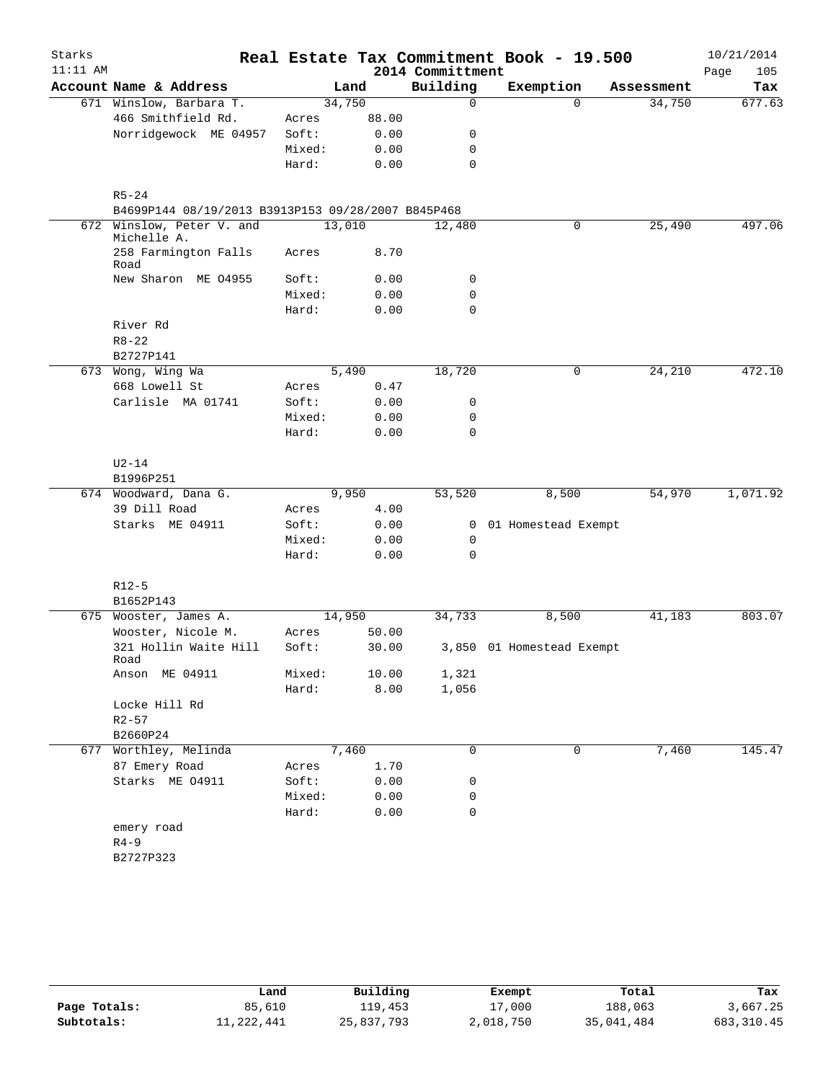| $11:11$ AM<br>2014 Committment<br>105<br>Page<br>Building<br>Account Name & Address<br>Exemption<br>Land<br>Tax<br>Assessment<br>34,750<br>671 Winslow, Barbara T.<br>$\mathbf 0$<br>$\Omega$<br>34,750<br>677.63<br>466 Smithfield Rd.<br>88.00<br>Acres<br>Norridgewock ME 04957<br>0.00<br>Soft:<br>0<br>0.00<br>Mixed:<br>0<br>$\mathbf 0$<br>Hard:<br>0.00<br>$R5 - 24$<br>B4699P144 08/19/2013 B3913P153 09/28/2007 B845P468<br>13,010<br>497.06<br>672 Winslow, Peter V. and<br>0<br>25,490<br>12,480<br>Michelle A.<br>258 Farmington Falls<br>8.70<br>Acres<br>Road<br>New Sharon ME 04955<br>Soft:<br>0.00<br>0<br>$\mathbf 0$<br>Mixed:<br>0.00<br>Hard:<br>$\mathbf 0$<br>0.00<br>River Rd<br>$R8 - 22$<br>B2727P141<br>472.10<br>5,490<br>18,720<br>24,210<br>673 Wong, Wing Wa<br>0<br>668 Lowell St<br>0.47<br>Acres<br>Carlisle MA 01741<br>Soft:<br>0.00<br>0<br>Mixed:<br>0.00<br>0<br>Hard:<br>$\mathbf 0$<br>0.00<br>$U2-14$<br>B1996P251<br>674 Woodward, Dana G.<br>9,950<br>53,520<br>8,500<br>54,970<br>39 Dill Road<br>4.00<br>Acres<br>Starks ME 04911<br>Soft:<br>0.00<br>01 Homestead Exempt<br>0<br>Mixed:<br>0.00<br>0<br>Hard:<br>$\mathbf 0$<br>0.00<br>$R12 - 5$<br>B1652P143<br>14,950<br>34,733<br>8,500<br>41,183<br>675<br>Wooster, James A.<br>Wooster, Nicole M.<br>50.00<br>Acres<br>321 Hollin Waite Hill<br>Soft:<br>30.00<br>3,850 01 Homestead Exempt<br>Road<br>Mixed:<br>10.00<br>1,321<br>Anson ME 04911<br>8.00<br>1,056<br>Hard:<br>Locke Hill Rd<br>$R2 - 57$<br>B2660P24<br>677 Worthley, Melinda<br>7,460<br>7,460<br>0<br>0<br>87 Emery Road<br>1.70<br>Acres<br>Starks ME 04911<br>0.00<br>Soft:<br>0<br>0.00<br>Mixed:<br>0<br>Hard:<br>0.00<br>0<br>emery road<br>$R4-9$<br>B2727P323 | Starks |  |  | Real Estate Tax Commitment Book - 19.500 | 10/21/2014 |
|-----------------------------------------------------------------------------------------------------------------------------------------------------------------------------------------------------------------------------------------------------------------------------------------------------------------------------------------------------------------------------------------------------------------------------------------------------------------------------------------------------------------------------------------------------------------------------------------------------------------------------------------------------------------------------------------------------------------------------------------------------------------------------------------------------------------------------------------------------------------------------------------------------------------------------------------------------------------------------------------------------------------------------------------------------------------------------------------------------------------------------------------------------------------------------------------------------------------------------------------------------------------------------------------------------------------------------------------------------------------------------------------------------------------------------------------------------------------------------------------------------------------------------------------------------------------------------------------------------------------------------------------------------------------------------------------------------------------------------------------------|--------|--|--|------------------------------------------|------------|
|                                                                                                                                                                                                                                                                                                                                                                                                                                                                                                                                                                                                                                                                                                                                                                                                                                                                                                                                                                                                                                                                                                                                                                                                                                                                                                                                                                                                                                                                                                                                                                                                                                                                                                                                               |        |  |  |                                          |            |
|                                                                                                                                                                                                                                                                                                                                                                                                                                                                                                                                                                                                                                                                                                                                                                                                                                                                                                                                                                                                                                                                                                                                                                                                                                                                                                                                                                                                                                                                                                                                                                                                                                                                                                                                               |        |  |  |                                          |            |
| 1,071.92<br>803.07                                                                                                                                                                                                                                                                                                                                                                                                                                                                                                                                                                                                                                                                                                                                                                                                                                                                                                                                                                                                                                                                                                                                                                                                                                                                                                                                                                                                                                                                                                                                                                                                                                                                                                                            |        |  |  |                                          |            |
|                                                                                                                                                                                                                                                                                                                                                                                                                                                                                                                                                                                                                                                                                                                                                                                                                                                                                                                                                                                                                                                                                                                                                                                                                                                                                                                                                                                                                                                                                                                                                                                                                                                                                                                                               |        |  |  |                                          |            |
|                                                                                                                                                                                                                                                                                                                                                                                                                                                                                                                                                                                                                                                                                                                                                                                                                                                                                                                                                                                                                                                                                                                                                                                                                                                                                                                                                                                                                                                                                                                                                                                                                                                                                                                                               |        |  |  |                                          |            |
|                                                                                                                                                                                                                                                                                                                                                                                                                                                                                                                                                                                                                                                                                                                                                                                                                                                                                                                                                                                                                                                                                                                                                                                                                                                                                                                                                                                                                                                                                                                                                                                                                                                                                                                                               |        |  |  |                                          |            |
|                                                                                                                                                                                                                                                                                                                                                                                                                                                                                                                                                                                                                                                                                                                                                                                                                                                                                                                                                                                                                                                                                                                                                                                                                                                                                                                                                                                                                                                                                                                                                                                                                                                                                                                                               |        |  |  |                                          |            |
|                                                                                                                                                                                                                                                                                                                                                                                                                                                                                                                                                                                                                                                                                                                                                                                                                                                                                                                                                                                                                                                                                                                                                                                                                                                                                                                                                                                                                                                                                                                                                                                                                                                                                                                                               |        |  |  |                                          |            |
|                                                                                                                                                                                                                                                                                                                                                                                                                                                                                                                                                                                                                                                                                                                                                                                                                                                                                                                                                                                                                                                                                                                                                                                                                                                                                                                                                                                                                                                                                                                                                                                                                                                                                                                                               |        |  |  |                                          |            |
|                                                                                                                                                                                                                                                                                                                                                                                                                                                                                                                                                                                                                                                                                                                                                                                                                                                                                                                                                                                                                                                                                                                                                                                                                                                                                                                                                                                                                                                                                                                                                                                                                                                                                                                                               |        |  |  |                                          |            |
|                                                                                                                                                                                                                                                                                                                                                                                                                                                                                                                                                                                                                                                                                                                                                                                                                                                                                                                                                                                                                                                                                                                                                                                                                                                                                                                                                                                                                                                                                                                                                                                                                                                                                                                                               |        |  |  |                                          |            |
|                                                                                                                                                                                                                                                                                                                                                                                                                                                                                                                                                                                                                                                                                                                                                                                                                                                                                                                                                                                                                                                                                                                                                                                                                                                                                                                                                                                                                                                                                                                                                                                                                                                                                                                                               |        |  |  |                                          |            |
|                                                                                                                                                                                                                                                                                                                                                                                                                                                                                                                                                                                                                                                                                                                                                                                                                                                                                                                                                                                                                                                                                                                                                                                                                                                                                                                                                                                                                                                                                                                                                                                                                                                                                                                                               |        |  |  |                                          |            |
|                                                                                                                                                                                                                                                                                                                                                                                                                                                                                                                                                                                                                                                                                                                                                                                                                                                                                                                                                                                                                                                                                                                                                                                                                                                                                                                                                                                                                                                                                                                                                                                                                                                                                                                                               |        |  |  |                                          |            |
|                                                                                                                                                                                                                                                                                                                                                                                                                                                                                                                                                                                                                                                                                                                                                                                                                                                                                                                                                                                                                                                                                                                                                                                                                                                                                                                                                                                                                                                                                                                                                                                                                                                                                                                                               |        |  |  |                                          |            |
|                                                                                                                                                                                                                                                                                                                                                                                                                                                                                                                                                                                                                                                                                                                                                                                                                                                                                                                                                                                                                                                                                                                                                                                                                                                                                                                                                                                                                                                                                                                                                                                                                                                                                                                                               |        |  |  |                                          |            |
|                                                                                                                                                                                                                                                                                                                                                                                                                                                                                                                                                                                                                                                                                                                                                                                                                                                                                                                                                                                                                                                                                                                                                                                                                                                                                                                                                                                                                                                                                                                                                                                                                                                                                                                                               |        |  |  |                                          |            |
|                                                                                                                                                                                                                                                                                                                                                                                                                                                                                                                                                                                                                                                                                                                                                                                                                                                                                                                                                                                                                                                                                                                                                                                                                                                                                                                                                                                                                                                                                                                                                                                                                                                                                                                                               |        |  |  |                                          |            |
|                                                                                                                                                                                                                                                                                                                                                                                                                                                                                                                                                                                                                                                                                                                                                                                                                                                                                                                                                                                                                                                                                                                                                                                                                                                                                                                                                                                                                                                                                                                                                                                                                                                                                                                                               |        |  |  |                                          |            |
|                                                                                                                                                                                                                                                                                                                                                                                                                                                                                                                                                                                                                                                                                                                                                                                                                                                                                                                                                                                                                                                                                                                                                                                                                                                                                                                                                                                                                                                                                                                                                                                                                                                                                                                                               |        |  |  |                                          |            |
|                                                                                                                                                                                                                                                                                                                                                                                                                                                                                                                                                                                                                                                                                                                                                                                                                                                                                                                                                                                                                                                                                                                                                                                                                                                                                                                                                                                                                                                                                                                                                                                                                                                                                                                                               |        |  |  |                                          |            |
|                                                                                                                                                                                                                                                                                                                                                                                                                                                                                                                                                                                                                                                                                                                                                                                                                                                                                                                                                                                                                                                                                                                                                                                                                                                                                                                                                                                                                                                                                                                                                                                                                                                                                                                                               |        |  |  |                                          |            |
|                                                                                                                                                                                                                                                                                                                                                                                                                                                                                                                                                                                                                                                                                                                                                                                                                                                                                                                                                                                                                                                                                                                                                                                                                                                                                                                                                                                                                                                                                                                                                                                                                                                                                                                                               |        |  |  |                                          |            |
|                                                                                                                                                                                                                                                                                                                                                                                                                                                                                                                                                                                                                                                                                                                                                                                                                                                                                                                                                                                                                                                                                                                                                                                                                                                                                                                                                                                                                                                                                                                                                                                                                                                                                                                                               |        |  |  |                                          |            |
|                                                                                                                                                                                                                                                                                                                                                                                                                                                                                                                                                                                                                                                                                                                                                                                                                                                                                                                                                                                                                                                                                                                                                                                                                                                                                                                                                                                                                                                                                                                                                                                                                                                                                                                                               |        |  |  |                                          |            |
|                                                                                                                                                                                                                                                                                                                                                                                                                                                                                                                                                                                                                                                                                                                                                                                                                                                                                                                                                                                                                                                                                                                                                                                                                                                                                                                                                                                                                                                                                                                                                                                                                                                                                                                                               |        |  |  |                                          |            |
|                                                                                                                                                                                                                                                                                                                                                                                                                                                                                                                                                                                                                                                                                                                                                                                                                                                                                                                                                                                                                                                                                                                                                                                                                                                                                                                                                                                                                                                                                                                                                                                                                                                                                                                                               |        |  |  |                                          |            |
|                                                                                                                                                                                                                                                                                                                                                                                                                                                                                                                                                                                                                                                                                                                                                                                                                                                                                                                                                                                                                                                                                                                                                                                                                                                                                                                                                                                                                                                                                                                                                                                                                                                                                                                                               |        |  |  |                                          |            |
|                                                                                                                                                                                                                                                                                                                                                                                                                                                                                                                                                                                                                                                                                                                                                                                                                                                                                                                                                                                                                                                                                                                                                                                                                                                                                                                                                                                                                                                                                                                                                                                                                                                                                                                                               |        |  |  |                                          |            |
|                                                                                                                                                                                                                                                                                                                                                                                                                                                                                                                                                                                                                                                                                                                                                                                                                                                                                                                                                                                                                                                                                                                                                                                                                                                                                                                                                                                                                                                                                                                                                                                                                                                                                                                                               |        |  |  |                                          |            |
|                                                                                                                                                                                                                                                                                                                                                                                                                                                                                                                                                                                                                                                                                                                                                                                                                                                                                                                                                                                                                                                                                                                                                                                                                                                                                                                                                                                                                                                                                                                                                                                                                                                                                                                                               |        |  |  |                                          |            |
|                                                                                                                                                                                                                                                                                                                                                                                                                                                                                                                                                                                                                                                                                                                                                                                                                                                                                                                                                                                                                                                                                                                                                                                                                                                                                                                                                                                                                                                                                                                                                                                                                                                                                                                                               |        |  |  |                                          |            |
|                                                                                                                                                                                                                                                                                                                                                                                                                                                                                                                                                                                                                                                                                                                                                                                                                                                                                                                                                                                                                                                                                                                                                                                                                                                                                                                                                                                                                                                                                                                                                                                                                                                                                                                                               |        |  |  |                                          |            |
|                                                                                                                                                                                                                                                                                                                                                                                                                                                                                                                                                                                                                                                                                                                                                                                                                                                                                                                                                                                                                                                                                                                                                                                                                                                                                                                                                                                                                                                                                                                                                                                                                                                                                                                                               |        |  |  |                                          |            |
| 145.47                                                                                                                                                                                                                                                                                                                                                                                                                                                                                                                                                                                                                                                                                                                                                                                                                                                                                                                                                                                                                                                                                                                                                                                                                                                                                                                                                                                                                                                                                                                                                                                                                                                                                                                                        |        |  |  |                                          |            |
|                                                                                                                                                                                                                                                                                                                                                                                                                                                                                                                                                                                                                                                                                                                                                                                                                                                                                                                                                                                                                                                                                                                                                                                                                                                                                                                                                                                                                                                                                                                                                                                                                                                                                                                                               |        |  |  |                                          |            |
|                                                                                                                                                                                                                                                                                                                                                                                                                                                                                                                                                                                                                                                                                                                                                                                                                                                                                                                                                                                                                                                                                                                                                                                                                                                                                                                                                                                                                                                                                                                                                                                                                                                                                                                                               |        |  |  |                                          |            |
|                                                                                                                                                                                                                                                                                                                                                                                                                                                                                                                                                                                                                                                                                                                                                                                                                                                                                                                                                                                                                                                                                                                                                                                                                                                                                                                                                                                                                                                                                                                                                                                                                                                                                                                                               |        |  |  |                                          |            |
|                                                                                                                                                                                                                                                                                                                                                                                                                                                                                                                                                                                                                                                                                                                                                                                                                                                                                                                                                                                                                                                                                                                                                                                                                                                                                                                                                                                                                                                                                                                                                                                                                                                                                                                                               |        |  |  |                                          |            |
|                                                                                                                                                                                                                                                                                                                                                                                                                                                                                                                                                                                                                                                                                                                                                                                                                                                                                                                                                                                                                                                                                                                                                                                                                                                                                                                                                                                                                                                                                                                                                                                                                                                                                                                                               |        |  |  |                                          |            |
|                                                                                                                                                                                                                                                                                                                                                                                                                                                                                                                                                                                                                                                                                                                                                                                                                                                                                                                                                                                                                                                                                                                                                                                                                                                                                                                                                                                                                                                                                                                                                                                                                                                                                                                                               |        |  |  |                                          |            |
|                                                                                                                                                                                                                                                                                                                                                                                                                                                                                                                                                                                                                                                                                                                                                                                                                                                                                                                                                                                                                                                                                                                                                                                                                                                                                                                                                                                                                                                                                                                                                                                                                                                                                                                                               |        |  |  |                                          |            |
|                                                                                                                                                                                                                                                                                                                                                                                                                                                                                                                                                                                                                                                                                                                                                                                                                                                                                                                                                                                                                                                                                                                                                                                                                                                                                                                                                                                                                                                                                                                                                                                                                                                                                                                                               |        |  |  |                                          |            |
|                                                                                                                                                                                                                                                                                                                                                                                                                                                                                                                                                                                                                                                                                                                                                                                                                                                                                                                                                                                                                                                                                                                                                                                                                                                                                                                                                                                                                                                                                                                                                                                                                                                                                                                                               |        |  |  |                                          |            |
|                                                                                                                                                                                                                                                                                                                                                                                                                                                                                                                                                                                                                                                                                                                                                                                                                                                                                                                                                                                                                                                                                                                                                                                                                                                                                                                                                                                                                                                                                                                                                                                                                                                                                                                                               |        |  |  |                                          |            |
|                                                                                                                                                                                                                                                                                                                                                                                                                                                                                                                                                                                                                                                                                                                                                                                                                                                                                                                                                                                                                                                                                                                                                                                                                                                                                                                                                                                                                                                                                                                                                                                                                                                                                                                                               |        |  |  |                                          |            |
|                                                                                                                                                                                                                                                                                                                                                                                                                                                                                                                                                                                                                                                                                                                                                                                                                                                                                                                                                                                                                                                                                                                                                                                                                                                                                                                                                                                                                                                                                                                                                                                                                                                                                                                                               |        |  |  |                                          |            |
|                                                                                                                                                                                                                                                                                                                                                                                                                                                                                                                                                                                                                                                                                                                                                                                                                                                                                                                                                                                                                                                                                                                                                                                                                                                                                                                                                                                                                                                                                                                                                                                                                                                                                                                                               |        |  |  |                                          |            |
|                                                                                                                                                                                                                                                                                                                                                                                                                                                                                                                                                                                                                                                                                                                                                                                                                                                                                                                                                                                                                                                                                                                                                                                                                                                                                                                                                                                                                                                                                                                                                                                                                                                                                                                                               |        |  |  |                                          |            |
|                                                                                                                                                                                                                                                                                                                                                                                                                                                                                                                                                                                                                                                                                                                                                                                                                                                                                                                                                                                                                                                                                                                                                                                                                                                                                                                                                                                                                                                                                                                                                                                                                                                                                                                                               |        |  |  |                                          |            |

|              | Land       | Building   | Exempt    | Total      | Tax         |
|--------------|------------|------------|-----------|------------|-------------|
| Page Totals: | 85,610     | 119,453    | 17,000    | 188,063    | 3,667.25    |
| Subtotals:   | 11,222,441 | 25,837,793 | 2,018,750 | 35,041,484 | 683, 310.45 |